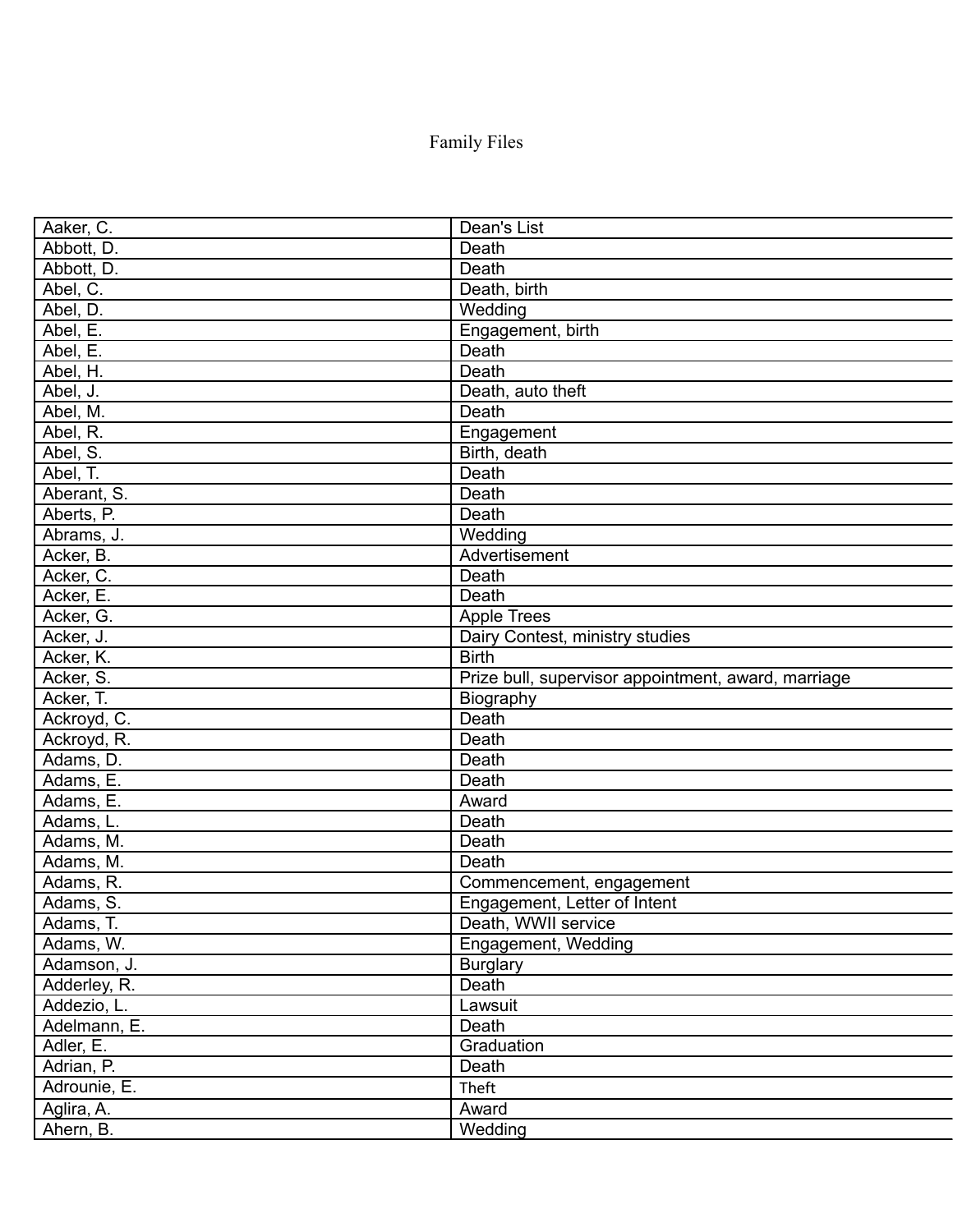## Family Files

| Aaker, C.    | Dean's List                                         |
|--------------|-----------------------------------------------------|
| Abbott, D.   | Death                                               |
| Abbott, D.   | Death                                               |
| Abel, C.     | Death, birth                                        |
| Abel, D.     | Wedding                                             |
| Abel, E.     | Engagement, birth                                   |
| Abel, E.     | Death                                               |
| Abel, H.     | Death                                               |
| Abel, J.     | Death, auto theft                                   |
| Abel, M.     | Death                                               |
| Abel, R.     | Engagement                                          |
| Abel, S.     | Birth, death                                        |
| Abel, T.     | Death                                               |
| Aberant, S.  | Death                                               |
| Aberts, P.   | Death                                               |
| Abrams, J.   | Wedding                                             |
| Acker, B.    | Advertisement                                       |
| Acker, C.    | Death                                               |
| Acker, E.    | Death                                               |
| Acker, G.    | <b>Apple Trees</b>                                  |
| Acker, J.    | Dairy Contest, ministry studies                     |
| Acker, K.    | <b>Birth</b>                                        |
| Acker, S.    | Prize bull, supervisor appointment, award, marriage |
| Acker, T.    | Biography                                           |
| Ackroyd, C.  | Death                                               |
| Ackroyd, R.  | Death                                               |
| Adams, D.    | Death                                               |
| Adams, E.    | Death                                               |
| Adams, E.    | Award                                               |
| Adams, L.    | Death                                               |
| Adams, M.    | Death                                               |
| Adams, M.    | Death                                               |
| Adams, R.    | Commencement, engagement                            |
| Adams, S.    | Engagement, Letter of Intent                        |
| Adams, T.    | Death, WWII service                                 |
| Adams, W.    | Engagement, Wedding                                 |
| Adamson, J.  | <b>Burglary</b>                                     |
| Adderley, R. | Death                                               |
| Addezio, L.  | Lawsuit                                             |
| Adelmann, E. | Death                                               |
| Adler, E.    | Graduation                                          |
| Adrian, P.   | Death                                               |
| Adrounie, E. | Theft                                               |
| Aglira, A.   | Award                                               |
| Ahern, B.    | Wedding                                             |
|              |                                                     |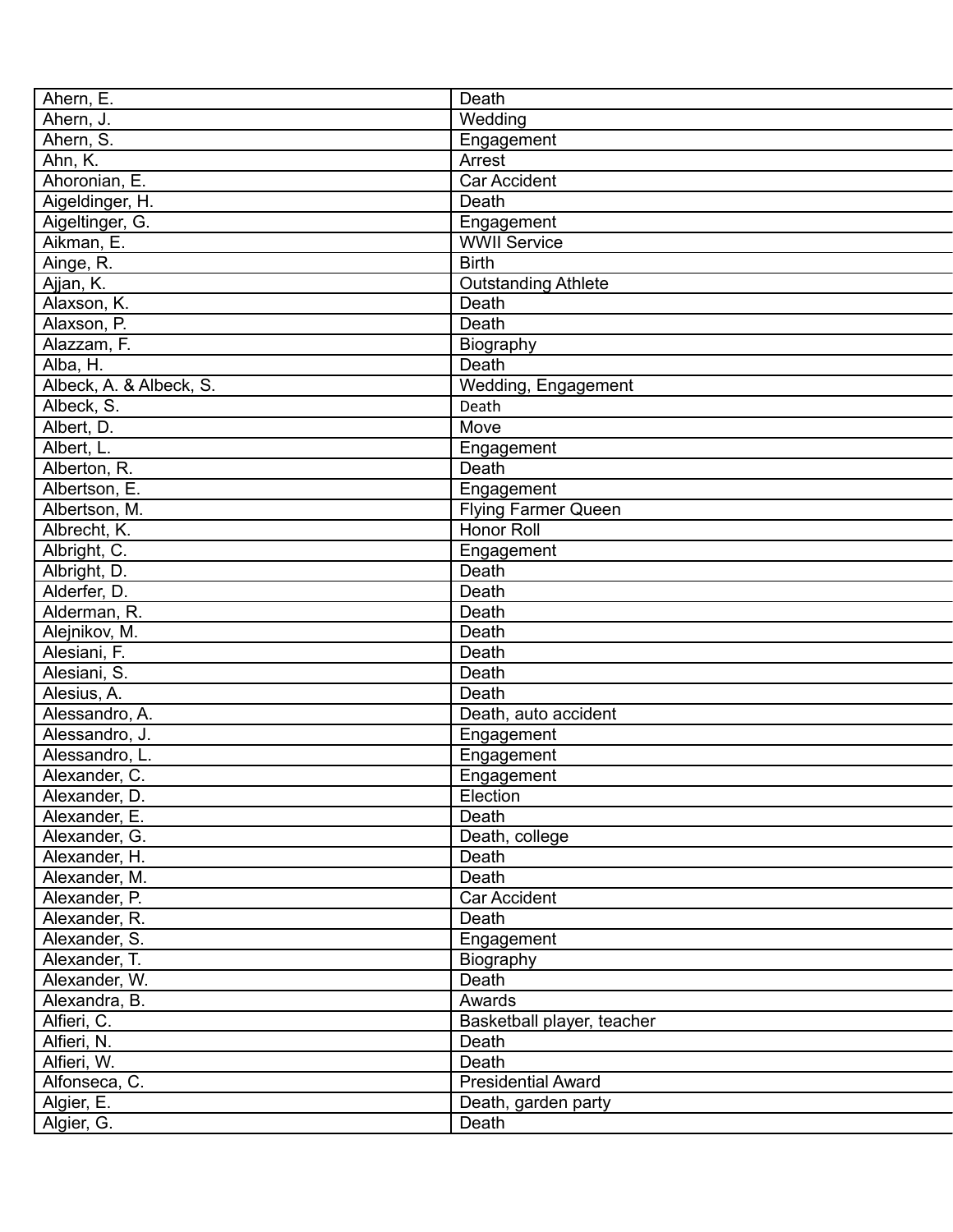| Ahern, E.                      | Death                      |
|--------------------------------|----------------------------|
| Ahern, J.                      | Wedding                    |
| Ahern, S.                      | Engagement                 |
| Ahn, K.                        | Arrest                     |
| Ahoronian, E.                  | <b>Car Accident</b>        |
| Aigeldinger, H.                | Death                      |
| Aigeltinger, G.                | Engagement                 |
| Aikman, E.                     | <b>WWII Service</b>        |
| Ainge, R.                      | <b>Birth</b>               |
| Ajjan, K.                      | <b>Outstanding Athlete</b> |
| Alaxson, K.                    | Death                      |
| Alaxson, P.                    | Death                      |
| Alazzam, F.                    | Biography                  |
| Alba, H.                       | Death                      |
| Albeck, A. & Albeck, S.        | Wedding, Engagement        |
| Albeck, S.                     | Death                      |
| Albert, D.                     | Move                       |
| Albert, L.                     | Engagement                 |
| Alberton, R.                   | Death                      |
| Albertson, E.                  | Engagement                 |
| Albertson, M.                  | <b>Flying Farmer Queen</b> |
| Albrecht, K.                   | Honor Roll                 |
| Albright, C.                   | Engagement                 |
| Albright, D.                   | Death                      |
| Alderfer, D.                   | Death                      |
| Alderman, R.                   | Death                      |
| Alejnikov, M.                  | Death                      |
| Alesiani, F.                   | Death                      |
| Alesiani, S.                   | Death                      |
| Alesius, A.                    | <b>Death</b>               |
| Alessandro, A.                 | Death, auto accident       |
| Alessandro, J.                 | Engagement                 |
| Alessandro, L.                 | Engagement                 |
| Alexander, C.                  | Engagement                 |
| Alexander, D.                  | Election                   |
| Alexander, E.                  | Death                      |
| Alexander, G.                  | Death, college             |
| Alexander, H.                  | Death                      |
|                                | Death                      |
| Alexander, M.<br>Alexander, P. | Car Accident               |
|                                | Death                      |
| Alexander, R.<br>Alexander, S. |                            |
|                                | Engagement                 |
| Alexander, T.                  | Biography                  |
| Alexander, W.                  | Death                      |
| Alexandra, B.                  | Awards                     |
| Alfieri, C.                    | Basketball player, teacher |
| Alfieri, N.                    | Death                      |
| Alfieri, W.                    | Death                      |
| Alfonseca, C.                  | <b>Presidential Award</b>  |
| Algier, E.                     | Death, garden party        |
| Algier, G.                     | Death                      |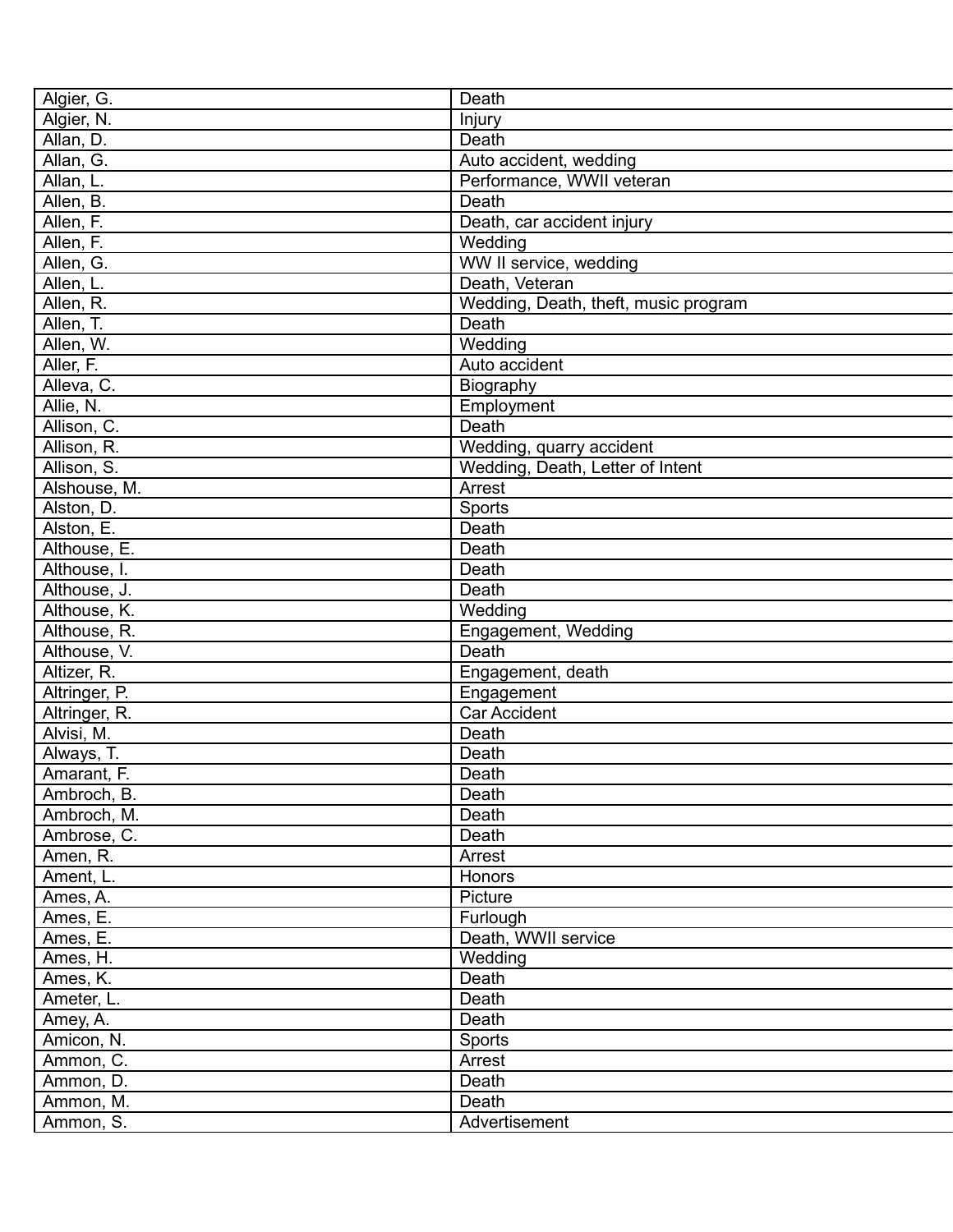| Death                                |
|--------------------------------------|
| Injury                               |
| Death                                |
| Auto accident, wedding               |
| Performance, WWII veteran            |
| Death                                |
| Death, car accident injury           |
| Wedding                              |
| WW II service, wedding               |
| Death, Veteran                       |
| Wedding, Death, theft, music program |
| Death                                |
| Wedding                              |
| Auto accident                        |
| Biography                            |
| Employment                           |
| Death                                |
| Wedding, quarry accident             |
| Wedding, Death, Letter of Intent     |
| Arrest                               |
| Sports                               |
| Death                                |
| Death                                |
| Death                                |
| Death                                |
| Wedding                              |
| Engagement, Wedding                  |
| Death                                |
|                                      |
| Engagement, death                    |
| Engagement<br><b>Car Accident</b>    |
| Death                                |
|                                      |
| Death                                |
| Death                                |
| Death                                |
| Death                                |
| Death                                |
| Arrest                               |
| Honors                               |
| Picture                              |
| Furlough                             |
| Death, WWII service                  |
| Wedding                              |
| Death                                |
| Death                                |
| Death                                |
| Sports                               |
| Arrest                               |
| Death                                |
| Death                                |
| Advertisement                        |
|                                      |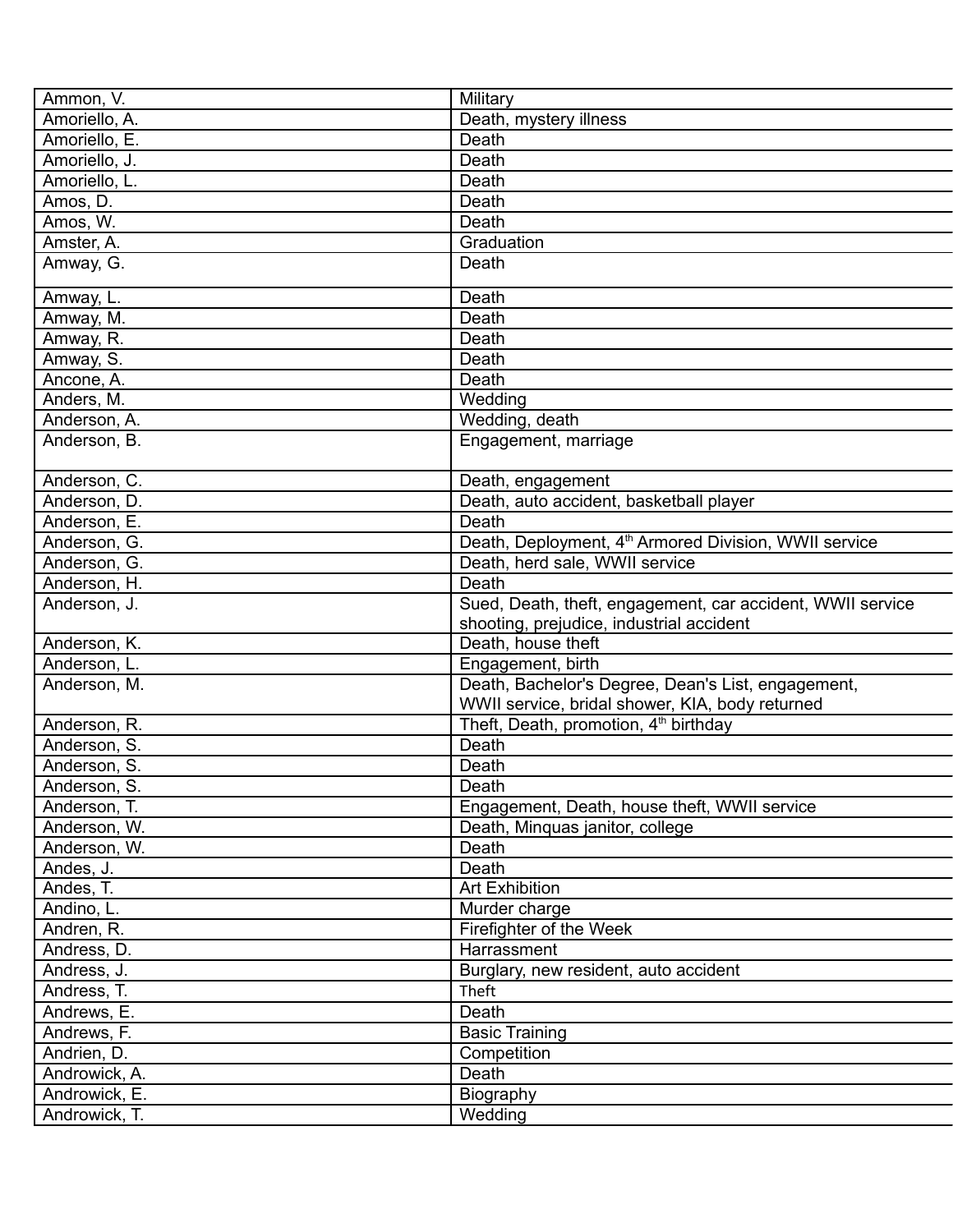| Ammon, V.     | Military                                                          |
|---------------|-------------------------------------------------------------------|
| Amoriello, A. | Death, mystery illness                                            |
| Amoriello, E. | Death                                                             |
| Amoriello, J. | Death                                                             |
| Amoriello, L. | Death                                                             |
| Amos, D.      | Death                                                             |
| Amos, W.      | Death                                                             |
| Amster, A.    | Graduation                                                        |
| Amway, G.     | Death                                                             |
| Amway, L.     | Death                                                             |
| Amway, M.     | Death                                                             |
| Amway, R.     | Death                                                             |
| Amway, S.     | Death                                                             |
| Ancone, A.    | Death                                                             |
| Anders, M.    | Wedding                                                           |
| Anderson, A.  | Wedding, death                                                    |
| Anderson, B.  | Engagement, marriage                                              |
| Anderson, C.  | Death, engagement                                                 |
| Anderson, D.  | Death, auto accident, basketball player                           |
| Anderson, E.  | Death                                                             |
| Anderson, G.  | Death, Deployment, 4 <sup>th</sup> Armored Division, WWII service |
| Anderson, G.  | Death, herd sale, WWII service                                    |
| Anderson, H.  | Death                                                             |
| Anderson, J.  | Sued, Death, theft, engagement, car accident, WWII service        |
|               | shooting, prejudice, industrial accident                          |
| Anderson, K.  | Death, house theft                                                |
| Anderson, L.  | Engagement, birth                                                 |
| Anderson, M.  | Death, Bachelor's Degree, Dean's List, engagement,                |
|               | WWII service, bridal shower, KIA, body returned                   |
| Anderson, R.  | Theft, Death, promotion, 4 <sup>th</sup> birthday                 |
| Anderson, S.  | Death                                                             |
| Anderson, S.  | Death                                                             |
| Anderson, S.  | Death                                                             |
| Anderson, T.  | Engagement, Death, house theft, WWII service                      |
| Anderson, W.  | Death, Minquas janitor, college                                   |
| Anderson, W.  | Death                                                             |
| Andes, J.     | Death                                                             |
| Andes, T.     | <b>Art Exhibition</b>                                             |
| Andino, L.    | Murder charge                                                     |
| Andren, R.    | Firefighter of the Week                                           |
| Andress, D.   | Harrassment                                                       |
| Andress, J.   | Burglary, new resident, auto accident                             |
| Andress, T.   | Theft                                                             |
| Andrews, E.   | Death                                                             |
| Andrews, F.   | <b>Basic Training</b>                                             |
| Andrien, D.   | Competition                                                       |
| Androwick, A. | Death                                                             |
|               |                                                                   |
| Androwick, E. | Biography                                                         |
| Androwick, T. | Wedding                                                           |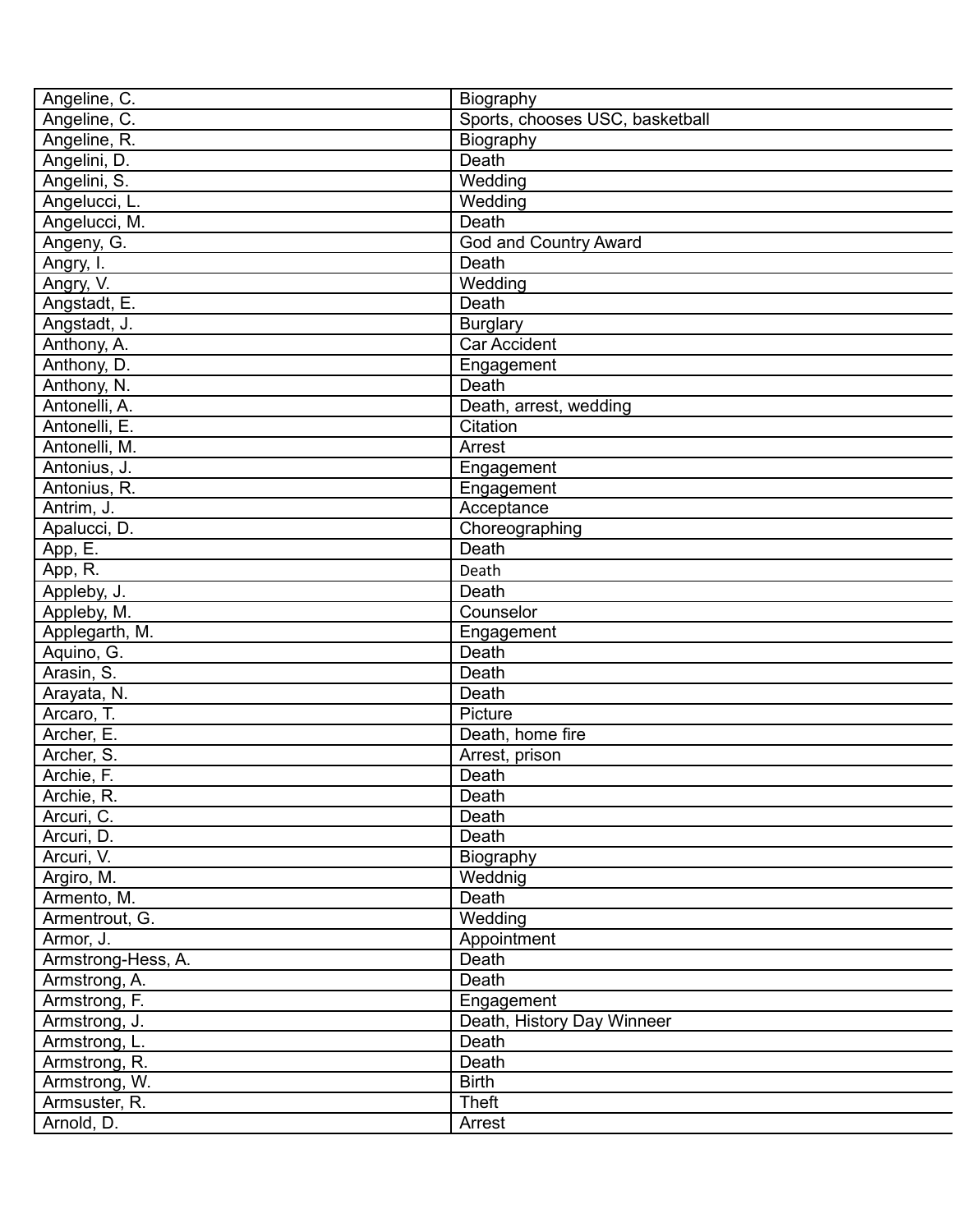| Angeline, C.       | Biography                       |
|--------------------|---------------------------------|
| Angeline, C.       | Sports, chooses USC, basketball |
| Angeline, R.       | Biography                       |
| Angelini, D.       | Death                           |
| Angelini, S.       | Wedding                         |
| Angelucci, L.      | Wedding                         |
| Angelucci, M.      | Death                           |
| Angeny, G.         | God and Country Award           |
| Angry, I.          | Death                           |
| Angry, V.          | Wedding                         |
| Angstadt, E.       | Death                           |
| Angstadt, J.       | <b>Burglary</b>                 |
| Anthony, A.        | <b>Car Accident</b>             |
| Anthony, D.        | Engagement                      |
| Anthony, N.        | Death                           |
| Antonelli, A.      | Death, arrest, wedding          |
| Antonelli, E.      | Citation                        |
| Antonelli, M.      | Arrest                          |
| Antonius, J.       | Engagement                      |
| Antonius, R.       | Engagement                      |
| Antrim, J.         | Acceptance                      |
| Apalucci, D.       | Choreographing                  |
| App, E.            | Death                           |
| App, R.            | Death                           |
|                    | Death                           |
| Appleby, J.        | Counselor                       |
| Appleby, M.        |                                 |
| Applegarth, M.     | Engagement<br>Death             |
| Aquino, G.         |                                 |
| Arasin, S.         | Death                           |
| Arayata, N.        | Death                           |
| Arcaro, T.         | Picture                         |
| Archer, E.         | Death, home fire                |
| Archer, S.         | Arrest, prison                  |
| Archie, F.         | Death                           |
| Archie, R.         | Death                           |
| Arcuri, C.         | Death                           |
| Arcuri, D.         | Death                           |
| Arcuri, V.         | Biography                       |
| Argiro, M.         | Weddnig                         |
| Armento, M.        | Death                           |
| Armentrout, G.     | Wedding                         |
| Armor, J.          | Appointment                     |
| Armstrong-Hess, A. | Death                           |
| Armstrong, A.      | Death                           |
| Armstrong, F.      | Engagement                      |
| Armstrong, J.      | Death, History Day Winneer      |
| Armstrong, L.      | Death                           |
| Armstrong, R.      | Death                           |
| Armstrong, W.      | <b>Birth</b>                    |
| Armsuster, R.      | <b>Theft</b>                    |
| Arnold, D.         | Arrest                          |
|                    |                                 |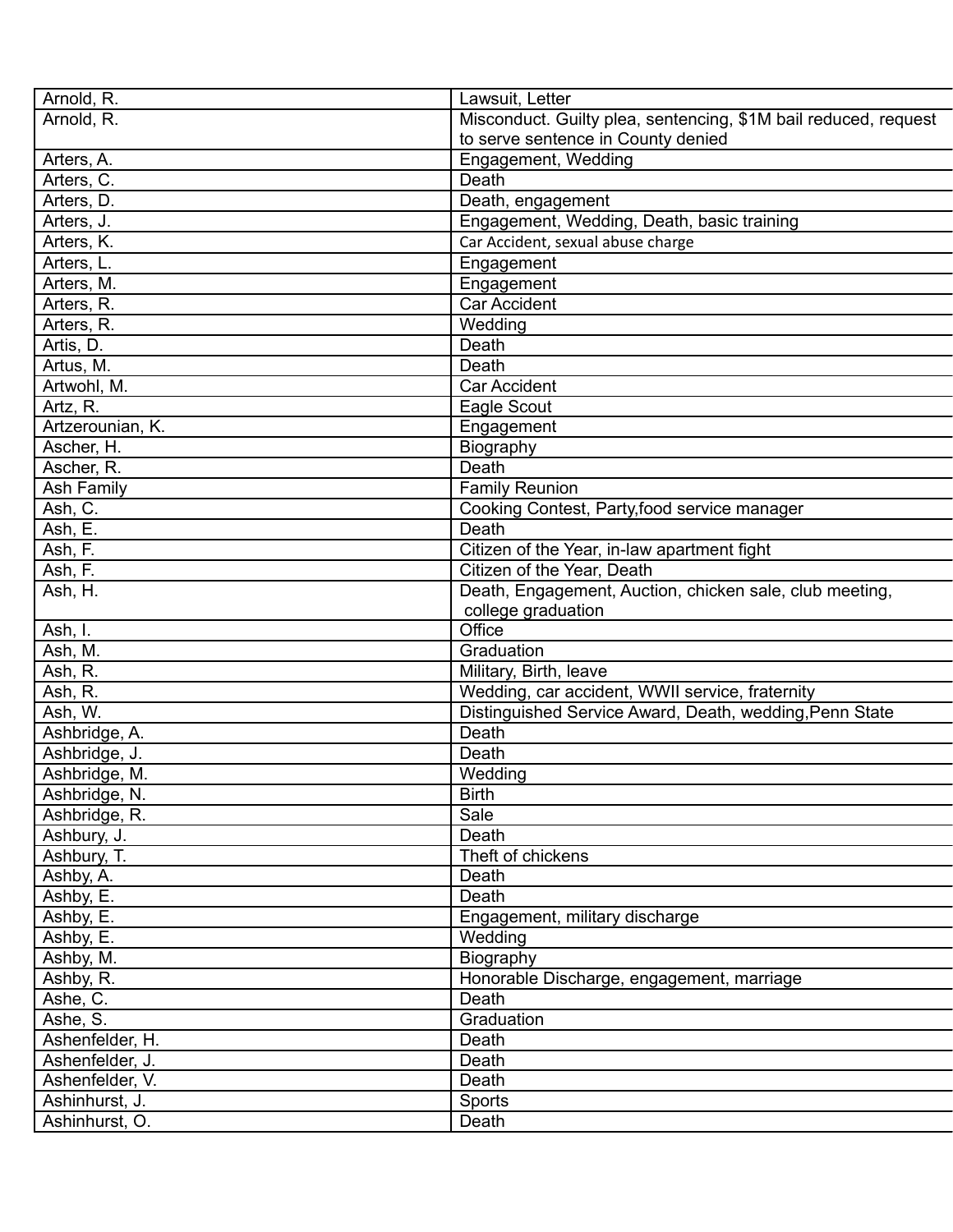| Arnold, R.       | Lawsuit, Letter                                                 |
|------------------|-----------------------------------------------------------------|
| Arnold, R.       | Misconduct. Guilty plea, sentencing, \$1M bail reduced, request |
|                  | to serve sentence in County denied                              |
| Arters, A.       | Engagement, Wedding                                             |
| Arters, C.       | Death                                                           |
| Arters, D.       | Death, engagement                                               |
| Arters, J.       | Engagement, Wedding, Death, basic training                      |
| Arters, K.       | Car Accident, sexual abuse charge                               |
| Arters, L.       | Engagement                                                      |
| Arters, M.       | Engagement                                                      |
| Arters, R.       | <b>Car Accident</b>                                             |
| Arters, R.       | Wedding                                                         |
| Artis, D.        | Death                                                           |
| Artus, M.        | Death                                                           |
| Artwohl, M.      | Car Accident                                                    |
| Artz, R.         | Eagle Scout                                                     |
|                  |                                                                 |
| Artzerounian, K. | Engagement                                                      |
| Ascher, H.       | Biography                                                       |
| Ascher, R.       | Death                                                           |
| Ash Family       | <b>Family Reunion</b>                                           |
| Ash, C.          | Cooking Contest, Party, food service manager                    |
| Ash, E.          | Death                                                           |
| Ash, F.          | Citizen of the Year, in-law apartment fight                     |
| Ash, F.          | Citizen of the Year, Death                                      |
| Ash, H.          | Death, Engagement, Auction, chicken sale, club meeting,         |
|                  | college graduation                                              |
| Ash, I.          | Office                                                          |
| Ash, M.          | Graduation                                                      |
| Ash, R.          | Military, Birth, leave                                          |
| Ash, R.          | Wedding, car accident, WWII service, fraternity                 |
| Ash, W.          | Distinguished Service Award, Death, wedding, Penn State         |
| Ashbridge, A.    | Death                                                           |
| Ashbridge, J.    | Death                                                           |
| Ashbridge, M.    | Wedding                                                         |
| Ashbridge, N.    | <b>Birth</b>                                                    |
| Ashbridge, R.    | Sale                                                            |
| Ashbury, J.      | Death                                                           |
| Ashbury, T.      | Theft of chickens                                               |
| Ashby, A.        | Death                                                           |
| Ashby, E.        | Death                                                           |
| Ashby, E.        | Engagement, military discharge                                  |
| Ashby, E.        | Wedding                                                         |
| Ashby, M.        | Biography                                                       |
| Ashby, R.        | Honorable Discharge, engagement, marriage                       |
|                  | Death                                                           |
| Ashe, C.         |                                                                 |
| Ashe, S.         | Graduation                                                      |
| Ashenfelder, H.  | Death                                                           |
| Ashenfelder, J.  | Death                                                           |
| Ashenfelder, V.  | Death                                                           |
| Ashinhurst, J.   | Sports                                                          |
| Ashinhurst, O.   | Death                                                           |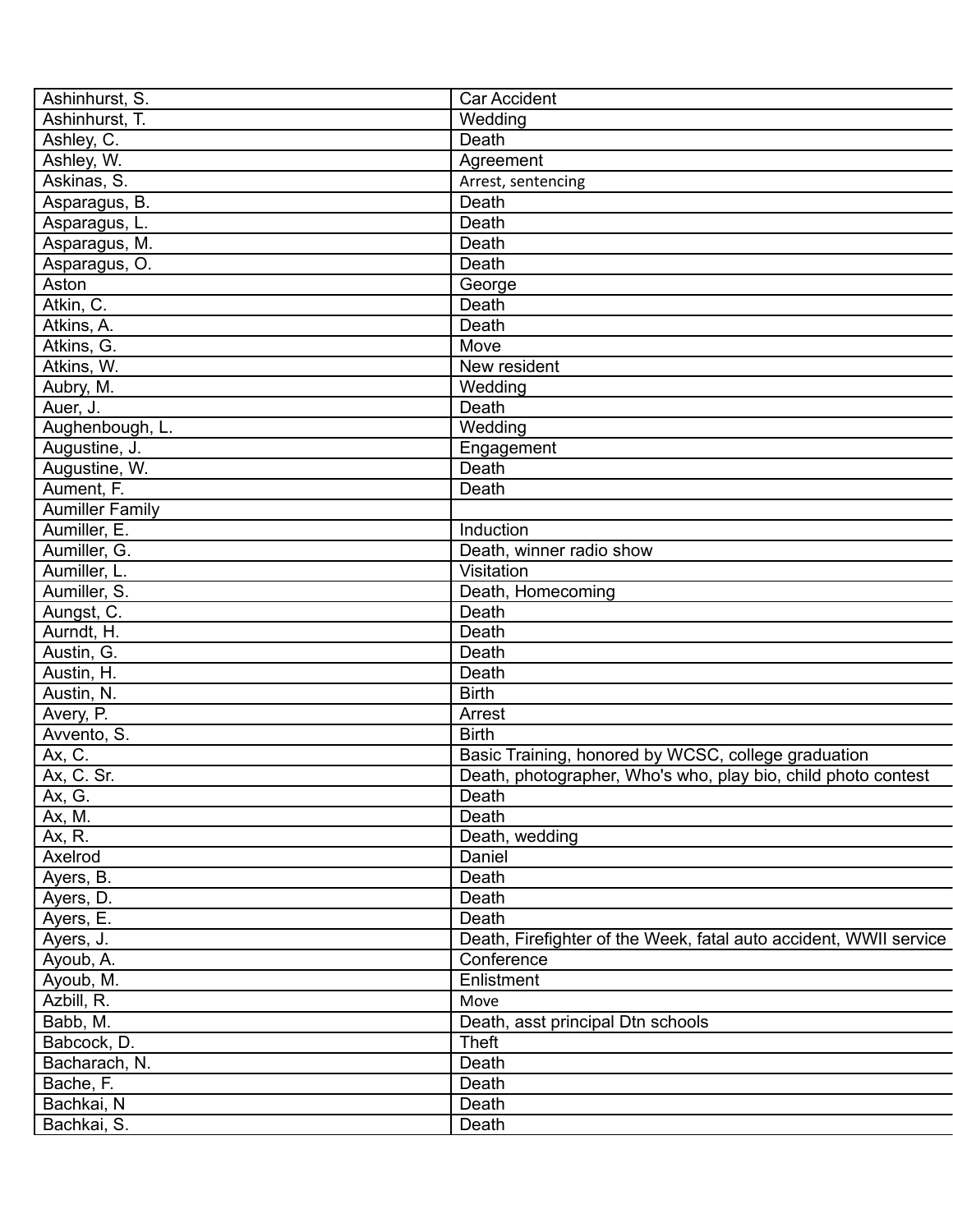| Ashinhurst, S.         | <b>Car Accident</b>                                               |
|------------------------|-------------------------------------------------------------------|
| Ashinhurst, T.         | Wedding                                                           |
| Ashley, C.             | Death                                                             |
| Ashley, W.             | Agreement                                                         |
| Askinas, S.            | Arrest, sentencing                                                |
| Asparagus, B.          | Death                                                             |
| Asparagus, L.          | Death                                                             |
| Asparagus, M.          | Death                                                             |
| Asparagus, O.          | Death                                                             |
| Aston                  | George                                                            |
| Atkin, C.              | Death                                                             |
| Atkins, A.             | Death                                                             |
| Atkins, G.             | Move                                                              |
| Atkins, W.             | New resident                                                      |
| Aubry, M.              | Wedding                                                           |
| Auer, J.               | Death                                                             |
| Aughenbough, L.        | Wedding                                                           |
| Augustine, J.          | Engagement                                                        |
| Augustine, W.          | Death                                                             |
| Aument, F.             | Death                                                             |
| <b>Aumiller Family</b> |                                                                   |
| Aumiller, E.           |                                                                   |
|                        | Induction                                                         |
| Aumiller, G.           | Death, winner radio show                                          |
| Aumiller, L.           | Visitation                                                        |
| Aumiller, S.           | Death, Homecoming                                                 |
| Aungst, C.             | Death                                                             |
| Aurndt, H.             | Death                                                             |
| Austin, G.             | Death                                                             |
| Austin, H.             | Death                                                             |
| Austin, N.             | <b>Birth</b>                                                      |
| Avery, P.              | Arrest                                                            |
| Avvento, S.            | <b>Birth</b>                                                      |
| Ax, C.                 | Basic Training, honored by WCSC, college graduation               |
| Ax. C. Sr.             | Death, photographer, Who's who, play bio, child photo contest     |
| Ax, G.                 | Death                                                             |
| Ax, M.                 | Death                                                             |
| Ax, R.                 | Death, wedding                                                    |
| Axelrod                | Daniel                                                            |
| Ayers, B.              | Death                                                             |
| Ayers, D.              | Death                                                             |
| Ayers, E.              | Death                                                             |
| Ayers, J.              | Death, Firefighter of the Week, fatal auto accident, WWII service |
| Ayoub, A.              | Conference                                                        |
| Ayoub, M.              | Enlistment                                                        |
| Azbill, R.             | Move                                                              |
| Babb, M.               | Death, asst principal Dtn schools                                 |
| Babcock, D.            | <b>Theft</b>                                                      |
| Bacharach, N.          | Death                                                             |
| Bache, F.              | Death                                                             |
| Bachkai, N             | Death                                                             |
| Bachkai, S.            | Death                                                             |
|                        |                                                                   |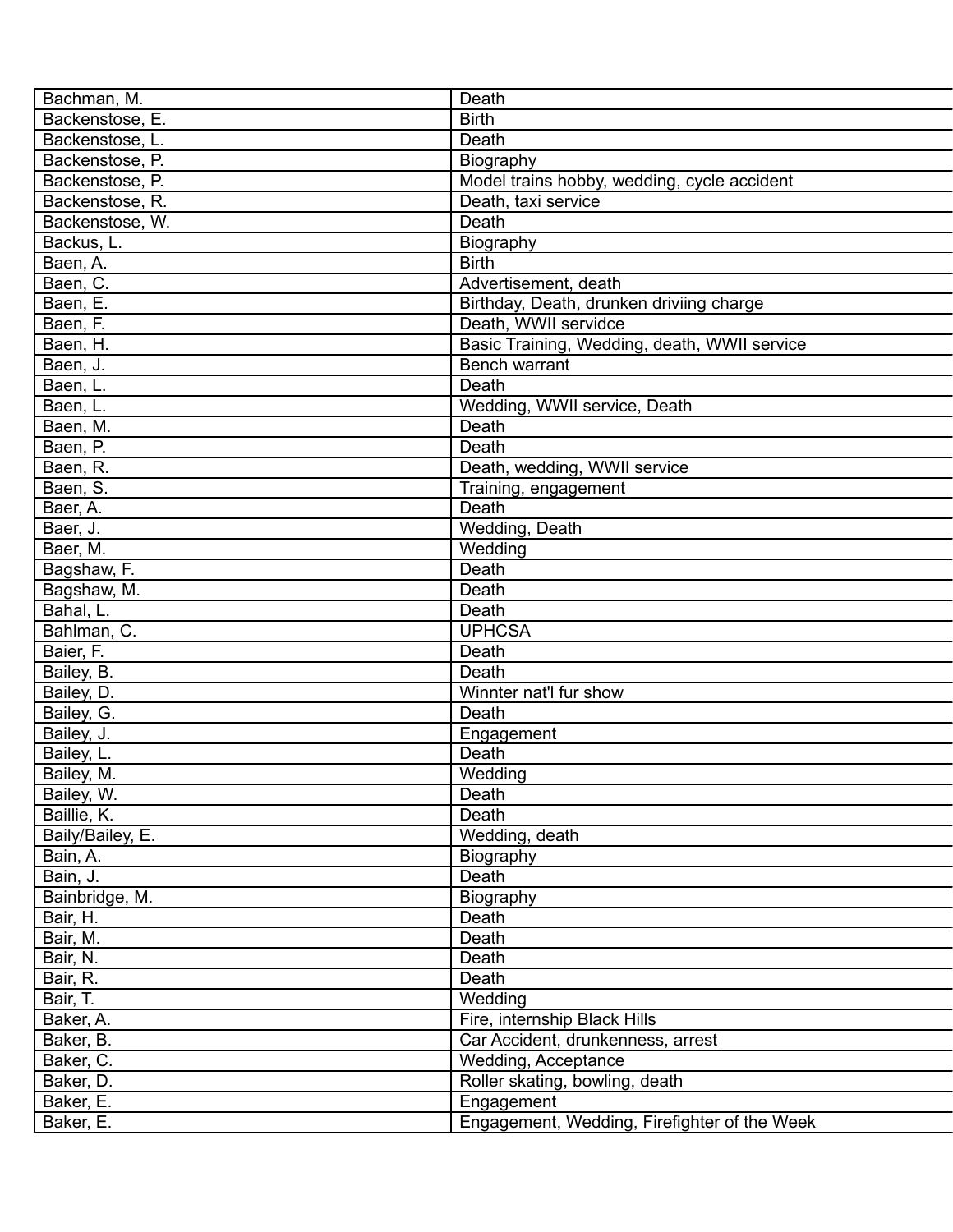| Bachman, M.      | Death                                        |
|------------------|----------------------------------------------|
| Backenstose, E.  | <b>Birth</b>                                 |
| Backenstose, L.  | Death                                        |
| Backenstose, P.  | Biography                                    |
| Backenstose, P.  | Model trains hobby, wedding, cycle accident  |
| Backenstose, R.  | Death, taxi service                          |
| Backenstose, W.  | Death                                        |
| Backus, L.       | Biography                                    |
| Baen, A.         | <b>Birth</b>                                 |
| Baen, C.         | Advertisement, death                         |
| Baen, E.         | Birthday, Death, drunken driviing charge     |
| Baen, F.         | Death, WWII servidce                         |
| Baen, H.         | Basic Training, Wedding, death, WWII service |
| Baen, J.         | Bench warrant                                |
| Baen, L.         | Death                                        |
| Baen, L.         | Wedding, WWII service, Death                 |
| Baen, M.         | Death                                        |
| Baen, P.         | Death                                        |
| Baen, R.         | Death, wedding, WWII service                 |
| Baen, S.         | Training, engagement                         |
| Baer, A.         | Death                                        |
| Baer, J.         | Wedding, Death                               |
| Baer, M.         | Wedding                                      |
| Bagshaw, F.      | Death                                        |
| Bagshaw, M.      | Death                                        |
| Bahal, L.        | Death                                        |
| Bahlman, C.      | <b>UPHCSA</b>                                |
| Baier, F.        | Death                                        |
| Bailey, B.       | Death                                        |
| Bailey, D.       | Winnter nat'l fur show                       |
| Bailey, G.       | Death                                        |
| Bailey, J.       | Engagement                                   |
| Bailey, L.       | Death                                        |
| Bailey, M.       | Wedding                                      |
| Bailey, W.       | Death                                        |
| Baillie, K.      | Death                                        |
| Baily/Bailey, E. | Wedding, death                               |
|                  |                                              |
| Bain, A.         | Biography                                    |
| Bain, J.         | Death                                        |
| Bainbridge, M.   | Biography                                    |
| Bair, H.         | Death                                        |
| Bair, M.         | Death                                        |
| Bair, N.         | Death                                        |
| Bair, R.         | Death                                        |
| Bair, T.         | Wedding                                      |
| Baker, A.        | Fire, internship Black Hills                 |
| Baker, B.        | Car Accident, drunkenness, arrest            |
| Baker, C.        | Wedding, Acceptance                          |
| Baker, D.        | Roller skating, bowling, death               |
| Baker, E.        | Engagement                                   |
| Baker, E.        | Engagement, Wedding, Firefighter of the Week |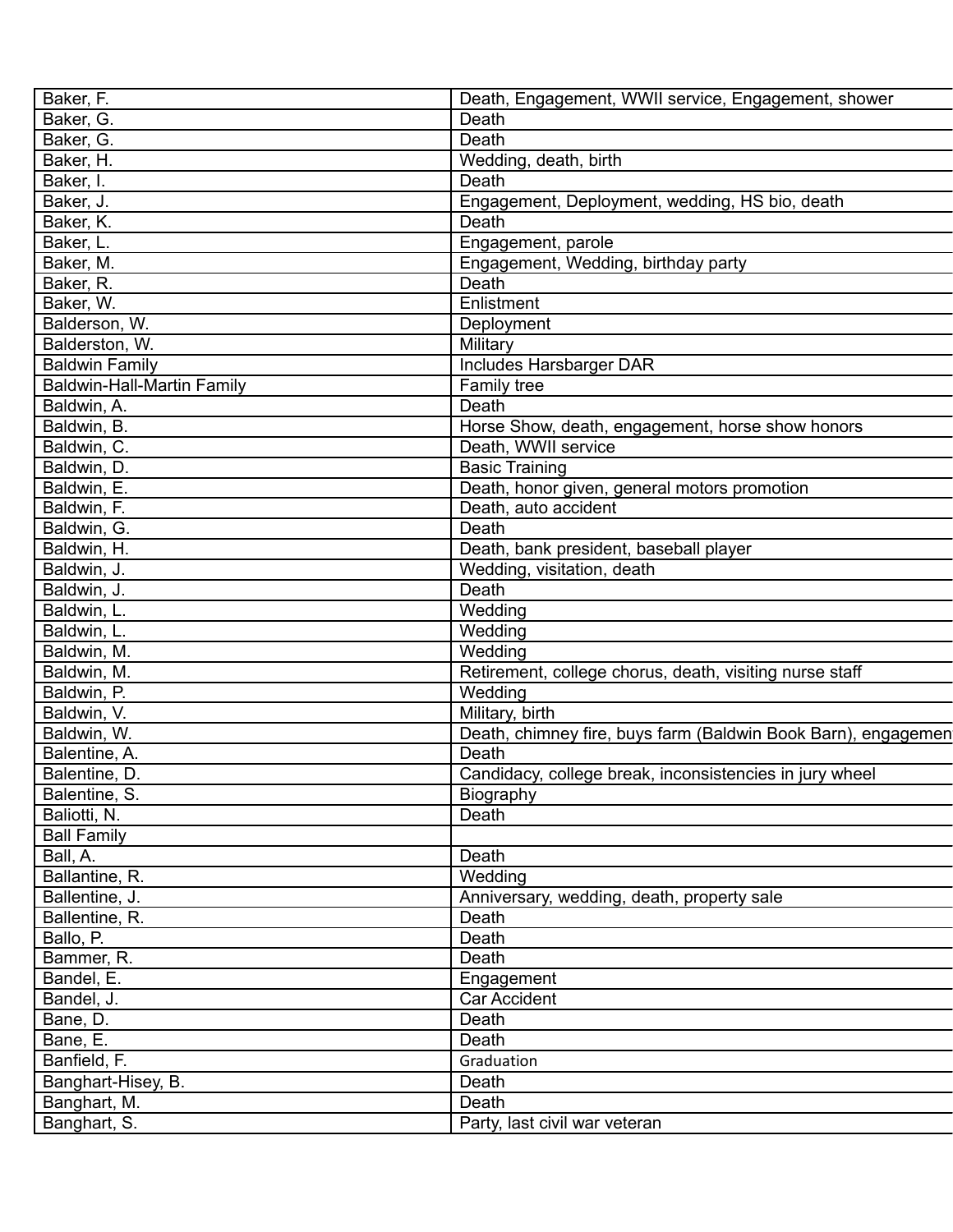| Baker, F.                  | Death, Engagement, WWII service, Engagement, shower           |
|----------------------------|---------------------------------------------------------------|
| Baker, G.                  | Death                                                         |
| Baker, G.                  | Death                                                         |
| Baker, H.                  | Wedding, death, birth                                         |
| Baker, I.                  | Death                                                         |
| Baker, J.                  | Engagement, Deployment, wedding, HS bio, death                |
| Baker, K.                  | Death                                                         |
| Baker, L.                  | Engagement, parole                                            |
| Baker, M.                  | Engagement, Wedding, birthday party                           |
| Baker, R.                  | Death                                                         |
| Baker, W.                  | Enlistment                                                    |
| Balderson, W.              | Deployment                                                    |
| Balderston, W.             | Military                                                      |
| <b>Baldwin Family</b>      | Includes Harsbarger DAR                                       |
| Baldwin-Hall-Martin Family | Family tree                                                   |
| Baldwin, A.                | Death                                                         |
| Baldwin, B.                | Horse Show, death, engagement, horse show honors              |
| Baldwin, C.                | Death, WWII service                                           |
| Baldwin, D.                | <b>Basic Training</b>                                         |
| Baldwin, E.                | Death, honor given, general motors promotion                  |
| Baldwin, F.                | Death, auto accident                                          |
| Baldwin, G.                | Death                                                         |
| Baldwin, H.                | Death, bank president, baseball player                        |
| Baldwin, J.                | Wedding, visitation, death                                    |
| Baldwin, J.                | Death                                                         |
| Baldwin, L.                | Wedding                                                       |
| Baldwin, L.                | Wedding                                                       |
| Baldwin, M.                | Wedding                                                       |
| Baldwin, M.                | Retirement, college chorus, death, visiting nurse staff       |
| Baldwin, P.                | Wedding                                                       |
| Baldwin, V.                | Military, birth                                               |
| Baldwin, W.                | Death, chimney fire, buys farm (Baldwin Book Barn), engagemen |
| Balentine, A.              | Death                                                         |
| Balentine, D.              | Candidacy, college break, inconsistencies in jury wheel       |
| Balentine, S.              | <b>Biography</b>                                              |
| Baliotti, N.               | Death                                                         |
| <b>Ball Family</b>         |                                                               |
| Ball, A.                   | Death                                                         |
| Ballantine, R.             | Wedding                                                       |
| Ballentine, J.             | Anniversary, wedding, death, property sale                    |
| Ballentine, R.             | Death                                                         |
| Ballo, P.                  | Death                                                         |
| Bammer, R.                 | Death                                                         |
|                            |                                                               |
| Bandel, E.                 | Engagement<br><b>Car Accident</b>                             |
| Bandel, J.                 | Death                                                         |
| Bane, D.                   |                                                               |
| Bane, E.                   | Death                                                         |
| Banfield, F.               | Graduation                                                    |
| Banghart-Hisey, B.         | Death                                                         |
| Banghart, M.               | Death                                                         |
| Banghart, S.               | Party, last civil war veteran                                 |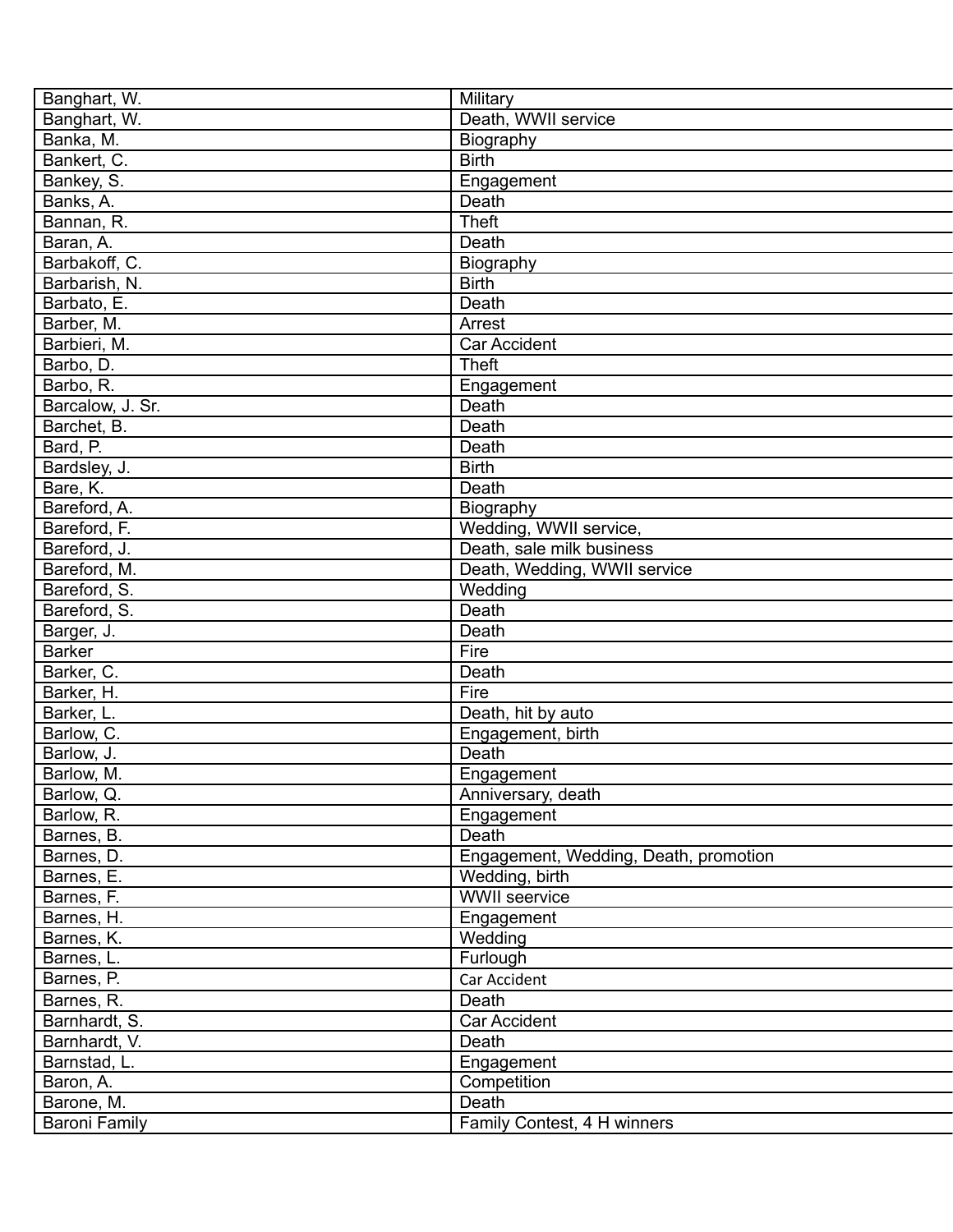| Banghart, W.         | Military                              |
|----------------------|---------------------------------------|
| Banghart, W.         | Death, WWII service                   |
| Banka, M.            | Biography                             |
| Bankert, C.          | <b>Birth</b>                          |
| Bankey, S.           | Engagement                            |
| Banks, A.            | Death                                 |
| Bannan, R.           | <b>Theft</b>                          |
| Baran, A.            | Death                                 |
| Barbakoff, C.        | Biography                             |
| Barbarish, N.        | <b>Birth</b>                          |
| Barbato, E.          | Death                                 |
| Barber, M.           | Arrest                                |
| Barbieri, M.         | Car Accident                          |
| Barbo, D.            | <b>Theft</b>                          |
| Barbo, R.            | Engagement                            |
| Barcalow, J. Sr.     | Death                                 |
| Barchet, B.          | Death                                 |
| Bard, P.             | Death                                 |
| Bardsley, J.         | <b>Birth</b>                          |
| Bare, K.             | Death                                 |
| Bareford, A.         | Biography                             |
| Bareford, F.         | Wedding, WWII service,                |
| Bareford, J.         | Death, sale milk business             |
| Bareford, M.         | Death, Wedding, WWII service          |
| Bareford, S.         | Wedding                               |
| Bareford, S.         | Death                                 |
| Barger, J.           | Death                                 |
| <b>Barker</b>        | Fire                                  |
| Barker, C.           | Death                                 |
| Barker, H.           | Fire                                  |
| Barker, L.           | Death, hit by auto                    |
| Barlow, C.           | Engagement, birth                     |
| Barlow, J.           | Death                                 |
| Barlow, M.           |                                       |
|                      | Engagement                            |
| Barlow, Q.           | Anniversary, death                    |
| Barlow, R.           | Engagement<br>Death                   |
| Barnes, B.           | Engagement, Wedding, Death, promotion |
| Barnes, D.           |                                       |
| Barnes, E.           | Wedding, birth                        |
| Barnes, F.           | <b>WWII</b> seervice                  |
| Barnes, H.           | Engagement                            |
| Barnes, K.           | Wedding                               |
| Barnes, L.           | Furlough                              |
| Barnes, P.           | Car Accident                          |
| Barnes, R.           | Death                                 |
| Barnhardt, S.        | Car Accident                          |
| Barnhardt, V.        | Death                                 |
| Barnstad, L.         | Engagement                            |
| Baron, A.            | Competition                           |
| Barone, M.           | Death                                 |
| <b>Baroni Family</b> | Family Contest, 4 H winners           |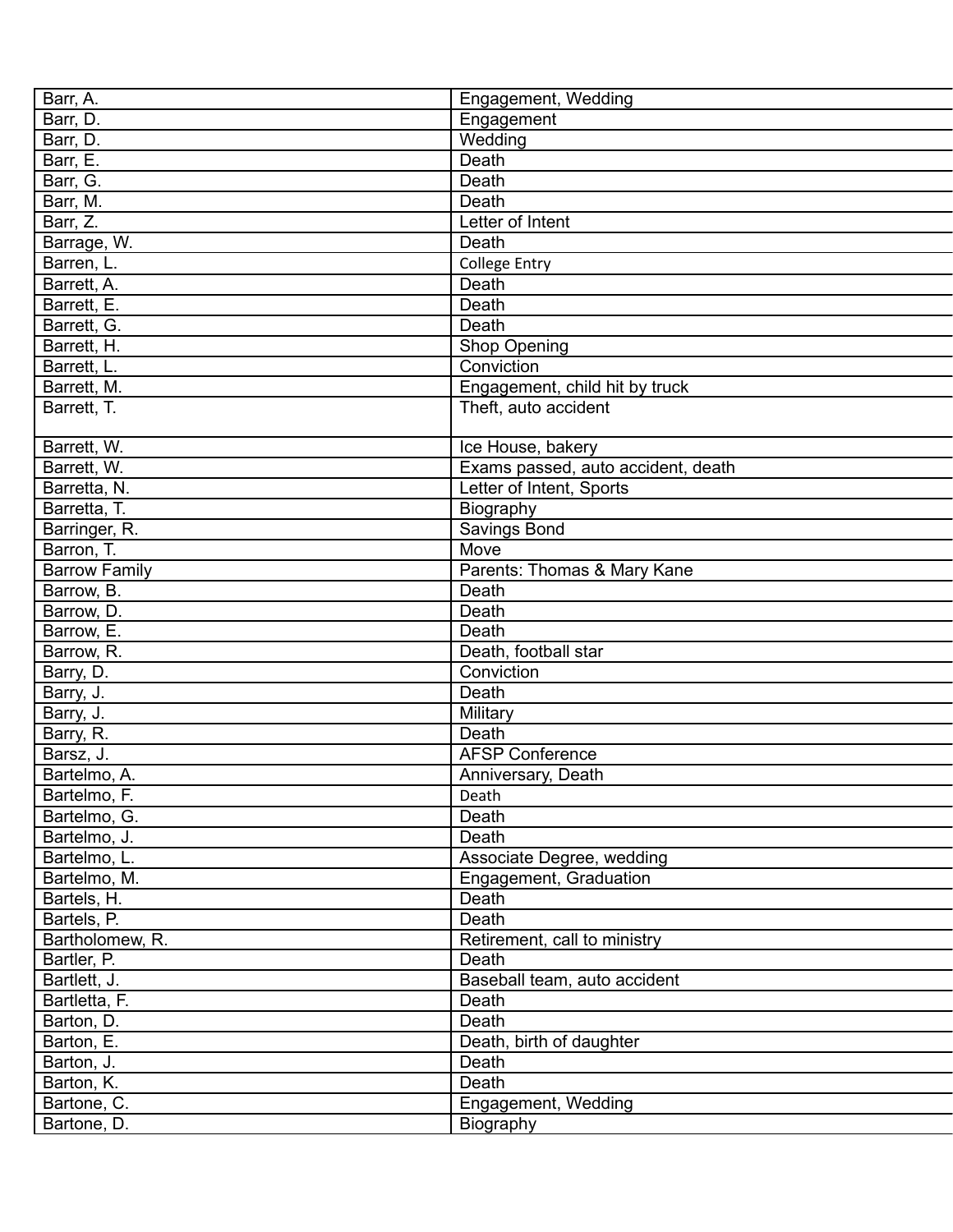| Barr, A.             | Engagement, Wedding                |
|----------------------|------------------------------------|
| Barr, D.             | Engagement                         |
| Barr, D.             | Wedding                            |
| Barr, E.             | Death                              |
| Barr, G.             | Death                              |
| Barr, M.             | Death                              |
| Barr, Z.             | Letter of Intent                   |
| Barrage, W.          | Death                              |
| Barren, L.           | <b>College Entry</b>               |
| Barrett, A.          | Death                              |
| Barrett, E.          | Death                              |
| Barrett, G.          | Death                              |
| Barrett, H.          | <b>Shop Opening</b>                |
| Barrett, L.          | Conviction                         |
| Barrett, M.          | Engagement, child hit by truck     |
| Barrett, T.          | Theft, auto accident               |
|                      |                                    |
| Barrett, W.          | Ice House, bakery                  |
| Barrett, W.          | Exams passed, auto accident, death |
| Barretta, N.         | Letter of Intent, Sports           |
| Barretta, T.         | Biography                          |
| Barringer, R.        | Savings Bond                       |
| Barron, T.           | Move                               |
| <b>Barrow Family</b> | Parents: Thomas & Mary Kane        |
| Barrow, B.           | Death                              |
| Barrow, D.           | Death                              |
| Barrow, E.           | Death                              |
| Barrow, R.           | Death, football star               |
| Barry, D.            | Conviction                         |
| Barry, J.            | Death                              |
| Barry, J.            | Military                           |
| Barry, R.            | Death                              |
| Barsz, J.            | <b>AFSP Conference</b>             |
| Bartelmo, A.         | Anniversary, Death                 |
| Bartelmo, F.         | Death                              |
| Bartelmo, G.         | Death                              |
| Bartelmo, J.         | Death                              |
| Bartelmo, L.         | Associate Degree, wedding          |
| Bartelmo, M.         | Engagement, Graduation             |
| Bartels, H.          | Death                              |
| Bartels, P.          | Death                              |
| Bartholomew, R.      | Retirement, call to ministry       |
| Bartler, P.          | Death                              |
| Bartlett, J.         | Baseball team, auto accident       |
| Bartletta, F.        | Death                              |
| Barton, D.           | Death                              |
| Barton, E.           | Death, birth of daughter           |
| Barton, J.           | Death                              |
| Barton, K.           | Death                              |
| Bartone, C.          | Engagement, Wedding                |
| Bartone, D.          | Biography                          |
|                      |                                    |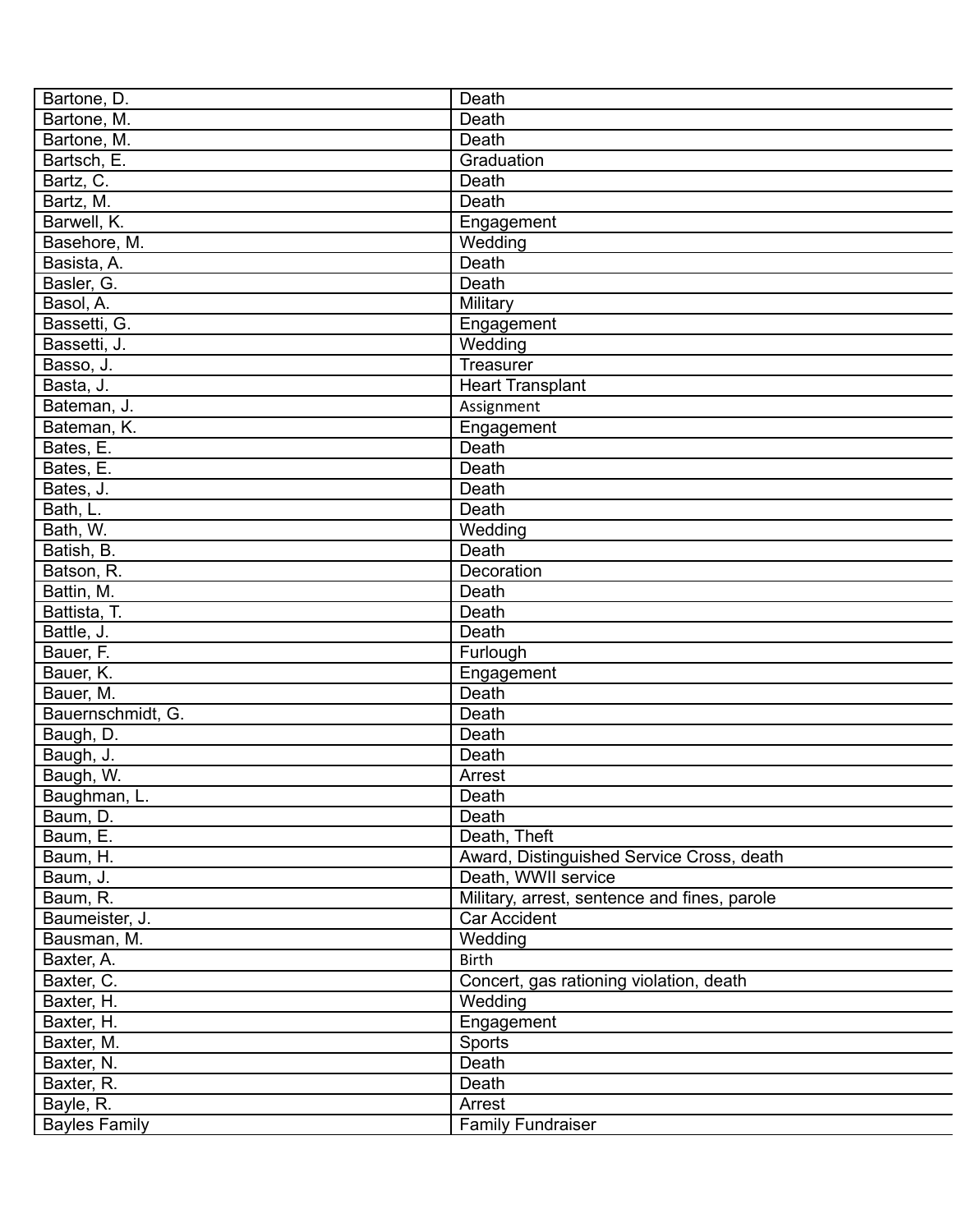| Bartone, D.          | Death                                        |
|----------------------|----------------------------------------------|
| Bartone, M.          | Death                                        |
| Bartone, M.          | Death                                        |
| Bartsch, E.          | Graduation                                   |
| Bartz, C.            | Death                                        |
| Bartz, M.            | Death                                        |
| Barwell, K.          | Engagement                                   |
| Basehore, M.         | Wedding                                      |
| Basista, A.          | Death                                        |
| Basler, G.           | Death                                        |
| Basol, A.            | Military                                     |
| Bassetti, G.         | Engagement                                   |
| Bassetti, J.         | Wedding                                      |
| Basso, J.            | Treasurer                                    |
| Basta, J.            | <b>Heart Transplant</b>                      |
| Bateman, J.          | Assignment                                   |
| Bateman, K.          | Engagement                                   |
| Bates, E.            | Death                                        |
| Bates, E.            | Death                                        |
| Bates, J.            | Death                                        |
| Bath, L.             | Death                                        |
| Bath, W.             | Wedding                                      |
| Batish, B.           | Death                                        |
| Batson, R.           | Decoration                                   |
| Battin, M.           | Death                                        |
| Battista, T.         | Death                                        |
|                      |                                              |
| Battle, J.           | Death                                        |
| Bauer, F.            | Furlough                                     |
| Bauer, K.            | Engagement                                   |
| Bauer, M.            | Death                                        |
| Bauernschmidt, G.    | Death                                        |
| Baugh, D.            | Death                                        |
| Baugh, J.            | Death                                        |
| Baugh, W.            | Arrest                                       |
| Baughman, L.         | Death                                        |
| Baum, D.             | Death                                        |
| Baum, E.             | Death, Theft                                 |
| Baum, H.             | Award, Distinguished Service Cross, death    |
| Baum, J.             | Death, WWII service                          |
| Baum, R.             | Military, arrest, sentence and fines, parole |
| Baumeister, J.       | Car Accident                                 |
| Bausman, M.          | Wedding                                      |
| Baxter, A.           | <b>Birth</b>                                 |
| Baxter, C.           | Concert, gas rationing violation, death      |
| Baxter, H.           | Wedding                                      |
| Baxter, H.           | Engagement                                   |
| Baxter, M.           | Sports                                       |
| Baxter, N.           | Death                                        |
| Baxter, R.           | Death                                        |
| Bayle, R.            | Arrest                                       |
| <b>Bayles Family</b> | <b>Family Fundraiser</b>                     |
|                      |                                              |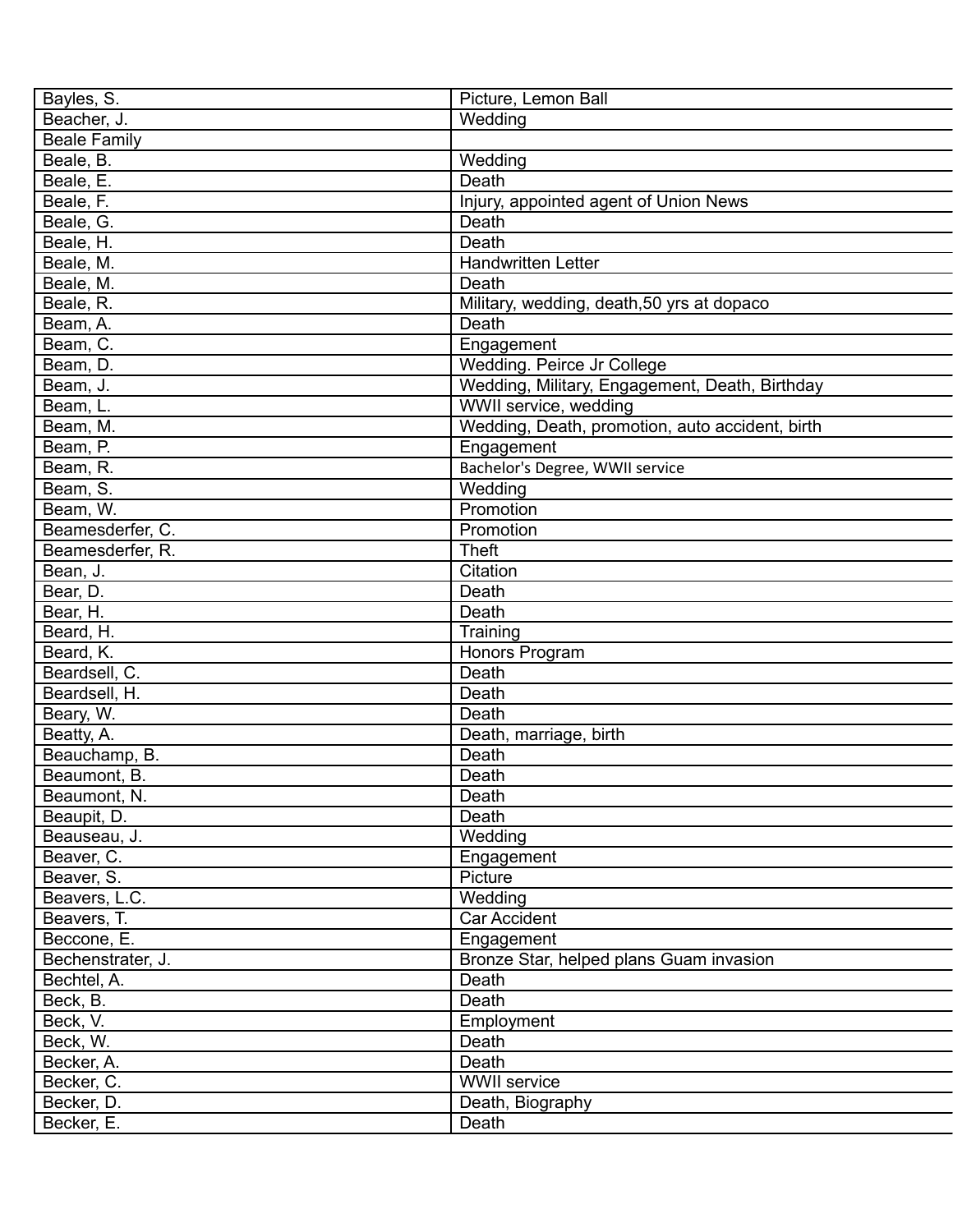| Picture, Lemon Ball                             |
|-------------------------------------------------|
| Wedding                                         |
|                                                 |
| Wedding                                         |
| Death                                           |
| Injury, appointed agent of Union News           |
| Death                                           |
| Death                                           |
| Handwritten Letter                              |
| Death                                           |
| Military, wedding, death, 50 yrs at dopaco      |
| Death                                           |
| Engagement                                      |
| Wedding. Peirce Jr College                      |
| Wedding, Military, Engagement, Death, Birthday  |
| WWII service, wedding                           |
| Wedding, Death, promotion, auto accident, birth |
| Engagement                                      |
| Bachelor's Degree, WWII service                 |
| Wedding                                         |
| Promotion                                       |
| Promotion                                       |
| <b>Theft</b>                                    |
| Citation                                        |
| Death                                           |
| Death                                           |
|                                                 |
| Training                                        |
| Honors Program                                  |
| Death                                           |
| Death                                           |
| Death                                           |
| Death, marriage, birth                          |
| Death                                           |
| Death                                           |
| Death                                           |
| Death                                           |
| Wedding                                         |
| Engagement                                      |
| Picture                                         |
| Wedding                                         |
| Car Accident                                    |
| Engagement                                      |
| Bronze Star, helped plans Guam invasion         |
| Death                                           |
| Death                                           |
| Employment                                      |
| Death                                           |
| Death                                           |
| <b>WWII</b> service                             |
| Death, Biography                                |
| Death                                           |
|                                                 |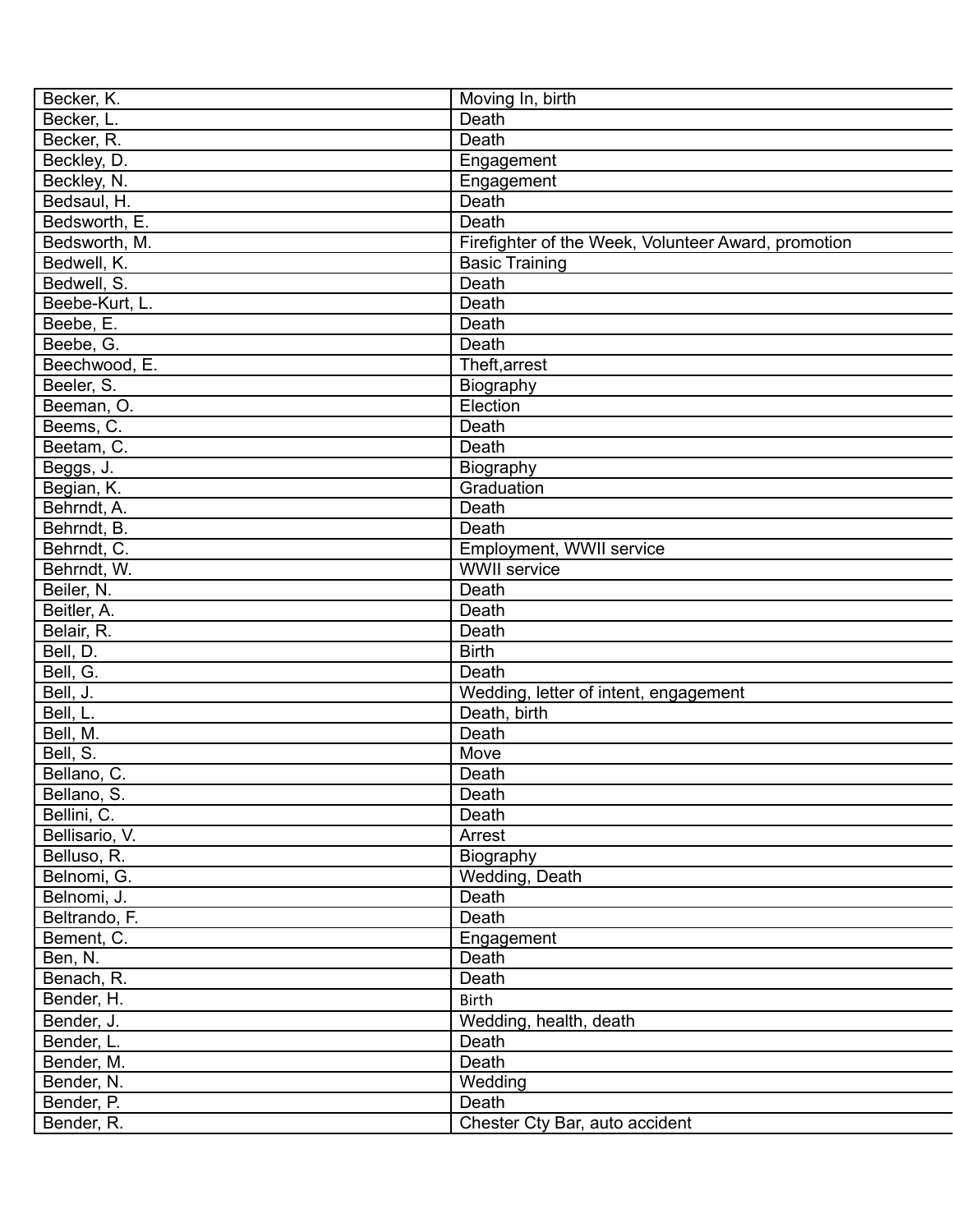| Becker, K.     | Moving In, birth                                    |
|----------------|-----------------------------------------------------|
| Becker, L.     | Death                                               |
| Becker, R.     | Death                                               |
| Beckley, D.    | Engagement                                          |
| Beckley, N.    | Engagement                                          |
| Bedsaul, H.    | Death                                               |
| Bedsworth, E.  | Death                                               |
| Bedsworth, M.  | Firefighter of the Week, Volunteer Award, promotion |
| Bedwell, K.    | <b>Basic Training</b>                               |
| Bedwell, S.    | Death                                               |
| Beebe-Kurt, L. | Death                                               |
| Beebe, E.      | Death                                               |
| Beebe, G.      | Death                                               |
| Beechwood, E.  | Theft, arrest                                       |
| Beeler, S.     | Biography                                           |
| Beeman, O.     | Election                                            |
| Beems, C.      | Death                                               |
| Beetam, C.     | Death                                               |
| Beggs, J.      | Biography                                           |
| Begian, K.     | Graduation                                          |
| Behrndt, A.    | Death                                               |
| Behrndt, B.    | Death                                               |
| Behrndt, C.    | Employment, WWII service                            |
| Behrndt, W.    | <b>WWII</b> service                                 |
| Beiler, N.     | Death                                               |
| Beitler, A.    | Death                                               |
| Belair, R.     | Death                                               |
| Bell, D.       | <b>Birth</b>                                        |
| Bell, G.       | Death                                               |
| Bell, J.       | Wedding, letter of intent, engagement               |
| Bell, L.       | Death, birth                                        |
| Bell, M.       | Death                                               |
| Bell, S.       | Move                                                |
| Bellano, C.    | Death                                               |
| Bellano, S.    | Death                                               |
| Bellini, C.    | Death                                               |
| Bellisario, V. | Arrest                                              |
|                |                                                     |
| Belluso, R.    | Biography<br>Wedding, Death                         |
| Belnomi, G.    | Death                                               |
| Belnomi, J.    |                                                     |
| Beltrando, F.  | Death                                               |
| Bement, C.     | Engagement                                          |
| Ben, N.        | Death                                               |
| Benach, R.     | Death                                               |
| Bender, H.     | <b>Birth</b>                                        |
| Bender, J.     | Wedding, health, death                              |
| Bender, L.     | Death                                               |
| Bender, M.     | Death                                               |
| Bender, N.     | Wedding                                             |
| Bender, P.     | Death                                               |
| Bender, R.     | Chester Cty Bar, auto accident                      |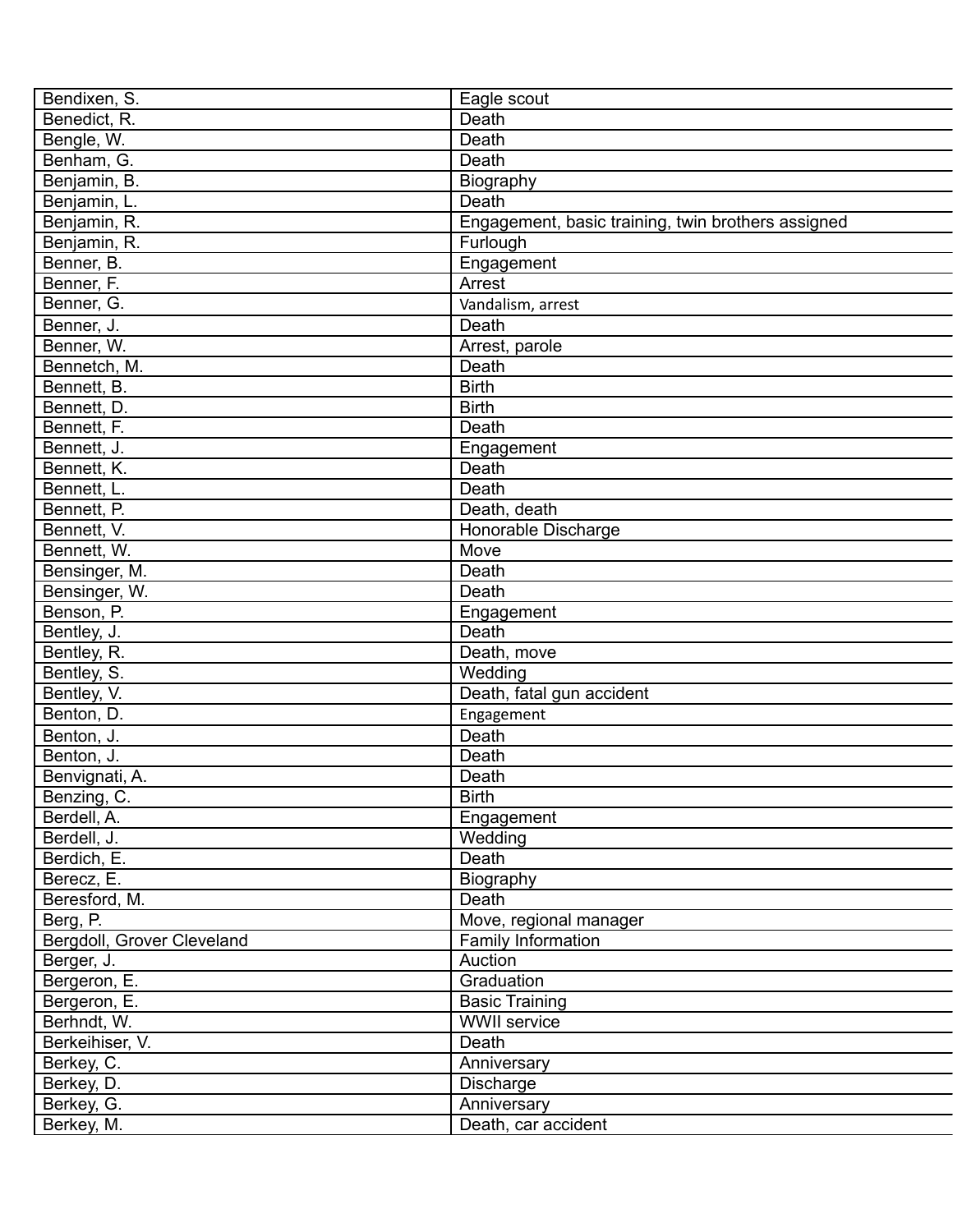| Bendixen, S.               | Eagle scout                                        |
|----------------------------|----------------------------------------------------|
| Benedict, R.               | Death                                              |
| Bengle, W.                 | Death                                              |
| Benham, G.                 | Death                                              |
| Benjamin, B.               | Biography                                          |
| Benjamin, L.               | Death                                              |
| Benjamin, R.               | Engagement, basic training, twin brothers assigned |
| Benjamin, R.               | Furlough                                           |
| Benner, B.                 | Engagement                                         |
| Benner, F.                 | Arrest                                             |
| Benner, G.                 | Vandalism, arrest                                  |
| Benner, J.                 | Death                                              |
| Benner, W.                 | Arrest, parole                                     |
| Bennetch, M.               | Death                                              |
| Bennett, B.                | <b>Birth</b>                                       |
| Bennett, D.                | <b>Birth</b>                                       |
| Bennett, F.                | Death                                              |
| Bennett, J.                | Engagement                                         |
| Bennett, K.                | Death                                              |
| Bennett, L.                | Death                                              |
| Bennett, P.                | Death, death                                       |
| Bennett, V.                |                                                    |
|                            | Honorable Discharge                                |
| Bennett, W.                | Move                                               |
| Bensinger, M.              | Death                                              |
| Bensinger, W.              | Death                                              |
| Benson, P.                 | Engagement                                         |
| Bentley, J.                | Death                                              |
| Bentley, R.                | Death, move                                        |
| Bentley, S.                | Wedding                                            |
| Bentley, V.                | Death, fatal gun accident                          |
| Benton, D.                 | Engagement                                         |
| Benton, J.                 | Death                                              |
| Benton, J.                 | Death                                              |
| Benvignati, A.             | Death                                              |
| Benzing, C.                | <b>Birth</b>                                       |
| Berdell, A.                | Engagement                                         |
| Berdell, J.                | Wedding                                            |
| Berdich, E.                | Death                                              |
| Berecz, E.                 | Biography                                          |
| Beresford, M.              | Death                                              |
| Berg, P.                   | Move, regional manager                             |
| Bergdoll, Grover Cleveland | Family Information                                 |
| Berger, J.                 | Auction                                            |
| Bergeron, E.               | Graduation                                         |
| Bergeron, E.               | <b>Basic Training</b>                              |
| Berhndt, W.                | <b>WWII</b> service                                |
| Berkeihiser, V.            | Death                                              |
| Berkey, C.                 | Anniversary                                        |
| Berkey, D.                 | <b>Discharge</b>                                   |
| Berkey, G.                 | Anniversary                                        |
| Berkey, M.                 | Death, car accident                                |
|                            |                                                    |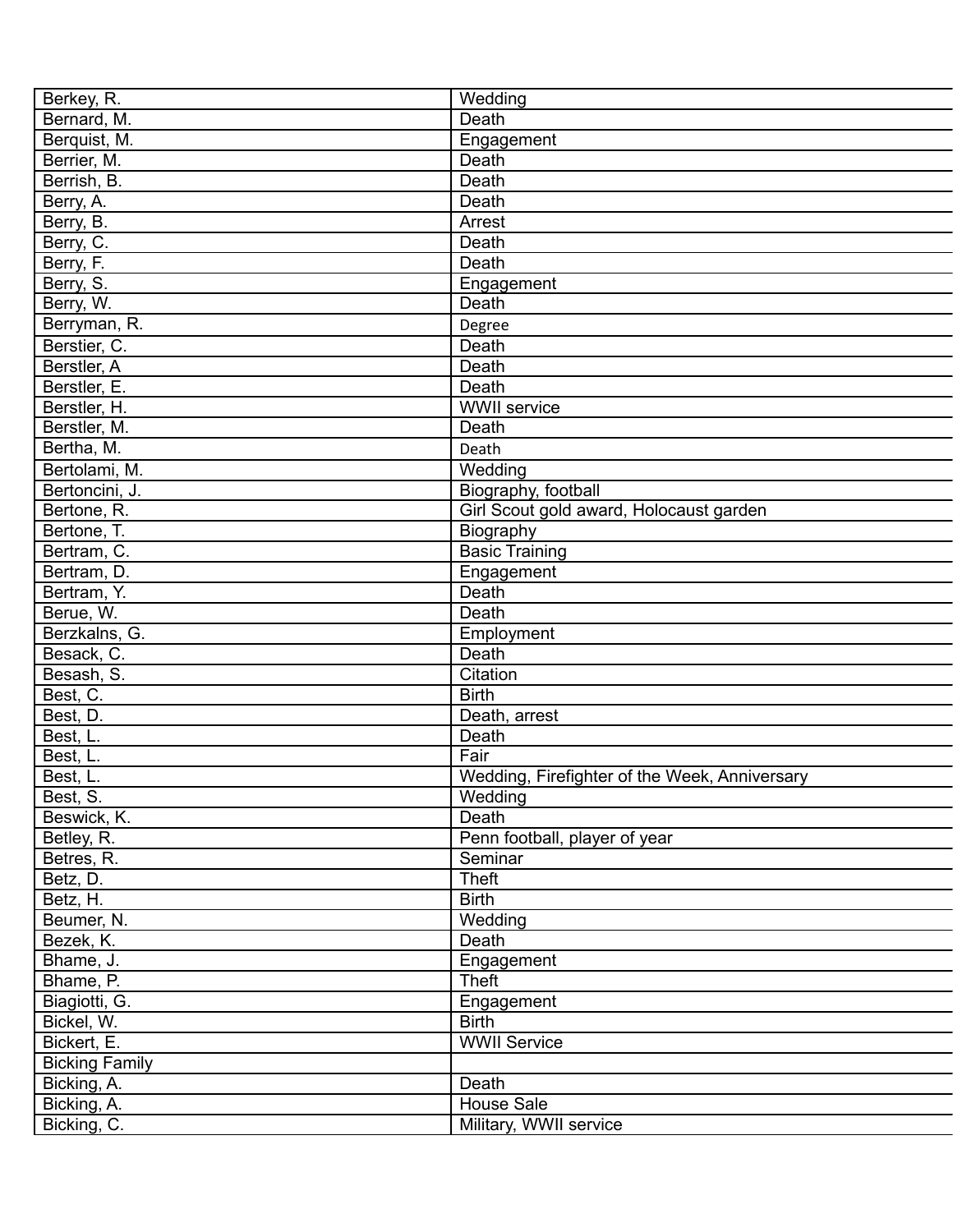| Berkey, R.            | Wedding                                       |
|-----------------------|-----------------------------------------------|
| Bernard, M.           | Death                                         |
| Berquist, M.          | Engagement                                    |
| Berrier, M.           | Death                                         |
| Berrish, B.           | Death                                         |
| Berry, A.             | Death                                         |
| Berry, B.             | Arrest                                        |
| Berry, C.             | Death                                         |
| Berry, F.             | Death                                         |
| Berry, S.             | Engagement                                    |
| Berry, W.             | Death                                         |
| Berryman, R.          | Degree                                        |
| Berstier, C.          | Death                                         |
| Berstler, A           | Death                                         |
| Berstler, E.          | Death                                         |
| Berstler, H.          | <b>WWII</b> service                           |
| Berstler, M.          | Death                                         |
| Bertha, M.            | Death                                         |
| Bertolami, M.         | Wedding                                       |
| Bertoncini, J.        | Biography, football                           |
|                       |                                               |
| Bertone, R.           | Girl Scout gold award, Holocaust garden       |
| Bertone, T.           | Biography                                     |
| Bertram, C.           | <b>Basic Training</b>                         |
| Bertram, D.           | Engagement                                    |
| Bertram, Y.           | Death                                         |
| Berue, W.             | Death                                         |
| Berzkalns, G.         | Employment                                    |
| Besack, C.            | Death                                         |
| Besash, S.            | Citation                                      |
| Best, C.              | <b>Birth</b>                                  |
| Best, D.              | Death, arrest                                 |
| Best, L.              | Death                                         |
| Best, L.              | Fair                                          |
| Best, L.              | Wedding, Firefighter of the Week, Anniversary |
| Best, S.              | Wedding                                       |
| Beswick, K.           | Death                                         |
| Betley, R.            | Penn football, player of year                 |
| Betres, R.            | Seminar                                       |
| Betz, D.              | <b>Theft</b>                                  |
| Betz, H.              | <b>Birth</b>                                  |
| Beumer, N.            | Wedding                                       |
| Bezek, K.             | Death                                         |
| Bhame, J.             | Engagement                                    |
| Bhame, P.             | <b>Theft</b>                                  |
| Biagiotti, G.         | Engagement                                    |
| Bickel, W.            | <b>Birth</b>                                  |
| Bickert, E.           | <b>WWII Service</b>                           |
| <b>Bicking Family</b> |                                               |
| Bicking, A.           | Death                                         |
| Bicking, A.           | House Sale                                    |
| Bicking, C.           | Military, WWII service                        |
|                       |                                               |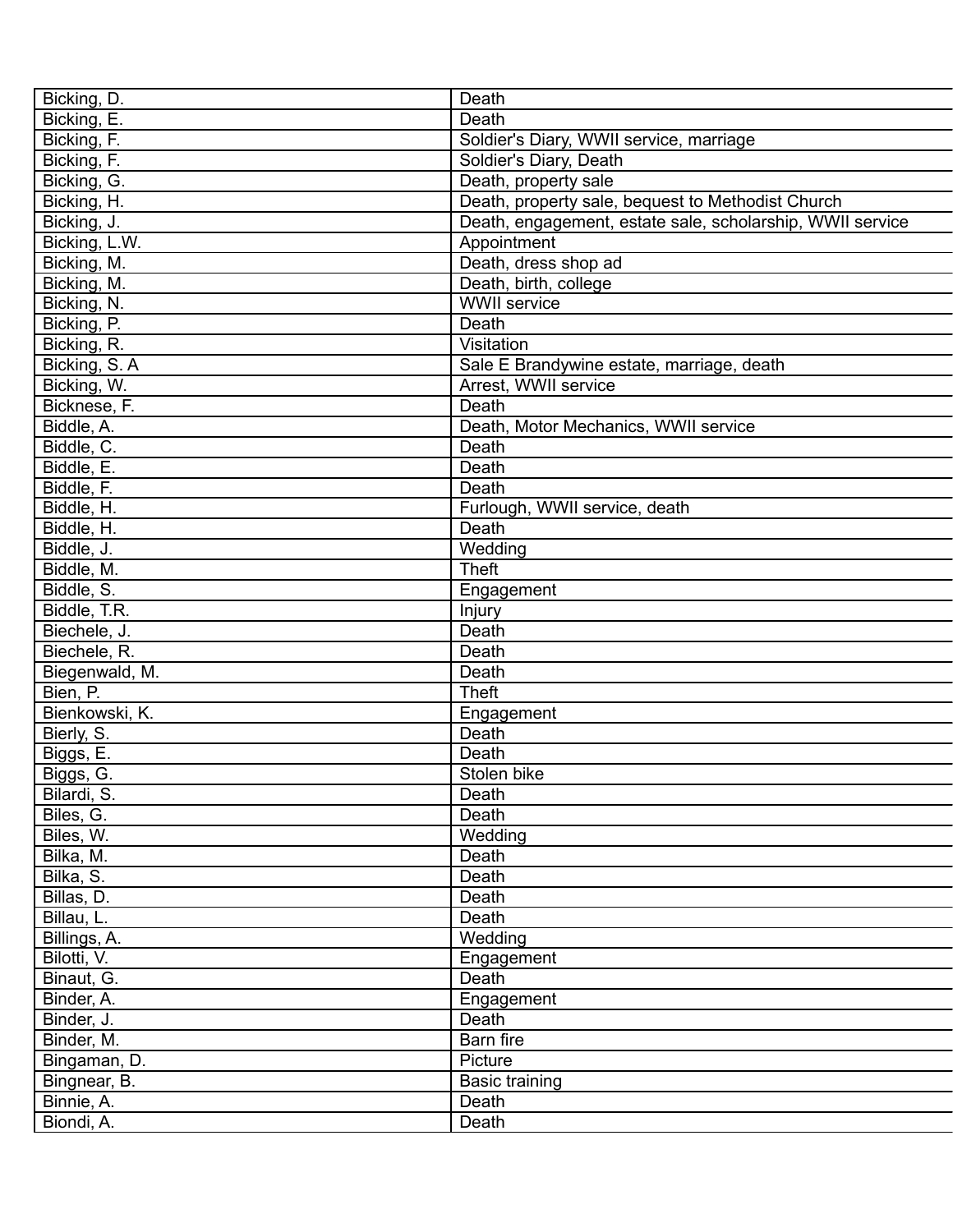| Bicking, D.    | Death                                                     |
|----------------|-----------------------------------------------------------|
| Bicking, E.    | Death                                                     |
| Bicking, F.    | Soldier's Diary, WWII service, marriage                   |
| Bicking, F.    | Soldier's Diary, Death                                    |
| Bicking, G.    | Death, property sale                                      |
| Bicking, H.    | Death, property sale, bequest to Methodist Church         |
| Bicking, J.    | Death, engagement, estate sale, scholarship, WWII service |
| Bicking, L.W.  | Appointment                                               |
| Bicking, M.    | Death, dress shop ad                                      |
| Bicking, M.    | Death, birth, college                                     |
| Bicking, N.    | <b>WWII</b> service                                       |
| Bicking, P.    | Death                                                     |
| Bicking, R.    | Visitation                                                |
| Bicking, S.A.  | Sale E Brandywine estate, marriage, death                 |
| Bicking, W.    | Arrest, WWII service                                      |
| Bicknese, F.   | Death                                                     |
| Biddle, A.     | Death, Motor Mechanics, WWII service                      |
| Biddle, C.     | Death                                                     |
|                |                                                           |
| Biddle, E.     | Death                                                     |
| Biddle, F.     | Death                                                     |
| Biddle, H.     | Furlough, WWII service, death                             |
| Biddle, H.     | Death                                                     |
| Biddle, J.     | Wedding                                                   |
| Biddle, M.     | <b>Theft</b>                                              |
| Biddle, S.     | Engagement                                                |
| Biddle, T.R.   | Injury                                                    |
| Biechele, J.   | Death                                                     |
| Biechele, R.   | Death                                                     |
| Biegenwald, M. | Death                                                     |
| Bien, P.       | <b>Theft</b>                                              |
| Bienkowski, K. | Engagement                                                |
| Bierly, S.     | Death                                                     |
| Biggs, E.      | Death                                                     |
| Biggs, G.      | Stolen bike                                               |
| Bilardi, S.    | Death                                                     |
| Biles, G.      | Death                                                     |
| Biles, W.      | Wedding                                                   |
| Bilka, M.      | Death                                                     |
| Bilka, S.      | Death                                                     |
| Billas, D.     | Death                                                     |
| Billau, L.     | Death                                                     |
|                |                                                           |
| Billings, A.   | Wedding                                                   |
| Bilotti, V.    | Engagement                                                |
| Binaut, G.     | Death                                                     |
| Binder, A.     | Engagement                                                |
| Binder, J.     | Death                                                     |
| Binder, M.     | Barn fire                                                 |
| Bingaman, D.   | Picture                                                   |
| Bingnear, B.   | <b>Basic training</b>                                     |
| Binnie, A.     | Death                                                     |
| Biondi, A.     | Death                                                     |
|                |                                                           |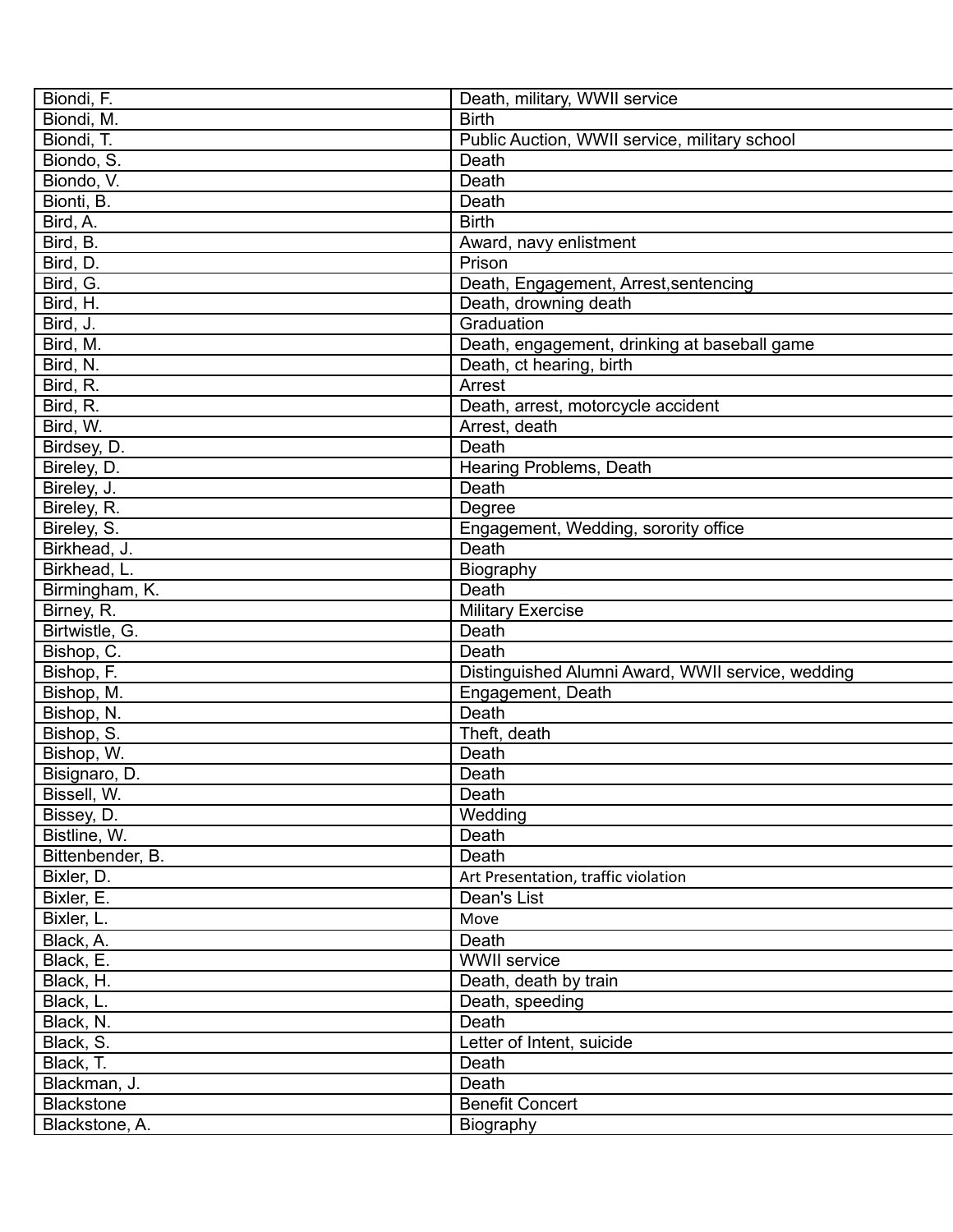| Biondi, F.        | Death, military, WWII service                     |
|-------------------|---------------------------------------------------|
| Biondi, M.        | <b>Birth</b>                                      |
| Biondi, T.        | Public Auction, WWII service, military school     |
| Biondo, S.        | Death                                             |
| Biondo, V.        | Death                                             |
| Bionti, B.        | Death                                             |
| Bird, A.          | <b>Birth</b>                                      |
| Bird, B.          | Award, navy enlistment                            |
| Bird, D.          | Prison                                            |
| Bird, G.          | Death, Engagement, Arrest, sentencing             |
| Bird, H.          | Death, drowning death                             |
| Bird, J.          | Graduation                                        |
| Bird, M.          | Death, engagement, drinking at baseball game      |
| Bird, N.          | Death, ct hearing, birth                          |
| Bird, R.          | Arrest                                            |
| Bird, R.          | Death, arrest, motorcycle accident                |
| Bird, W.          | Arrest, death                                     |
| Birdsey, D.       | Death                                             |
| Bireley, D.       | Hearing Problems, Death                           |
| Bireley, J.       | Death                                             |
| Bireley, R.       | Degree                                            |
| Bireley, S.       | Engagement, Wedding, sorority office              |
| Birkhead, J.      | Death                                             |
| Birkhead, L.      | Biography                                         |
| Birmingham, K.    | Death                                             |
| Birney, R.        | <b>Military Exercise</b>                          |
| Birtwistle, G.    | Death                                             |
| Bishop, C.        | Death                                             |
| Bishop, F.        | Distinguished Alumni Award, WWII service, wedding |
| Bishop, M.        | Engagement, Death                                 |
| Bishop, N.        | Death                                             |
| Bishop, S.        | Theft, death                                      |
| Bishop, W.        | Death                                             |
| Bisignaro, D.     | Death                                             |
| Bissell, W.       | Death                                             |
| Bissey, D.        | Wedding                                           |
| Bistline, W.      | Death                                             |
| Bittenbender, B.  | Death                                             |
| Bixler, D.        | Art Presentation, traffic violation               |
|                   |                                                   |
| Bixler, E.        | Dean's List                                       |
| Bixler, L.        | Move                                              |
| Black, A.         | Death                                             |
| Black, E.         | <b>WWII</b> service                               |
| Black, H.         | Death, death by train                             |
| Black, L.         | Death, speeding                                   |
| Black, N.         | Death                                             |
| Black, S.         | Letter of Intent, suicide                         |
| Black, T.         | Death                                             |
| Blackman, J.      | Death                                             |
| <b>Blackstone</b> | <b>Benefit Concert</b>                            |
| Blackstone, A.    | Biography                                         |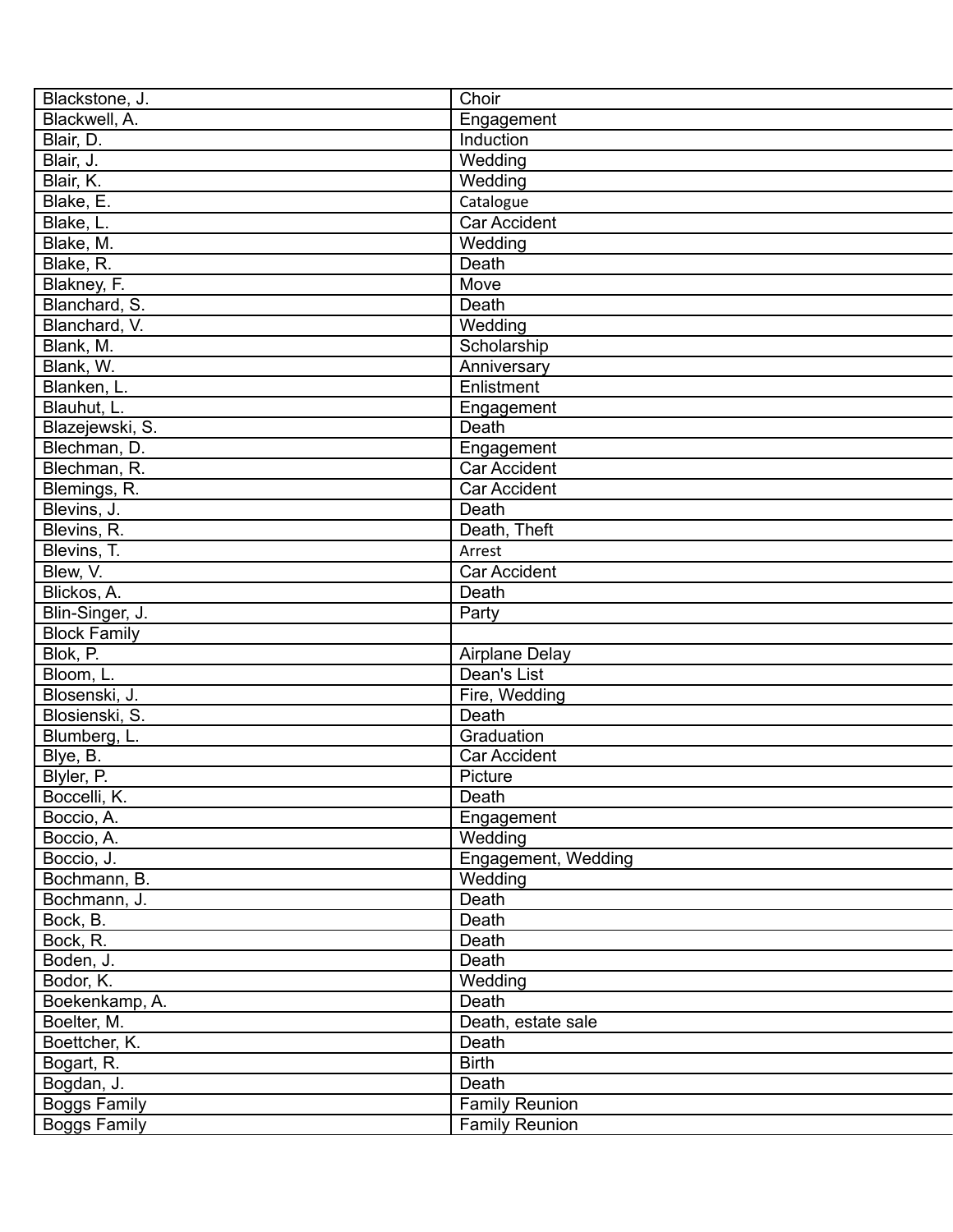| Blackstone, J.      | Choir                 |
|---------------------|-----------------------|
| Blackwell, A.       | Engagement            |
| Blair, D.           | Induction             |
| Blair, J.           | Wedding               |
| Blair, K.           | Wedding               |
| Blake, E.           | Catalogue             |
| Blake, L.           | Car Accident          |
| Blake, M.           | Wedding               |
| Blake, R.           | Death                 |
| Blakney, F.         | Move                  |
| Blanchard, S.       | Death                 |
| Blanchard, V.       | Wedding               |
| Blank, M.           | Scholarship           |
| Blank, W.           | Anniversary           |
| Blanken, L.         | Enlistment            |
| Blauhut, L.         | Engagement            |
| Blazejewski, S.     | Death                 |
| Blechman, D.        | Engagement            |
| Blechman, R.        | <b>Car Accident</b>   |
| Blemings, R.        | Car Accident          |
| Blevins, J.         | Death                 |
| Blevins, R.         | Death, Theft          |
| Blevins, T.         | Arrest                |
|                     |                       |
| Blew, V.            | Car Accident          |
| Blickos, A.         | Death                 |
| Blin-Singer, J.     | Party                 |
| <b>Block Family</b> |                       |
| Blok, P.            | <b>Airplane Delay</b> |
| Bloom, L.           | Dean's List           |
| Blosenski, J.       | Fire, Wedding         |
| Blosienski, S.      | Death                 |
| Blumberg, L.        | Graduation            |
| Blye, B.            | Car Accident          |
| Blyler, P.          | Picture               |
| Boccelli, K.        | Death                 |
| Boccio, A.          | Engagement            |
| Boccio, A.          | Wedding               |
| Boccio, J.          | Engagement, Wedding   |
| Bochmann, B.        | Wedding               |
| Bochmann, J.        | Death                 |
| Bock, B.            | Death                 |
| Bock, R.            | Death                 |
| Boden, J.           | Death                 |
| Bodor, K.           | Wedding               |
| Boekenkamp, A.      | Death                 |
| Boelter, M.         | Death, estate sale    |
| Boettcher, K.       | Death                 |
| Bogart, R.          | <b>Birth</b>          |
| Bogdan, J.          | Death                 |
| Boggs Family        | <b>Family Reunion</b> |
| <b>Boggs Family</b> | <b>Family Reunion</b> |
|                     |                       |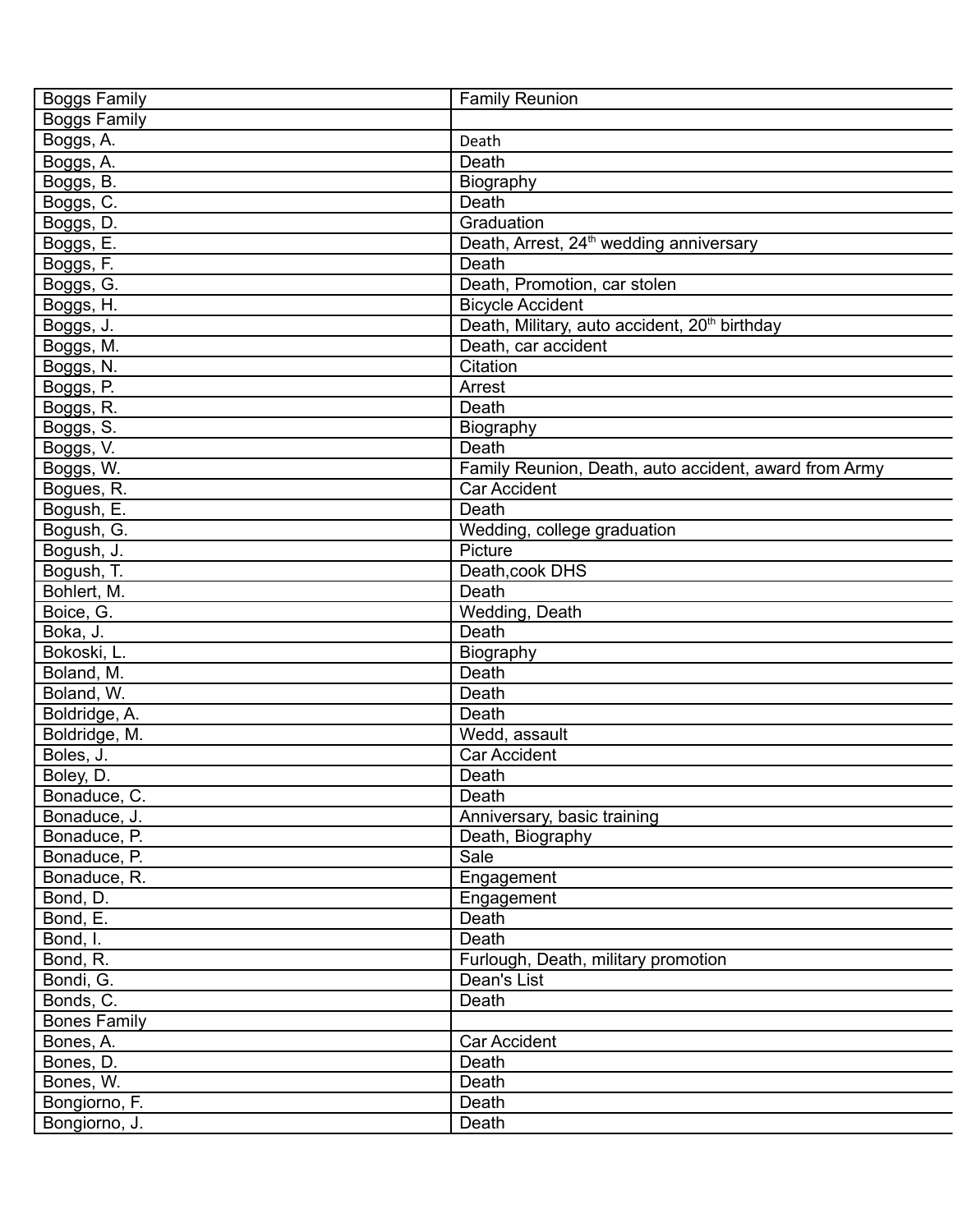| <b>Boggs Family</b> | <b>Family Reunion</b>                                     |
|---------------------|-----------------------------------------------------------|
| <b>Boggs Family</b> |                                                           |
| Boggs, A.           | Death                                                     |
| Boggs, A.           | Death                                                     |
| Boggs, B.           | Biography                                                 |
| Boggs, C.           | Death                                                     |
| Boggs, D.           | Graduation                                                |
| Boggs, E.           | Death, Arrest, 24 <sup>th</sup> wedding anniversary       |
| Boggs, F.           | Death                                                     |
| Boggs, G.           | Death, Promotion, car stolen                              |
| Boggs, H.           | <b>Bicycle Accident</b>                                   |
| Boggs, J.           | Death, Military, auto accident, 20 <sup>th</sup> birthday |
| Boggs, M.           | Death, car accident                                       |
| Boggs, N.           | Citation                                                  |
| Boggs, P.           | Arrest                                                    |
| Boggs, R.           | Death                                                     |
| Boggs, S.           | Biography                                                 |
| Boggs, V.           | Death                                                     |
| Boggs, W.           | Family Reunion, Death, auto accident, award from Army     |
| Bogues, R.          | <b>Car Accident</b>                                       |
| Bogush, E.          | Death                                                     |
| Bogush, G.          | Wedding, college graduation                               |
| Bogush, J.          | Picture                                                   |
| Bogush, T.          | Death, cook DHS                                           |
| Bohlert, M.         | Death                                                     |
| Boice, G.           | Wedding, Death                                            |
| Boka, J.            | Death                                                     |
| Bokoski, L.         | Biography                                                 |
| Boland, M.          | Death                                                     |
| Boland, W.          | Death                                                     |
| Boldridge, A.       | Death                                                     |
| Boldridge, M.       | Wedd, assault                                             |
| Boles, J.           | Car Accident                                              |
| Boley, D.           | Death                                                     |
| Bonaduce, C.        | Death                                                     |
| Bonaduce, J.        | Anniversary, basic training                               |
| Bonaduce, P.        | Death, Biography                                          |
| Bonaduce, P.        | Sale                                                      |
| Bonaduce, R.        | Engagement                                                |
| Bond, D.            | Engagement                                                |
| Bond, E.            | Death                                                     |
| Bond, I.            | Death                                                     |
| Bond, R.            | Furlough, Death, military promotion                       |
| Bondi, G.           | Dean's List                                               |
| Bonds, C.           | Death                                                     |
| <b>Bones Family</b> |                                                           |
| Bones, A.           | Car Accident                                              |
| Bones, D.           | Death                                                     |
| Bones, W.           | Death                                                     |
| Bongiorno, F.       | Death                                                     |
| Bongiorno, J.       | Death                                                     |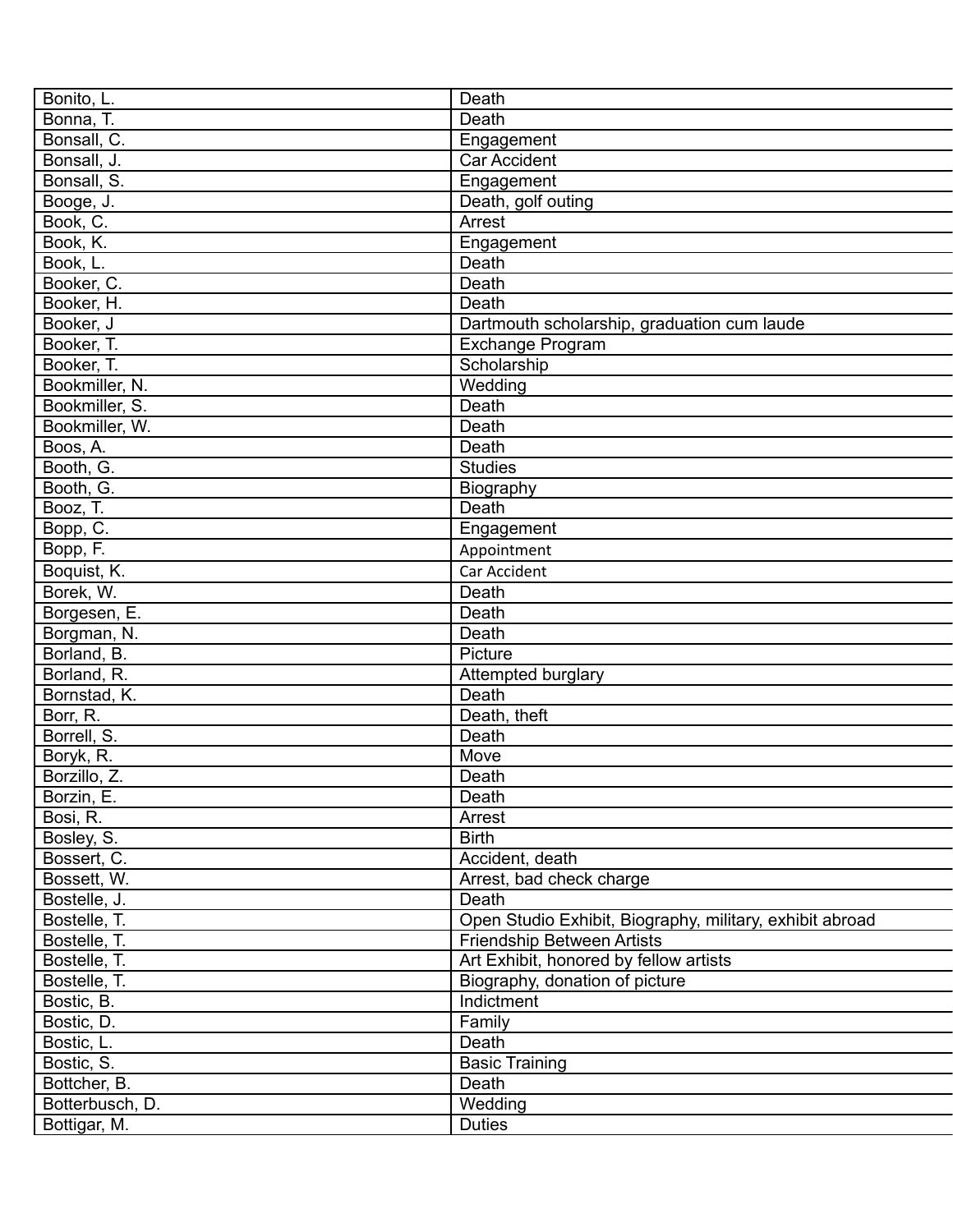| Bonito, L.      | Death                                                    |
|-----------------|----------------------------------------------------------|
| Bonna, T.       | Death                                                    |
| Bonsall, C.     | Engagement                                               |
| Bonsall, J.     | <b>Car Accident</b>                                      |
| Bonsall, S.     | Engagement                                               |
| Booge, J.       | Death, golf outing                                       |
| Book, C.        | Arrest                                                   |
| Book, K.        | Engagement                                               |
| Book, L.        | Death                                                    |
| Booker, C.      | Death                                                    |
| Booker, H.      | Death                                                    |
| Booker, J       | Dartmouth scholarship, graduation cum laude              |
| Booker, T.      | Exchange Program                                         |
| Booker, T.      | Scholarship                                              |
| Bookmiller, N.  | Wedding                                                  |
| Bookmiller, S.  | Death                                                    |
| Bookmiller, W.  | Death                                                    |
| Boos, A.        | Death                                                    |
| Booth, G.       | <b>Studies</b>                                           |
| Booth, G.       | Biography                                                |
| Booz, T.        | Death                                                    |
| Bopp, C.        | Engagement                                               |
| Bopp, F.        | Appointment                                              |
|                 |                                                          |
| Boquist, K.     | Car Accident                                             |
| Borek, W.       | Death                                                    |
| Borgesen, E.    | Death                                                    |
| Borgman, N.     | Death                                                    |
| Borland, B.     | Picture                                                  |
| Borland, R.     | Attempted burglary                                       |
| Bornstad, K.    | Death                                                    |
| Borr, R.        | Death, theft                                             |
| Borrell, S.     | Death                                                    |
| Boryk, R.       | Move                                                     |
| Borzillo, Z.    | Death                                                    |
| Borzin, E.      | Death                                                    |
| Bosi, R.        | Arrest                                                   |
| Bosley, S.      | <b>Birth</b>                                             |
| Bossert, C.     | Accident, death                                          |
| Bossett, W.     | Arrest, bad check charge                                 |
| Bostelle, J.    | Death                                                    |
| Bostelle, T.    | Open Studio Exhibit, Biography, military, exhibit abroad |
| Bostelle, T.    | <b>Friendship Between Artists</b>                        |
| Bostelle, T.    | Art Exhibit, honored by fellow artists                   |
| Bostelle, T.    | Biography, donation of picture                           |
| Bostic, B.      | Indictment                                               |
| Bostic, D.      | Family                                                   |
| Bostic, L.      | Death                                                    |
| Bostic, S.      | <b>Basic Training</b>                                    |
| Bottcher, B.    | Death                                                    |
| Botterbusch, D. | Wedding                                                  |
| Bottigar, M.    | <b>Duties</b>                                            |
|                 |                                                          |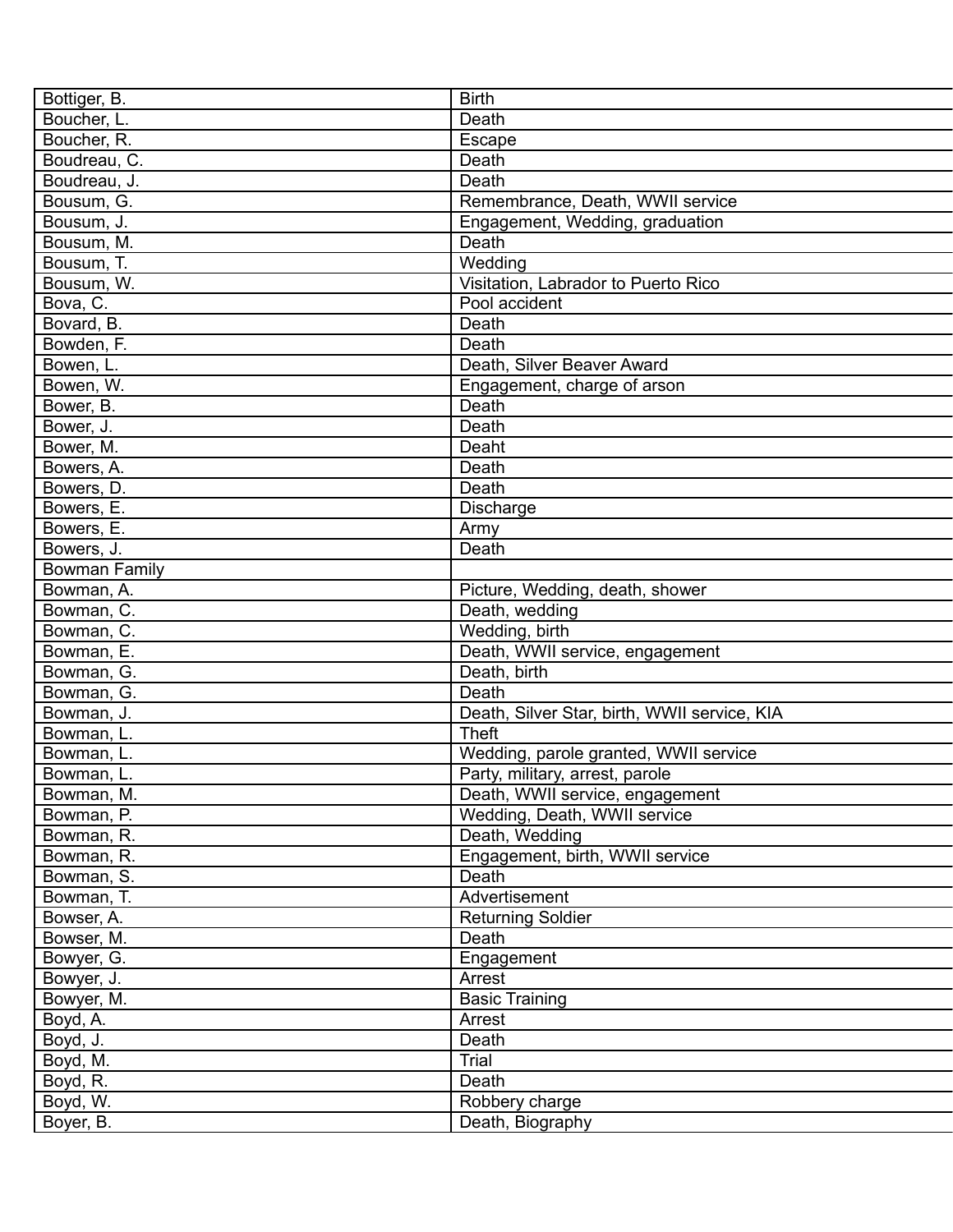| Bottiger, B.         | <b>Birth</b>                                 |
|----------------------|----------------------------------------------|
| Boucher, L.          | Death                                        |
| Boucher, R.          | Escape                                       |
| Boudreau, C.         | Death                                        |
| Boudreau, J.         | Death                                        |
| Bousum, G.           | Remembrance, Death, WWII service             |
| Bousum, J.           | Engagement, Wedding, graduation              |
| Bousum, M.           | Death                                        |
| Bousum, T.           | Wedding                                      |
| Bousum, W.           | Visitation, Labrador to Puerto Rico          |
| Bova, C.             | Pool accident                                |
| Bovard, B.           | Death                                        |
| Bowden, F.           | Death                                        |
| Bowen, L.            | Death, Silver Beaver Award                   |
| Bowen, W.            | Engagement, charge of arson                  |
| Bower, B.            | Death                                        |
| Bower, J.            | Death                                        |
| Bower, M.            | Deaht                                        |
| Bowers, A.           | Death                                        |
| Bowers, D.           | Death                                        |
| Bowers, E.           | Discharge                                    |
| Bowers, E.           | Army                                         |
| Bowers, J.           | Death                                        |
| <b>Bowman Family</b> |                                              |
| Bowman, A.           | Picture, Wedding, death, shower              |
| Bowman, C.           | Death, wedding                               |
| Bowman, C.           | Wedding, birth                               |
| Bowman, E.           | Death, WWII service, engagement              |
| Bowman, G.           | Death, birth                                 |
| Bowman, G.           | Death                                        |
| Bowman, J.           | Death, Silver Star, birth, WWII service, KIA |
| Bowman, L.           | <b>Theft</b>                                 |
| Bowman, L.           | Wedding, parole granted, WWII service        |
| Bowman, L.           | Party, military, arrest, parole              |
| Bowman, M.           | Death, WWII service, engagement              |
| Bowman, P.           | Wedding, Death, WWII service                 |
| Bowman, R.           | Death, Wedding                               |
| Bowman, R.           | Engagement, birth, WWII service              |
| Bowman, S.           | Death                                        |
| Bowman, T.           | Advertisement                                |
| Bowser, A.           | <b>Returning Soldier</b>                     |
| Bowser, M.           | Death                                        |
| Bowyer, G.           | Engagement                                   |
| Bowyer, J.           | Arrest                                       |
| Bowyer, M.           | <b>Basic Training</b>                        |
| Boyd, A.             | Arrest                                       |
| Boyd, J.             | Death                                        |
| Boyd, M.             | Trial                                        |
| Boyd, R.             | Death                                        |
| Boyd, W.             | Robbery charge                               |
| Boyer, B.            | Death, Biography                             |
|                      |                                              |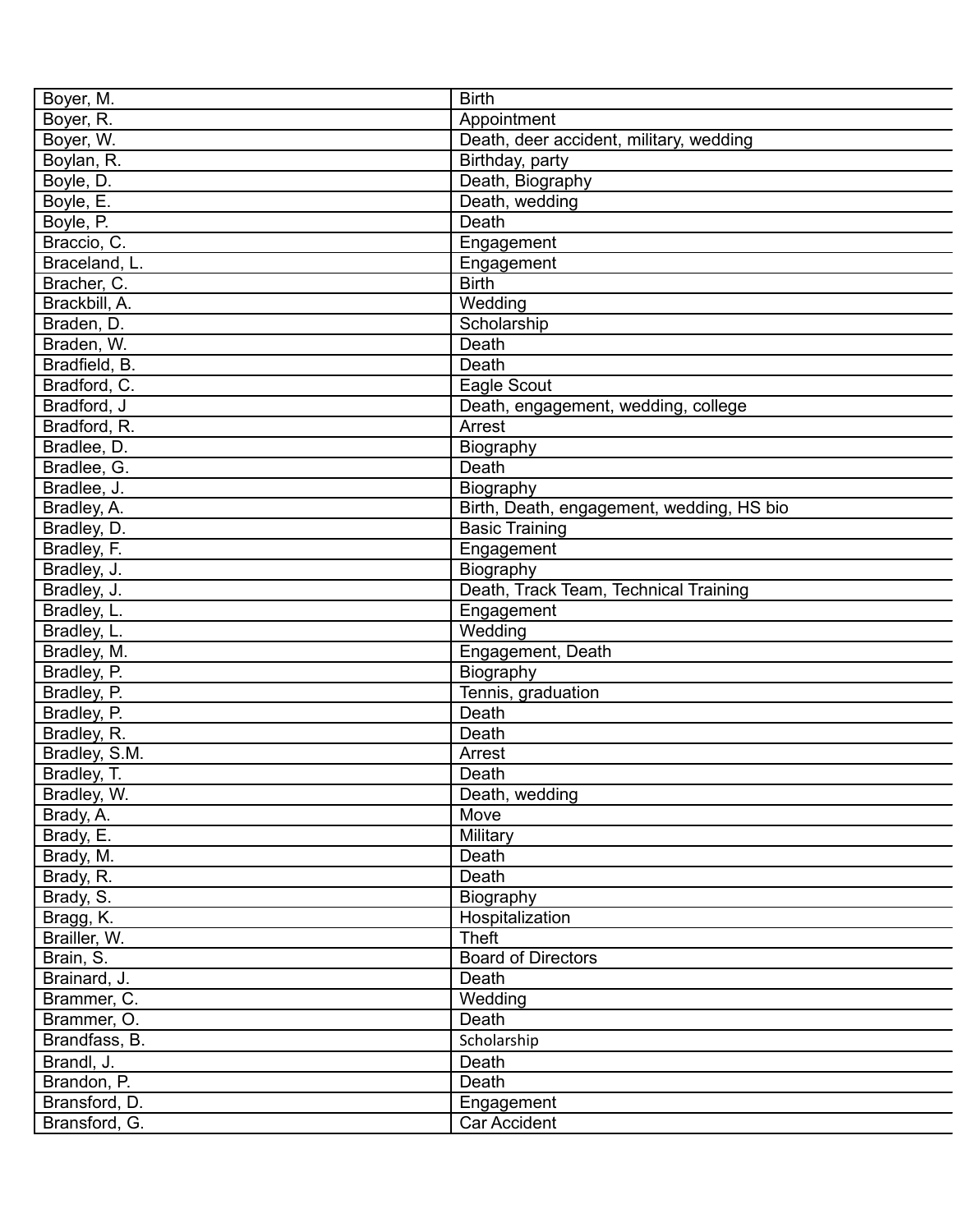| Boyer, M.     | <b>Birth</b>                              |
|---------------|-------------------------------------------|
| Boyer, R.     | Appointment                               |
| Boyer, W.     | Death, deer accident, military, wedding   |
| Boylan, R.    | Birthday, party                           |
| Boyle, D.     | Death, Biography                          |
| Boyle, E.     | Death, wedding                            |
| Boyle, P.     | Death                                     |
| Braccio, C.   | Engagement                                |
| Braceland, L. | Engagement                                |
| Bracher, C.   | <b>Birth</b>                              |
| Brackbill, A. | Wedding                                   |
| Braden, D.    | Scholarship                               |
| Braden, W.    | Death                                     |
| Bradfield, B. | Death                                     |
| Bradford, C.  | Eagle Scout                               |
| Bradford, J   | Death, engagement, wedding, college       |
| Bradford, R.  | Arrest                                    |
| Bradlee, D.   | Biography                                 |
| Bradlee, G.   | Death                                     |
| Bradlee, J.   | Biography                                 |
| Bradley, A.   | Birth, Death, engagement, wedding, HS bio |
| Bradley, D.   | <b>Basic Training</b>                     |
| Bradley, F.   | Engagement                                |
| Bradley, J.   | Biography                                 |
| Bradley, J.   | Death, Track Team, Technical Training     |
| Bradley, L.   |                                           |
| Bradley, L.   | Engagement<br>Wedding                     |
|               |                                           |
| Bradley, M.   | Engagement, Death                         |
| Bradley, P.   | Biography                                 |
| Bradley, P.   | Tennis, graduation                        |
| Bradley, P.   | Death                                     |
| Bradley, R.   | Death                                     |
| Bradley, S.M. | Arrest                                    |
| Bradley, T.   | Death                                     |
| Bradley, W.   | Death, wedding                            |
| Brady, A.     | Move                                      |
| Brady, E.     | Military                                  |
| Brady, M.     | Death                                     |
| Brady, R.     | Death                                     |
| Brady, S.     | Biography                                 |
| Bragg, K.     | Hospitalization                           |
| Brailler, W.  | <b>Theft</b>                              |
| Brain, S.     | <b>Board of Directors</b>                 |
| Brainard, J.  | Death                                     |
| Brammer, C.   | Wedding                                   |
| Brammer, O.   | Death                                     |
| Brandfass, B. | Scholarship                               |
| Brandl, J.    | Death                                     |
| Brandon, P.   | Death                                     |
| Bransford, D. | Engagement                                |
| Bransford, G. | Car Accident                              |
|               |                                           |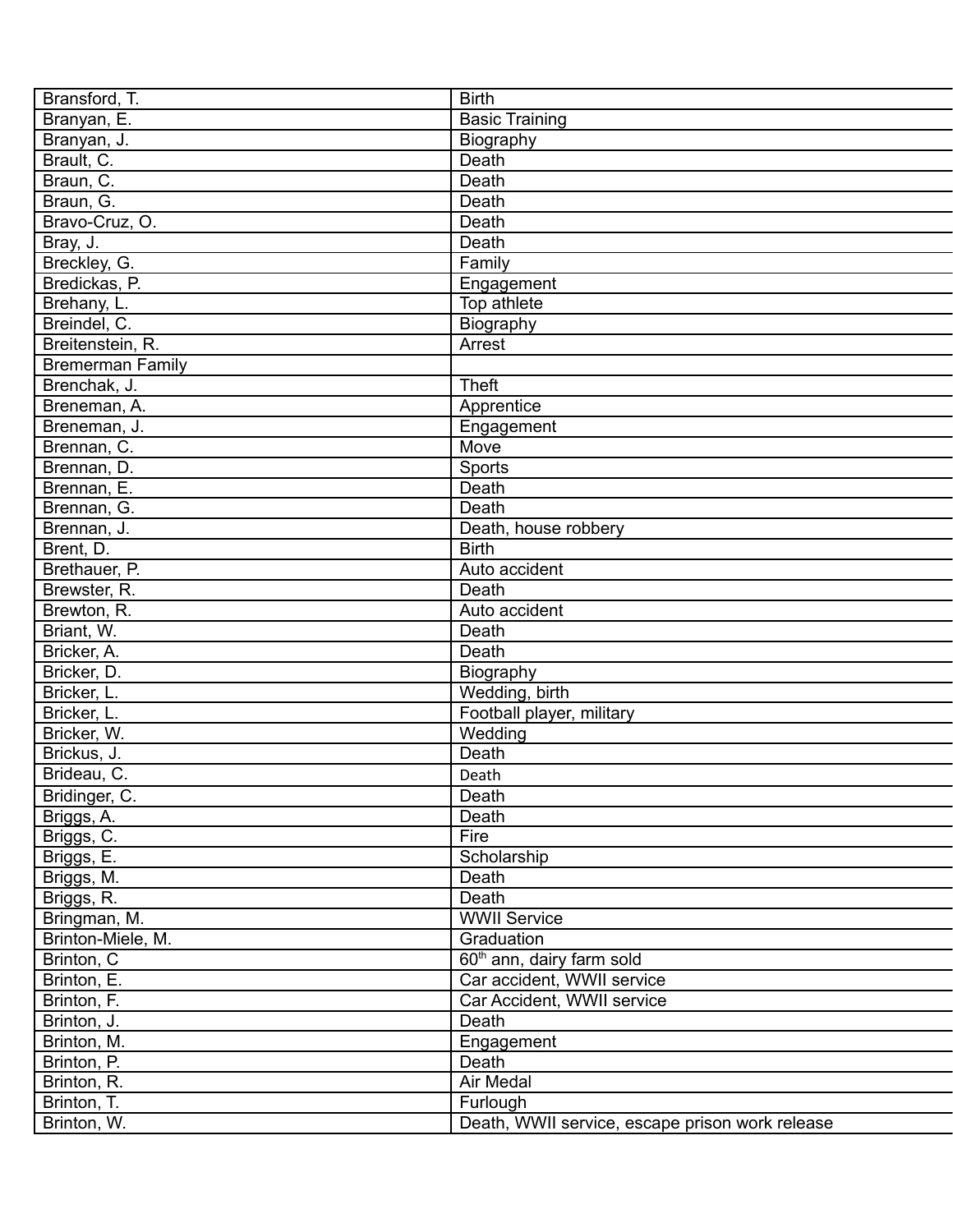| Bransford, T.           | <b>Birth</b>                                    |
|-------------------------|-------------------------------------------------|
| Branyan, E.             | <b>Basic Training</b>                           |
| Branyan, J.             | Biography                                       |
| Brault, C.              | Death                                           |
| Braun, C.               | Death                                           |
| Braun, G.               | Death                                           |
| Bravo-Cruz, O.          | Death                                           |
| Bray, J.                | Death                                           |
| Breckley, G.            | Family                                          |
| Bredickas, P.           | Engagement                                      |
| Brehany, L.             | Top athlete                                     |
| Breindel, C.            | Biography                                       |
| Breitenstein, R.        | Arrest                                          |
| <b>Bremerman Family</b> |                                                 |
| Brenchak, J.            | <b>Theft</b>                                    |
| Breneman, A.            | Apprentice                                      |
| Breneman, J.            | Engagement                                      |
| Brennan, C.             | Move                                            |
| Brennan, D.             | Sports                                          |
| Brennan, E.             | Death                                           |
| Brennan, G.             | Death                                           |
| Brennan, J.             | Death, house robbery                            |
| Brent, D.               | <b>Birth</b>                                    |
| Brethauer, P.           | Auto accident                                   |
|                         | Death                                           |
| Brewster, R.            |                                                 |
| Brewton, R.             | Auto accident                                   |
| Briant, W.              | Death                                           |
| Bricker, A.             | Death                                           |
| Bricker, D.             | Biography                                       |
| Bricker, L.             | Wedding, birth                                  |
| Bricker, L.             | Football player, military                       |
| Bricker, W.             | Wedding                                         |
| Brickus, J.             | Death                                           |
| Brideau, C.             | Death                                           |
| Bridinger, C.           | Death                                           |
| Briggs, A.              | Death                                           |
| Briggs, C.              | Fire                                            |
| Briggs, E.              | Scholarship                                     |
| Briggs, M.              | Death                                           |
| Briggs, R.              | Death                                           |
| Bringman, M.            | <b>WWII Service</b>                             |
| Brinton-Miele, M.       | Graduation                                      |
| Brinton, C              | 60 <sup>th</sup> ann, dairy farm sold           |
| Brinton, E.             | Car accident, WWII service                      |
| Brinton, F.             | Car Accident, WWII service                      |
| Brinton, J.             | Death                                           |
| Brinton, M.             | Engagement                                      |
| Brinton, P.             | Death                                           |
| Brinton, R.             | Air Medal                                       |
| Brinton, T.             | Furlough                                        |
| Brinton, W.             | Death, WWII service, escape prison work release |
|                         |                                                 |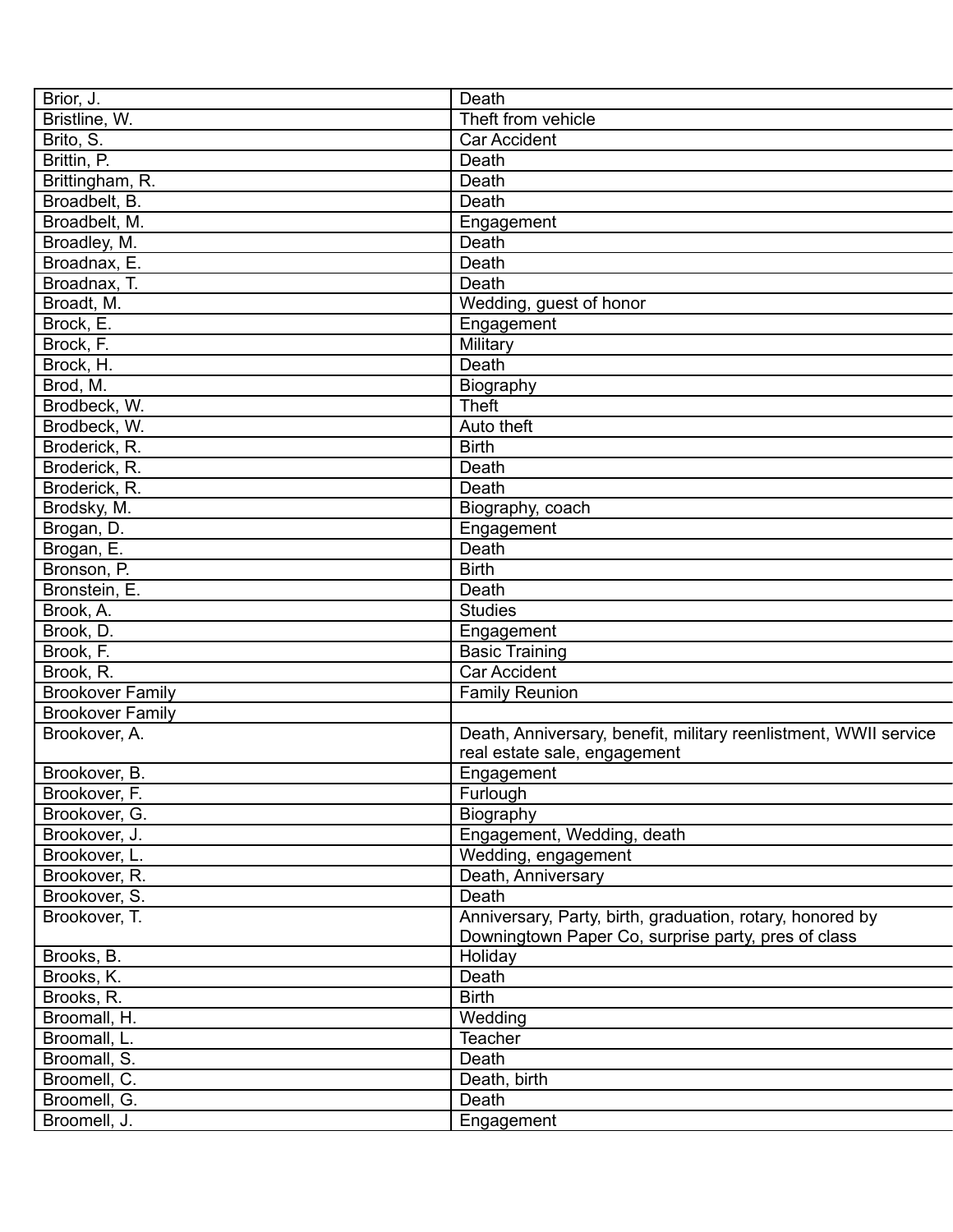| Brior, J.               | Death                                                            |
|-------------------------|------------------------------------------------------------------|
| Bristline, W.           | Theft from vehicle                                               |
| Brito, S.               | <b>Car Accident</b>                                              |
| Brittin, P.             | Death                                                            |
| Brittingham, R.         | Death                                                            |
| Broadbelt, B.           | Death                                                            |
| Broadbelt, M.           | Engagement                                                       |
| Broadley, M.            | Death                                                            |
| Broadnax, E.            | Death                                                            |
| Broadnax, T.            | Death                                                            |
| Broadt, M.              | Wedding, guest of honor                                          |
| Brock, E.               | Engagement                                                       |
| Brock, F.               | Military                                                         |
| Brock, H.               | Death                                                            |
| Brod, M.                | Biography                                                        |
| Brodbeck, W.            | <b>Theft</b>                                                     |
| Brodbeck, W.            | Auto theft                                                       |
| Broderick, R.           | <b>Birth</b>                                                     |
| Broderick, R.           | Death                                                            |
| Broderick, R.           | Death                                                            |
| Brodsky, M.             | Biography, coach                                                 |
| Brogan, D.              | Engagement                                                       |
|                         | Death                                                            |
| Brogan, E.              | <b>Birth</b>                                                     |
| Bronson, P.             |                                                                  |
| Bronstein, E.           | Death                                                            |
| Brook, A.               | <b>Studies</b>                                                   |
| Brook, D.               | Engagement                                                       |
| Brook, F.               | <b>Basic Training</b>                                            |
| Brook, R.               | Car Accident                                                     |
| <b>Brookover Family</b> | <b>Family Reunion</b>                                            |
| <b>Brookover Family</b> |                                                                  |
| Brookover, A.           | Death, Anniversary, benefit, military reenlistment, WWII service |
|                         | real estate sale, engagement                                     |
| Brookover, B.           | Engagement                                                       |
| Brookover, F.           | Furlough                                                         |
| Brookover, G.           | Biography                                                        |
| Brookover, J.           | Engagement, Wedding, death                                       |
| Brookover, L.           | Wedding, engagement                                              |
| Brookover, R.           | Death, Anniversary                                               |
| Brookover, S.           | Death                                                            |
| Brookover, T.           | Anniversary, Party, birth, graduation, rotary, honored by        |
|                         | Downingtown Paper Co, surprise party, pres of class              |
| Brooks, B.              | Holiday                                                          |
| Brooks, K.              | Death                                                            |
| Brooks, R.              | <b>Birth</b>                                                     |
| Broomall, H.            | Wedding                                                          |
| Broomall, L.            | <b>Teacher</b>                                                   |
| Broomall, S.            | Death                                                            |
| Broomell, C.            | Death, birth                                                     |
| Broomell, G.            | Death                                                            |
| Broomell, J.            | Engagement                                                       |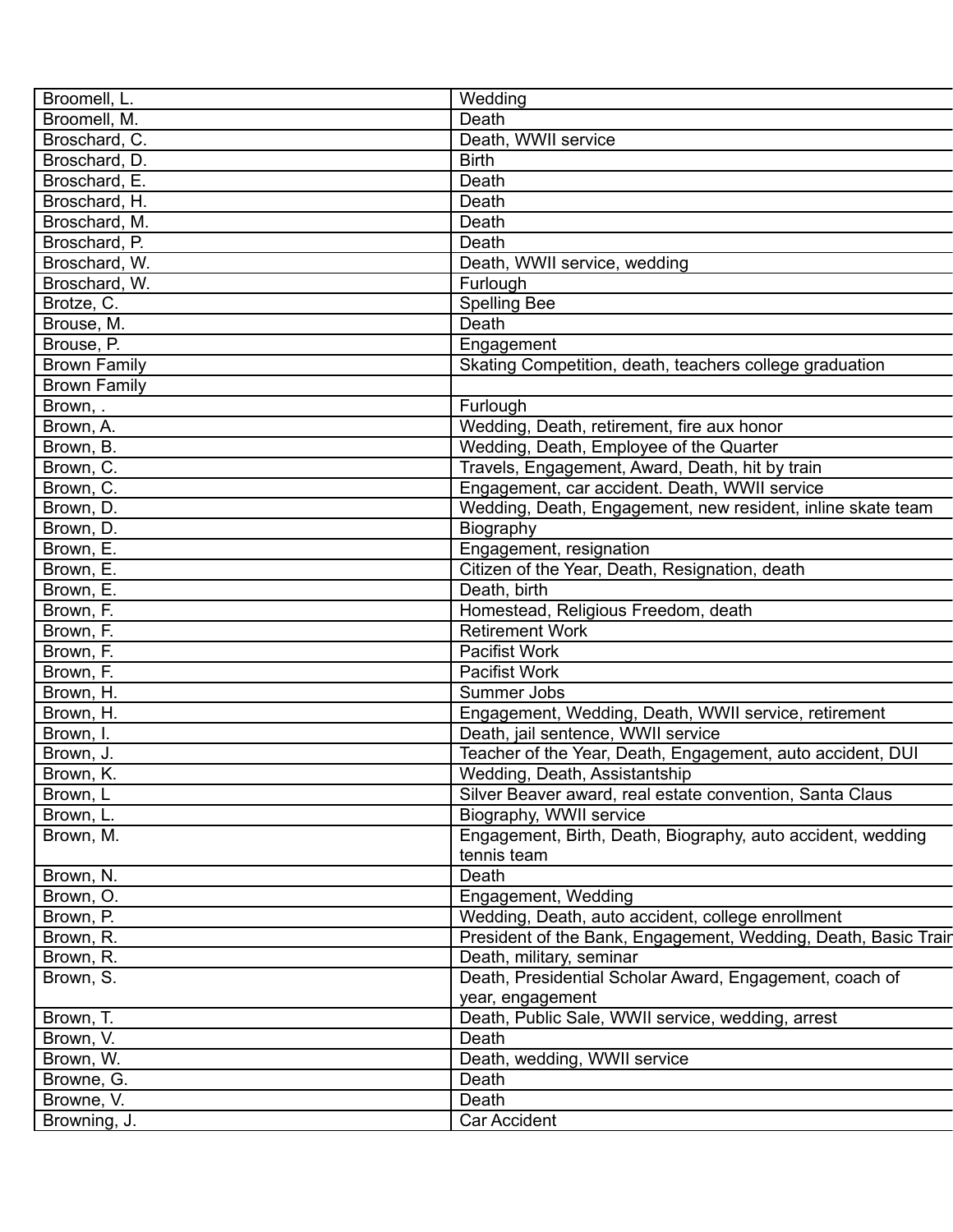| Broomell, L.        | Wedding                                                        |
|---------------------|----------------------------------------------------------------|
| Broomell, M.        | Death                                                          |
| Broschard, C.       | Death, WWII service                                            |
| Broschard, D.       | <b>Birth</b>                                                   |
| Broschard, E.       | Death                                                          |
| Broschard, H.       | Death                                                          |
| Broschard, M.       | Death                                                          |
| Broschard, P.       | Death                                                          |
| Broschard, W.       | Death, WWII service, wedding                                   |
| Broschard, W.       | Furlough                                                       |
| Brotze, C.          | <b>Spelling Bee</b>                                            |
| Brouse, M.          | Death                                                          |
| Brouse, P.          | Engagement                                                     |
|                     |                                                                |
| <b>Brown Family</b> | Skating Competition, death, teachers college graduation        |
| <b>Brown Family</b> |                                                                |
| Brown, .            | Furlough                                                       |
| Brown, A.           | Wedding, Death, retirement, fire aux honor                     |
| Brown, B.           | Wedding, Death, Employee of the Quarter                        |
| Brown, C.           | Travels, Engagement, Award, Death, hit by train                |
| Brown, C.           | Engagement, car accident. Death, WWII service                  |
| Brown, D.           | Wedding, Death, Engagement, new resident, inline skate team    |
| Brown, D.           | Biography                                                      |
| Brown, E.           | Engagement, resignation                                        |
| Brown, E.           | Citizen of the Year, Death, Resignation, death                 |
| Brown, E.           | Death, birth                                                   |
| Brown, F.           | Homestead, Religious Freedom, death                            |
| Brown, F.           | <b>Retirement Work</b>                                         |
| Brown, F.           | Pacifist Work                                                  |
| Brown, F.           | <b>Pacifist Work</b>                                           |
| Brown, H.           | Summer Jobs                                                    |
| Brown, H.           | Engagement, Wedding, Death, WWII service, retirement           |
| Brown, I.           | Death, jail sentence, WWII service                             |
| Brown, J.           | Teacher of the Year, Death, Engagement, auto accident, DUI     |
| Brown, K.           | Wedding, Death, Assistantship                                  |
|                     |                                                                |
| Brown, L            | Silver Beaver award, real estate convention, Santa Claus       |
| Brown, L.           | Biography, WWII service                                        |
| Brown, M.           | Engagement, Birth, Death, Biography, auto accident, wedding    |
|                     | tennis team                                                    |
| Brown, N.           | Death                                                          |
| Brown, O.           | Engagement, Wedding                                            |
| Brown, P.           | Wedding, Death, auto accident, college enrollment              |
| Brown, R.           | President of the Bank, Engagement, Wedding, Death, Basic Trair |
| Brown, R.           | Death, military, seminar                                       |
| Brown, S.           | Death, Presidential Scholar Award, Engagement, coach of        |
|                     | year, engagement                                               |
| Brown, T.           | Death, Public Sale, WWII service, wedding, arrest              |
| Brown, V.           | Death                                                          |
| Brown, W.           | Death, wedding, WWII service                                   |
| Browne, G.          | Death                                                          |
| Browne, V.          | Death                                                          |
| Browning, J.        | Car Accident                                                   |
|                     |                                                                |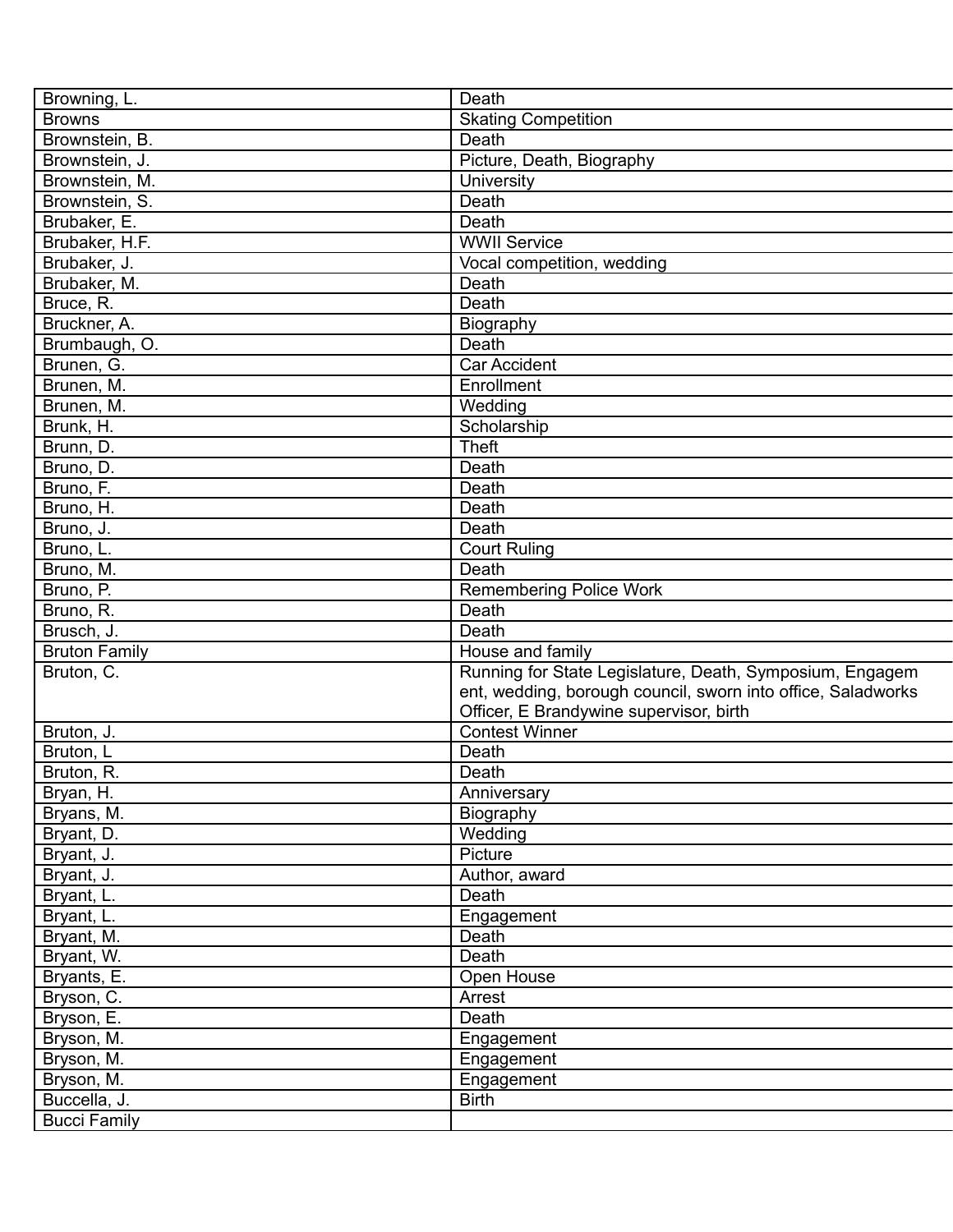| Browning, L.         | Death                                                            |
|----------------------|------------------------------------------------------------------|
| <b>Browns</b>        | <b>Skating Competition</b>                                       |
| Brownstein, B.       | Death                                                            |
| Brownstein, J.       | Picture, Death, Biography                                        |
| Brownstein, M.       | University                                                       |
| Brownstein, S.       | Death                                                            |
| Brubaker, E.         | Death                                                            |
| Brubaker, H.F.       | <b>WWII Service</b>                                              |
| Brubaker, J.         | Vocal competition, wedding                                       |
| Brubaker, M.         | Death                                                            |
| Bruce, R.            | Death                                                            |
| Bruckner, A.         | Biography                                                        |
| Brumbaugh, O.        | Death                                                            |
| Brunen, G.           | <b>Car Accident</b>                                              |
| Brunen, M.           | Enrollment                                                       |
| Brunen, M.           | Wedding                                                          |
| Brunk, H.            | Scholarship                                                      |
| Brunn, D.            | <b>Theft</b>                                                     |
| Bruno, D.            | Death                                                            |
| Bruno, F.            | Death                                                            |
| Bruno, H.            | Death                                                            |
| Bruno, J.            | Death                                                            |
| Bruno, L.            | <b>Court Ruling</b>                                              |
|                      | Death                                                            |
| Bruno, M.            |                                                                  |
| Bruno, P.            | <b>Remembering Police Work</b><br>Death                          |
| Bruno, R.            |                                                                  |
| Brusch, J.           | Death                                                            |
| <b>Bruton Family</b> | House and family                                                 |
| Bruton, C.           | Running for State Legislature, Death, Symposium, Engagem         |
|                      | ent, wedding, borough council, sworn into office, Saladworks     |
|                      | Officer, E Brandywine supervisor, birth<br><b>Contest Winner</b> |
| Bruton, J.           |                                                                  |
| Bruton, L            | Death                                                            |
| Bruton, R.           | Death                                                            |
| Bryan, H.            | Anniversary                                                      |
| Bryans, M.           | Biography                                                        |
| Bryant, D.           | Wedding                                                          |
| Bryant, J.           | Picture                                                          |
| Bryant, J.           | Author, award                                                    |
| Bryant, L.           | Death                                                            |
| Bryant, L.           | Engagement                                                       |
| Bryant, M.           | Death                                                            |
| Bryant, W.           | Death                                                            |
| Bryants, E.          | Open House                                                       |
| Bryson, C.           | Arrest                                                           |
| Bryson, E.           | Death                                                            |
| Bryson, M.           | Engagement                                                       |
| Bryson, M.           | Engagement                                                       |
| Bryson, M.           | Engagement                                                       |
| Buccella, J.         | <b>Birth</b>                                                     |
| <b>Bucci Family</b>  |                                                                  |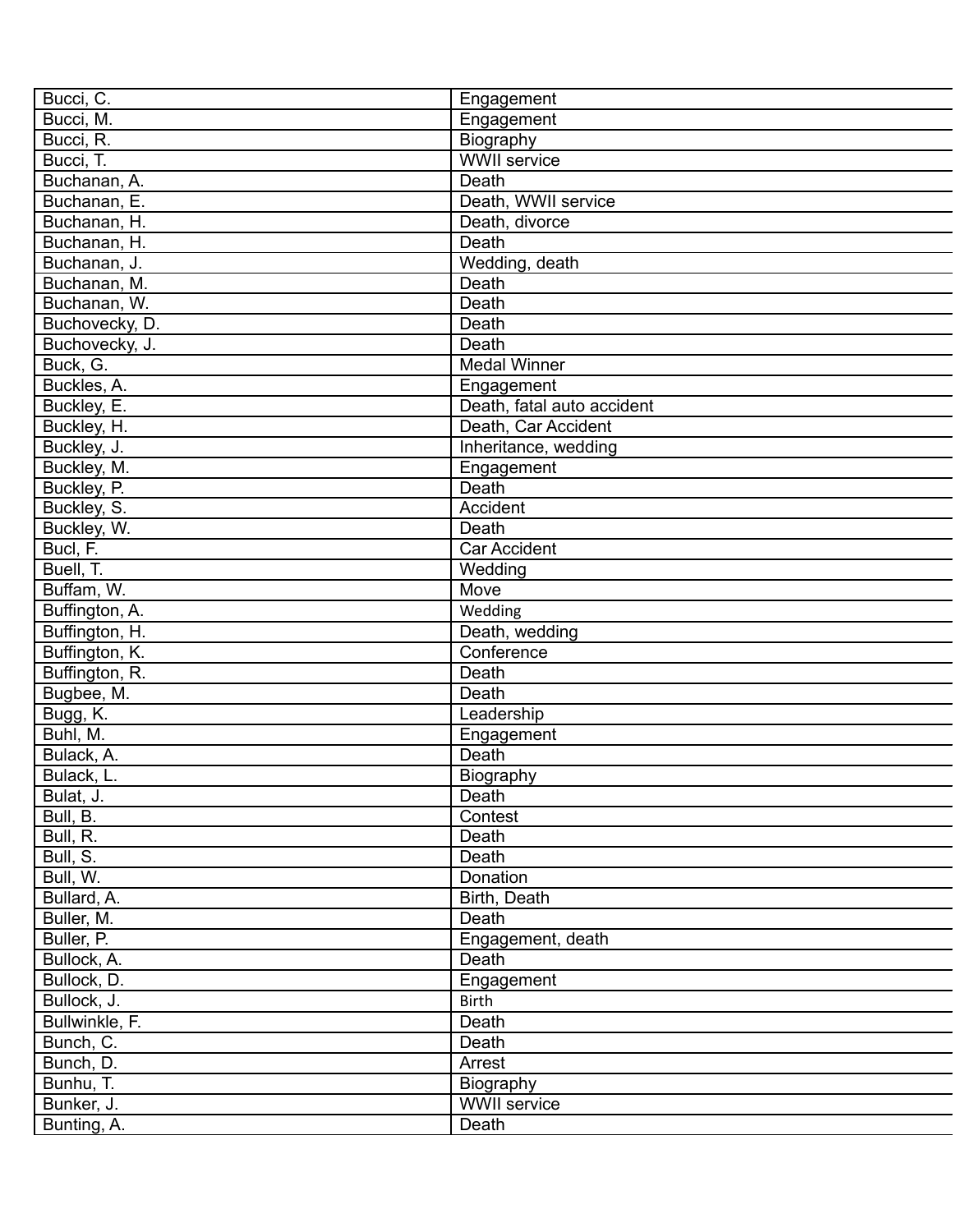| Bucci, C.      | Engagement                 |
|----------------|----------------------------|
| Bucci, M.      | Engagement                 |
| Bucci, R.      | <b>Biography</b>           |
| Bucci, T.      | <b>WWII</b> service        |
| Buchanan, A.   | <b>Death</b>               |
| Buchanan, E.   | Death, WWII service        |
| Buchanan, H.   | Death, divorce             |
| Buchanan, H.   | Death                      |
| Buchanan, J.   | Wedding, death             |
| Buchanan, M.   | Death                      |
| Buchanan, W.   | Death                      |
| Buchovecky, D. | Death                      |
| Buchovecky, J. | Death                      |
| Buck, G.       | <b>Medal Winner</b>        |
| Buckles, A.    | Engagement                 |
| Buckley, E.    | Death, fatal auto accident |
| Buckley, H.    | Death, Car Accident        |
| Buckley, J.    | Inheritance, wedding       |
| Buckley, M.    | Engagement                 |
| Buckley, P.    | Death                      |
| Buckley, S.    | Accident                   |
| Buckley, W.    | Death                      |
| Bucl, F.       | <b>Car Accident</b>        |
| Buell, T.      | Wedding                    |
| Buffam, W.     | Move                       |
| Buffington, A. | Wedding                    |
|                |                            |
| Buffington, H. | Death, wedding             |
| Buffington, K. | Conference                 |
| Buffington, R. | Death                      |
| Bugbee, M.     | Death                      |
| Bugg, K.       | Leadership                 |
| Buhl, M.       | Engagement                 |
| Bulack, A.     | Death                      |
| Bulack, L.     | Biography                  |
| Bulat, J.      | Death                      |
| Bull, B.       | Contest                    |
| Bull, R.       | Death                      |
| Bull, S.       | Death                      |
| Bull, W.       | Donation                   |
| Bullard, A.    | Birth, Death               |
| Buller, M.     | Death                      |
| Buller, P.     | Engagement, death          |
| Bullock, A.    | Death                      |
| Bullock, D.    | Engagement                 |
| Bullock, J.    | <b>Birth</b>               |
| Bullwinkle, F. | Death                      |
| Bunch, C.      | Death                      |
| Bunch, D.      | Arrest                     |
| Bunhu, T.      | Biography                  |
| Bunker, J.     | <b>WWII</b> service        |
| Bunting, A.    | Death                      |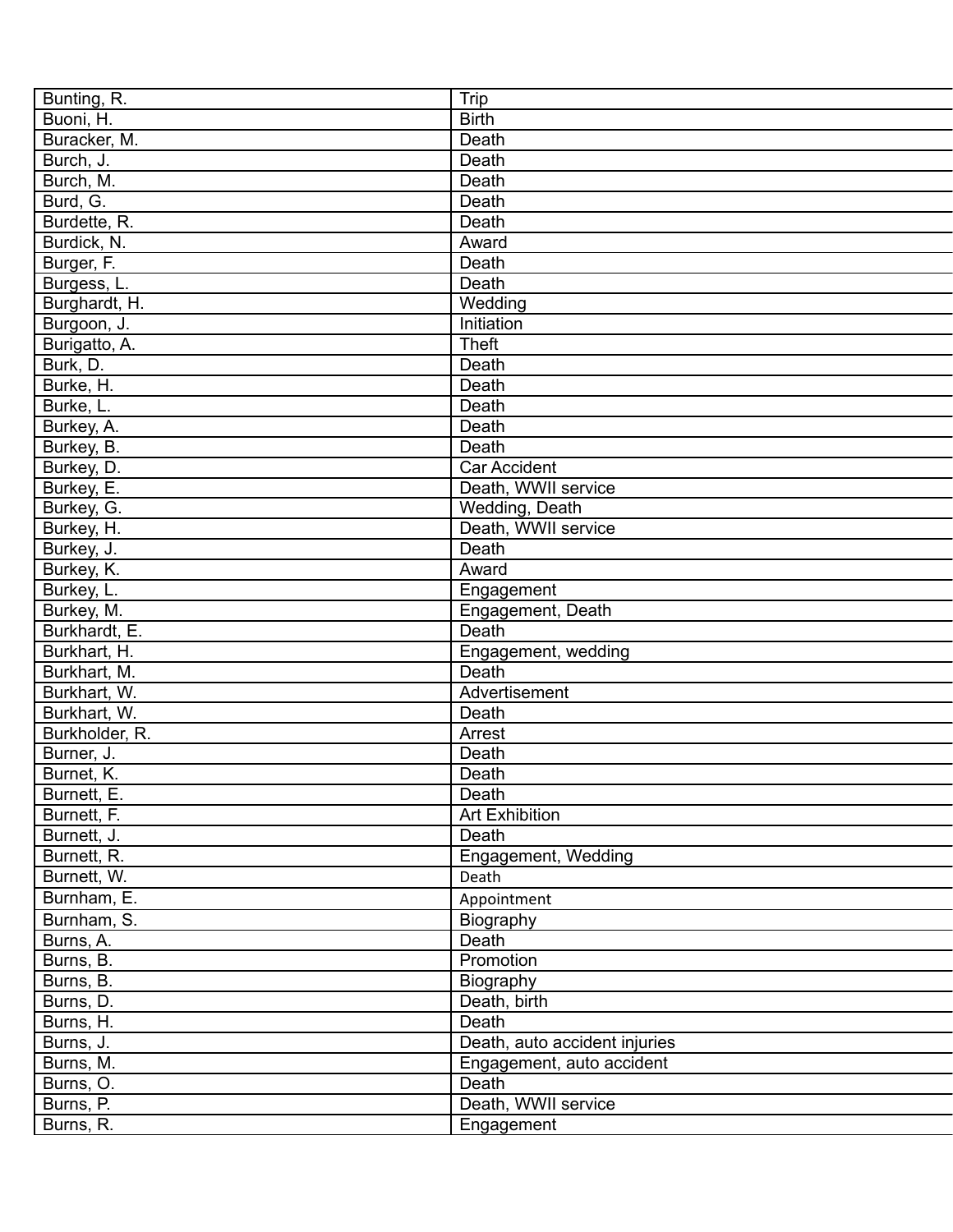| Bunting, R.    | Trip                          |
|----------------|-------------------------------|
| Buoni, H.      | <b>Birth</b>                  |
| Buracker, M.   | Death                         |
| Burch, J.      | Death                         |
| Burch, M.      | Death                         |
| Burd, G.       | Death                         |
| Burdette, R.   | Death                         |
| Burdick, N.    | Award                         |
| Burger, F.     | Death                         |
| Burgess, L.    | Death                         |
| Burghardt, H.  | Wedding                       |
| Burgoon, J.    | Initiation                    |
| Burigatto, A.  | Theft                         |
| Burk, D.       | Death                         |
| Burke, H.      | Death                         |
| Burke, L.      | Death                         |
| Burkey, A.     | Death                         |
| Burkey, B.     | Death                         |
| Burkey, D.     | Car Accident                  |
| Burkey, E.     | Death, WWII service           |
| Burkey, G.     | Wedding, Death                |
| Burkey, H.     | Death, WWII service           |
| Burkey, J.     | Death                         |
| Burkey, K.     | Award                         |
| Burkey, L.     | Engagement                    |
| Burkey, M.     | Engagement, Death             |
| Burkhardt, E.  | Death                         |
| Burkhart, H.   | Engagement, wedding           |
| Burkhart, M.   | Death                         |
| Burkhart, W.   | Advertisement                 |
| Burkhart, W.   | Death                         |
| Burkholder, R. | Arrest                        |
|                |                               |
| Burner, J.     | Death                         |
| Burnet, K.     | Death                         |
| Burnett, E.    | Death                         |
| Burnett, F.    | <b>Art Exhibition</b>         |
| Burnett, J.    | Death                         |
| Burnett, R.    | Engagement, Wedding           |
| Burnett, W.    | Death                         |
| Burnham, E.    | Appointment                   |
| Burnham, S.    | Biography                     |
| Burns, A.      | Death                         |
| Burns, B.      | Promotion                     |
| Burns, B.      | Biography                     |
| Burns, D.      | Death, birth                  |
| Burns, H.      | Death                         |
| Burns, J.      | Death, auto accident injuries |
| Burns, M.      | Engagement, auto accident     |
| Burns, O.      | Death                         |
| Burns, P.      | Death, WWII service           |
| Burns, R.      | Engagement                    |
|                |                               |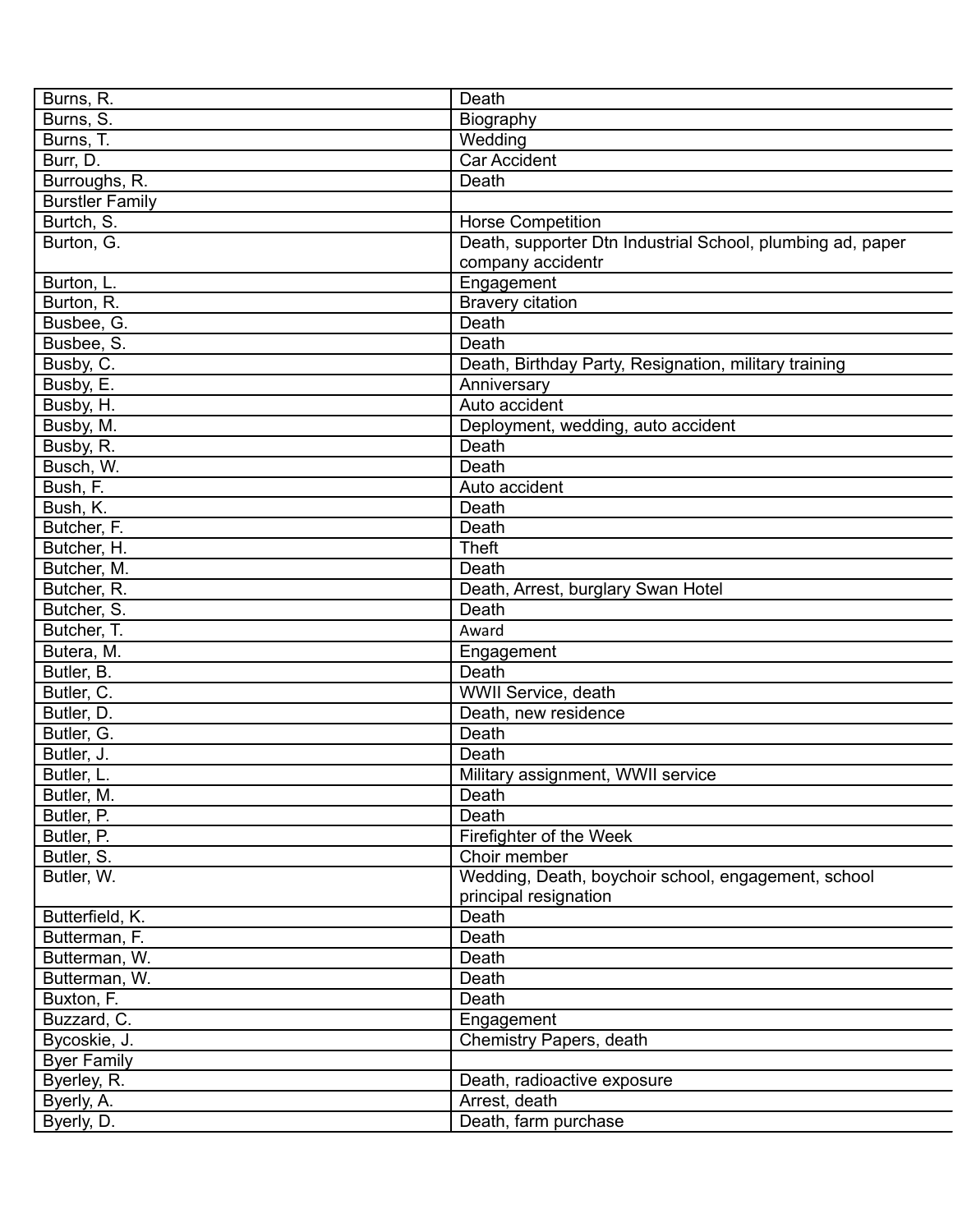| Burns, R.              | Death                                                      |
|------------------------|------------------------------------------------------------|
| Burns, S.              | Biography                                                  |
| Burns, T.              | Wedding                                                    |
| Burr, D.               | <b>Car Accident</b>                                        |
| Burroughs, R.          | Death                                                      |
| <b>Burstler Family</b> |                                                            |
| Burtch, S.             | <b>Horse Competition</b>                                   |
| Burton, G.             | Death, supporter Dtn Industrial School, plumbing ad, paper |
|                        | company accidentr                                          |
| Burton, L.             | Engagement                                                 |
| Burton, R.             | <b>Bravery citation</b>                                    |
| Busbee, G.             | Death                                                      |
| Busbee, S.             | Death                                                      |
| Busby, C.              | Death, Birthday Party, Resignation, military training      |
| Busby, E.              | Anniversary                                                |
| Busby, H.              | Auto accident                                              |
| Busby, M.              | Deployment, wedding, auto accident                         |
| Busby, R.              | Death                                                      |
| Busch, W.              | Death                                                      |
| Bush, F.               | Auto accident                                              |
| Bush, K.               | Death                                                      |
| Butcher, F.            | Death                                                      |
| Butcher, H.            | <b>Theft</b>                                               |
| Butcher, M.            | Death                                                      |
| Butcher, R.            | Death, Arrest, burglary Swan Hotel                         |
| Butcher, S.            | Death                                                      |
| Butcher, T.            | Award                                                      |
|                        |                                                            |
| Butera, M.             | Engagement                                                 |
| Butler, B.             | Death                                                      |
| Butler, C.             | WWII Service, death                                        |
| Butler, D.             | Death, new residence                                       |
| Butler, G.             | Death                                                      |
| Butler, J.             | Death                                                      |
| Butler, L.             | Military assignment, WWII service                          |
| Butler, M.             | Death                                                      |
| Butler, P.             | Death                                                      |
| Butler, P.             | Firefighter of the Week                                    |
| Butler, S.             | Choir member                                               |
| Butler, W.             | Wedding, Death, boychoir school, engagement, school        |
|                        | principal resignation                                      |
| Butterfield, K.        | Death                                                      |
| Butterman, F.          | Death                                                      |
| Butterman, W.          | Death                                                      |
| Butterman, W.          | Death                                                      |
| Buxton, F.             | Death                                                      |
| Buzzard, C.            | Engagement                                                 |
| Bycoskie, J.           | Chemistry Papers, death                                    |
| <b>Byer Family</b>     |                                                            |
| Byerley, R.            | Death, radioactive exposure                                |
| Byerly, A.             | Arrest, death                                              |
| Byerly, D.             | Death, farm purchase                                       |
|                        |                                                            |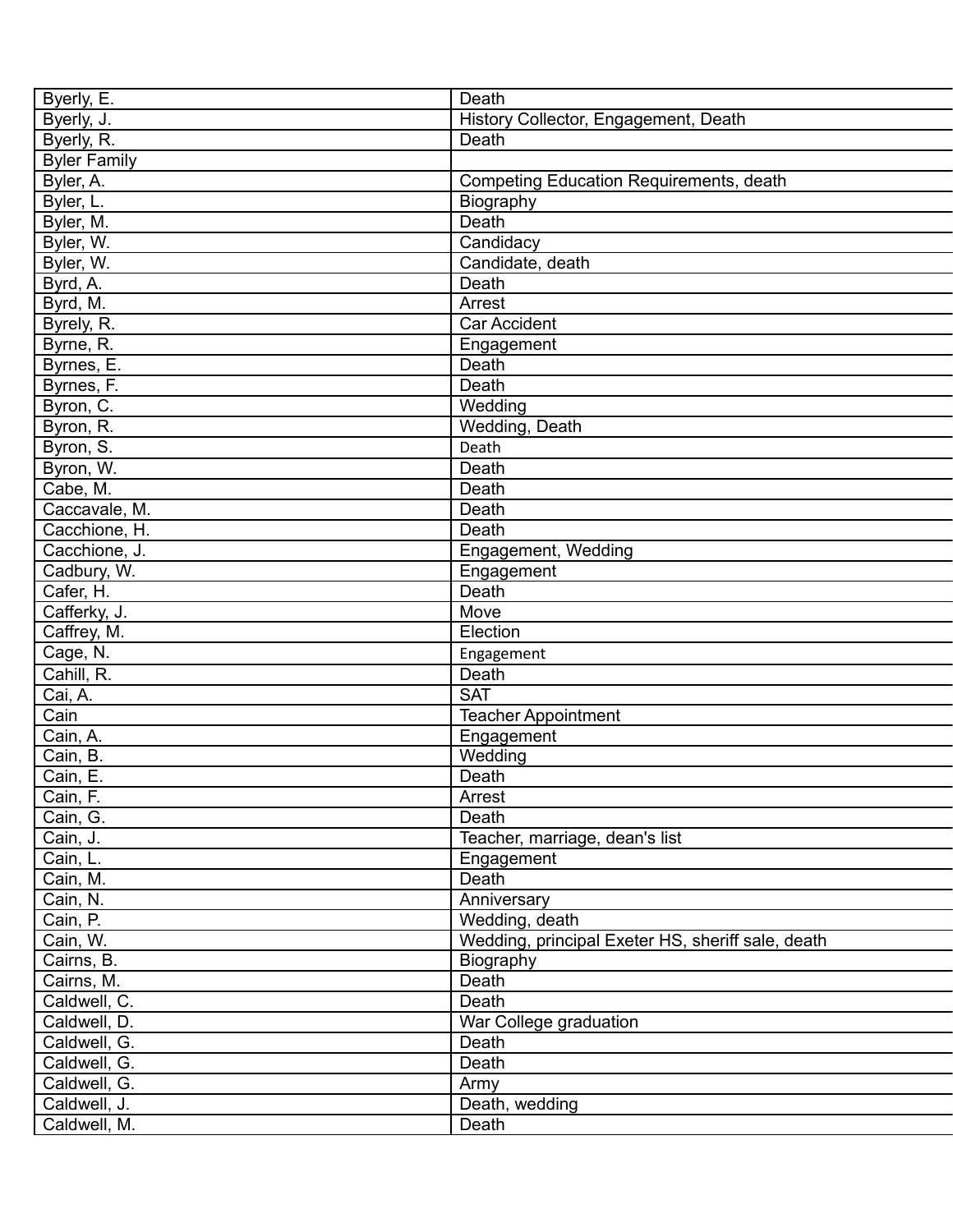| Byerly, E.          | Death                                             |
|---------------------|---------------------------------------------------|
| Byerly, J.          | History Collector, Engagement, Death              |
| Byerly, R.          | Death                                             |
| <b>Byler Family</b> |                                                   |
| Byler, A.           | <b>Competing Education Requirements, death</b>    |
| Byler, L.           | Biography                                         |
| Byler, M.           | Death                                             |
| Byler, W.           | Candidacy                                         |
| Byler, W.           | Candidate, death                                  |
| Byrd, A.            | Death                                             |
| Byrd, M.            | Arrest                                            |
| Byrely, R.          | Car Accident                                      |
| Byrne, R.           | Engagement                                        |
| Byrnes, E.          | Death                                             |
| Byrnes, F.          | Death                                             |
| Byron, C.           | Wedding                                           |
| Byron, R.           | Wedding, Death                                    |
| Byron, S.           | Death                                             |
| Byron, W.           | Death                                             |
| Cabe, M.            | Death                                             |
| Caccavale, M.       | Death                                             |
|                     |                                                   |
| Cacchione, H.       | Death                                             |
| Cacchione, J.       | Engagement, Wedding                               |
| Cadbury, W.         | Engagement                                        |
| Cafer, H.           | Death                                             |
| Cafferky, J.        | Move                                              |
| Caffrey, M.         | Election                                          |
| Cage, N.            | Engagement                                        |
| Cahill, R.          | Death                                             |
| Cai, A.             | <b>SAT</b>                                        |
| Cain                | Teacher Appointment                               |
| Cain, A.            | Engagement                                        |
| Cain, B.            | Wedding                                           |
| Cain, E.            | Death                                             |
| Cain, F.            | Arrest                                            |
| Cain, G.            | Death                                             |
| Cain, J.            | Teacher, marriage, dean's list                    |
| Cain, L.            | Engagement                                        |
| Cain, M.            | Death                                             |
| Cain, N.            | Anniversary                                       |
| Cain, P.            | Wedding, death                                    |
| Cain, W.            | Wedding, principal Exeter HS, sheriff sale, death |
| Cairns, B.          | Biography                                         |
| Cairns, M.          | Death                                             |
| Caldwell, C.        | Death                                             |
| Caldwell, D.        | War College graduation                            |
| Caldwell, G.        | Death                                             |
| Caldwell, G.        | Death                                             |
| Caldwell, G.        | Army                                              |
| Caldwell, J.        | Death, wedding                                    |
| Caldwell, M.        | Death                                             |
|                     |                                                   |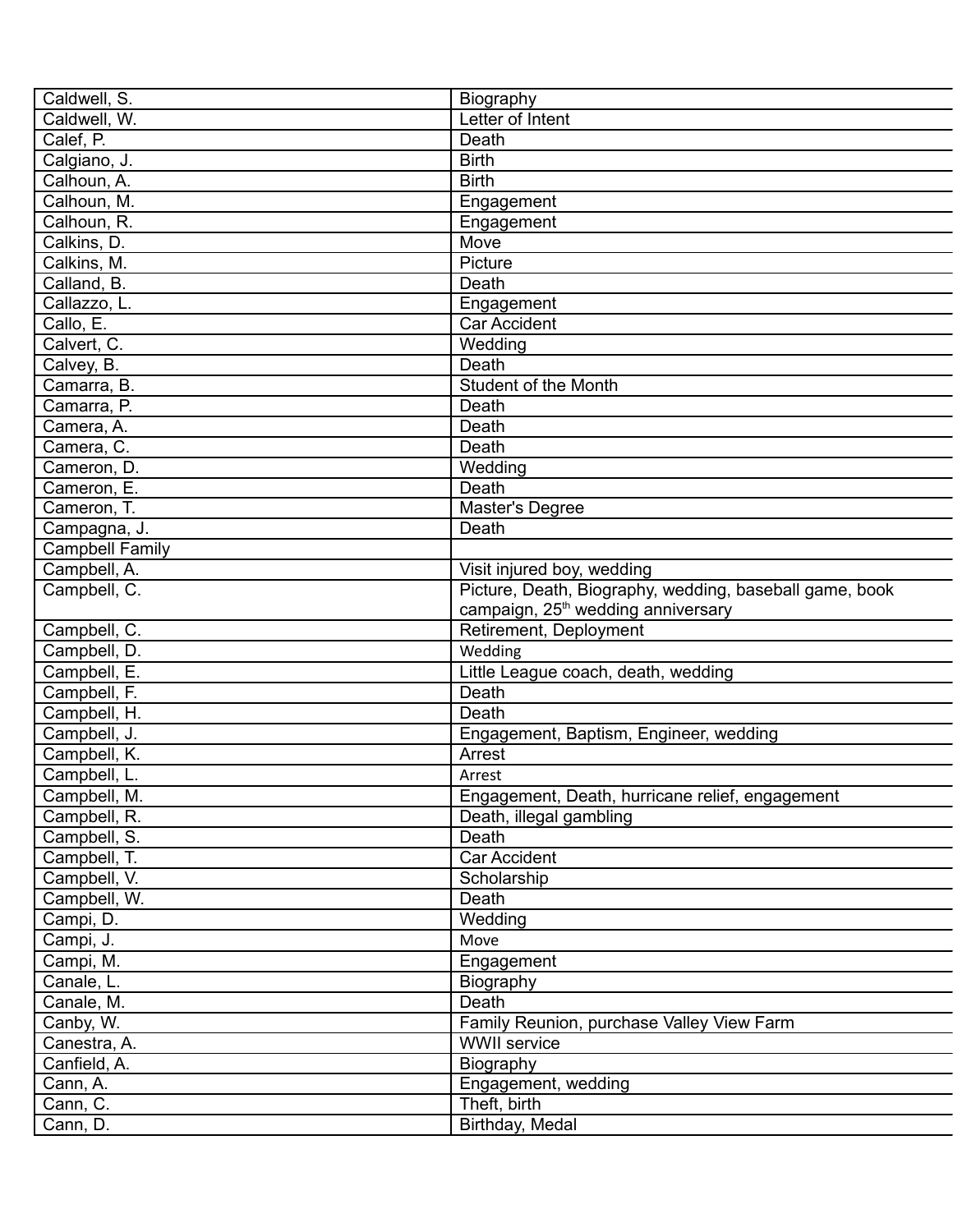| Caldwell, S.           | Biography                                                                                                 |
|------------------------|-----------------------------------------------------------------------------------------------------------|
| Caldwell, W.           | Letter of Intent                                                                                          |
| Calef, P.              | Death                                                                                                     |
| Calgiano, J.           | <b>Birth</b>                                                                                              |
| Calhoun, A.            | <b>Birth</b>                                                                                              |
| Calhoun, M.            | Engagement                                                                                                |
| Calhoun, R.            | Engagement                                                                                                |
| Calkins, D.            | Move                                                                                                      |
| Calkins, M.            | Picture                                                                                                   |
| Calland, B.            | Death                                                                                                     |
| Callazzo, L.           | Engagement                                                                                                |
| Callo, E.              | <b>Car Accident</b>                                                                                       |
| Calvert, C.            | Wedding                                                                                                   |
| Calvey, B.             | Death                                                                                                     |
| Camarra, B.            | Student of the Month                                                                                      |
| Camarra, P.            | Death                                                                                                     |
| Camera, A.             | Death                                                                                                     |
| Camera, C.             | Death                                                                                                     |
| Cameron, D.            | Wedding                                                                                                   |
|                        |                                                                                                           |
| Cameron, E.            | Death                                                                                                     |
| Cameron, T.            | <b>Master's Degree</b>                                                                                    |
| Campagna, J.           | Death                                                                                                     |
| <b>Campbell Family</b> |                                                                                                           |
| Campbell, A.           | Visit injured boy, wedding                                                                                |
| Campbell, C.           | Picture, Death, Biography, wedding, baseball game, book<br>campaign, 25 <sup>th</sup> wedding anniversary |
| Campbell, C.           | Retirement, Deployment                                                                                    |
| Campbell, D.           | Wedding                                                                                                   |
| Campbell, E.           | Little League coach, death, wedding                                                                       |
| Campbell, F.           | Death                                                                                                     |
| Campbell, H.           | Death                                                                                                     |
| Campbell, J.           | Engagement, Baptism, Engineer, wedding                                                                    |
| Campbell, K.           | Arrest                                                                                                    |
| Campbell, L.           | Arrest                                                                                                    |
| Campbell, M.           | Engagement, Death, hurricane relief, engagement                                                           |
| Campbell, R.           | Death, illegal gambling                                                                                   |
| Campbell, S.           | Death                                                                                                     |
| Campbell, T.           | Car Accident                                                                                              |
| Campbell, V.           | Scholarship                                                                                               |
| Campbell, W.           | Death                                                                                                     |
| Campi, D.              | Wedding                                                                                                   |
| Campi, J.              | Move                                                                                                      |
| Campi, M.              | Engagement                                                                                                |
| Canale, L.             | Biography                                                                                                 |
| Canale, M.             | Death                                                                                                     |
| Canby, W.              | Family Reunion, purchase Valley View Farm                                                                 |
| Canestra, A.           | <b>WWII</b> service                                                                                       |
|                        |                                                                                                           |
| Canfield, A.           | Biography                                                                                                 |
| Cann, A.               | Engagement, wedding                                                                                       |
| Cann, C.               | Theft, birth                                                                                              |
| Cann, D.               | Birthday, Medal                                                                                           |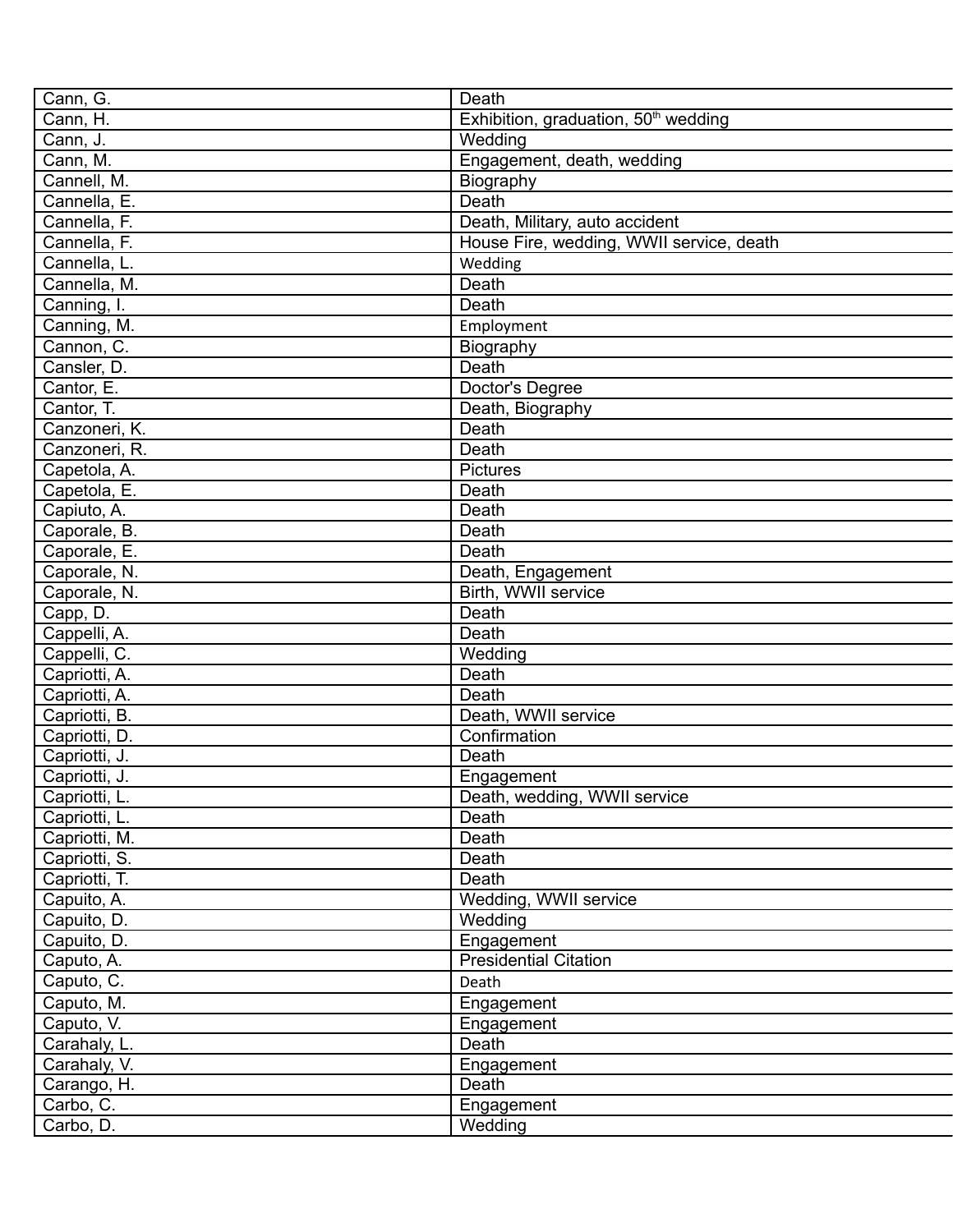| Cann, G.                  | Death                                            |
|---------------------------|--------------------------------------------------|
| Cann, H.                  | Exhibition, graduation, 50 <sup>th</sup> wedding |
| Cann, J.                  | Wedding                                          |
| Cann, M.                  | Engagement, death, wedding                       |
| Cannell, M.               | Biography                                        |
| Cannella, E.              | Death                                            |
| Cannella, F.              | Death, Military, auto accident                   |
| Cannella, F.              | House Fire, wedding, WWII service, death         |
| Cannella, L.              | Wedding                                          |
| Cannella, M.              | Death                                            |
| $\overline{C}$ anning, I. | Death                                            |
|                           |                                                  |
| Canning, M.               | Employment                                       |
| Cannon, C.                | Biography                                        |
| Cansler, D.               | Death                                            |
| Cantor, E.                | Doctor's Degree                                  |
| Cantor, T.                | Death, Biography                                 |
| Canzoneri, K.             | Death                                            |
| Canzoneri, R.             | Death                                            |
| Capetola, A.              | <b>Pictures</b>                                  |
| Capetola, E.              | Death                                            |
| Capiuto, A.               | Death                                            |
| Caporale, B.              | Death                                            |
| Caporale, E.              | Death                                            |
| Caporale, N.              | Death, Engagement                                |
| Caporale, N.              | Birth, WWII service                              |
| Capp, D.                  | Death                                            |
| Cappelli, A.              | Death                                            |
| Cappelli, C.              | Wedding                                          |
| Capriotti, A.             | Death                                            |
| Capriotti, A.             | Death                                            |
| Capriotti, B.             | Death, WWII service                              |
| Capriotti, D.             | Confirmation                                     |
| Capriotti, J.             | Death                                            |
| Capriotti, J.             | Engagement                                       |
| Capriotti, L.             | Death, wedding, WWII service                     |
| Capriotti, L.             | Death                                            |
| Capriotti, M.             | Death                                            |
| Capriotti, S.             | Death                                            |
| Capriotti, T.             | Death                                            |
| Capuito, A.               | Wedding, WWII service                            |
| Capuito, D.               | Wedding                                          |
| Capuito, D.               | Engagement                                       |
| Caputo, A.                | <b>Presidential Citation</b>                     |
| Caputo, C.                | Death                                            |
| Caputo, M.                | Engagement                                       |
| Caputo, V.                | Engagement                                       |
|                           | Death                                            |
| Carahaly, L.              |                                                  |
| Carahaly, V.              | Engagement                                       |
| Carango, H.               | Death                                            |
| Carbo, C.                 | Engagement                                       |
| Carbo, D.                 | Wedding                                          |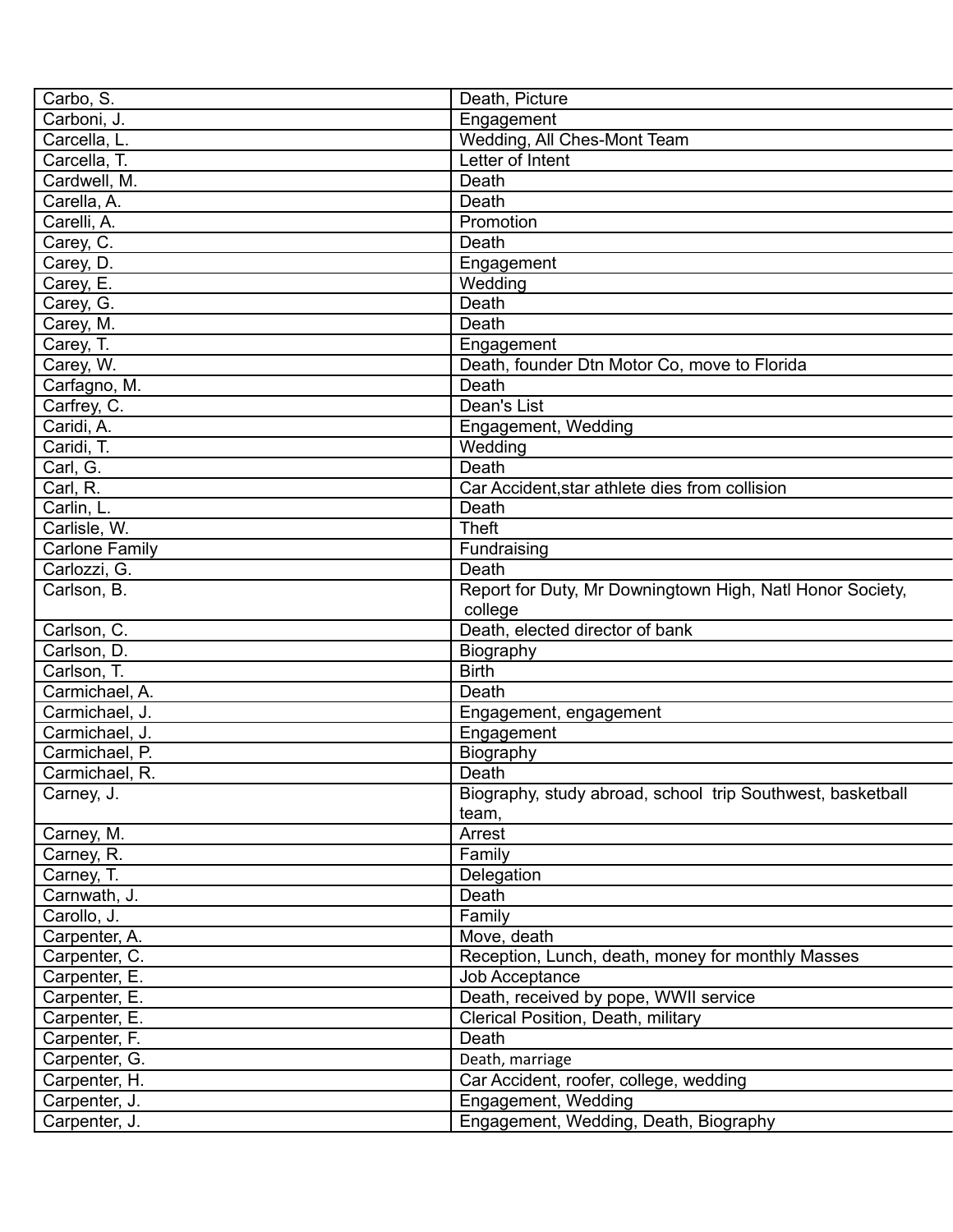| Carbo, S.             | Death, Picture                                                       |
|-----------------------|----------------------------------------------------------------------|
| Carboni, J.           | Engagement                                                           |
| Carcella, L.          | Wedding, All Ches-Mont Team                                          |
| Carcella, T.          | Letter of Intent                                                     |
| Cardwell, M.          | Death                                                                |
| Carella, A.           | Death                                                                |
| Carelli, A.           | Promotion                                                            |
| Carey, C.             | Death                                                                |
| Carey, D.             | Engagement                                                           |
| Carey, E.             | Wedding                                                              |
| Carey, G.             | Death                                                                |
| Carey, M.             | Death                                                                |
| Carey, T.             | Engagement                                                           |
| Carey, W.             | Death, founder Dtn Motor Co, move to Florida                         |
| Carfagno, M.          | Death                                                                |
| Carfrey, C.           | Dean's List                                                          |
| Caridi, A.            | Engagement, Wedding                                                  |
| Caridi, T.            | Wedding                                                              |
| Carl, G.              | Death                                                                |
| Carl, R.              | Car Accident, star athlete dies from collision                       |
| Carlin, L.            | Death                                                                |
| Carlisle, W.          | <b>Theft</b>                                                         |
| <b>Carlone Family</b> | Fundraising                                                          |
| Carlozzi, G.          | Death                                                                |
| Carlson, B.           |                                                                      |
|                       | Report for Duty, Mr Downingtown High, Natl Honor Society,<br>college |
| Carlson, C.           | Death, elected director of bank                                      |
| Carlson, D.           | Biography                                                            |
| Carlson, T.           | <b>Birth</b>                                                         |
| Carmichael, A.        | Death                                                                |
| Carmichael, J.        | Engagement, engagement                                               |
| Carmichael, J.        | Engagement                                                           |
| Carmichael, P.        | Biography                                                            |
| Carmichael, R.        | Death                                                                |
| Carney, J.            | Biography, study abroad, school trip Southwest, basketball           |
|                       | team,                                                                |
| Carney, M.            | Arrest                                                               |
| Carney, R.            | Family                                                               |
| Carney, T.            | Delegation                                                           |
| Carnwath, J.          | Death                                                                |
| Carollo, J.           | Family                                                               |
| Carpenter, A.         | Move, death                                                          |
| Carpenter, C.         | Reception, Lunch, death, money for monthly Masses                    |
| Carpenter, E.         | Job Acceptance                                                       |
| Carpenter, E.         | Death, received by pope, WWII service                                |
| Carpenter, E.         | Clerical Position, Death, military                                   |
| Carpenter, F.         | Death                                                                |
| Carpenter, G.         | Death, marriage                                                      |
| Carpenter, H.         | Car Accident, roofer, college, wedding                               |
| Carpenter, J.         | Engagement, Wedding                                                  |
| Carpenter, J.         | Engagement, Wedding, Death, Biography                                |
|                       |                                                                      |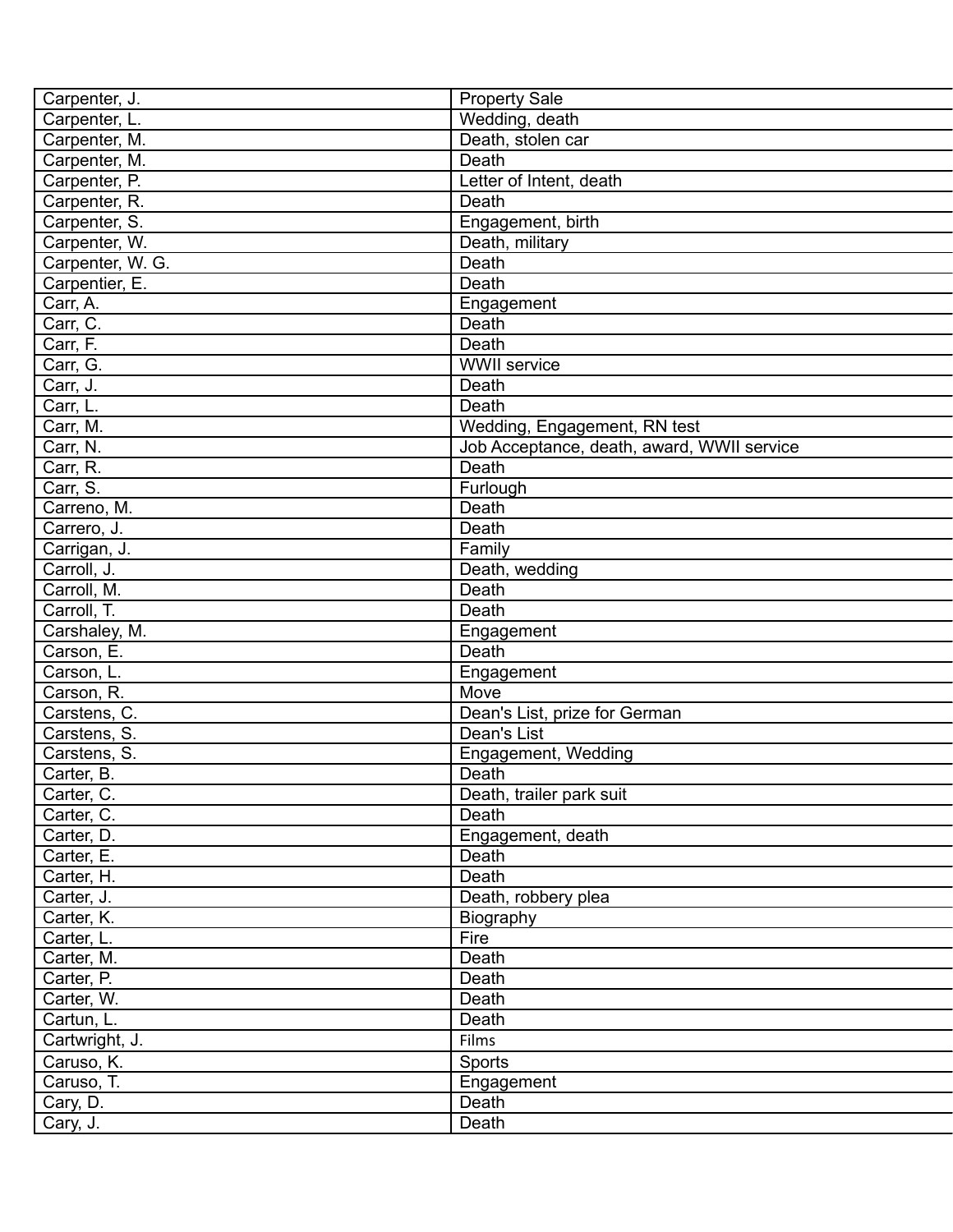| Carpenter, J.    | <b>Property Sale</b>                       |
|------------------|--------------------------------------------|
| Carpenter, L.    | Wedding, death                             |
| Carpenter, M.    | Death, stolen car                          |
| Carpenter, M.    | Death                                      |
| Carpenter, P.    | Letter of Intent, death                    |
| Carpenter, R.    | Death                                      |
| Carpenter, S.    | Engagement, birth                          |
| Carpenter, W.    | Death, military                            |
| Carpenter, W. G. | Death                                      |
| Carpentier, E.   | Death                                      |
| Carr, A.         | Engagement                                 |
| Carr, C.         | Death                                      |
| Carr, F.         | Death                                      |
| Carr, G.         | <b>WWII</b> service                        |
| Carr, J.         | Death                                      |
| Carr, L.         | Death                                      |
| Carr, M.         | Wedding, Engagement, RN test               |
| Carr, N.         | Job Acceptance, death, award, WWII service |
| Carr, R.         | Death                                      |
| Carr, S.         | Furlough                                   |
| Carreno, M.      | Death                                      |
| Carrero, J.      | Death                                      |
| Carrigan, J.     | Family                                     |
| Carroll, J.      | Death, wedding                             |
| Carroll, M.      | Death                                      |
| Carroll, T.      | Death                                      |
| Carshaley, M.    | Engagement                                 |
| Carson, E.       | Death                                      |
| Carson, L.       | Engagement                                 |
| Carson, R.       | Move                                       |
| Carstens, C.     | Dean's List, prize for German              |
| Carstens, S.     | Dean's List                                |
| Carstens, S.     | Engagement, Wedding                        |
| Carter, B.       | Death                                      |
| Carter, C.       | Death, trailer park suit                   |
| Carter, C.       | Death                                      |
| Carter, D.       | Engagement, death                          |
| Carter, E.       | Death                                      |
| Carter, H.       | Death                                      |
| Carter, J.       | Death, robbery plea                        |
| Carter, K.       | Biography                                  |
| Carter, L.       | Fire                                       |
| Carter, M.       | Death                                      |
| Carter, P.       | Death                                      |
| Carter, W.       | Death                                      |
| Cartun, L.       | Death                                      |
| Cartwright, J.   | Films                                      |
| Caruso, K.       |                                            |
|                  | Sports                                     |
| Caruso, T.       | Engagement                                 |
| Cary, D.         | Death                                      |
| Cary, J.         | Death                                      |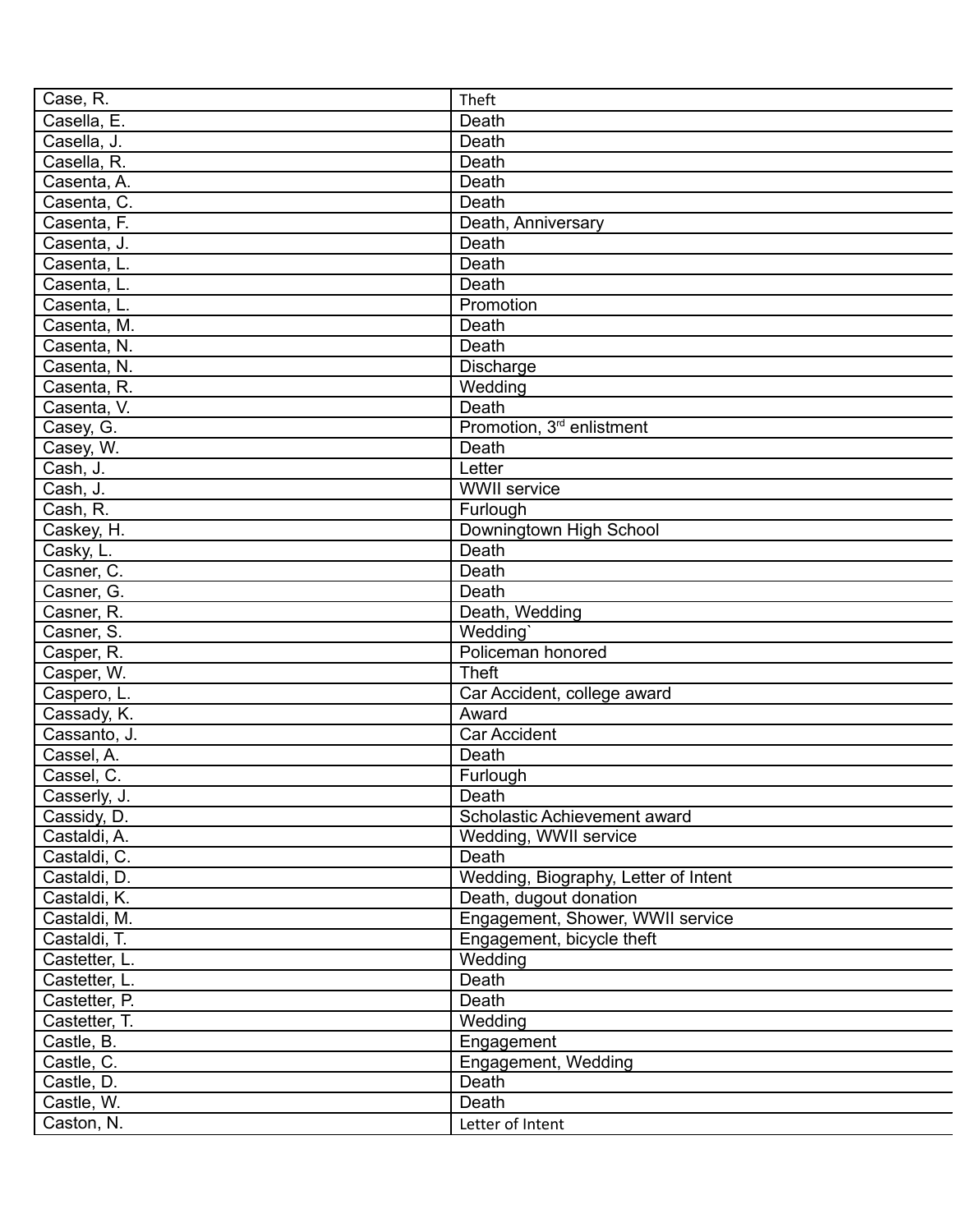| Case, R.                    | Theft                                 |
|-----------------------------|---------------------------------------|
| Casella, E.                 | Death                                 |
| Casella, J.                 | Death                                 |
| Casella, R.                 | Death                                 |
| Casenta, A.                 | Death                                 |
| Casenta, C.                 | Death                                 |
| Casenta, F.                 | Death, Anniversary                    |
| Casenta, J.                 | Death                                 |
| Casenta, L.                 | Death                                 |
| Casenta, L.                 | Death                                 |
| Casenta, L.                 | Promotion                             |
| Casenta, M.                 | Death                                 |
| Casenta, N.                 | Death                                 |
| Casenta, N.                 | Discharge                             |
| Casenta, R.                 | Wedding                               |
| Casenta, V.                 | Death                                 |
| Casey, G.                   | Promotion, 3 <sup>rd</sup> enlistment |
| Casey, W.                   | Death                                 |
| Cash, J.                    | Letter                                |
| Cash, J.                    | <b>WWII</b> service                   |
| Cash, R.                    | Furlough                              |
| Caskey, H.                  | Downingtown High School               |
| Casky, L.                   | Death                                 |
| Casner, C.                  | Death                                 |
| Casner, G.                  | Death                                 |
| Casner, R.                  | Death, Wedding                        |
| Casner, S.                  | Wedding'                              |
| Casper, R.                  | Policeman honored                     |
| Casper, W.                  | <b>Theft</b>                          |
| Caspero, L.                 | Car Accident, college award           |
| Cassady, K.                 | Award                                 |
| Cassanto, J.                | <b>Car Accident</b>                   |
| Cassel, A.                  | Death                                 |
| Cassel, C.                  | Furlough                              |
|                             | Death                                 |
| Casserly, J.<br>Cassidy, D. | Scholastic Achievement award          |
| Castaldi, A.                |                                       |
|                             | Wedding, WWII service<br>Death        |
| Castaldi, C.                |                                       |
| Castaldi, D.                | Wedding, Biography, Letter of Intent  |
| Castaldi, K.                | Death, dugout donation                |
| Castaldi, M.                | Engagement, Shower, WWII service      |
| Castaldi, T.                | Engagement, bicycle theft             |
| Castetter, L.               | Wedding                               |
| Castetter, L.               | Death                                 |
| Castetter, P.               | Death                                 |
| Castetter, T.               | Wedding                               |
| Castle, B.                  | Engagement                            |
| Castle, C.                  | Engagement, Wedding                   |
| Castle, D.                  | Death                                 |
| Castle, W.                  | Death                                 |
| Caston, N.                  | Letter of Intent                      |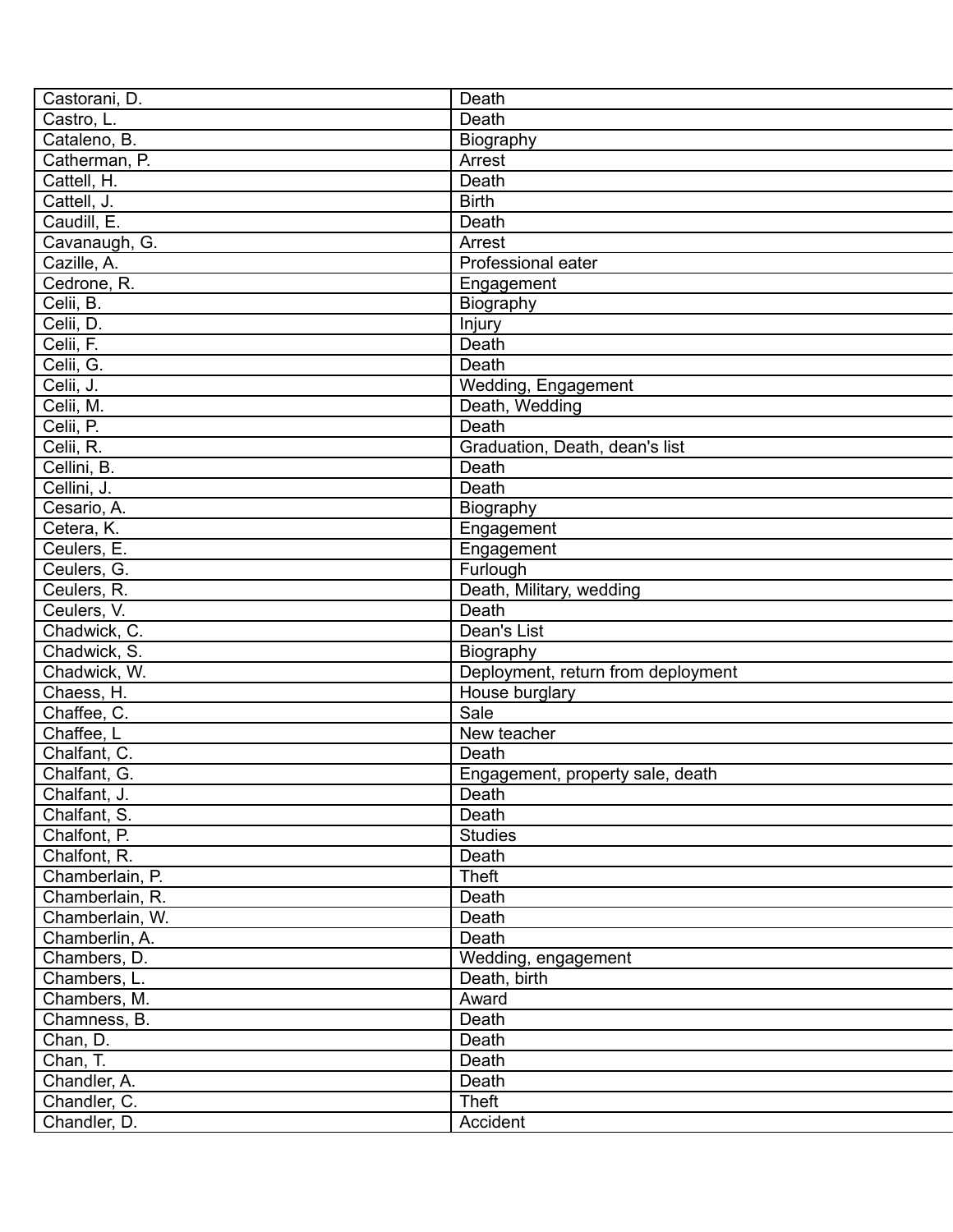| Castorani, D.   | Death                              |
|-----------------|------------------------------------|
| Castro, L.      | Death                              |
| Cataleno, B.    | Biography                          |
| Catherman, P.   | Arrest                             |
| Cattell, H.     | <b>Death</b>                       |
| Cattell, J.     | <b>Birth</b>                       |
| Caudill, E.     | Death                              |
| Cavanaugh, G.   | Arrest                             |
| Cazille, A.     | Professional eater                 |
| Cedrone, R.     | Engagement                         |
| Celii, B.       | Biography                          |
| Celii, D.       | Injury                             |
| Celii, F.       | Death                              |
| Celii, G.       | Death                              |
| Celii, J.       | Wedding, Engagement                |
| Celii, M.       | Death, Wedding                     |
| Celii, P.       | Death                              |
| Celii, R.       | Graduation, Death, dean's list     |
| Cellini, B.     | Death                              |
| Cellini, J.     | Death                              |
| Cesario, A.     | Biography                          |
| Cetera, K.      | Engagement                         |
| Ceulers, E.     | Engagement                         |
| Ceulers, G.     |                                    |
|                 | Furlough                           |
| Ceulers, R.     | Death, Military, wedding<br>Death  |
| Ceulers, V.     |                                    |
| Chadwick, C.    | Dean's List                        |
| Chadwick, S.    | Biography                          |
| Chadwick, W.    | Deployment, return from deployment |
| Chaess, H.      | House burglary                     |
| Chaffee, C.     | Sale                               |
| Chaffee, L      | New teacher                        |
| Chalfant, C.    | Death                              |
| Chalfant, G.    | Engagement, property sale, death   |
| Chalfant, J.    | Death                              |
| Chalfant, S.    | Death                              |
| Chalfont, P.    | <b>Studies</b>                     |
| Chalfont, R.    | Death                              |
| Chamberlain, P. | <b>Theft</b>                       |
| Chamberlain, R. | Death                              |
| Chamberlain, W. | Death                              |
| Chamberlin, A.  | Death                              |
| Chambers, D.    | Wedding, engagement                |
| Chambers, L.    | Death, birth                       |
| Chambers, M.    | Award                              |
| Chamness, B.    | Death                              |
| Chan, D.        | Death                              |
| Chan, T.        | Death                              |
| Chandler, A.    | Death                              |
| Chandler, C.    | <b>Theft</b>                       |
| Chandler, D.    | Accident                           |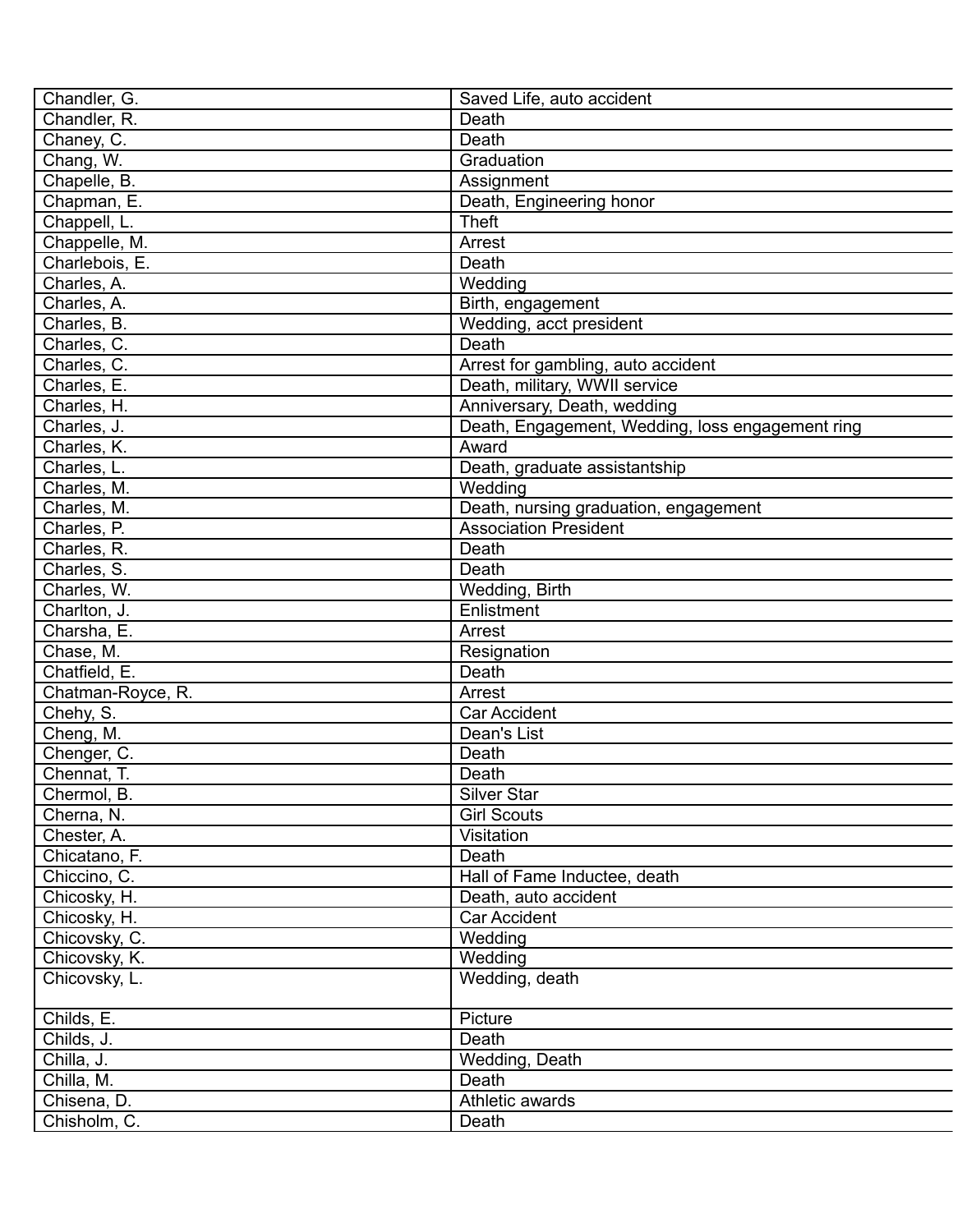| Chandler, G.      | Saved Life, auto accident                        |
|-------------------|--------------------------------------------------|
| Chandler, R.      | Death                                            |
| Chaney, C.        | Death                                            |
| Chang, W.         | Graduation                                       |
| Chapelle, B.      | Assignment                                       |
| Chapman, E.       | Death, Engineering honor                         |
| Chappell, L.      | <b>Theft</b>                                     |
| Chappelle, M.     | Arrest                                           |
| Charlebois, E.    | Death                                            |
| Charles, A.       | Wedding                                          |
| Charles, A.       | Birth, engagement                                |
| Charles, B.       | Wedding, acct president                          |
| Charles, C.       | Death                                            |
| Charles, C.       | Arrest for gambling, auto accident               |
| Charles, E.       | Death, military, WWII service                    |
| Charles, H.       | Anniversary, Death, wedding                      |
| Charles, J.       | Death, Engagement, Wedding, loss engagement ring |
| Charles, K.       | Award                                            |
| Charles, L.       | Death, graduate assistantship                    |
| Charles, M.       | Wedding                                          |
| Charles, M.       | Death, nursing graduation, engagement            |
| Charles, P.       | <b>Association President</b>                     |
| Charles, R.       | Death                                            |
| Charles, S.       | Death                                            |
| Charles, W.       | Wedding, Birth                                   |
| Charlton, J.      | Enlistment                                       |
| Charsha, E.       | Arrest                                           |
| Chase, M.         | Resignation                                      |
| Chatfield, E.     | Death                                            |
| Chatman-Royce, R. | Arrest                                           |
| Chehy, S.         | <b>Car Accident</b>                              |
| Cheng, M.         | Dean's List                                      |
| Chenger, C.       | Death                                            |
| Chennat, T.       | Death                                            |
| Chermol, B.       | Silver Star                                      |
| Cherna, N.        | <b>Girl Scouts</b>                               |
| Chester, A.       | Visitation                                       |
| Chicatano, F.     | Death                                            |
| Chiccino, C.      | Hall of Fame Inductee, death                     |
| Chicosky, H.      | Death, auto accident                             |
| Chicosky, H.      | <b>Car Accident</b>                              |
| Chicovsky, C.     | Wedding                                          |
| Chicovsky, K.     | Wedding                                          |
| Chicovsky, L.     | Wedding, death                                   |
|                   |                                                  |
| Childs, E.        | Picture                                          |
| Childs, J.        | Death                                            |
| Chilla, J.        | Wedding, Death                                   |
| Chilla, M.        | Death                                            |
| Chisena, D.       | Athletic awards                                  |
| Chisholm, C.      | Death                                            |
|                   |                                                  |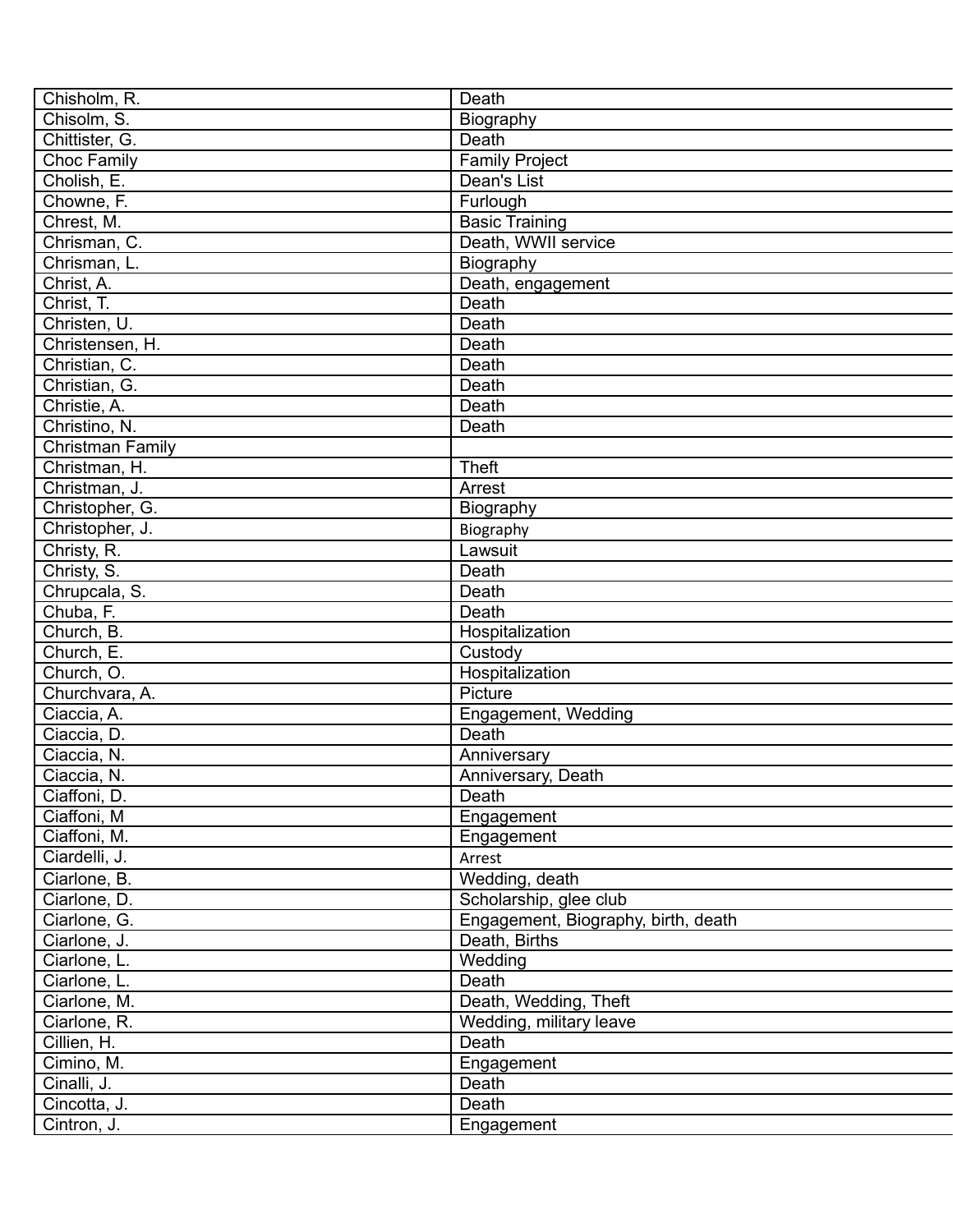| Chisholm, R.       | Death                               |
|--------------------|-------------------------------------|
| Chisolm, S.        | Biography                           |
| Chittister, G.     | Death                               |
| <b>Choc Family</b> | <b>Family Project</b>               |
| Cholish, E.        | Dean's List                         |
| Chowne, F.         | Furlough                            |
| Chrest, M.         | <b>Basic Training</b>               |
| Chrisman, C.       | Death, WWII service                 |
| Chrisman, L.       | Biography                           |
| Christ, A.         | Death, engagement                   |
| Christ, T.         | Death                               |
| Christen, U.       | Death                               |
| Christensen, H.    | Death                               |
| Christian, C.      | Death                               |
| Christian, G.      | Death                               |
| Christie, A.       | Death                               |
| Christino, N.      | Death                               |
| Christman Family   |                                     |
| Christman, H.      | <b>Theft</b>                        |
| Christman, J.      | Arrest                              |
| Christopher, G.    | Biography                           |
| Christopher, J.    | Biography                           |
| Christy, R.        | Lawsuit                             |
| Christy, S.        | Death                               |
| Chrupcala, S.      | Death                               |
| Chuba, F.          | Death                               |
| Church, B.         | Hospitalization                     |
| Church, E.         | Custody                             |
| Church, O.         | Hospitalization                     |
| Churchvara, A.     | Picture                             |
|                    |                                     |
| Ciaccia, A.        | Engagement, Wedding<br>Death        |
| Ciaccia, D.        |                                     |
| Ciaccia, N.        | Anniversary                         |
| Ciaccia, N.        | Anniversary, Death                  |
| Ciaffoni, D.       | Death                               |
| Ciaffoni, M        | Engagement                          |
| Ciaffoni, M.       | Engagement                          |
| Ciardelli, J.      | Arrest                              |
| Ciarlone, B.       | Wedding, death                      |
| Ciarlone, D.       | Scholarship, glee club              |
| Ciarlone, G.       | Engagement, Biography, birth, death |
| Ciarlone, J.       | Death, Births                       |
| Ciarlone, L.       | Wedding                             |
| Ciarlone, L.       | Death                               |
| Ciarlone, M.       | Death, Wedding, Theft               |
| Ciarlone, R.       | Wedding, military leave             |
| Cillien, H.        | Death                               |
| Cimino, M.         | Engagement                          |
| Cinalli, J.        | Death                               |
| Cincotta, J.       | Death                               |
| Cintron, J.        | Engagement                          |
|                    |                                     |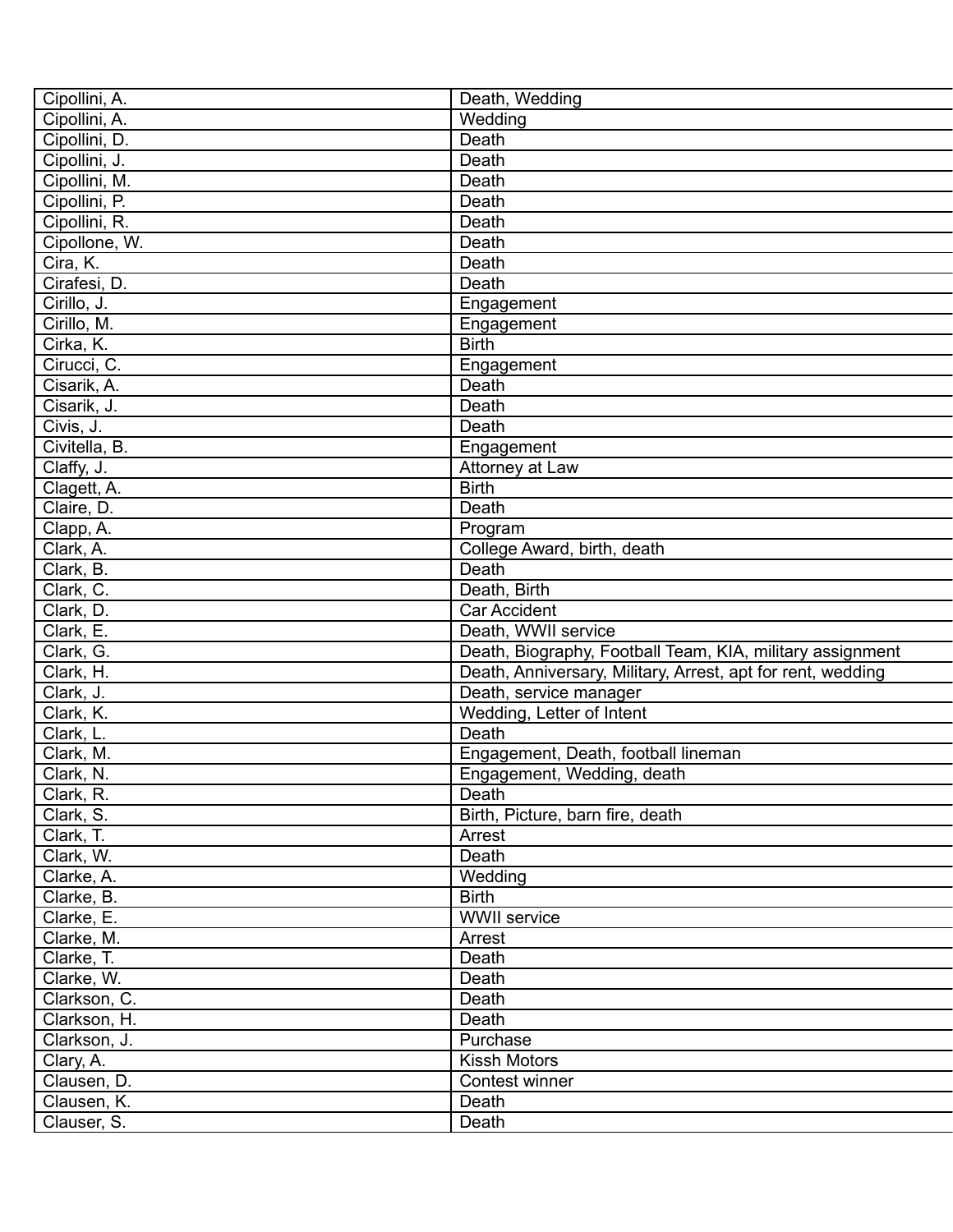| Cipollini, A. | Death, Wedding                                              |
|---------------|-------------------------------------------------------------|
| Cipollini, A. | Wedding                                                     |
| Cipollini, D. | Death                                                       |
| Cipollini, J. | Death                                                       |
| Cipollini, M. | Death                                                       |
| Cipollini, P. | Death                                                       |
| Cipollini, R. | Death                                                       |
| Cipollone, W. | Death                                                       |
| Cira, K.      | Death                                                       |
| Cirafesi, D.  | Death                                                       |
| Cirillo, J.   | Engagement                                                  |
| Cirillo, M.   | Engagement                                                  |
| Cirka, K.     | <b>Birth</b>                                                |
| Cirucci, C.   | Engagement                                                  |
| Cisarik, A.   | Death                                                       |
| Cisarik, J.   | Death                                                       |
| Civis, J.     | Death                                                       |
| Civitella, B. | Engagement                                                  |
| Claffy, J.    | Attorney at Law                                             |
| Clagett, A.   | <b>Birth</b>                                                |
| Claire, D.    | Death                                                       |
| Clapp, A.     | Program                                                     |
| Clark, A.     | College Award, birth, death                                 |
| Clark, B.     | Death                                                       |
| Clark, C.     | Death, Birth                                                |
| Clark, D.     | <b>Car Accident</b>                                         |
| Clark, E.     | Death, WWII service                                         |
| Clark, G.     | Death, Biography, Football Team, KIA, military assignment   |
| Clark, H.     | Death, Anniversary, Military, Arrest, apt for rent, wedding |
| Clark, J.     | Death, service manager                                      |
| Clark, K.     | Wedding, Letter of Intent                                   |
| Clark, L.     | Death                                                       |
| Clark, M.     | Engagement, Death, football lineman                         |
| Clark, N.     | Engagement, Wedding, death                                  |
| Clark, R.     | Death                                                       |
| Clark, S.     | Birth, Picture, barn fire, death                            |
| Clark, T.     | Arrest                                                      |
| Clark, W.     | Death                                                       |
| Clarke, A.    | Wedding                                                     |
| Clarke, B.    | <b>Birth</b>                                                |
| Clarke, E.    | <b>WWII</b> service                                         |
| Clarke, M.    | Arrest                                                      |
| Clarke, T.    | Death                                                       |
| Clarke, W.    | Death                                                       |
| Clarkson, C.  | Death                                                       |
| Clarkson, H.  | Death                                                       |
| Clarkson, J.  | Purchase                                                    |
| Clary, A.     | <b>Kissh Motors</b>                                         |
| Clausen, D.   | Contest winner                                              |
|               | Death                                                       |
| Clausen, K.   |                                                             |
| Clauser, S.   | Death                                                       |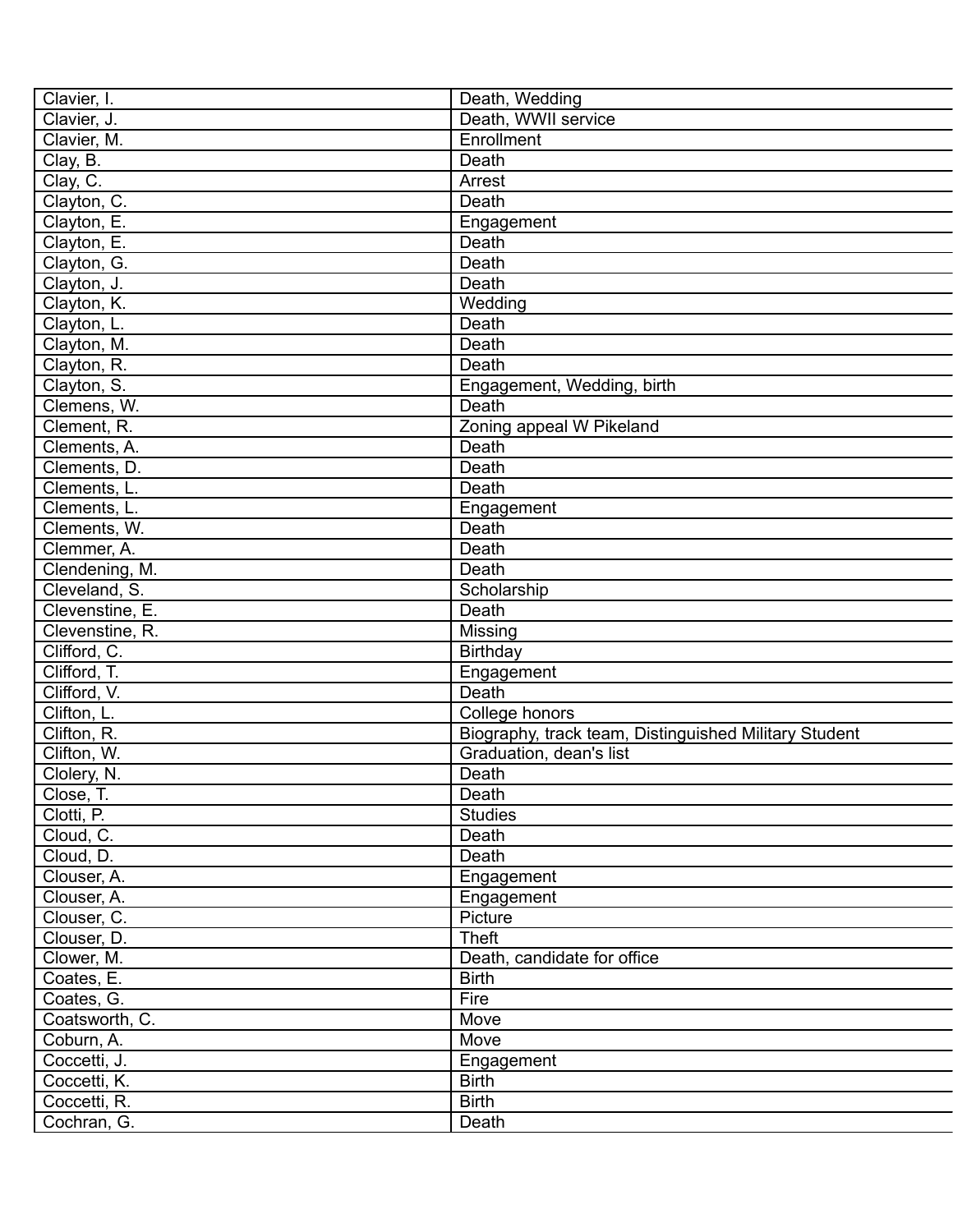| Clavier, I.     | Death, Wedding                                                                   |
|-----------------|----------------------------------------------------------------------------------|
| Clavier, J.     | Death, WWII service                                                              |
| Clavier, M.     | Enrollment                                                                       |
| Clay, B.        | Death                                                                            |
| Clay, C.        | Arrest                                                                           |
| Clayton, C.     | Death                                                                            |
| Clayton, E.     | Engagement                                                                       |
| Clayton, E.     | Death                                                                            |
| Clayton, G.     | Death                                                                            |
| Clayton, J.     | Death                                                                            |
| Clayton, K.     | Wedding                                                                          |
| Clayton, L.     | Death                                                                            |
| Clayton, M.     | Death                                                                            |
| Clayton, R.     | Death                                                                            |
| Clayton, S.     | Engagement, Wedding, birth                                                       |
| Clemens, W.     | Death                                                                            |
| Clement, R.     | Zoning appeal W Pikeland                                                         |
| Clements, A.    | Death                                                                            |
| Clements, D.    | Death                                                                            |
| Clements, L.    | Death                                                                            |
| Clements, L.    | Engagement                                                                       |
| Clements, W.    | Death                                                                            |
| Clemmer, A.     | Death                                                                            |
| Clendening, M.  | Death                                                                            |
| Cleveland, S.   | Scholarship                                                                      |
| Clevenstine, E. | Death                                                                            |
| Clevenstine, R. | Missing                                                                          |
| Clifford, C.    | Birthday                                                                         |
| Clifford, T.    | Engagement                                                                       |
| Clifford, V.    | Death                                                                            |
| Clifton, L.     | College honors                                                                   |
| Clifton, R.     |                                                                                  |
| Clifton, W.     | Biography, track team, Distinguished Military Student<br>Graduation, dean's list |
| Clolery, N.     | Death                                                                            |
|                 |                                                                                  |
| Close, T.       | Death                                                                            |
| Clotti, P.      | <b>Studies</b>                                                                   |
| Cloud, C.       | Death                                                                            |
| Cloud, D.       | Death                                                                            |
| Clouser, A.     | Engagement                                                                       |
| Clouser, A.     | Engagement                                                                       |
| Clouser, C.     | Picture                                                                          |
| Clouser, D.     | <b>Theft</b>                                                                     |
| Clower, M.      | Death, candidate for office                                                      |
| Coates, E.      | <b>Birth</b>                                                                     |
| Coates, G.      | Fire                                                                             |
| Coatsworth, C.  | Move                                                                             |
| Coburn, A.      | Move                                                                             |
| Coccetti, J.    | Engagement                                                                       |
| Coccetti, K.    | <b>Birth</b>                                                                     |
| Coccetti, R.    | <b>Birth</b>                                                                     |
| Cochran, G.     | Death                                                                            |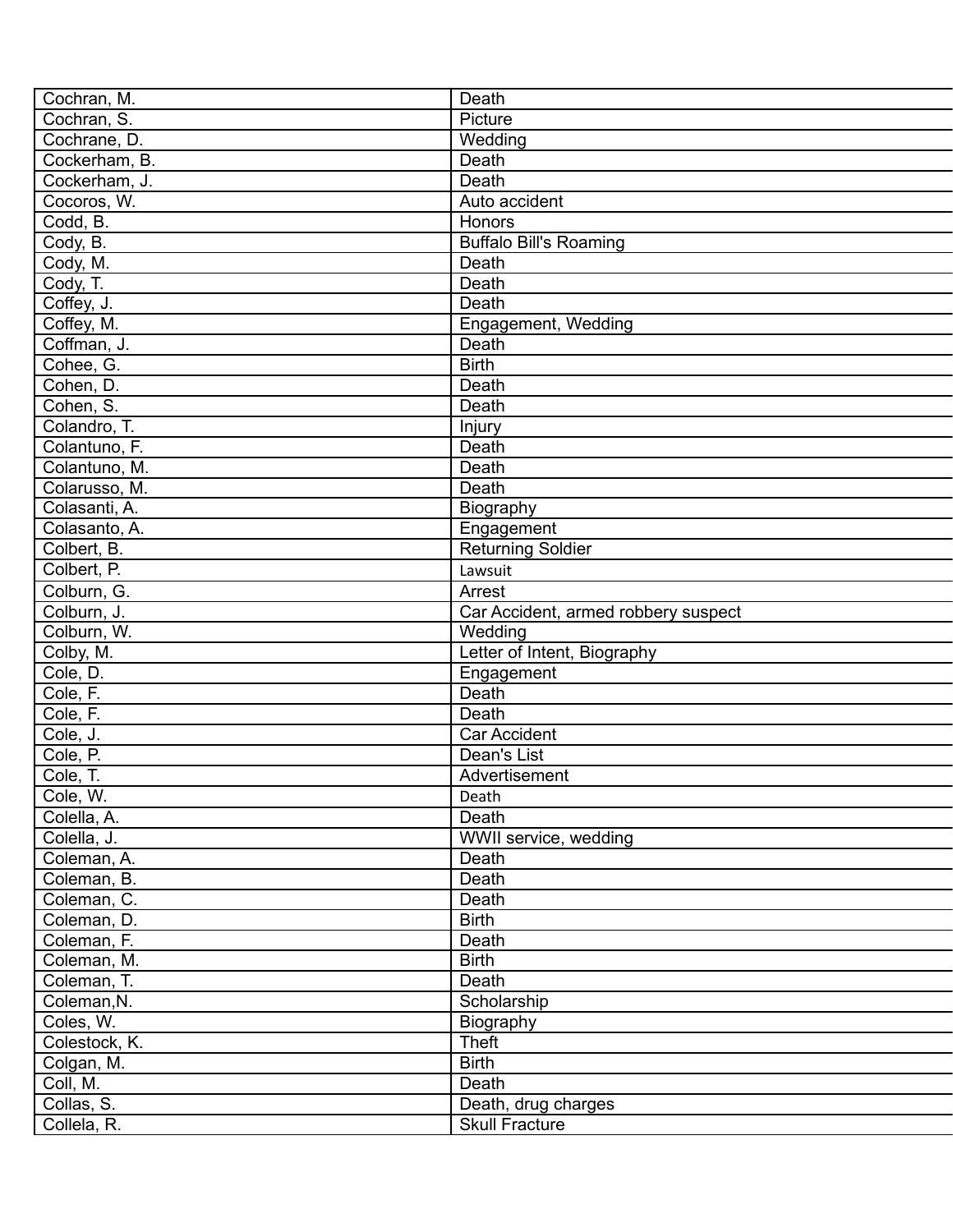| Cochran, M.   | Death                               |
|---------------|-------------------------------------|
| Cochran, S.   | Picture                             |
| Cochrane, D.  | Wedding                             |
| Cockerham, B. | Death                               |
| Cockerham, J. | Death                               |
| Cocoros, W.   | Auto accident                       |
| Codd, B.      | <b>Honors</b>                       |
| Cody, B.      | <b>Buffalo Bill's Roaming</b>       |
| Cody, M.      | Death                               |
| Cody, T.      | Death                               |
| Coffey, J.    | Death                               |
| Coffey, M.    | Engagement, Wedding                 |
| Coffman, J.   | Death                               |
| Cohee, G.     | <b>Birth</b>                        |
| Cohen, D.     | Death                               |
| Cohen, S.     | Death                               |
| Colandro, T.  | Injury                              |
| Colantuno, F. | Death                               |
| Colantuno, M. | Death                               |
| Colarusso, M. | Death                               |
| Colasanti, A. | Biography                           |
| Colasanto, A. | Engagement                          |
| Colbert, B.   | <b>Returning Soldier</b>            |
| Colbert, P.   | Lawsuit                             |
| Colburn, G.   | Arrest                              |
| Colburn, J.   | Car Accident, armed robbery suspect |
| Colburn, W.   | Wedding                             |
| Colby, M.     | Letter of Intent, Biography         |
| Cole, D.      | Engagement                          |
| Cole, F.      | Death                               |
| Cole, F.      | Death                               |
| Cole, J.      | <b>Car Accident</b>                 |
| Cole, P.      | Dean's List                         |
| Cole, T.      | Advertisement                       |
| Cole, W.      | Death                               |
| Colella, A.   | Death                               |
| Colella, J.   | WWII service, wedding               |
| Coleman, A.   | Death                               |
| Coleman, B.   | Death                               |
| Coleman, C.   | Death                               |
| Coleman, D.   | <b>Birth</b>                        |
| Coleman, F.   | Death                               |
| Coleman, M.   | <b>Birth</b>                        |
| Coleman, T.   | Death                               |
| Coleman, N.   | Scholarship                         |
| Coles, W.     | Biography                           |
| Colestock, K. | Theft                               |
| Colgan, M.    | <b>Birth</b>                        |
| Coll, M.      | Death                               |
|               |                                     |
| Collas, S.    | Death, drug charges                 |
| Collela, R.   | <b>Skull Fracture</b>               |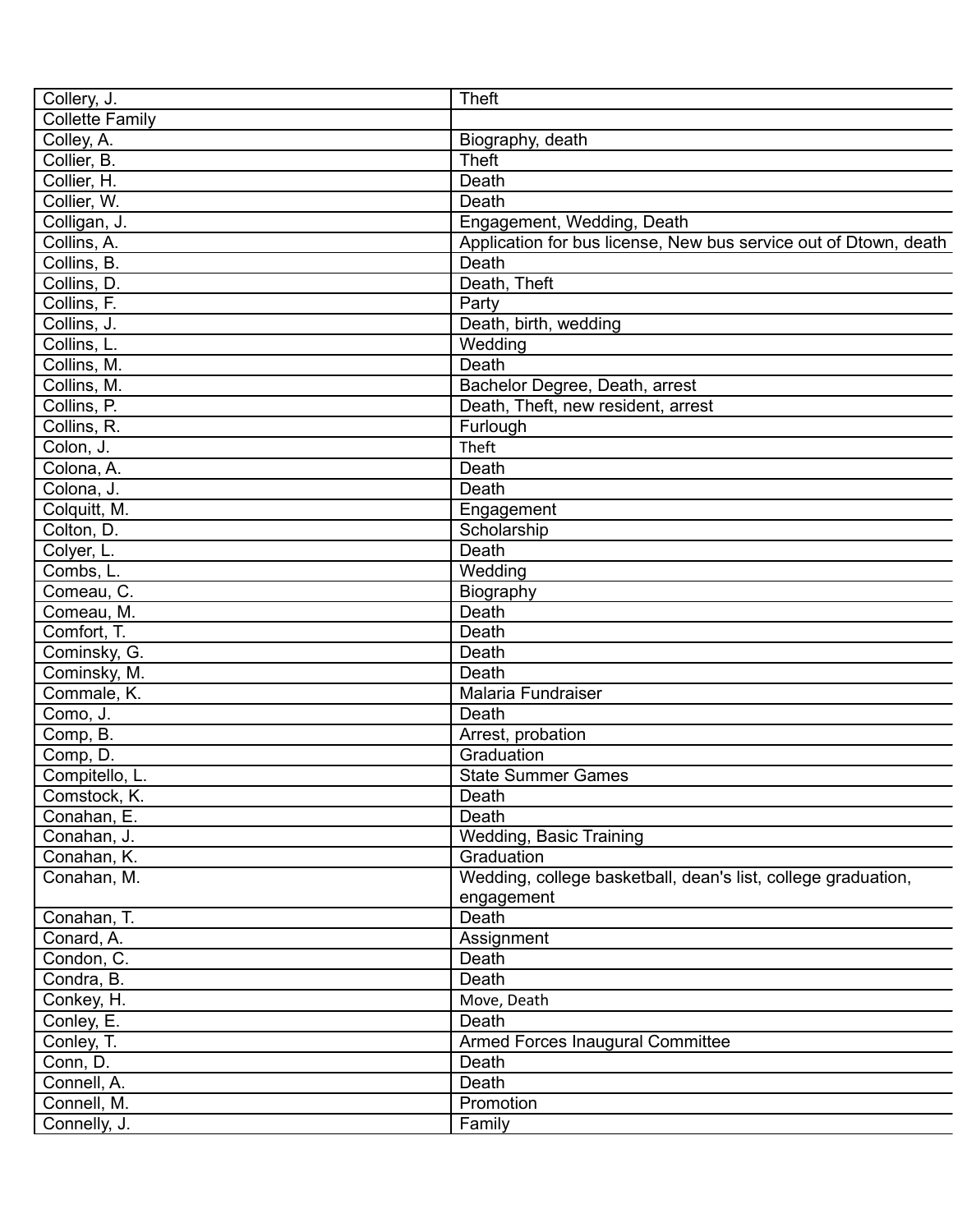| Collery, J.            | <b>Theft</b>                                                     |
|------------------------|------------------------------------------------------------------|
| <b>Collette Family</b> |                                                                  |
| Colley, A.             | Biography, death                                                 |
| Collier, B.            | <b>Theft</b>                                                     |
| Collier, H.            | Death                                                            |
| Collier, W.            | Death                                                            |
| Colligan, J.           | Engagement, Wedding, Death                                       |
| Collins, A.            | Application for bus license, New bus service out of Dtown, death |
| Collins, B.            | Death                                                            |
| Collins, D.            | Death, Theft                                                     |
| Collins, F.            | Party                                                            |
| Collins, J.            | Death, birth, wedding                                            |
| Collins, L.            | Wedding                                                          |
| Collins, M.            | Death                                                            |
| Collins, M.            | Bachelor Degree, Death, arrest                                   |
| Collins, P.            | Death, Theft, new resident, arrest                               |
| Collins, R.            | Furlough                                                         |
| Colon, J.              | Theft                                                            |
| Colona, A.             | Death                                                            |
|                        |                                                                  |
| Colona, J.             | Death                                                            |
| Colquitt, M.           | Engagement                                                       |
| Colton, D.             | Scholarship                                                      |
| Colyer, L.             | Death                                                            |
| Combs, L.              | Wedding                                                          |
| Comeau, C.             | Biography                                                        |
| Comeau, M.             | Death                                                            |
| Comfort, T.            | Death                                                            |
| Cominsky, G.           | Death                                                            |
| Cominsky, M.           | Death                                                            |
| Commale, K.            | Malaria Fundraiser                                               |
| Como, J.               | Death                                                            |
| Comp, B.               | Arrest, probation                                                |
| Comp, D.               | Graduation                                                       |
| Compitello, L.         | <b>State Summer Games</b>                                        |
| Comstock, K.           | Death                                                            |
| Conahan, E.            | Death                                                            |
| Conahan, J.            | Wedding, Basic Training                                          |
| Conahan, K.            | Graduation                                                       |
| Conahan, M.            | Wedding, college basketball, dean's list, college graduation,    |
|                        | engagement                                                       |
| Conahan, T.            | Death                                                            |
| Conard, A.             | Assignment                                                       |
| Condon, C.             | Death                                                            |
| Condra, B.             | Death                                                            |
| Conkey, H.             | Move, Death                                                      |
| Conley, E.             | Death                                                            |
| Conley, T.             | Armed Forces Inaugural Committee                                 |
| Conn, D.               | Death                                                            |
| Connell, A.            | Death                                                            |
| Connell, M.            | Promotion                                                        |
| Connelly, J.           | Family                                                           |
|                        |                                                                  |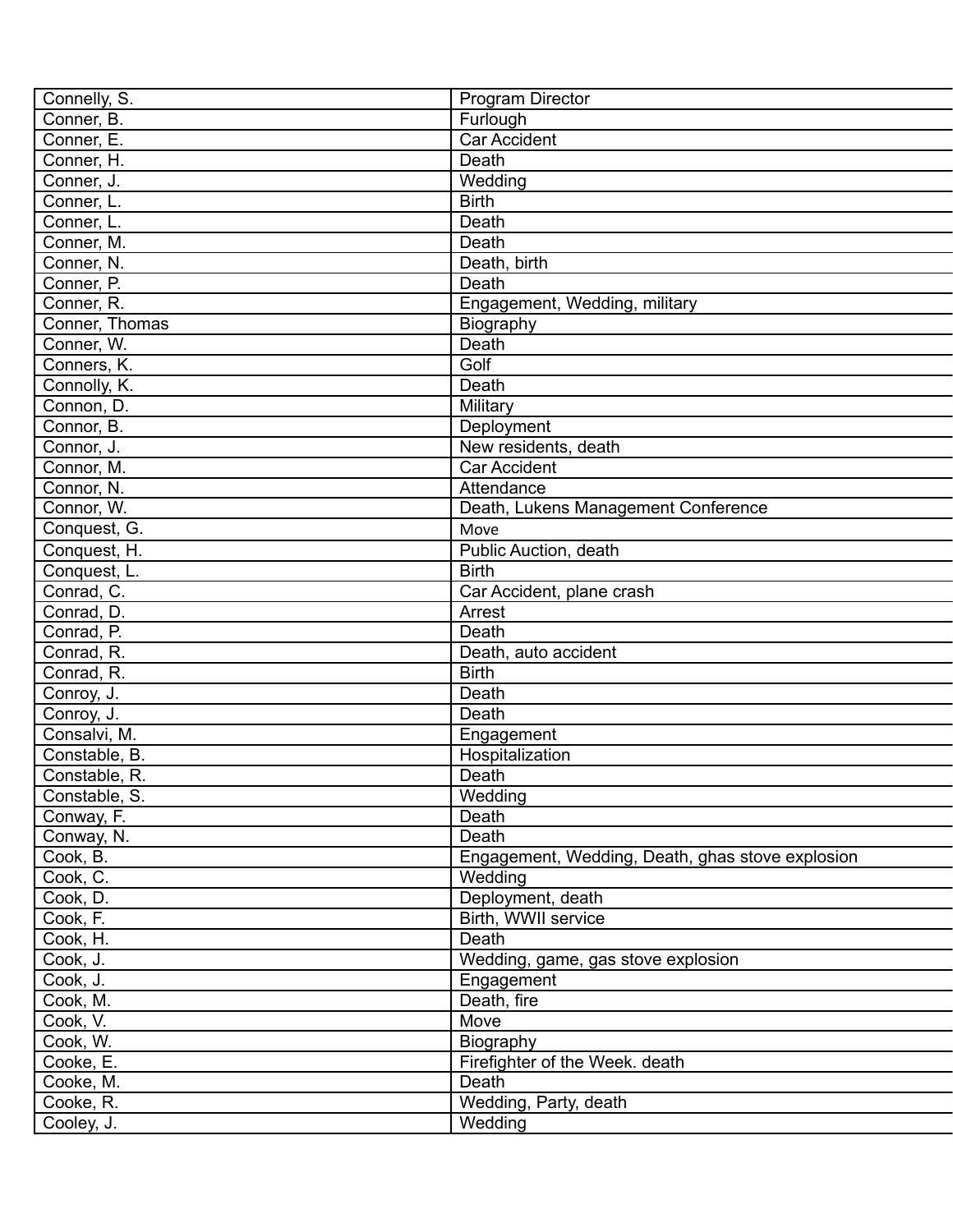| Connelly, S.   | Program Director                                 |
|----------------|--------------------------------------------------|
| Conner, B.     | Furlough                                         |
| Conner, E.     | <b>Car Accident</b>                              |
| Conner, H.     | Death                                            |
| Conner, J.     | Wedding                                          |
| Conner, L.     | <b>Birth</b>                                     |
| Conner, L.     | Death                                            |
| Conner, M.     | Death                                            |
| Conner, N.     | Death, birth                                     |
| Conner, P.     | Death                                            |
| Conner, R.     | Engagement, Wedding, military                    |
| Conner, Thomas | Biography                                        |
| Conner, W.     | Death                                            |
| Conners, K.    | Golf                                             |
| Connolly, K.   | Death                                            |
| Connon, D.     | Military                                         |
| Connor, B.     | Deployment                                       |
| Connor, J.     | New residents, death                             |
| Connor, M.     | <b>Car Accident</b>                              |
| Connor, N.     | Attendance                                       |
| Connor, W.     | Death, Lukens Management Conference              |
| Conquest, G.   | Move                                             |
| Conquest, H.   | Public Auction, death                            |
| Conquest, L.   | <b>Birth</b>                                     |
| Conrad, C.     | Car Accident, plane crash                        |
| Conrad, D.     | Arrest                                           |
| Conrad, P.     | Death                                            |
| Conrad, R.     | Death, auto accident                             |
|                | <b>Birth</b>                                     |
| Conrad, R.     |                                                  |
| Conroy, J.     | Death<br>Death                                   |
| Conroy, J.     |                                                  |
| Consalvi, M.   | Engagement                                       |
| Constable, B.  | Hospitalization                                  |
| Constable, R.  | Death                                            |
| Constable, S.  | Wedding                                          |
| Conway, F.     | Death                                            |
| Conway, N.     | Death                                            |
| Cook, B.       | Engagement, Wedding, Death, ghas stove explosion |
| Cook, C.       | Wedding                                          |
| Cook, D.       | Deployment, death                                |
| Cook, F.       | Birth, WWII service                              |
| Cook, H.       | <b>Death</b>                                     |
| Cook, J.       | Wedding, game, gas stove explosion               |
| Cook, J.       | Engagement                                       |
| Cook, M.       | Death, fire                                      |
| Cook, V.       | Move                                             |
| Cook, W.       | Biography                                        |
| Cooke, E.      | Firefighter of the Week. death                   |
| Cooke, M.      | Death                                            |
| Cooke, R.      | Wedding, Party, death                            |
| Cooley, J.     | Wedding                                          |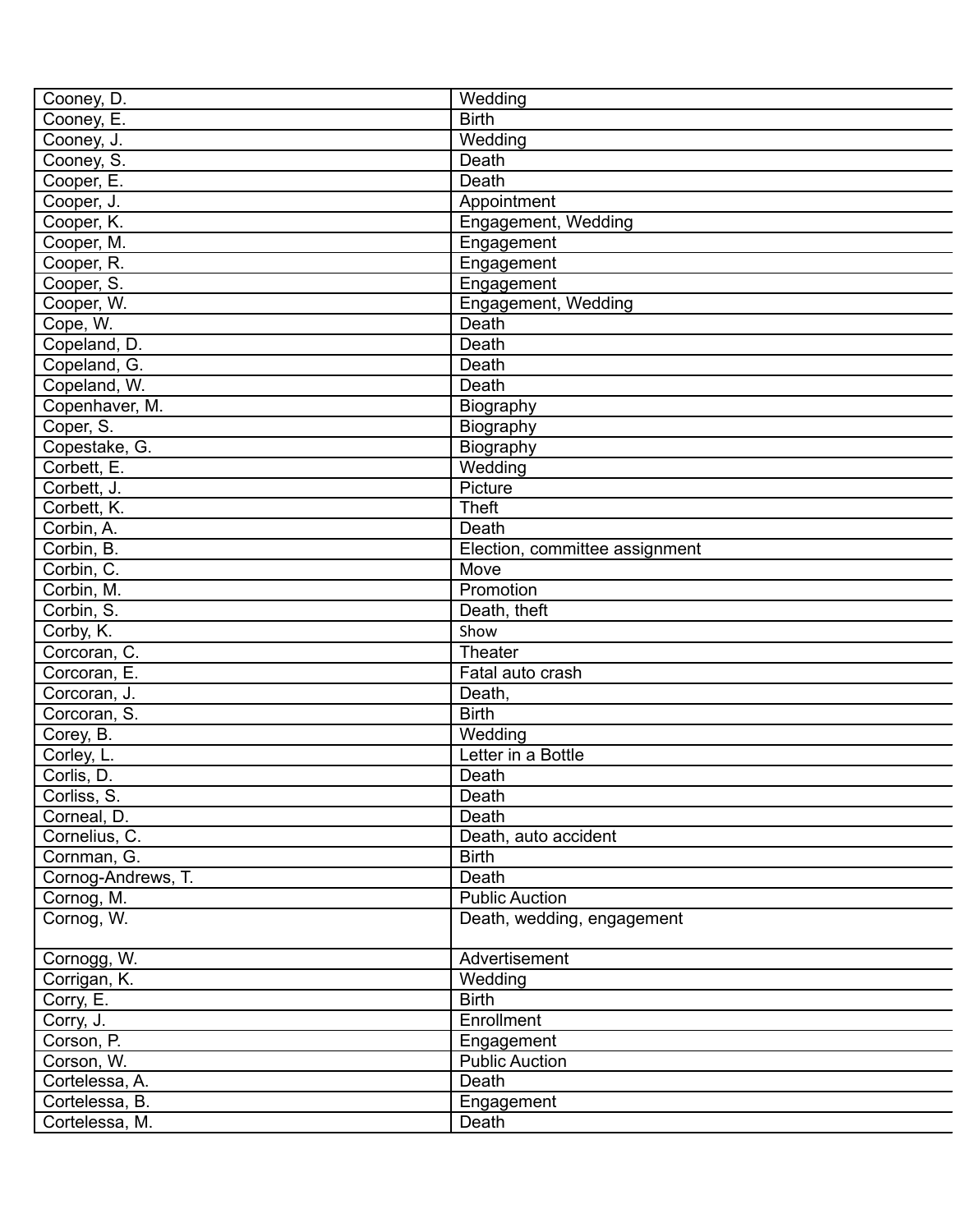| Cooney, D.         | Wedding                        |
|--------------------|--------------------------------|
| Cooney, E.         | <b>Birth</b>                   |
| Cooney, J.         | Wedding                        |
| Cooney, S.         | Death                          |
| Cooper, E.         | Death                          |
| Cooper, J.         | Appointment                    |
| Cooper, K.         | Engagement, Wedding            |
| Cooper, M.         | Engagement                     |
| Cooper, R.         | Engagement                     |
| Cooper, S.         | Engagement                     |
| Cooper, W.         | Engagement, Wedding            |
| Cope, W.           | Death                          |
| Copeland, D.       | Death                          |
| Copeland, G.       | Death                          |
| Copeland, W.       | Death                          |
| Copenhaver, M.     | Biography                      |
| Coper, S.          | Biography                      |
| Copestake, G.      | Biography                      |
| Corbett, E.        | Wedding                        |
| Corbett, J.        | Picture                        |
| Corbett, K.        | <b>Theft</b>                   |
| Corbin, A.         | Death                          |
| Corbin, B.         | Election, committee assignment |
| Corbin, C.         | Move                           |
| Corbin, M.         | Promotion                      |
| Corbin, S.         | Death, theft                   |
| Corby, K.          | Show                           |
| Corcoran, C.       | Theater                        |
| Corcoran, E.       | Fatal auto crash               |
| Corcoran, J.       | Death,                         |
| Corcoran, S.       | <b>Birth</b>                   |
| Corey, B.          | Wedding                        |
| Corley, L.         | Letter in a Bottle             |
| Corlis, D.         | Death                          |
| Corliss, S.        | Death                          |
| Corneal, D.        | Death                          |
| Cornelius, C.      | Death, auto accident           |
| Cornman, G.        | <b>Birth</b>                   |
| Cornog-Andrews, T. | Death                          |
| Cornog, M.         | <b>Public Auction</b>          |
| Cornog, W.         | Death, wedding, engagement     |
|                    |                                |
| Cornogg, W.        | Advertisement                  |
| Corrigan, K.       | Wedding                        |
| Corry, E.          | <b>Birth</b>                   |
| Corry, J.          | Enrollment                     |
| Corson, P.         | Engagement                     |
| Corson, W.         | <b>Public Auction</b>          |
| Cortelessa, A.     | Death                          |
| Cortelessa, B.     | Engagement                     |
| Cortelessa, M.     | Death                          |
|                    |                                |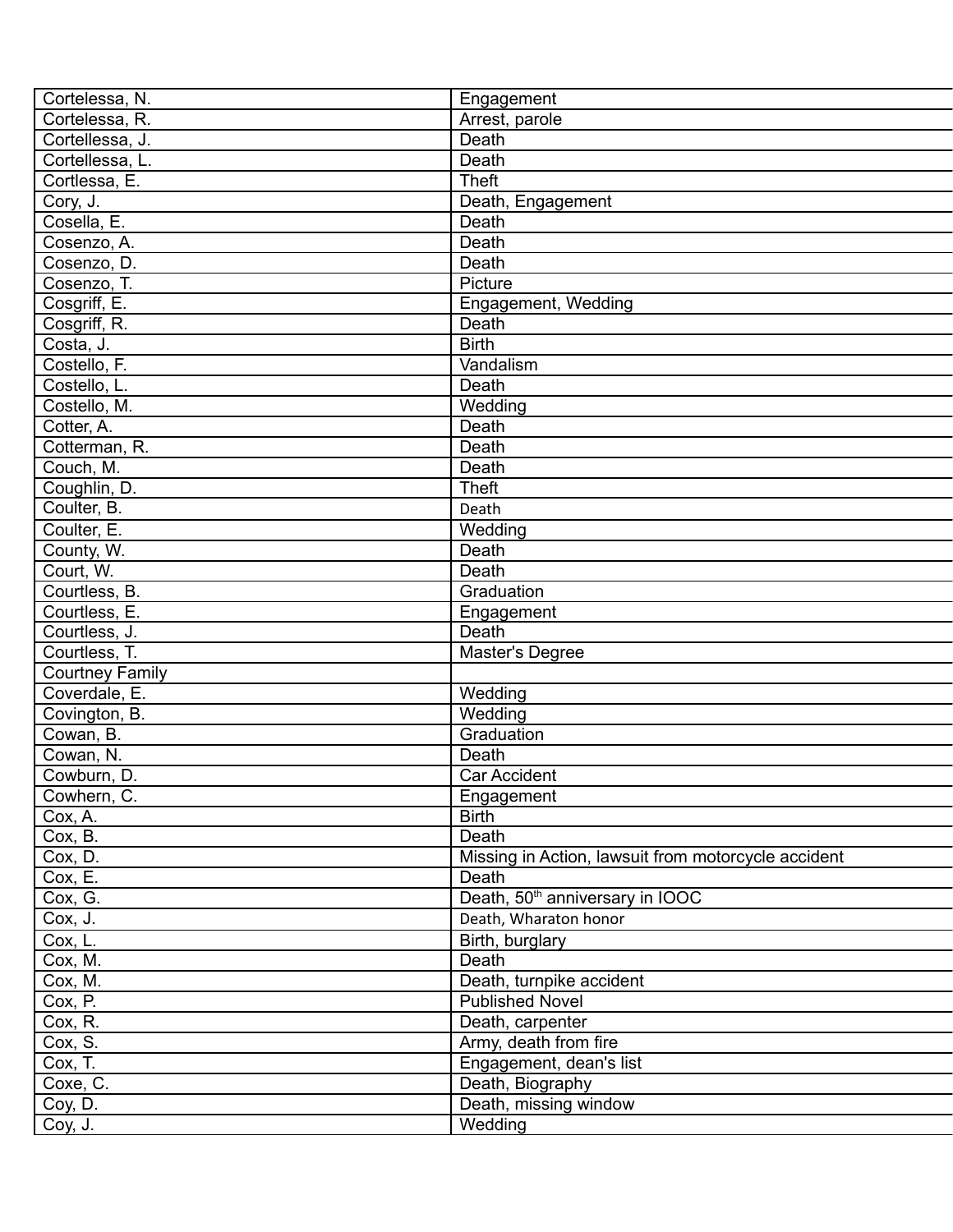| Cortelessa, N.         | Engagement                                          |
|------------------------|-----------------------------------------------------|
| Cortelessa, R.         | Arrest, parole                                      |
| Cortellessa, J.        | <b>Death</b>                                        |
| Cortellessa, L.        | Death                                               |
| Cortlessa, E.          | <b>Theft</b>                                        |
| Cory, J.               | Death, Engagement                                   |
| Cosella, E.            | Death                                               |
| Cosenzo, A.            | <b>Death</b>                                        |
| Cosenzo, D.            | Death                                               |
| Cosenzo, T.            | Picture                                             |
| Cosgriff, E.           | Engagement, Wedding                                 |
| Cosgriff, R.           | Death                                               |
| Costa, J.              | <b>Birth</b>                                        |
| Costello, F.           | Vandalism                                           |
| Costello, L.           | Death                                               |
| Costello, M.           | Wedding                                             |
| Cotter, A.             | Death                                               |
| Cotterman, R.          | Death                                               |
| Couch, M.              | Death                                               |
| Coughlin, D.           | <b>Theft</b>                                        |
| Coulter, B.            | Death                                               |
| Coulter, E.            | Wedding                                             |
|                        | Death                                               |
| County, W.             | Death                                               |
| Court, W.              |                                                     |
| Courtless, B.          | Graduation                                          |
| Courtless, E.          | Engagement                                          |
| Courtless, J.          | Death                                               |
| Courtless, T.          | Master's Degree                                     |
| <b>Courtney Family</b> |                                                     |
| Coverdale, E.          | Wedding                                             |
| Covington, B.          | Wedding                                             |
| Cowan, B.              | Graduation                                          |
| Cowan, N.              | Death                                               |
| Cowburn, D.            | <b>Car Accident</b>                                 |
| Cowhern, C.            | Engagement                                          |
| Cox, A.                | <b>Birth</b>                                        |
| Cox, B.                | Death                                               |
| Cox, D.                | Missing in Action, lawsuit from motorcycle accident |
| Cox, E.                | Death                                               |
| Cox, G.                | Death, 50 <sup>th</sup> anniversary in IOOC         |
| Cox, J.                | Death, Wharaton honor                               |
| Cox, L.                | Birth, burglary                                     |
| Cox, M.                | Death                                               |
| Cox, M.                | Death, turnpike accident                            |
| Cox, P.                | <b>Published Novel</b>                              |
| Cox, R.                | Death, carpenter                                    |
| Cox, S.                | Army, death from fire                               |
| Cox, T.                | Engagement, dean's list                             |
| Coxe, C.               | Death, Biography                                    |
| Coy, D.                | Death, missing window                               |
| Coy, J.                | Wedding                                             |
|                        |                                                     |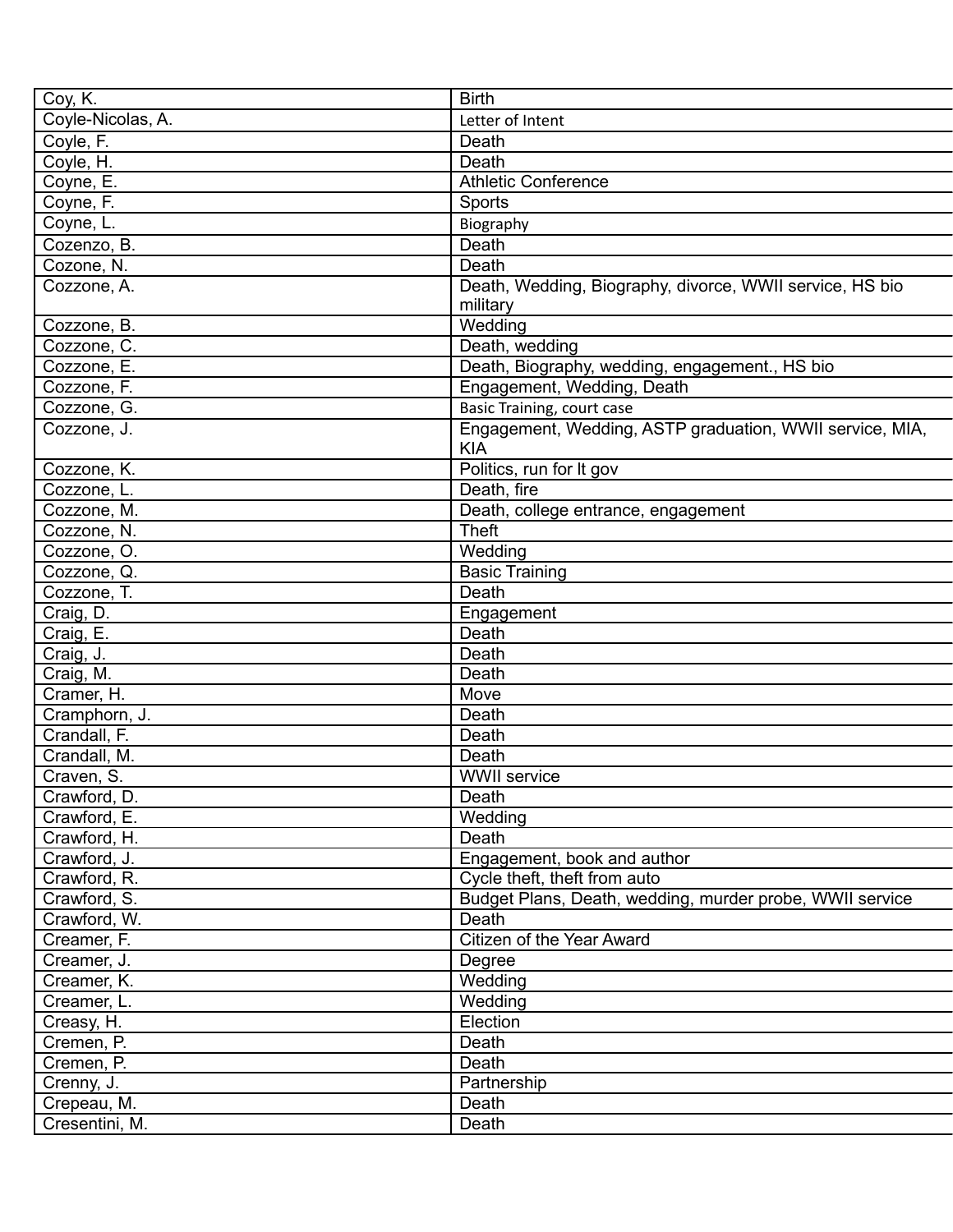| Coy, K.           | <b>Birth</b>                                             |
|-------------------|----------------------------------------------------------|
| Coyle-Nicolas, A. | Letter of Intent                                         |
| Coyle, F.         | Death                                                    |
| Coyle, H.         | Death                                                    |
| Coyne, E.         | <b>Athletic Conference</b>                               |
| Coyne, F.         | Sports                                                   |
| Coyne, L.         | Biography                                                |
| Cozenzo, B.       | Death                                                    |
| Cozone, N.        | Death                                                    |
| Cozzone, A.       | Death, Wedding, Biography, divorce, WWII service, HS bio |
|                   | military                                                 |
| Cozzone, B.       | Wedding                                                  |
| Cozzone, C.       | Death, wedding                                           |
| Cozzone, E.       | Death, Biography, wedding, engagement., HS bio           |
| Cozzone, F.       | Engagement, Wedding, Death                               |
| Cozzone, G.       | <b>Basic Training, court case</b>                        |
| Cozzone, J.       | Engagement, Wedding, ASTP graduation, WWII service, MIA, |
|                   | <b>KIA</b>                                               |
| Cozzone, K.       | Politics, run for It gov                                 |
| Cozzone, L.       | Death, fire                                              |
| Cozzone, M.       | Death, college entrance, engagement                      |
| Cozzone, N.       | <b>Theft</b>                                             |
| Cozzone, O.       | Wedding                                                  |
| Cozzone, Q.       | <b>Basic Training</b>                                    |
| Cozzone, T.       | Death                                                    |
| Craig, D.         | Engagement                                               |
| Craig, E.         | Death                                                    |
| Craig, J.         | Death                                                    |
| Craig, M.         | Death                                                    |
| Cramer, H.        | Move                                                     |
| Cramphorn, J.     | Death                                                    |
| Crandall, F.      | Death                                                    |
| Crandall, M.      | Death                                                    |
| Craven, S.        | <b>WWII</b> service                                      |
| Crawford, D.      | Death                                                    |
| Crawford, E.      | Wedding                                                  |
| Crawford, H.      | Death                                                    |
| Crawford, J.      | Engagement, book and author                              |
| Crawford, R.      | Cycle theft, theft from auto                             |
| Crawford, S.      | Budget Plans, Death, wedding, murder probe, WWII service |
| Crawford, W.      | Death                                                    |
| Creamer, F.       | Citizen of the Year Award                                |
| Creamer, J.       | Degree                                                   |
| Creamer, K.       | Wedding                                                  |
| Creamer, L.       | Wedding                                                  |
| Creasy, H.        | Election                                                 |
| Cremen, P.        | Death                                                    |
| Cremen, P.        | Death                                                    |
| Crenny, J.        | Partnership                                              |
| Crepeau, M.       | Death                                                    |
| Cresentini, M.    | Death                                                    |
|                   |                                                          |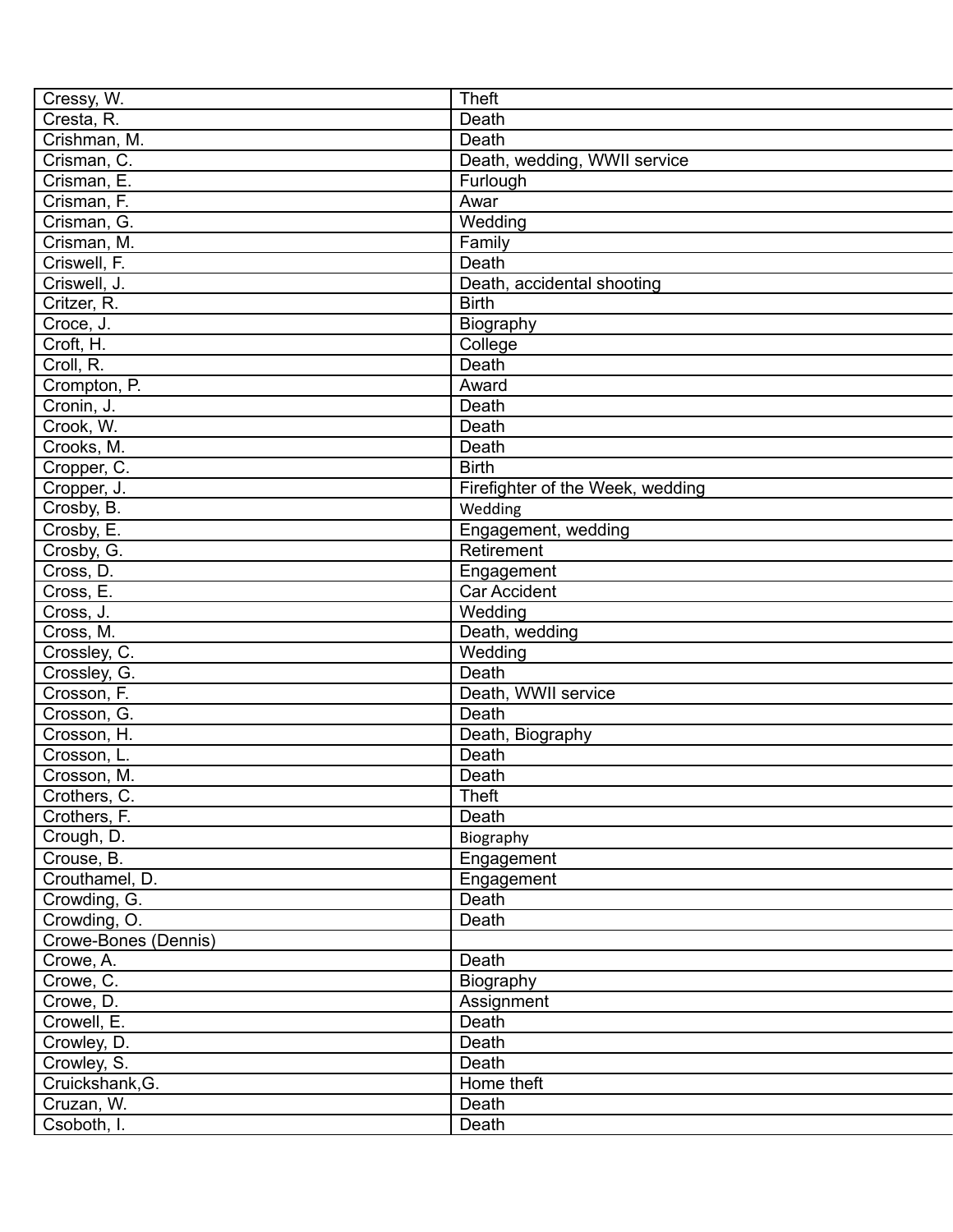| Cressy, W.           | <b>Theft</b>                     |
|----------------------|----------------------------------|
| Cresta, R.           | Death                            |
| Crishman, M.         | Death                            |
| Crisman, C.          | Death, wedding, WWII service     |
| Crisman, E.          | Furlough                         |
| Crisman, F.          | Awar                             |
| Crisman, G.          | Wedding                          |
| Crisman, M.          | Family                           |
| Criswell, F.         | Death                            |
| Criswell, J.         | Death, accidental shooting       |
| Critzer, R.          | <b>Birth</b>                     |
| Croce, J.            | Biography                        |
| Croft, H.            | College                          |
| Croll, R.            | Death                            |
| Crompton, P.         | Award                            |
| Cronin, J.           | Death                            |
| Crook, W.            | Death                            |
| Crooks, M.           | Death                            |
| Cropper, C.          | <b>Birth</b>                     |
| Cropper, J.          | Firefighter of the Week, wedding |
| Crosby, B.           | Wedding                          |
| Crosby, E.           | Engagement, wedding              |
| Crosby, G.           | Retirement                       |
| Cross, D.            | Engagement                       |
| Cross, E.            | <b>Car Accident</b>              |
| Cross, J.            | Wedding                          |
| Cross, M.            | Death, wedding                   |
| Crossley, C.         | Wedding                          |
| Crossley, G.         | Death                            |
| Crosson, F.          | Death, WWII service              |
|                      | Death                            |
| Crosson, G.          |                                  |
| Crosson, H.          | Death, Biography                 |
| Crosson, L.          | Death                            |
| Crosson, M.          | Death                            |
| Crothers, C.         | <b>Theft</b>                     |
| Crothers, F.         | Death                            |
| Crough, D.           | Biography                        |
| Crouse, B.           | Engagement                       |
| Crouthamel, D.       | Engagement                       |
| Crowding, G.         | Death                            |
| Crowding, O.         | Death                            |
| Crowe-Bones (Dennis) |                                  |
| Crowe, A.            | Death                            |
| Crowe, C.            | Biography                        |
| Crowe, D.            | Assignment                       |
| Crowell, E.          | Death                            |
| Crowley, D.          | Death                            |
| Crowley, S.          | Death                            |
| Cruickshank, G.      | Home theft                       |
| Cruzan, W.           | Death                            |
| Csoboth, I.          | Death                            |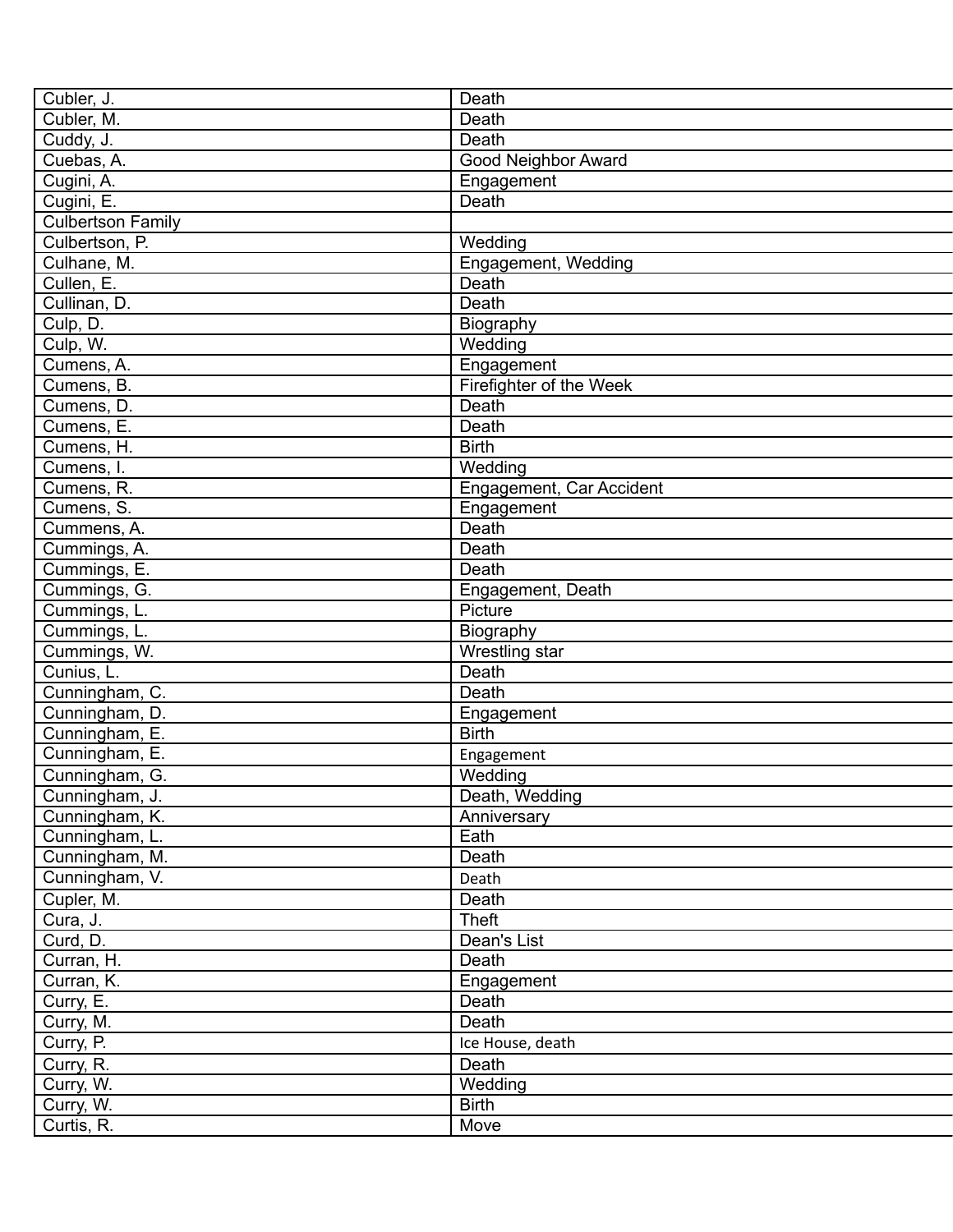| Cubler, J.               | Death                      |
|--------------------------|----------------------------|
| Cubler, M.               | Death                      |
| Cuddy, J.                | Death                      |
| Cuebas, A.               | <b>Good Neighbor Award</b> |
| Cugini, A.               | Engagement                 |
| Cugini, E.               | Death                      |
| <b>Culbertson Family</b> |                            |
| Culbertson, P.           | Wedding                    |
| Culhane, M.              | Engagement, Wedding        |
| Cullen, E.               | Death                      |
| Cullinan, D.             | Death                      |
| Culp, D.                 | Biography                  |
| Culp, W.                 | Wedding                    |
| Cumens, A.               | Engagement                 |
| Cumens, B.               | Firefighter of the Week    |
| Cumens, D.               | Death                      |
| Cumens, E.               | Death                      |
| Cumens, H.               | <b>Birth</b>               |
| Cumens, I.               | Wedding                    |
| Cumens, R.               | Engagement, Car Accident   |
| Cumens, S.               | Engagement                 |
| Cummens, A.              | Death                      |
| Cummings, A.             | Death                      |
| Cummings, E.             | Death                      |
| Cummings, G.             | Engagement, Death          |
| Cummings, L.             | Picture                    |
| Cummings, L.             | Biography                  |
| Cummings, W.             | Wrestling star             |
| Cunius, L.               | Death                      |
| Cunningham, C.           | Death                      |
| Cunningham, D.           |                            |
|                          | Engagement<br><b>Birth</b> |
| Cunningham, E.           |                            |
| Cunningham, E.           | Engagement                 |
| Cunningham, G.           | Wedding                    |
| Cunningham, J.           | Death, Wedding             |
| Cunningham, K.           | Anniversary                |
| Cunningham, L.           | Eath                       |
| Cunningham, M.           | Death                      |
| Cunningham, V.           | Death                      |
| Cupler, M.               | Death                      |
| Cura, J.                 | Theft                      |
| Curd, D.                 | Dean's List                |
| Curran, H.               | Death                      |
| Curran, K.               | Engagement                 |
| Curry, E.                | Death                      |
| Curry, M.                | Death                      |
| Curry, P.                | Ice House, death           |
| Curry, R.                | Death                      |
| Curry, W.                | Wedding                    |
| Curry, W.                | <b>Birth</b>               |
| Curtis, R.               | Move                       |
|                          |                            |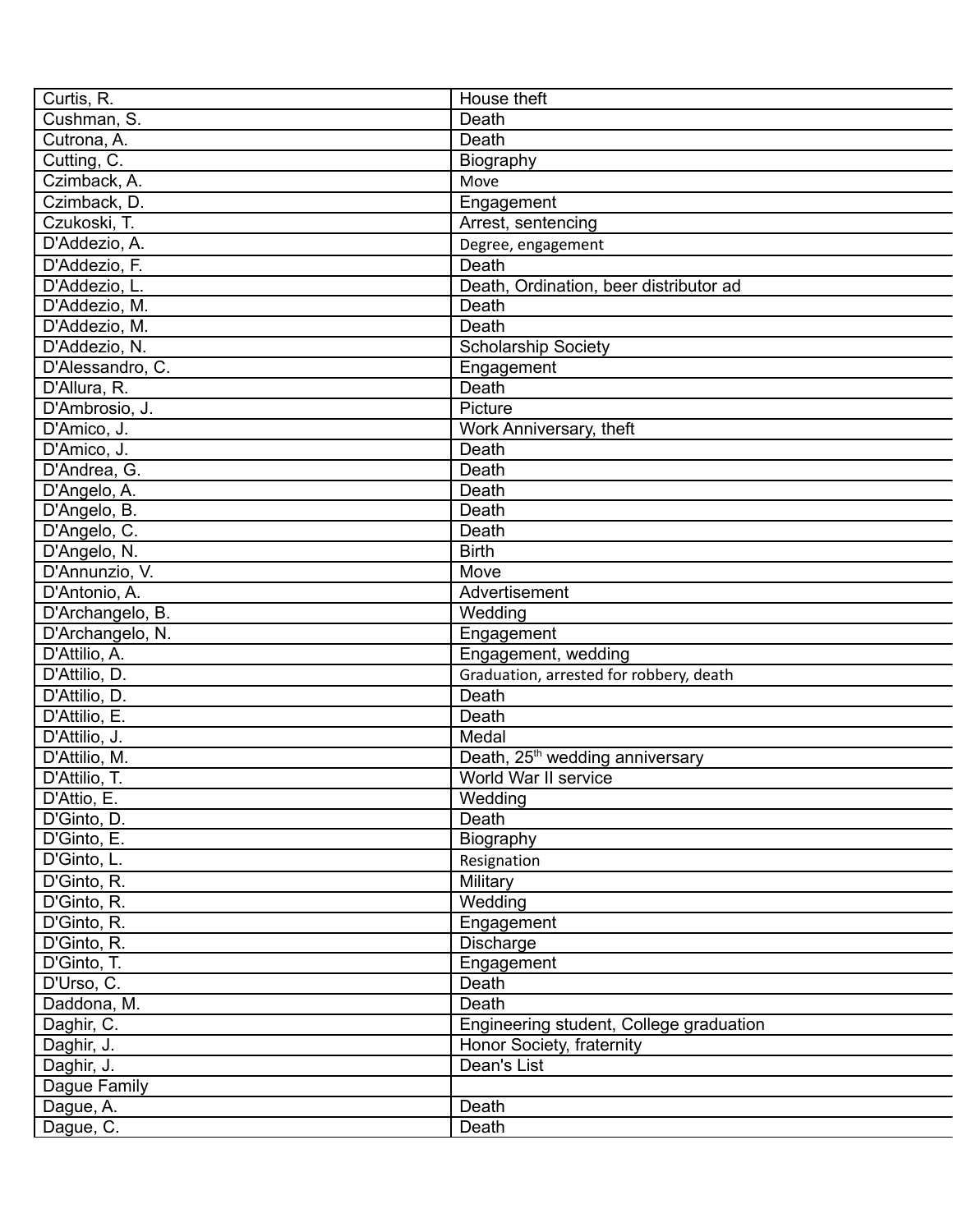| Curtis, R.       | House theft                                 |
|------------------|---------------------------------------------|
| Cushman, S.      | Death                                       |
| Cutrona, A.      | Death                                       |
| Cutting, C.      | Biography                                   |
| Czimback, A.     | Move                                        |
| Czimback, D.     | Engagement                                  |
| Czukoski, T.     | Arrest, sentencing                          |
| D'Addezio, A.    | Degree, engagement                          |
| D'Addezio, F.    | Death                                       |
| D'Addezio, L.    | Death, Ordination, beer distributor ad      |
| D'Addezio, M.    | Death                                       |
| D'Addezio, M.    | Death                                       |
| D'Addezio, N.    | <b>Scholarship Society</b>                  |
| D'Alessandro, C. | Engagement                                  |
| D'Allura, R.     | Death                                       |
| D'Ambrosio, J.   | Picture                                     |
| D'Amico, J.      | Work Anniversary, theft                     |
| D'Amico, J.      | Death                                       |
| D'Andrea, G.     | Death                                       |
| D'Angelo, A.     | Death                                       |
| D'Angelo, B.     | Death                                       |
| D'Angelo, C.     | Death                                       |
| D'Angelo, N.     | <b>Birth</b>                                |
| D'Annunzio, V.   | Move                                        |
| D'Antonio, A.    | Advertisement                               |
| D'Archangelo, B. | Wedding                                     |
| D'Archangelo, N. | Engagement                                  |
| D'Attilio, A.    | Engagement, wedding                         |
| D'Attilio, D.    |                                             |
|                  | Graduation, arrested for robbery, death     |
| D'Attilio, D.    | Death                                       |
| D'Attilio, E.    | Death                                       |
| D'Attilio, J.    | Medal                                       |
| D'Attilio, M.    | Death, 25 <sup>th</sup> wedding anniversary |
| D'Attilio, T.    | World War II service                        |
| D'Attio, E.      | Wedding                                     |
| D'Ginto, D.      | Death                                       |
| D'Ginto, E.      | Biography                                   |
| D'Ginto, L.      | Resignation                                 |
| D'Ginto, R.      | Military                                    |
| D'Ginto, R.      | Wedding                                     |
| D'Ginto, R.      | Engagement                                  |
| D'Ginto, R.      | Discharge                                   |
| D'Ginto, T.      | Engagement                                  |
| D'Urso, C.       | Death                                       |
| Daddona, M.      | Death                                       |
| Daghir, C.       | Engineering student, College graduation     |
| Daghir, J.       | Honor Society, fraternity                   |
| Daghir, J.       | Dean's List                                 |
| Dague Family     |                                             |
| Dague, A.        | Death                                       |
| Dague, C.        | Death                                       |
|                  |                                             |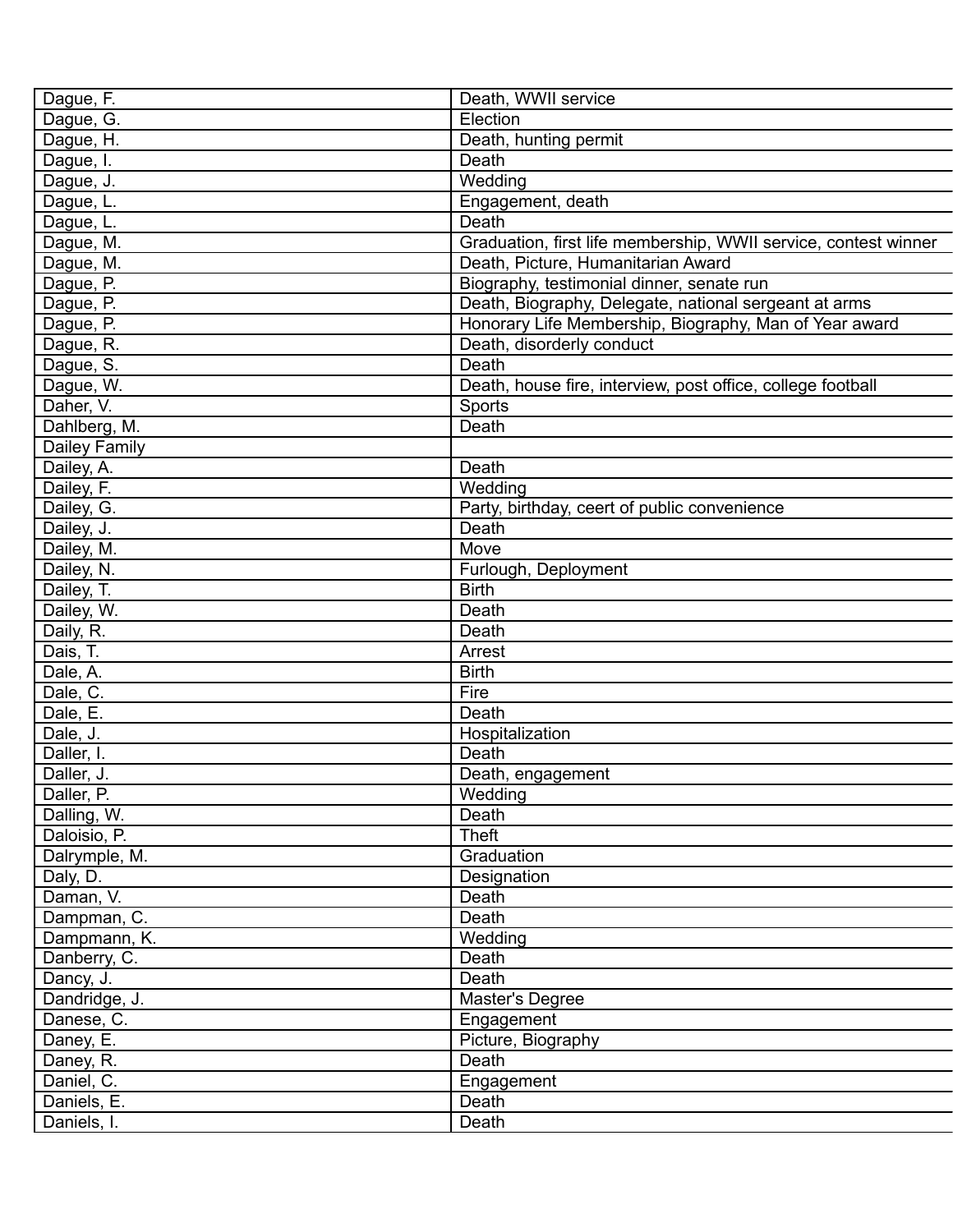| Dague, F.     | Death, WWII service                                             |
|---------------|-----------------------------------------------------------------|
| Dague, G.     | Election                                                        |
| Dague, H.     | Death, hunting permit                                           |
| Dague, I.     | Death                                                           |
| Dague, J.     | Wedding                                                         |
| Dague, L.     | Engagement, death                                               |
| Dague, L.     | Death                                                           |
| Dague, M.     | Graduation, first life membership, WWII service, contest winner |
| Dague, M.     | Death, Picture, Humanitarian Award                              |
| Dague, P.     | Biography, testimonial dinner, senate run                       |
| Dague, P.     | Death, Biography, Delegate, national sergeant at arms           |
| Dague, P.     | Honorary Life Membership, Biography, Man of Year award          |
| Dague, R.     | Death, disorderly conduct                                       |
| Dague, S.     | Death                                                           |
| Dague, W.     | Death, house fire, interview, post office, college football     |
| Daher, V.     | Sports                                                          |
| Dahlberg, M.  | Death                                                           |
| Dailey Family |                                                                 |
| Dailey, A.    | Death                                                           |
| Dailey, F.    | Wedding                                                         |
| Dailey, G.    | Party, birthday, ceert of public convenience                    |
| Dailey, J.    | Death                                                           |
| Dailey, M.    | Move                                                            |
| Dailey, N.    | Furlough, Deployment                                            |
| Dailey, T.    | <b>Birth</b>                                                    |
| Dailey, W.    | Death                                                           |
| Daily, R.     | Death                                                           |
| Dais, T.      | Arrest                                                          |
| Dale, A.      | <b>Birth</b>                                                    |
| Dale, C.      | Fire                                                            |
| Dale, E.      | Death                                                           |
| Dale, J.      | Hospitalization                                                 |
| Daller, I.    | Death                                                           |
| Daller, J.    | Death, engagement                                               |
| Daller, P.    | Wedding                                                         |
| Dalling, W.   | Death                                                           |
| Daloisio, P.  | <b>Theft</b>                                                    |
| Dalrymple, M. | Graduation                                                      |
| Daly, D.      | Designation                                                     |
| Daman, V.     | Death                                                           |
| Dampman, C.   | Death                                                           |
| Dampmann, K.  | Wedding                                                         |
| Danberry, C.  | Death                                                           |
| Dancy, J.     | Death                                                           |
| Dandridge, J. | Master's Degree                                                 |
| Danese, C.    | Engagement                                                      |
| Daney, E.     | Picture, Biography                                              |
| Daney, R.     | Death                                                           |
|               |                                                                 |
| Daniel, C.    | Engagement                                                      |
| Daniels, E.   | Death                                                           |
| Daniels, I.   | Death                                                           |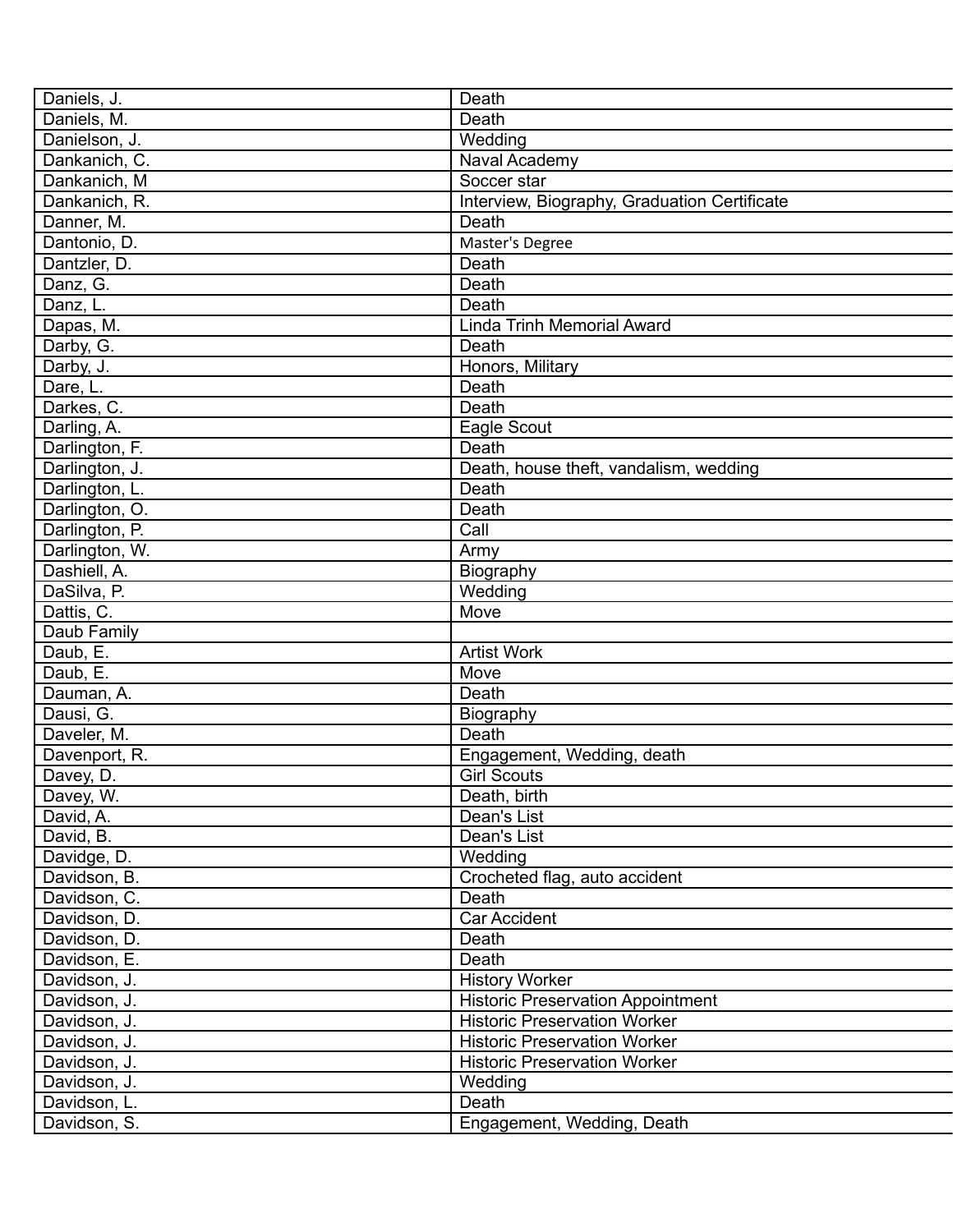| Daniels, J.                  | Death                                        |
|------------------------------|----------------------------------------------|
| Daniels, M.                  | Death                                        |
| Danielson, J.                | Wedding                                      |
| Dankanich, C.                | Naval Academy                                |
| Dankanich, M                 | Soccer star                                  |
| Dankanich, R.                | Interview, Biography, Graduation Certificate |
| Danner, M.                   | Death                                        |
| Dantonio, D.                 | Master's Degree                              |
| Dantzler, D.                 | Death                                        |
| Danz, G.                     | Death                                        |
| Danz, L.                     | Death                                        |
| Dapas, M.                    | <b>Linda Trinh Memorial Award</b>            |
| Darby, G.                    | Death                                        |
| Darby, J.                    | Honors, Military                             |
| Dare, L.                     | Death                                        |
| Darkes, C.                   | Death                                        |
| Darling, A.                  | Eagle Scout                                  |
| Darlington, F.               | Death                                        |
| Darlington, J.               | Death, house theft, vandalism, wedding       |
| Darlington, L.               | Death                                        |
| Darlington, O.               | Death                                        |
| Darlington, P.               | Call                                         |
| Darlington, W.               | Army                                         |
| Dashiell, A.                 | Biography                                    |
| DaSilva, P.                  | Wedding                                      |
| Dattis, C.                   | Move                                         |
| Daub Family                  |                                              |
| Daub, E.                     | <b>Artist Work</b>                           |
| Daub, E.                     | Move                                         |
| Dauman, A.                   | Death                                        |
| Dausi, G.                    | Biography                                    |
| Daveler, M.                  | Death                                        |
| Davenport, R.                | Engagement, Wedding, death                   |
| Davey, D.                    | <b>Girl Scouts</b>                           |
|                              | Death, birth                                 |
| Davey, W.                    | Dean's List                                  |
| David, A.<br>David, B.       | Dean's List                                  |
| Davidge, D.                  |                                              |
|                              | Wedding                                      |
| Davidson, B.<br>Davidson, C. | Crocheted flag, auto accident                |
|                              | Death                                        |
| Davidson, D.                 | Car Accident                                 |
| Davidson, D.                 | Death                                        |
| Davidson, E.                 | Death                                        |
| Davidson, J.                 | <b>History Worker</b>                        |
| Davidson, J.                 | <b>Historic Preservation Appointment</b>     |
| Davidson, J.                 | <b>Historic Preservation Worker</b>          |
| Davidson, J.                 | <b>Historic Preservation Worker</b>          |
| Davidson, J.                 | <b>Historic Preservation Worker</b>          |
| Davidson, J.                 | Wedding                                      |
| Davidson, L.                 | Death                                        |
| Davidson, S.                 | Engagement, Wedding, Death                   |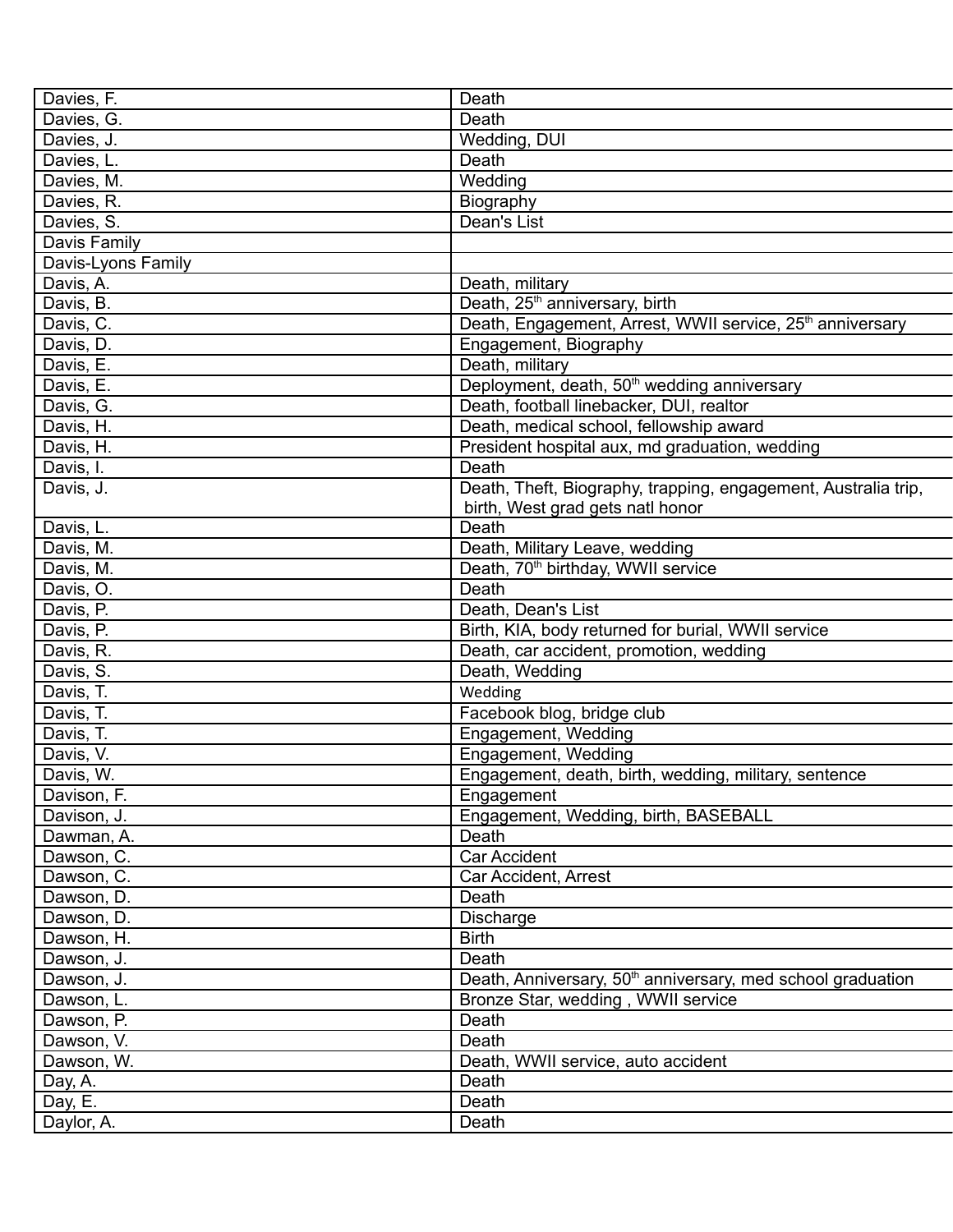| Davies, F.         | Death                                                                   |
|--------------------|-------------------------------------------------------------------------|
| Davies, G.         | Death                                                                   |
| Davies, J.         | Wedding, DUI                                                            |
| Davies, L.         | Death                                                                   |
| Davies, M.         | Wedding                                                                 |
| Davies, R.         | Biography                                                               |
| Davies, S.         | Dean's List                                                             |
| Davis Family       |                                                                         |
| Davis-Lyons Family |                                                                         |
| Davis, A.          | Death, military                                                         |
| Davis, B.          | Death, 25 <sup>th</sup> anniversary, birth                              |
| Davis, C.          | Death, Engagement, Arrest, WWII service, 25 <sup>th</sup> anniversary   |
| Davis, D.          | Engagement, Biography                                                   |
| Davis, E.          | Death, military                                                         |
| Davis, E.          | Deployment, death, 50 <sup>th</sup> wedding anniversary                 |
| Davis, G.          | Death, football linebacker, DUI, realtor                                |
| Davis, H.          | Death, medical school, fellowship award                                 |
| Davis, H.          | President hospital aux, md graduation, wedding                          |
| Davis, I.          | Death                                                                   |
| Davis, J.          | Death, Theft, Biography, trapping, engagement, Australia trip,          |
|                    | birth, West grad gets natl honor                                        |
| Davis, L.          | Death                                                                   |
| Davis, M.          | Death, Military Leave, wedding                                          |
| Davis, M.          | Death, 70 <sup>th</sup> birthday, WWII service                          |
| Davis, O.          | Death                                                                   |
|                    | Death, Dean's List                                                      |
| Davis, P.          |                                                                         |
| Davis, P.          | Birth, KIA, body returned for burial, WWII service                      |
| Davis, R.          | Death, car accident, promotion, wedding                                 |
| Davis, S.          | Death, Wedding                                                          |
| Davis, T.          | Wedding                                                                 |
| Davis, T.          | Facebook blog, bridge club                                              |
| Davis, T.          | Engagement, Wedding                                                     |
| Davis, V.          | Engagement, Wedding                                                     |
| Davis, W.          | Engagement, death, birth, wedding, military, sentence                   |
| Davison, F.        | Engagement                                                              |
| Davison, J.        | Engagement, Wedding, birth, BASEBALL                                    |
| Dawman, A.         | Death                                                                   |
| Dawson, C.         | Car Accident                                                            |
| Dawson, C.         | Car Accident, Arrest                                                    |
| Dawson, D.         | Death                                                                   |
| Dawson, D.         | Discharge                                                               |
| Dawson, H.         | <b>Birth</b>                                                            |
| Dawson, J.         | Death                                                                   |
| Dawson, J.         | Death, Anniversary, 50 <sup>th</sup> anniversary, med school graduation |
| Dawson, L.         | Bronze Star, wedding, WWII service                                      |
| Dawson, P.         | Death                                                                   |
| Dawson, V.         | Death                                                                   |
| Dawson, W.         | Death, WWII service, auto accident                                      |
| Day, A.            | Death                                                                   |
| Day, E.            | Death                                                                   |
| Daylor, A.         | Death                                                                   |
|                    |                                                                         |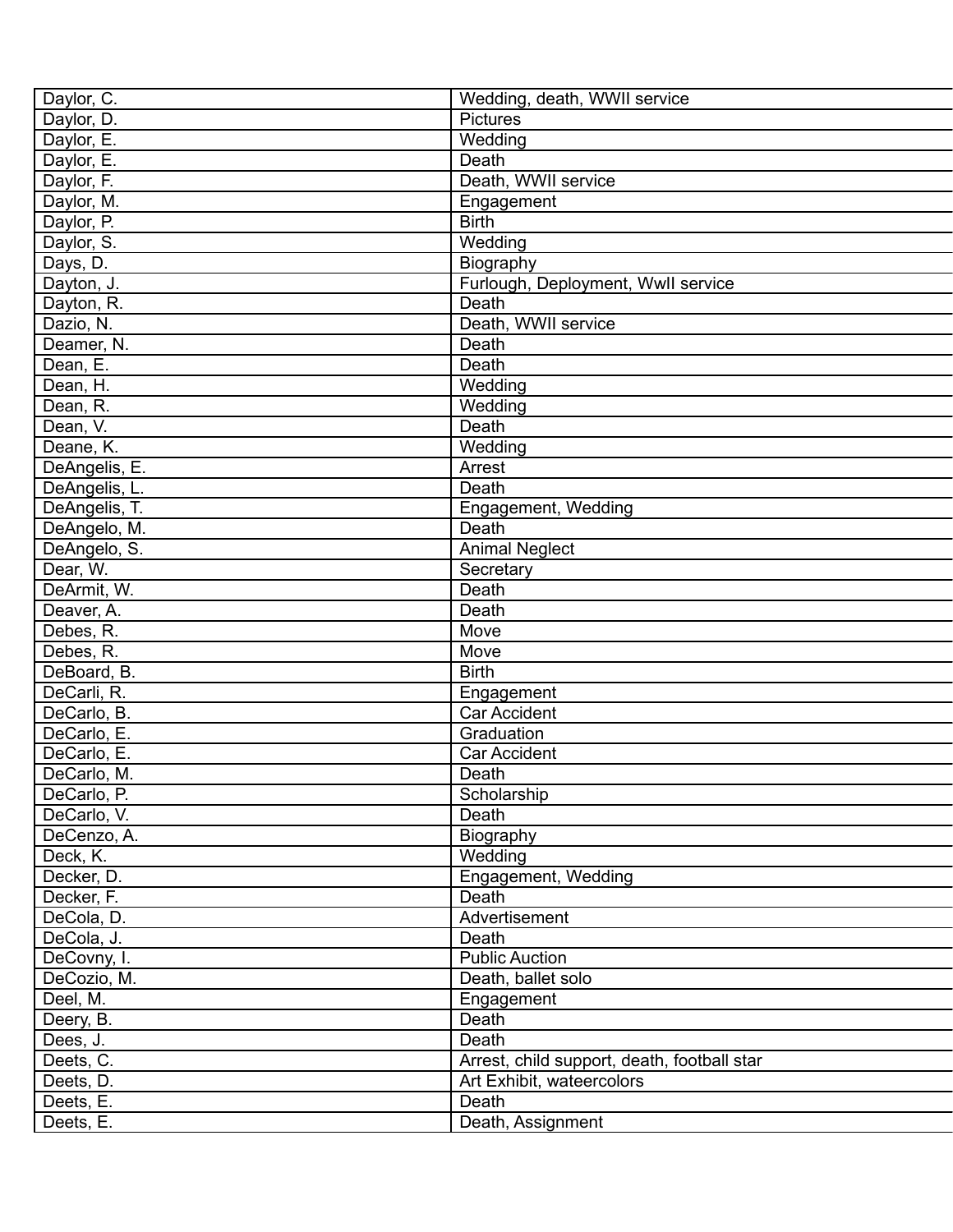| Daylor, C.    | Wedding, death, WWII service                |
|---------------|---------------------------------------------|
| Daylor, D.    | Pictures                                    |
| Daylor, E.    | Wedding                                     |
| Daylor, E.    | Death                                       |
| Daylor, F.    | Death, WWII service                         |
| Daylor, M.    | Engagement                                  |
| Daylor, P.    | <b>Birth</b>                                |
| Daylor, S.    | Wedding                                     |
| Days, D.      | Biography                                   |
| Dayton, J.    | Furlough, Deployment, Wwll service          |
| Dayton, R.    | Death                                       |
| Dazio, N.     | Death, WWII service                         |
| Deamer, N.    | Death                                       |
| Dean, E.      | Death                                       |
| Dean, H.      | Wedding                                     |
| Dean, R.      | Wedding                                     |
| Dean, V.      | Death                                       |
| Deane, K.     | Wedding                                     |
| DeAngelis, E. | Arrest                                      |
| DeAngelis, L. | Death                                       |
| DeAngelis, T. | Engagement, Wedding                         |
| DeAngelo, M.  | Death                                       |
| DeAngelo, S.  | <b>Animal Neglect</b>                       |
| Dear, W.      | Secretary                                   |
| DeArmit, W.   | Death                                       |
| Deaver, A.    | Death                                       |
| Debes, R.     | Move                                        |
| Debes, R.     | Move                                        |
| DeBoard, B.   | <b>Birth</b>                                |
| DeCarli, R.   | Engagement                                  |
| DeCarlo, B.   | Car Accident                                |
| DeCarlo, E.   | Graduation                                  |
| DeCarlo, E.   | Car Accident                                |
| DeCarlo, M.   | Death                                       |
| DeCarlo, P.   | Scholarship                                 |
| DeCarlo, V.   | Death                                       |
| DeCenzo, A.   | Biography                                   |
| Deck, K.      | Wedding                                     |
| Decker, D.    | Engagement, Wedding                         |
| Decker, F.    | Death                                       |
| DeCola, D.    | Advertisement                               |
| DeCola, J.    | Death                                       |
| DeCovny, I.   | <b>Public Auction</b>                       |
| DeCozio, M.   | Death, ballet solo                          |
| Deel, M.      | Engagement                                  |
| Deery, B.     | Death                                       |
| Dees, J.      | Death                                       |
| Deets, C.     | Arrest, child support, death, football star |
| Deets, D.     | Art Exhibit, wateercolors                   |
| Deets, E.     | Death                                       |
| Deets, E.     | Death, Assignment                           |
|               |                                             |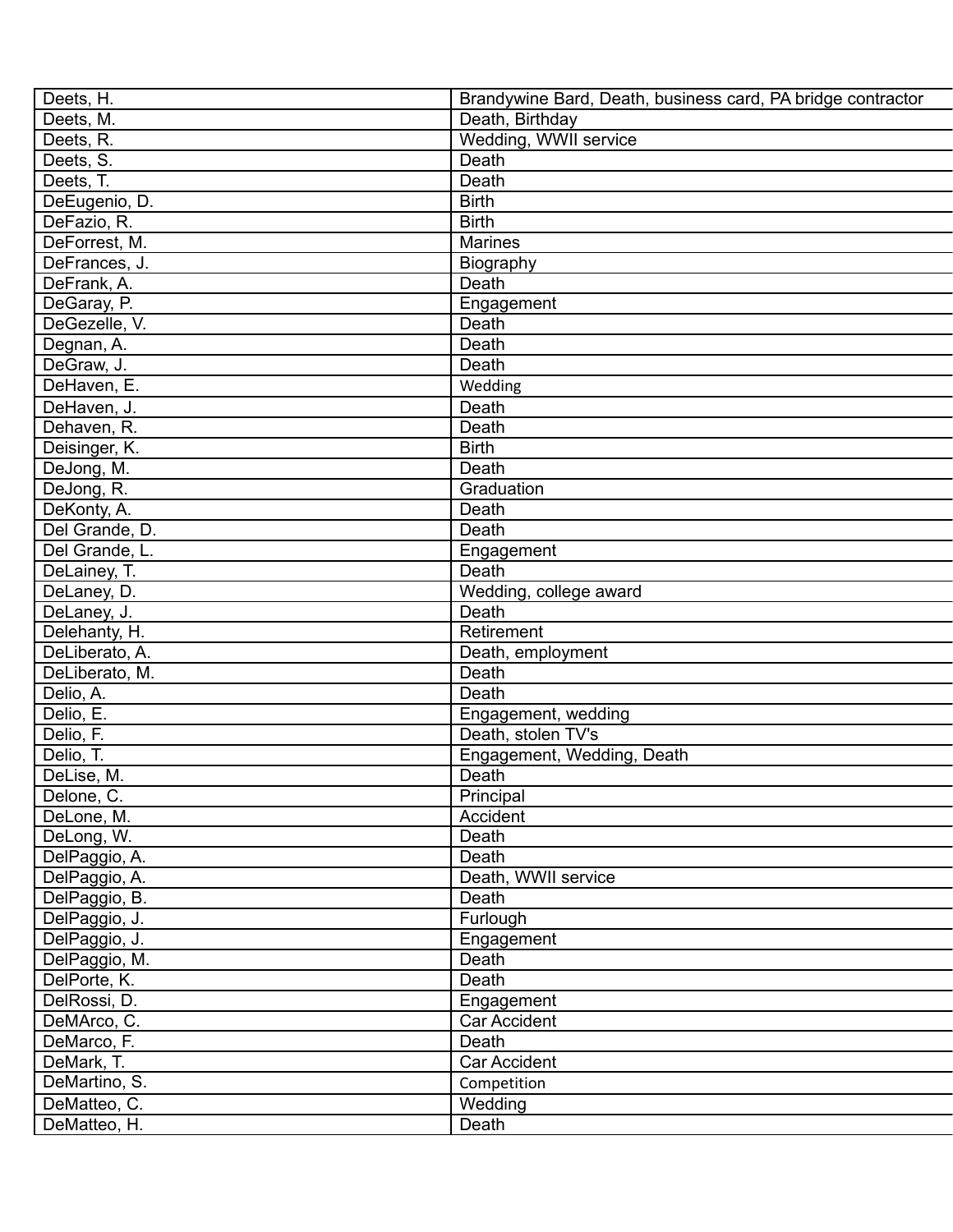| Deets, H.                  | Brandywine Bard, Death, business card, PA bridge contractor |
|----------------------------|-------------------------------------------------------------|
| Deets, M.                  | Death, Birthday                                             |
| Deets, R.                  | Wedding, WWII service                                       |
| Deets, S.                  | Death                                                       |
| Deets, T.                  | Death                                                       |
| DeEugenio, D.              | <b>Birth</b>                                                |
| DeFazio, R.                | <b>Birth</b>                                                |
| DeForrest, M.              | <b>Marines</b>                                              |
| DeFrances, J.              | Biography                                                   |
|                            | Death                                                       |
| DeFrank, A.<br>DeGaray, P. |                                                             |
| DeGezelle, V.              | Engagement<br>Death                                         |
|                            | Death                                                       |
| Degnan, A.                 |                                                             |
| DeGraw, J.                 | Death                                                       |
| DeHaven, E.                | Wedding                                                     |
| DeHaven, J.                | Death                                                       |
| Dehaven, R.                | Death                                                       |
| Deisinger, K.              | <b>Birth</b>                                                |
| DeJong, M.                 | Death                                                       |
| DeJong, R.                 | Graduation                                                  |
| DeKonty, A.                | Death                                                       |
| Del Grande, D.             | Death                                                       |
| Del Grande, L.             | Engagement                                                  |
| DeLainey, T.               | Death                                                       |
| DeLaney, D.                | Wedding, college award                                      |
| DeLaney, J.                | Death                                                       |
| Delehanty, H.              | Retirement                                                  |
| DeLiberato, A.             | Death, employment                                           |
| DeLiberato, M.             | Death                                                       |
| Delio, A.                  | Death                                                       |
| Delio, E.                  | Engagement, wedding                                         |
| Delio, F.                  | Death, stolen TV's                                          |
| Delio, T.                  | Engagement, Wedding, Death                                  |
| DeLise, M.                 | Death                                                       |
| Delone, C.                 | Principal                                                   |
| DeLone, M.                 | Accident                                                    |
| DeLong, W.                 | Death                                                       |
| DelPaggio, A.              | Death                                                       |
| DelPaggio, A.              | Death, WWII service                                         |
| DelPaggio, B.              | Death                                                       |
| DelPaggio, J.              | Furlough                                                    |
| DelPaggio, J.              | Engagement                                                  |
| DelPaggio, M.              | Death                                                       |
| DelPorte, K.               | Death                                                       |
| DelRossi, D.               | Engagement                                                  |
| DeMArco, C.                | <b>Car Accident</b>                                         |
| DeMarco, F.                | Death                                                       |
| DeMark, T.                 | Car Accident                                                |
| DeMartino, S.              | Competition                                                 |
| DeMatteo, C.               | Wedding                                                     |
| DeMatteo, H.               | Death                                                       |
|                            |                                                             |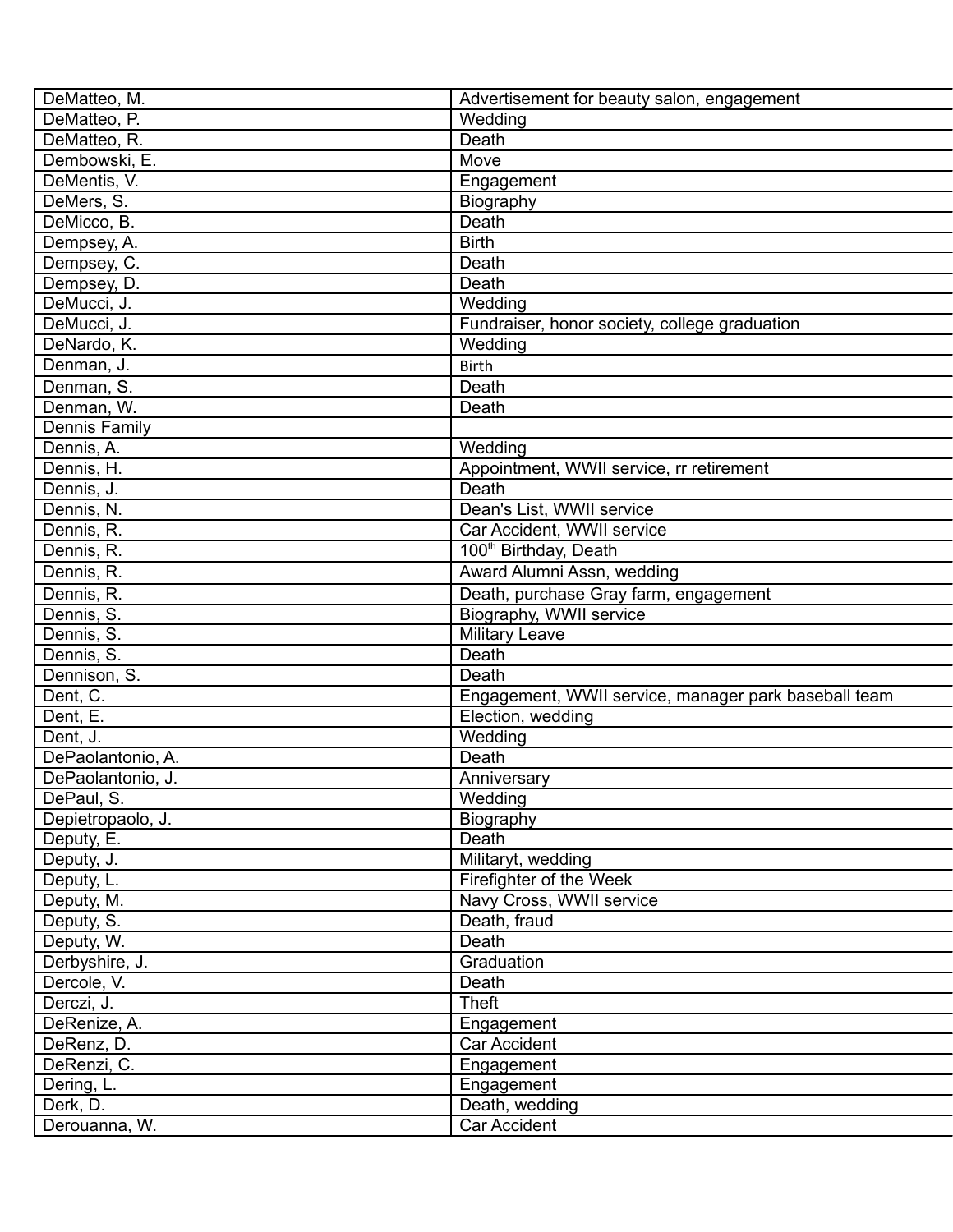| DeMatteo, M.      | Advertisement for beauty salon, engagement           |
|-------------------|------------------------------------------------------|
| DeMatteo, P.      | Wedding                                              |
| DeMatteo, R.      | Death                                                |
| Dembowski, E.     | Move                                                 |
| DeMentis, V.      | Engagement                                           |
| DeMers, S.        | Biography                                            |
| DeMicco, B.       | Death                                                |
| Dempsey, A.       | <b>Birth</b>                                         |
| Dempsey, C.       | Death                                                |
| Dempsey, D.       | Death                                                |
| DeMucci, J.       | $\overline{W}$ edding                                |
| DeMucci, J.       | Fundraiser, honor society, college graduation        |
| DeNardo, K.       | Wedding                                              |
| Denman, J.        | <b>Birth</b>                                         |
| Denman, S.        | Death                                                |
| Denman, W.        | Death                                                |
| Dennis Family     |                                                      |
|                   | Wedding                                              |
| Dennis, A.        |                                                      |
| Dennis, H.        | Appointment, WWII service, rr retirement             |
| Dennis, J.        | Death                                                |
| Dennis, N.        | Dean's List, WWII service                            |
| Dennis, R.        | Car Accident, WWII service                           |
| Dennis, R.        | 100 <sup>th</sup> Birthday, Death                    |
| Dennis, R.        | Award Alumni Assn, wedding                           |
| Dennis, R.        | Death, purchase Gray farm, engagement                |
| Dennis, S.        | Biography, WWII service                              |
| Dennis, S.        | <b>Military Leave</b>                                |
| Dennis, S.        | Death                                                |
| Dennison, S.      | Death                                                |
| Dent, C.          | Engagement, WWII service, manager park baseball team |
| Dent, E.          | Election, wedding                                    |
| Dent, J.          | Wedding                                              |
| DePaolantonio, A. | Death                                                |
| DePaolantonio, J. | Anniversary                                          |
| DePaul, S.        | Wedding                                              |
| Depietropaolo, J. | Biography                                            |
| Deputy, E.        | Death                                                |
| Deputy, J.        | Militaryt, wedding                                   |
| Deputy, L.        | Firefighter of the Week                              |
| Deputy, M.        | Navy Cross, WWII service                             |
| Deputy, S.        | Death, fraud                                         |
| Deputy, W.        | Death                                                |
| Derbyshire, J.    | Graduation                                           |
| Dercole, V.       | Death                                                |
| Derczi, J.        | Theft                                                |
| DeRenize, A.      | Engagement                                           |
| DeRenz, D.        | Car Accident                                         |
| DeRenzi, C.       | Engagement                                           |
| Dering, L.        | Engagement                                           |
| Derk, D.          | Death, wedding                                       |
| Derouanna, W.     | Car Accident                                         |
|                   |                                                      |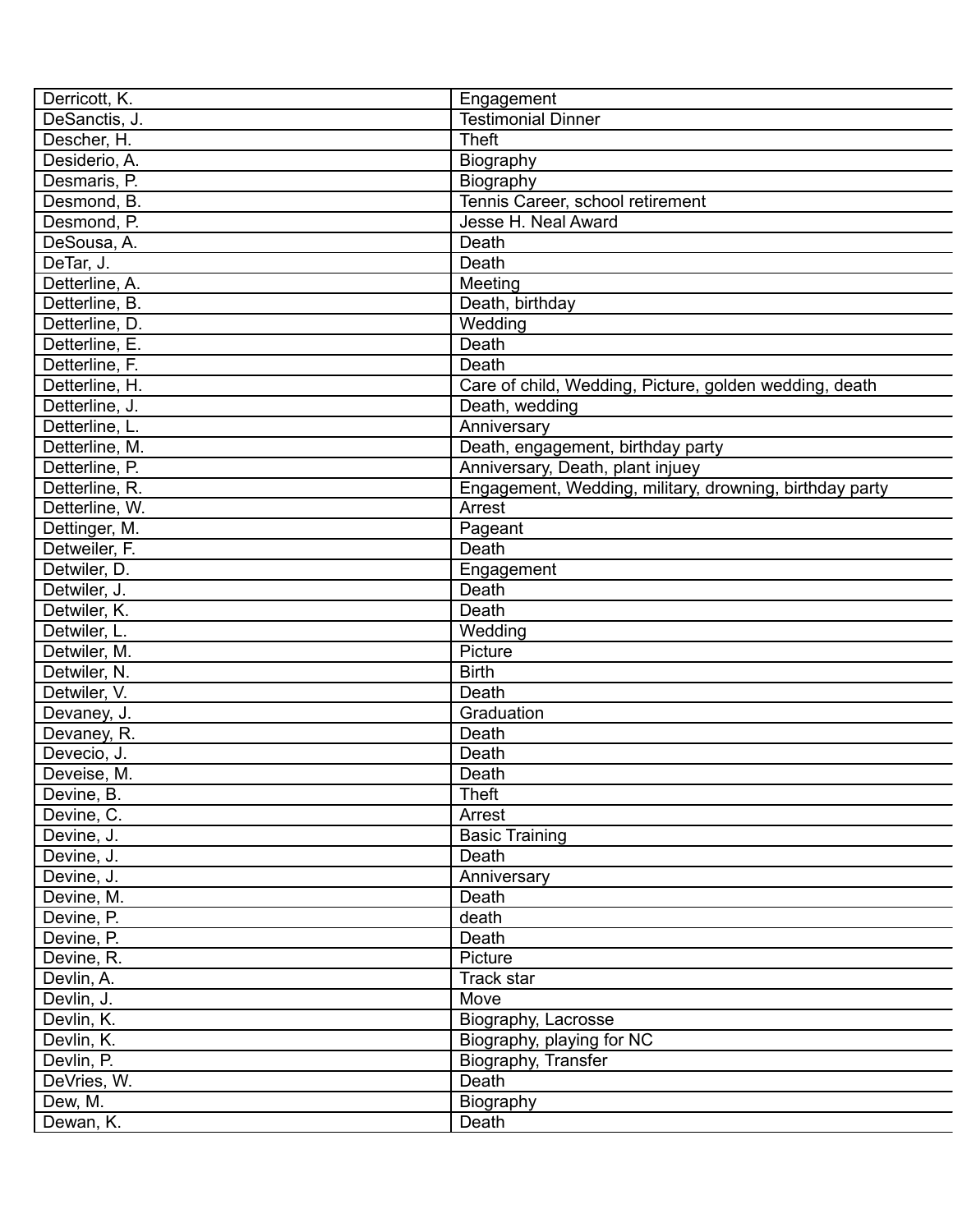| Derricott, K.  | Engagement                                              |
|----------------|---------------------------------------------------------|
| DeSanctis, J.  | <b>Testimonial Dinner</b>                               |
| Descher, H.    | <b>Theft</b>                                            |
| Desiderio, A.  | Biography                                               |
| Desmaris, P.   | Biography                                               |
| Desmond, B.    | Tennis Career, school retirement                        |
| Desmond, P.    | Jesse H. Neal Award                                     |
| DeSousa, A.    | Death                                                   |
| DeTar, J.      | Death                                                   |
| Detterline, A. | Meeting                                                 |
| Detterline, B. | Death, birthday                                         |
| Detterline, D. | Wedding                                                 |
| Detterline, E. | Death                                                   |
| Detterline, F. | Death                                                   |
| Detterline, H. | Care of child, Wedding, Picture, golden wedding, death  |
| Detterline, J. | Death, wedding                                          |
| Detterline, L. | Anniversary                                             |
| Detterline, M. | Death, engagement, birthday party                       |
| Detterline, P. | Anniversary, Death, plant injuey                        |
| Detterline, R. | Engagement, Wedding, military, drowning, birthday party |
| Detterline, W. | Arrest                                                  |
| Dettinger, M.  | Pageant                                                 |
| Detweiler, F.  | Death                                                   |
| Detwiler, D.   | Engagement                                              |
| Detwiler, J.   | Death                                                   |
| Detwiler, K.   | Death                                                   |
| Detwiler, L.   | Wedding                                                 |
| Detwiler, M.   | Picture                                                 |
| Detwiler, N.   | <b>Birth</b>                                            |
| Detwiler, V.   | Death                                                   |
| Devaney, J.    | Graduation                                              |
| Devaney, R.    | Death                                                   |
| Devecio, J.    | Death                                                   |
| Deveise, M.    | Death                                                   |
| Devine, B.     | Theft                                                   |
| Devine, C.     | Arrest                                                  |
| Devine, J.     | <b>Basic Training</b>                                   |
| Devine, J.     | Death                                                   |
| Devine, J.     | Anniversary                                             |
| Devine, M.     | Death                                                   |
| Devine, P.     | death                                                   |
| Devine, P.     | Death                                                   |
| Devine, R.     | Picture                                                 |
| Devlin, A.     | Track star                                              |
| Devlin, J.     | Move                                                    |
| Devlin, K.     | Biography, Lacrosse                                     |
| Devlin, K.     | Biography, playing for NC                               |
| Devlin, P.     | Biography, Transfer                                     |
| DeVries, W.    | Death                                                   |
| Dew, M.        | Biography                                               |
| Dewan, K.      | Death                                                   |
|                |                                                         |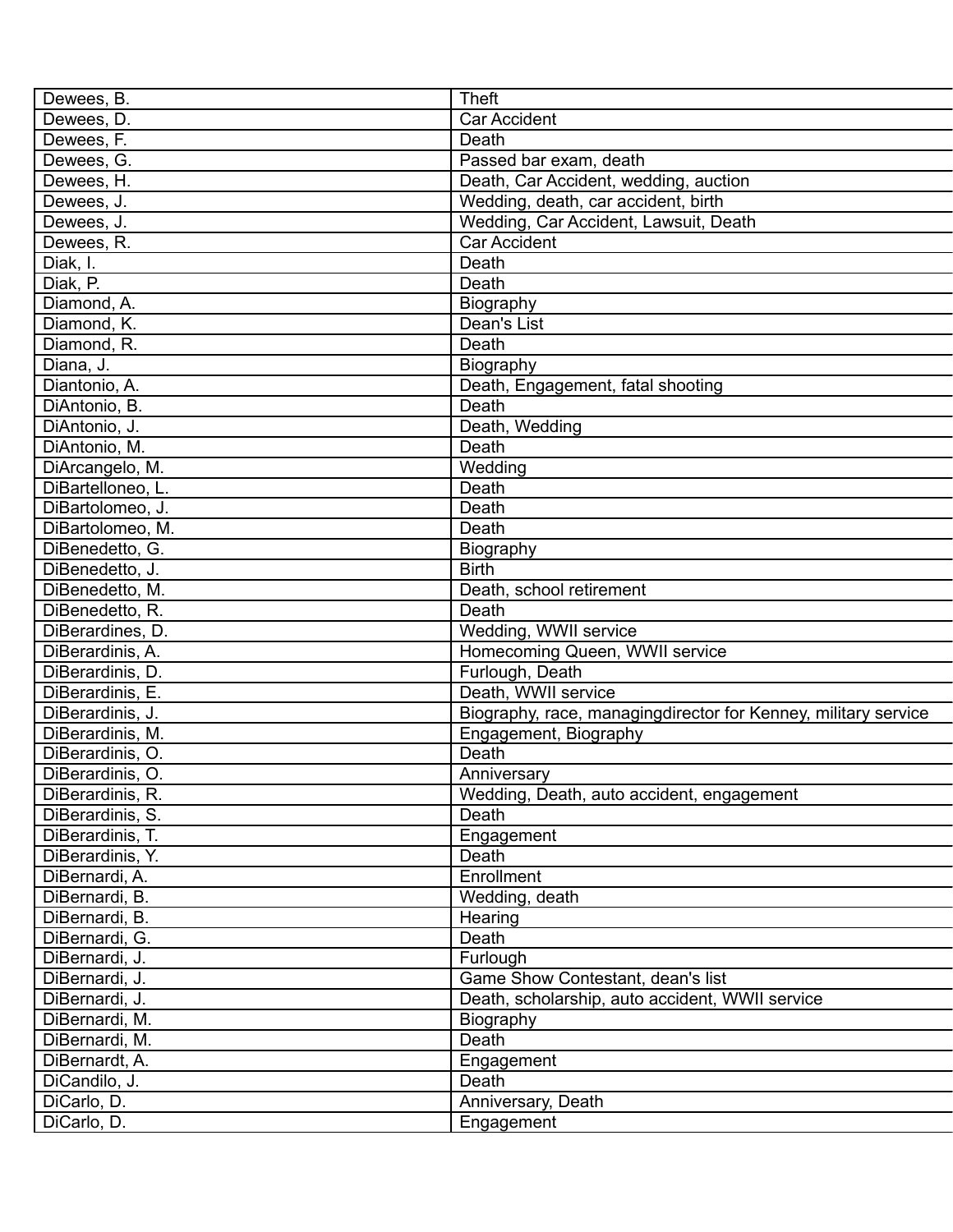| Dewees, B.        | <b>Theft</b>                                                   |
|-------------------|----------------------------------------------------------------|
| Dewees, D.        | <b>Car Accident</b>                                            |
| Dewees, F.        | Death                                                          |
| Dewees, G.        | Passed bar exam, death                                         |
| Dewees, H.        | Death, Car Accident, wedding, auction                          |
| Dewees, J.        | Wedding, death, car accident, birth                            |
| Dewees, J.        | Wedding, Car Accident, Lawsuit, Death                          |
| Dewees, R.        | <b>Car Accident</b>                                            |
| Diak, I.          | Death                                                          |
| Diak, P.          | Death                                                          |
| Diamond, A.       | Biography                                                      |
| Diamond, K.       | Dean's List                                                    |
| Diamond, R.       | Death                                                          |
| Diana, J.         | Biography                                                      |
| Diantonio, A.     | Death, Engagement, fatal shooting                              |
| DiAntonio, B.     | Death                                                          |
| DiAntonio, J.     | Death, Wedding                                                 |
| DiAntonio, M.     | Death                                                          |
| DiArcangelo, M.   | Wedding                                                        |
| DiBartelloneo, L. | Death                                                          |
| DiBartolomeo, J.  | Death                                                          |
| DiBartolomeo, M.  | Death                                                          |
| DiBenedetto, G.   | Biography                                                      |
| DiBenedetto, J.   | <b>Birth</b>                                                   |
| DiBenedetto, M.   | Death, school retirement                                       |
| DiBenedetto, R.   | Death                                                          |
| DiBerardines, D.  | Wedding, WWII service                                          |
| DiBerardinis, A.  | Homecoming Queen, WWII service                                 |
| DiBerardinis, D.  | Furlough, Death                                                |
| DiBerardinis, E.  | Death, WWII service                                            |
| DiBerardinis, J.  | Biography, race, managingdirector for Kenney, military service |
| DiBerardinis, M.  | Engagement, Biography                                          |
| DiBerardinis, O.  | Death                                                          |
| DiBerardinis, O.  | Anniversary                                                    |
| DiBerardinis, R.  | Wedding, Death, auto accident, engagement                      |
| DiBerardinis, S.  | Death                                                          |
| DiBerardinis, T.  | Engagement                                                     |
| DiBerardinis, Y.  | Death                                                          |
| DiBernardi, A.    | Enrollment                                                     |
| DiBernardi, B.    | Wedding, death                                                 |
| DiBernardi, B.    | Hearing                                                        |
| DiBernardi, G.    | Death                                                          |
| DiBernardi, J.    | Furlough                                                       |
| DiBernardi, J.    | Game Show Contestant, dean's list                              |
|                   | Death, scholarship, auto accident, WWII service                |
| DiBernardi, J.    |                                                                |
| DiBernardi, M.    | Biography<br>Death                                             |
| DiBernardi, M.    |                                                                |
| DiBernardt, A.    | Engagement                                                     |
| DiCandilo, J.     | Death                                                          |
| DiCarlo, D.       | Anniversary, Death                                             |
| DiCarlo, D.       | Engagement                                                     |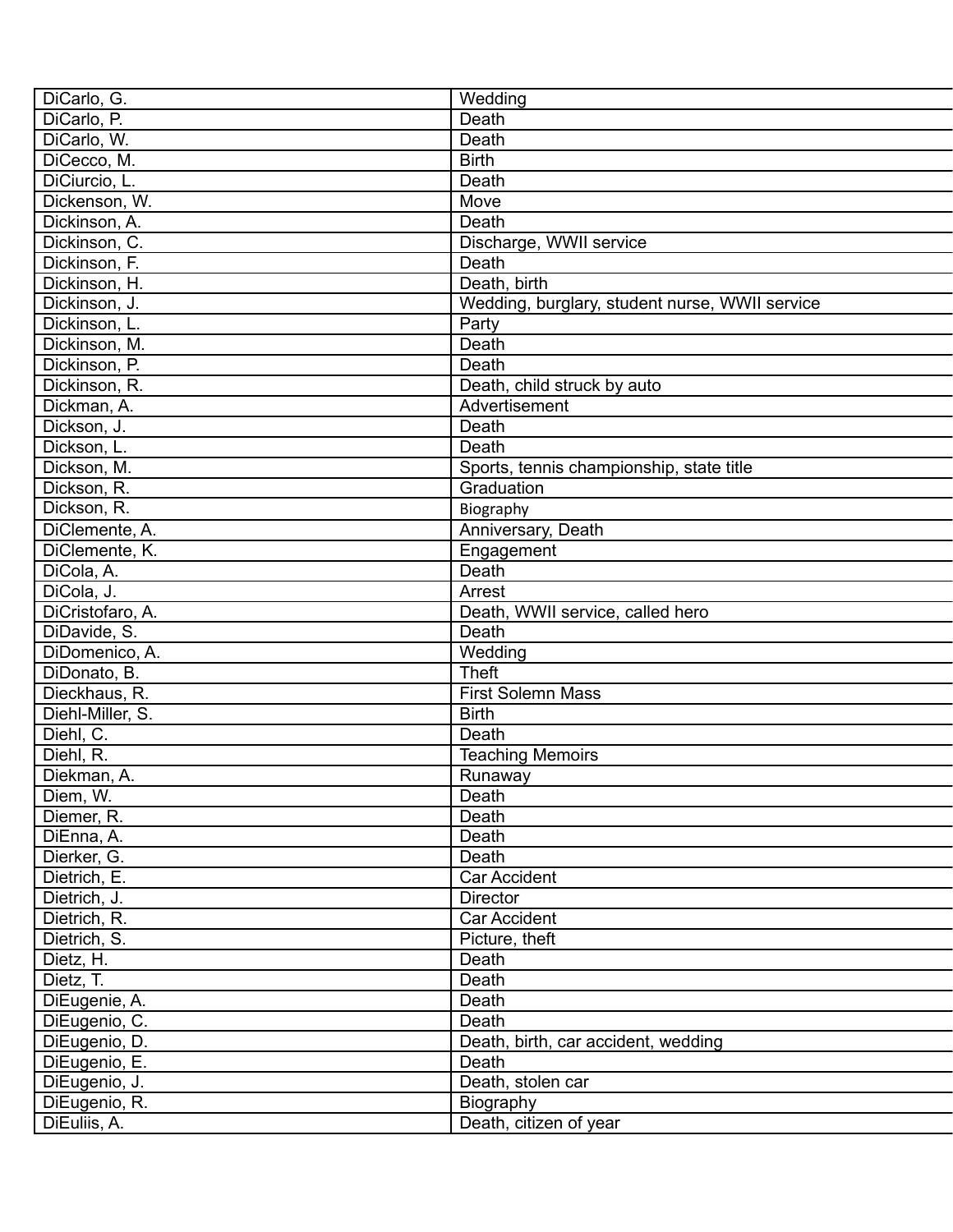| DiCarlo, G.            | Wedding                                        |
|------------------------|------------------------------------------------|
| DiCarlo, P.            | Death                                          |
| DiCarlo, W.            | Death                                          |
| DiCecco, M.            | <b>Birth</b>                                   |
| DiCiurcio, L.          | Death                                          |
| Dickenson, W.          | Move                                           |
| Dickinson, A.          | Death                                          |
| Dickinson, C.          | Discharge, WWII service                        |
| Dickinson, F.          | Death                                          |
| Dickinson, H.          | Death, birth                                   |
| Dickinson, J.          | Wedding, burglary, student nurse, WWII service |
| Dickinson, L.          | Party                                          |
| Dickinson, M.          | Death                                          |
| Dickinson, P.          | Death                                          |
| Dickinson, R.          | Death, child struck by auto                    |
| Dickman, A.            | Advertisement                                  |
| Dickson, J.            | Death                                          |
| Dickson, L.            | Death                                          |
| Dickson, M.            | Sports, tennis championship, state title       |
| Dickson, R.            | Graduation                                     |
| Dickson, R.            | Biography                                      |
| DiClemente, A.         | Anniversary, Death                             |
| DiClemente, K.         | Engagement                                     |
| DiCola, A.             | Death                                          |
| DiCola, J.             | Arrest                                         |
| DiCristofaro, A.       | Death, WWII service, called hero               |
| DiDavide, S.           | Death                                          |
| DiDomenico, A.         | Wedding                                        |
| DiDonato, B.           | <b>Theft</b>                                   |
| Dieckhaus, R.          | <b>First Solemn Mass</b>                       |
| Diehl-Miller, S.       | <b>Birth</b>                                   |
| Diehl, C.              | Death                                          |
| Diehl, R.              |                                                |
| Diekman, A.            | <b>Teaching Memoirs</b>                        |
|                        | Runaway<br>Death                               |
| Diem, W.<br>Diemer, R. |                                                |
|                        | Death                                          |
| DiEnna, A.             | Death                                          |
| Dierker, G.            | Death                                          |
| Dietrich, E.           | Car Accident                                   |
| Dietrich, J.           | Director                                       |
| Dietrich, R.           | Car Accident                                   |
| Dietrich, S.           | Picture, theft                                 |
| Dietz, H.              | Death                                          |
| Dietz, T.              | Death                                          |
| DiEugenie, A.          | Death                                          |
| DiEugenio, C.          | Death                                          |
| DiEugenio, D.          | Death, birth, car accident, wedding            |
| DiEugenio, E.          | Death                                          |
| DiEugenio, J.          | Death, stolen car                              |
| DiEugenio, R.          | Biography                                      |
| DiEuliis, A.           | Death, citizen of year                         |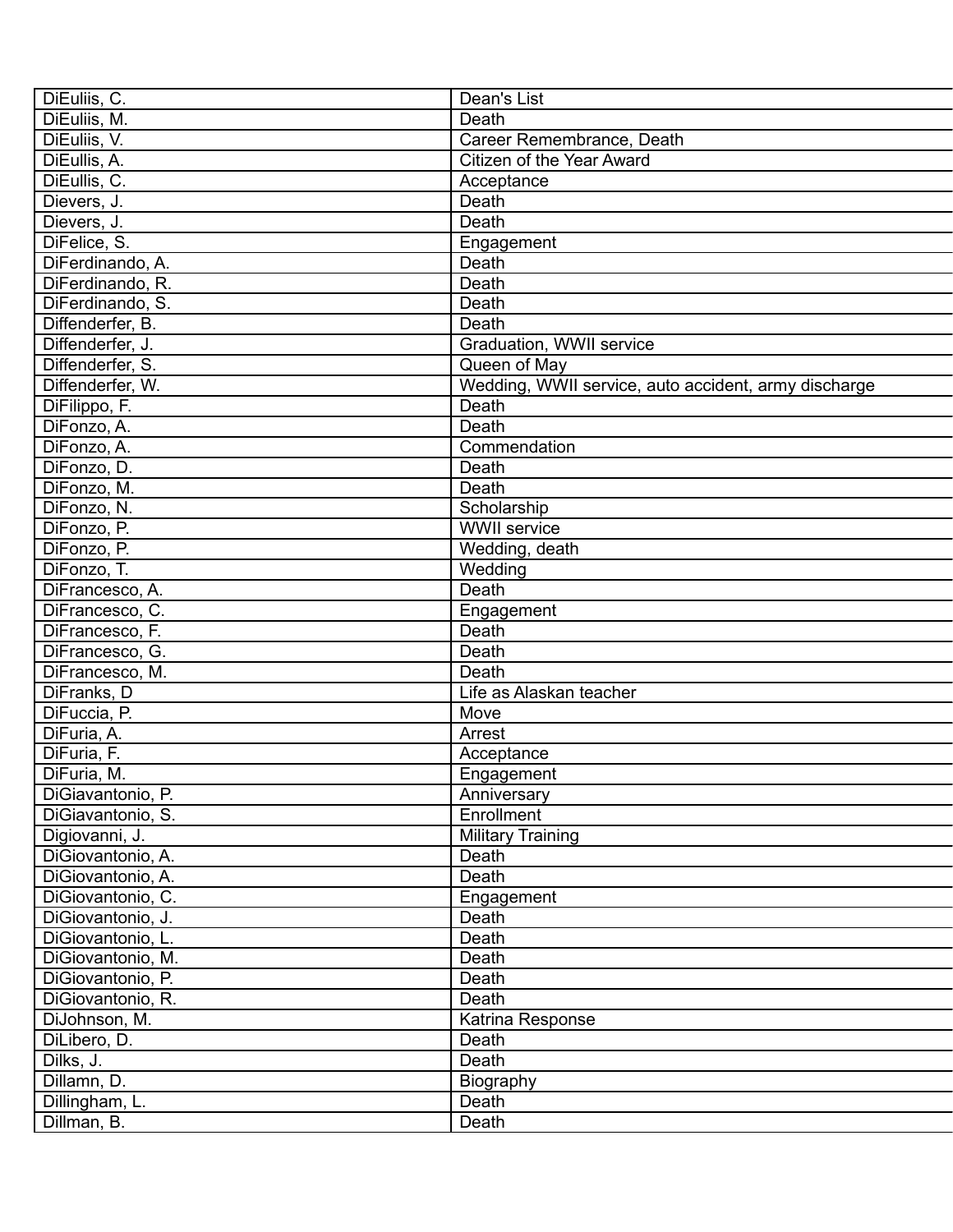| DiEuliis, C.      | Dean's List                                          |
|-------------------|------------------------------------------------------|
| DiEuliis, M.      | Death                                                |
| DiEuliis, V.      | Career Remembrance, Death                            |
| DiEullis, A.      | Citizen of the Year Award                            |
| DiEullis, C.      | Acceptance                                           |
| Dievers, J.       | Death                                                |
| Dievers, J.       | Death                                                |
| DiFelice, S.      | Engagement                                           |
| DiFerdinando, A.  | Death                                                |
| DiFerdinando, R.  | Death                                                |
| DiFerdinando, S.  | Death                                                |
| Diffenderfer, B.  | Death                                                |
| Diffenderfer, J.  | Graduation, WWII service                             |
| Diffenderfer, S.  | Queen of May                                         |
| Diffenderfer, W.  | Wedding, WWII service, auto accident, army discharge |
| DiFilippo, F.     | Death                                                |
| DiFonzo, A.       | Death                                                |
| DiFonzo, A.       | Commendation                                         |
| DiFonzo, D.       | Death                                                |
| DiFonzo, M.       | Death                                                |
| DiFonzo, N.       | Scholarship                                          |
| DiFonzo, P.       | <b>WWII</b> service                                  |
| DiFonzo, P.       | Wedding, death                                       |
| DiFonzo, T.       | Wedding                                              |
| DiFrancesco, A.   | Death                                                |
| DiFrancesco, C.   |                                                      |
| DiFrancesco, F.   | Engagement<br>Death                                  |
|                   | Death                                                |
| DiFrancesco, G.   |                                                      |
| DiFrancesco, M.   | Death                                                |
| DiFranks, D       | Life as Alaskan teacher                              |
| DiFuccia, P.      | Move                                                 |
| DiFuria, A.       | Arrest                                               |
| DiFuria, F.       | Acceptance                                           |
| DiFuria, M.       | Engagement                                           |
| DiGiavantonio, P. | Anniversary                                          |
| DiGiavantonio, S. | Enrollment                                           |
| Digiovanni, J.    | <b>Military Training</b>                             |
| DiGiovantonio, A. | Death                                                |
| DiGiovantonio, A. | Death                                                |
| DiGiovantonio, C. | Engagement                                           |
| DiGiovantonio, J. | Death                                                |
| DiGiovantonio, L. | Death                                                |
| DiGiovantonio, M. | Death                                                |
| DiGiovantonio, P. | Death                                                |
| DiGiovantonio, R. | Death                                                |
| DiJohnson, M.     | Katrina Response                                     |
| DiLibero, D.      | Death                                                |
| Dilks, J.         | Death                                                |
| Dillamn, D.       | Biography                                            |
| Dillingham, L.    | Death                                                |
| Dillman, B.       | Death                                                |
|                   |                                                      |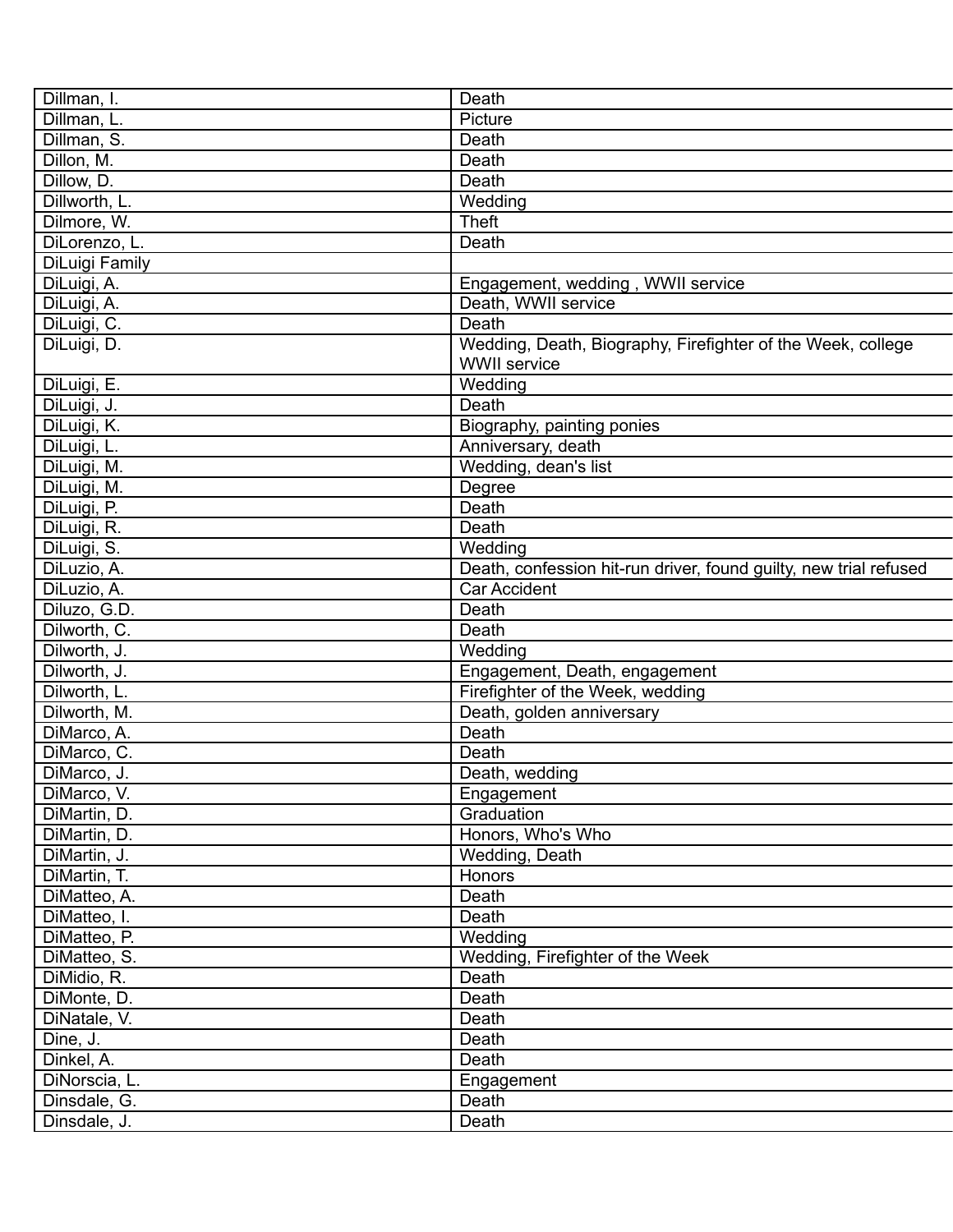| Dillman, I.    | Death                                                             |
|----------------|-------------------------------------------------------------------|
| Dillman, L.    | Picture                                                           |
| Dillman, S.    | Death                                                             |
| Dillon, M.     | Death                                                             |
| Dillow, D.     | Death                                                             |
| Dillworth, L.  | Wedding                                                           |
| Dilmore, W.    | <b>Theft</b>                                                      |
| DiLorenzo, L.  | Death                                                             |
| DiLuigi Family |                                                                   |
| DiLuigi, A.    | Engagement, wedding, WWII service                                 |
| DiLuigi, A.    | Death, WWII service                                               |
| DiLuigi, C.    | Death                                                             |
| DiLuigi, D.    | Wedding, Death, Biography, Firefighter of the Week, college       |
|                | <b>WWII</b> service                                               |
| DiLuigi, E.    | Wedding                                                           |
| DiLuigi, J.    | Death                                                             |
| DiLuigi, K.    | Biography, painting ponies                                        |
| DiLuigi, L.    | Anniversary, death                                                |
| DiLuigi, M.    | Wedding, dean's list                                              |
| DiLuigi, M.    |                                                                   |
|                | Degree<br>Death                                                   |
| DiLuigi, P.    | Death                                                             |
| DiLuigi, R.    |                                                                   |
| DiLuigi, S.    | Wedding                                                           |
| DiLuzio, A.    | Death, confession hit-run driver, found guilty, new trial refused |
| DiLuzio, A.    | Car Accident                                                      |
| Diluzo, G.D.   | Death                                                             |
| Dilworth, C.   | Death                                                             |
| Dilworth, J.   | Wedding                                                           |
| Dilworth, J.   | Engagement, Death, engagement                                     |
| Dilworth, L.   | Firefighter of the Week, wedding                                  |
| Dilworth, M.   | Death, golden anniversary                                         |
| DiMarco, A.    | Death                                                             |
| DiMarco, C.    | Death                                                             |
| DiMarco, J.    | Death, wedding                                                    |
| DiMarco, V.    | Engagement                                                        |
| DiMartin, D.   | Graduation                                                        |
| DiMartin, D.   | Honors, Who's Who                                                 |
| DiMartin, J.   | Wedding, Death                                                    |
| DiMartin, T.   | Honors                                                            |
| DiMatteo, A.   | Death                                                             |
| DiMatteo, I.   | Death                                                             |
| DiMatteo, P.   | Wedding                                                           |
| DiMatteo, S.   | Wedding, Firefighter of the Week                                  |
| DiMidio, R.    | Death                                                             |
| DiMonte, D.    | Death                                                             |
| DiNatale, V.   | Death                                                             |
| Dine, J.       | Death                                                             |
| Dinkel, A.     | Death                                                             |
| DiNorscia, L.  | Engagement                                                        |
| Dinsdale, G.   | Death                                                             |
| Dinsdale, J.   | Death                                                             |
|                |                                                                   |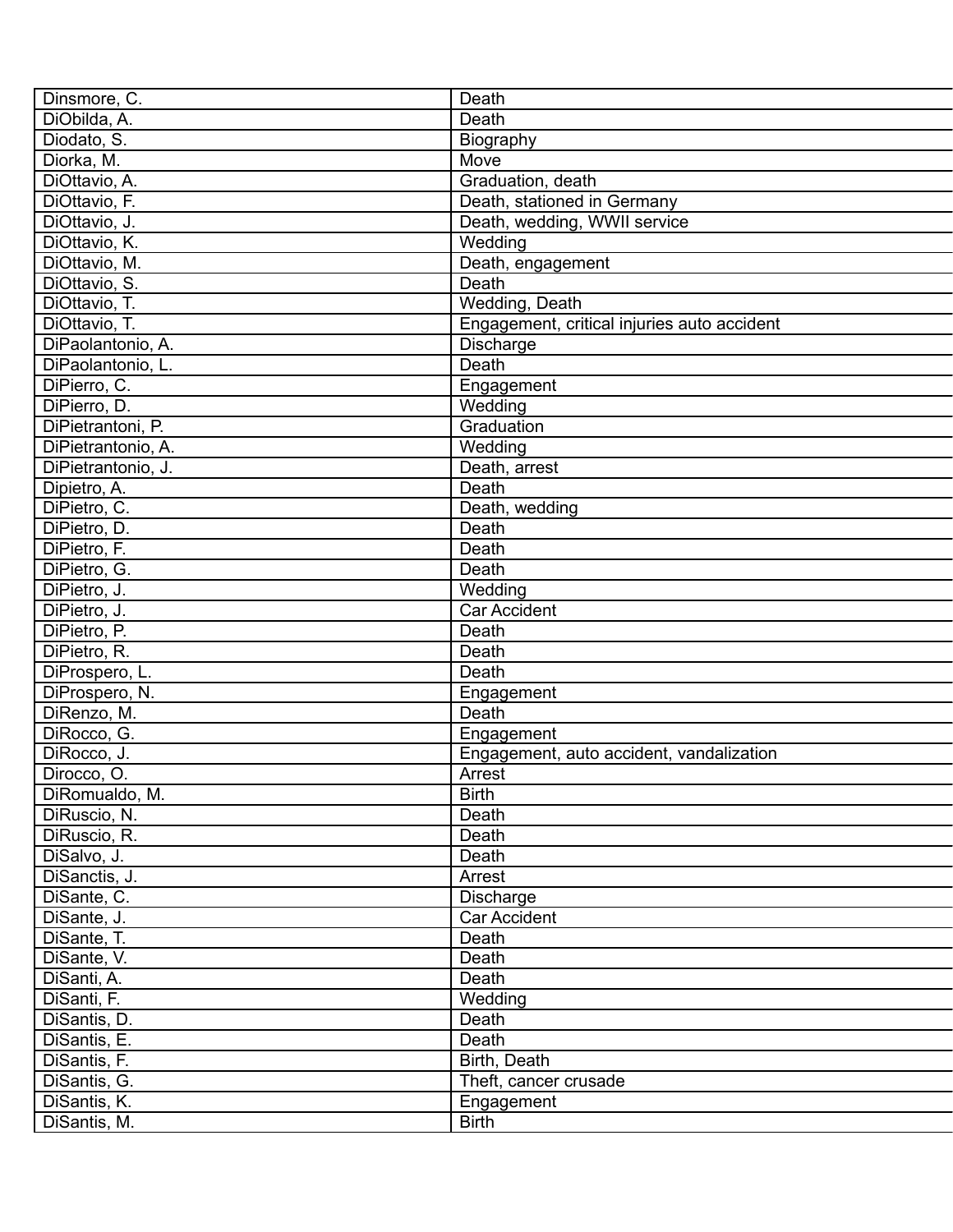| Dinsmore, C.                  | Death                                       |
|-------------------------------|---------------------------------------------|
| DiObilda, A.                  | Death                                       |
| Diodato, S.                   | Biography                                   |
| Diorka, M.                    | Move                                        |
| DiOttavio, A.                 | Graduation, death                           |
| DiOttavio, F.                 | Death, stationed in Germany                 |
| DiOttavio, J.                 | Death, wedding, WWII service                |
| DiOttavio, K.                 | Wedding                                     |
| DiOttavio, M.                 | Death, engagement                           |
| DiOttavio, S.                 | Death                                       |
| DiOttavio, T.                 | Wedding, Death                              |
| DiOttavio, T.                 | Engagement, critical injuries auto accident |
| DiPaolantonio, A.             | Discharge                                   |
| DiPaolantonio, L.             | Death                                       |
| DiPierro, C.                  | Engagement                                  |
| DiPierro, D.                  | Wedding                                     |
| DiPietrantoni, P.             | Graduation                                  |
| DiPietrantonio, A.            | Wedding                                     |
| DiPietrantonio, J.            | Death, arrest                               |
| Dipietro, A.                  | Death                                       |
| DiPietro, C.                  | Death, wedding                              |
| DiPietro, D.                  | Death                                       |
| DiPietro, F.                  | Death                                       |
| DiPietro, G.                  | Death                                       |
| DiPietro, J.                  | Wedding                                     |
| DiPietro, J.                  | <b>Car Accident</b>                         |
| DiPietro, P.                  | Death                                       |
| DiPietro, R.                  | Death                                       |
|                               | Death                                       |
| DiProspero, L.                |                                             |
| DiProspero, N.<br>DiRenzo, M. | Engagement<br>Death                         |
|                               |                                             |
| DiRocco, G.                   | Engagement                                  |
| DiRocco, J.                   | Engagement, auto accident, vandalization    |
| Dirocco, O.                   | Arrest                                      |
| DiRomualdo, M.                | <b>Birth</b>                                |
| DiRuscio, N.                  | Death                                       |
| DiRuscio, R.                  | Death                                       |
| DiSalvo, J.                   | Death                                       |
| DiSanctis, J.                 | Arrest                                      |
| DiSante, C.                   | Discharge                                   |
| DiSante, J.                   | Car Accident                                |
| DiSante, T.                   | Death                                       |
| DiSante, V.                   | Death                                       |
| DiSanti, A.                   | Death                                       |
| DiSanti, F.                   | Wedding                                     |
| DiSantis, D.                  | Death                                       |
| DiSantis, E.                  | Death                                       |
| DiSantis, F.                  | Birth, Death                                |
| DiSantis, G.                  | Theft, cancer crusade                       |
| DiSantis, K.                  | Engagement                                  |
| DiSantis, M.                  | <b>Birth</b>                                |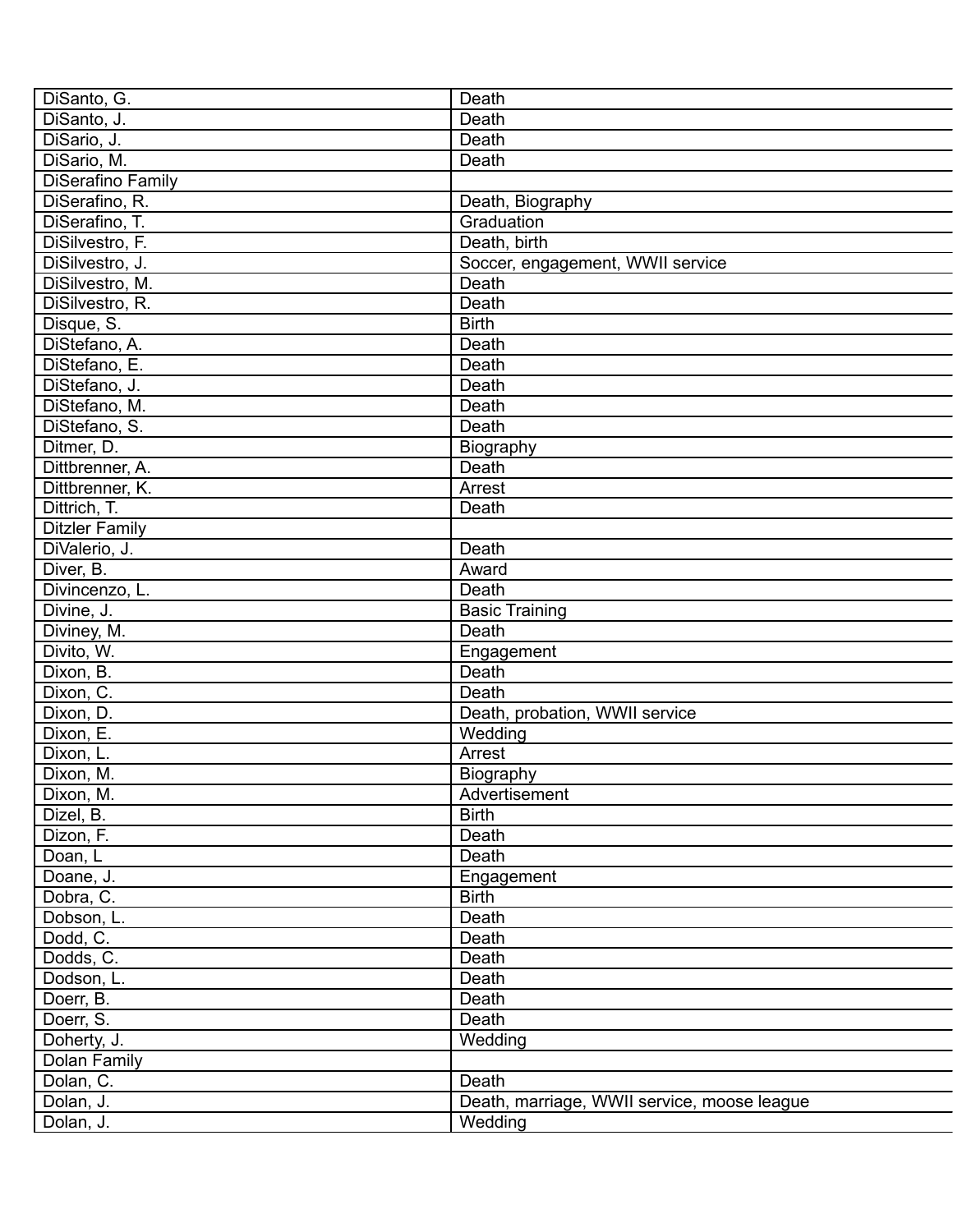| DiSanto, G.           | Death                                       |
|-----------------------|---------------------------------------------|
| DiSanto, J.           | Death                                       |
| DiSario, J.           | Death                                       |
| DiSario, M.           | Death                                       |
| DiSerafino Family     |                                             |
| DiSerafino, R.        | Death, Biography                            |
| DiSerafino, T.        | Graduation                                  |
| DiSilvestro, F.       | Death, birth                                |
| DiSilvestro, J.       | Soccer, engagement, WWII service            |
| DiSilvestro, M.       | Death                                       |
| DiSilvestro, R.       | Death                                       |
| Disque, S.            | <b>Birth</b>                                |
| DiStefano, A.         | Death                                       |
| DiStefano, E.         | Death                                       |
| DiStefano, J.         | Death                                       |
| DiStefano, M.         | Death                                       |
| DiStefano, S.         | Death                                       |
| Ditmer, D.            | Biography                                   |
| Dittbrenner, A.       | Death                                       |
| Dittbrenner, K.       | Arrest                                      |
| Dittrich, T.          | Death                                       |
| <b>Ditzler Family</b> |                                             |
| DiValerio, J.         | Death                                       |
| Diver, B.             | Award                                       |
| Divincenzo, L.        | Death                                       |
| Divine, J.            |                                             |
|                       | <b>Basic Training</b><br>Death              |
| Diviney, M.           |                                             |
| Divito, W.            | Engagement                                  |
| Dixon, B.             | Death                                       |
| Dixon, C.             | Death                                       |
| Dixon, D.             | Death, probation, WWII service              |
| Dixon, E.             | Wedding                                     |
| Dixon, L.             | Arrest                                      |
| Dixon, M.             | Biography                                   |
| Dixon, M.             | Advertisement                               |
| Dizel, B.             | <b>Birth</b>                                |
| Dizon, F.             | Death                                       |
| Doan, L               | Death                                       |
| Doane, J.             | Engagement                                  |
| Dobra, C.             | <b>Birth</b>                                |
| Dobson, L.            | Death                                       |
| Dodd, C.              | Death                                       |
| Dodds, C.             | Death                                       |
| Dodson, L.            | Death                                       |
| Doerr, B.             | Death                                       |
| Doerr, S.             | Death                                       |
| Doherty, J.           | Wedding                                     |
| Dolan Family          |                                             |
| Dolan, C.             | Death                                       |
| Dolan, J.             | Death, marriage, WWII service, moose league |
| Dolan, J.             | Wedding                                     |
|                       |                                             |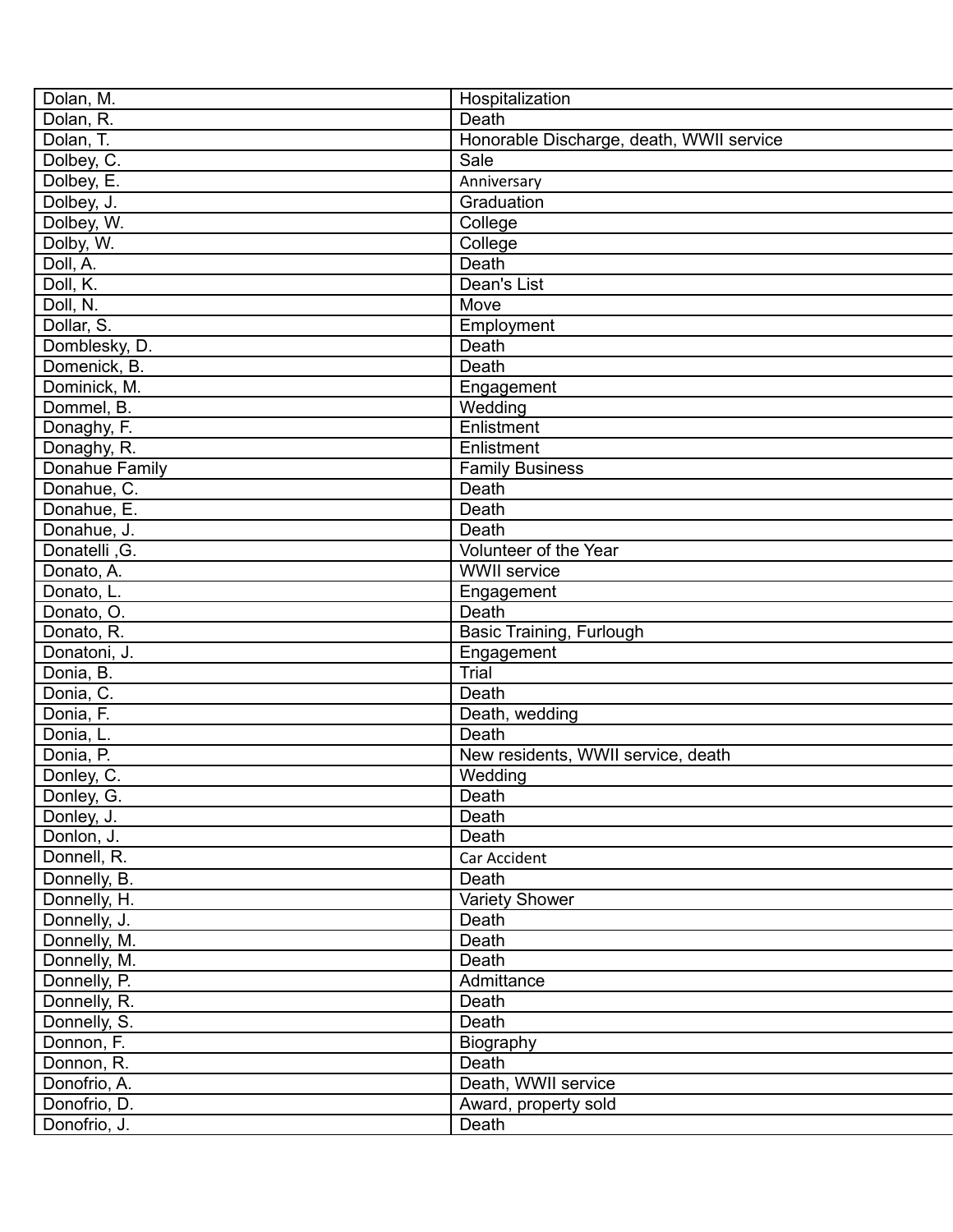| Dolan, M.      | Hospitalization                          |
|----------------|------------------------------------------|
| Dolan, R.      | Death                                    |
| Dolan, T.      | Honorable Discharge, death, WWII service |
| Dolbey, C.     | Sale                                     |
| Dolbey, E.     | Anniversary                              |
| Dolbey, J.     | Graduation                               |
| Dolbey, W.     | College                                  |
| Dolby, W.      | College                                  |
| Doll, A.       | Death                                    |
| Doll, K.       | Dean's List                              |
| Doll, N.       | Move                                     |
| Dollar, S.     | Employment                               |
| Domblesky, D.  | Death                                    |
| Domenick, B.   | Death                                    |
| Dominick, M.   | Engagement                               |
| Dommel, B.     | Wedding                                  |
| Donaghy, F.    | Enlistment                               |
| Donaghy, R.    | Enlistment                               |
| Donahue Family | <b>Family Business</b>                   |
| Donahue, C.    | Death                                    |
| Donahue, E.    | Death                                    |
| Donahue, J.    | Death                                    |
| Donatelli, G.  | Volunteer of the Year                    |
| Donato, A.     | <b>WWII</b> service                      |
| Donato, L.     | Engagement                               |
| Donato, O.     | Death                                    |
| Donato, R.     | Basic Training, Furlough                 |
| Donatoni, J.   | Engagement                               |
| Donia, B.      | <b>Trial</b>                             |
| Donia, C.      | Death                                    |
| Donia, F.      | Death, wedding                           |
| Donia, L.      | Death                                    |
| Donia, P.      | New residents, WWII service, death       |
| Donley, C.     | Wedding                                  |
| Donley, G.     | Death                                    |
| Donley, J.     | Death                                    |
| Donlon, J.     | Death                                    |
| Donnell, R.    | Car Accident                             |
| Donnelly, B.   | Death                                    |
| Donnelly, H.   | Variety Shower                           |
| Donnelly, J.   | Death                                    |
| Donnelly, M.   | Death                                    |
| Donnelly, M.   | Death                                    |
| Donnelly, P.   | Admittance                               |
| Donnelly, R.   | Death                                    |
| Donnelly, S.   | Death                                    |
| Donnon, F.     | Biography                                |
| Donnon, R.     | Death                                    |
| Donofrio, A.   | Death, WWII service                      |
| Donofrio, D.   | Award, property sold                     |
| Donofrio, J.   | Death                                    |
|                |                                          |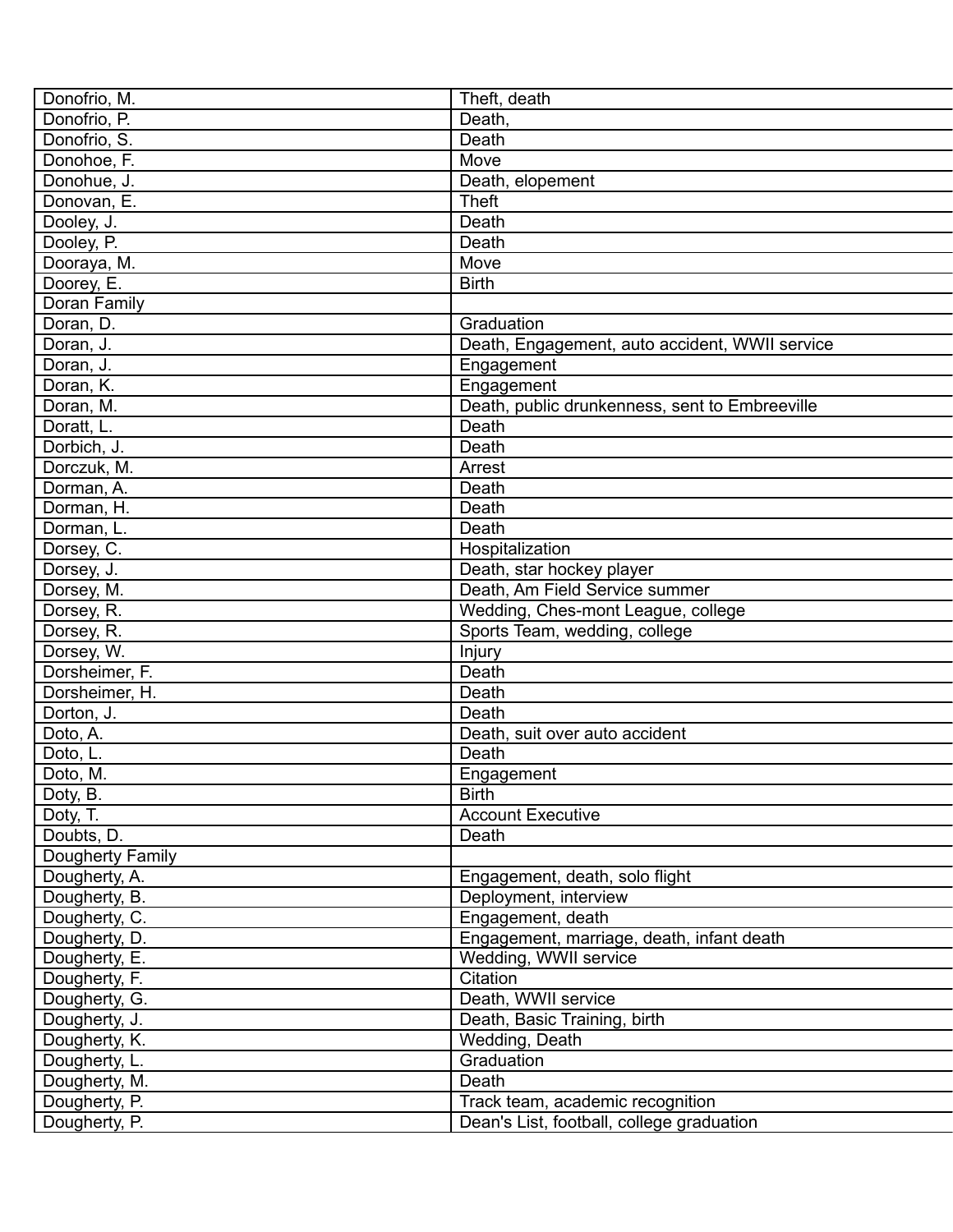| Donofrio, M.     | Theft, death                                   |
|------------------|------------------------------------------------|
| Donofrio, P.     | Death,                                         |
| Donofrio, S.     | Death                                          |
| Donohoe, F.      | Move                                           |
| Donohue, J.      | Death, elopement                               |
| Donovan, E.      | <b>Theft</b>                                   |
| Dooley, J.       | Death                                          |
| Dooley, P.       | Death                                          |
| Dooraya, M.      | Move                                           |
| Doorey, E.       | <b>Birth</b>                                   |
| Doran Family     |                                                |
| Doran, D.        | Graduation                                     |
| Doran, J.        | Death, Engagement, auto accident, WWII service |
| Doran, J.        | Engagement                                     |
| Doran, K.        | Engagement                                     |
| Doran, M.        | Death, public drunkenness, sent to Embreeville |
| Doratt, L.       | Death                                          |
| Dorbich, J.      | Death                                          |
| Dorczuk, M.      | Arrest                                         |
| Dorman, A.       | Death                                          |
| Dorman, H.       | Death                                          |
| Dorman, L.       | Death                                          |
| Dorsey, C.       | Hospitalization                                |
| Dorsey, J.       | Death, star hockey player                      |
| Dorsey, M.       | Death, Am Field Service summer                 |
| Dorsey, R.       | Wedding, Ches-mont League, college             |
| Dorsey, R.       | Sports Team, wedding, college                  |
| Dorsey, W.       | Injury                                         |
| Dorsheimer, F.   | Death                                          |
| Dorsheimer, H.   | Death                                          |
| Dorton, J.       | Death                                          |
| Doto, A.         | Death, suit over auto accident                 |
| Doto, L.         | Death                                          |
| Doto, M.         | Engagement                                     |
| Doty, B.         | <b>Birth</b>                                   |
| Doty, T.         | <b>Account Executive</b>                       |
| Doubts, D.       | Death                                          |
| Dougherty Family |                                                |
| Dougherty, A.    | Engagement, death, solo flight                 |
| Dougherty, B.    | Deployment, interview                          |
| Dougherty, C.    | Engagement, death                              |
| Dougherty, D.    | Engagement, marriage, death, infant death      |
| Dougherty, E.    | Wedding, WWII service                          |
| Dougherty, F.    | Citation                                       |
| Dougherty, G.    | Death, WWII service                            |
| Dougherty, J.    | Death, Basic Training, birth                   |
| Dougherty, K.    | Wedding, Death                                 |
| Dougherty, L.    | Graduation                                     |
| Dougherty, M.    | Death                                          |
| Dougherty, P.    | Track team, academic recognition               |
| Dougherty, P.    | Dean's List, football, college graduation      |
|                  |                                                |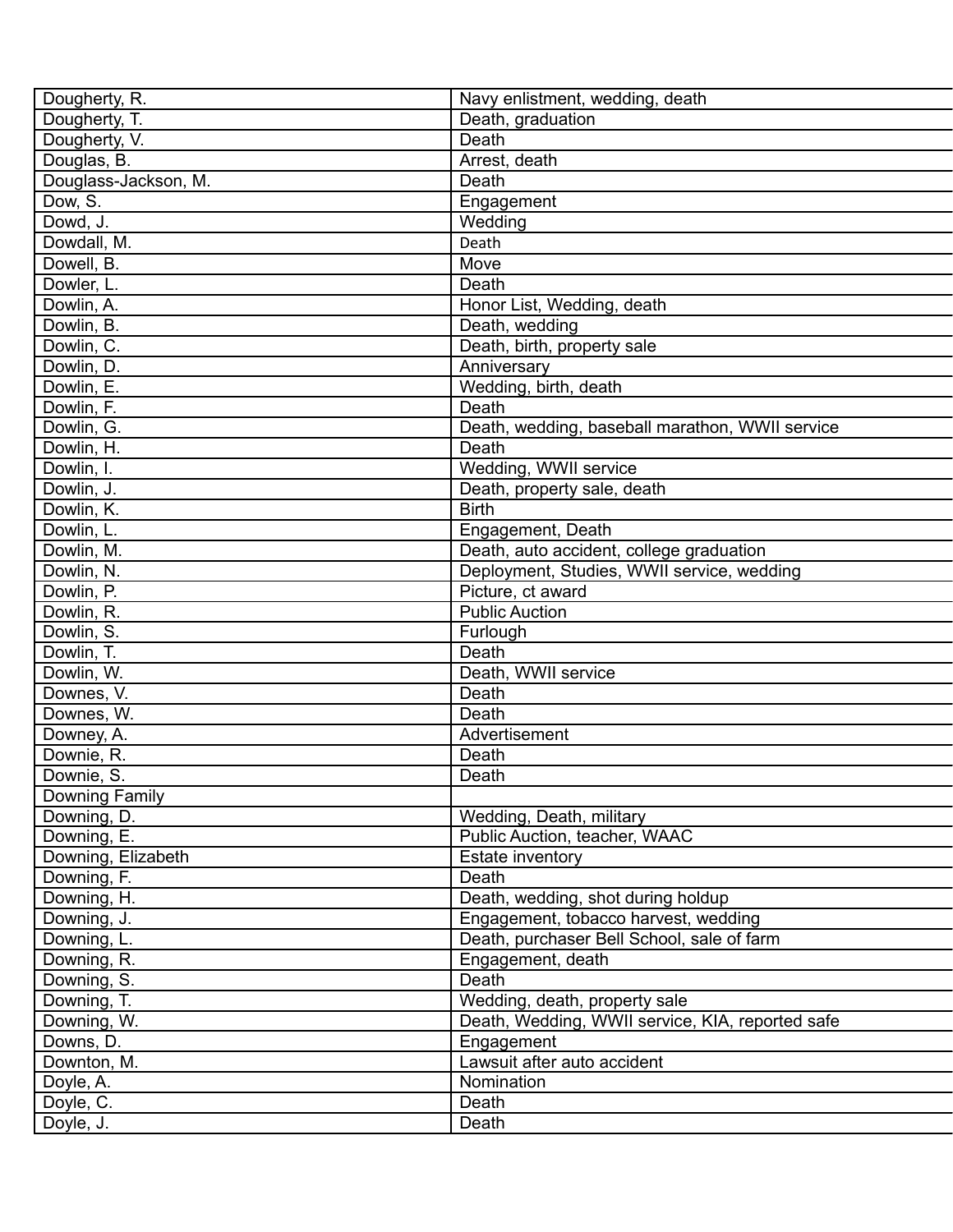| Dougherty, R.        | Navy enlistment, wedding, death                  |
|----------------------|--------------------------------------------------|
| Dougherty, T.        | Death, graduation                                |
| Dougherty, V.        | Death                                            |
| Douglas, B.          | Arrest, death                                    |
| Douglass-Jackson, M. | Death                                            |
| Dow, S.              | Engagement                                       |
| Dowd, J.             | Wedding                                          |
| Dowdall, M.          | Death                                            |
| Dowell, B.           | Move                                             |
| Dowler, L.           | Death                                            |
| Dowlin, A.           | Honor List, Wedding, death                       |
| Dowlin, B.           | Death, wedding                                   |
| Dowlin, C.           | Death, birth, property sale                      |
| Dowlin, D.           | Anniversary                                      |
| Dowlin, E.           | Wedding, birth, death                            |
| Dowlin, F.           | Death                                            |
| Dowlin, G.           | Death, wedding, baseball marathon, WWII service  |
| Dowlin, H.           | Death                                            |
| Dowlin, I.           | Wedding, WWII service                            |
| Dowlin, J.           | Death, property sale, death                      |
| Dowlin, K.           | <b>Birth</b>                                     |
| Dowlin, L.           | Engagement, Death                                |
| Dowlin, M.           | Death, auto accident, college graduation         |
| Dowlin, N.           | Deployment, Studies, WWII service, wedding       |
| Dowlin, P.           | Picture, ct award                                |
| Dowlin, R.           | <b>Public Auction</b>                            |
| Dowlin, S.           | Furlough                                         |
| Dowlin, T.           | Death                                            |
| Dowlin, W.           | Death, WWII service                              |
| Downes, V.           | Death                                            |
| Downes, W.           | Death                                            |
| Downey, A.           | Advertisement                                    |
| Downie, R.           | Death                                            |
| Downie, S.           | Death                                            |
| Downing Family       |                                                  |
| Downing, D.          | Wedding, Death, military                         |
| Downing, E.          | Public Auction, teacher, WAAC                    |
| Downing, Elizabeth   | Estate inventory                                 |
| Downing, F.          | Death                                            |
| Downing, H.          | Death, wedding, shot during holdup               |
| Downing, J.          | Engagement, tobacco harvest, wedding             |
| Downing, L.          | Death, purchaser Bell School, sale of farm       |
| Downing, R.          | Engagement, death                                |
| Downing, S.          | Death                                            |
| Downing, T.          | Wedding, death, property sale                    |
| Downing, W.          | Death, Wedding, WWII service, KIA, reported safe |
| Downs, D.            | Engagement                                       |
| Downton, M.          | Lawsuit after auto accident                      |
| Doyle, A.            | Nomination                                       |
| Doyle, C.            | Death                                            |
| Doyle, J.            | Death                                            |
|                      |                                                  |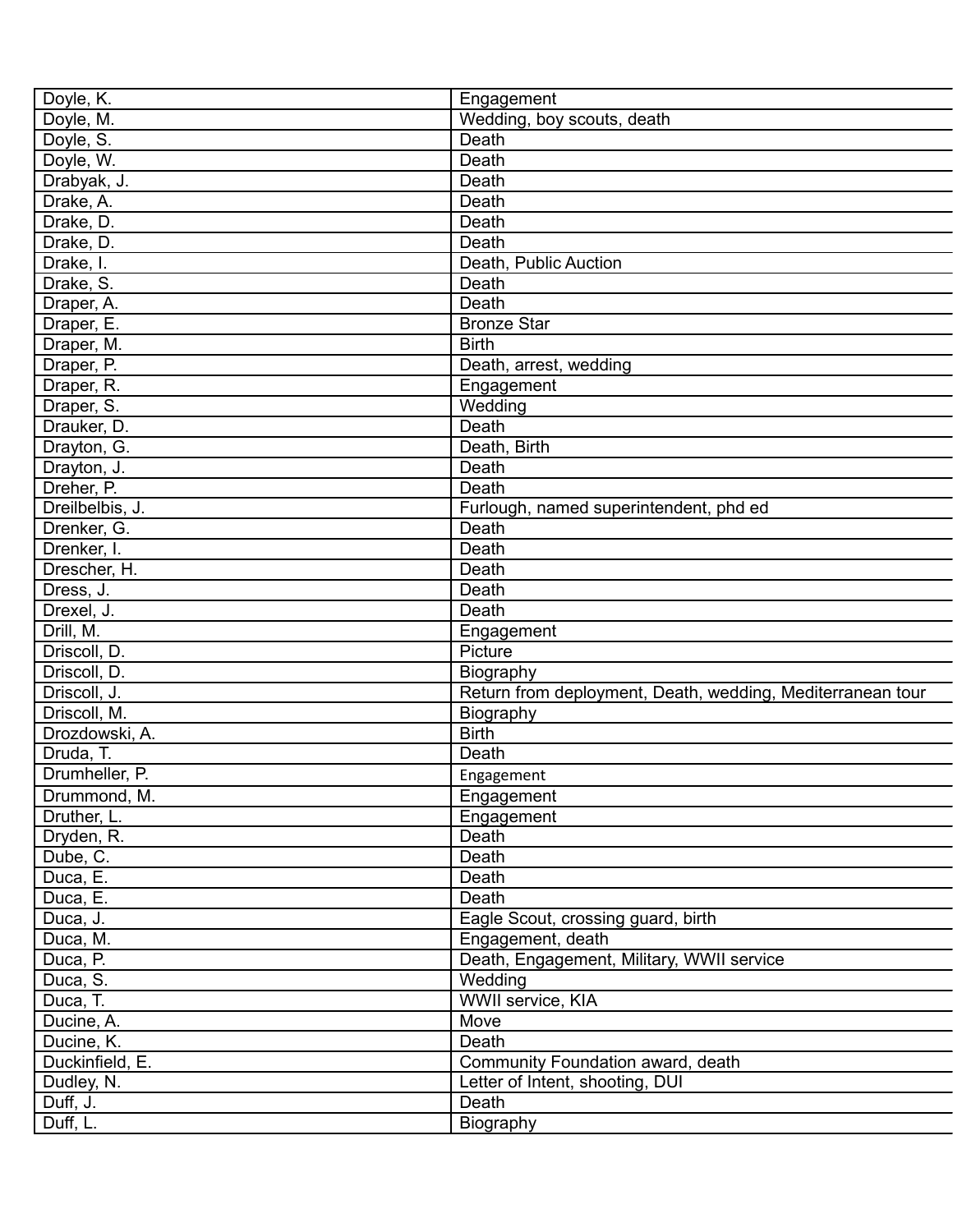| Doyle, K.       | Engagement                                                 |
|-----------------|------------------------------------------------------------|
| Doyle, M.       | Wedding, boy scouts, death                                 |
| Doyle, S.       | Death                                                      |
| Doyle, W.       | Death                                                      |
| Drabyak, J.     | Death                                                      |
| Drake, A.       | Death                                                      |
| Drake, D.       | Death                                                      |
| Drake, D.       | Death                                                      |
| Drake, I.       | Death, Public Auction                                      |
| Drake, S.       | Death                                                      |
| Draper, A.      | Death                                                      |
| Draper, E.      | <b>Bronze Star</b>                                         |
| Draper, M.      | <b>Birth</b>                                               |
| Draper, P.      | Death, arrest, wedding                                     |
| Draper, R.      | Engagement                                                 |
| Draper, S.      | Wedding                                                    |
| Drauker, D.     | Death                                                      |
| Drayton, G.     | Death, Birth                                               |
| Drayton, J.     | Death                                                      |
| Dreher, P.      | Death                                                      |
| Dreilbelbis, J. | Furlough, named superintendent, phd ed                     |
| Drenker, G.     | Death                                                      |
|                 | Death                                                      |
| Drenker, I.     |                                                            |
| Drescher, H.    | Death                                                      |
| Dress, J.       | Death                                                      |
| Drexel, J.      | Death                                                      |
| Drill, M.       | Engagement                                                 |
| Driscoll, D.    | Picture                                                    |
| Driscoll, D.    | Biography                                                  |
| Driscoll, J.    | Return from deployment, Death, wedding, Mediterranean tour |
| Driscoll, M.    | Biography                                                  |
| Drozdowski, A.  | <b>Birth</b>                                               |
| Druda, T.       | Death                                                      |
| Drumheller, P.  | Engagement                                                 |
| Drummond, M.    | Engagement                                                 |
| Druther, L.     | Engagement                                                 |
| Dryden, R.      | Death                                                      |
| Dube, C.        | Death                                                      |
| Duca, E.        | Death                                                      |
| Duca, E.        | Death                                                      |
| Duca, J.        | Eagle Scout, crossing guard, birth                         |
| Duca, M.        | Engagement, death                                          |
| Duca, P.        | Death, Engagement, Military, WWII service                  |
| Duca, S.        | Wedding                                                    |
| Duca, T.        | WWII service, KIA                                          |
| Ducine, A.      | Move                                                       |
| Ducine, K.      | Death                                                      |
| Duckinfield, E. | Community Foundation award, death                          |
| Dudley, N.      | Letter of Intent, shooting, DUI                            |
| Duff, J.        | Death                                                      |
| Duff, L.        | Biography                                                  |
|                 |                                                            |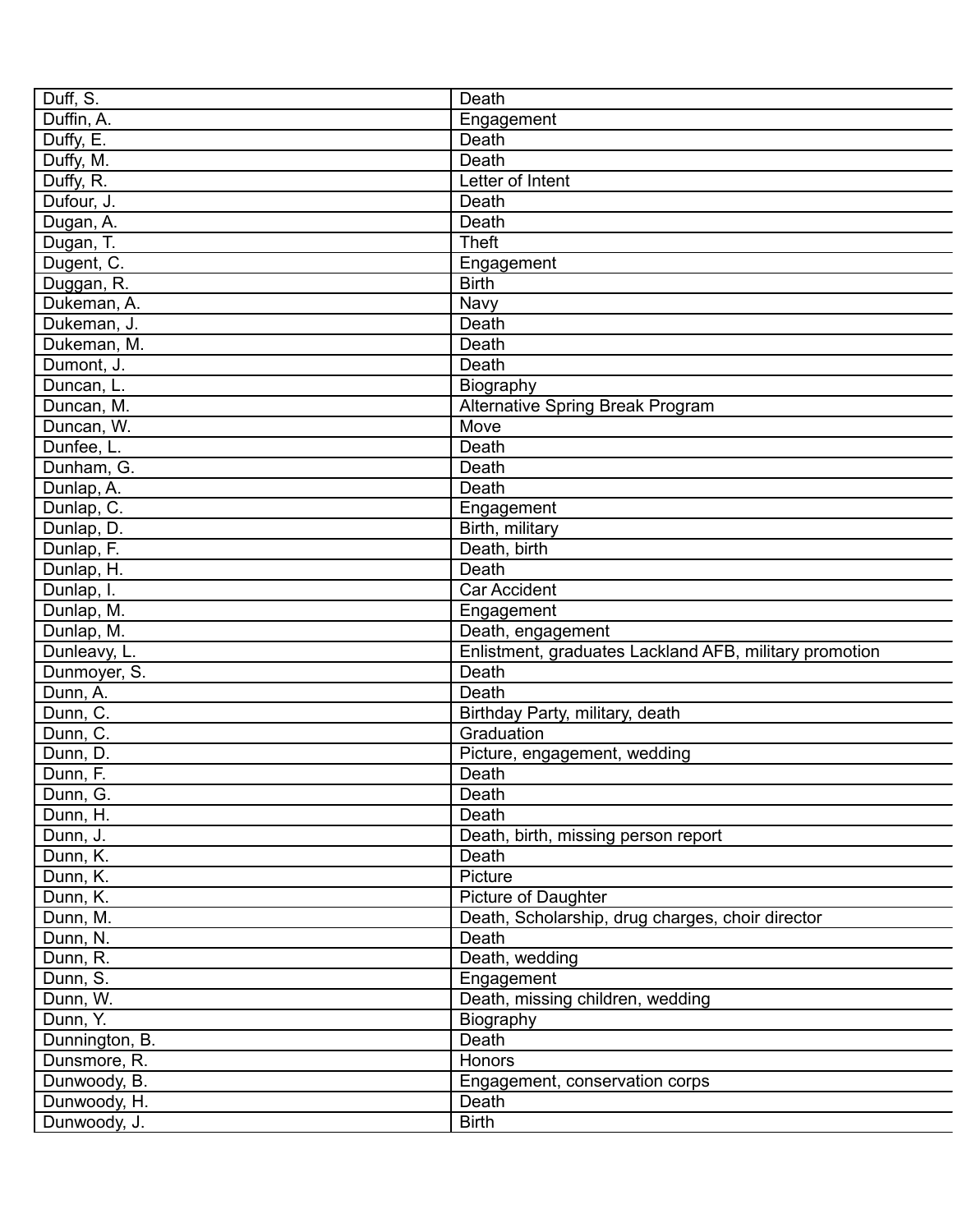| Duff, S.       | Death                                                  |
|----------------|--------------------------------------------------------|
| Duffin, A.     | Engagement                                             |
| Duffy, E.      | Death                                                  |
| Duffy, M.      | Death                                                  |
| Duffy, R.      | Letter of Intent                                       |
| Dufour, J.     | Death                                                  |
| Dugan, A.      | Death                                                  |
| Dugan, T.      | <b>Theft</b>                                           |
| Dugent, C.     | Engagement                                             |
| Duggan, R.     | <b>Birth</b>                                           |
| Dukeman, A.    | Navy                                                   |
| Dukeman, J.    | Death                                                  |
| Dukeman, M.    | Death                                                  |
| Dumont, J.     | Death                                                  |
| Duncan, L.     | Biography                                              |
| Duncan, M.     | <b>Alternative Spring Break Program</b>                |
| Duncan, W.     | Move                                                   |
| Dunfee, L.     | Death                                                  |
| Dunham, G.     | Death                                                  |
| Dunlap, A.     | Death                                                  |
| Dunlap, C.     | Engagement                                             |
| Dunlap, D.     | Birth, military                                        |
| Dunlap, F.     | Death, birth                                           |
| Dunlap, H.     | Death                                                  |
|                | <b>Car Accident</b>                                    |
| Dunlap, I.     |                                                        |
| Dunlap, M.     | Engagement                                             |
| Dunlap, M.     | Death, engagement                                      |
| Dunleavy, L.   | Enlistment, graduates Lackland AFB, military promotion |
| Dunmoyer, S.   | Death                                                  |
| Dunn, A.       | Death                                                  |
| Dunn, C.       | Birthday Party, military, death                        |
| Dunn, C.       | Graduation                                             |
| Dunn, D.       | Picture, engagement, wedding                           |
| Dunn, F.       | Death                                                  |
| Dunn, G.       | Death                                                  |
| Dunn, H.       | Death                                                  |
| Dunn, J.       | Death, birth, missing person report                    |
| Dunn, K.       | Death                                                  |
| Dunn, K.       | Picture                                                |
| Dunn, K.       | Picture of Daughter                                    |
| Dunn, M.       | Death, Scholarship, drug charges, choir director       |
| Dunn, N.       | Death                                                  |
| Dunn, R.       | Death, wedding                                         |
| Dunn, S.       | Engagement                                             |
| Dunn, W.       | Death, missing children, wedding                       |
| Dunn, Y.       | Biography                                              |
| Dunnington, B. | Death                                                  |
| Dunsmore, R.   | Honors                                                 |
| Dunwoody, B.   | Engagement, conservation corps                         |
| Dunwoody, H.   | Death                                                  |
| Dunwoody, J.   | <b>Birth</b>                                           |
|                |                                                        |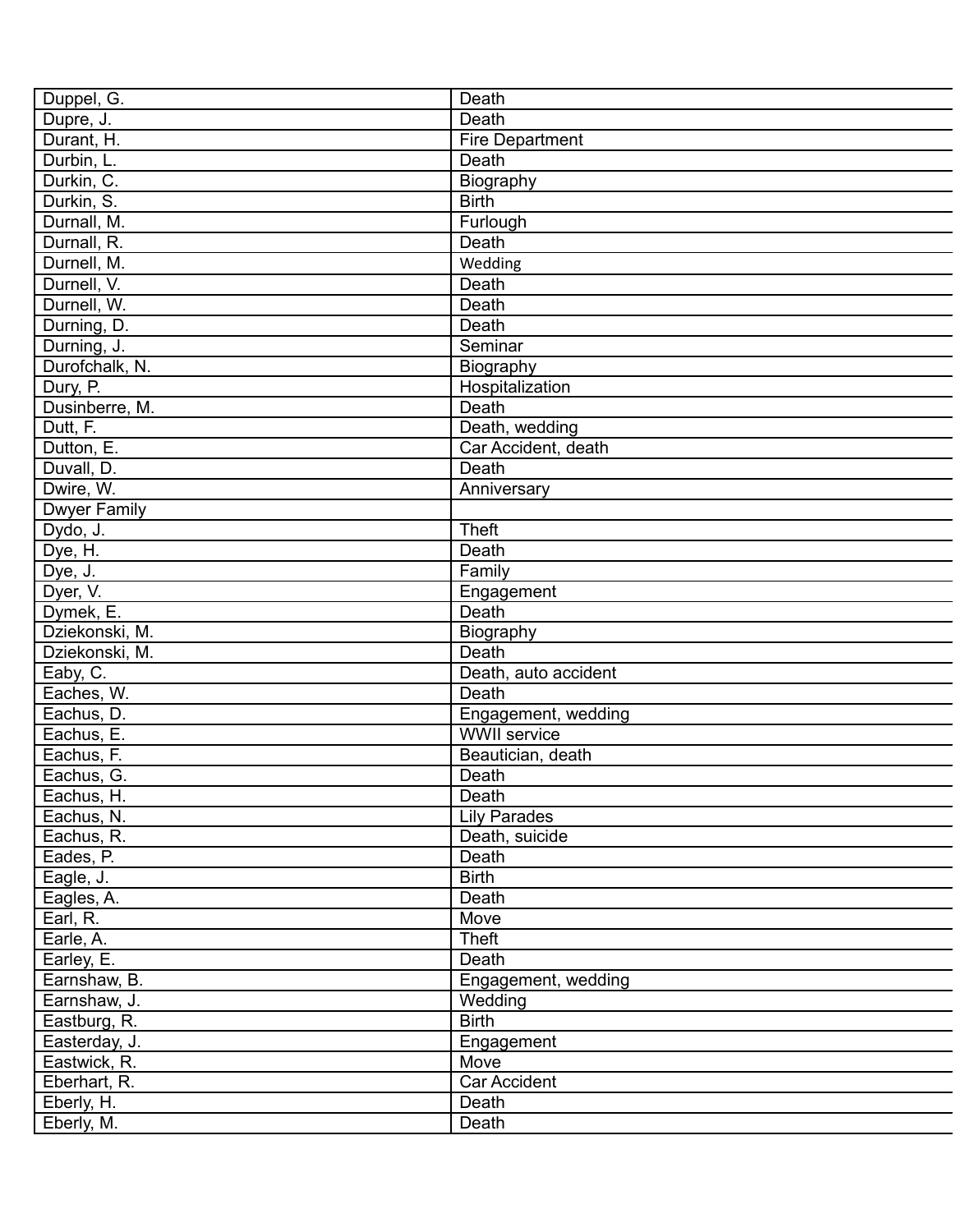| Duppel, G.          | Death                  |
|---------------------|------------------------|
| Dupre, J.           | Death                  |
| Durant, H.          | <b>Fire Department</b> |
| Durbin, L.          | Death                  |
| Durkin, C.          | Biography              |
| Durkin, S.          | <b>Birth</b>           |
| Durnall, M.         | Furlough               |
| Durnall, R.         | Death                  |
| Durnell, M.         | Wedding                |
| Durnell, V.         | Death                  |
| Durnell, W.         | Death                  |
| Durning, D.         | Death                  |
| Durning, J.         | Seminar                |
| Durofchalk, N.      | Biography              |
| Dury, P.            | Hospitalization        |
| Dusinberre, M.      | Death                  |
| Dutt, F.            | Death, wedding         |
| Dutton, E.          | Car Accident, death    |
| Duvall, D.          | Death                  |
| Dwire, W.           | Anniversary            |
| <b>Dwyer Family</b> |                        |
|                     | <b>Theft</b>           |
| Dydo, J.            |                        |
| Dye, H.             | Death                  |
| Dye, J.             | Family                 |
| Dyer, V.            | Engagement             |
| Dymek, E.           | Death                  |
| Dziekonski, M.      | Biography              |
| Dziekonski, M.      | Death                  |
| Eaby, C.            | Death, auto accident   |
| Eaches, W.          | Death                  |
| Eachus, D.          | Engagement, wedding    |
| Eachus, E.          | <b>WWII</b> service    |
| Eachus, F.          | Beautician, death      |
| Eachus, G.          | Death                  |
| Eachus, H.          | Death                  |
| Eachus, N.          | <b>Lily Parades</b>    |
| Eachus, R.          | Death, suicide         |
| Eades, P.           | Death                  |
| Eagle, J.           | <b>Birth</b>           |
| Eagles, A.          | Death                  |
| Earl, R.            | Move                   |
| Earle, A.           | Theft                  |
| Earley, E.          | Death                  |
| Earnshaw, B.        | Engagement, wedding    |
| Earnshaw, J.        | Wedding                |
| Eastburg, R.        | <b>Birth</b>           |
| Easterday, J.       | Engagement             |
| Eastwick, R.        | Move                   |
| Eberhart, R.        | Car Accident           |
| Eberly, H.          | Death                  |
| Eberly, M.          | Death                  |
|                     |                        |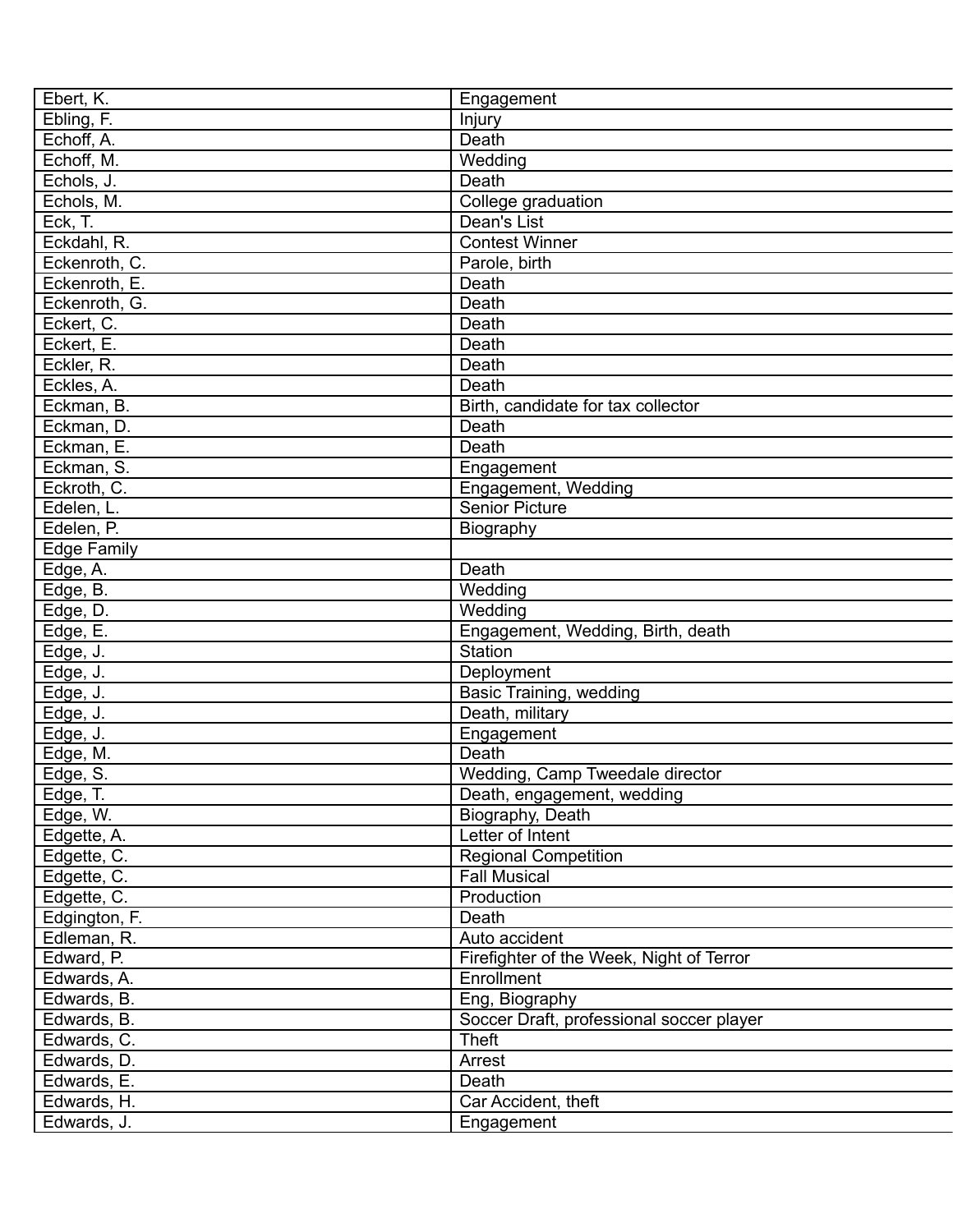| Ebert, K.     | Engagement                               |
|---------------|------------------------------------------|
| Ebling, F.    | Injury                                   |
| Echoff, A.    | Death                                    |
| Echoff, M.    | Wedding                                  |
| Echols, J.    | Death                                    |
| Echols, M.    | College graduation                       |
| Eck, T.       | Dean's List                              |
| Eckdahl, R.   | <b>Contest Winner</b>                    |
| Eckenroth, C. | Parole, birth                            |
| Eckenroth, E. | Death                                    |
| Eckenroth, G. | Death                                    |
| Eckert, C.    | Death                                    |
| Eckert, E.    | Death                                    |
| Eckler, R.    | Death                                    |
| Eckles, A.    | Death                                    |
| Eckman, B.    | Birth, candidate for tax collector       |
| Eckman, D.    | Death                                    |
| Eckman, E.    | Death                                    |
| Eckman, S.    | Engagement                               |
| Eckroth, C.   | Engagement, Wedding                      |
| Edelen, L.    | <b>Senior Picture</b>                    |
| Edelen, P.    | Biography                                |
| Edge Family   |                                          |
| Edge, A.      | Death                                    |
| Edge, B.      | Wedding                                  |
| Edge, D.      | Wedding                                  |
| Edge, E.      | Engagement, Wedding, Birth, death        |
| Edge, J.      | Station                                  |
| Edge, J.      | Deployment                               |
| Edge, J.      | Basic Training, wedding                  |
| Edge, J.      | Death, military                          |
| Edge, J.      | Engagement                               |
| Edge, M.      | Death                                    |
| Edge, S.      | Wedding, Camp Tweedale director          |
| Edge, T.      | Death, engagement, wedding               |
| Edge, W.      | Biography, Death                         |
| Edgette, A.   | Letter of Intent                         |
| Edgette, C.   | <b>Regional Competition</b>              |
| Edgette, C.   | <b>Fall Musical</b>                      |
| Edgette, C.   | Production                               |
| Edgington, F. | Death                                    |
| Edleman, R.   | Auto accident                            |
| Edward, P.    | Firefighter of the Week, Night of Terror |
| Edwards, A.   | Enrollment                               |
| Edwards, B.   | Eng, Biography                           |
| Edwards, B.   | Soccer Draft, professional soccer player |
| Edwards, C.   | <b>Theft</b>                             |
| Edwards, D.   | Arrest                                   |
|               | Death                                    |
| Edwards, E.   |                                          |
| Edwards, H.   | Car Accident, theft                      |
| Edwards, J.   | Engagement                               |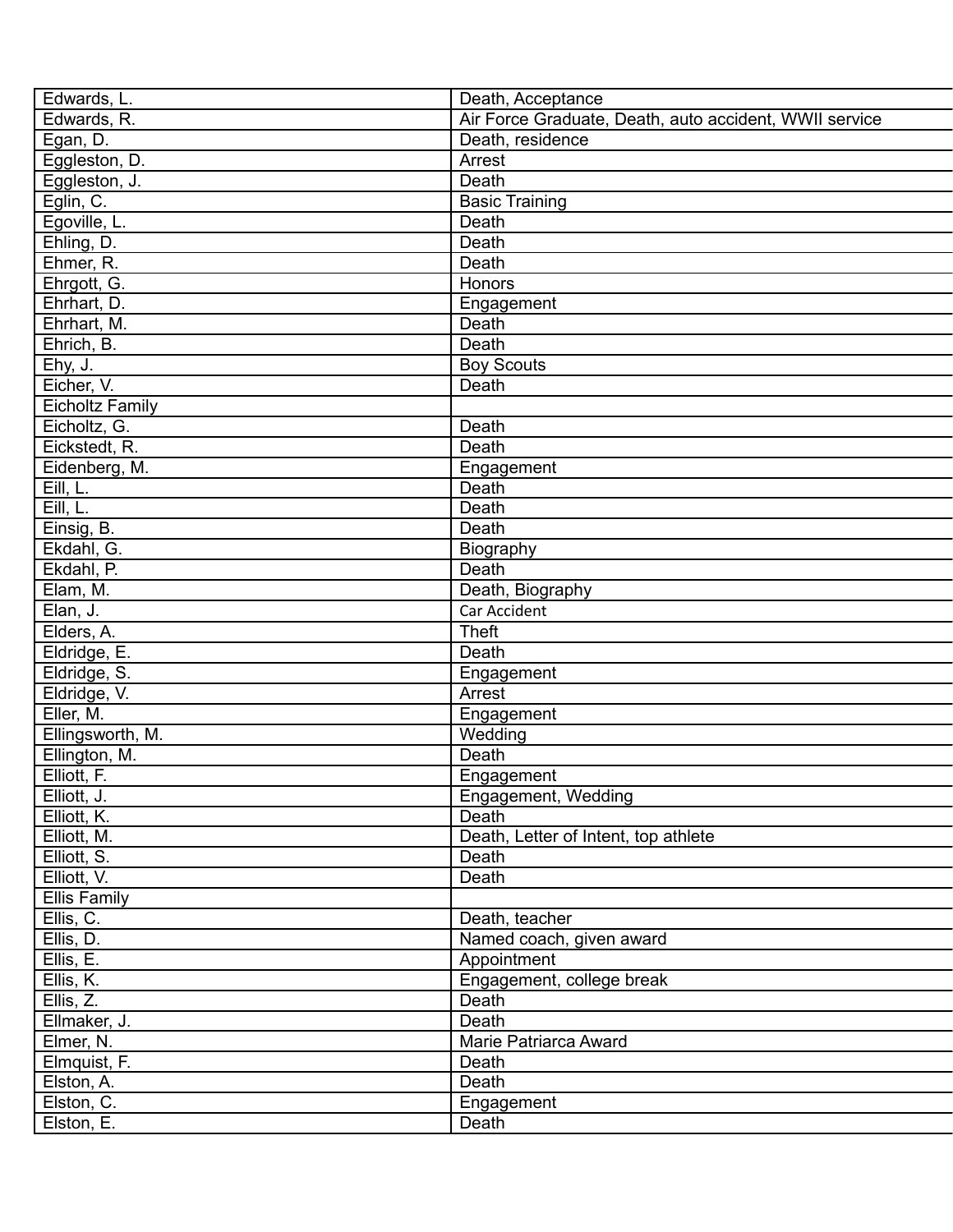| Edwards, L.            | Death, Acceptance                                      |
|------------------------|--------------------------------------------------------|
| Edwards, R.            | Air Force Graduate, Death, auto accident, WWII service |
| Egan, D.               | Death, residence                                       |
| Eggleston, D.          | Arrest                                                 |
| Eggleston, J.          | <b>Death</b>                                           |
| Eglin, C.              | <b>Basic Training</b>                                  |
| Egoville, L.           | Death                                                  |
| Ehling, D.             | Death                                                  |
| Ehmer, R.              | Death                                                  |
| Ehrgott, G.            | Honors                                                 |
| Ehrhart, D.            |                                                        |
| Ehrhart, M.            | Engagement<br>Death                                    |
|                        | Death                                                  |
| Ehrich, B.             |                                                        |
| Ehy, J.                | <b>Boy Scouts</b>                                      |
| Eicher, V.             | Death                                                  |
| <b>Eicholtz Family</b> |                                                        |
| Eicholtz, G.           | Death                                                  |
| Eickstedt, R.          | Death                                                  |
| Eidenberg, M.          | Engagement                                             |
| Eill, L.               | Death                                                  |
| Eill, L.               | Death                                                  |
| Einsig, B.             | Death                                                  |
| Ekdahl, G.             | Biography                                              |
| Ekdahl, P.             | Death                                                  |
| Elam, M.               | Death, Biography                                       |
| Elan, J.               | Car Accident                                           |
| Elders, A.             | <b>Theft</b>                                           |
| Eldridge, E.           | Death                                                  |
| Eldridge, S.           | Engagement                                             |
| Eldridge, V.           | Arrest                                                 |
| Eller, M.              | Engagement                                             |
| Ellingsworth, M.       | Wedding                                                |
| Ellington, M.          | Death                                                  |
| Elliott, F.            | Engagement                                             |
| Elliott, J.            | Engagement, Wedding                                    |
| Elliott, K.            | Death                                                  |
| Elliott, M.            | Death, Letter of Intent, top athlete                   |
| Elliott, S.            | Death                                                  |
| Elliott, V.            | Death                                                  |
| <b>Ellis Family</b>    |                                                        |
| Ellis, C.              | Death, teacher                                         |
| Ellis, D.              | Named coach, given award                               |
| Ellis, E.              | Appointment                                            |
| Ellis, K.              | Engagement, college break                              |
| Ellis, Z.              | Death                                                  |
| Ellmaker, J.           | Death                                                  |
| Elmer, N.              | Marie Patriarca Award                                  |
| Elmquist, F.           | Death                                                  |
| Elston, A.             | Death                                                  |
| Elston, C.             | Engagement                                             |
| Elston, E.             | Death                                                  |
|                        |                                                        |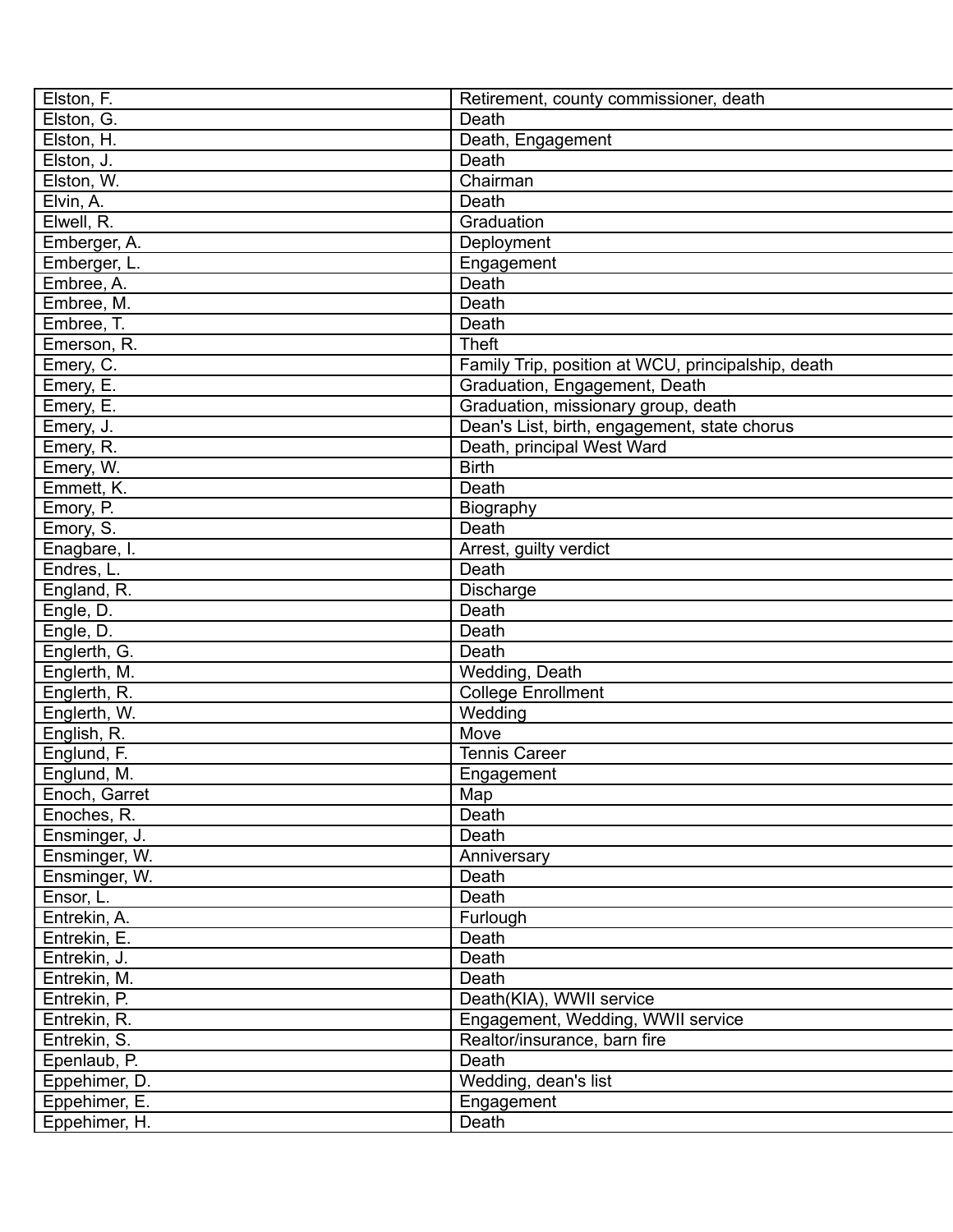| Elston, F.    | Retirement, county commissioner, death             |
|---------------|----------------------------------------------------|
| Elston, G.    | Death                                              |
| Elston, H.    | Death, Engagement                                  |
| Elston, J.    | Death                                              |
| Elston, W.    | Chairman                                           |
| Elvin, A.     | Death                                              |
| Elwell, R.    | Graduation                                         |
| Emberger, A.  | Deployment                                         |
| Emberger, L.  | Engagement                                         |
| Embree, A.    | Death                                              |
| Embree, M.    | Death                                              |
| Embree, T.    | Death                                              |
| Emerson, R.   | <b>Theft</b>                                       |
| Emery, C.     | Family Trip, position at WCU, principalship, death |
| Emery, E.     | Graduation, Engagement, Death                      |
| Emery, E.     | Graduation, missionary group, death                |
| Emery, J.     | Dean's List, birth, engagement, state chorus       |
| Emery, R.     | Death, principal West Ward                         |
| Emery, W.     | <b>Birth</b>                                       |
| Emmett, K.    | Death                                              |
| Emory, P.     | Biography                                          |
| Emory, S.     | Death                                              |
| Enagbare, I.  | Arrest, guilty verdict                             |
| Endres, L.    | Death                                              |
| England, R.   | <b>Discharge</b>                                   |
| Engle, D.     | Death                                              |
| Engle, D.     | Death                                              |
| Englerth, G.  | Death                                              |
| Englerth, M.  | Wedding, Death                                     |
| Englerth, R.  | <b>College Enrollment</b>                          |
| Englerth, W.  | Wedding                                            |
| English, R.   | Move                                               |
| Englund, F.   | <b>Tennis Career</b>                               |
| Englund, M.   | Engagement                                         |
| Enoch, Garret | Map                                                |
| Enoches, R.   | Death                                              |
| Ensminger, J. | Death                                              |
| Ensminger, W. | Anniversary                                        |
| Ensminger, W. | Death                                              |
| Ensor, L.     | Death                                              |
| Entrekin, A.  | Furlough                                           |
| Entrekin, E.  | Death                                              |
| Entrekin, J.  | Death                                              |
| Entrekin, M.  | Death                                              |
| Entrekin, P.  | Death(KIA), WWII service                           |
| Entrekin, R.  | Engagement, Wedding, WWII service                  |
| Entrekin, S.  | Realtor/insurance, barn fire                       |
| Epenlaub, P.  | Death                                              |
| Eppehimer, D. | Wedding, dean's list                               |
| Eppehimer, E. | Engagement                                         |
| Eppehimer, H. | Death                                              |
|               |                                                    |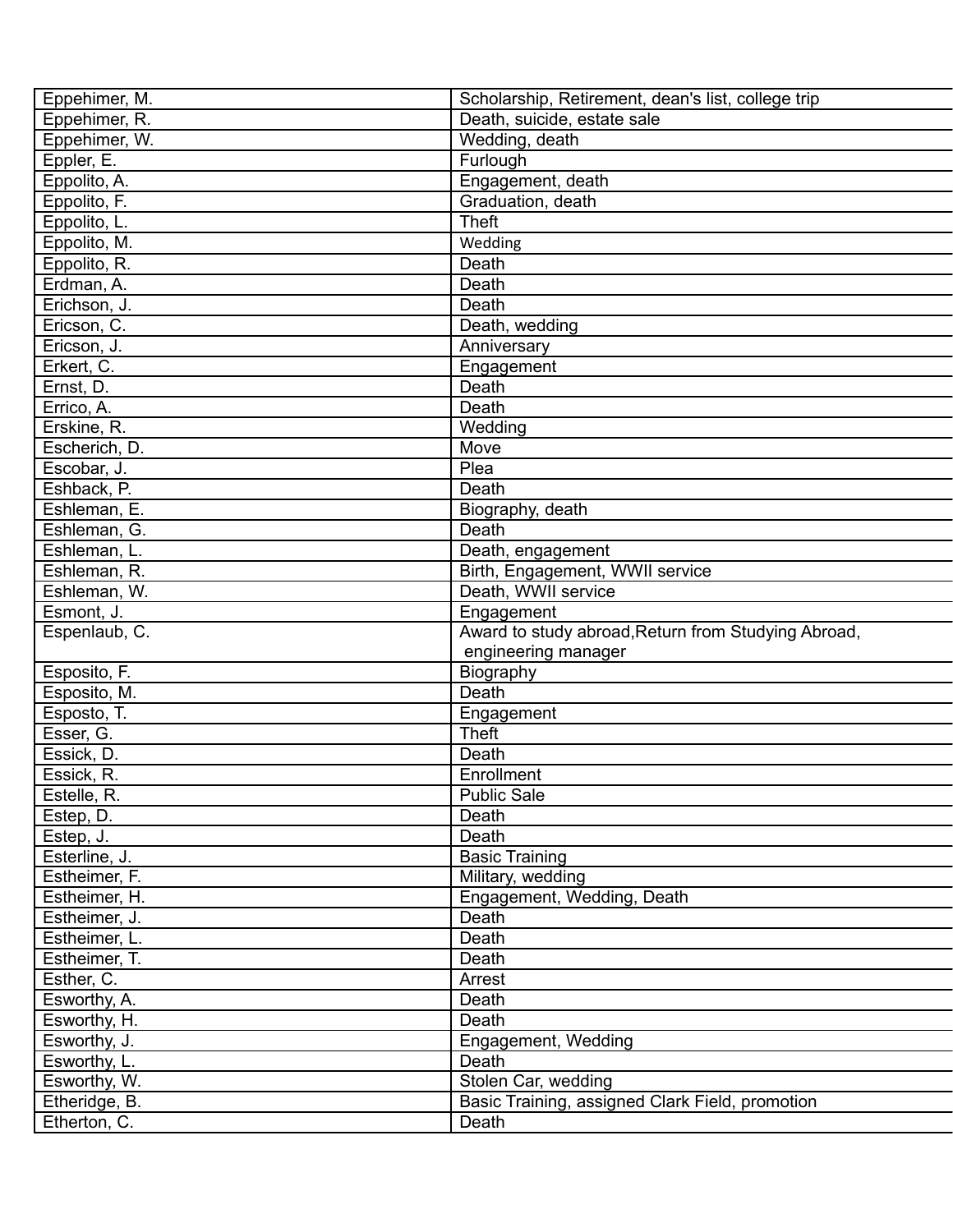| Eppehimer, M.                 | Scholarship, Retirement, dean's list, college trip       |
|-------------------------------|----------------------------------------------------------|
| Eppehimer, R.                 | Death, suicide, estate sale                              |
| Eppehimer, W.                 | Wedding, death                                           |
| Eppler, E.                    | Furlough                                                 |
| Eppolito, A.                  | Engagement, death                                        |
| Eppolito, F.                  | Graduation, death                                        |
| Eppolito, L.                  | <b>Theft</b>                                             |
| Eppolito, M.                  | Wedding                                                  |
|                               |                                                          |
| Eppolito, R.                  | Death                                                    |
| Erdman, A.                    | Death                                                    |
| Erichson, J.                  | Death                                                    |
| Ericson, C.                   | Death, wedding                                           |
| Ericson, J.                   | Anniversary                                              |
| Erkert, C.                    | Engagement                                               |
| Ernst, D.                     | Death                                                    |
| Errico, A.                    | Death                                                    |
| Erskine, R.                   | Wedding                                                  |
| Escherich, D.                 | Move                                                     |
| Escobar, J.                   | Plea                                                     |
| Eshback, P.                   | Death                                                    |
| Eshleman, E.                  | Biography, death                                         |
| Eshleman, G.                  | Death                                                    |
| Eshleman, L.                  | Death, engagement                                        |
| Eshleman, R.                  | Birth, Engagement, WWII service                          |
| Eshleman, W.                  | Death, WWII service                                      |
| Esmont, J.                    | Engagement                                               |
| Espenlaub, C.                 | Award to study abroad, Return from Studying Abroad,      |
|                               |                                                          |
|                               | engineering manager                                      |
| Esposito, F.                  | Biography                                                |
| Esposito, M.                  | Death                                                    |
| Esposto, T.                   | Engagement                                               |
| Esser, G.                     | <b>Theft</b>                                             |
| Essick, D.                    | Death                                                    |
| Essick, R.                    | Enrollment                                               |
|                               |                                                          |
| Estelle, R.                   | <b>Public Sale</b><br>Death                              |
| Estep, D.                     | Death                                                    |
| Estep, J.                     |                                                          |
| Esterline, J.                 | <b>Basic Training</b>                                    |
| Estheimer, F.                 | Military, wedding                                        |
| Estheimer, H.                 | Engagement, Wedding, Death                               |
| Estheimer, J.                 | Death                                                    |
| Estheimer, L.                 | Death                                                    |
| Estheimer, T.                 | Death                                                    |
| Esther, C.                    | Arrest                                                   |
| Esworthy, A.                  | Death                                                    |
| Esworthy, H.                  | Death                                                    |
| Esworthy, J.                  | Engagement, Wedding                                      |
| Esworthy, L.                  | Death                                                    |
| Esworthy, W.                  | Stolen Car, wedding                                      |
| Etheridge, B.<br>Etherton, C. | Basic Training, assigned Clark Field, promotion<br>Death |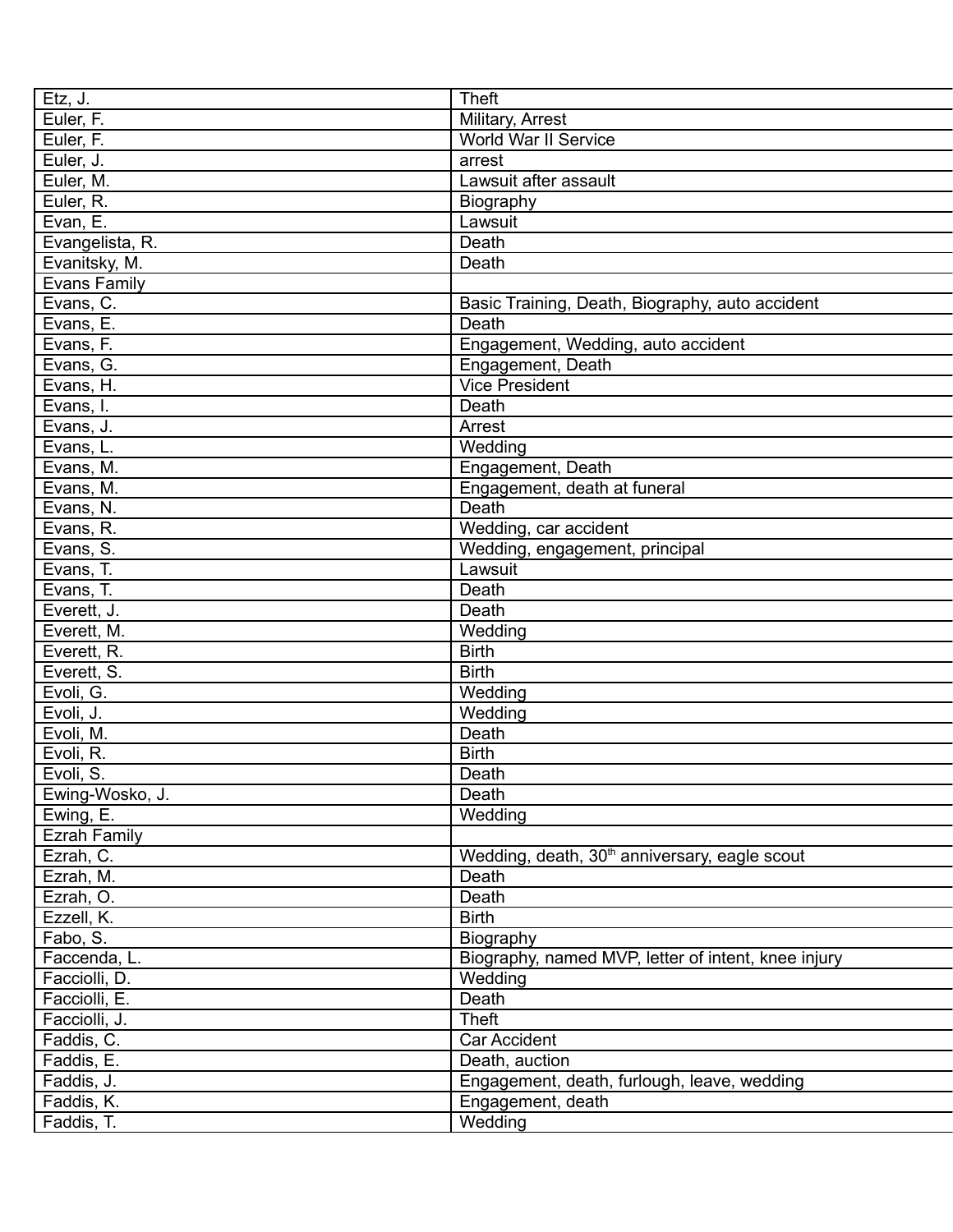| Etz, J.             | <b>Theft</b>                                              |
|---------------------|-----------------------------------------------------------|
| Euler, F.           | Military, Arrest                                          |
| Euler, F.           | World War II Service                                      |
| Euler, J.           | arrest                                                    |
| Euler, M.           | Lawsuit after assault                                     |
| Euler, R.           | Biography                                                 |
| Evan, E.            | Lawsuit                                                   |
| Evangelista, R.     | Death                                                     |
| Evanitsky, M.       | Death                                                     |
| <b>Evans Family</b> |                                                           |
| Evans, C.           | Basic Training, Death, Biography, auto accident           |
| Evans, E.           | Death                                                     |
| Evans, F.           | Engagement, Wedding, auto accident                        |
| Evans, G.           | Engagement, Death                                         |
| Evans, H.           | <b>Vice President</b>                                     |
| Evans, I.           | Death                                                     |
| Evans, J.           | Arrest                                                    |
| Evans, L.           | Wedding                                                   |
| Evans, M.           | Engagement, Death                                         |
| Evans, M.           | Engagement, death at funeral                              |
| Evans, N.           | Death                                                     |
| Evans, R.           | Wedding, car accident                                     |
| Evans, S.           | Wedding, engagement, principal                            |
| Evans, T.           | Lawsuit                                                   |
| Evans, T.           | Death                                                     |
| Everett, J.         | Death                                                     |
| Everett, M.         | Wedding                                                   |
| Everett, R.         | <b>Birth</b>                                              |
|                     | <b>Birth</b>                                              |
| Everett, S.         |                                                           |
| Evoli, G.           | Wedding                                                   |
| Evoli, J.           | Wedding                                                   |
| Evoli, M.           | Death                                                     |
| Evoli, R.           | <b>Birth</b>                                              |
| Evoli, S.           | Death                                                     |
| Ewing-Wosko, J.     | Death                                                     |
| Ewing, E.           | Wedding                                                   |
| <b>Ezrah Family</b> |                                                           |
| Ezrah, C.           | Wedding, death, 30 <sup>th</sup> anniversary, eagle scout |
| Ezrah, M.           | Death                                                     |
| Ezrah, O.           | Death                                                     |
| Ezzell, K.          | <b>Birth</b>                                              |
| Fabo, S.            | Biography                                                 |
| Faccenda, L.        | Biography, named MVP, letter of intent, knee injury       |
| Facciolli, D.       | Wedding                                                   |
| Facciolli, E.       | Death                                                     |
| Facciolli, J.       | Theft                                                     |
| Faddis, C.          | <b>Car Accident</b>                                       |
| Faddis, E.          | Death, auction                                            |
| Faddis, J.          | Engagement, death, furlough, leave, wedding               |
| Faddis, K.          | Engagement, death                                         |
| Faddis, T.          | Wedding                                                   |
|                     |                                                           |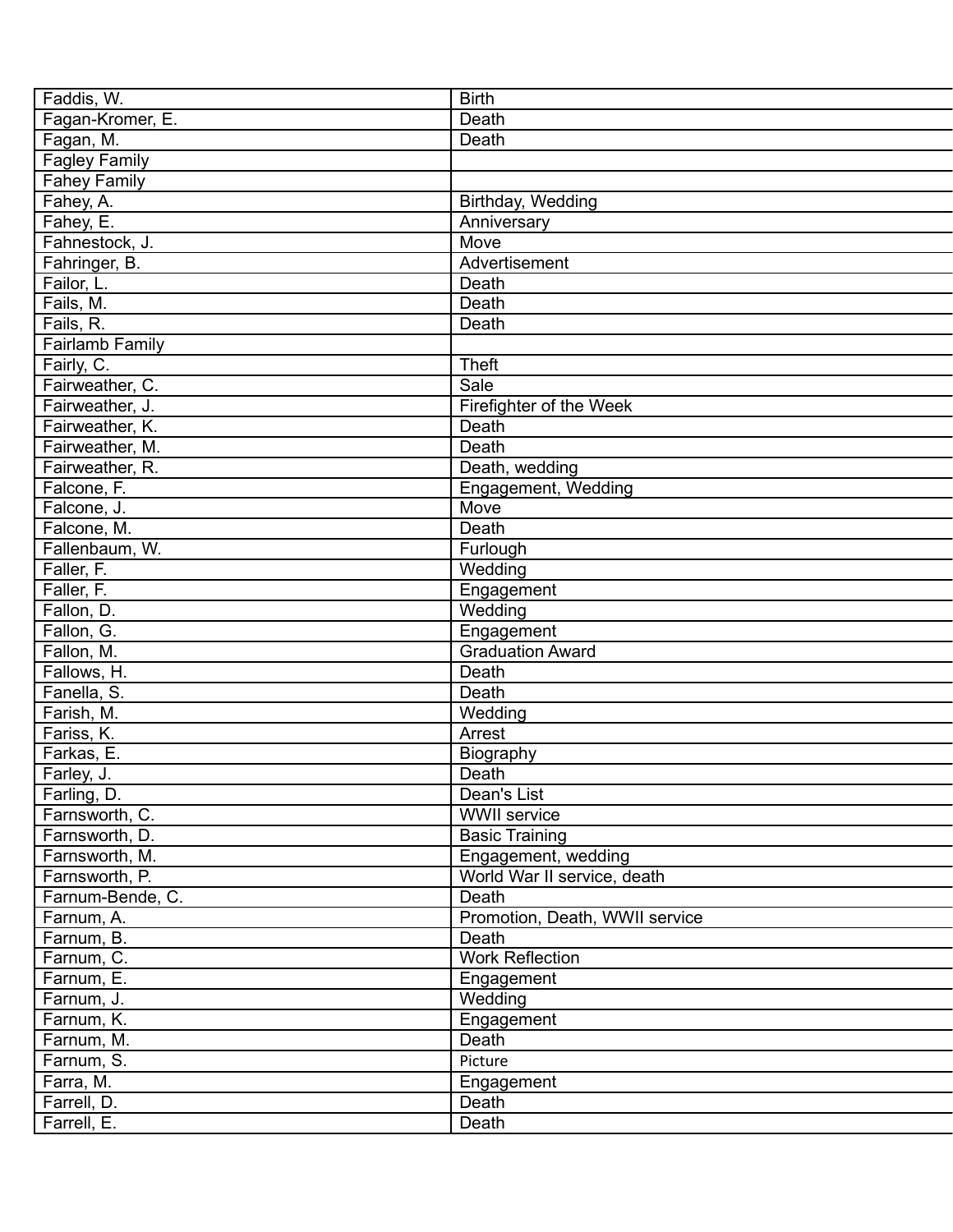| Faddis, W.           | <b>Birth</b>                   |
|----------------------|--------------------------------|
| Fagan-Kromer, E.     | Death                          |
| Fagan, M.            | Death                          |
| <b>Fagley Family</b> |                                |
| <b>Fahey Family</b>  |                                |
| Fahey, A.            | Birthday, Wedding              |
| Fahey, E.            | Anniversary                    |
| Fahnestock, J.       | Move                           |
| Fahringer, B.        | Advertisement                  |
| Failor, L.           | Death                          |
| Fails, M.            | Death                          |
| Fails, R.            | Death                          |
| Fairlamb Family      |                                |
| Fairly, C.           | <b>Theft</b>                   |
| Fairweather, C.      | Sale                           |
| Fairweather, J.      | Firefighter of the Week        |
| Fairweather, K.      | Death                          |
| Fairweather, M.      | Death                          |
| Fairweather, R.      | Death, wedding                 |
| Falcone, F.          | Engagement, Wedding            |
| Falcone, J.          | Move                           |
| Falcone, M.          | Death                          |
| Fallenbaum, W.       | Furlough                       |
| Faller, F.           | Wedding                        |
| Faller, F.           | Engagement                     |
| Fallon, D.           | Wedding                        |
| Fallon, G.           | Engagement                     |
| Fallon, M.           | <b>Graduation Award</b>        |
| Fallows, H.          | Death                          |
| Fanella, S.          | Death                          |
| Farish, M.           | Wedding                        |
| Fariss, K.           | Arrest                         |
| Farkas, E.           | Biography                      |
| Farley, J.           | Death                          |
| Farling, D.          | Dean's List                    |
| Farnsworth, C.       | <b>WWII</b> service            |
| Farnsworth, D.       | <b>Basic Training</b>          |
| Farnsworth, M.       | Engagement, wedding            |
| Farnsworth, P.       | World War II service, death    |
| Farnum-Bende, C.     | Death                          |
| Farnum, A.           | Promotion, Death, WWII service |
| Farnum, B.           | Death                          |
| Farnum, C.           | <b>Work Reflection</b>         |
| Farnum, E.           | Engagement                     |
| Farnum, J.           | Wedding                        |
| Farnum, K.           | Engagement                     |
| Farnum, M.           | Death                          |
| Farnum, S.           | Picture                        |
| Farra, M.            | Engagement                     |
| Farrell, D.          | Death                          |
| Farrell, E.          | Death                          |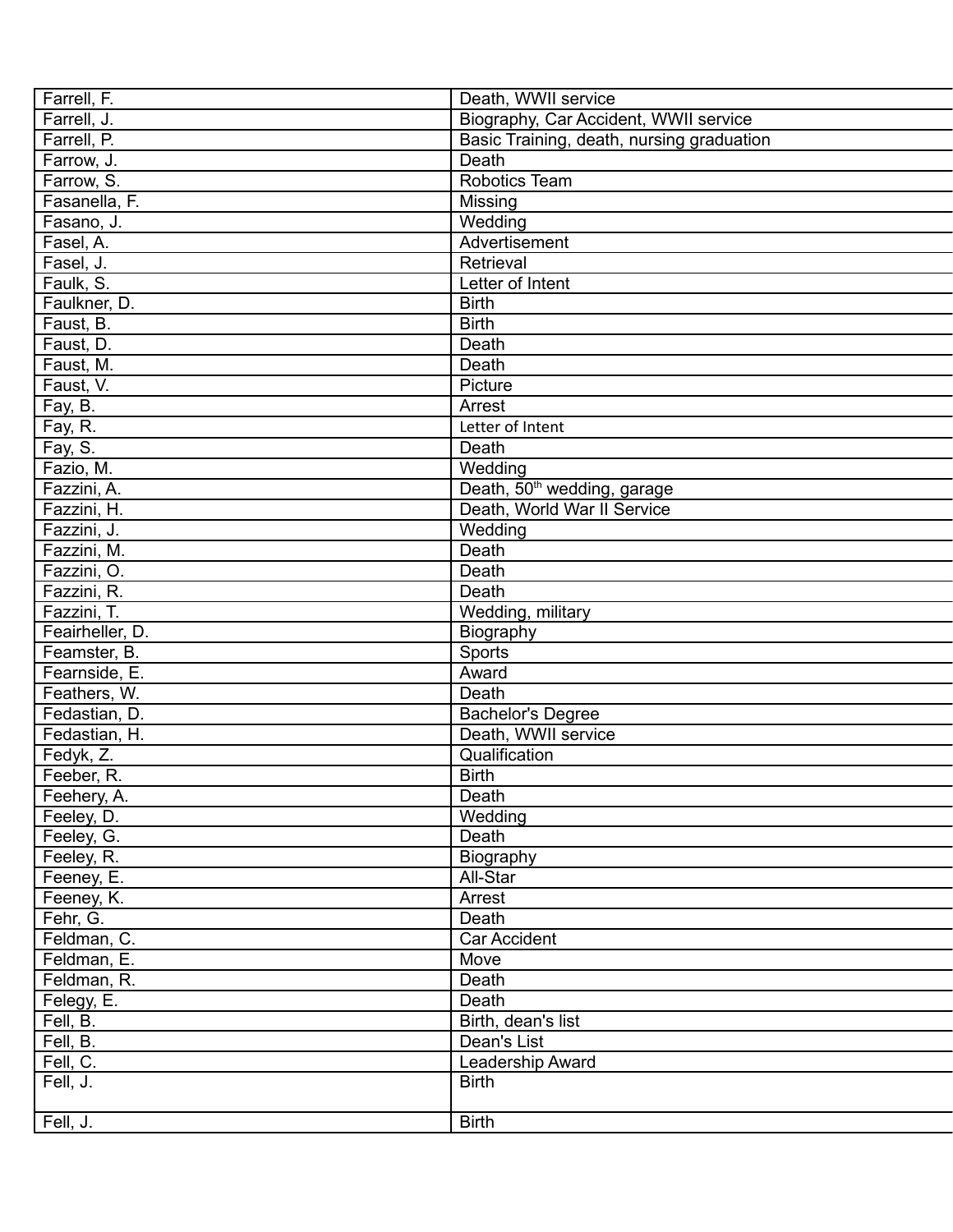| Farrell, F.                | Death, WWII service                       |
|----------------------------|-------------------------------------------|
| Farrell, J.                | Biography, Car Accident, WWII service     |
| Farrell, P.                | Basic Training, death, nursing graduation |
| Farrow, J.                 | Death                                     |
| Farrow, S.                 | <b>Robotics Team</b>                      |
| Fasanella, F.              | Missing                                   |
| Fasano, J.                 | Wedding                                   |
| Fasel, A.                  | Advertisement                             |
| Fasel, J.                  | Retrieval                                 |
| Faulk, S.                  | Letter of Intent                          |
| Faulkner, D.               | <b>Birth</b>                              |
| Faust, B.                  | <b>Birth</b>                              |
| Faust, D.                  | Death                                     |
| Faust, M.                  | Death                                     |
| Faust, V.                  | Picture                                   |
| Fay, B.                    | Arrest                                    |
| Fay, R.                    | Letter of Intent                          |
| Fay, S.                    | Death                                     |
| Fazio, M.                  | Wedding                                   |
| Fazzini, A.                | Death, 50 <sup>th</sup> wedding, garage   |
| Fazzini, H.                | Death, World War II Service               |
| Fazzini, J.                | Wedding                                   |
| Fazzini, M.                | Death                                     |
| Fazzini, O.                | Death                                     |
|                            | Death                                     |
| Fazzini, R.<br>Fazzini, T. |                                           |
|                            | Wedding, military                         |
| Feairheller, D.            | Biography                                 |
| Feamster, B.               | Sports                                    |
| Fearnside, E.              | Award                                     |
| Feathers, W.               | Death                                     |
| Fedastian, D.              | <b>Bachelor's Degree</b>                  |
| Fedastian, H.              | Death, WWII service                       |
| Fedyk, Z.                  | Qualification                             |
| Feeber, R.                 | <b>Birth</b>                              |
| Feehery, A.                | Death                                     |
| Feeley, D.                 | Wedding                                   |
| Feeley, G.                 | Death                                     |
| Feeley, R.                 | Biography                                 |
| Feeney, E.                 | All-Star                                  |
| Feeney, K.                 | Arrest                                    |
| Fehr, G.                   | Death                                     |
| Feldman, C.                | Car Accident                              |
| Feldman, E.                | Move                                      |
| Feldman, R.                | Death                                     |
| Felegy, E.                 | Death                                     |
| Fell, B.                   | Birth, dean's list                        |
| Fell, B.                   | Dean's List                               |
| Fell, C.                   | Leadership Award                          |
| Fell, J.                   | <b>Birth</b>                              |
|                            |                                           |
| Fell, J.                   | <b>Birth</b>                              |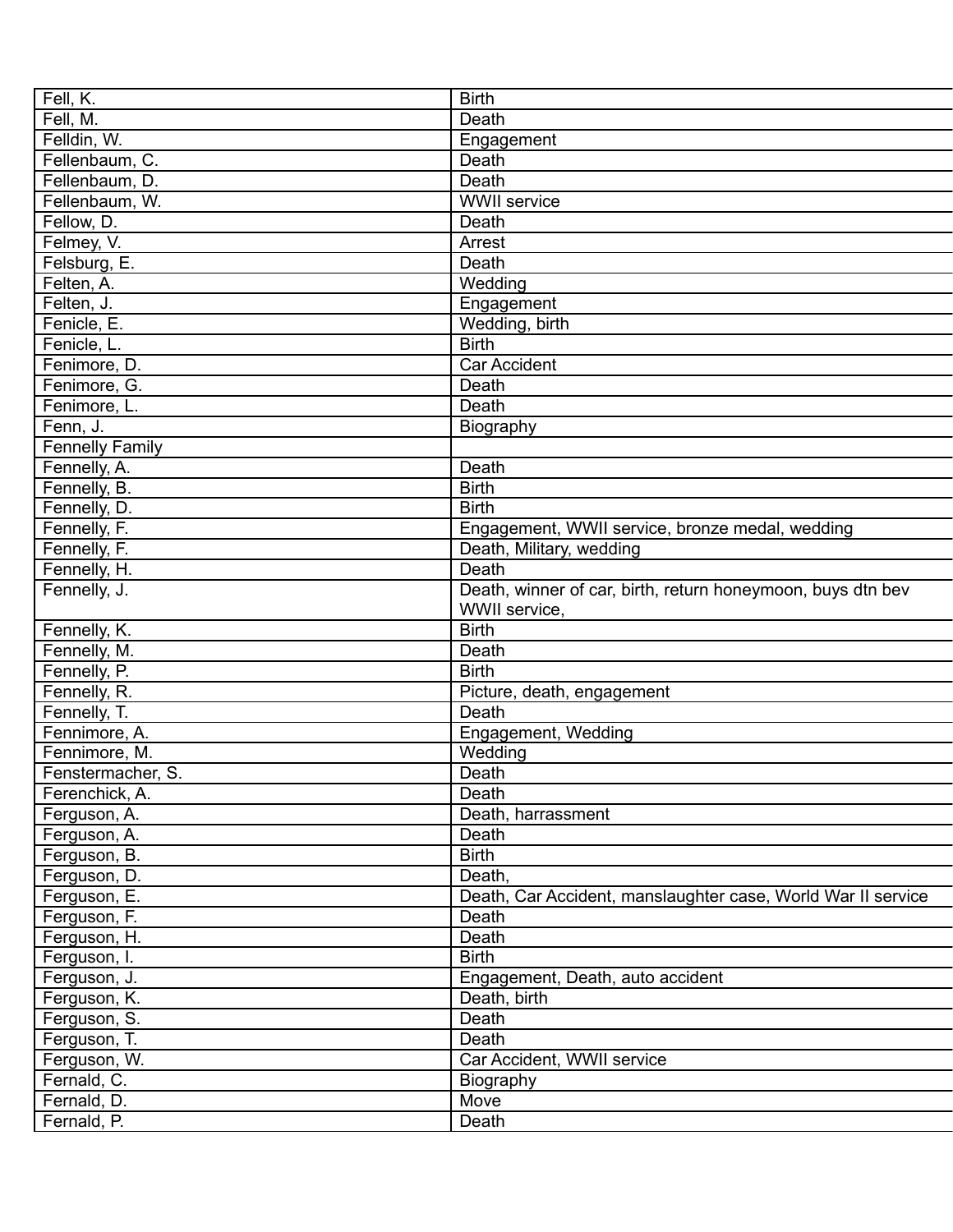| Fell, K.               | <b>Birth</b>                                                 |
|------------------------|--------------------------------------------------------------|
| Fell, M.               | Death                                                        |
| Felldin, W.            | Engagement                                                   |
| Fellenbaum, C.         | Death                                                        |
| Fellenbaum, D.         | Death                                                        |
| Fellenbaum, W.         | <b>WWII</b> service                                          |
| Fellow, D.             | Death                                                        |
| Felmey, V.             | Arrest                                                       |
| Felsburg, E.           | Death                                                        |
| Felten, A.             | Wedding                                                      |
| Felten, J.             | Engagement                                                   |
| Fenicle, E.            | Wedding, birth                                               |
| Fenicle, L.            | <b>Birth</b>                                                 |
| Fenimore, D.           | <b>Car Accident</b>                                          |
| Fenimore, G.           | Death                                                        |
| Fenimore, L.           | Death                                                        |
| Fenn, J.               | Biography                                                    |
| <b>Fennelly Family</b> |                                                              |
| Fennelly, A.           | Death                                                        |
| Fennelly, B.           | <b>Birth</b>                                                 |
| Fennelly, D.           | <b>Birth</b>                                                 |
| Fennelly, F.           | Engagement, WWII service, bronze medal, wedding              |
| Fennelly, F.           | Death, Military, wedding                                     |
| Fennelly, H.           | Death                                                        |
| Fennelly, J.           | Death, winner of car, birth, return honeymoon, buys dtn bev  |
|                        | WWII service,                                                |
| Fennelly, K.           | <b>Birth</b>                                                 |
| Fennelly, M.           | Death                                                        |
| Fennelly, P.           | <b>Birth</b>                                                 |
| Fennelly, R.           | Picture, death, engagement                                   |
| Fennelly, T.           | Death                                                        |
| Fennimore, A.          | Engagement, Wedding                                          |
| Fennimore, M.          | Wedding                                                      |
| Fenstermacher, S.      | Death                                                        |
| Ferenchick, A.         | Death                                                        |
| Ferguson, A.           | Death, harrassment                                           |
| Ferguson, A.           | Death                                                        |
| Ferguson, B.           | <b>Birth</b>                                                 |
| Ferguson, D.           | Death,                                                       |
| Ferguson, E.           | Death, Car Accident, manslaughter case, World War II service |
| Ferguson, F.           | Death                                                        |
| Ferguson, H.           | Death                                                        |
| Ferguson, I.           | <b>Birth</b>                                                 |
| Ferguson, J.           | Engagement, Death, auto accident                             |
| Ferguson, K.           | Death, birth                                                 |
| Ferguson, S.           | Death                                                        |
| Ferguson, T.           | Death                                                        |
| Ferguson, W.           | Car Accident, WWII service                                   |
| Fernald, C.            | Biography                                                    |
| Fernald, D.            | Move                                                         |
| Fernald, P.            | Death                                                        |
|                        |                                                              |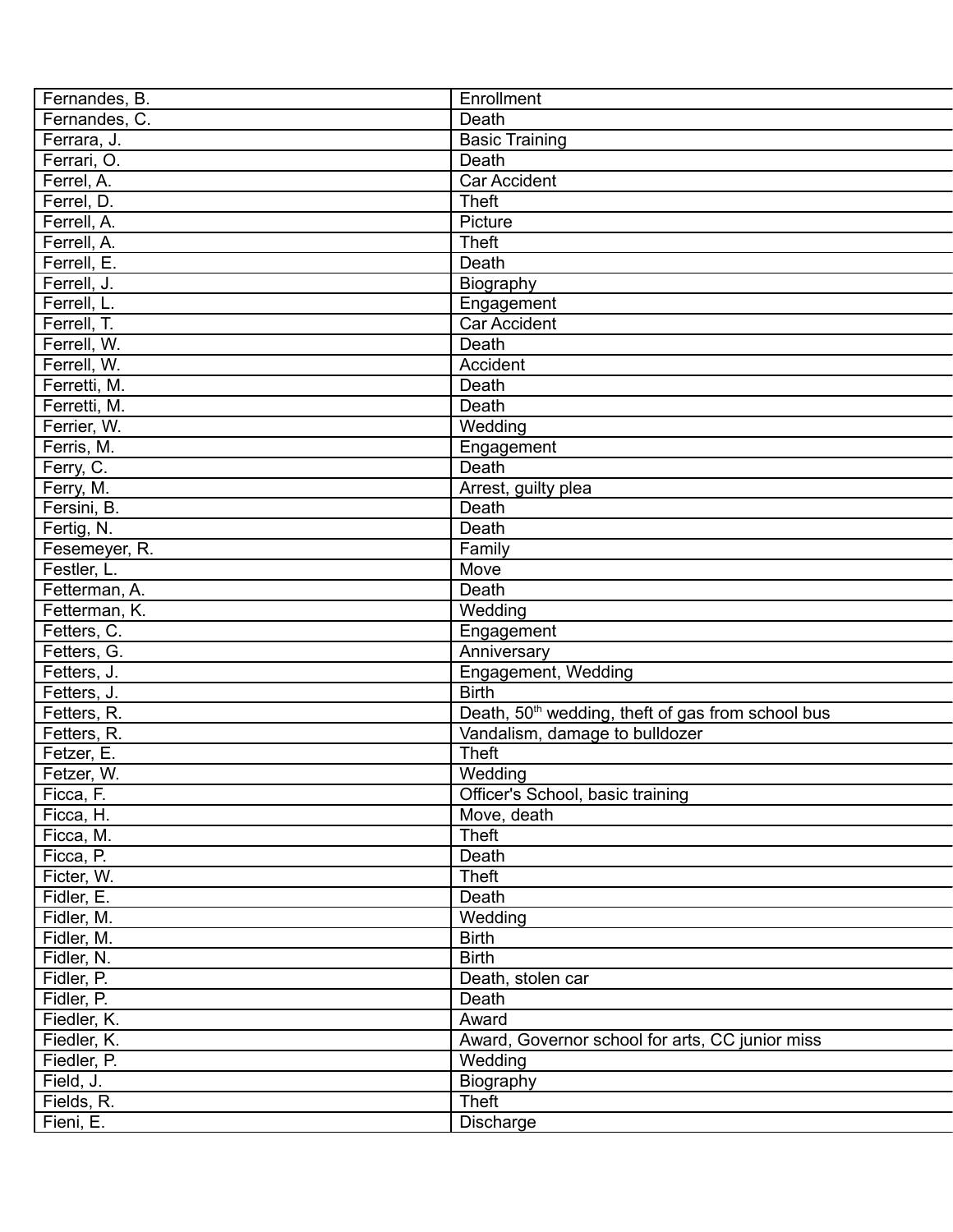| Fernandes, B. | Enrollment                                                    |
|---------------|---------------------------------------------------------------|
| Fernandes, C. | Death                                                         |
| Ferrara, J.   | <b>Basic Training</b>                                         |
| Ferrari, O.   | Death                                                         |
| Ferrel, A.    | <b>Car Accident</b>                                           |
| Ferrel, D.    | <b>Theft</b>                                                  |
| Ferrell, A.   | Picture                                                       |
| Ferrell, A.   | <b>Theft</b>                                                  |
| Ferrell, E.   | Death                                                         |
| Ferrell, J.   | <b>Biography</b>                                              |
| Ferrell, L.   | Engagement                                                    |
| Ferrell, T.   | Car Accident                                                  |
| Ferrell, W.   | Death                                                         |
| Ferrell, W.   | Accident                                                      |
| Ferretti, M.  | Death                                                         |
| Ferretti, M.  | Death                                                         |
| Ferrier, W.   | Wedding                                                       |
| Ferris, M.    | Engagement                                                    |
| Ferry, C.     | Death                                                         |
| Ferry, M.     | Arrest, guilty plea                                           |
| Fersini, B.   | Death                                                         |
| Fertig, N.    | Death                                                         |
| Fesemeyer, R. | Family                                                        |
| Festler, L.   | Move                                                          |
| Fetterman, A. | Death                                                         |
| Fetterman, K. | Wedding                                                       |
| Fetters, C.   | Engagement                                                    |
| Fetters, G.   | Anniversary                                                   |
| Fetters, J.   | Engagement, Wedding                                           |
| Fetters, J.   | <b>Birth</b>                                                  |
| Fetters, R.   | Death, 50 <sup>th</sup> wedding, theft of gas from school bus |
| Fetters, R.   | Vandalism, damage to bulldozer                                |
| Fetzer, E.    | <b>Theft</b>                                                  |
| Fetzer, W.    | Wedding                                                       |
| Ficca, F.     | Officer's School, basic training                              |
| Ficca, H.     | Move, death                                                   |
| Ficca, M.     | <b>Theft</b>                                                  |
| Ficca, P.     | Death                                                         |
| Ficter, W.    | Theft                                                         |
| Fidler, E.    | Death                                                         |
| Fidler, M.    | Wedding                                                       |
| Fidler, M.    | <b>Birth</b>                                                  |
| Fidler, N.    | <b>Birth</b>                                                  |
| Fidler, P.    | Death, stolen car                                             |
| Fidler, P.    | Death                                                         |
| Fiedler, K.   | Award                                                         |
| Fiedler, K.   | Award, Governor school for arts, CC junior miss               |
| Fiedler, P.   | Wedding                                                       |
| Field, J.     | Biography                                                     |
| Fields, R.    | <b>Theft</b>                                                  |
| Fieni, E.     | Discharge                                                     |
|               |                                                               |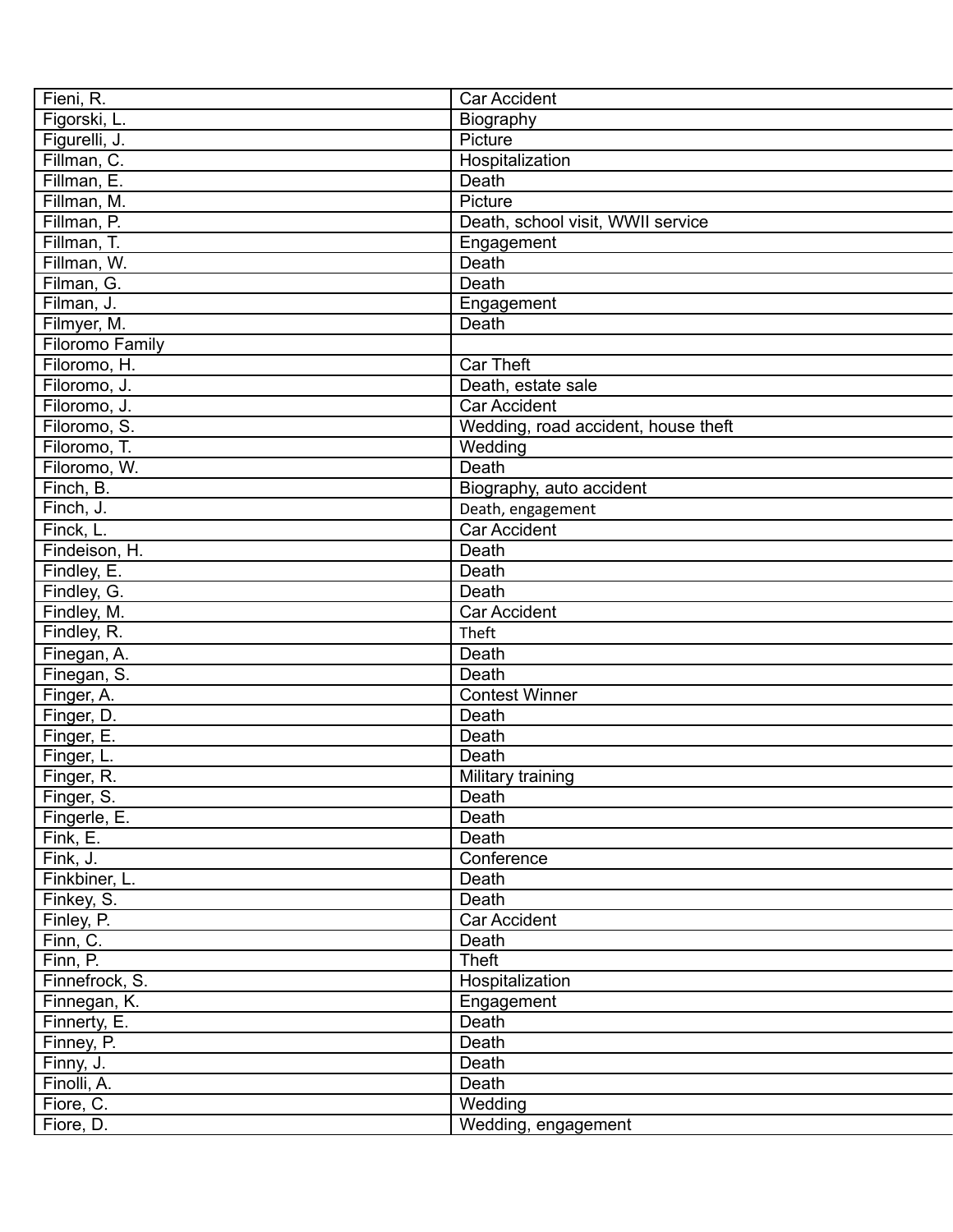| Fieni, R.              | Car Accident                        |
|------------------------|-------------------------------------|
| Figorski, L.           | Biography                           |
| Figurelli, J.          | Picture                             |
| Fillman, C.            | Hospitalization                     |
| Fillman, E.            | Death                               |
| Fillman, M.            | Picture                             |
| Fillman, P.            | Death, school visit, WWII service   |
| Fillman, T.            | Engagement                          |
| Fillman, W.            | Death                               |
| Filman, G.             | Death                               |
| Filman, J.             | Engagement                          |
| Filmyer, M.            | Death                               |
| <b>Filoromo Family</b> |                                     |
| Filoromo, H.           | <b>Car Theft</b>                    |
| Filoromo, J.           | Death, estate sale                  |
| Filoromo, J.           | <b>Car Accident</b>                 |
| Filoromo, S.           | Wedding, road accident, house theft |
| Filoromo, T.           | Wedding                             |
| Filoromo, W.           | Death                               |
| Finch, B.              | Biography, auto accident            |
| Finch, J.              | Death, engagement                   |
| Finck, L.              | Car Accident                        |
| Findeison, H.          | Death                               |
| Findley, E.            | Death                               |
| Findley, G.            | Death                               |
| Findley, M.            | <b>Car Accident</b>                 |
| Findley, R.            | Theft                               |
| Finegan, A.            | Death                               |
| Finegan, S.            | Death                               |
| Finger, A.             | Contest Winner                      |
| Finger, D.             | Death                               |
| Finger, E.             | Death                               |
| Finger, L.             | Death                               |
| Finger, R.             | Military training                   |
| Finger, S.             | Death                               |
| Fingerle, E.           | Death                               |
| Fink, E.               | Death                               |
| Fink, J.               | Conference                          |
| Finkbiner, L.          | Death                               |
| Finkey, S.             | Death                               |
| Finley, P.             | Car Accident                        |
| Finn, C.               | Death                               |
| Finn, P.               | <b>Theft</b>                        |
| Finnefrock, S.         | Hospitalization                     |
| Finnegan, K.           | Engagement                          |
| Finnerty, E.           | Death                               |
| Finney, P.             | Death                               |
| Finny, J.              | Death                               |
| Finolli, A.            | Death                               |
| Fiore, C.              | Wedding                             |
| Fiore, D.              | Wedding, engagement                 |
|                        |                                     |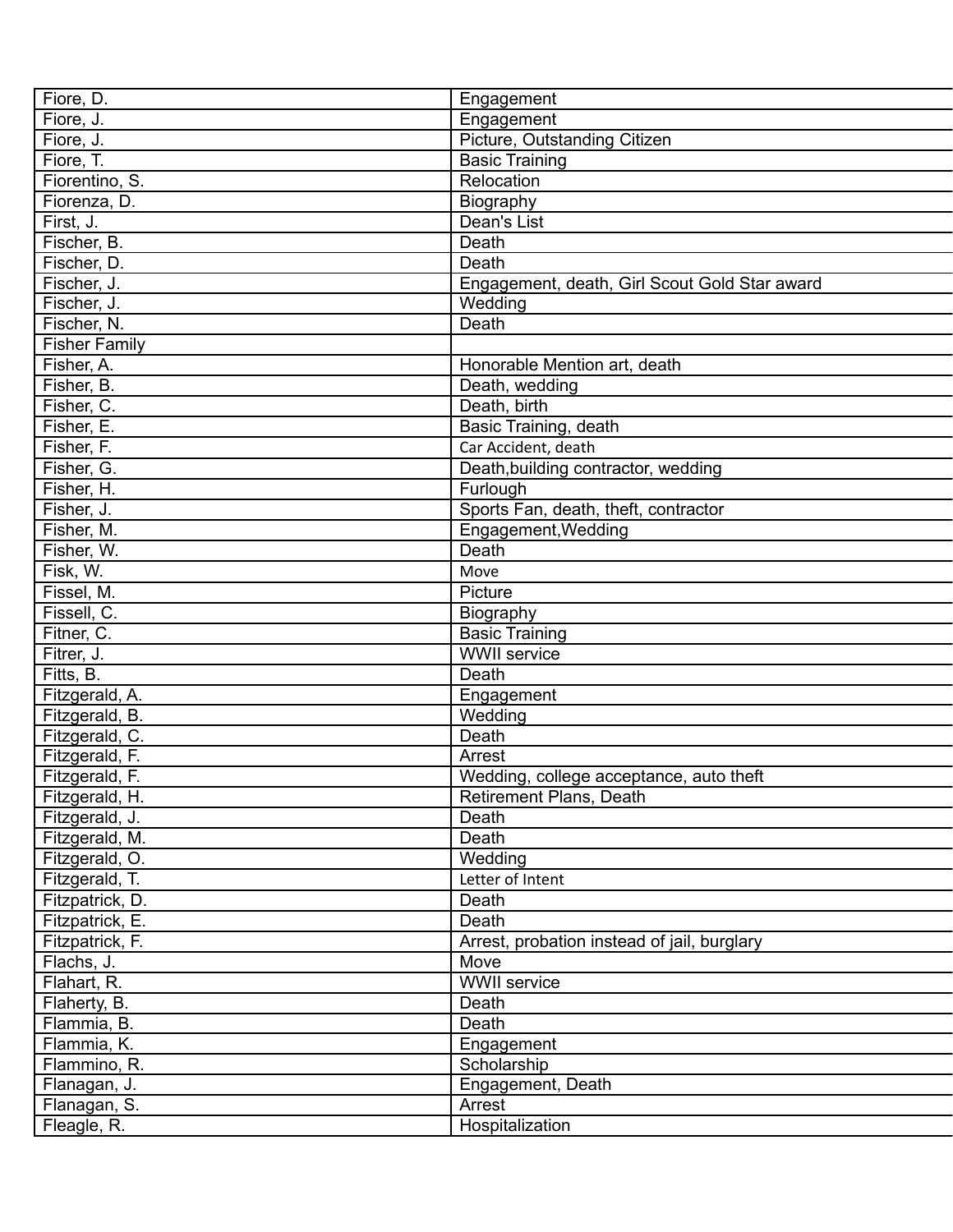| Fiore, D.            | Engagement                                    |
|----------------------|-----------------------------------------------|
| Fiore, J.            | Engagement                                    |
| Fiore, J.            | Picture, Outstanding Citizen                  |
| Fiore, T.            | <b>Basic Training</b>                         |
| Fiorentino, S.       | Relocation                                    |
| Fiorenza, D.         | Biography                                     |
| First, J.            | Dean's List                                   |
| Fischer, B.          | Death                                         |
| Fischer, D.          | Death                                         |
| Fischer, J.          | Engagement, death, Girl Scout Gold Star award |
| Fischer, J.          | Wedding                                       |
| Fischer, N.          | Death                                         |
| <b>Fisher Family</b> |                                               |
| Fisher, A.           | Honorable Mention art, death                  |
| Fisher, B.           | Death, wedding                                |
| Fisher, C.           | Death, birth                                  |
| Fisher, E.           | Basic Training, death                         |
| Fisher, F.           | Car Accident, death                           |
| Fisher, G.           | Death, building contractor, wedding           |
| Fisher, H.           | Furlough                                      |
| Fisher, J.           | Sports Fan, death, theft, contractor          |
| Fisher, M.           | Engagement, Wedding                           |
| Fisher, W.           | Death                                         |
| Fisk, W.             | Move                                          |
| Fissel, M.           | Picture                                       |
| Fissell, C.          |                                               |
| Fitner, C.           | Biography                                     |
|                      | <b>Basic Training</b><br><b>WWII</b> service  |
| Fitrer, J.           | Death                                         |
| Fitts, B.            |                                               |
| Fitzgerald, A.       | Engagement                                    |
| Fitzgerald, B.       | Wedding                                       |
| Fitzgerald, C.       | Death                                         |
| Fitzgerald, F.       | Arrest                                        |
| Fitzgerald, F.       | Wedding, college acceptance, auto theft       |
| Fitzgerald, H.       | Retirement Plans, Death                       |
| Fitzgerald, J.       | Death                                         |
| Fitzgerald, M.       | Death                                         |
| Fitzgerald, O.       | Wedding                                       |
| Fitzgerald, T.       | Letter of Intent                              |
| Fitzpatrick, D.      | Death                                         |
| Fitzpatrick, E.      | Death                                         |
| Fitzpatrick, F.      | Arrest, probation instead of jail, burglary   |
| Flachs, J.           | Move                                          |
| Flahart, R.          | <b>WWII</b> service                           |
| Flaherty, B.         | Death                                         |
| Flammia, B.          | Death                                         |
| Flammia, K.          | Engagement                                    |
| Flammino, R.         | Scholarship                                   |
| Flanagan, J.         | Engagement, Death                             |
| Flanagan, S.         | Arrest                                        |
| Fleagle, R.          | Hospitalization                               |
|                      |                                               |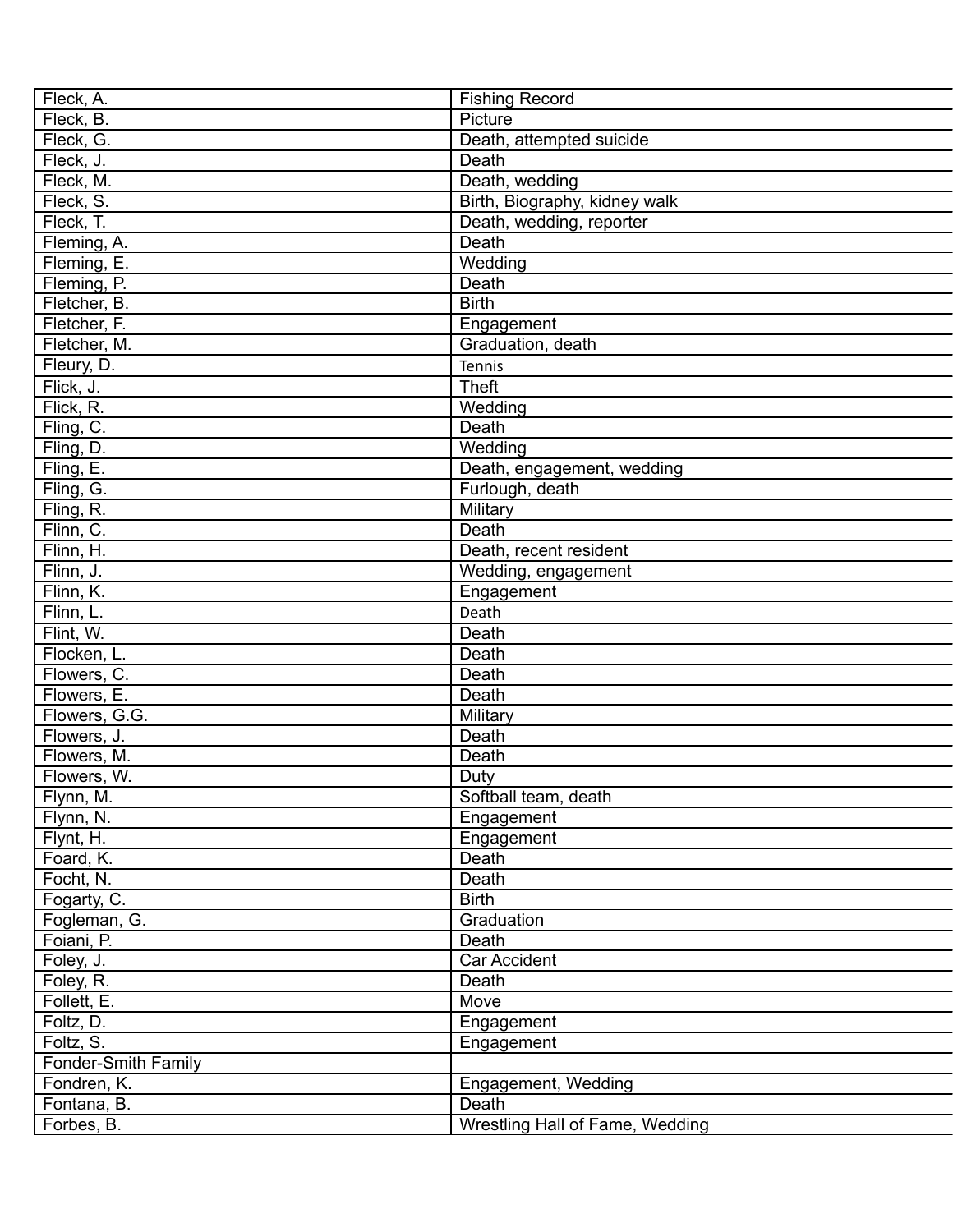| Fleck, A.           | <b>Fishing Record</b>           |
|---------------------|---------------------------------|
| Fleck, B.           | Picture                         |
| Fleck, G.           | Death, attempted suicide        |
| Fleck, J.           | Death                           |
| Fleck, M.           | Death, wedding                  |
| Fleck, S.           | Birth, Biography, kidney walk   |
| Fleck, T.           | Death, wedding, reporter        |
| Fleming, A.         | Death                           |
| Fleming, E.         | Wedding                         |
| Fleming, P.         | Death                           |
| Fletcher, B.        | <b>Birth</b>                    |
| Fletcher, F.        | Engagement                      |
| Fletcher, M.        | Graduation, death               |
| Fleury, D.          | Tennis                          |
| Flick, J.           | <b>Theft</b>                    |
| Flick, R.           | Wedding                         |
| Fling, C.           | Death                           |
| Fling, D.           | Wedding                         |
| Fling, E.           | Death, engagement, wedding      |
| Fling, G.           | Furlough, death                 |
| Fling, R.           | Military                        |
| Flinn, C.           | Death                           |
| Flinn, H.           | Death, recent resident          |
| Flinn, J.           | Wedding, engagement             |
| Flinn, K.           | Engagement                      |
| Flinn, L.           | Death                           |
|                     | Death                           |
| Flint, W.           |                                 |
| Flocken, L.         | Death                           |
| Flowers, C.         | Death                           |
| Flowers, E.         | Death                           |
| Flowers, G.G.       | Military                        |
| Flowers, J.         | Death                           |
| Flowers, M.         | Death                           |
| Flowers, W.         | Duty                            |
| Flynn, M.           | Softball team, death            |
| Flynn, N.           | Engagement                      |
| Flynt, H.           | Engagement                      |
| Foard, K.           | Death                           |
| Focht, N.           | Death                           |
| Fogarty, C.         | <b>Birth</b>                    |
| Fogleman, G.        | Graduation                      |
| Foiani, P.          | Death                           |
| Foley, J.           | Car Accident                    |
| Foley, R.           | Death                           |
| Follett, E.         | Move                            |
| Foltz, D.           | Engagement                      |
| Foltz, S.           | Engagement                      |
| Fonder-Smith Family |                                 |
| Fondren, K.         | Engagement, Wedding             |
| Fontana, B.         | Death                           |
| Forbes, B.          | Wrestling Hall of Fame, Wedding |
|                     |                                 |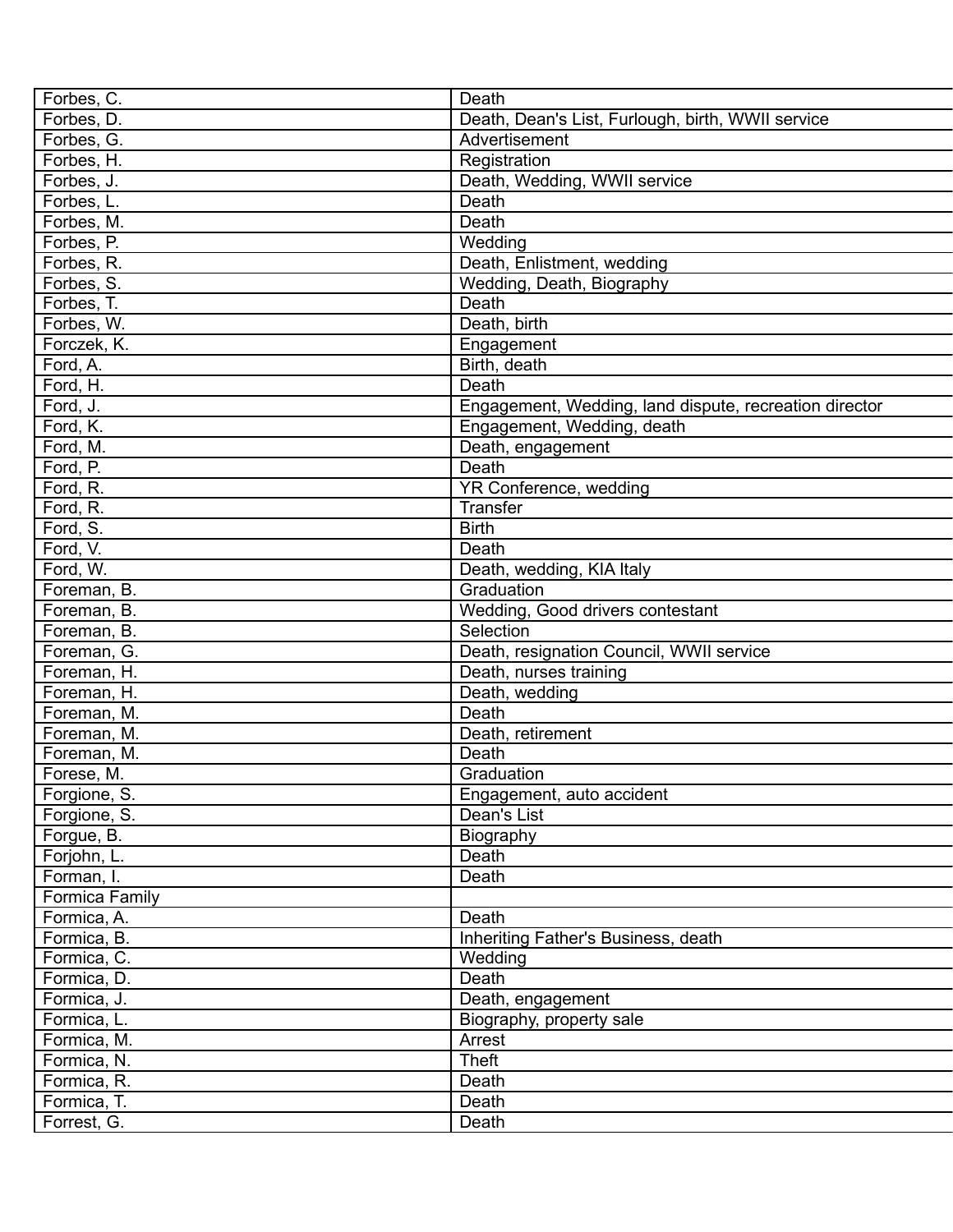| Forbes, C.            | Death                                                  |
|-----------------------|--------------------------------------------------------|
| Forbes, D.            | Death, Dean's List, Furlough, birth, WWII service      |
| Forbes, G.            | Advertisement                                          |
| Forbes, H.            | Registration                                           |
| Forbes, J.            | Death, Wedding, WWII service                           |
| Forbes, L.            | Death                                                  |
| Forbes, M.            | Death                                                  |
| Forbes, P.            | Wedding                                                |
| Forbes, R.            | Death, Enlistment, wedding                             |
| Forbes, S.            | Wedding, Death, Biography                              |
| Forbes, T.            | Death                                                  |
| Forbes, W.            | Death, birth                                           |
| Forczek, K.           | Engagement                                             |
| Ford, A.              | Birth, death                                           |
| Ford, H.              | Death                                                  |
| Ford, J.              | Engagement, Wedding, land dispute, recreation director |
| Ford, K.              | Engagement, Wedding, death                             |
| Ford, M.              | Death, engagement                                      |
| Ford, P.              | Death                                                  |
| Ford, R.              | YR Conference, wedding                                 |
| Ford, R.              | <b>Transfer</b>                                        |
| Ford, S.              | <b>Birth</b>                                           |
| Ford, V.              | Death                                                  |
| Ford, W.              | Death, wedding, KIA Italy                              |
| Foreman, B.           | Graduation                                             |
| Foreman, B.           | Wedding, Good drivers contestant                       |
| Foreman, B.           | Selection                                              |
| Foreman, G.           | Death, resignation Council, WWII service               |
| Foreman, H.           | Death, nurses training                                 |
| Foreman, H.           | Death, wedding                                         |
| Foreman, M.           | Death                                                  |
| Foreman, M.           | Death, retirement                                      |
| Foreman, M.           | Death                                                  |
| Forese, M.            | Graduation                                             |
| Forgione, S.          | Engagement, auto accident                              |
| Forgione, S.          | Dean's List                                            |
| Forgue, B.            | Biography                                              |
| Forjohn, L.           | Death                                                  |
| Forman, I.            | Death                                                  |
| <b>Formica Family</b> |                                                        |
| Formica, A.           | Death                                                  |
| Formica, B.           | Inheriting Father's Business, death                    |
| Formica, C.           | Wedding                                                |
| Formica, D.           | Death                                                  |
| Formica, J.           | Death, engagement                                      |
| Formica, L.           | Biography, property sale                               |
| Formica, M.           | Arrest                                                 |
| Formica, N.           | Theft                                                  |
| Formica, R.           | Death                                                  |
| Formica, T.           | Death                                                  |
| Forrest, G.           | Death                                                  |
|                       |                                                        |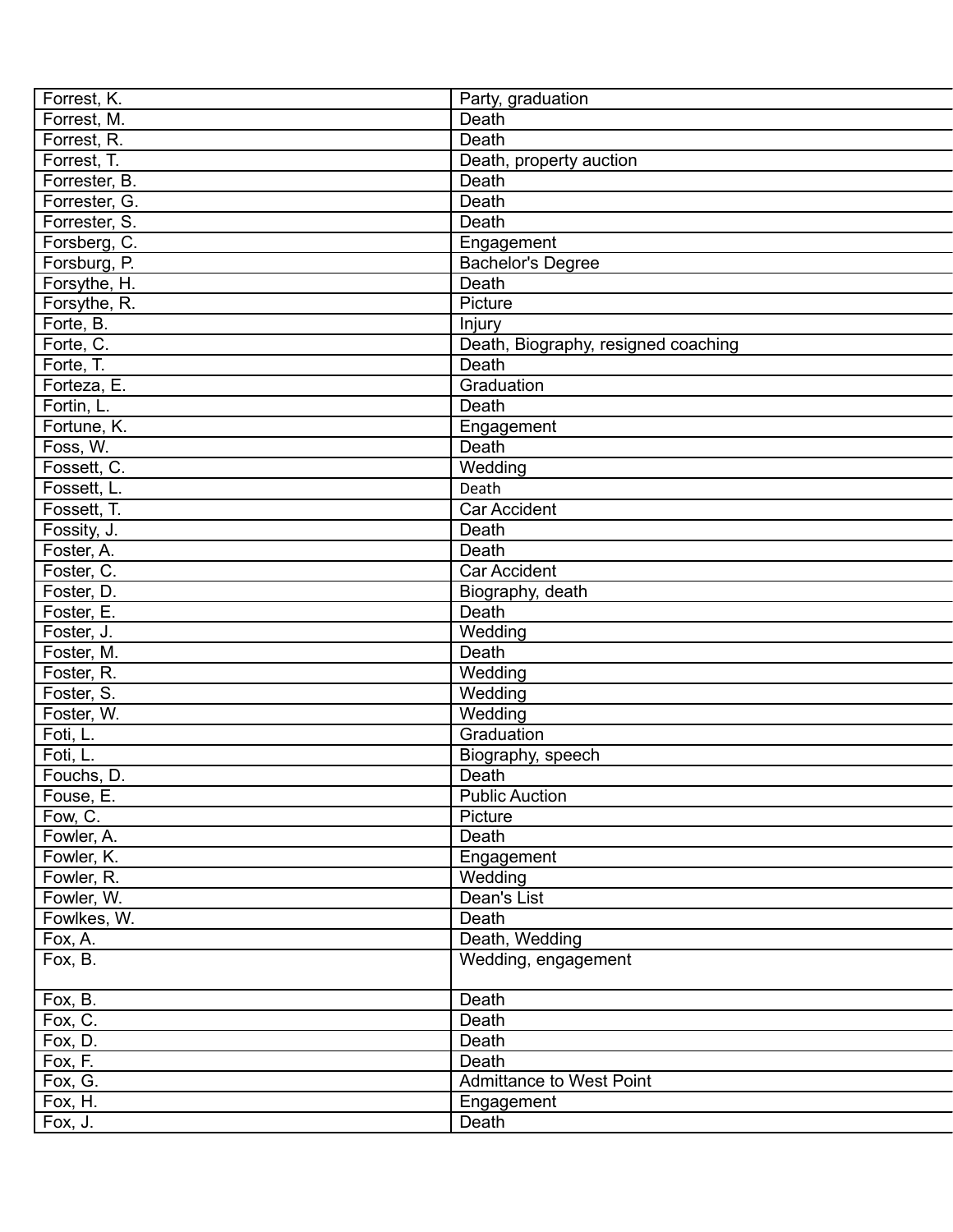| Forrest, K.   | Party, graduation                   |
|---------------|-------------------------------------|
| Forrest, M.   | Death                               |
| Forrest, R.   | Death                               |
| Forrest, T.   | Death, property auction             |
| Forrester, B. | Death                               |
| Forrester, G. | <b>Death</b>                        |
| Forrester, S. | Death                               |
| Forsberg, C.  | Engagement                          |
| Forsburg, P.  | Bachelor's Degree                   |
| Forsythe, H.  | Death                               |
| Forsythe, R.  | Picture                             |
| Forte, B.     | Injury                              |
| Forte, C.     | Death, Biography, resigned coaching |
| Forte, T.     | Death                               |
| Forteza, E.   | Graduation                          |
| Fortin, L.    | Death                               |
| Fortune, K.   | Engagement                          |
| Foss, W.      | Death                               |
| Fossett, C.   | Wedding                             |
| Fossett, L.   | Death                               |
| Fossett, T.   | Car Accident                        |
| Fossity, J.   | Death                               |
| Foster, A.    | Death                               |
| Foster, C.    | <b>Car Accident</b>                 |
|               |                                     |
| Foster, D.    | Biography, death<br>Death           |
| Foster, E.    |                                     |
| Foster, J.    | Wedding                             |
| Foster, M.    | Death                               |
| Foster, R.    | Wedding                             |
| Foster, S.    | Wedding                             |
| Foster, W.    | Wedding                             |
| Foti, L.      | Graduation                          |
| Foti, L.      | Biography, speech                   |
| Fouchs, D.    | Death                               |
| Fouse, E.     | <b>Public Auction</b>               |
| Fow, C.       | Picture                             |
| Fowler, A.    | Death                               |
| Fowler, K.    | Engagement                          |
| Fowler, R.    | Wedding                             |
| Fowler, W.    | Dean's List                         |
| Fowlkes, W.   | Death                               |
| Fox, A.       | Death, Wedding                      |
| Fox, B.       | Wedding, engagement                 |
| Fox, B.       | Death                               |
| Fox, C.       | Death                               |
| Fox, D.       | Death                               |
| Fox, F.       | Death                               |
| Fox, G.       | <b>Admittance to West Point</b>     |
| Fox, H.       | Engagement                          |
| Fox, J.       | Death                               |
|               |                                     |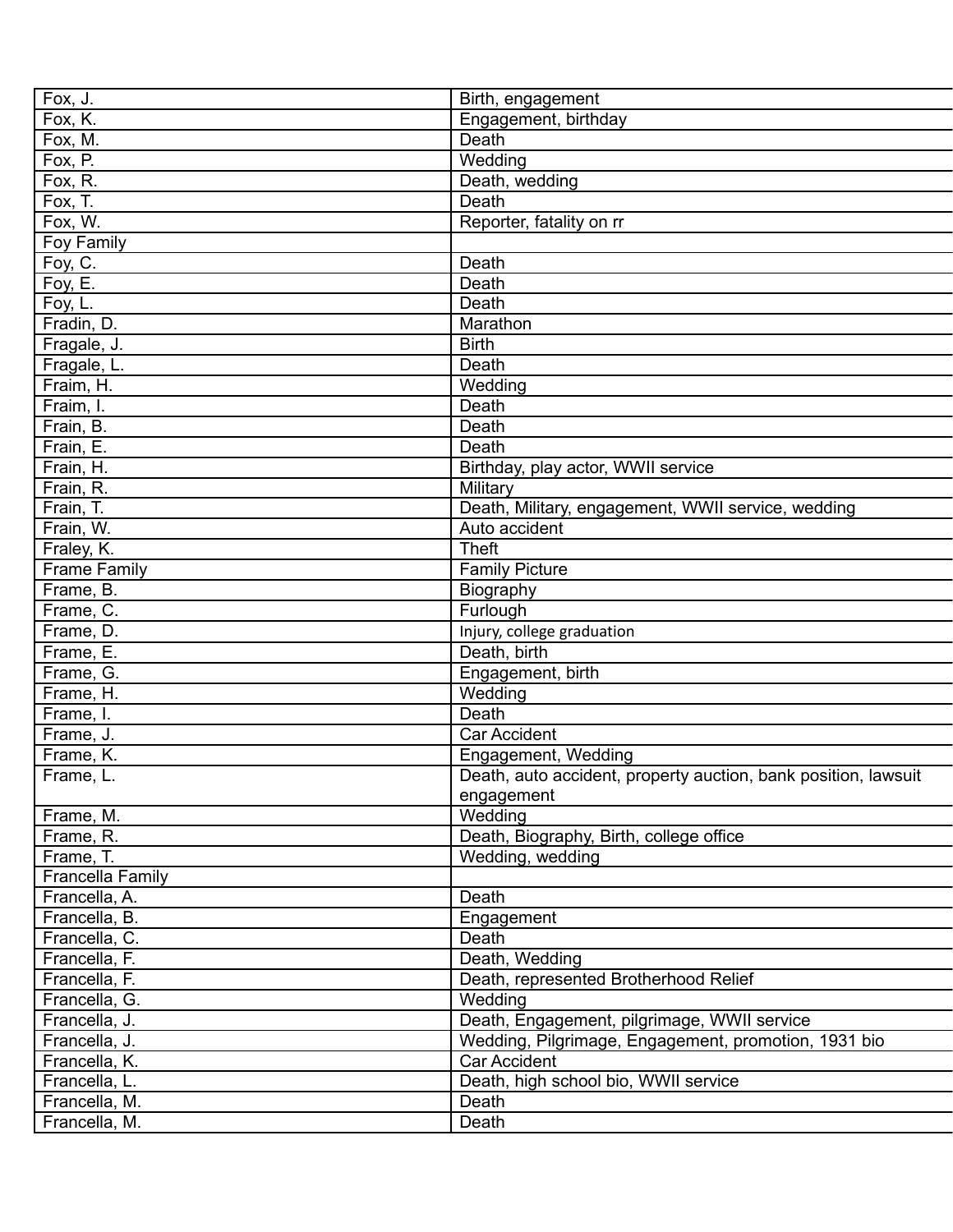| Fox, J.             | Birth, engagement                                              |
|---------------------|----------------------------------------------------------------|
| Fox, K.             | Engagement, birthday                                           |
| Fox, M.             | Death                                                          |
| Fox, P.             | Wedding                                                        |
| Fox, R.             | Death, wedding                                                 |
| Fox, T.             | Death                                                          |
| Fox, W.             | Reporter, fatality on rr                                       |
| Foy Family          |                                                                |
| Foy, C.             | Death                                                          |
| Foy, E.             | <b>Death</b>                                                   |
| Foy, L.             | Death                                                          |
| Fradin, D.          | Marathon                                                       |
| Fragale, J.         | <b>Birth</b>                                                   |
| Fragale, L.         | Death                                                          |
| Fraim, H.           | Wedding                                                        |
| Fraim, I.           | Death                                                          |
| Frain, B.           | Death                                                          |
| Frain, E.           | Death                                                          |
| Frain, H.           | Birthday, play actor, WWII service                             |
| Frain, R.           | Military                                                       |
| Frain, T.           | Death, Military, engagement, WWII service, wedding             |
| Frain, W.           | Auto accident                                                  |
| Fraley, K.          | Theft                                                          |
| <b>Frame Family</b> | <b>Family Picture</b>                                          |
| Frame, B.           | Biography                                                      |
| Frame, C.           | Furlough                                                       |
| Frame, D.           | Injury, college graduation                                     |
| Frame, E.           | Death, birth                                                   |
| Frame, G.           | Engagement, birth                                              |
| Frame, H.           | Wedding                                                        |
| Frame, I.           | Death                                                          |
| Frame, J.           | Car Accident                                                   |
| Frame, K.           | Engagement, Wedding                                            |
| Frame, L.           | Death, auto accident, property auction, bank position, lawsuit |
|                     | engagement                                                     |
| Frame, M.           | Wedding                                                        |
| Frame, R.           | Death, Biography, Birth, college office                        |
| Frame, T.           | Wedding, wedding                                               |
| Francella Family    |                                                                |
| Francella, A.       | Death                                                          |
| Francella, B.       | Engagement                                                     |
| Francella, C.       | Death                                                          |
| Francella, F.       | Death, Wedding                                                 |
|                     | Death, represented Brotherhood Relief                          |
| Francella, F.       | Wedding                                                        |
| Francella, G.       |                                                                |
| Francella, J.       | Death, Engagement, pilgrimage, WWII service                    |
| Francella, J.       | Wedding, Pilgrimage, Engagement, promotion, 1931 bio           |
| Francella, K.       | Car Accident                                                   |
| Francella, L.       | Death, high school bio, WWII service                           |
| Francella, M.       | Death                                                          |
| Francella, M.       | Death                                                          |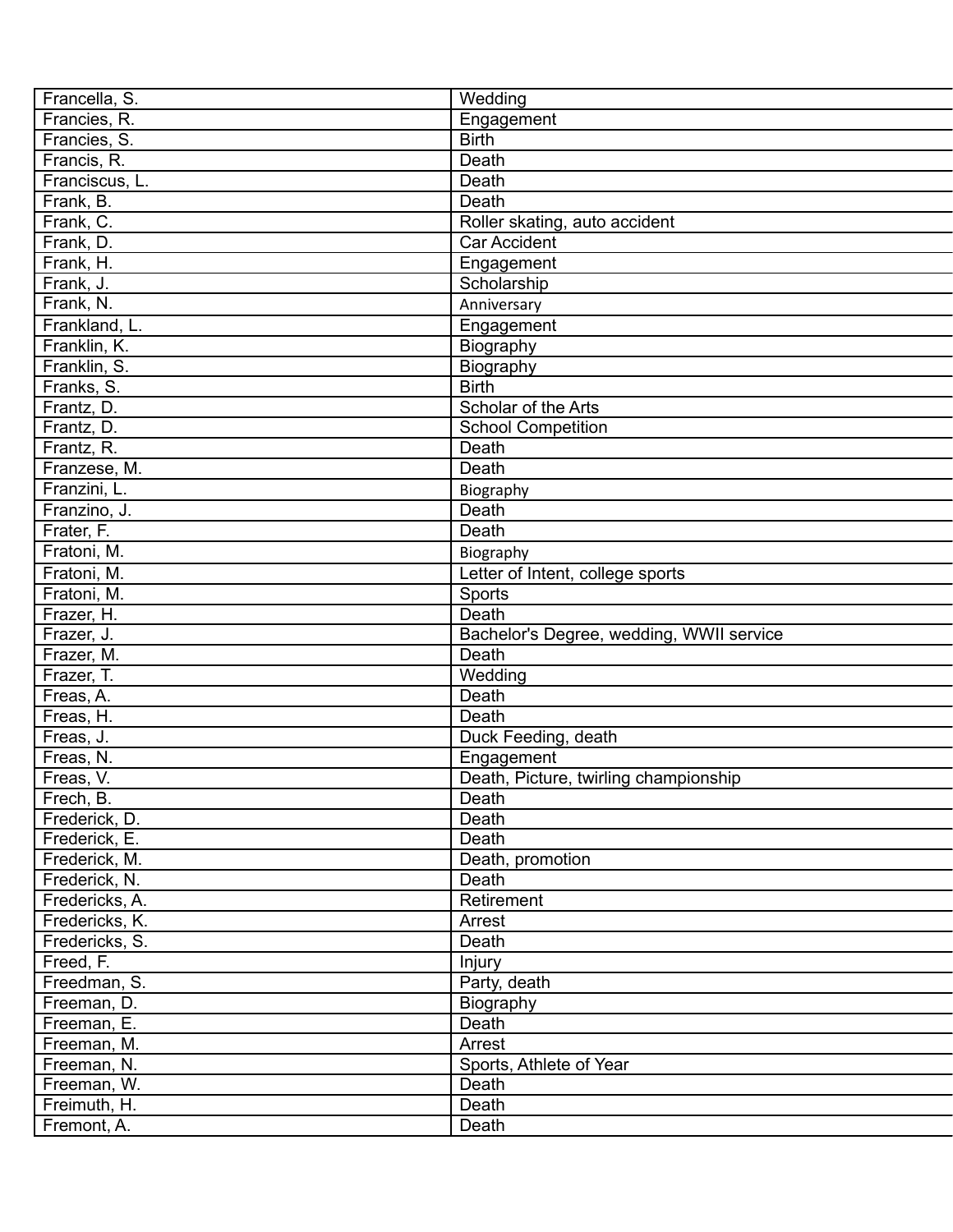| Francella, S.  | Wedding                                  |
|----------------|------------------------------------------|
| Francies, R.   | Engagement                               |
| Francies, S.   | <b>Birth</b>                             |
| Francis, R.    | Death                                    |
| Franciscus, L. | Death                                    |
| Frank, B.      | Death                                    |
| Frank, C.      | Roller skating, auto accident            |
| Frank, D.      | <b>Car Accident</b>                      |
| Frank, H.      | Engagement                               |
| Frank, J.      | Scholarship                              |
| Frank, N.      | Anniversary                              |
| Frankland, L.  | Engagement                               |
| Franklin, K.   | Biography                                |
| Franklin, S.   | Biography                                |
| Franks, S.     | <b>Birth</b>                             |
| Frantz, D.     | Scholar of the Arts                      |
| Frantz, D.     | School Competition                       |
| Frantz, R.     | Death                                    |
| Franzese, M.   | Death                                    |
| Franzini, L.   | Biography                                |
| Franzino, J.   | Death                                    |
| Frater, F.     | Death                                    |
| Fratoni, M.    | Biography                                |
| Fratoni, M.    | Letter of Intent, college sports         |
| Fratoni, M.    | Sports                                   |
| Frazer, H.     | Death                                    |
| Frazer, J.     | Bachelor's Degree, wedding, WWII service |
| Frazer, M.     | Death                                    |
| Frazer, T.     | Wedding                                  |
| Freas, A.      | Death                                    |
| Freas, H.      | Death                                    |
| Freas, J.      | Duck Feeding, death                      |
| Freas, N.      | Engagement                               |
| Freas, V.      | Death, Picture, twirling championship    |
| Frech, B.      | Death                                    |
| Frederick, D.  | Death                                    |
| Frederick, E.  | Death                                    |
| Frederick, M.  | Death, promotion                         |
| Frederick, N.  | Death                                    |
| Fredericks, A. | Retirement                               |
| Fredericks, K. | Arrest                                   |
| Fredericks, S. | Death                                    |
| Freed, F.      | Injury                                   |
| Freedman, S.   | Party, death                             |
| Freeman, D.    | Biography                                |
| Freeman, E.    | Death                                    |
| Freeman, M.    | Arrest                                   |
| Freeman, N.    | Sports, Athlete of Year                  |
| Freeman, W.    | Death                                    |
| Freimuth, H.   | Death                                    |
| Fremont, A.    | Death                                    |
|                |                                          |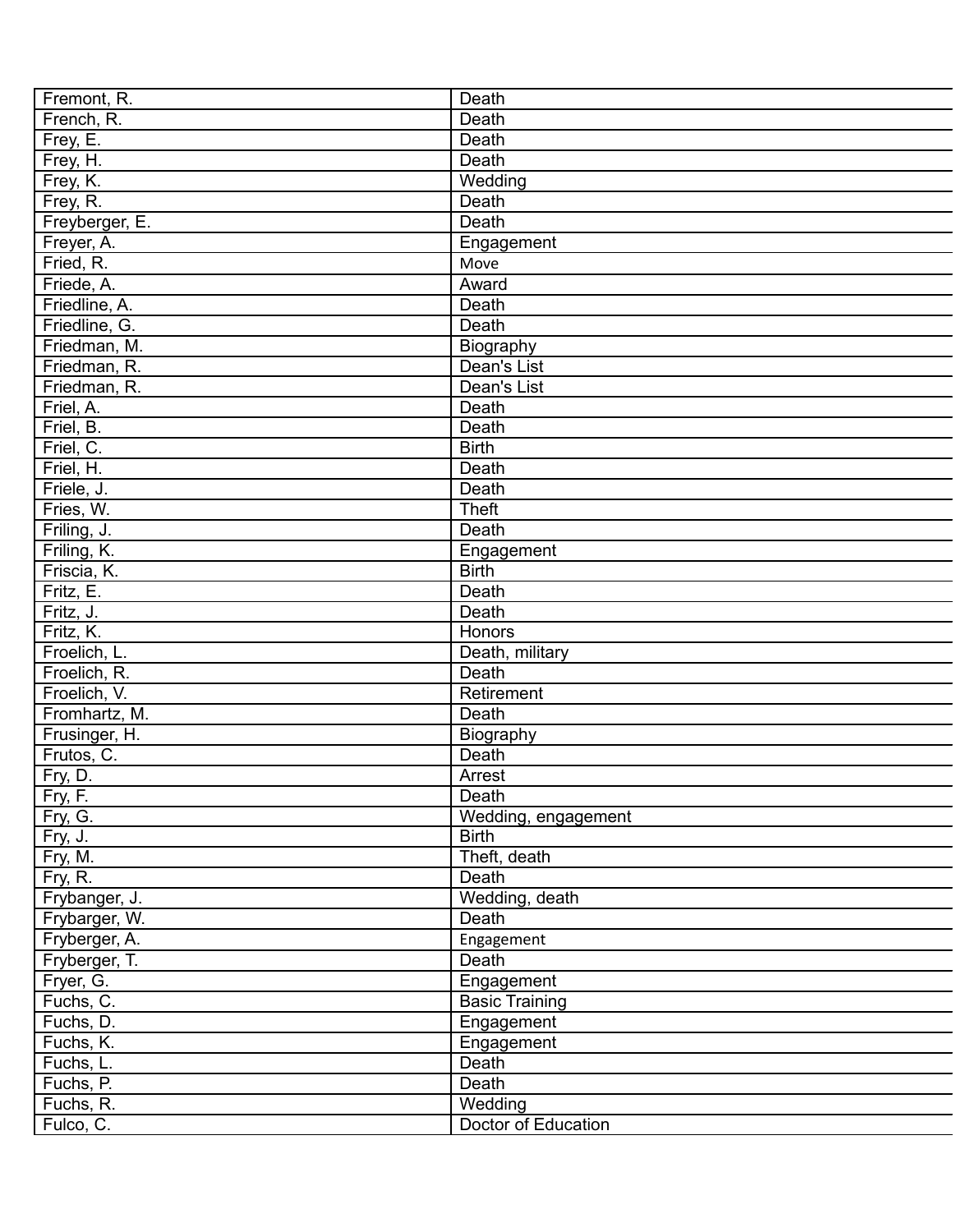| Fremont, R.    | Death                 |
|----------------|-----------------------|
| French, R.     | Death                 |
| Frey, E.       | Death                 |
| Frey, H.       | Death                 |
| Frey, K.       | Wedding               |
| Frey, R.       | Death                 |
| Freyberger, E. | Death                 |
| Freyer, A.     | Engagement            |
| Fried, R.      | Move                  |
| Friede, A.     | Award                 |
| Friedline, A.  | Death                 |
| Friedline, G.  | Death                 |
| Friedman, M.   | Biography             |
| Friedman, R.   | Dean's List           |
| Friedman, R.   | Dean's List           |
| Friel, A.      | Death                 |
| Friel, B.      | Death                 |
| Friel, C.      | <b>Birth</b>          |
| Friel, H.      | Death                 |
| Friele, J.     | Death                 |
| Fries, W.      | <b>Theft</b>          |
| Friling, J.    | Death                 |
| Friling, K.    | Engagement            |
| Friscia, K.    | <b>Birth</b>          |
| Fritz, E.      | Death                 |
| Fritz, J.      | Death                 |
| Fritz, K.      | Honors                |
| Froelich, L.   | Death, military       |
| Froelich, R.   | Death                 |
| Froelich, V.   | Retirement            |
| Fromhartz, M.  | Death                 |
| Frusinger, H.  | Biography             |
| Frutos, C.     | Death                 |
| Fry, D.        | Arrest                |
| Fry, F.        | Death                 |
| Fry, G.        | Wedding, engagement   |
| Fry, J.        | <b>Birth</b>          |
| Fry, M.        | Theft, death          |
| Fry, R.        | Death                 |
| Frybanger, J.  | Wedding, death        |
| Frybarger, W.  | Death                 |
| Fryberger, A.  | Engagement            |
| Fryberger, T.  | Death                 |
| Fryer, G.      | Engagement            |
| Fuchs, C.      | <b>Basic Training</b> |
| Fuchs, D.      | Engagement            |
| Fuchs, K.      | Engagement            |
| Fuchs, L.      | Death                 |
| Fuchs, P.      | Death                 |
| Fuchs, R.      | Wedding               |
| Fulco, C.      | Doctor of Education   |
|                |                       |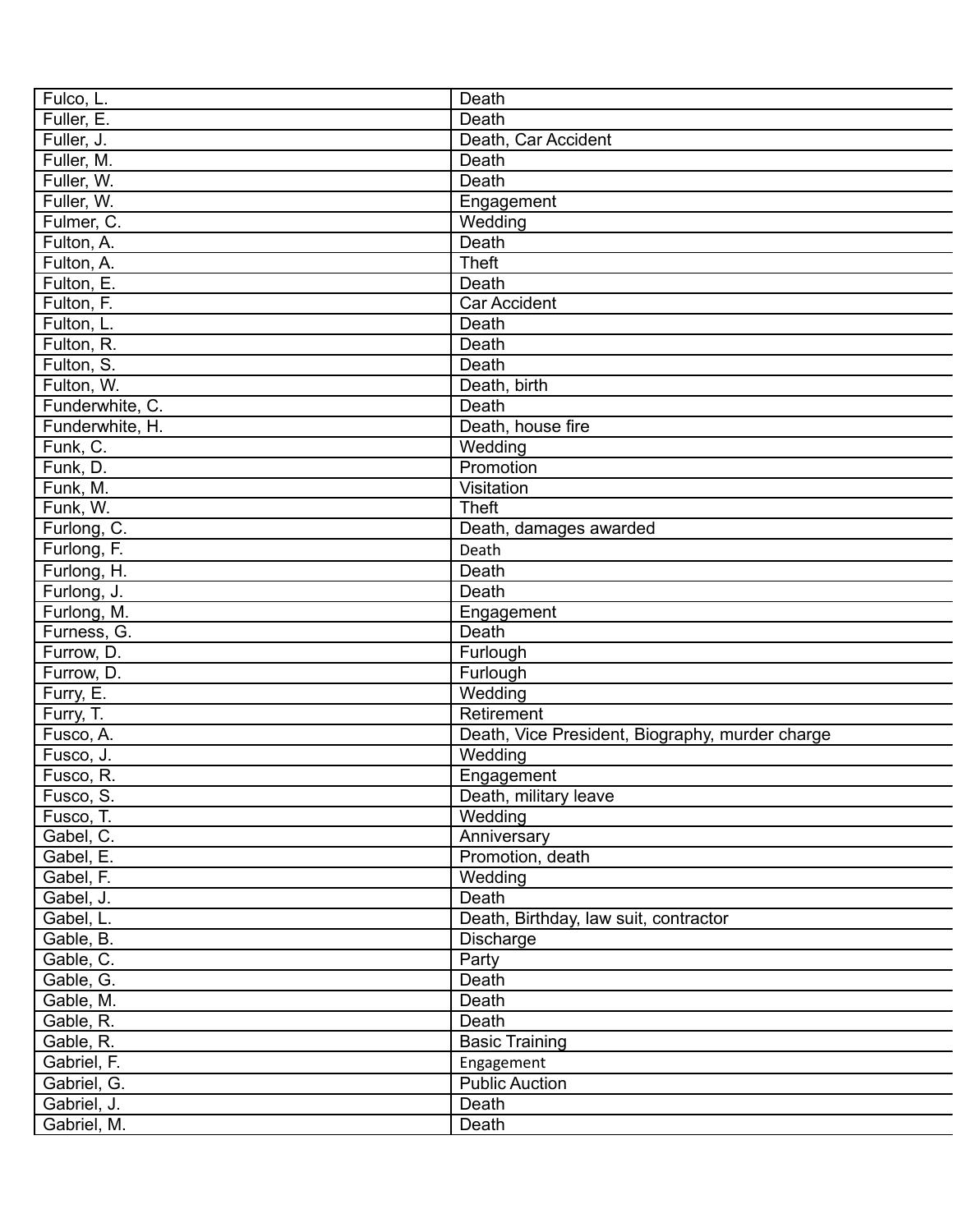| Fulco, L.                 | Death                                           |
|---------------------------|-------------------------------------------------|
| Fuller, E.                | Death                                           |
| Fuller, J.                | Death, Car Accident                             |
| Fuller, M.                | Death                                           |
| Fuller, W.                | Death                                           |
| Fuller, W.                | Engagement                                      |
| Fulmer, C.                | Wedding                                         |
| Fulton, A.                | Death                                           |
| Fulton, A.                | <b>Theft</b>                                    |
| Fulton, E.                | Death                                           |
| Fulton, F.                | Car Accident                                    |
| Fulton, L.                | Death                                           |
| Fulton, R.                | Death                                           |
| Fulton, S.                | Death                                           |
| Fulton, W.                | Death, birth                                    |
| Funderwhite, C.           | Death                                           |
| Funderwhite, H.           | Death, house fire                               |
| Funk, C.                  | Wedding                                         |
| Funk, D.                  | Promotion                                       |
| Funk, M.                  | Visitation                                      |
| Funk, W.                  | <b>Theft</b>                                    |
| Furlong, C.               | Death, damages awarded                          |
| Furlong, F.               | Death                                           |
| Furlong, H.               | Death                                           |
| Furlong, J.               | Death                                           |
| Furlong, M.               |                                                 |
|                           | Engagement<br>Death                             |
| Furness, G.<br>Furrow, D. |                                                 |
|                           | Furlough                                        |
| Furrow, D.                | Furlough                                        |
| Furry, E.                 | Wedding                                         |
| Furry, T.                 | Retirement                                      |
| Fusco, A.                 | Death, Vice President, Biography, murder charge |
| Fusco, J.                 | Wedding                                         |
| Fusco, R.                 | Engagement                                      |
| Fusco, S.                 | Death, military leave                           |
| Fusco, T.                 | Wedding                                         |
| Gabel, C.                 | Anniversary                                     |
| Gabel, E.                 | Promotion, death                                |
| Gabel, F.                 | Wedding                                         |
| Gabel, J.                 | Death                                           |
| Gabel, L.                 | Death, Birthday, law suit, contractor           |
| Gable, B.                 | Discharge                                       |
| Gable, C.                 | Party                                           |
| Gable, G.                 | Death                                           |
| Gable, M.                 | Death                                           |
| Gable, R.                 | Death                                           |
| Gable, R.                 | <b>Basic Training</b>                           |
| Gabriel, F.               | Engagement                                      |
| Gabriel, G.               | <b>Public Auction</b>                           |
| Gabriel, J.               | Death                                           |
| Gabriel, M.               | Death                                           |
|                           |                                                 |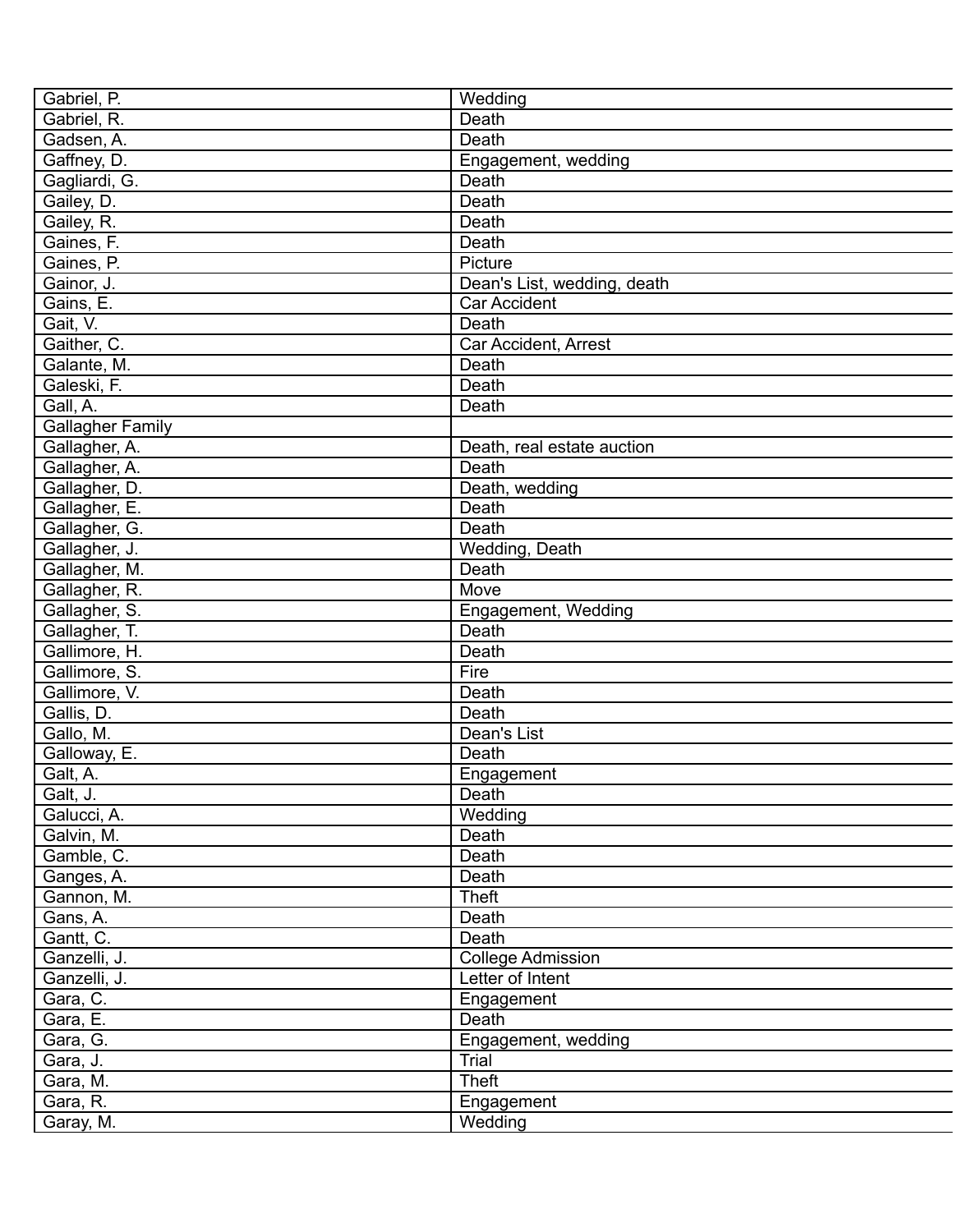| Gabriel, P.             | Wedding                     |
|-------------------------|-----------------------------|
| Gabriel, R.             | Death                       |
| Gadsen, A.              | Death                       |
| Gaffney, D.             | Engagement, wedding         |
| Gagliardi, G.           | Death                       |
| Gailey, D.              | Death                       |
| Gailey, R.              | Death                       |
| Gaines, F.              | Death                       |
| Gaines, P.              | Picture                     |
| Gainor, J.              | Dean's List, wedding, death |
| Gains, E.               | <b>Car Accident</b>         |
| Gait, V.                | Death                       |
| Gaither, C.             | Car Accident, Arrest        |
| Galante, M.             | Death                       |
| Galeski, F.             | Death                       |
| Gall, A.                | Death                       |
| <b>Gallagher Family</b> |                             |
| Gallagher, A.           | Death, real estate auction  |
| Gallagher, A.           | Death                       |
| Gallagher, D.           | Death, wedding              |
| Gallagher, E.           | Death                       |
| Gallagher, G.           | Death                       |
| Gallagher, J.           | Wedding, Death              |
| Gallagher, M.           | Death                       |
| Gallagher, R.           | Move                        |
| Gallagher, S.           | Engagement, Wedding         |
| Gallagher, T.           | Death                       |
| Gallimore, H.           | Death                       |
| Gallimore, S.           | Fire                        |
| Gallimore, V.           | Death                       |
| Gallis, D.              | Death                       |
| Gallo, M.               | Dean's List                 |
| Galloway, E.            | Death                       |
| Galt, A.                | Engagement                  |
| Galt, J.                | Death                       |
| Galucci, A.             | Wedding                     |
| Galvin, M.              | Death                       |
| Gamble, C.              | Death                       |
| Ganges, A.              | Death                       |
| Gannon, M.              | Theft                       |
| Gans, A.                | Death                       |
| Gantt, C.               | Death                       |
| Ganzelli, J.            | <b>College Admission</b>    |
| Ganzelli, J.            | Letter of Intent            |
| Gara, C.                | Engagement                  |
| Gara, E.                | Death                       |
| Gara, G.                | Engagement, wedding         |
| Gara, J.                | Trial                       |
| Gara, M.                | Theft                       |
| Gara, R.                | Engagement                  |
| Garay, M.               | Wedding                     |
|                         |                             |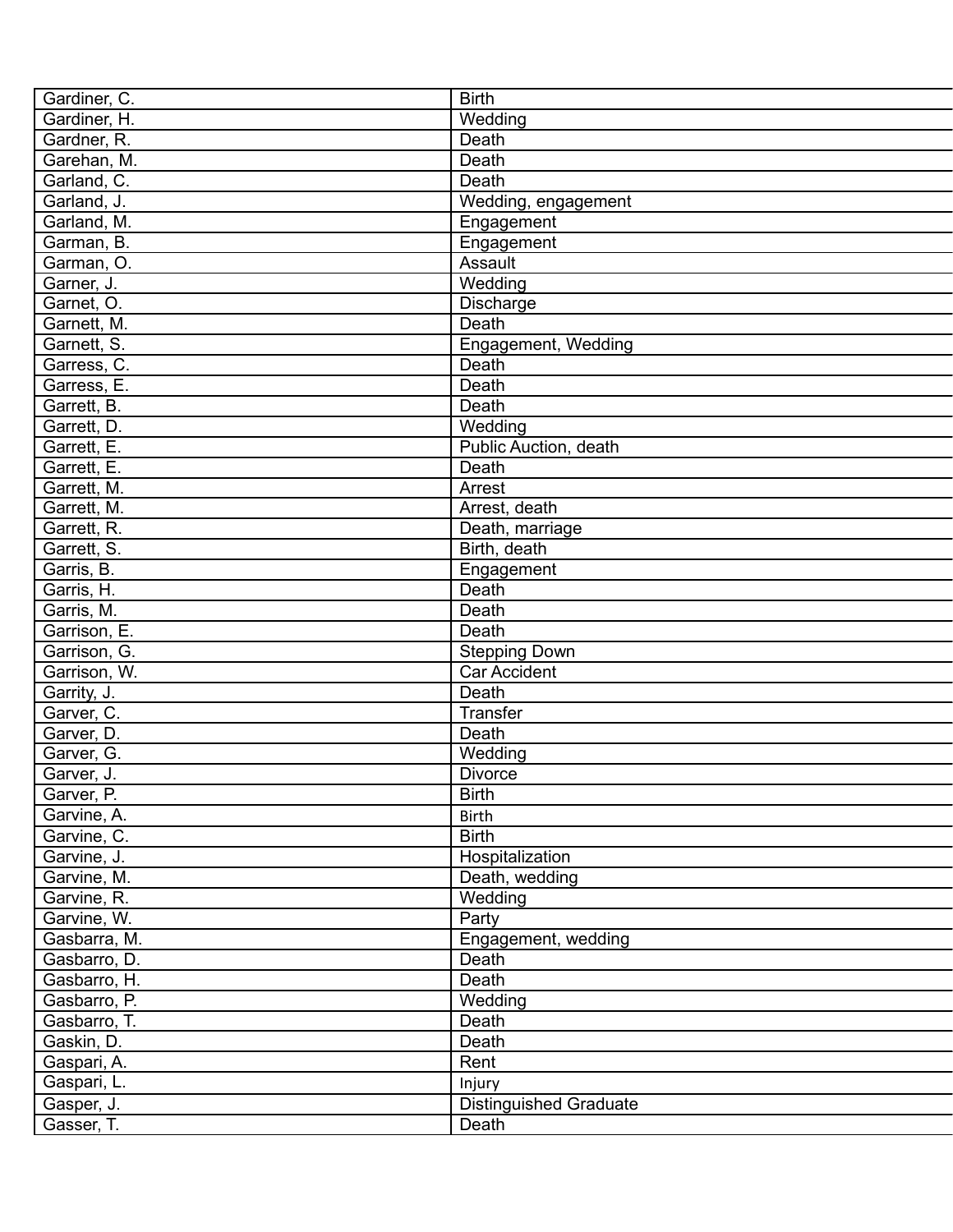| Gardiner, C.                 | <b>Birth</b>                  |
|------------------------------|-------------------------------|
| Gardiner, H.                 | Wedding                       |
| Gardner, R.                  | Death                         |
| Garehan, M.                  | Death                         |
| Garland, C.                  | Death                         |
| Garland, J.                  | Wedding, engagement           |
| Garland, M.                  | Engagement                    |
| Garman, B.                   | Engagement                    |
| Garman, O.                   | Assault                       |
| Garner, J.                   | Wedding                       |
| Garnet, O.                   | <b>Discharge</b>              |
| Garnett, M.                  | Death                         |
| Garnett, S.                  | Engagement, Wedding           |
| Garress, C.                  | Death                         |
| Garress, E.                  | Death                         |
| Garrett, B.                  | Death                         |
| Garrett, D.                  | Wedding                       |
| Garrett, E.                  | Public Auction, death         |
| Garrett, E.                  | Death                         |
| Garrett, M.                  | Arrest                        |
| Garrett, M.                  | Arrest, death                 |
| Garrett, R.                  | Death, marriage               |
| Garrett, S.                  | Birth, death                  |
| Garris, B.                   | Engagement                    |
| Garris, H.                   | Death                         |
| Garris, M.                   | Death                         |
| Garrison, E.                 | Death                         |
| Garrison, G.                 | <b>Stepping Down</b>          |
| Garrison, W.                 | Car Accident                  |
| Garrity, J.                  | Death                         |
| Garver, C.                   | Transfer                      |
| Garver, D.                   | Death                         |
| Garver, G.                   | Wedding                       |
| Garver, J.                   | <b>Divorce</b>                |
| Garver, P.                   | <b>Birth</b>                  |
| Garvine, A.                  | <b>Birth</b>                  |
| Garvine, C.                  | <b>Birth</b>                  |
| Garvine, J.                  | Hospitalization               |
| Garvine, M.                  | Death, wedding                |
| Garvine, R.                  | Wedding                       |
| Garvine, W.                  | Party                         |
|                              |                               |
| Gasbarra, M.<br>Gasbarro, D. | Engagement, wedding<br>Death  |
|                              |                               |
| Gasbarro, H.                 | Death                         |
| Gasbarro, P.                 | Wedding                       |
| Gasbarro, T.                 | Death                         |
| Gaskin, D.                   | Death                         |
| Gaspari, A.                  | Rent                          |
| Gaspari, L.                  | Injury                        |
| Gasper, J.                   | <b>Distinguished Graduate</b> |
| Gasser, T.                   | Death                         |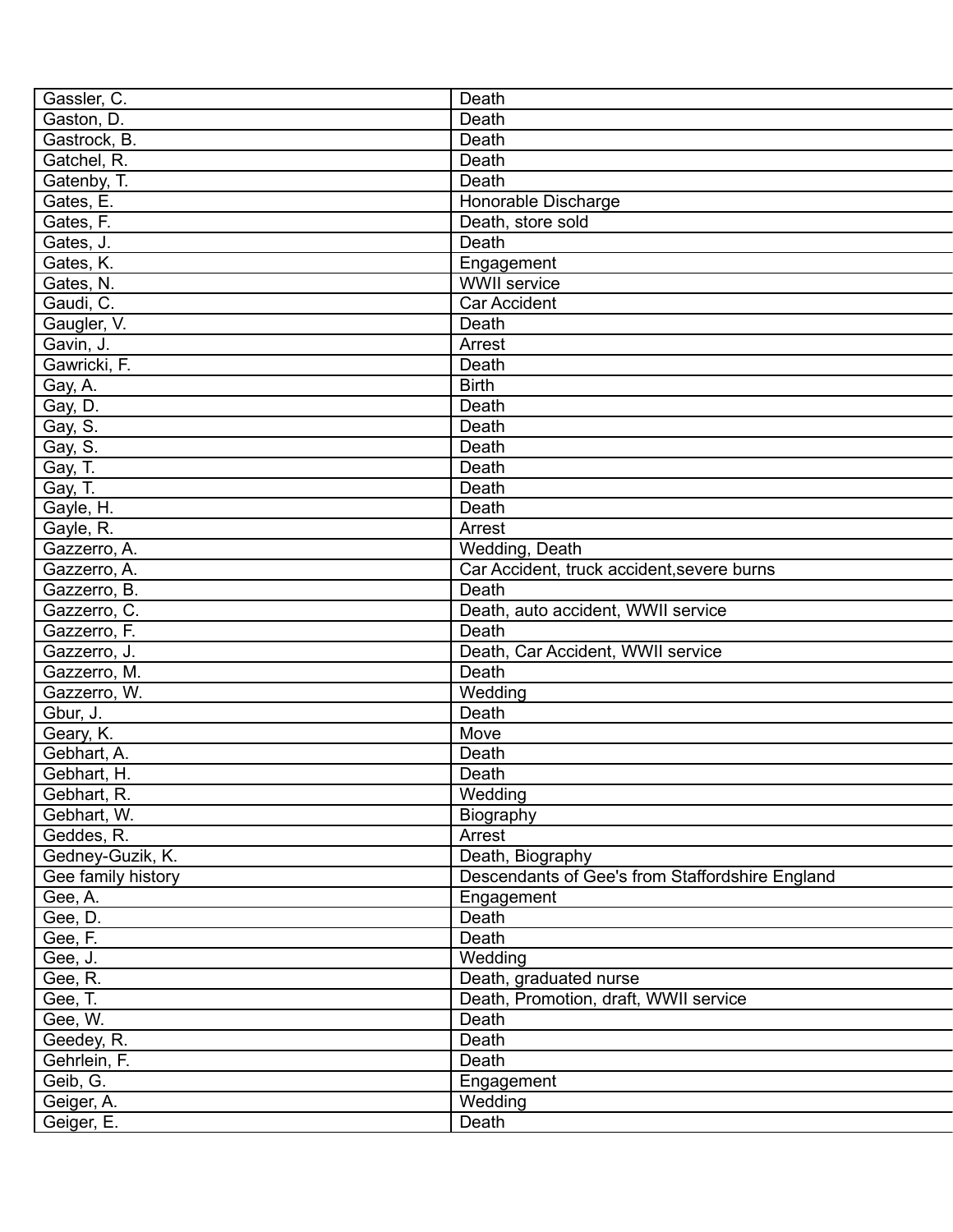| Gassler, C.        | Death                                           |
|--------------------|-------------------------------------------------|
| Gaston, D.         | Death                                           |
| Gastrock, B.       | Death                                           |
| Gatchel, R.        | Death                                           |
| Gatenby, T.        | Death                                           |
| Gates, E.          | Honorable Discharge                             |
| Gates, F.          | Death, store sold                               |
| Gates, J.          | Death                                           |
| Gates, K.          | Engagement                                      |
| Gates, N.          | <b>WWII</b> service                             |
| Gaudi, C.          | <b>Car Accident</b>                             |
| Gaugler, V.        | Death                                           |
| Gavin, J.          | Arrest                                          |
| Gawricki, F.       | Death                                           |
| Gay, A.            | <b>Birth</b>                                    |
| Gay, D.            | Death                                           |
| Gay, S.            | Death                                           |
| Gay, S.            | Death                                           |
| Gay, T.            | Death                                           |
| Gay, T.            | Death                                           |
| Gayle, H.          | Death                                           |
| Gayle, R.          | Arrest                                          |
| Gazzerro, A.       | Wedding, Death                                  |
| Gazzerro, A.       | Car Accident, truck accident, severe burns      |
| Gazzerro, B.       | Death                                           |
| Gazzerro, C.       | Death, auto accident, WWII service              |
| Gazzerro, F.       | Death                                           |
| Gazzerro, J.       | Death, Car Accident, WWII service               |
| Gazzerro, M.       | Death                                           |
| Gazzerro, W.       | Wedding                                         |
| Gbur, J.           | Death                                           |
| Geary, K.          | Move                                            |
| Gebhart, A.        | Death                                           |
| Gebhart, H.        | Death                                           |
| Gebhart, R.        | Wedding                                         |
| Gebhart, W.        | Biography                                       |
| Geddes, R.         | Arrest                                          |
| Gedney-Guzik, K.   | Death, Biography                                |
| Gee family history | Descendants of Gee's from Staffordshire England |
| Gee, A.            | Engagement                                      |
| Gee, D.            | Death                                           |
| Gee, F.            | Death                                           |
| Gee, J.            | Wedding                                         |
| Gee, R.            | Death, graduated nurse                          |
| Gee, T.            | Death, Promotion, draft, WWII service           |
| Gee, W.            | Death                                           |
| Geedey, R.         | Death                                           |
| Gehrlein, F.       | Death                                           |
| Geib, G.           | Engagement                                      |
| Geiger, A.         | Wedding                                         |
|                    | Death                                           |
| Geiger, E.         |                                                 |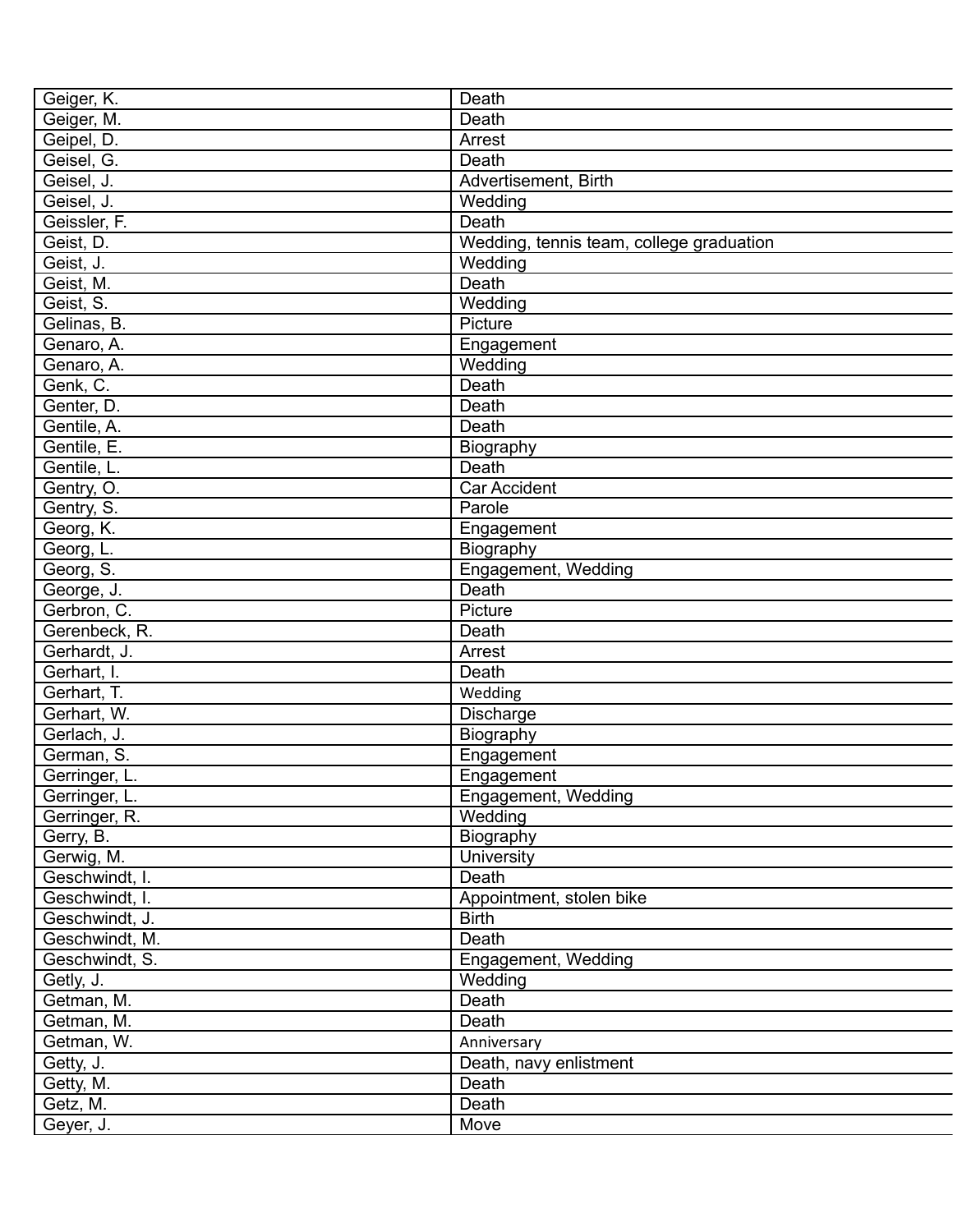| Geiger, K.     | Death                                    |
|----------------|------------------------------------------|
| Geiger, M.     | Death                                    |
| Geipel, D.     | Arrest                                   |
| Geisel, G.     | Death                                    |
| Geisel, J.     | Advertisement, Birth                     |
| Geisel, J.     | Wedding                                  |
| Geissler, F.   | Death                                    |
| Geist, D.      | Wedding, tennis team, college graduation |
| Geist, J.      | Wedding                                  |
| Geist, M.      | Death                                    |
| Geist, S.      | Wedding                                  |
| Gelinas, B.    | Picture                                  |
| Genaro, A.     | Engagement                               |
| Genaro, A.     | Wedding                                  |
| Genk, C.       | Death                                    |
| Genter, D.     | Death                                    |
| Gentile, A.    | Death                                    |
| Gentile, E.    | Biography                                |
| Gentile, L.    | Death                                    |
| Gentry, O.     | <b>Car Accident</b>                      |
| Gentry, S.     | Parole                                   |
| Georg, K.      | Engagement                               |
| Georg, L.      | Biography                                |
| Georg, S.      | Engagement, Wedding                      |
| George, J.     | Death                                    |
| Gerbron, C.    | Picture                                  |
| Gerenbeck, R.  | Death                                    |
| Gerhardt, J.   | Arrest                                   |
| Gerhart, I.    | Death                                    |
| Gerhart, T.    |                                          |
|                | Wedding                                  |
| Gerhart, W.    | Discharge                                |
| Gerlach, J.    | Biography                                |
| German, S.     | Engagement                               |
| Gerringer, L.  | Engagement                               |
| Gerringer, L.  | Engagement, Wedding                      |
| Gerringer, R.  | Wedding                                  |
| Gerry, B.      | Biography                                |
| Gerwig, M.     | University                               |
| Geschwindt, I. | Death                                    |
| Geschwindt, I. | Appointment, stolen bike                 |
| Geschwindt, J. | <b>Birth</b>                             |
| Geschwindt, M. | Death                                    |
| Geschwindt, S. | Engagement, Wedding                      |
| Getly, J.      | Wedding                                  |
| Getman, M.     | Death                                    |
| Getman, M.     | Death                                    |
| Getman, W.     | Anniversary                              |
| Getty, J.      | Death, navy enlistment                   |
| Getty, M.      | Death                                    |
| Getz, M.       | Death                                    |
| Geyer, J.      | Move                                     |
|                |                                          |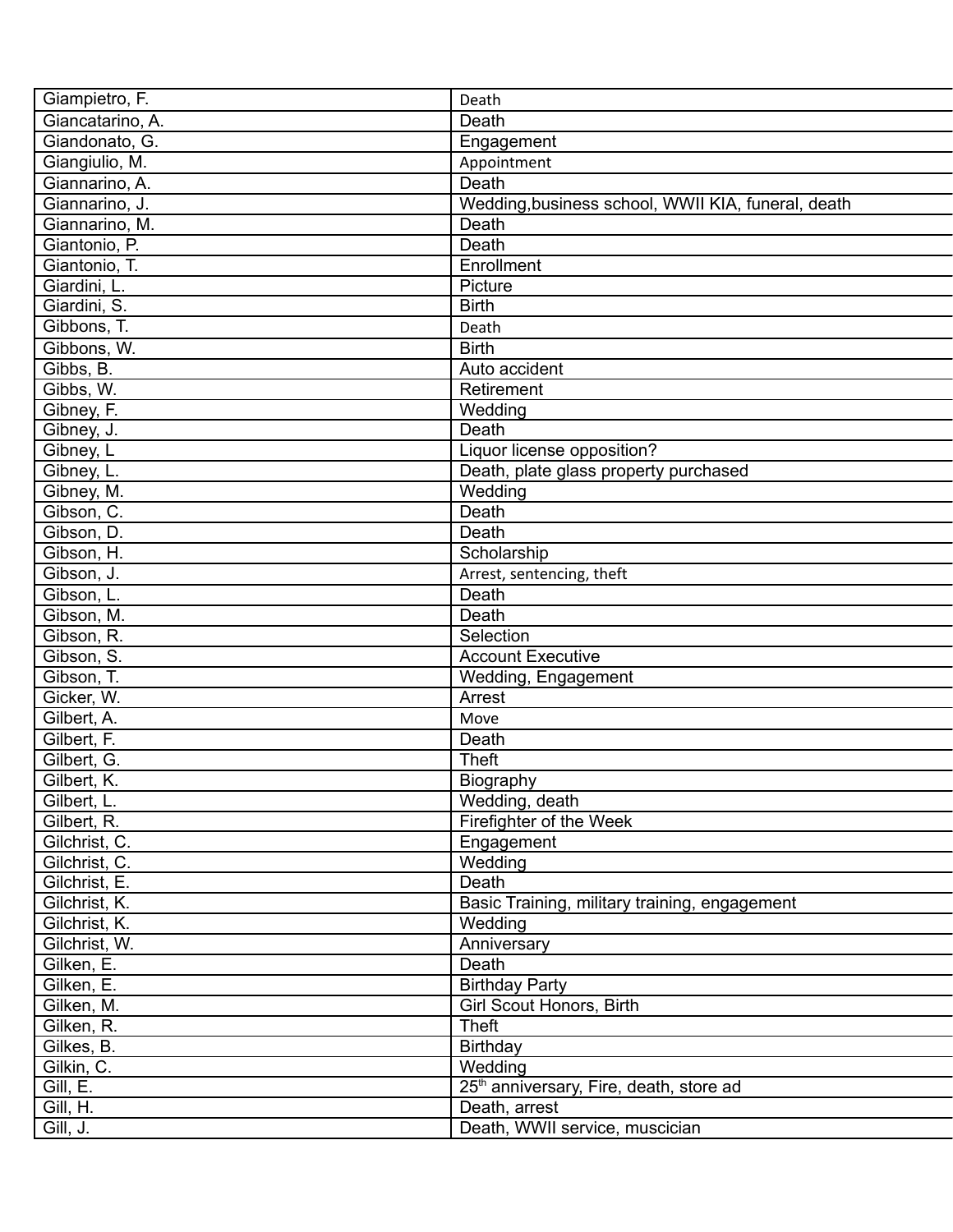| Giampietro, F.   | Death                                               |
|------------------|-----------------------------------------------------|
| Giancatarino, A. | Death                                               |
| Giandonato, G.   | Engagement                                          |
| Giangiulio, M.   | Appointment                                         |
| Giannarino, A.   | Death                                               |
| Giannarino, J.   | Wedding, business school, WWII KIA, funeral, death  |
| Giannarino, M.   | Death                                               |
| Giantonio, P.    | Death                                               |
| Giantonio, T.    | Enrollment                                          |
| Giardini, L.     | Picture                                             |
| Giardini, S.     | <b>Birth</b>                                        |
| Gibbons, T.      | Death                                               |
| Gibbons, W.      | <b>Birth</b>                                        |
| Gibbs, B.        | Auto accident                                       |
| Gibbs, W.        | Retirement                                          |
| Gibney, F.       | Wedding                                             |
| Gibney, J.       | Death                                               |
| Gibney, L        | Liquor license opposition?                          |
| Gibney, L.       | Death, plate glass property purchased               |
| Gibney, M.       | Wedding                                             |
| Gibson, C.       | Death                                               |
| Gibson, D.       | Death                                               |
| Gibson, H.       | Scholarship                                         |
| Gibson, J.       | Arrest, sentencing, theft                           |
| Gibson, L.       | Death                                               |
| Gibson, M.       | Death                                               |
| Gibson, R.       | Selection                                           |
| Gibson, S.       | <b>Account Executive</b>                            |
| Gibson, T.       | Wedding, Engagement                                 |
| Gicker, W.       | Arrest                                              |
| Gilbert, A.      | Move                                                |
| Gilbert, F.      | Death                                               |
| Gilbert, G.      | <b>Theft</b>                                        |
| Gilbert, K.      | Biography                                           |
| Gilbert, L.      | Wedding, death                                      |
| Gilbert, R.      | Firefighter of the Week                             |
| Gilchrist, C.    | Engagement                                          |
| Gilchrist, C.    | Wedding                                             |
| Gilchrist, E.    | Death                                               |
| Gilchrist, K.    | Basic Training, military training, engagement       |
| Gilchrist, K.    | Wedding                                             |
| Gilchrist, W.    | Anniversary                                         |
| Gilken, E.       | Death                                               |
| Gilken, E.       | <b>Birthday Party</b>                               |
| Gilken, M.       | Girl Scout Honors, Birth                            |
| Gilken, R.       | <b>Theft</b>                                        |
| Gilkes, B.       | Birthday                                            |
| Gilkin, C.       | Wedding                                             |
| Gill, E.         | 25 <sup>th</sup> anniversary, Fire, death, store ad |
| Gill, H.         | Death, arrest                                       |
| Gill, J.         | Death, WWII service, muscician                      |
|                  |                                                     |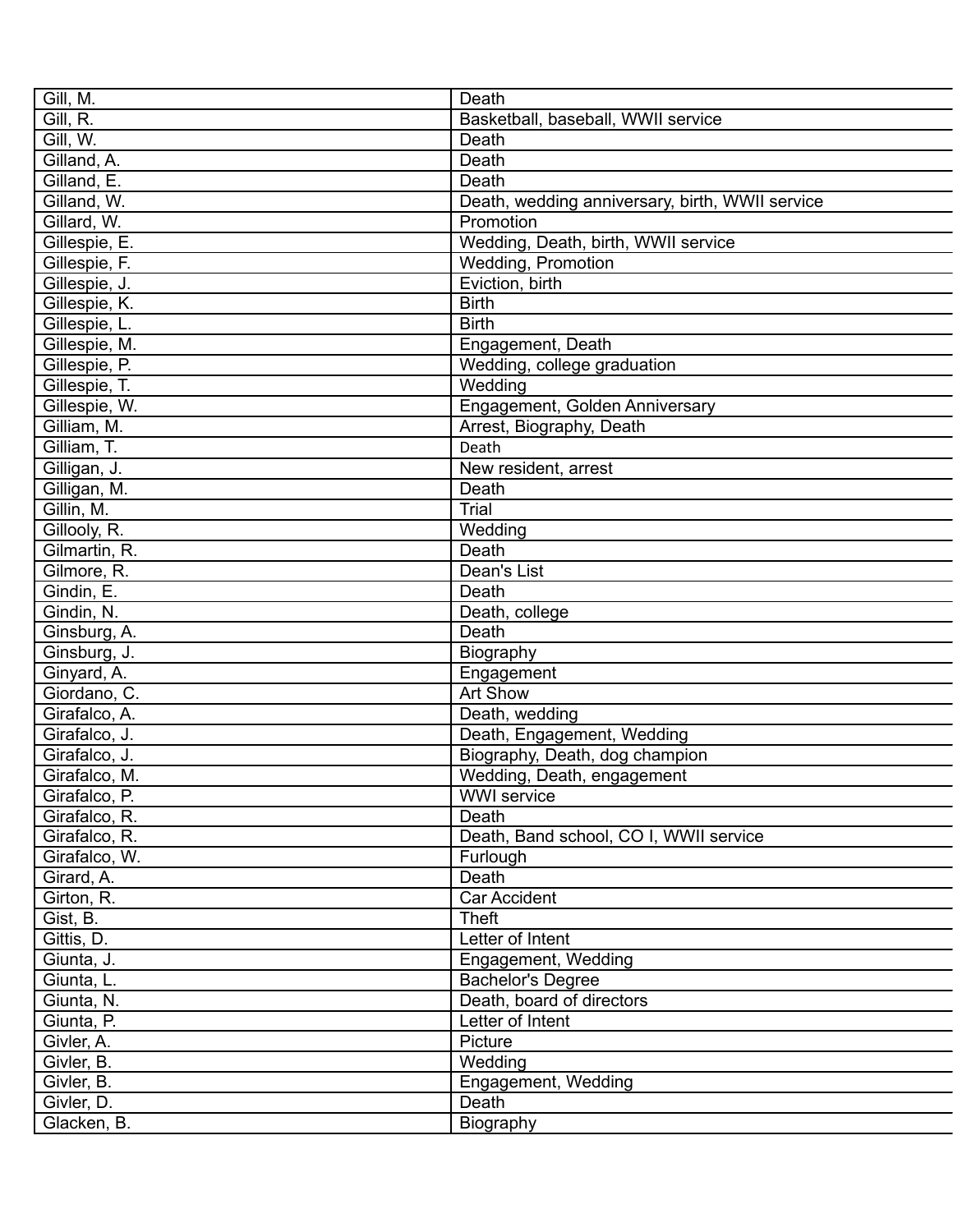| Gill, M.      | Death                                           |
|---------------|-------------------------------------------------|
| Gill, R.      | Basketball, baseball, WWII service              |
| Gill, W.      | Death                                           |
| Gilland, A.   | Death                                           |
| Gilland, E.   | Death                                           |
| Gilland, W.   | Death, wedding anniversary, birth, WWII service |
| Gillard, W.   | Promotion                                       |
| Gillespie, E. | Wedding, Death, birth, WWII service             |
| Gillespie, F. | Wedding, Promotion                              |
| Gillespie, J. | Eviction, birth                                 |
| Gillespie, K. | <b>Birth</b>                                    |
| Gillespie, L. | <b>Birth</b>                                    |
| Gillespie, M. | Engagement, Death                               |
| Gillespie, P. | Wedding, college graduation                     |
| Gillespie, T. | Wedding                                         |
| Gillespie, W. | Engagement, Golden Anniversary                  |
| Gilliam, M.   | Arrest, Biography, Death                        |
| Gilliam, T.   | Death                                           |
| Gilligan, J.  | New resident, arrest                            |
| Gilligan, M.  | Death                                           |
| Gillin, M.    | Trial                                           |
| Gillooly, R.  | Wedding                                         |
| Gilmartin, R. | Death                                           |
| Gilmore, R.   | Dean's List                                     |
| Gindin, E.    | Death                                           |
| Gindin, N.    | Death, college                                  |
| Ginsburg, A.  | Death                                           |
| Ginsburg, J.  | Biography                                       |
| Ginyard, A.   | Engagement                                      |
| Giordano, C.  | Art Show                                        |
| Girafalco, A. | Death, wedding                                  |
| Girafalco, J. | Death, Engagement, Wedding                      |
| Girafalco, J. | Biography, Death, dog champion                  |
| Girafalco, M. | Wedding, Death, engagement                      |
| Girafalco, P. | <b>WWI</b> service                              |
| Girafalco, R. | Death                                           |
| Girafalco, R. | Death, Band school, CO I, WWII service          |
| Girafalco, W. | Furlough                                        |
| Girard, A.    | Death                                           |
| Girton, R.    | <b>Car Accident</b>                             |
| Gist, B.      | <b>Theft</b>                                    |
| Gittis, D.    | Letter of Intent                                |
| Giunta, J.    | Engagement, Wedding                             |
| Giunta, L.    | <b>Bachelor's Degree</b>                        |
| Giunta, N.    | Death, board of directors                       |
| Giunta, P.    | Letter of Intent                                |
| Givler, A.    | Picture                                         |
| Givler, B.    | Wedding                                         |
| Givler, B.    | Engagement, Wedding                             |
| Givler, D.    | Death                                           |
| Glacken, B.   | Biography                                       |
|               |                                                 |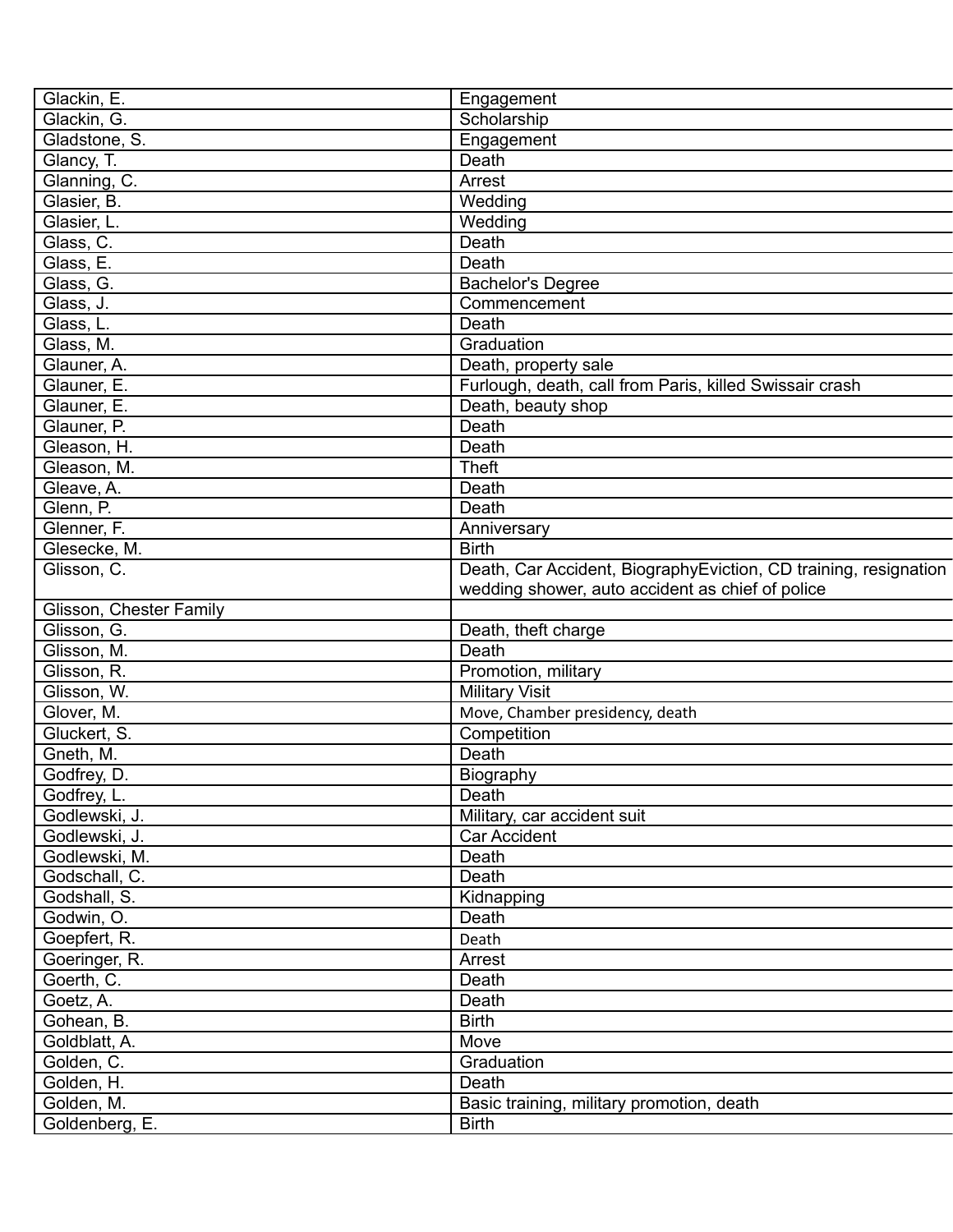| Glackin, E.             | Engagement                                                       |
|-------------------------|------------------------------------------------------------------|
| Glackin, G.             | Scholarship                                                      |
| Gladstone, S.           | Engagement                                                       |
| Glancy, T.              | Death                                                            |
| Glanning, C.            | Arrest                                                           |
| Glasier, B.             | Wedding                                                          |
| Glasier, L.             | Wedding                                                          |
| Glass, C.               | Death                                                            |
| Glass, E.               | Death                                                            |
| Glass, G.               | <b>Bachelor's Degree</b>                                         |
| Glass, J.               | Commencement                                                     |
| Glass, L.               | Death                                                            |
| Glass, M.               | Graduation                                                       |
| Glauner, A.             | Death, property sale                                             |
| Glauner, E.             | Furlough, death, call from Paris, killed Swissair crash          |
| Glauner, E.             | Death, beauty shop                                               |
| Glauner, P.             | Death                                                            |
| Gleason, H.             | Death                                                            |
| Gleason, M.             | <b>Theft</b>                                                     |
| Gleave, A.              | Death                                                            |
| Glenn, P.               | Death                                                            |
| Glenner, F.             | Anniversary                                                      |
| Glesecke, M.            | <b>Birth</b>                                                     |
| Glisson, C.             | Death, Car Accident, BiographyEviction, CD training, resignation |
|                         | wedding shower, auto accident as chief of police                 |
| Glisson, Chester Family |                                                                  |
| Glisson, G.             | Death, theft charge                                              |
| Glisson, M.             | Death                                                            |
| Glisson, R.             | Promotion, military                                              |
| Glisson, W.             | <b>Military Visit</b>                                            |
| Glover, M.              | Move, Chamber presidency, death                                  |
| Gluckert, S.            | Competition                                                      |
| Gneth, M.               | Death                                                            |
| Godfrey, D.             | Biography                                                        |
| Godfrey, L.             | Death                                                            |
| Godlewski, J.           | Military, car accident suit                                      |
| Godlewski, J.           | Car Accident                                                     |
| Godlewski, M.           | Death                                                            |
| Godschall, C.           | Death                                                            |
| Godshall, S.            | Kidnapping                                                       |
| Godwin, O.              | Death                                                            |
|                         |                                                                  |
| Goepfert, R.            | Death                                                            |
| Goeringer, R.           | Arrest                                                           |
| Goerth, C.              | Death                                                            |
| Goetz, A.               | Death                                                            |
| Gohean, B.              | <b>Birth</b>                                                     |
| Goldblatt, A.           | Move                                                             |
| Golden, C.              | Graduation                                                       |
| Golden, H.              | Death                                                            |
| Golden, M.              | Basic training, military promotion, death                        |
| Goldenberg, E.          | <b>Birth</b>                                                     |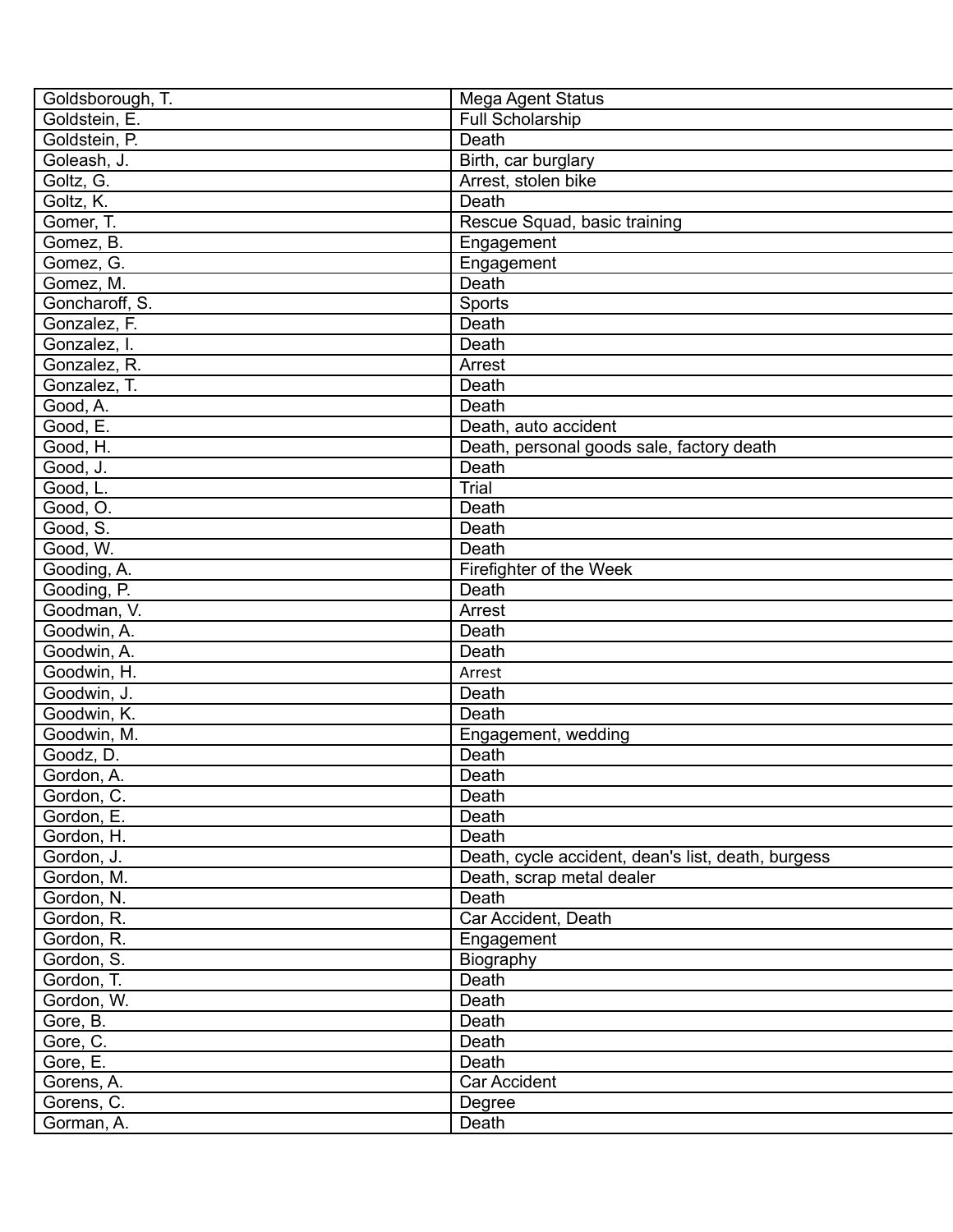| Goldsborough, T. | Mega Agent Status                                  |
|------------------|----------------------------------------------------|
| Goldstein, E.    | Full Scholarship                                   |
| Goldstein, P.    | Death                                              |
| Goleash, J.      | Birth, car burglary                                |
| Goltz, G.        | Arrest, stolen bike                                |
| Goltz, K.        | Death                                              |
| Gomer, T.        | Rescue Squad, basic training                       |
| Gomez, B.        | Engagement                                         |
| Gomez, G.        | Engagement                                         |
| Gomez, M.        | Death                                              |
| Goncharoff, S.   | Sports                                             |
| Gonzalez, F.     | Death                                              |
| Gonzalez, I.     | Death                                              |
| Gonzalez, R.     | Arrest                                             |
| Gonzalez, T.     | Death                                              |
| Good, A.         | Death                                              |
| Good, E.         | Death, auto accident                               |
| Good, H.         | Death, personal goods sale, factory death          |
| Good, J.         | Death                                              |
| Good, L.         | Trial                                              |
| Good, O.         | Death                                              |
| Good, S.         | Death                                              |
| Good, W.         | Death                                              |
| Gooding, A.      | Firefighter of the Week                            |
| Gooding, P.      | Death                                              |
| Goodman, V.      | Arrest                                             |
| Goodwin, A.      | Death                                              |
| Goodwin, A.      | Death                                              |
| Goodwin, H.      | Arrest                                             |
| Goodwin, J.      | Death                                              |
| Goodwin, K.      | Death                                              |
| Goodwin, M.      | Engagement, wedding                                |
| Goodz, D.        | Death                                              |
| Gordon, A.       | Death                                              |
| Gordon, C.       | Death                                              |
| Gordon, E.       | Death                                              |
| Gordon, H.       | Death                                              |
| Gordon, J.       | Death, cycle accident, dean's list, death, burgess |
| Gordon, M.       | Death, scrap metal dealer                          |
| Gordon, N.       | Death                                              |
| Gordon, R.       | Car Accident, Death                                |
| Gordon, R.       | Engagement                                         |
| Gordon, S.       | Biography                                          |
| Gordon, T.       | Death                                              |
| Gordon, W.       | Death                                              |
| Gore, B.         | Death                                              |
| Gore, C.         | Death                                              |
| Gore, E.         | Death                                              |
| Gorens, A.       | Car Accident                                       |
| Gorens, C.       | Degree                                             |
| Gorman, A.       | Death                                              |
|                  |                                                    |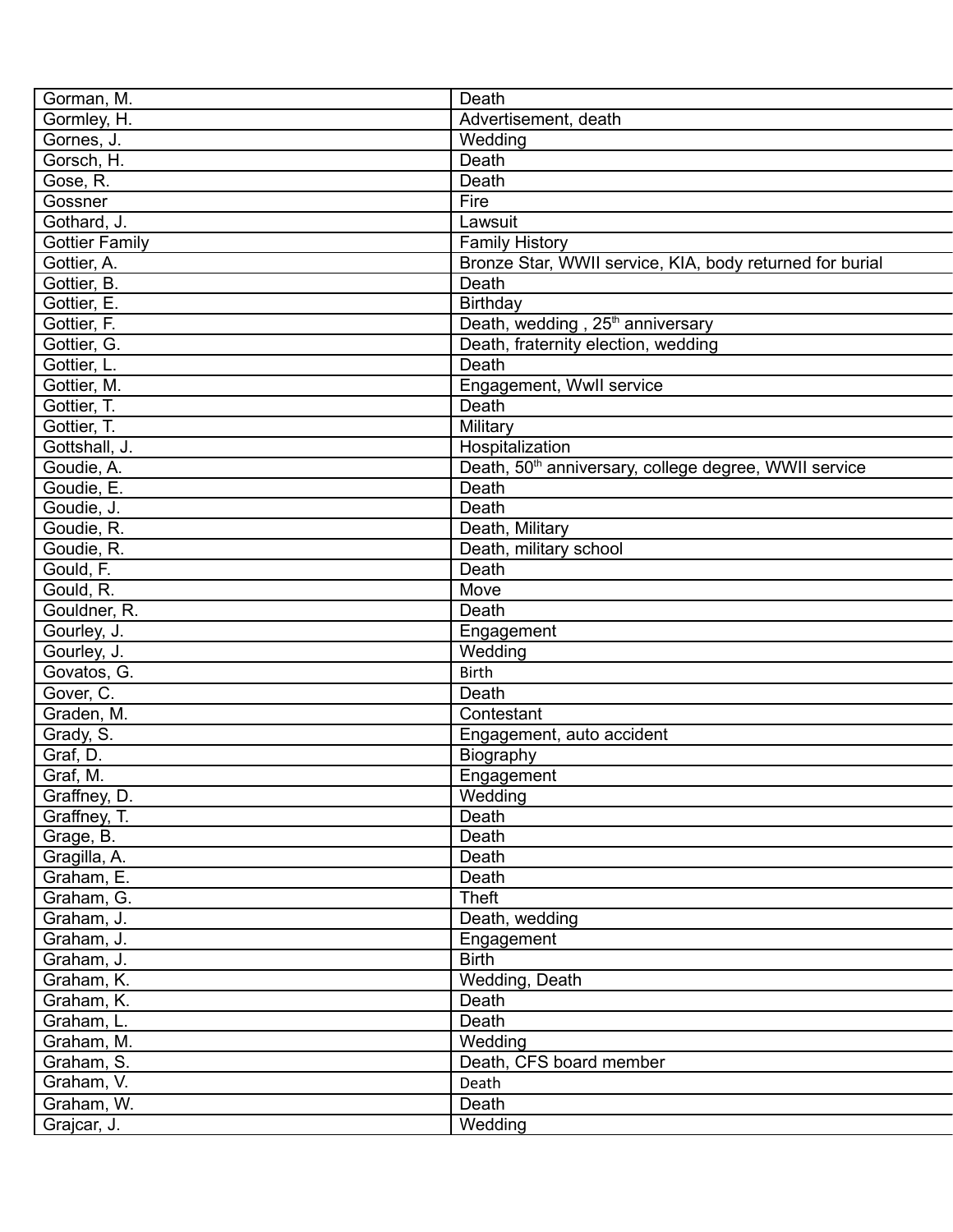| Gorman, M.              | Death                                                             |
|-------------------------|-------------------------------------------------------------------|
| Gormley, H.             | Advertisement, death                                              |
| Gornes, J.              | Wedding                                                           |
| Gorsch, H.              | Death                                                             |
| Gose, R.                | Death                                                             |
| Gossner                 | Fire                                                              |
| Gothard, J.             | Lawsuit                                                           |
| <b>Gottier Family</b>   | <b>Family History</b>                                             |
| Gottier, A.             | Bronze Star, WWII service, KIA, body returned for burial          |
| Gottier, B.             | Death                                                             |
| Gottier, E.             | Birthday                                                          |
| Gottier, F.             | Death, wedding, 25 <sup>th</sup> anniversary                      |
| Gottier, G.             | Death, fraternity election, wedding                               |
| Gottier, L.             | Death                                                             |
| Gottier, M.             | Engagement, Wwll service                                          |
| Gottier, T.             | Death                                                             |
| Gottier, T.             | Military                                                          |
| Gottshall, J.           | Hospitalization                                                   |
| Goudie, A.              | Death, 50 <sup>th</sup> anniversary, college degree, WWII service |
| Goudie, E.              | Death                                                             |
| Goudie, J.              | Death                                                             |
| Goudie, R.              | Death, Military                                                   |
| Goudie, R.              | Death, military school                                            |
| Gould, F.               | Death                                                             |
| Gould, R.               | Move                                                              |
| Gouldner, R.            | Death                                                             |
| Gourley, J.             | Engagement                                                        |
| Gourley, J.             | Wedding                                                           |
| Govatos, G.             | <b>Birth</b>                                                      |
| Gover, C.               | Death                                                             |
|                         | Contestant                                                        |
| Graden, M.              |                                                                   |
| Grady, $\overline{S}$ . | Engagement, auto accident                                         |
| Graf, D.                | Biography                                                         |
| Graf, M.                | Engagement                                                        |
| Graffney, D.            | Wedding                                                           |
| Graffney, T.            | Death                                                             |
| Grage, B.               | Death                                                             |
| Gragilla, A.            | Death                                                             |
| Graham, E.              | Death                                                             |
| Graham, G.              | <b>Theft</b>                                                      |
| Graham, J.              | Death, wedding                                                    |
| Graham, J.              | Engagement                                                        |
| Graham, J.              | <b>Birth</b>                                                      |
| Graham, K.              | Wedding, Death                                                    |
| Graham, K.              | Death                                                             |
| Graham, L.              | Death                                                             |
| Graham, M.              | Wedding                                                           |
| Graham, S.              | Death, CFS board member                                           |
| Graham, V.              | Death                                                             |
| Graham, W.              | Death                                                             |
| Grajcar, J.             | Wedding                                                           |
|                         |                                                                   |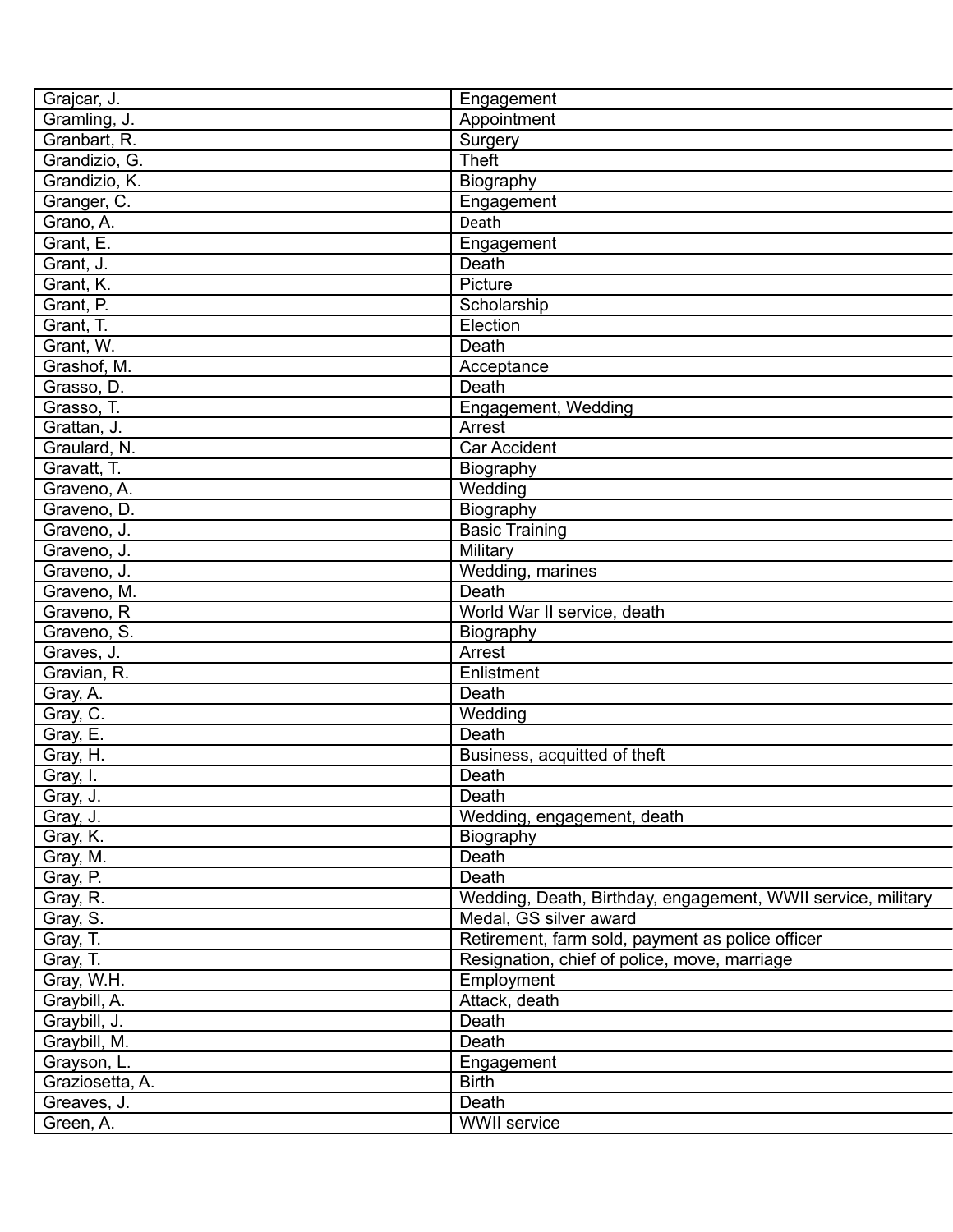| Grajcar, J.          | Engagement                                                   |
|----------------------|--------------------------------------------------------------|
| Gramling, J.         | Appointment                                                  |
| Granbart, R.         | Surgery                                                      |
| Grandizio, G.        | <b>Theft</b>                                                 |
| Grandizio, K.        | Biography                                                    |
| Granger, C.          | Engagement                                                   |
| Grano, A.            | Death                                                        |
| Grant, E.            | Engagement                                                   |
| Grant, J.            | Death                                                        |
| Grant, K.            | Picture                                                      |
| Grant, P.            | Scholarship                                                  |
| Grant, T.            | Election                                                     |
| Grant, W.            | Death                                                        |
| Grashof, M.          | Acceptance                                                   |
| Grasso, D.           | Death                                                        |
| Grasso, T.           | Engagement, Wedding                                          |
| Grattan, J.          | Arrest                                                       |
| Graulard, N.         | <b>Car Accident</b>                                          |
| Gravatt, T.          | Biography                                                    |
| Graveno, A.          | Wedding                                                      |
| Graveno, D.          | Biography                                                    |
| Graveno, J.          | <b>Basic Training</b>                                        |
| Graveno, J.          | Military                                                     |
| Graveno, J.          | Wedding, marines                                             |
| Graveno, M.          | Death                                                        |
| Graveno, R           | World War II service, death                                  |
| Graveno, S.          | Biography                                                    |
| Graves, J.           | Arrest                                                       |
| Gravian, R.          | Enlistment                                                   |
|                      | Death                                                        |
| Gray, A.             | Wedding                                                      |
| Gray, C.             | Death                                                        |
| Gray, E.<br>Gray, H. |                                                              |
|                      | Business, acquitted of theft<br>Death                        |
| Gray, I.             | Death                                                        |
| Gray, J.             |                                                              |
| Gray, J.             | Wedding, engagement, death                                   |
| Gray, K.             | Biography                                                    |
| Gray, M.             | Death                                                        |
| Gray, P.             | Death                                                        |
| Gray, R.             | Wedding, Death, Birthday, engagement, WWII service, military |
| Gray, S.             | Medal, GS silver award                                       |
| Gray, T.             | Retirement, farm sold, payment as police officer             |
| Gray, T.             | Resignation, chief of police, move, marriage                 |
| Gray, W.H.           | Employment                                                   |
| Graybill, A.         | Attack, death                                                |
| Graybill, J.         | Death                                                        |
| Graybill, M.         | Death                                                        |
| Grayson, L.          | Engagement                                                   |
| Graziosetta, A.      | <b>Birth</b>                                                 |
| Greaves, J.          | Death                                                        |
| Green, A.            | <b>WWII</b> service                                          |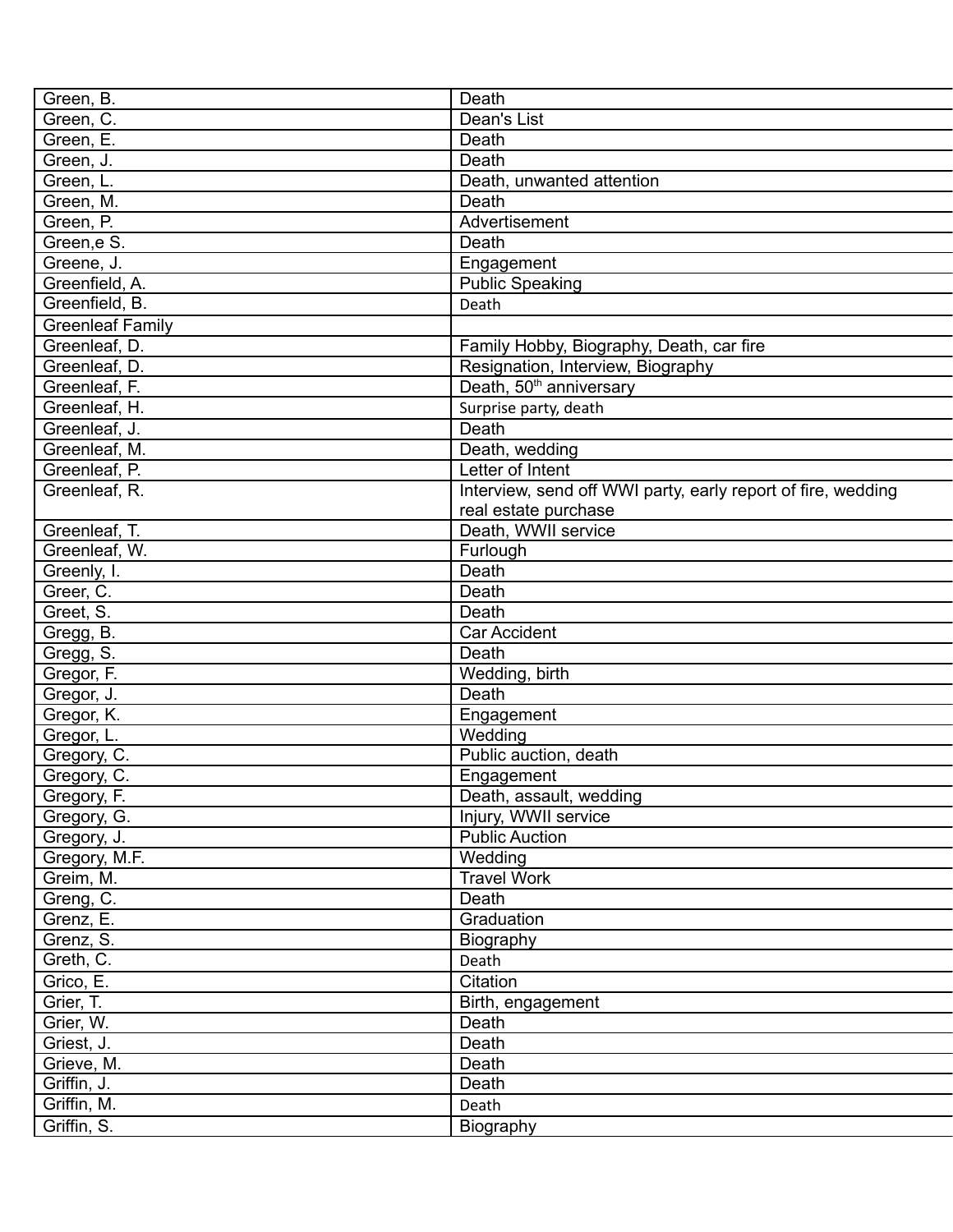| Green, B.               | Death                                                        |
|-------------------------|--------------------------------------------------------------|
| Green, C.               | Dean's List                                                  |
| Green, E.               | Death                                                        |
| Green, J.               | Death                                                        |
| Green, L.               | Death, unwanted attention                                    |
| Green, M.               | Death                                                        |
| Green, P.               | Advertisement                                                |
| Green, e S.             | Death                                                        |
| Greene, J.              | Engagement                                                   |
| Greenfield, A.          | <b>Public Speaking</b>                                       |
| Greenfield, B.          | Death                                                        |
| <b>Greenleaf Family</b> |                                                              |
| Greenleaf, D.           | Family Hobby, Biography, Death, car fire                     |
| Greenleaf, D.           | Resignation, Interview, Biography                            |
| Greenleaf, F.           | Death, 50 <sup>th</sup> anniversary                          |
| Greenleaf, H.           |                                                              |
|                         | Surprise party, death                                        |
| Greenleaf, J.           | Death                                                        |
| Greenleaf, M.           | Death, wedding                                               |
| Greenleaf, P.           | Letter of Intent                                             |
| Greenleaf, R.           | Interview, send off WWI party, early report of fire, wedding |
|                         | real estate purchase                                         |
| Greenleaf, T.           | Death, WWII service                                          |
| Greenleaf, W.           | Furlough                                                     |
| Greenly, I.             | Death                                                        |
| Greer, C.               | Death                                                        |
| Greet, S.               | Death                                                        |
| Gregg, B.               | <b>Car Accident</b>                                          |
| Gregg, S.               | Death                                                        |
| Gregor, F.              | Wedding, birth                                               |
| Gregor, J.              | Death                                                        |
| Gregor, K.              | Engagement                                                   |
| Gregor, L.              | Wedding                                                      |
| Gregory, C.             | Public auction, death                                        |
| Gregory, C.             | Engagement                                                   |
| Gregory, F.             | Death, assault, wedding                                      |
| Gregory, G.             | Injury, WWII service                                         |
| Gregory, J.             | <b>Public Auction</b>                                        |
| Gregory, M.F.           | Wedding                                                      |
| Greim, M.               | <b>Travel Work</b>                                           |
| Greng, C.               | Death                                                        |
| Grenz, E.               | Graduation                                                   |
|                         | Biography                                                    |
| Grenz, S.               |                                                              |
| Greth, C.               | Death                                                        |
| Grico, E.               | Citation                                                     |
| Grier, T.               | Birth, engagement                                            |
| Grier, W.               | Death                                                        |
| Griest, J.              | Death                                                        |
| Grieve, M.              | Death                                                        |
| Griffin, J.             | Death                                                        |
| Griffin, M.             | Death                                                        |
| Griffin, S.             | Biography                                                    |
|                         |                                                              |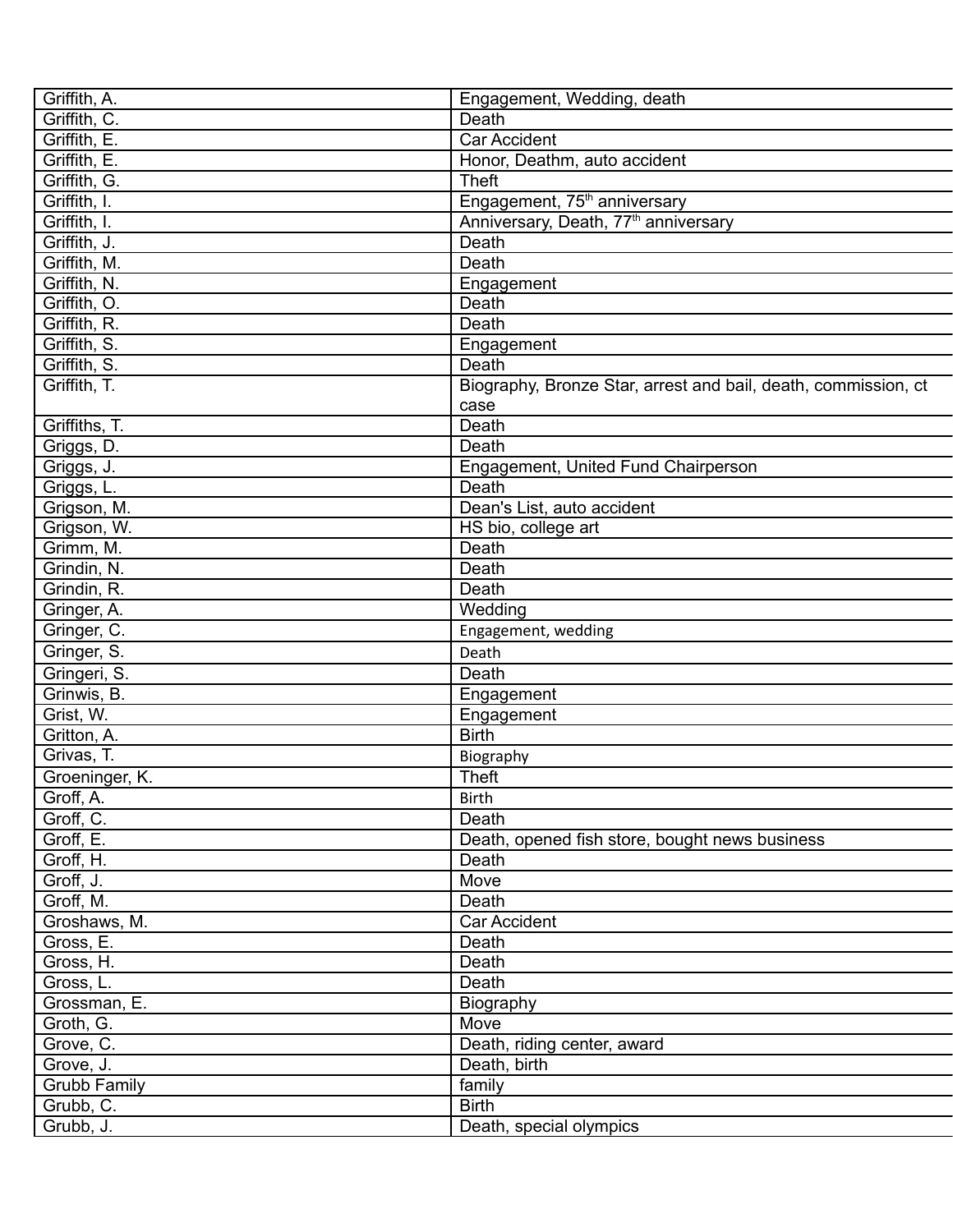| Griffith, A.        | Engagement, Wedding, death                                     |
|---------------------|----------------------------------------------------------------|
| Griffith, C.        | Death                                                          |
| Griffith, E.        | Car Accident                                                   |
| Griffith, E.        | Honor, Deathm, auto accident                                   |
| Griffith, G.        | <b>Theft</b>                                                   |
| Griffith, I.        | Engagement, 75 <sup>th</sup> anniversary                       |
| Griffith, I.        | Anniversary, Death, 77 <sup>th</sup> anniversary               |
| Griffith, J.        | Death                                                          |
| Griffith, M.        | Death                                                          |
| Griffith, N.        | Engagement                                                     |
| Griffith, O.        | Death                                                          |
| Griffith, R.        | Death                                                          |
| Griffith, S.        | Engagement                                                     |
| Griffith, S.        | Death                                                          |
| Griffith, T.        | Biography, Bronze Star, arrest and bail, death, commission, ct |
|                     | case                                                           |
| Griffiths, T.       | Death                                                          |
| Griggs, D.          | Death                                                          |
| Griggs, J.          | Engagement, United Fund Chairperson                            |
| Griggs, L.          | Death                                                          |
| Grigson, M.         | Dean's List, auto accident                                     |
| Grigson, W.         | HS bio, college art                                            |
| Grimm, M.           | Death                                                          |
| Grindin, N.         | Death                                                          |
| Grindin, R.         | Death                                                          |
| Gringer, A.         | Wedding                                                        |
| Gringer, C.         | Engagement, wedding                                            |
| Gringer, S.         | Death                                                          |
| Gringeri, S.        | Death                                                          |
| Grinwis, B.         | Engagement                                                     |
| Grist, W.           | Engagement                                                     |
| Gritton, A.         | <b>Birth</b>                                                   |
| Grivas, T.          |                                                                |
| Groeninger, K.      | Biography<br>Theft                                             |
|                     |                                                                |
| Groff, A.           | <b>Birth</b>                                                   |
| Groff, C.           | Death                                                          |
| Groff, E.           | Death, opened fish store, bought news business                 |
| Groff, H.           | Death                                                          |
| Groff, J.           | Move                                                           |
| Groff, M.           | Death                                                          |
| Groshaws, M.        | Car Accident                                                   |
| Gross, E.           | Death                                                          |
| Gross, H.           | Death                                                          |
| Gross, L.           | Death                                                          |
| Grossman, E.        | Biography                                                      |
| Groth, G.           | Move                                                           |
| Grove, C.           | Death, riding center, award                                    |
| Grove, J.           | Death, birth                                                   |
| <b>Grubb Family</b> | family                                                         |
| Grubb, C.           | <b>Birth</b>                                                   |
| Grubb, J.           | Death, special olympics                                        |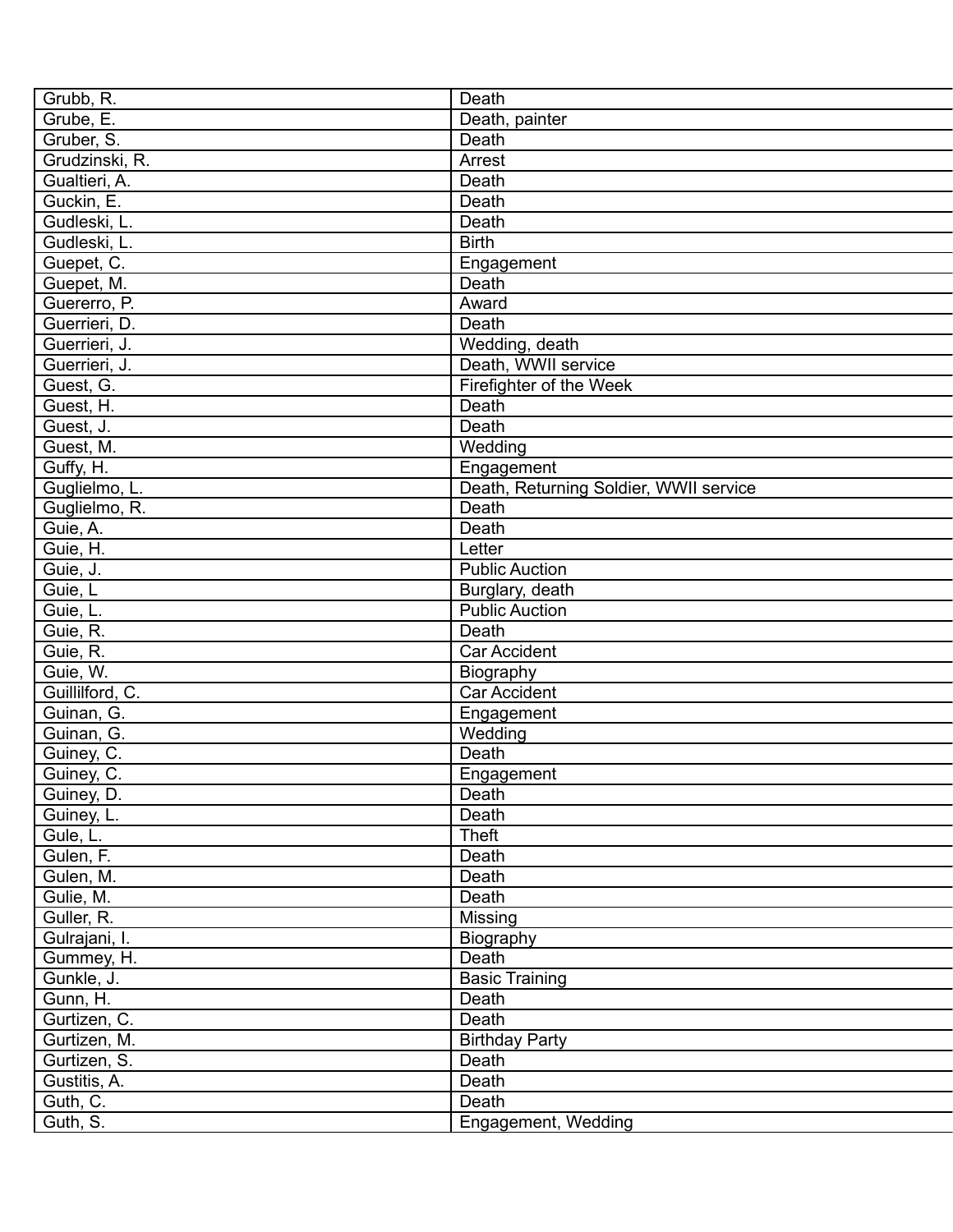| Grubb, R.       | Death                                    |
|-----------------|------------------------------------------|
| Grube, E.       | Death, painter                           |
| Gruber, S.      | Death                                    |
| Grudzinski, R.  | Arrest                                   |
| Gualtieri, A.   | Death                                    |
| Guckin, E.      | Death                                    |
| Gudleski, L.    | Death                                    |
| Gudleski, L.    | <b>Birth</b>                             |
| Guepet, C.      | Engagement                               |
| Guepet, M.      | Death                                    |
| Guererro, P.    | Award                                    |
| Guerrieri, D.   | Death                                    |
| Guerrieri, J.   | Wedding, death                           |
| Guerrieri, J.   | Death, WWII service                      |
| Guest, G.       | Firefighter of the Week                  |
| Guest, H.       | Death                                    |
| Guest, J.       | Death                                    |
| Guest, M.       | Wedding                                  |
| Guffy, H.       | Engagement                               |
| Guglielmo, L.   | Death, Returning Soldier, WWII service   |
| Guglielmo, R.   | Death                                    |
| Guie, A.        | Death                                    |
| Guie, H.        | Letter                                   |
|                 | <b>Public Auction</b>                    |
| Guie, J.        |                                          |
| Guie, L         | Burglary, death<br><b>Public Auction</b> |
| Guie, L.        |                                          |
| Guie, R.        | Death                                    |
| Guie, R.        | Car Accident                             |
| Guie, W.        | Biography                                |
| Guillilford, C. | Car Accident                             |
| Guinan, G.      | Engagement                               |
| Guinan, G.      | Wedding                                  |
| Guiney, C.      | Death                                    |
| Guiney, C.      | Engagement                               |
| Guiney, D.      | Death                                    |
| Guiney, L.      | Death                                    |
| Gule, L.        | Theft                                    |
| Gulen, F.       | Death                                    |
| Gulen, M.       | Death                                    |
| Gulie, M.       | Death                                    |
| Guller, R.      | Missing                                  |
| Gulrajani, I.   | Biography                                |
| Gummey, H.      | Death                                    |
| Gunkle, J.      | <b>Basic Training</b>                    |
| Gunn, H.        | Death                                    |
| Gurtizen, C.    | Death                                    |
| Gurtizen, M.    | <b>Birthday Party</b>                    |
| Gurtizen, S.    | Death                                    |
| Gustitis, A.    | Death                                    |
| Guth, C.        | Death                                    |
| Guth, S.        | Engagement, Wedding                      |
|                 |                                          |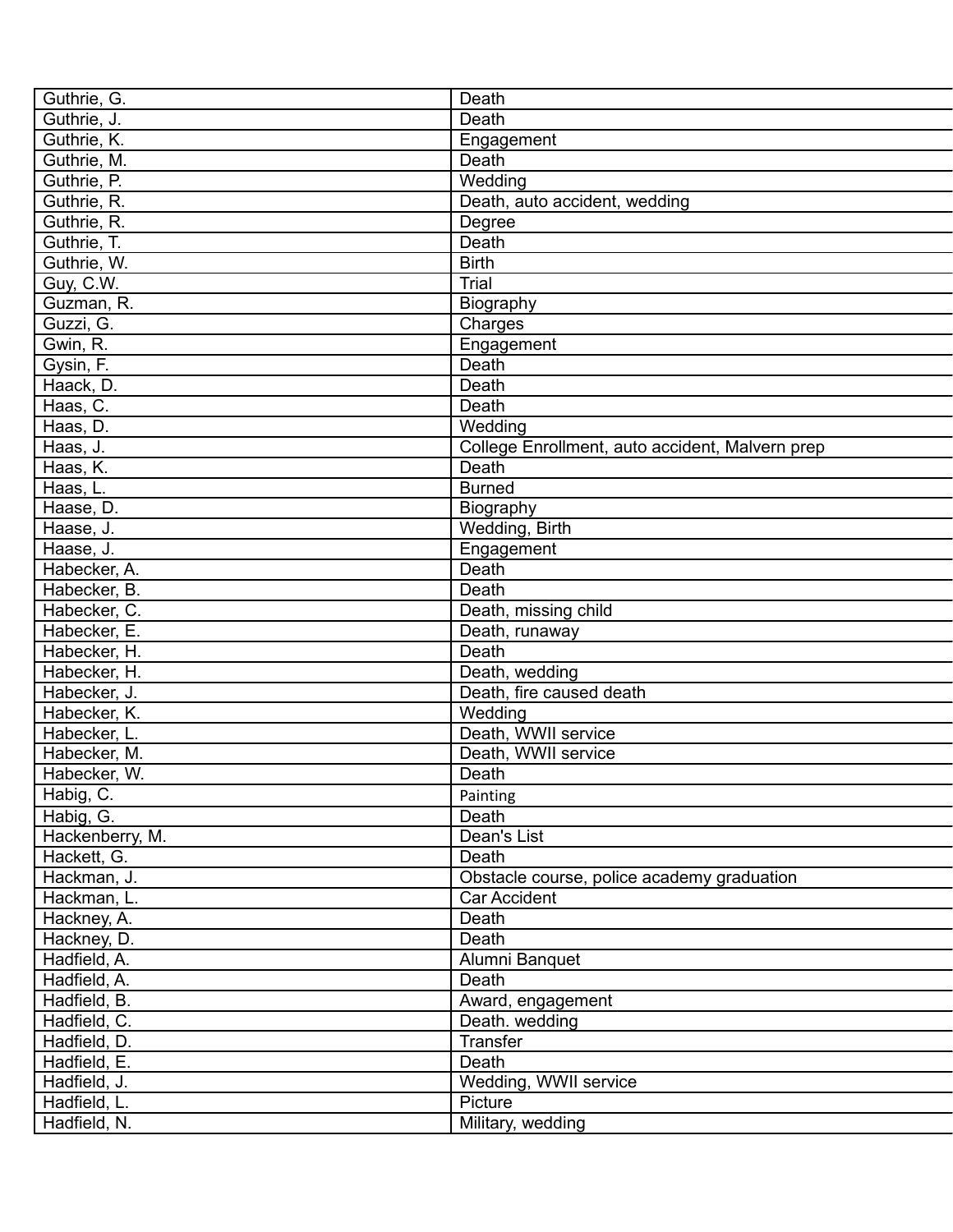| Guthrie, G.     | Death                                           |
|-----------------|-------------------------------------------------|
| Guthrie, J.     | Death                                           |
| Guthrie, K.     | Engagement                                      |
| Guthrie, M.     | Death                                           |
| Guthrie, P.     | Wedding                                         |
| Guthrie, R.     | Death, auto accident, wedding                   |
| Guthrie, R.     | Degree                                          |
| Guthrie, T.     | Death                                           |
| Guthrie, W.     | <b>Birth</b>                                    |
| Guy, C.W.       | <b>Trial</b>                                    |
| Guzman, R.      | Biography                                       |
| Guzzi, G.       | Charges                                         |
| Gwin, R.        | Engagement                                      |
| Gysin, F.       | Death                                           |
| Haack, D.       | Death                                           |
| Haas, C.        | Death                                           |
| Haas, D.        | Wedding                                         |
| Haas, J.        | College Enrollment, auto accident, Malvern prep |
| Haas, K.        | Death                                           |
| Haas, L.        | <b>Burned</b>                                   |
| Haase, D.       | Biography                                       |
| Haase, J.       | Wedding, Birth                                  |
| Haase, J.       | Engagement                                      |
| Habecker, A.    | Death                                           |
| Habecker, B.    | Death                                           |
| Habecker, C.    | Death, missing child                            |
| Habecker, E.    | Death, runaway                                  |
| Habecker, H.    | Death                                           |
| Habecker, H.    | Death, wedding                                  |
| Habecker, J.    | Death, fire caused death                        |
| Habecker, K.    | Wedding                                         |
| Habecker, L.    | Death, WWII service                             |
| Habecker, M.    | Death, WWII service                             |
| Habecker, W.    | Death                                           |
| Habig, C.       | Painting                                        |
| Habig, G.       | Death                                           |
| Hackenberry, M. | Dean's List                                     |
| Hackett, G.     | Death                                           |
| Hackman, J.     | Obstacle course, police academy graduation      |
| Hackman, L.     | Car Accident                                    |
| Hackney, A.     | Death                                           |
| Hackney, D.     | Death                                           |
| Hadfield, A.    | Alumni Banquet                                  |
| Hadfield, A.    | Death                                           |
| Hadfield, B.    | Award, engagement                               |
| Hadfield, C.    | Death. wedding                                  |
| Hadfield, D.    | Transfer                                        |
| Hadfield, E.    | Death                                           |
| Hadfield, J.    | Wedding, WWII service                           |
| Hadfield, L.    | Picture                                         |
| Hadfield, N.    | Military, wedding                               |
|                 |                                                 |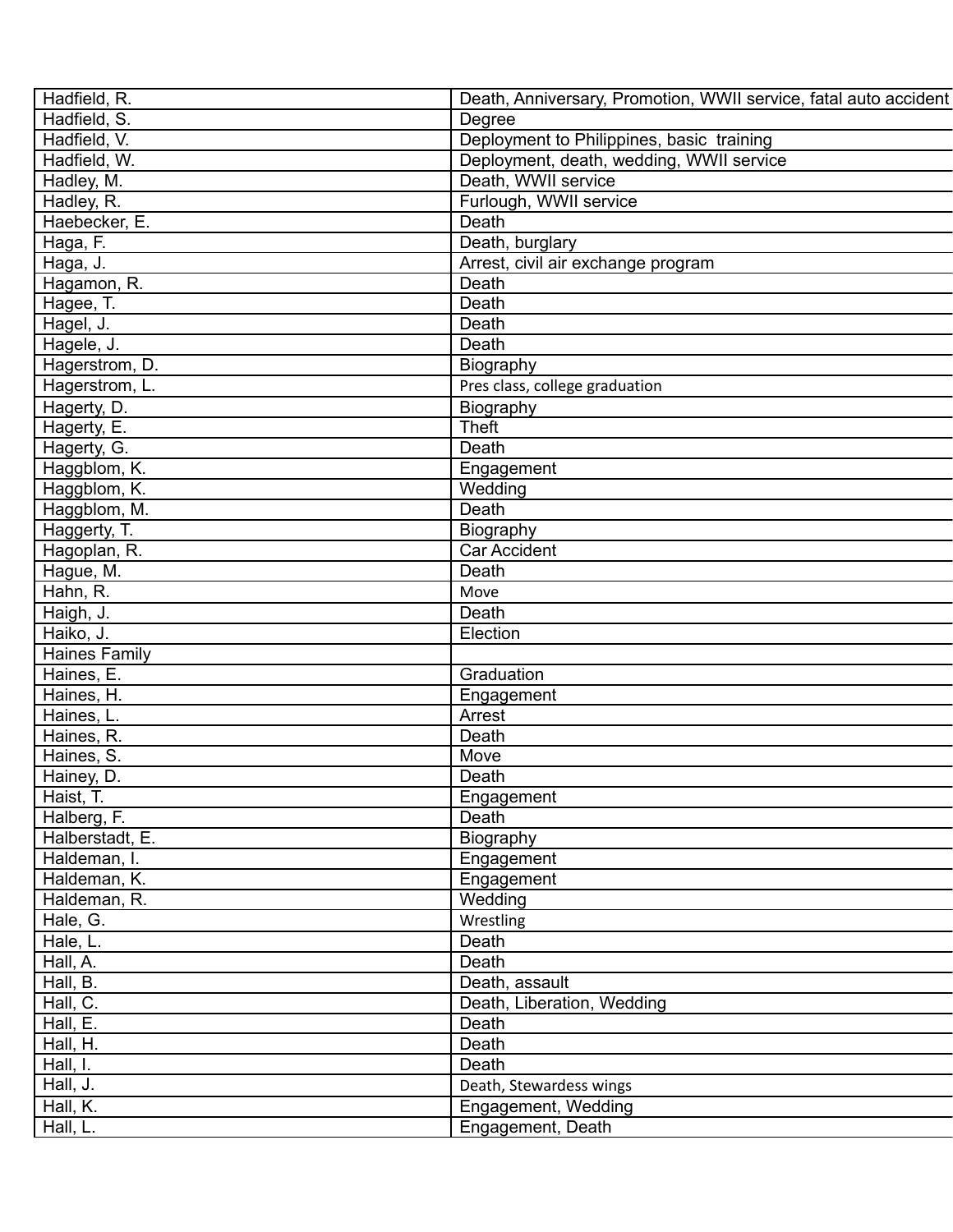| Hadfield, R.         | Death, Anniversary, Promotion, WWII service, fatal auto accident |
|----------------------|------------------------------------------------------------------|
| Hadfield, S.         | Degree                                                           |
| Hadfield, V.         | Deployment to Philippines, basic training                        |
| Hadfield, W.         | Deployment, death, wedding, WWII service                         |
| Hadley, M.           | Death, WWII service                                              |
| Hadley, R.           | Furlough, WWII service                                           |
| Haebecker, E.        | Death                                                            |
| Haga, F.             | Death, burglary                                                  |
| Haga, J.             | Arrest, civil air exchange program                               |
| Hagamon, R.          | Death                                                            |
| Hagee, T.            | Death                                                            |
| Hagel, J.            | Death                                                            |
| Hagele, J.           | Death                                                            |
| Hagerstrom, D.       | Biography                                                        |
| Hagerstrom, L.       | Pres class, college graduation                                   |
| Hagerty, D.          | Biography                                                        |
| Hagerty, E.          | <b>Theft</b>                                                     |
| Hagerty, G.          | Death                                                            |
| Haggblom, K.         | Engagement                                                       |
| Haggblom, K.         | Wedding                                                          |
| Haggblom, M.         | Death                                                            |
| Haggerty, T.         | Biography                                                        |
| Hagoplan, R.         | <b>Car Accident</b>                                              |
| Hague, M.            | Death                                                            |
| Hahn, R.             | Move                                                             |
| Haigh, J.            | Death                                                            |
| Haiko, J.            | Election                                                         |
| <b>Haines Family</b> |                                                                  |
| Haines, E.           | Graduation                                                       |
| Haines, H.           | Engagement                                                       |
| Haines, L.           | Arrest                                                           |
| Haines, R.           | Death                                                            |
| Haines, S.           | Move                                                             |
| Hainey, D.           | Death                                                            |
| Haist, T.            | Engagement                                                       |
| Halberg, F.          | Death                                                            |
| Halberstadt, E.      | Biography                                                        |
| Haldeman, I.         | Engagement                                                       |
| Haldeman, K.         | Engagement                                                       |
| Haldeman, R.         | Wedding                                                          |
| Hale, G.             | Wrestling                                                        |
| Hale, L.             | Death                                                            |
| Hall, A.             | Death                                                            |
| Hall, B.             | Death, assault                                                   |
| Hall, C.             | Death, Liberation, Wedding                                       |
| Hall, E.             | Death                                                            |
| Hall, H.             | Death                                                            |
| Hall, I.             | Death                                                            |
| Hall, J.             | Death, Stewardess wings                                          |
| Hall, K.             | Engagement, Wedding                                              |
| Hall, L.             | Engagement, Death                                                |
|                      |                                                                  |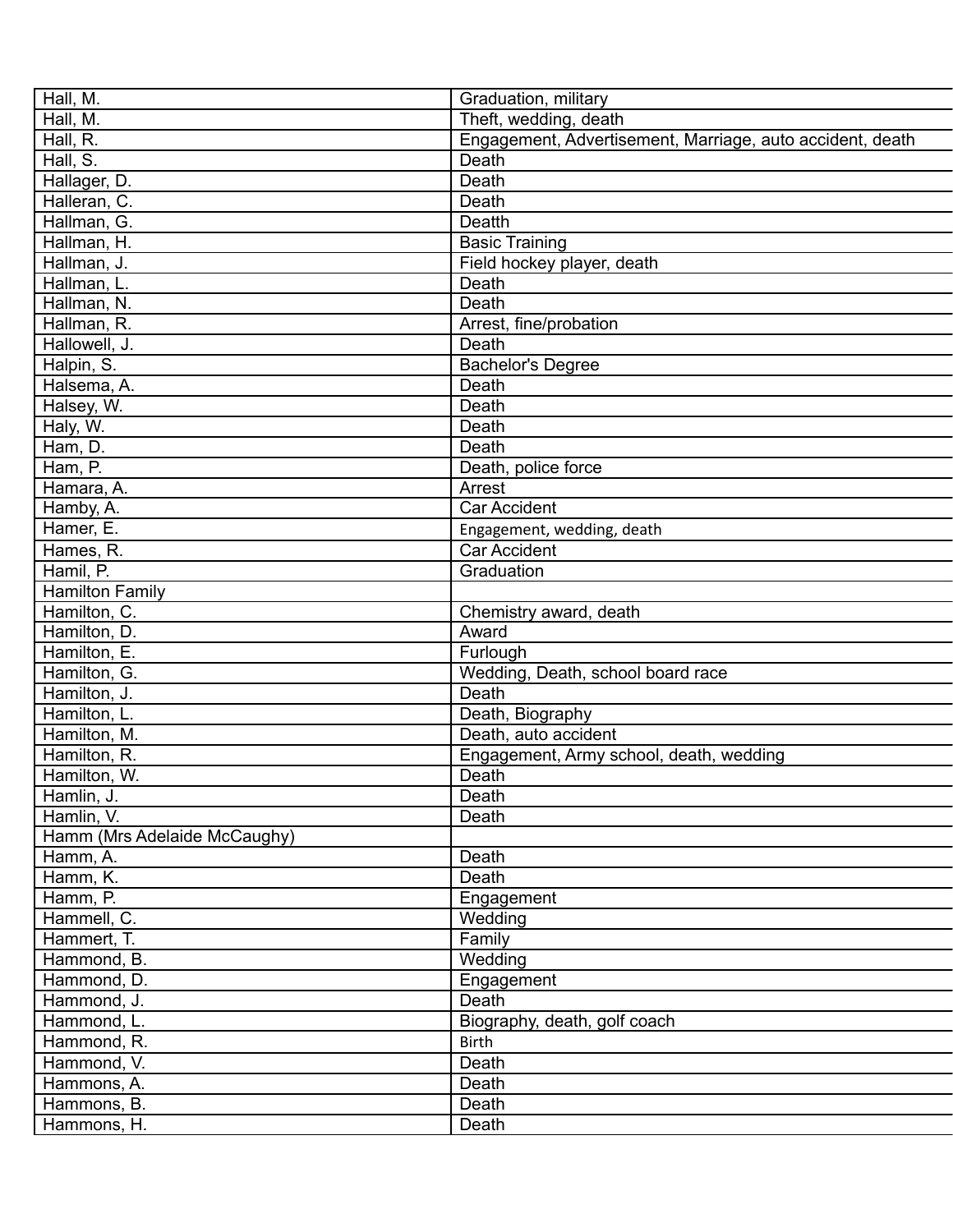| Hall, M.                     | Graduation, military                                      |
|------------------------------|-----------------------------------------------------------|
| Hall, M.                     | Theft, wedding, death                                     |
| Hall, R.                     | Engagement, Advertisement, Marriage, auto accident, death |
| Hall, S.                     | Death                                                     |
| Hallager, D.                 | Death                                                     |
| Halleran, C.                 | Death                                                     |
| Hallman, G.                  | Deatth                                                    |
| Hallman, H.                  | <b>Basic Training</b>                                     |
| Hallman, J.                  | Field hockey player, death                                |
| Hallman, L.                  | Death                                                     |
| Hallman, N.                  | Death                                                     |
| Hallman, R.                  | Arrest, fine/probation                                    |
| Hallowell, J.                | Death                                                     |
| Halpin, S.                   | <b>Bachelor's Degree</b>                                  |
| Halsema, A.                  | Death                                                     |
| Halsey, W.                   | Death                                                     |
| Haly, W.                     | Death                                                     |
| Ham, D.                      | Death                                                     |
| Ham, $P.$                    | Death, police force                                       |
| Hamara, A.                   | Arrest                                                    |
| Hamby, A.                    | <b>Car Accident</b>                                       |
| Hamer, E.                    | Engagement, wedding, death                                |
| Hames, R.                    | <b>Car Accident</b>                                       |
| Hamil, P.                    | Graduation                                                |
| <b>Hamilton Family</b>       |                                                           |
| Hamilton, C.                 | Chemistry award, death                                    |
| Hamilton, D.                 | Award                                                     |
| Hamilton, E.                 | Furlough                                                  |
| Hamilton, G.                 | Wedding, Death, school board race                         |
| Hamilton, J.                 | Death                                                     |
| Hamilton, L.                 | Death, Biography                                          |
| Hamilton, M.                 | Death, auto accident                                      |
| Hamilton, R.                 | Engagement, Army school, death, wedding                   |
| Hamilton, W.                 | Death                                                     |
| Hamlin, J.                   | Death                                                     |
| Hamlin, V.                   | Death                                                     |
| Hamm (Mrs Adelaide McCaughy) |                                                           |
| Hamm, A.                     | Death                                                     |
| Hamm, K.                     | Death                                                     |
| Hamm, P.                     | Engagement                                                |
| Hammell, C.                  | Wedding                                                   |
| Hammert, T.                  | Family                                                    |
| Hammond, B.                  | Wedding                                                   |
| Hammond, D.                  | Engagement                                                |
| Hammond, J.                  | Death                                                     |
| Hammond, L.                  | Biography, death, golf coach                              |
| Hammond, R.                  | <b>Birth</b>                                              |
| Hammond, V.                  | Death                                                     |
| Hammons, A.                  | Death                                                     |
| Hammons, B.                  | Death                                                     |
|                              |                                                           |
| Hammons, H.                  | Death                                                     |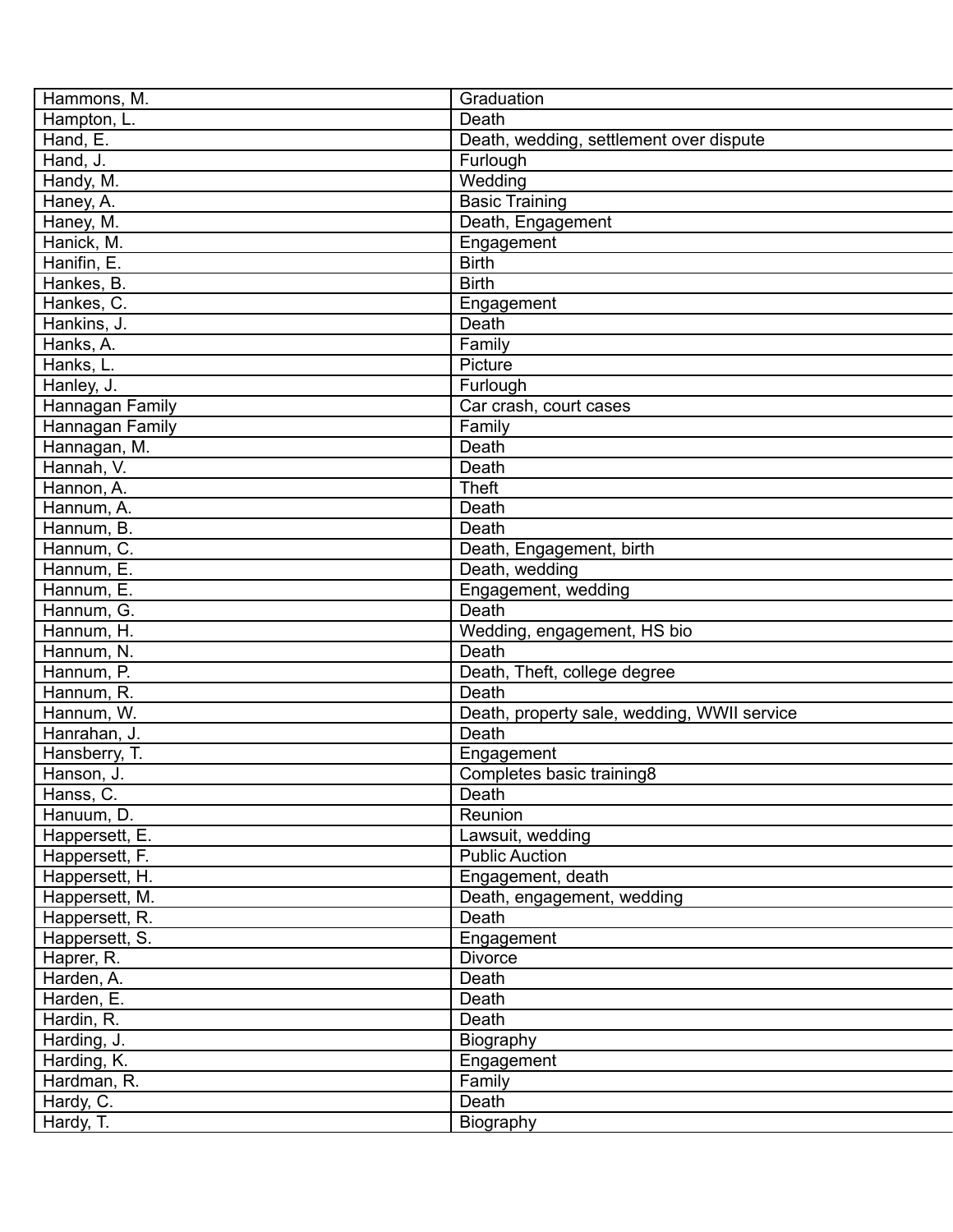| Hammons, M.                | Graduation                                  |
|----------------------------|---------------------------------------------|
| Hampton, L.                | Death                                       |
| Hand, E.                   | Death, wedding, settlement over dispute     |
| Hand, J.                   | Furlough                                    |
| Handy, M.                  | Wedding                                     |
| Haney, A.                  | <b>Basic Training</b>                       |
| Haney, M.                  | Death, Engagement                           |
| Hanick, M.                 | Engagement                                  |
| Hanifin, E.                | <b>Birth</b>                                |
| Hankes, B.                 | <b>Birth</b>                                |
| Hankes, C.                 | Engagement                                  |
| Hankins, J.                | Death                                       |
| Hanks, A.                  | Family                                      |
| Hanks, L.                  | Picture                                     |
| Hanley, J.                 | Furlough                                    |
| Hannagan Family            | Car crash, court cases                      |
| Hannagan Family            | Family                                      |
|                            | Death                                       |
| Hannagan, M.<br>Hannah, V. | Death                                       |
|                            |                                             |
| Hannon, A.                 | <b>Theft</b>                                |
| Hannum, A.                 | Death                                       |
| Hannum, B.                 | Death                                       |
| Hannum, C.                 | Death, Engagement, birth                    |
| Hannum, E.                 | Death, wedding                              |
| Hannum, E.                 | Engagement, wedding                         |
| Hannum, G.                 | Death                                       |
| Hannum, H.                 | Wedding, engagement, HS bio                 |
| Hannum, N.                 | Death                                       |
| Hannum, P.                 | Death, Theft, college degree                |
| Hannum, R.                 | Death                                       |
| Hannum, W.                 | Death, property sale, wedding, WWII service |
| Hanrahan, J.               | Death                                       |
| Hansberry, T.              | Engagement                                  |
| Hanson, J.                 | Completes basic training8                   |
| Hanss, C.                  | Death                                       |
| Hanuum, D.                 | Reunion                                     |
| Happersett, E.             | Lawsuit, wedding                            |
| Happersett, F.             | <b>Public Auction</b>                       |
| Happersett, H.             | Engagement, death                           |
| Happersett, M.             | Death, engagement, wedding                  |
| Happersett, R.             | Death                                       |
| Happersett, S.             | Engagement                                  |
| Haprer, R.                 | <b>Divorce</b>                              |
| Harden, A.                 | Death                                       |
| Harden, E.                 | Death                                       |
| Hardin, R.                 | Death                                       |
| Harding, J.                | Biography                                   |
| Harding, K.                | Engagement                                  |
| Hardman, R.                | Family                                      |
| Hardy, C.                  | Death                                       |
| Hardy, T.                  | Biography                                   |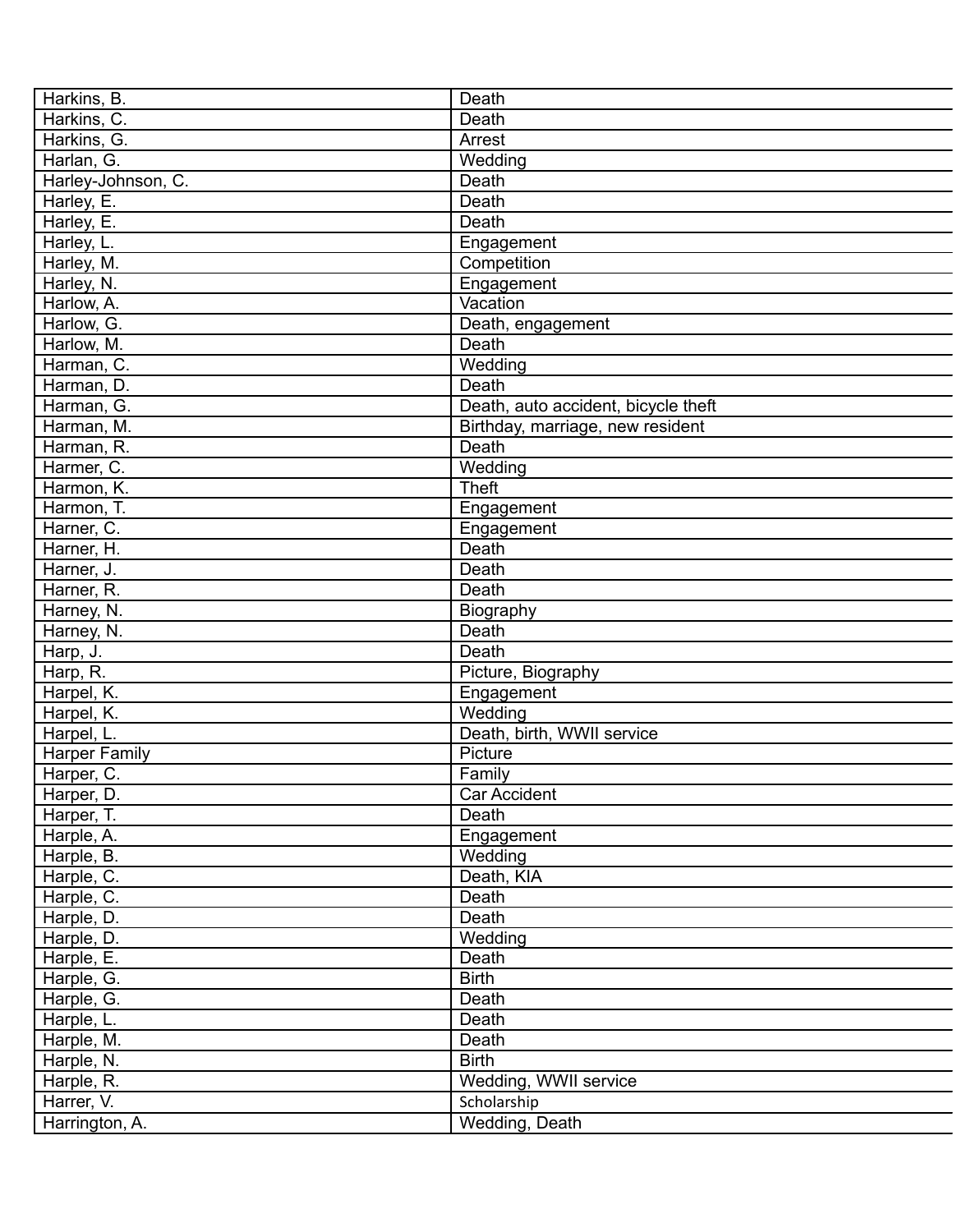| Harkins, B.          | Death                               |
|----------------------|-------------------------------------|
| Harkins, C.          | Death                               |
| Harkins, G.          | Arrest                              |
| Harlan, G.           | Wedding                             |
| Harley-Johnson, C.   | Death                               |
| Harley, E.           | Death                               |
| Harley, E.           | Death                               |
| Harley, L.           | Engagement                          |
| Harley, M.           | Competition                         |
| Harley, N.           | Engagement                          |
| Harlow, A.           | Vacation                            |
| Harlow, G.           | Death, engagement                   |
| Harlow, M.           | Death                               |
| Harman, C.           | Wedding                             |
| Harman, D.           | Death                               |
| Harman, G.           | Death, auto accident, bicycle theft |
| Harman, M.           | Birthday, marriage, new resident    |
| Harman, R.           | Death                               |
| Harmer, C.           | Wedding                             |
| Harmon, K.           | Theft                               |
| Harmon, T.           | Engagement                          |
| Harner, C.           | Engagement                          |
| Harner, H.           | Death                               |
| Harner, J.           | Death                               |
| Harner, R.           | Death                               |
| Harney, N.           | Biography                           |
| Harney, N.           | Death                               |
| Harp, J.             | Death                               |
| Harp, R.             | Picture, Biography                  |
| Harpel, K.           | Engagement                          |
| Harpel, K.           | Wedding                             |
| Harpel, L.           | Death, birth, WWII service          |
| <b>Harper Family</b> | Picture                             |
| Harper, C.           | Family                              |
| Harper, D.           | Car Accident                        |
| Harper, T.           | Death                               |
| Harple, A.           | Engagement                          |
| Harple, B.           | Wedding                             |
| Harple, C.           | Death, KIA                          |
| Harple, C.           | Death                               |
| Harple, D.           | Death                               |
| Harple, D.           | Wedding                             |
| Harple, E.           | Death                               |
| Harple, G.           | <b>Birth</b>                        |
| Harple, G.           | Death                               |
| Harple, L.           | Death                               |
| Harple, M.           | Death                               |
| Harple, N.           | <b>Birth</b>                        |
| Harple, R.           | Wedding, WWII service               |
| Harrer, V.           |                                     |
|                      | Scholarship                         |
| Harrington, A.       | Wedding, Death                      |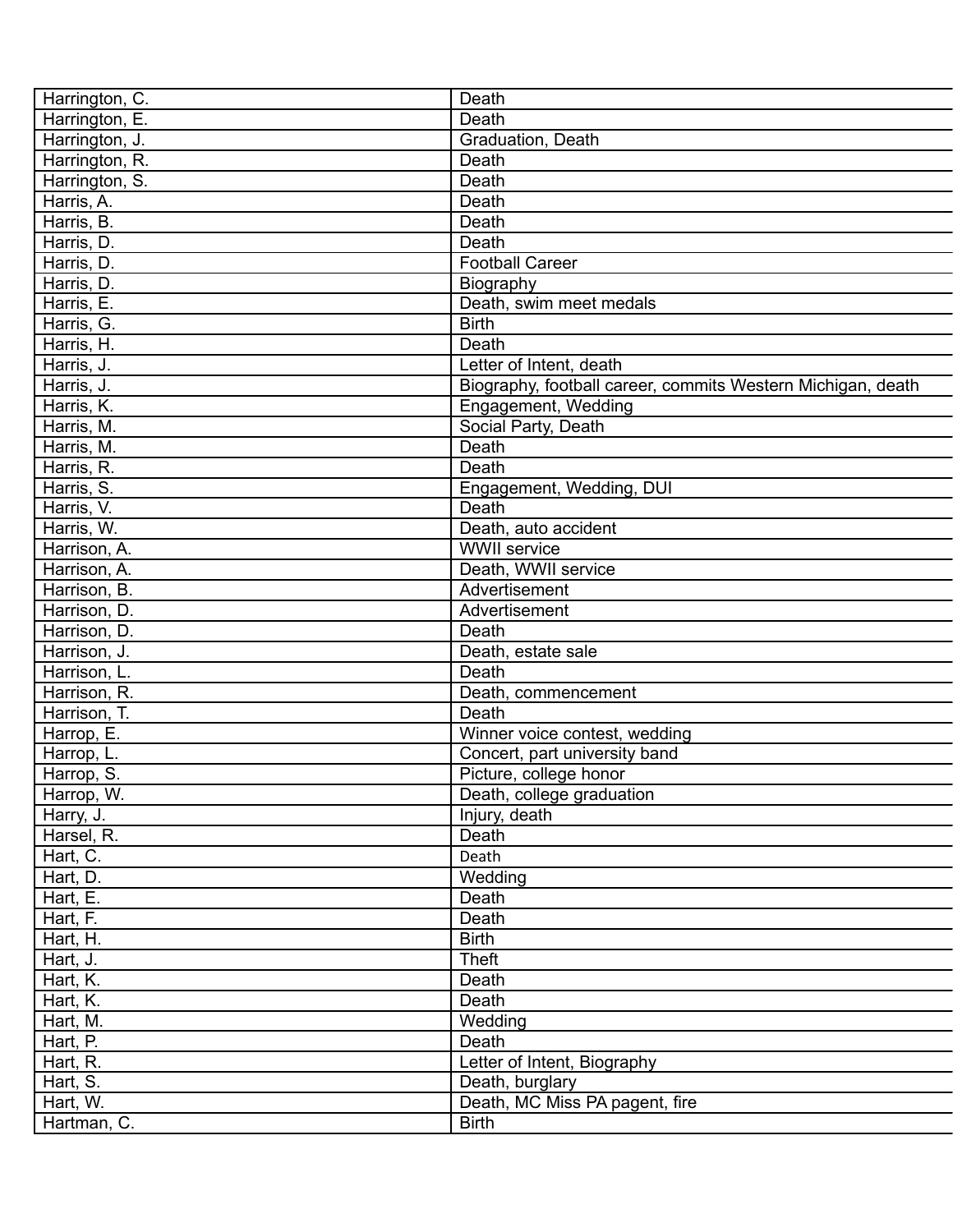| Harrington, C. | Death                                                       |
|----------------|-------------------------------------------------------------|
| Harrington, E. | Death                                                       |
| Harrington, J. | Graduation, Death                                           |
| Harrington, R. | Death                                                       |
| Harrington, S. | Death                                                       |
| Harris, A.     | Death                                                       |
| Harris, B.     | Death                                                       |
| Harris, D.     | Death                                                       |
| Harris, D.     | <b>Football Career</b>                                      |
| Harris, D.     | Biography                                                   |
| Harris, E.     | Death, swim meet medals                                     |
| Harris, G.     | <b>Birth</b>                                                |
| Harris, H.     | Death                                                       |
| Harris, J.     | Letter of Intent, death                                     |
| Harris, J.     | Biography, football career, commits Western Michigan, death |
| Harris, K.     | Engagement, Wedding                                         |
| Harris, M.     | Social Party, Death                                         |
| Harris, M.     | Death                                                       |
| Harris, R.     | Death                                                       |
| Harris, S.     | Engagement, Wedding, DUI                                    |
| Harris, V.     | Death                                                       |
| Harris, W.     | Death, auto accident                                        |
| Harrison, A.   | <b>WWII</b> service                                         |
| Harrison, A.   | Death, WWII service                                         |
| Harrison, B.   | Advertisement                                               |
| Harrison, D.   | Advertisement                                               |
| Harrison, D.   | Death                                                       |
| Harrison, J.   | Death, estate sale                                          |
| Harrison, L.   | Death                                                       |
| Harrison, R.   | Death, commencement                                         |
| Harrison, T.   | Death                                                       |
| Harrop, E.     | Winner voice contest, wedding                               |
| Harrop, L.     | Concert, part university band                               |
| Harrop, S.     | Picture, college honor                                      |
| Harrop, W.     | Death, college graduation                                   |
| Harry, J.      | Injury, death                                               |
| Harsel, R.     | Death                                                       |
| Hart, C.       | Death                                                       |
| Hart, D.       | Wedding                                                     |
| Hart, E.       | Death                                                       |
|                | Death                                                       |
| Hart, F.       |                                                             |
| Hart, H.       | <b>Birth</b>                                                |
| Hart, J.       | <b>Theft</b>                                                |
| Hart, K.       | Death                                                       |
| Hart, K.       | Death                                                       |
| Hart, M.       | Wedding                                                     |
| Hart, P.       | Death                                                       |
| Hart, R.       | Letter of Intent, Biography                                 |
| Hart, S.       | Death, burglary                                             |
| Hart, W.       | Death, MC Miss PA pagent, fire                              |
| Hartman, C.    | <b>Birth</b>                                                |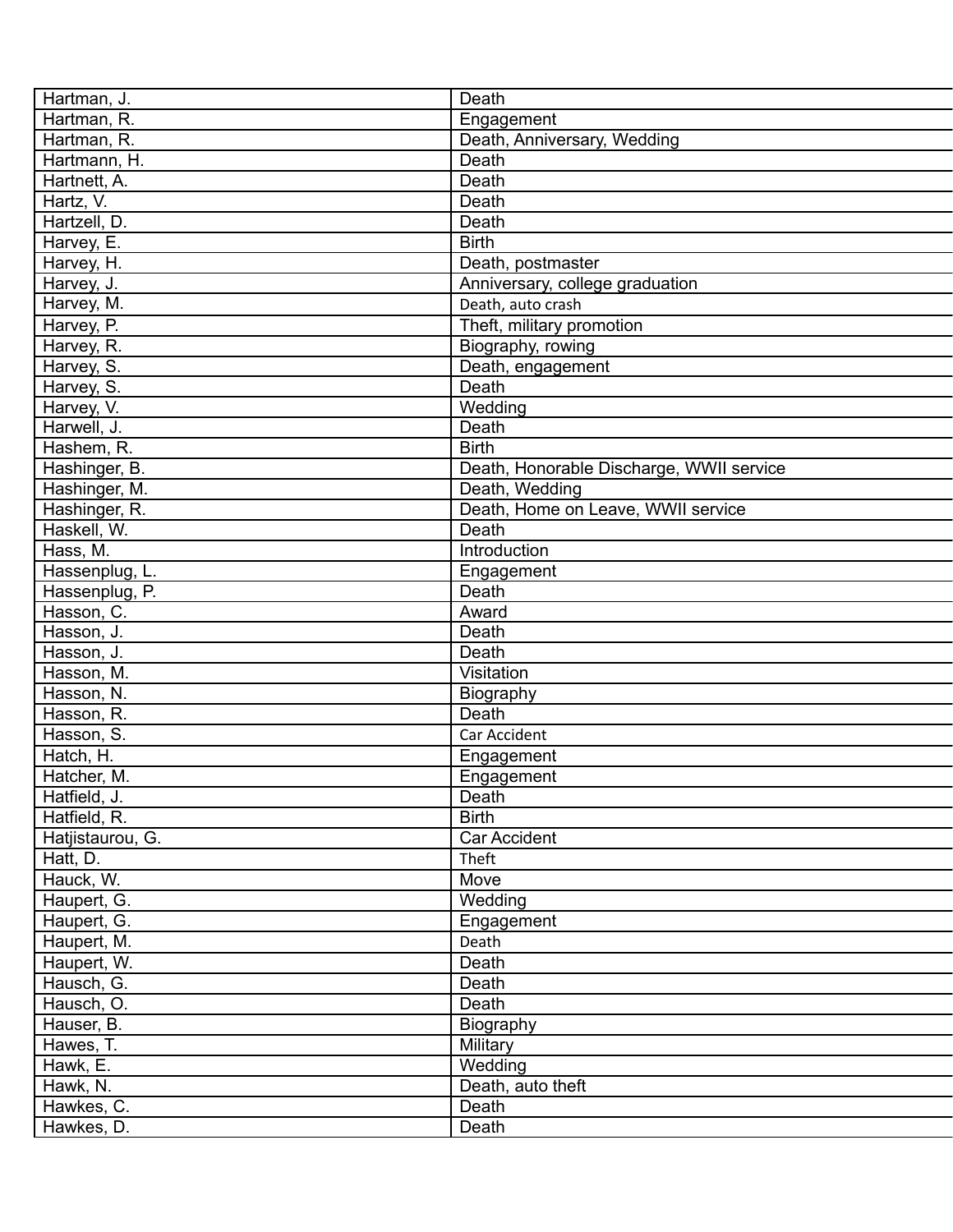| Hartman, J.      | Death                                    |
|------------------|------------------------------------------|
| Hartman, R.      | Engagement                               |
| Hartman, R.      | Death, Anniversary, Wedding              |
| Hartmann, H.     | Death                                    |
| Hartnett, A.     | Death                                    |
| Hartz, V.        | Death                                    |
| Hartzell, D.     | Death                                    |
| Harvey, E.       | <b>Birth</b>                             |
| Harvey, H.       | Death, postmaster                        |
| Harvey, J.       | Anniversary, college graduation          |
| Harvey, M.       | Death, auto crash                        |
| Harvey, P.       | Theft, military promotion                |
| Harvey, R.       | Biography, rowing                        |
| Harvey, S.       | Death, engagement                        |
| Harvey, S.       | Death                                    |
| Harvey, V.       | Wedding                                  |
| Harwell, J.      | Death                                    |
| Hashem, R.       | <b>Birth</b>                             |
| Hashinger, B.    | Death, Honorable Discharge, WWII service |
| Hashinger, M.    | Death, Wedding                           |
| Hashinger, R.    | Death, Home on Leave, WWII service       |
| Haskell, W.      | Death                                    |
| Hass, M.         | Introduction                             |
| Hassenplug, L.   | Engagement                               |
| Hassenplug, P.   | Death                                    |
| Hasson, C.       | Award                                    |
| Hasson, J.       | Death                                    |
| Hasson, J.       | Death                                    |
| Hasson, M.       | Visitation                               |
| Hasson, N.       | Biography                                |
| Hasson, R.       | Death                                    |
| Hasson, S.       | Car Accident                             |
| Hatch, H.        |                                          |
|                  | Engagement                               |
| Hatcher, M.      | Engagement                               |
| Hatfield, J.     | Death                                    |
| Hatfield, R.     | <b>Birth</b>                             |
| Hatjistaurou, G. | Car Accident                             |
| Hatt, D.         | Theft                                    |
| Hauck, W.        | Move                                     |
| Haupert, G.      | Wedding                                  |
| Haupert, G.      | Engagement                               |
| Haupert, M.      | Death                                    |
| Haupert, W.      | Death                                    |
| Hausch, G.       | Death                                    |
| Hausch, O.       | Death                                    |
| Hauser, B.       | Biography                                |
| Hawes, T.        | Military                                 |
| Hawk, E.         | Wedding                                  |
| Hawk, N.         | Death, auto theft                        |
| Hawkes, C.       | Death                                    |
| Hawkes, D.       | Death                                    |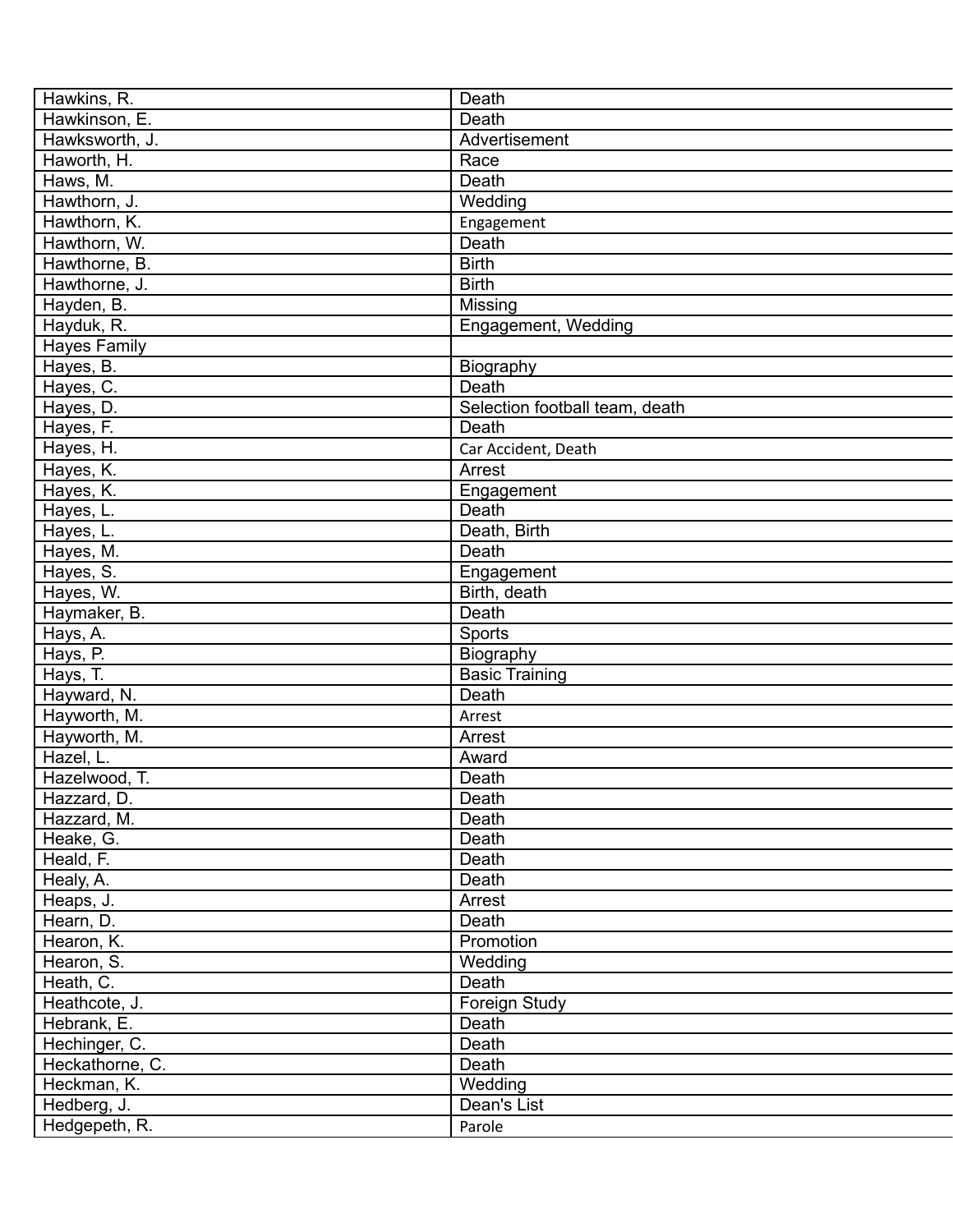| Hawkins, R.                 | Death                              |
|-----------------------------|------------------------------------|
| Hawkinson, E.               | Death                              |
| Hawksworth, J.              | Advertisement                      |
| Haworth, H.                 | Race                               |
| Haws, M.                    | Death                              |
| Hawthorn, J.                | Wedding                            |
| Hawthorn, K.                | Engagement                         |
| Hawthorn, W.                | Death                              |
| Hawthorne, B.               | <b>Birth</b>                       |
| Hawthorne, J.               | <b>Birth</b>                       |
| Hayden, B.                  | Missing                            |
| Hayduk, R.                  | Engagement, Wedding                |
| <b>Hayes Family</b>         |                                    |
| Hayes, B.                   | Biography                          |
| Hayes, C.                   | Death                              |
| Hayes, D.                   | Selection football team, death     |
| Hayes, F.                   | Death                              |
| Hayes, H.                   | Car Accident, Death                |
| Hayes, K.                   | Arrest                             |
| Hayes, K.                   | Engagement                         |
| Hayes, L.                   | Death                              |
| Hayes, L.                   | Death, Birth                       |
| Hayes, M.                   | Death                              |
| Hayes, S.                   | Engagement                         |
| Hayes, W.                   | Birth, death                       |
| Haymaker, B.                | Death                              |
|                             | Sports                             |
| Hays, A.                    |                                    |
| Hays, P.                    | Biography<br><b>Basic Training</b> |
| Hays, T.                    | Death                              |
| Hayward, N.<br>Hayworth, M. |                                    |
|                             | Arrest                             |
| Hayworth, M.                | Arrest                             |
| Hazel, L.                   | Award                              |
| Hazelwood, T.               | Death                              |
| Hazzard, D.                 | Death                              |
| Hazzard, M.                 | Death                              |
| Heake, G.                   | Death                              |
| Heald, F.                   | Death                              |
| Healy, A.                   | Death                              |
| Heaps, J.                   | Arrest                             |
| Hearn, D.                   | Death                              |
| Hearon, K.                  | Promotion                          |
| Hearon, S.                  | Wedding                            |
| Heath, C.                   | Death                              |
| Heathcote, J.               | Foreign Study                      |
| Hebrank, E.                 | Death                              |
| Hechinger, C.               | Death                              |
| Heckathorne, C.             | Death                              |
| Heckman, K.                 | Wedding                            |
| Hedberg, J.                 | Dean's List                        |
| Hedgepeth, R.               | Parole                             |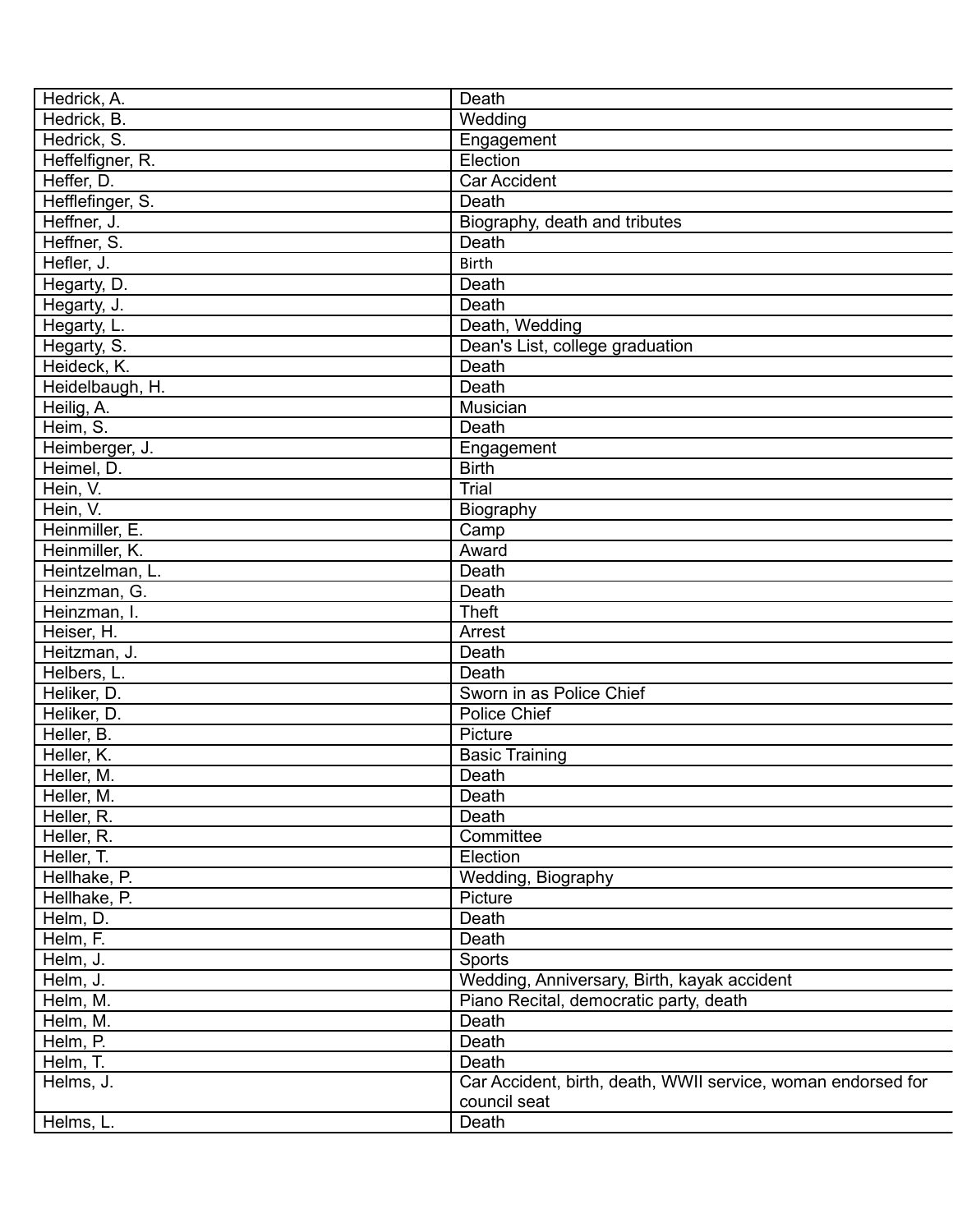| Hedrick, A.      | Death                                                        |
|------------------|--------------------------------------------------------------|
| Hedrick, B.      | Wedding                                                      |
| Hedrick, S.      | Engagement                                                   |
| Heffelfigner, R. | Election                                                     |
| Heffer, D.       | <b>Car Accident</b>                                          |
| Hefflefinger, S. | Death                                                        |
| Heffner, J.      | Biography, death and tributes                                |
| Heffner, S.      | Death                                                        |
| Hefler, J.       | <b>Birth</b>                                                 |
| Hegarty, D.      | Death                                                        |
| Hegarty, J.      | Death                                                        |
| Hegarty, L.      | Death, Wedding                                               |
| Hegarty, S.      | Dean's List, college graduation                              |
| Heideck, K.      | Death                                                        |
| Heidelbaugh, H.  | Death                                                        |
| Heilig, A.       | Musician                                                     |
| Heim, S.         | Death                                                        |
| Heimberger, J.   | Engagement                                                   |
| Heimel, D.       | <b>Birth</b>                                                 |
|                  | Trial                                                        |
| Hein, V.         |                                                              |
| Hein, V.         | Biography                                                    |
| Heinmiller, E.   | Camp                                                         |
| Heinmiller, K.   | Award                                                        |
| Heintzelman, L.  | Death                                                        |
| Heinzman, G.     | Death                                                        |
| Heinzman, I.     | <b>Theft</b>                                                 |
| Heiser, H.       | Arrest                                                       |
| Heitzman, J.     | Death                                                        |
| Helbers, L.      | Death                                                        |
| Heliker, D.      | Sworn in as Police Chief                                     |
| Heliker, D.      | Police Chief                                                 |
| Heller, B.       | Picture                                                      |
| Heller, K.       | <b>Basic Training</b>                                        |
| Heller, M.       | Death                                                        |
| Heller, M.       | Death                                                        |
| Heller, R.       | Death                                                        |
| Heller, R.       | Committee                                                    |
| Heller, T.       | Election                                                     |
| Hellhake, P.     | Wedding, Biography                                           |
| Hellhake, P.     | Picture                                                      |
| Helm, D.         | Death                                                        |
| Helm, F.         | Death                                                        |
| Helm, J.         | Sports                                                       |
| Helm, J.         | Wedding, Anniversary, Birth, kayak accident                  |
| Helm, M.         | Piano Recital, democratic party, death                       |
| Helm, M.         | Death                                                        |
| Helm, P.         | Death                                                        |
| Helm, T.         | Death                                                        |
| Helms, J.        | Car Accident, birth, death, WWII service, woman endorsed for |
|                  | council seat                                                 |
| Helms, L.        | Death                                                        |
|                  |                                                              |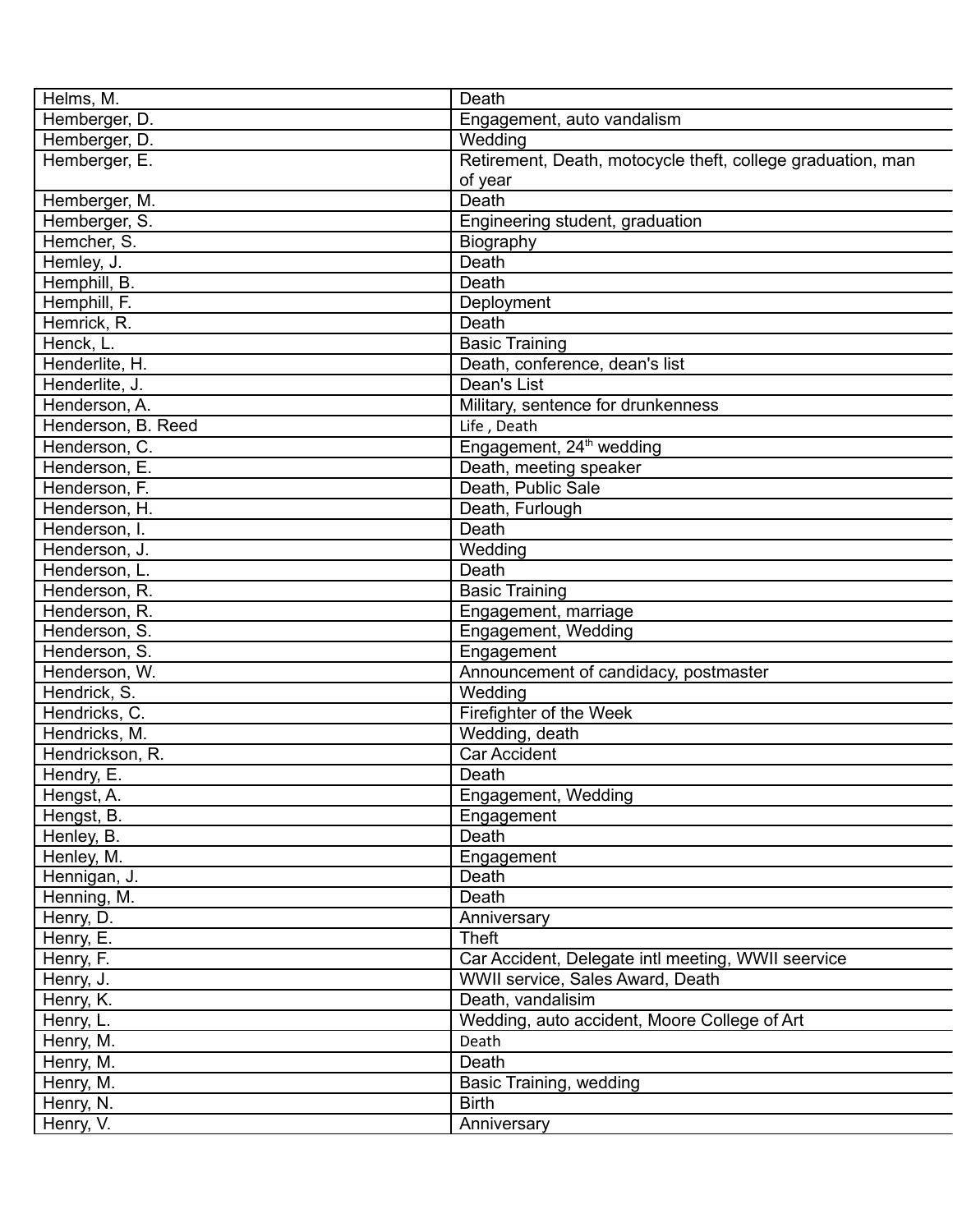| Helms, M.          | Death                                                       |
|--------------------|-------------------------------------------------------------|
| Hemberger, D.      | Engagement, auto vandalism                                  |
| Hemberger, D.      | Wedding                                                     |
| Hemberger, E.      | Retirement, Death, motocycle theft, college graduation, man |
|                    | of year                                                     |
| Hemberger, M.      | Death                                                       |
| Hemberger, S.      | Engineering student, graduation                             |
| Hemcher, S.        | Biography                                                   |
| Hemley, J.         | Death                                                       |
| Hemphill, B.       | Death                                                       |
| Hemphill, F.       | Deployment                                                  |
| Hemrick, R.        | Death                                                       |
| Henck, L.          | <b>Basic Training</b>                                       |
| Henderlite, H.     | Death, conference, dean's list                              |
| Henderlite, J.     | Dean's List                                                 |
| Henderson, A.      | Military, sentence for drunkenness                          |
| Henderson, B. Reed | Life, Death                                                 |
| Henderson, C.      | Engagement, 24 <sup>th</sup> wedding                        |
| Henderson, E.      | Death, meeting speaker                                      |
| Henderson, F.      | Death, Public Sale                                          |
| Henderson, H.      | Death, Furlough                                             |
| Henderson, I.      | Death                                                       |
| Henderson, J.      | Wedding                                                     |
| Henderson, L.      | Death                                                       |
| Henderson, R.      | <b>Basic Training</b>                                       |
| Henderson, R.      |                                                             |
| Henderson, S.      | Engagement, marriage                                        |
|                    | Engagement, Wedding                                         |
| Henderson, S.      | Engagement                                                  |
| Henderson, W.      | Announcement of candidacy, postmaster                       |
| Hendrick, S.       | Wedding                                                     |
| Hendricks, C.      | Firefighter of the Week                                     |
| Hendricks, M.      | Wedding, death                                              |
| Hendrickson, R.    | <b>Car Accident</b>                                         |
| Hendry, E.         | Death                                                       |
| Hengst, A.         | Engagement, Wedding                                         |
| Hengst, B.         | Engagement                                                  |
| Henley, B.         | Death                                                       |
| Henley, M.         | Engagement                                                  |
| Hennigan, J.       | Death                                                       |
| Henning, M.        | Death                                                       |
| Henry, D.          | Anniversary                                                 |
| Henry, E.          | <b>Theft</b>                                                |
| Henry, F.          | Car Accident, Delegate intl meeting, WWII seervice          |
| Henry, J.          | WWII service, Sales Award, Death                            |
| Henry, K.          | Death, vandalisim                                           |
| Henry, L.          | Wedding, auto accident, Moore College of Art                |
| Henry, M.          | Death                                                       |
| Henry, M.          | Death                                                       |
| Henry, M.          | Basic Training, wedding                                     |
| Henry, N.          | <b>Birth</b>                                                |
| Henry, V.          | Anniversary                                                 |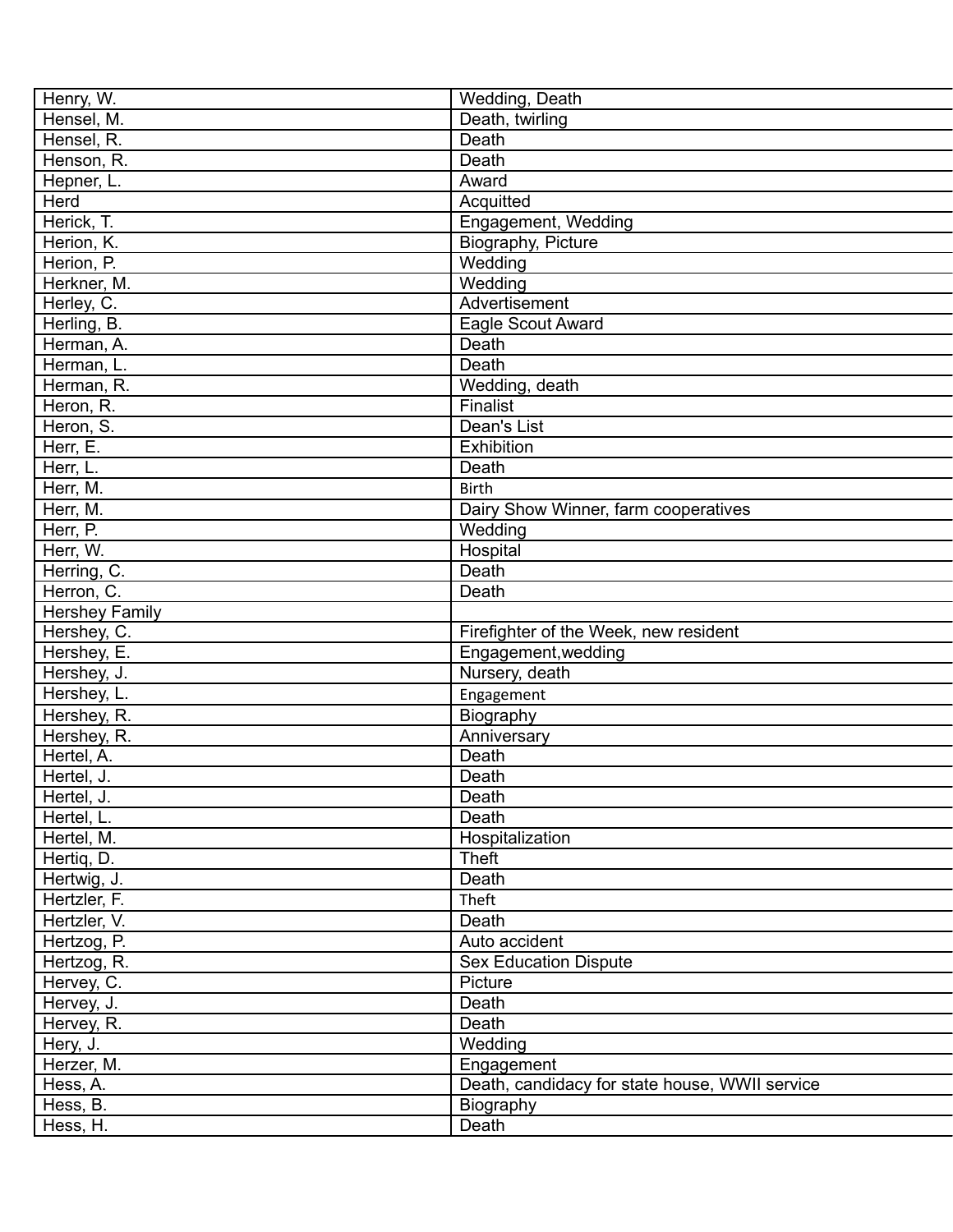| Henry, W.             | Wedding, Death                                 |
|-----------------------|------------------------------------------------|
| Hensel, M.            | Death, twirling                                |
| Hensel, R.            | Death                                          |
| Henson, R.            | Death                                          |
| Hepner, L.            | Award                                          |
| Herd                  | Acquitted                                      |
| Herick, T.            | Engagement, Wedding                            |
| Herion, K.            | Biography, Picture                             |
| Herion, P.            | Wedding                                        |
| Herkner, M.           | Wedding                                        |
| Herley, C.            | Advertisement                                  |
| Herling, B.           | Eagle Scout Award                              |
| Herman, A.            | Death                                          |
| Herman, L.            | Death                                          |
| Herman, R.            | Wedding, death                                 |
| Heron, R.             | Finalist                                       |
| Heron, S.             | Dean's List                                    |
| Herr, E.              | Exhibition                                     |
| Herr, L.              | Death                                          |
| Herr, M.              | <b>Birth</b>                                   |
| Herr, M.              | Dairy Show Winner, farm cooperatives           |
| Herr, P.              | Wedding                                        |
| Herr, W.              | Hospital                                       |
| Herring, C.           | Death                                          |
| Herron, C.            | Death                                          |
| <b>Hershey Family</b> |                                                |
| Hershey, C.           | Firefighter of the Week, new resident          |
| Hershey, E.           |                                                |
|                       | Engagement, wedding<br>Nursery, death          |
| Hershey, J.           |                                                |
| Hershey, L.           | Engagement                                     |
| Hershey, R.           | Biography                                      |
| Hershey, R.           | Anniversary                                    |
| Hertel, A.            | Death                                          |
| Hertel, J.            | Death                                          |
| Hertel, J.            | Death                                          |
| Hertel, L.            | Death                                          |
| Hertel, M.            | Hospitalization                                |
| Hertiq, D.            | <b>Theft</b>                                   |
| Hertwig, J.           | Death                                          |
| Hertzler, F.          | Theft                                          |
| Hertzler, V.          | Death                                          |
| Hertzog, P.           | Auto accident                                  |
| Hertzog, R.           | <b>Sex Education Dispute</b>                   |
| Hervey, C.            | Picture                                        |
| Hervey, J.            | Death                                          |
| Hervey, R.            | Death                                          |
| Hery, J.              | Wedding                                        |
| Herzer, M.            | Engagement                                     |
| Hess, A.              | Death, candidacy for state house, WWII service |
| Hess, B.              | Biography                                      |
| Hess, H.              | Death                                          |
|                       |                                                |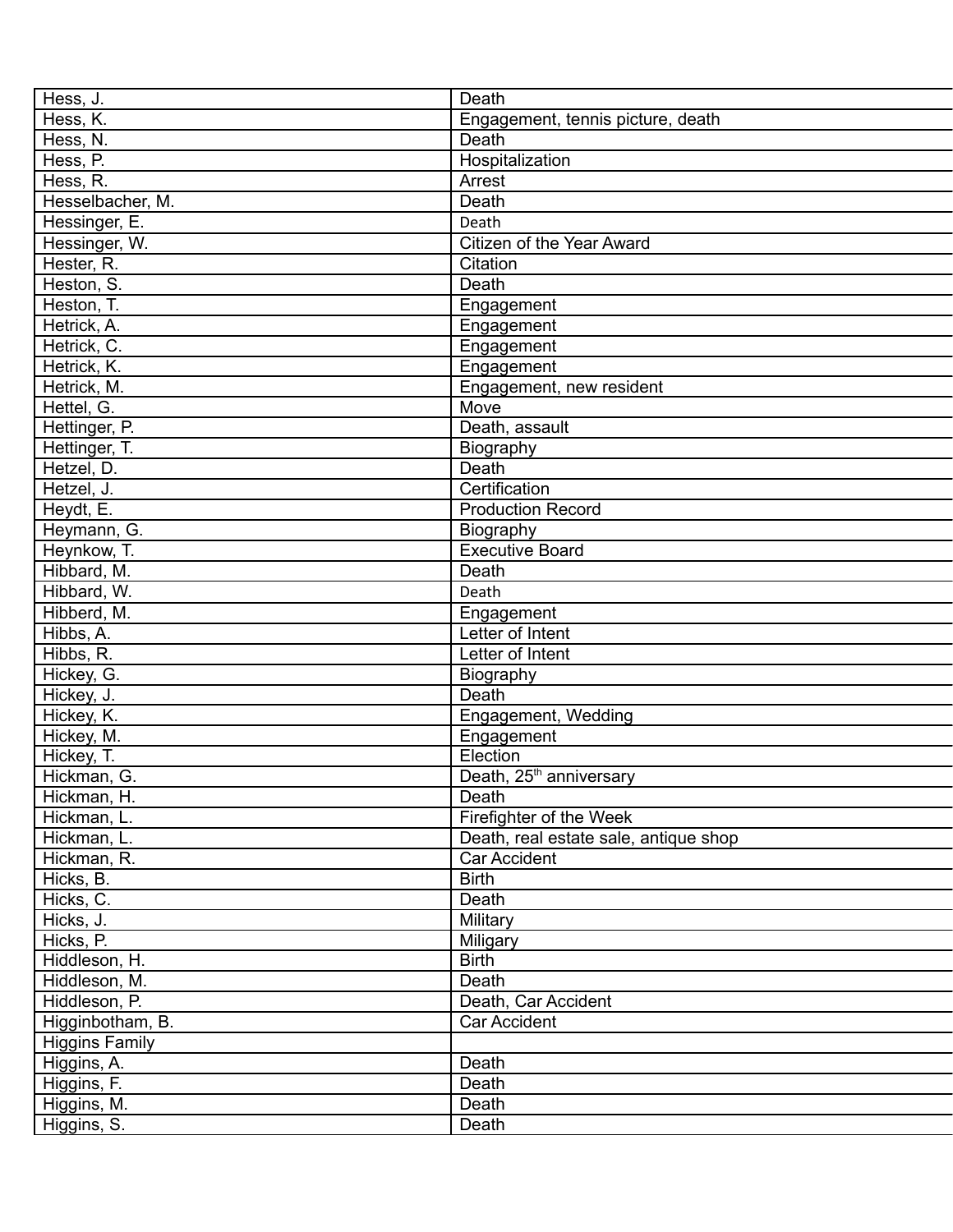| Hess, J.              | Death                                 |
|-----------------------|---------------------------------------|
| Hess, K.              | Engagement, tennis picture, death     |
| Hess, N.              | Death                                 |
| Hess, P.              | Hospitalization                       |
| Hess, R.              | Arrest                                |
| Hesselbacher, M.      | Death                                 |
| Hessinger, E.         | Death                                 |
| Hessinger, W.         | Citizen of the Year Award             |
| Hester, R.            | Citation                              |
| Heston, S.            | Death                                 |
| Heston, T.            | Engagement                            |
| Hetrick, A.           | Engagement                            |
| Hetrick, C.           | Engagement                            |
| Hetrick, K.           | Engagement                            |
| Hetrick, M.           | Engagement, new resident              |
| Hettel, G.            | Move                                  |
| Hettinger, P.         | Death, assault                        |
| Hettinger, T.         | Biography                             |
| Hetzel, D.            | Death                                 |
| Hetzel, J.            | Certification                         |
| Heydt, E.             | <b>Production Record</b>              |
| Heymann, G.           | Biography                             |
| Heynkow, T.           | <b>Executive Board</b>                |
| Hibbard, M.           | Death                                 |
| Hibbard, W.           | Death                                 |
| Hibberd, M.           |                                       |
|                       | Engagement<br>Letter of Intent        |
| Hibbs, A.             |                                       |
| Hibbs, R.             | Letter of Intent                      |
| Hickey, G.            | Biography                             |
| Hickey, J.            | Death                                 |
| Hickey, K.            | Engagement, Wedding                   |
| Hickey, M.            | Engagement                            |
| Hickey, T.            | Election                              |
| Hickman, G.           | Death, 25 <sup>th</sup> anniversary   |
| Hickman, H.           | Death                                 |
| Hickman, L.           | Firefighter of the Week               |
| Hickman, L.           | Death, real estate sale, antique shop |
| Hickman, R.           | <b>Car Accident</b>                   |
| Hicks, B.             | <b>Birth</b>                          |
| Hicks, C.             | Death                                 |
| Hicks, J.             | Military                              |
| Hicks, P.             | Miligary                              |
| Hiddleson, H.         | <b>Birth</b>                          |
| Hiddleson, M.         | Death                                 |
| Hiddleson, P.         | Death, Car Accident                   |
| Higginbotham, B.      | <b>Car Accident</b>                   |
| <b>Higgins Family</b> |                                       |
| Higgins, A.           | Death                                 |
| Higgins, F.           | Death                                 |
| Higgins, M.           | Death                                 |
| Higgins, S.           | Death                                 |
|                       |                                       |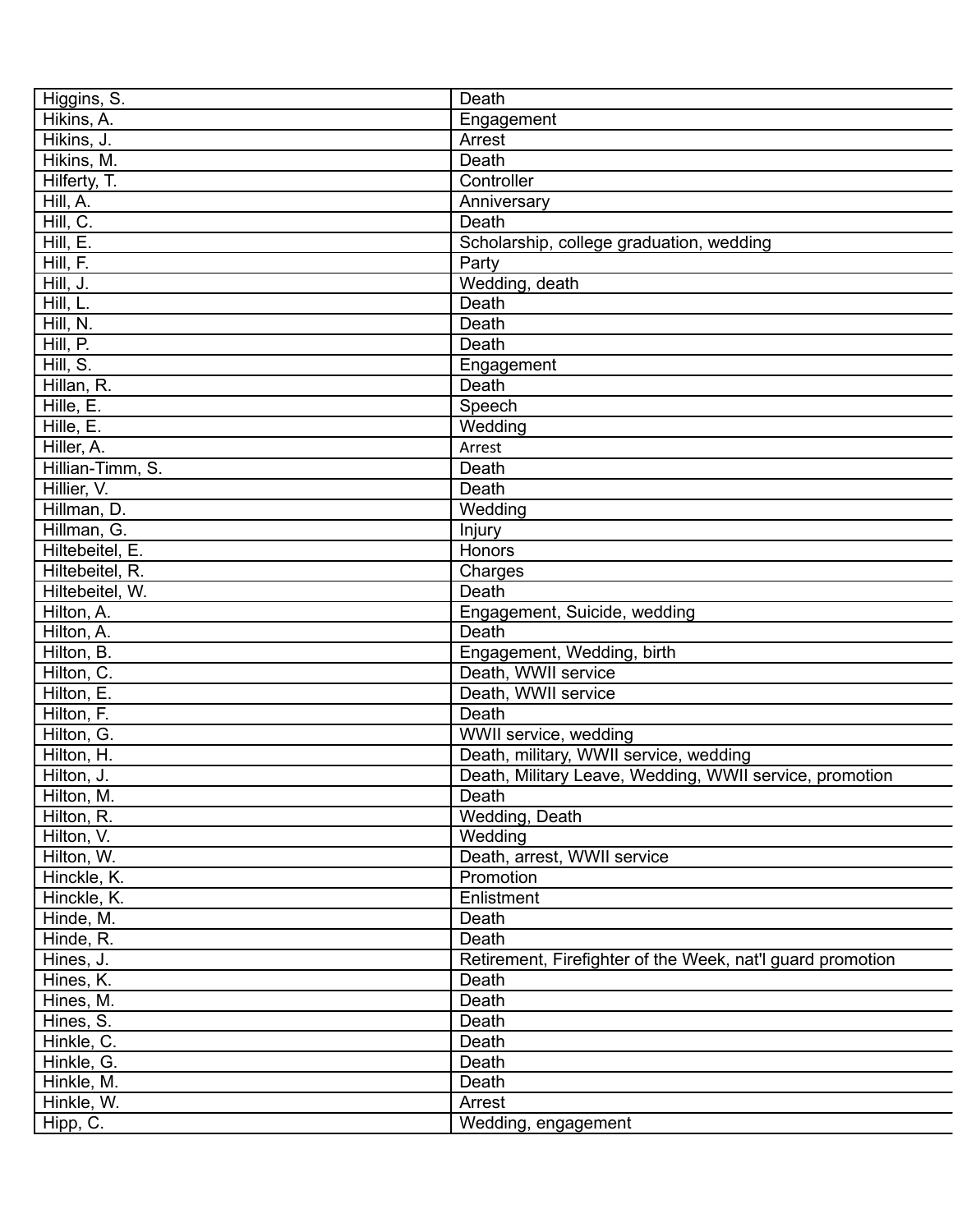| Higgins, S.      | Death                                                      |
|------------------|------------------------------------------------------------|
| Hikins, A.       | Engagement                                                 |
| Hikins, J.       | Arrest                                                     |
| Hikins, M.       | Death                                                      |
| Hilferty, T.     | Controller                                                 |
| Hill, A.         | Anniversary                                                |
| Hill, C.         | Death                                                      |
| Hill, E.         | Scholarship, college graduation, wedding                   |
| Hill, F.         | Party                                                      |
| Hill, J.         | Wedding, death                                             |
| Hill, L.         | Death                                                      |
| Hill, N.         | Death                                                      |
| Hill, P.         | Death                                                      |
| Hill, S.         | Engagement                                                 |
| Hillan, R.       | Death                                                      |
| Hille, E.        | Speech                                                     |
| Hille, E.        | Wedding                                                    |
| Hiller, A.       | Arrest                                                     |
| Hillian-Timm, S. | Death                                                      |
| Hillier, V.      | Death                                                      |
| Hillman, D.      | Wedding                                                    |
|                  |                                                            |
| Hillman, G.      | Injury                                                     |
| Hiltebeitel, E.  | Honors                                                     |
| Hiltebeitel, R.  | Charges                                                    |
| Hiltebeitel, W.  | Death                                                      |
| Hilton, A.       | Engagement, Suicide, wedding                               |
| Hilton, A.       | Death                                                      |
| Hilton, B.       | Engagement, Wedding, birth                                 |
| Hilton, C.       | Death, WWII service                                        |
| Hilton, E.       | Death, WWII service                                        |
| Hilton, F.       | Death                                                      |
| Hilton, G.       | WWII service, wedding                                      |
| Hilton, H.       | Death, military, WWII service, wedding                     |
| Hilton, J.       | Death, Military Leave, Wedding, WWII service, promotion    |
| Hilton, M.       | Death                                                      |
| Hilton, R.       | Wedding, Death                                             |
| Hilton, V.       | Wedding                                                    |
| Hilton, W.       | Death, arrest, WWII service                                |
| Hinckle, K.      | Promotion                                                  |
| Hinckle, K.      | Enlistment                                                 |
| Hinde, M.        | Death                                                      |
| Hinde, R.        | Death                                                      |
| Hines, J.        | Retirement, Firefighter of the Week, nat'l guard promotion |
| Hines, K.        | Death                                                      |
| Hines, M.        | Death                                                      |
| Hines, S.        | Death                                                      |
| Hinkle, C.       | Death                                                      |
| Hinkle, G.       | Death                                                      |
| Hinkle, M.       | Death                                                      |
| Hinkle, W.       | Arrest                                                     |
| Hipp, C.         | Wedding, engagement                                        |
|                  |                                                            |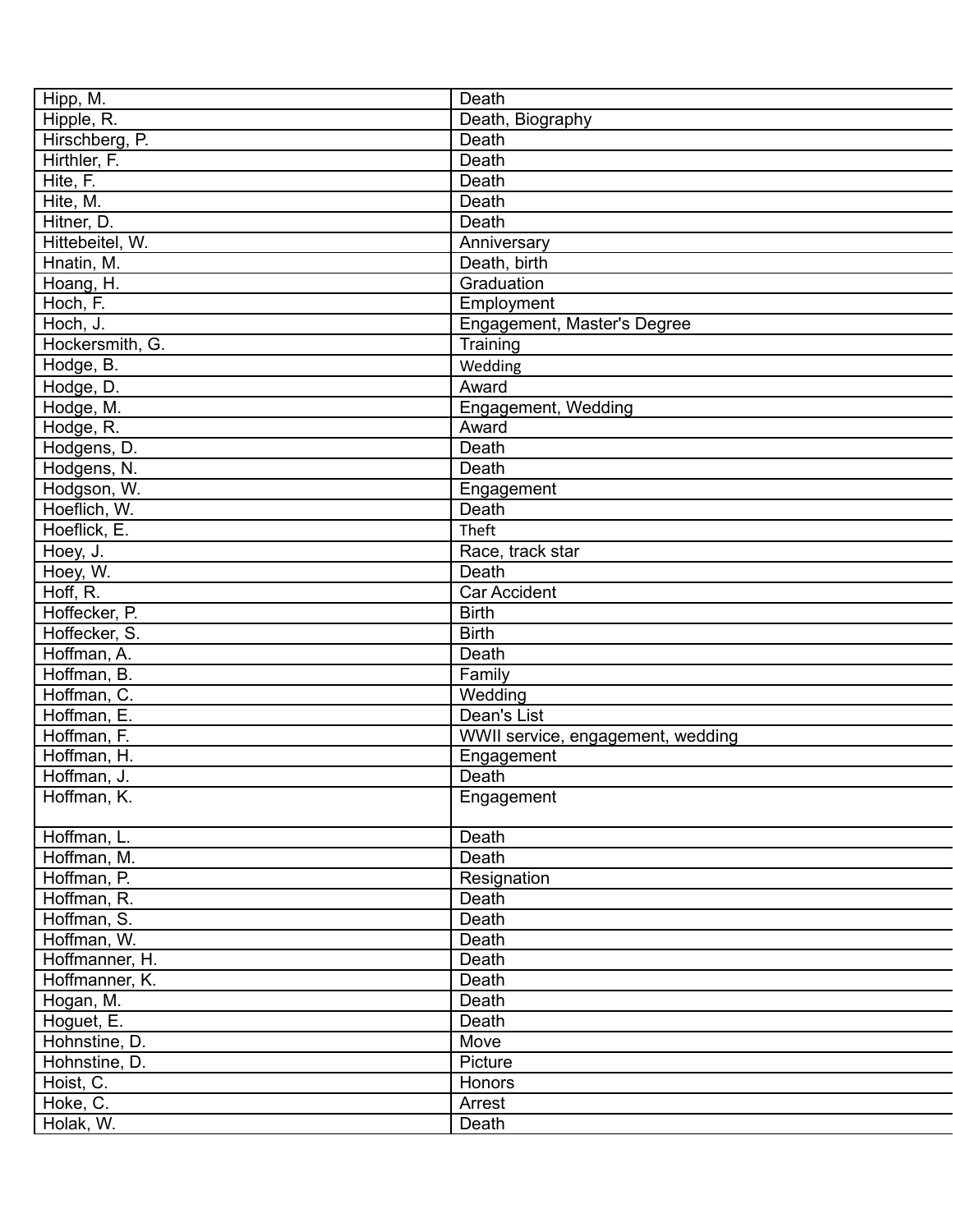| Hipp, M.        | Death                             |
|-----------------|-----------------------------------|
| Hipple, R.      | Death, Biography                  |
| Hirschberg, P.  | Death                             |
| Hirthler, F.    | Death                             |
| Hite, F.        | Death                             |
| Hite, M.        | Death                             |
| Hitner, D.      | Death                             |
| Hittebeitel, W. | Anniversary                       |
| Hnatin, M.      | Death, birth                      |
| Hoang, H.       | Graduation                        |
| Hoch, F.        | Employment                        |
| Hoch, J.        | Engagement, Master's Degree       |
| Hockersmith, G. | Training                          |
| Hodge, B.       | Wedding                           |
| Hodge, D.       | Award                             |
| Hodge, M.       | Engagement, Wedding               |
| Hodge, R.       | Award                             |
| Hodgens, D.     | Death                             |
| Hodgens, N.     | Death                             |
| Hodgson, W.     | Engagement                        |
| Hoeflich, W.    | Death                             |
| Hoeflick, E.    | Theft                             |
|                 |                                   |
| Hoey, J.        | Race, track star                  |
| Hoey, W.        | Death                             |
| Hoff, R.        | <b>Car Accident</b>               |
| Hoffecker, P.   | <b>Birth</b>                      |
| Hoffecker, S.   | <b>Birth</b>                      |
| Hoffman, A.     | Death                             |
| Hoffman, B.     | Family                            |
| Hoffman, C.     | Wedding                           |
| Hoffman, E.     | Dean's List                       |
| Hoffman, F.     | WWII service, engagement, wedding |
| Hoffman, H.     | Engagement                        |
| Hoffman, J.     | Death                             |
| Hoffman, K.     | Engagement                        |
| Hoffman, L.     | Death                             |
| Hoffman, M.     | Death                             |
| Hoffman, P.     | Resignation                       |
| Hoffman, R.     | Death                             |
| Hoffman, S.     | Death                             |
| Hoffman, W.     | Death                             |
| Hoffmanner, H.  | Death                             |
| Hoffmanner, K.  | Death                             |
| Hogan, M.       | Death                             |
| Hoguet, E.      | Death                             |
| Hohnstine, D.   | Move                              |
| Hohnstine, D.   | Picture                           |
| Hoist, C.       | Honors                            |
| Hoke, C.        | Arrest                            |
| Holak, W.       | Death                             |
|                 |                                   |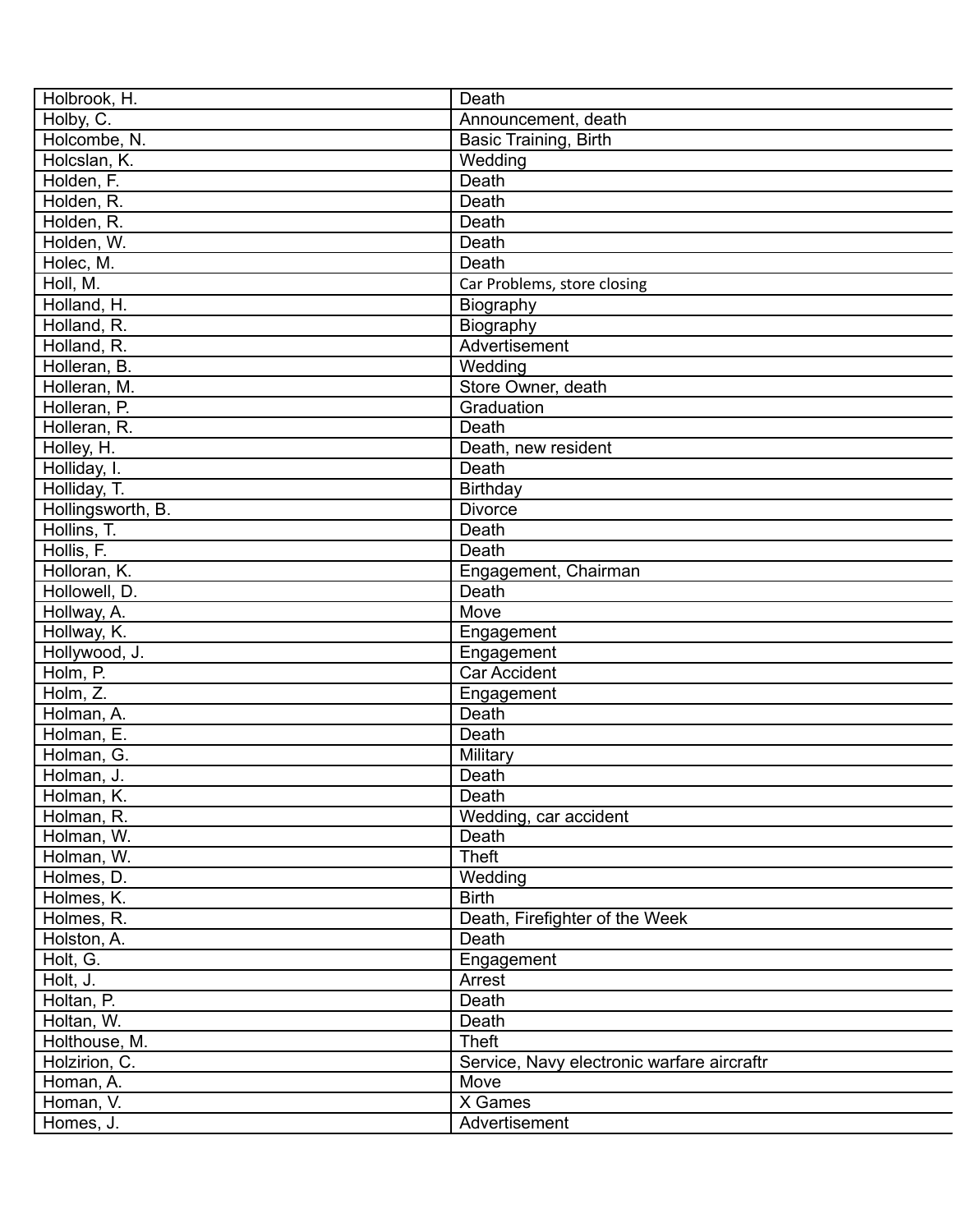| Holbrook, H.             | Death                                      |
|--------------------------|--------------------------------------------|
| Holby, C.                | Announcement, death                        |
| Holcombe, N.             | Basic Training, Birth                      |
| Holcslan, K.             | Wedding                                    |
| Holden, F.               | Death                                      |
| Holden, R.               | Death                                      |
| Holden, R.               | Death                                      |
| Holden, W.               | Death                                      |
| Holec, M.                | Death                                      |
| Holl, M.                 | Car Problems, store closing                |
| Holland, H.              | Biography                                  |
| Holland, R.              | Biography                                  |
| Holland, R.              | Advertisement                              |
| Holleran, B.             | Wedding                                    |
| Holleran, M.             | Store Owner, death                         |
| Holleran, P.             | Graduation                                 |
| Holleran, R.             | <b>Death</b>                               |
| Holley, H.               | Death, new resident                        |
| Holliday, I.             | Death                                      |
| Holliday, T.             | Birthday                                   |
| Hollingsworth, B.        | <b>Divorce</b>                             |
| Hollins, T.              | Death                                      |
| Hollis, F.               | Death                                      |
| Holloran, K.             | Engagement, Chairman                       |
| Hollowell, D.            | Death                                      |
| Hollway, A.              | Move                                       |
| Hollway, K.              | Engagement                                 |
| Hollywood, J.            | Engagement                                 |
| Holm, P.                 | Car Accident                               |
| Holm, Z.                 | Engagement                                 |
| Holman, A.               | Death                                      |
| Holman, E.               | Death                                      |
| Holman, G.               | Military                                   |
| Holman, J.               | Death                                      |
| Holman, K.               | Death                                      |
| Holman, R.               | Wedding, car accident                      |
| Holman, W.               | Death                                      |
| Holman, W.               | Theft                                      |
|                          | Wedding                                    |
| Holmes, D.<br>Holmes, K. | <b>Birth</b>                               |
| Holmes, R.               | Death, Firefighter of the Week             |
| Holston, A.              | Death                                      |
| Holt, G.                 |                                            |
|                          | Engagement                                 |
| Holt, J.                 | Arrest                                     |
| Holtan, P.               | Death                                      |
| Holtan, W.               | Death                                      |
| Holthouse, M.            | <b>Theft</b>                               |
| Holzirion, C.            | Service, Navy electronic warfare aircraftr |
| Homan, A.                | Move                                       |
| Homan, V.                | X Games                                    |
| Homes, J.                | Advertisement                              |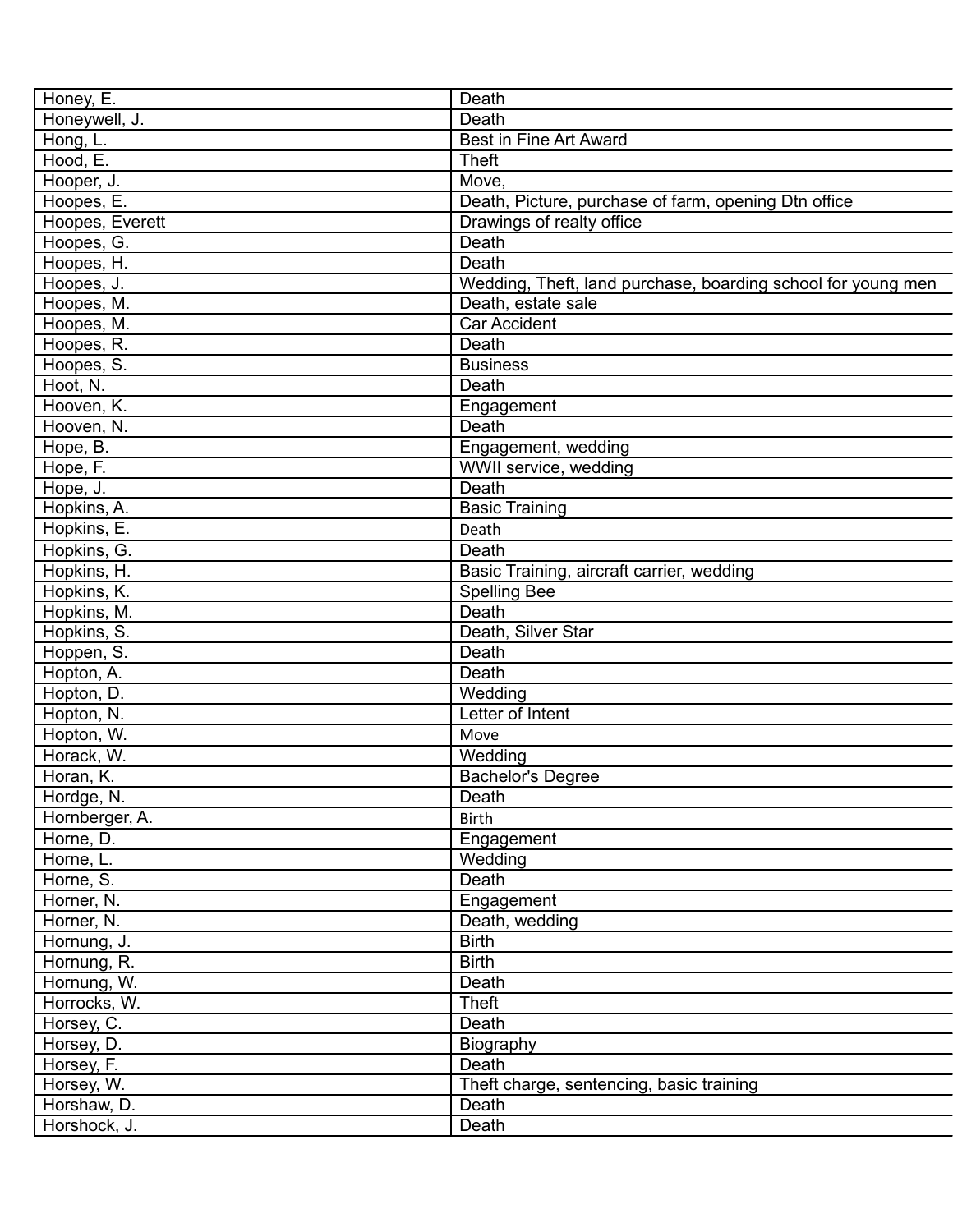| Honey, E.       | Death                                                        |
|-----------------|--------------------------------------------------------------|
| Honeywell, J.   | Death                                                        |
| Hong, L.        | <b>Best in Fine Art Award</b>                                |
| Hood, E.        | <b>Theft</b>                                                 |
| Hooper, J.      | Move.                                                        |
| Hoopes, E.      | Death, Picture, purchase of farm, opening Dtn office         |
| Hoopes, Everett | Drawings of realty office                                    |
| Hoopes, G.      | Death                                                        |
| Hoopes, H.      | Death                                                        |
| Hoopes, J.      | Wedding, Theft, land purchase, boarding school for young men |
| Hoopes, M.      | Death, estate sale                                           |
| Hoopes, M.      | Car Accident                                                 |
| Hoopes, R.      | Death                                                        |
| Hoopes, S.      | <b>Business</b>                                              |
| Hoot, N.        | Death                                                        |
| Hooven, K.      | Engagement                                                   |
| Hooven, N.      | Death                                                        |
| Hope, B.        | Engagement, wedding                                          |
| Hope, F.        | WWII service, wedding                                        |
| Hope, J.        | Death                                                        |
| Hopkins, A.     | <b>Basic Training</b>                                        |
| Hopkins, E.     | Death                                                        |
| Hopkins, G.     | Death                                                        |
| Hopkins, H.     | Basic Training, aircraft carrier, wedding                    |
| Hopkins, K.     | <b>Spelling Bee</b>                                          |
| Hopkins, M.     | Death                                                        |
| Hopkins, S.     | Death, Silver Star                                           |
| Hoppen, S.      | Death                                                        |
| Hopton, A.      | Death                                                        |
| Hopton, D.      | Wedding                                                      |
| Hopton, N.      | Letter of Intent                                             |
| Hopton, W.      | Move                                                         |
| Horack, W.      | Wedding                                                      |
| Horan, K.       | <b>Bachelor's Degree</b>                                     |
| Hordge, N.      | Death                                                        |
| Hornberger, A.  | <b>Birth</b>                                                 |
| Horne, D.       | Engagement                                                   |
| Horne, L.       | Wedding                                                      |
| Horne, S.       | Death                                                        |
| Horner, N.      | Engagement                                                   |
| Horner, N.      | Death, wedding                                               |
| Hornung, J.     | <b>Birth</b>                                                 |
| Hornung, R.     | <b>Birth</b>                                                 |
| Hornung, W.     | Death                                                        |
| Horrocks, W.    | <b>Theft</b>                                                 |
| Horsey, C.      | Death                                                        |
| Horsey, D.      | Biography                                                    |
| Horsey, F.      | Death                                                        |
| Horsey, W.      | Theft charge, sentencing, basic training                     |
| Horshaw, D.     | Death                                                        |
| Horshock, J.    | Death                                                        |
|                 |                                                              |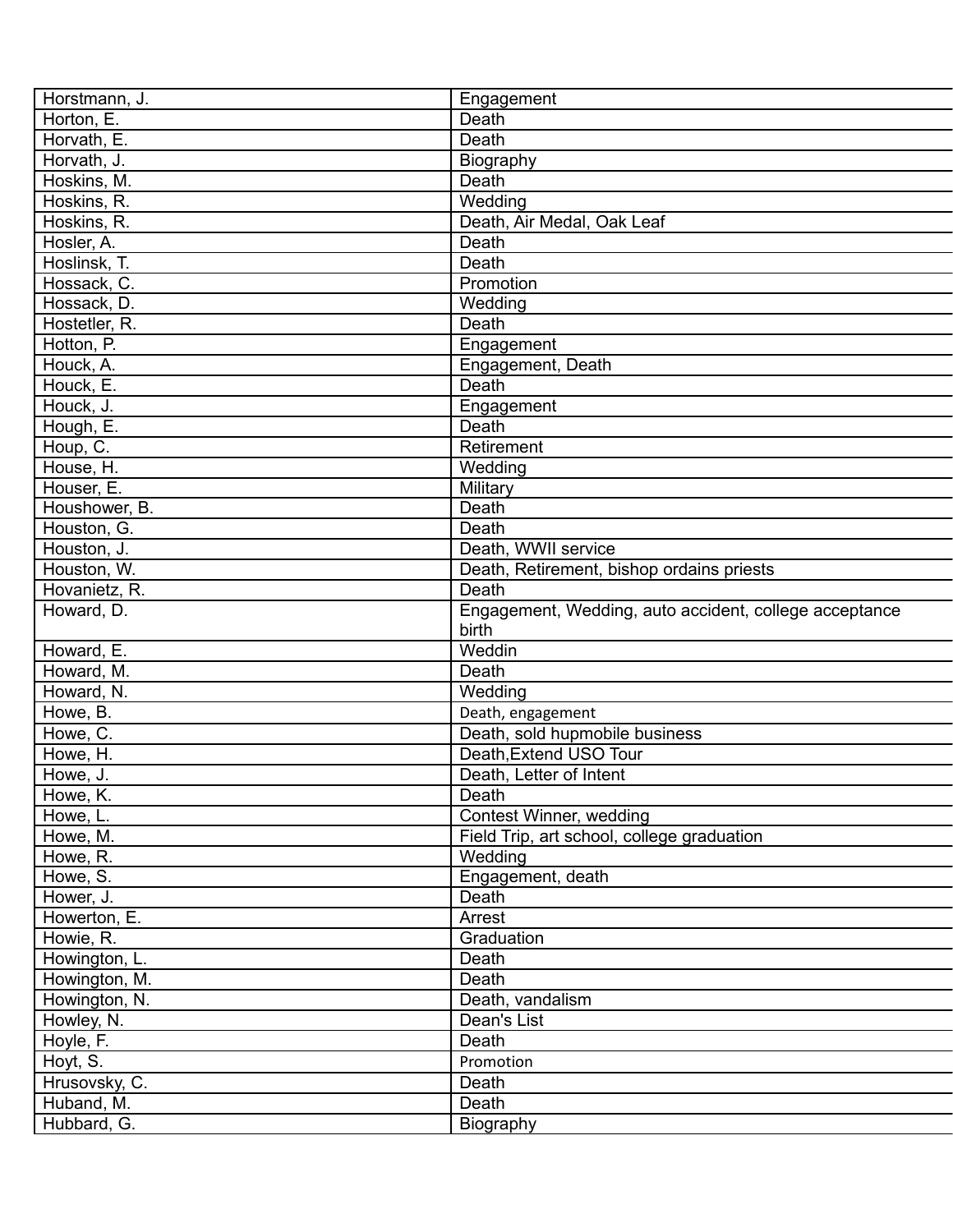| Horstmann, J.              | Engagement                                             |
|----------------------------|--------------------------------------------------------|
| Horton, E.                 | Death                                                  |
| Horvath, E.                | Death                                                  |
| Horvath, J.                | Biography                                              |
| Hoskins, M.                | Death                                                  |
| Hoskins, R.                | Wedding                                                |
| Hoskins, R.                | Death, Air Medal, Oak Leaf                             |
| Hosler, A.                 | Death                                                  |
| Hoslinsk, T.               | Death                                                  |
| Hossack, C.                | Promotion                                              |
| Hossack, D.                | Wedding                                                |
| Hostetler, R.              | Death                                                  |
| Hotton, P.                 | Engagement                                             |
| Houck, A.                  | Engagement, Death                                      |
| Houck, E.                  | Death                                                  |
| Houck, J.                  | Engagement                                             |
| Hough, E.                  | Death                                                  |
| Houp, $\overline{C}$ .     | Retirement                                             |
| House, H.                  | Wedding                                                |
| Houser, E.                 | Military                                               |
| Houshower, B.              | Death                                                  |
|                            | Death                                                  |
| Houston, G.<br>Houston, J. |                                                        |
|                            | Death, WWII service                                    |
| Houston, W.                | Death, Retirement, bishop ordains priests              |
| Hovanietz, R.              | Death                                                  |
| Howard, D.                 | Engagement, Wedding, auto accident, college acceptance |
|                            | birth                                                  |
| Howard, E.                 | Weddin                                                 |
| Howard, M.                 | Death                                                  |
| Howard, N.                 | Wedding                                                |
| Howe, B.                   | Death, engagement                                      |
| Howe, C.                   | Death, sold hupmobile business                         |
| Howe, H.                   | Death, Extend USO Tour                                 |
| Howe, J.                   | Death, Letter of Intent                                |
| Howe, K.                   | Death                                                  |
| Howe, L.                   | Contest Winner, wedding                                |
| Howe, M.                   | Field Trip, art school, college graduation             |
| Howe, R.                   | Wedding                                                |
| Howe, S.                   | Engagement, death                                      |
| Hower, J.                  | Death                                                  |
| Howerton, E.               | Arrest                                                 |
| Howie, R.                  | Graduation                                             |
| Howington, L.              | Death                                                  |
| Howington, M.              | Death                                                  |
| Howington, N.              | Death, vandalism                                       |
| Howley, N.                 | Dean's List                                            |
| Hoyle, F.                  | Death                                                  |
| Hoyt, S.                   | Promotion                                              |
| Hrusovsky, C.              | Death                                                  |
| Huband, M.                 | Death                                                  |
| Hubbard, G.                | Biography                                              |
|                            |                                                        |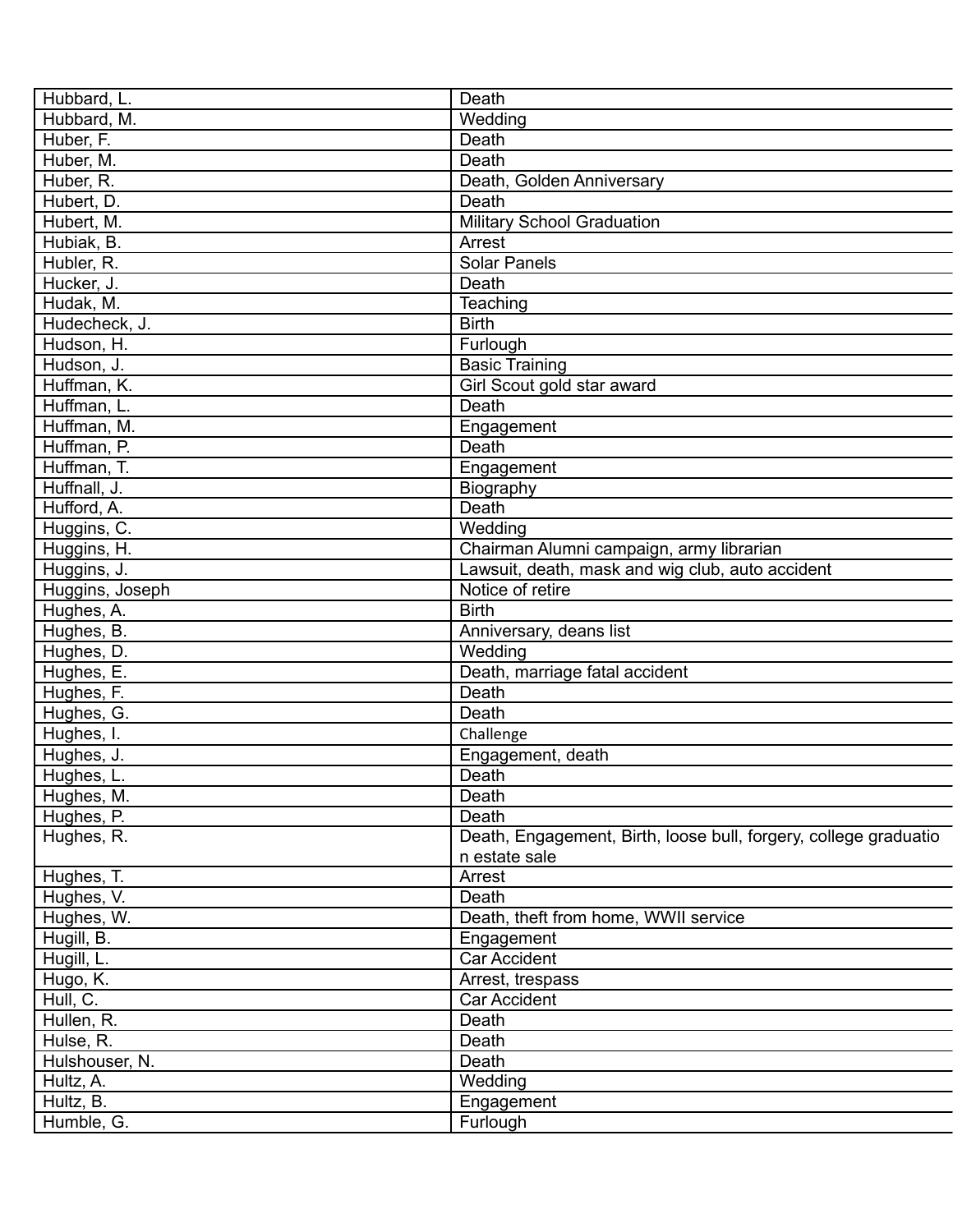| Hubbard, L.     | Death                                                            |
|-----------------|------------------------------------------------------------------|
| Hubbard, M.     | Wedding                                                          |
| Huber, F.       | Death                                                            |
| Huber, M.       | Death                                                            |
| Huber, R.       | Death, Golden Anniversary                                        |
| Hubert, D.      | Death                                                            |
| Hubert, M.      | <b>Military School Graduation</b>                                |
| Hubiak, B.      | Arrest                                                           |
| Hubler, R.      | <b>Solar Panels</b>                                              |
| Hucker, J.      | Death                                                            |
| Hudak, M.       | Teaching                                                         |
| Hudecheck, J.   | <b>Birth</b>                                                     |
| Hudson, H.      | Furlough                                                         |
| Hudson, J.      | <b>Basic Training</b>                                            |
| Huffman, K.     | Girl Scout gold star award                                       |
| Huffman, L.     | Death                                                            |
| Huffman, M.     | Engagement                                                       |
| Huffman, P.     | Death                                                            |
| Huffman, T.     | Engagement                                                       |
| Huffnall, J.    | Biography                                                        |
| Hufford, A.     | Death                                                            |
| Huggins, C.     | Wedding                                                          |
| Huggins, H.     | Chairman Alumni campaign, army librarian                         |
| Huggins, J.     | Lawsuit, death, mask and wig club, auto accident                 |
| Huggins, Joseph | Notice of retire                                                 |
| Hughes, A.      | <b>Birth</b>                                                     |
| Hughes, B.      | Anniversary, deans list                                          |
|                 | Wedding                                                          |
| Hughes, D.      |                                                                  |
| Hughes, E.      | Death, marriage fatal accident                                   |
| Hughes, F.      | Death                                                            |
| Hughes, G.      | Death                                                            |
| Hughes, I.      | Challenge                                                        |
| Hughes, J.      | Engagement, death                                                |
| Hughes, L.      | Death                                                            |
| Hughes, M.      | Death                                                            |
| Hughes, P.      | Death                                                            |
| Hughes, R.      | Death, Engagement, Birth, loose bull, forgery, college graduatio |
|                 | n estate sale                                                    |
| Hughes, T.      | Arrest                                                           |
| Hughes, V.      | Death                                                            |
| Hughes, W.      | Death, theft from home, WWII service                             |
| Hugill, B.      | Engagement                                                       |
| Hugill, L.      | Car Accident                                                     |
| Hugo, K.        | Arrest, trespass                                                 |
| Hull, C.        | Car Accident                                                     |
| Hullen, R.      | Death                                                            |
| Hulse, R.       | Death                                                            |
| Hulshouser, N.  | Death                                                            |
| Hultz, A.       | Wedding                                                          |
| Hultz, B.       | Engagement                                                       |
| Humble, G.      | Furlough                                                         |
|                 |                                                                  |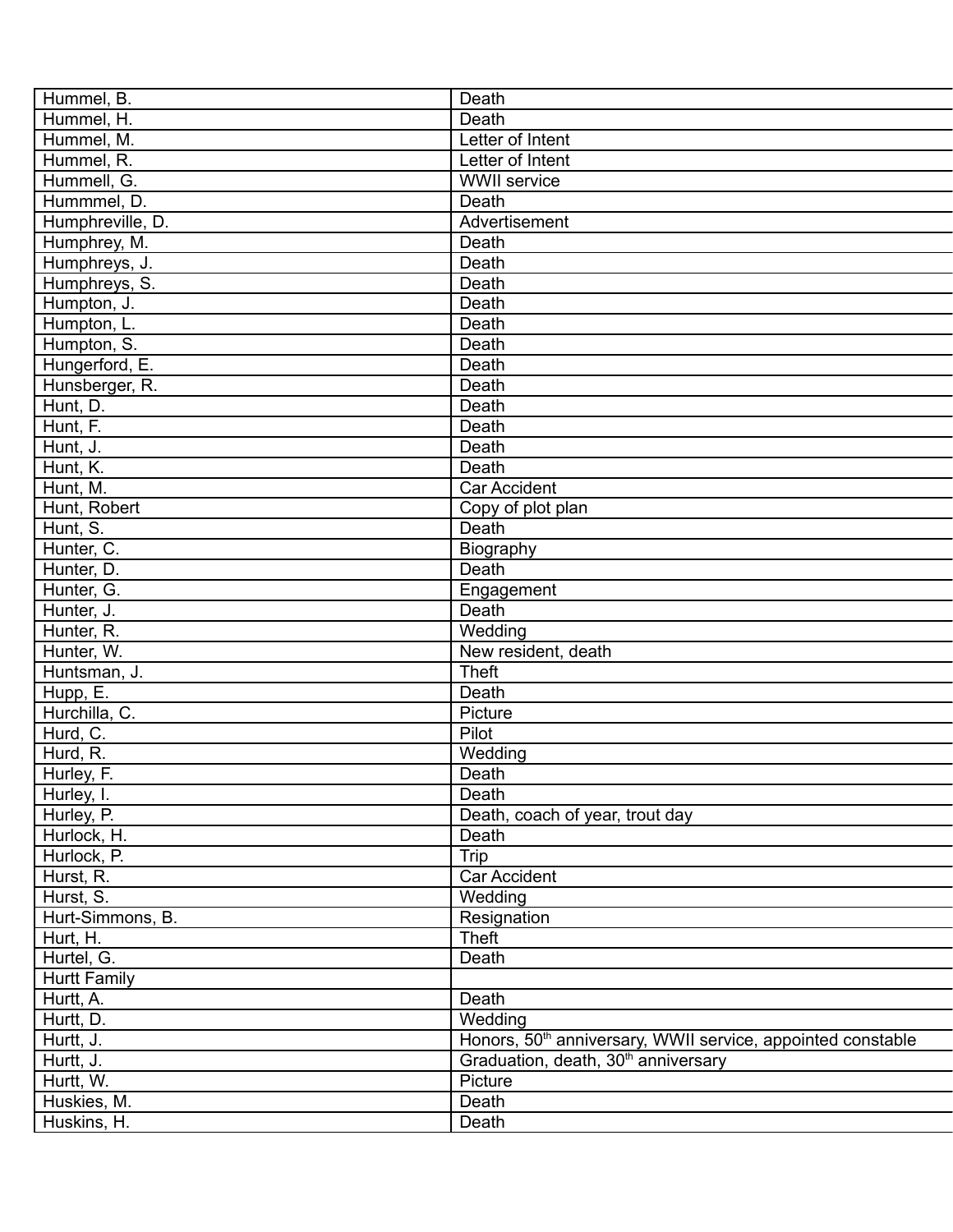| Hummel, B.               | Death                                                                   |
|--------------------------|-------------------------------------------------------------------------|
| Hummel, H.               | Death                                                                   |
| Hummel, M.               | Letter of Intent                                                        |
| Hummel, R.               | Letter of Intent                                                        |
| Hummell, G.              | <b>WWII</b> service                                                     |
| Hummmel, D.              | Death                                                                   |
| Humphreville, D.         | Advertisement                                                           |
| Humphrey, M.             | Death                                                                   |
| Humphreys, J.            | Death                                                                   |
| Humphreys, S.            | Death                                                                   |
| Humpton, J.              | Death                                                                   |
| Humpton, L.              | Death                                                                   |
| Humpton, S.              | Death                                                                   |
| Hungerford, E.           | Death                                                                   |
| Hunsberger, R.           | Death                                                                   |
| Hunt, D.                 | Death                                                                   |
| Hunt, F.                 | Death                                                                   |
| Hunt, J.                 | Death                                                                   |
| Hunt, K.                 | Death                                                                   |
| Hunt, M.                 | Car Accident                                                            |
| Hunt, Robert             | Copy of plot plan                                                       |
| Hunt, S.                 | Death                                                                   |
| Hunter, C.               | Biography                                                               |
| Hunter, D.               | Death                                                                   |
| Hunter, G.               | Engagement                                                              |
| Hunter, J.               | Death                                                                   |
| Hunter, R.               | Wedding                                                                 |
| Hunter, W.               | New resident, death                                                     |
| Huntsman, J.             | <b>Theft</b>                                                            |
| Hupp, E.                 | Death                                                                   |
| Hurchilla, C.            | Picture                                                                 |
| Hurd, C.                 | Pilot                                                                   |
| Hurd, R.                 | Wedding                                                                 |
| Hurley, F.               | Death                                                                   |
|                          | Death                                                                   |
| Hurley, I.<br>Hurley, P. | Death, coach of year, trout day                                         |
| Hurlock, H.              | Death                                                                   |
|                          | Trip                                                                    |
| Hurlock, P.              | Car Accident                                                            |
| Hurst, R.                |                                                                         |
| Hurst, S.                | Wedding                                                                 |
| Hurt-Simmons, B.         | Resignation                                                             |
| Hurt, H.                 | Theft                                                                   |
| Hurtel, G.               | Death                                                                   |
| <b>Hurtt Family</b>      |                                                                         |
| Hurtt, A.                | Death                                                                   |
| Hurtt, D.                | Wedding                                                                 |
| Hurtt, J.                | Honors, 50 <sup>th</sup> anniversary, WWII service, appointed constable |
| Hurtt, J.                | Graduation, death, 30 <sup>th</sup> anniversary                         |
| Hurtt, W.                | Picture                                                                 |
| Huskies, M.              | Death                                                                   |
| Huskins, H.              | Death                                                                   |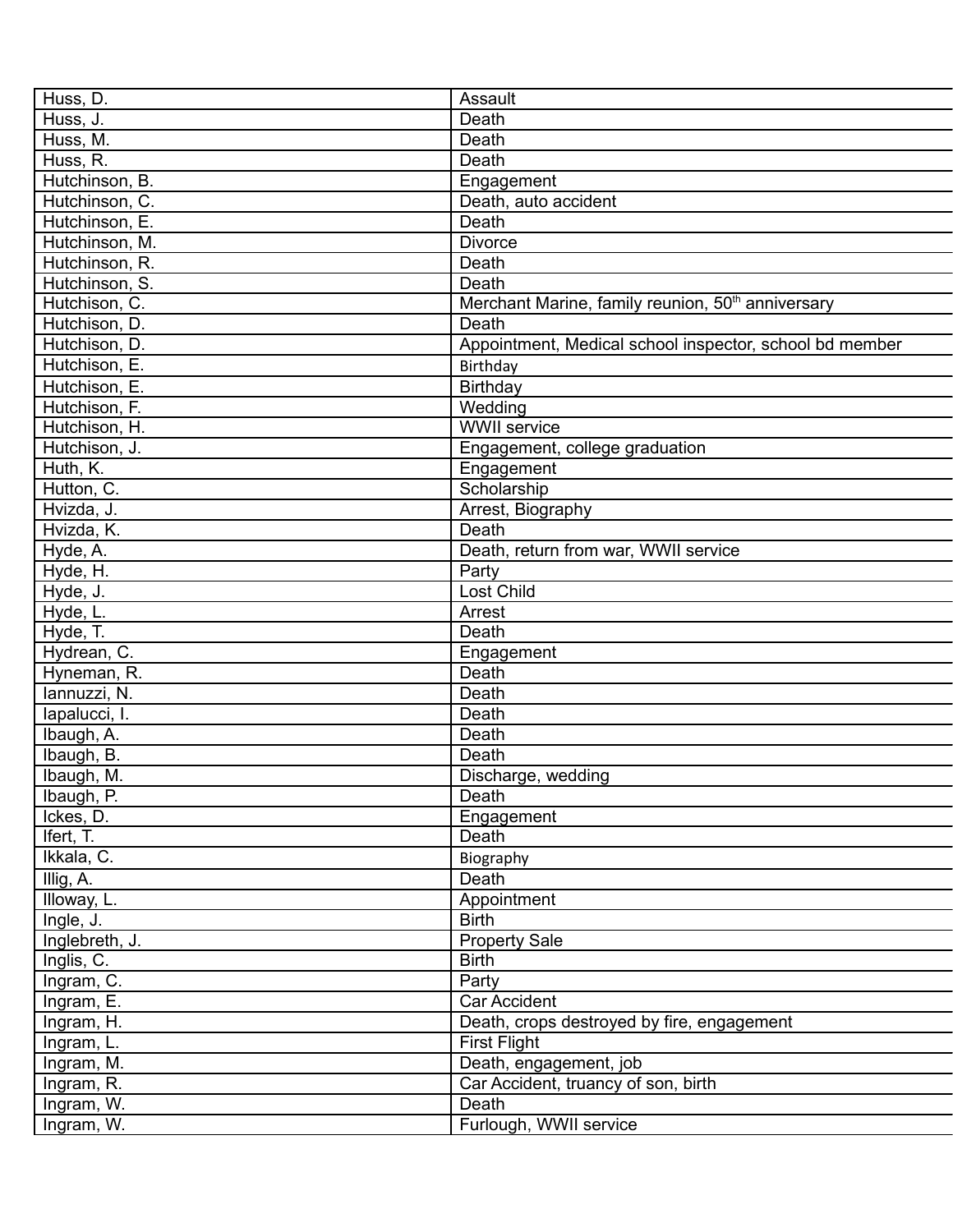| Huss, D.       | Assault                                                       |
|----------------|---------------------------------------------------------------|
| Huss, J.       | Death                                                         |
| Huss, M.       | Death                                                         |
| Huss, R.       | Death                                                         |
| Hutchinson, B. | Engagement                                                    |
| Hutchinson, C. | Death, auto accident                                          |
| Hutchinson, E. | Death                                                         |
| Hutchinson, M. | <b>Divorce</b>                                                |
| Hutchinson, R. | Death                                                         |
| Hutchinson, S. | Death                                                         |
| Hutchison, C.  | Merchant Marine, family reunion, 50 <sup>th</sup> anniversary |
| Hutchison, D.  | Death                                                         |
| Hutchison, D.  | Appointment, Medical school inspector, school bd member       |
| Hutchison, E.  | Birthday                                                      |
| Hutchison, E.  | Birthday                                                      |
| Hutchison, F.  | Wedding                                                       |
| Hutchison, H.  | <b>WWII</b> service                                           |
| Hutchison, J.  | Engagement, college graduation                                |
| Huth, K.       | Engagement                                                    |
| Hutton, C.     | Scholarship                                                   |
| Hvizda, J.     | Arrest, Biography                                             |
| Hvizda, K.     | Death                                                         |
| Hyde, A.       | Death, return from war, WWII service                          |
| Hyde, H.       | Party                                                         |
| Hyde, J.       | Lost Child                                                    |
| Hyde, L.       | Arrest                                                        |
|                | Death                                                         |
| Hyde, T.       |                                                               |
| Hydrean, C.    | Engagement                                                    |
| Hyneman, R.    | Death                                                         |
| lannuzzi, N.   | Death                                                         |
| lapalucci, I.  | Death                                                         |
| Ibaugh, A.     | Death                                                         |
| Ibaugh, B.     | Death                                                         |
| Ibaugh, M.     | Discharge, wedding                                            |
| Ibaugh, P.     | Death                                                         |
| Ickes, D.      | Engagement                                                    |
| Ifert, T.      | Death                                                         |
| Ikkala, C.     | Biography                                                     |
| Illig, A.      | Death                                                         |
| Illoway, L.    | Appointment                                                   |
| Ingle, J.      | <b>Birth</b>                                                  |
| Inglebreth, J. | <b>Property Sale</b>                                          |
| Inglis, C.     | <b>Birth</b>                                                  |
| Ingram, C.     | Party                                                         |
| Ingram, E.     | Car Accident                                                  |
| Ingram, H.     | Death, crops destroyed by fire, engagement                    |
| Ingram, L.     | <b>First Flight</b>                                           |
| Ingram, M.     | Death, engagement, job                                        |
| Ingram, R.     | Car Accident, truancy of son, birth                           |
| Ingram, W.     | Death                                                         |
| Ingram, W.     | Furlough, WWII service                                        |
|                |                                                               |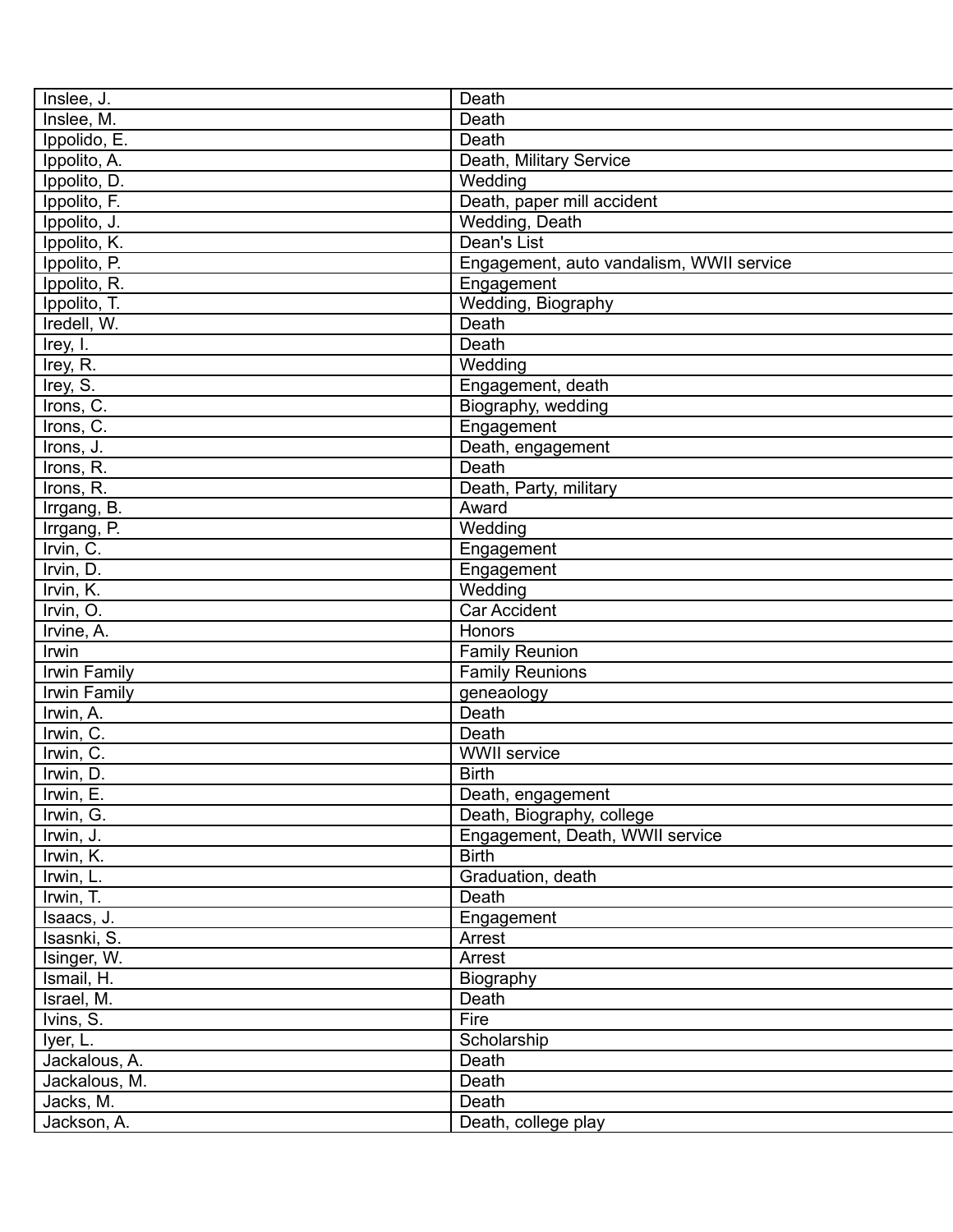| Inslee, J.    | Death                                    |
|---------------|------------------------------------------|
| Inslee, M.    | Death                                    |
| Ippolido, E.  | Death                                    |
| Ippolito, A.  | Death, Military Service                  |
| Ippolito, D.  | Wedding                                  |
| Ippolito, F.  | Death, paper mill accident               |
| Ippolito, J.  | Wedding, Death                           |
| Ippolito, K.  | Dean's List                              |
| Ippolito, P.  | Engagement, auto vandalism, WWII service |
| Ippolito, R.  | Engagement                               |
| Ippolito, T.  | Wedding, Biography                       |
| Iredell, W.   | Death                                    |
| Irey, I.      | Death                                    |
| Irey, R.      | Wedding                                  |
| Irey, S.      | Engagement, death                        |
| Irons, C.     | Biography, wedding                       |
| Irons, C.     | Engagement                               |
| Irons, J.     | Death, engagement                        |
| Irons, R.     | Death                                    |
| Irons, R.     | Death, Party, military                   |
| Irrgang, B.   | Award                                    |
| Irrgang, P.   | Wedding                                  |
| Irvin, C.     | Engagement                               |
| Irvin, D.     | Engagement                               |
| Irvin, K.     | Wedding                                  |
| Irvin, O.     | <b>Car Accident</b>                      |
| Irvine, A.    | Honors                                   |
| Irwin         | <b>Family Reunion</b>                    |
| Irwin Family  | <b>Family Reunions</b>                   |
| Irwin Family  | geneaology                               |
| Irwin, A.     | Death                                    |
| Irwin, C.     | Death                                    |
| Irwin, C.     | <b>WWII</b> service                      |
| Irwin, D.     | <b>Birth</b>                             |
| Irwin, E.     | Death, engagement                        |
| Irwin, G.     | Death, Biography, college                |
| Irwin, J.     | Engagement, Death, WWII service          |
| Irwin, K.     | <b>Birth</b>                             |
| Irwin, L.     | Graduation, death                        |
| Irwin, T.     | Death                                    |
| Isaacs, J.    | Engagement                               |
| Isasnki, S.   | Arrest                                   |
| Isinger, W.   | Arrest                                   |
| Ismail, H.    | Biography                                |
| Israel, M.    | Death                                    |
| Ivins, S.     | Fire                                     |
| Iyer, L.      | Scholarship                              |
| Jackalous, A. | Death                                    |
| Jackalous, M. | Death                                    |
| Jacks, M.     | Death                                    |
| Jackson, A.   | Death, college play                      |
|               |                                          |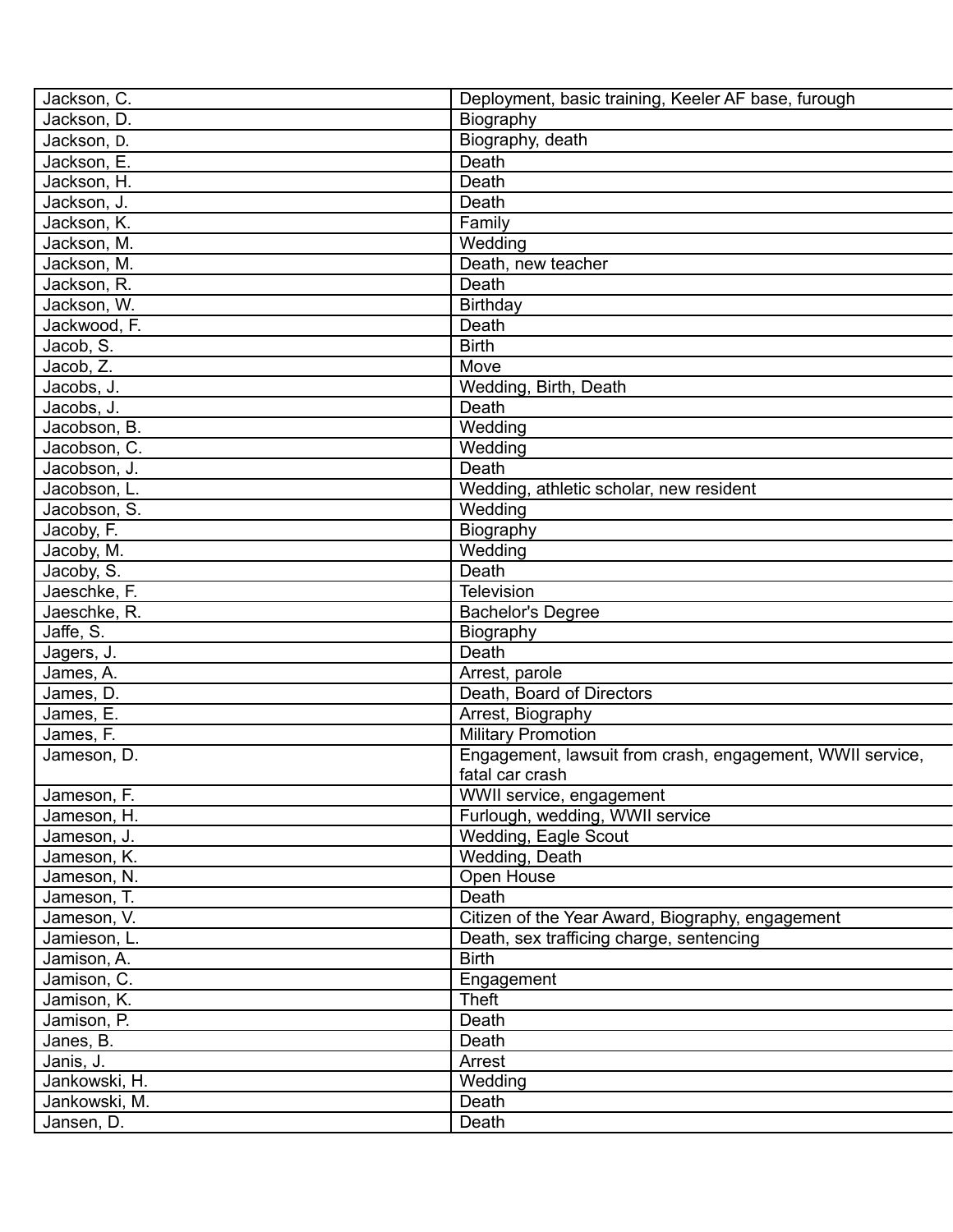| Jackson, C.   | Deployment, basic training, Keeler AF base, furough       |
|---------------|-----------------------------------------------------------|
| Jackson, D.   | Biography                                                 |
| Jackson, D.   | Biography, death                                          |
| Jackson, E.   | Death                                                     |
| Jackson, H.   | Death                                                     |
| Jackson, J.   | Death                                                     |
| Jackson, K.   | Family                                                    |
| Jackson, M.   | Wedding                                                   |
| Jackson, M.   | Death, new teacher                                        |
| Jackson, R.   | Death                                                     |
| Jackson, W.   | Birthday                                                  |
| Jackwood, F.  | Death                                                     |
| Jacob, S.     | <b>Birth</b>                                              |
| Jacob, Z.     | Move                                                      |
| Jacobs, J.    | Wedding, Birth, Death                                     |
| Jacobs, J.    | Death                                                     |
| Jacobson, B.  | Wedding                                                   |
| Jacobson, C.  | Wedding                                                   |
| Jacobson, J.  | Death                                                     |
| Jacobson, L.  | Wedding, athletic scholar, new resident                   |
| Jacobson, S.  | Wedding                                                   |
| Jacoby, F.    | Biography                                                 |
| Jacoby, M.    | Wedding                                                   |
| Jacoby, S.    | Death                                                     |
| Jaeschke, F.  | <b>Television</b>                                         |
| Jaeschke, R.  | <b>Bachelor's Degree</b>                                  |
| Jaffe, S.     | Biography                                                 |
| Jagers, J.    | Death                                                     |
| James, A.     | Arrest, parole                                            |
| James, D.     | Death, Board of Directors                                 |
| James, E.     | Arrest, Biography                                         |
| James, F.     | <b>Military Promotion</b>                                 |
| Jameson, D.   | Engagement, lawsuit from crash, engagement, WWII service, |
|               | fatal car crash                                           |
| Jameson, F.   | WWII service, engagement                                  |
| Jameson, H.   | Furlough, wedding, WWII service                           |
| Jameson, J.   | <b>Wedding, Eagle Scout</b>                               |
| Jameson, K.   | Wedding, Death                                            |
| Jameson, N.   | Open House                                                |
| Jameson, T.   | Death                                                     |
| Jameson, V.   | Citizen of the Year Award, Biography, engagement          |
|               |                                                           |
| Jamieson, L.  | Death, sex trafficing charge, sentencing<br><b>Birth</b>  |
| Jamison, A.   |                                                           |
| Jamison, C.   | Engagement                                                |
| Jamison, K.   | Theft                                                     |
| Jamison, P.   | Death                                                     |
| Janes, B.     | Death                                                     |
| Janis, J.     | Arrest                                                    |
| Jankowski, H. | Wedding                                                   |
| Jankowski, M. | Death                                                     |
| Jansen, D.    | Death                                                     |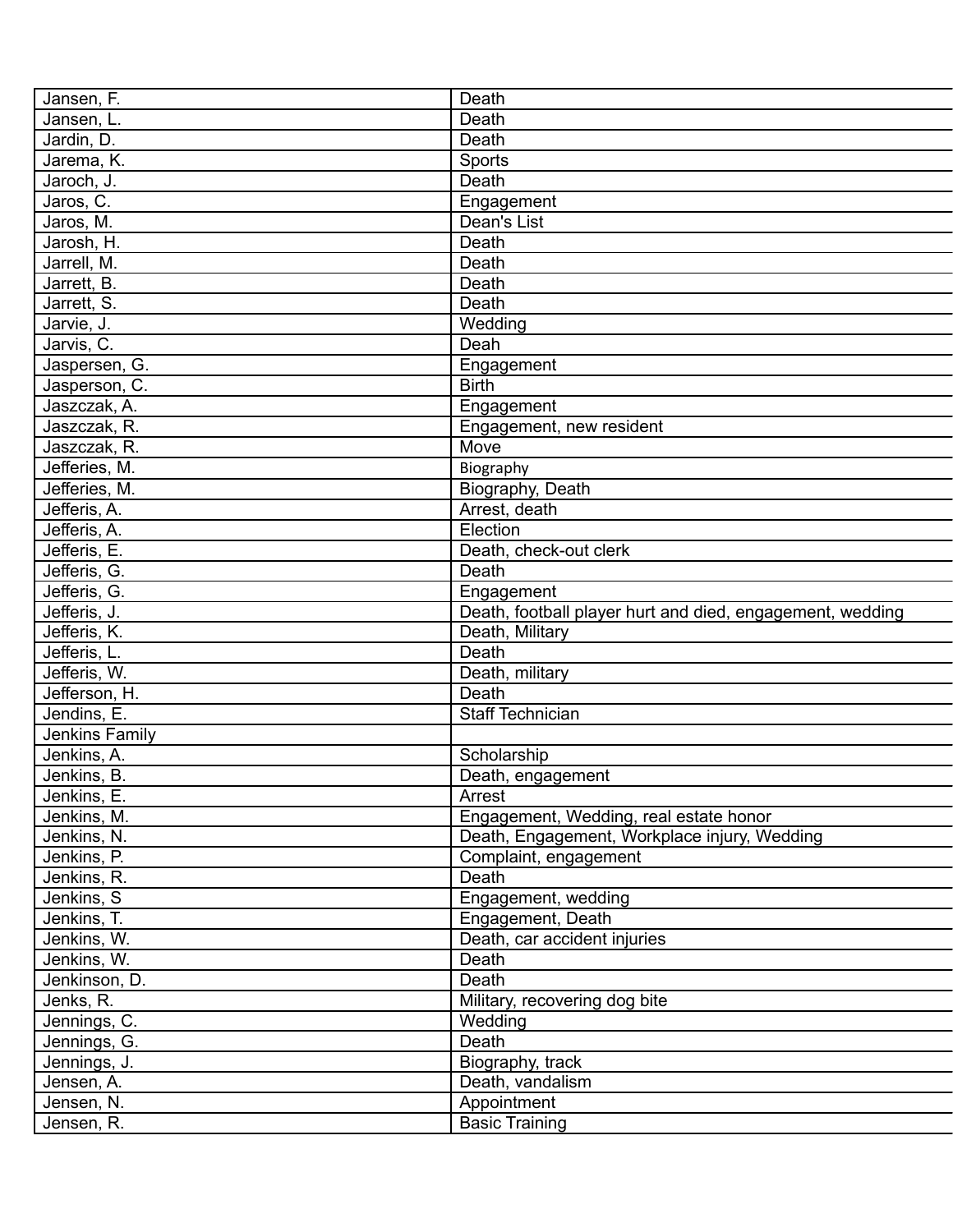| Jansen, F.     | Death                                                     |
|----------------|-----------------------------------------------------------|
| Jansen, L.     | Death                                                     |
| Jardin, D.     | Death                                                     |
| Jarema, K.     | Sports                                                    |
| Jaroch, J.     | Death                                                     |
| Jaros, C.      | Engagement                                                |
| Jaros, M.      | Dean's List                                               |
| Jarosh, H.     | Death                                                     |
| Jarrell, M.    | Death                                                     |
| Jarrett, B.    | Death                                                     |
| Jarrett, S.    | Death                                                     |
| Jarvie, J.     | Wedding                                                   |
| Jarvis, C.     | Deah                                                      |
| Jaspersen, G.  | Engagement                                                |
| Jasperson, C.  | <b>Birth</b>                                              |
| Jaszczak, A.   | Engagement                                                |
| Jaszczak, R.   | Engagement, new resident                                  |
| Jaszczak, R.   | Move                                                      |
| Jefferies, M.  | Biography                                                 |
| Jefferies, M.  | Biography, Death                                          |
| Jefferis, A.   | Arrest, death                                             |
| Jefferis, A.   | Election                                                  |
| Jefferis, E.   | Death, check-out clerk                                    |
| Jefferis, G.   | Death                                                     |
| Jefferis, G.   | Engagement                                                |
| Jefferis, J.   | Death, football player hurt and died, engagement, wedding |
| Jefferis, K.   | Death, Military                                           |
| Jefferis, L.   | Death                                                     |
| Jefferis, W.   | Death, military                                           |
| Jefferson, H.  | Death                                                     |
| Jendins, E.    | Staff Technician                                          |
| Jenkins Family |                                                           |
| Jenkins, A.    | Scholarship                                               |
| Jenkins, B.    | Death, engagement                                         |
| Jenkins, E.    | Arrest                                                    |
| Jenkins, M.    | Engagement, Wedding, real estate honor                    |
| Jenkins, N.    |                                                           |
| Jenkins, P.    | Death, Engagement, Workplace injury, Wedding              |
|                | Complaint, engagement<br>Death                            |
| Jenkins, R.    |                                                           |
| Jenkins, S     | Engagement, wedding                                       |
| Jenkins, T.    | Engagement, Death                                         |
| Jenkins, W.    | Death, car accident injuries                              |
| Jenkins, W.    | Death                                                     |
| Jenkinson, D.  | Death                                                     |
| Jenks, R.      | Military, recovering dog bite                             |
| Jennings, C.   | Wedding                                                   |
| Jennings, G.   | Death                                                     |
| Jennings, J.   | Biography, track                                          |
| Jensen, A.     | Death, vandalism                                          |
| Jensen, N.     | Appointment                                               |
| Jensen, R.     | <b>Basic Training</b>                                     |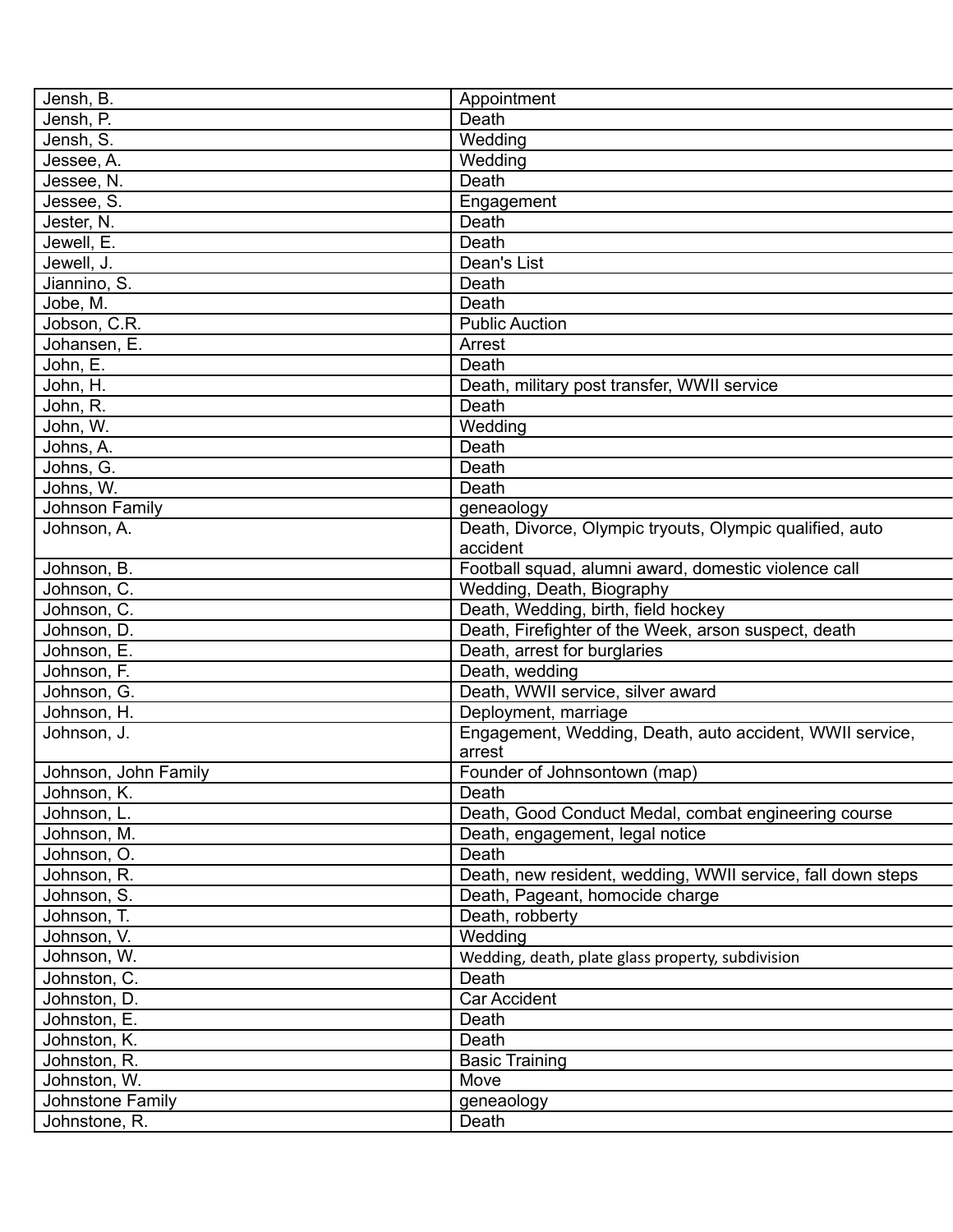| Jensh, B.            | Appointment                                                 |
|----------------------|-------------------------------------------------------------|
| Jensh, P.            | Death                                                       |
| Jensh, S.            | Wedding                                                     |
| Jessee, A.           | Wedding                                                     |
| Jessee, N.           | Death                                                       |
| Jessee, S.           | Engagement                                                  |
| Jester, N.           | Death                                                       |
| Jewell, E.           | Death                                                       |
| Jewell, J.           | Dean's List                                                 |
| Jiannino, S.         | Death                                                       |
| Jobe, M.             | Death                                                       |
| Jobson, C.R.         | <b>Public Auction</b>                                       |
| Johansen, E.         | Arrest                                                      |
| John, E.             | Death                                                       |
|                      |                                                             |
| John, H.             | Death, military post transfer, WWII service                 |
| John, R.             | Death                                                       |
| John, W.             | Wedding                                                     |
| Johns, A.            | Death                                                       |
| Johns, G.            | Death                                                       |
| Johns, W.            | Death                                                       |
| Johnson Family       | geneaology                                                  |
| Johnson, A.          | Death, Divorce, Olympic tryouts, Olympic qualified, auto    |
|                      | accident                                                    |
| Johnson, B.          | Football squad, alumni award, domestic violence call        |
| Johnson, C.          | Wedding, Death, Biography                                   |
| Johnson, C.          | Death, Wedding, birth, field hockey                         |
| Johnson, D.          | Death, Firefighter of the Week, arson suspect, death        |
| Johnson, E.          | Death, arrest for burglaries                                |
| Johnson, F.          | Death, wedding                                              |
| Johnson, G.          | Death, WWII service, silver award                           |
| Johnson, H.          | Deployment, marriage                                        |
| Johnson, J.          | Engagement, Wedding, Death, auto accident, WWII service,    |
|                      | arrest                                                      |
| Johnson, John Family | Founder of Johnsontown (map)                                |
| Johnson, K.          | Death                                                       |
| Johnson, L.          | Death, Good Conduct Medal, combat engineering course        |
| Johnson, M.          | Death, engagement, legal notice                             |
| Johnson, O.          | Death                                                       |
| Johnson, R.          | Death, new resident, wedding, WWII service, fall down steps |
| Johnson, S.          | Death, Pageant, homocide charge                             |
| Johnson, T.          | Death, robberty                                             |
| Johnson, V.          | Wedding                                                     |
| Johnson, W.          | Wedding, death, plate glass property, subdivision           |
| Johnston, C.         | Death                                                       |
| Johnston, D.         | Car Accident                                                |
|                      |                                                             |
| Johnston, E.         | Death                                                       |
| Johnston, K.         | Death                                                       |
| Johnston, R.         | <b>Basic Training</b>                                       |
| Johnston, W.         | Move                                                        |
| Johnstone Family     | geneaology                                                  |
| Johnstone, R.        | Death                                                       |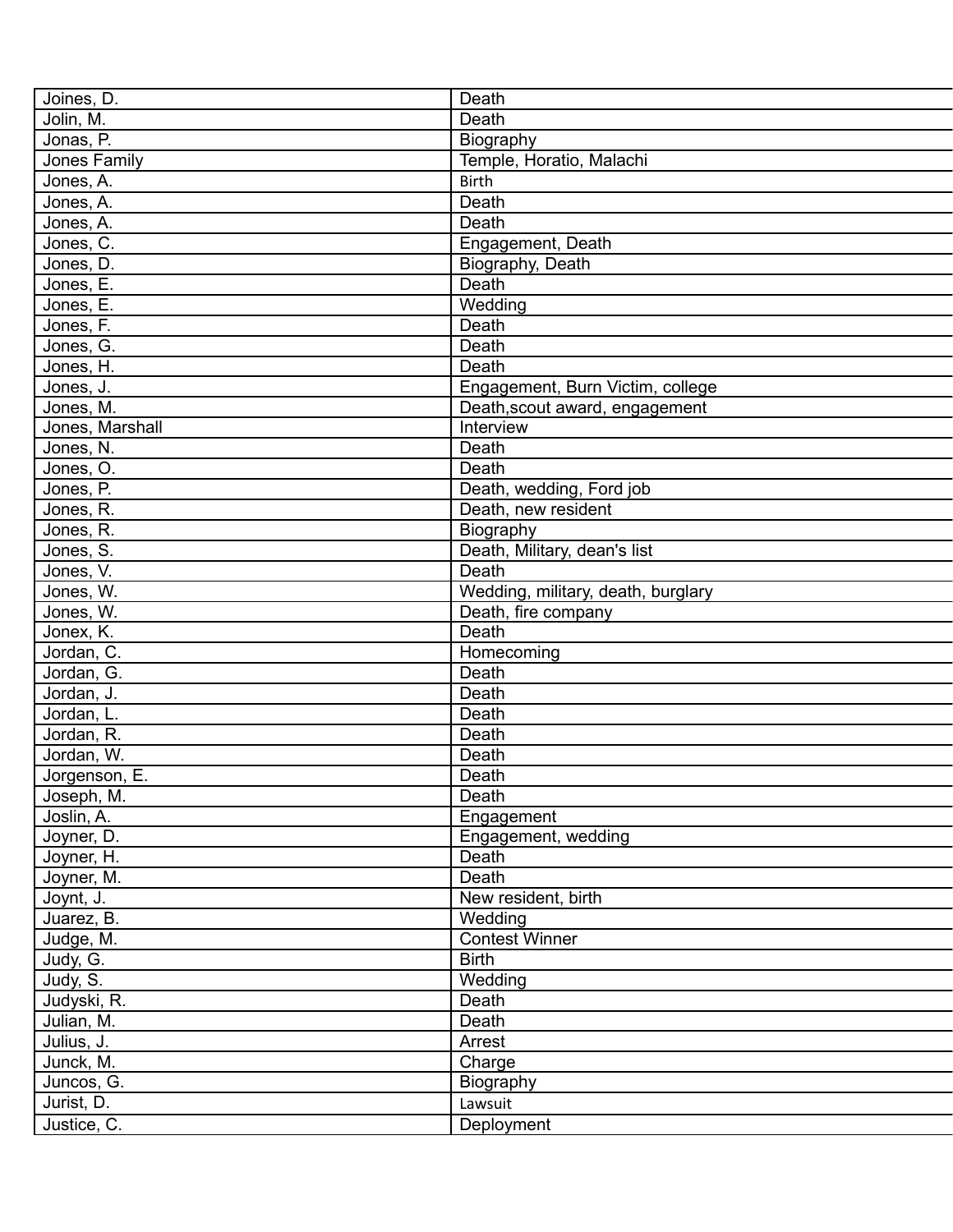| Joines, D.      | Death                              |
|-----------------|------------------------------------|
| Jolin, M.       | Death                              |
| Jonas, P.       | Biography                          |
| Jones Family    | Temple, Horatio, Malachi           |
| Jones, A.       | <b>Birth</b>                       |
| Jones, A.       | Death                              |
| Jones, A.       | Death                              |
| Jones, C.       | Engagement, Death                  |
| Jones, D.       | Biography, Death                   |
| Jones, E.       | Death                              |
| Jones, E.       | Wedding                            |
| Jones, F.       | Death                              |
| Jones, G.       | Death                              |
| Jones, H.       | Death                              |
| Jones, J.       | Engagement, Burn Victim, college   |
| Jones, M.       | Death, scout award, engagement     |
| Jones, Marshall | Interview                          |
| Jones, N.       | Death                              |
| Jones, O.       | Death                              |
| Jones, P.       | Death, wedding, Ford job           |
| Jones, R.       | Death, new resident                |
| Jones, R.       | Biography                          |
| Jones, S.       | Death, Military, dean's list       |
| Jones, V.       | Death                              |
| Jones, W.       | Wedding, military, death, burglary |
| Jones, W.       | Death, fire company                |
| Jonex, K.       | Death                              |
| Jordan, C.      | Homecoming                         |
| Jordan, G.      | Death                              |
| Jordan, J.      | Death                              |
| Jordan, L.      | Death                              |
| Jordan, R.      | Death                              |
| Jordan, W.      | Death                              |
| Jorgenson, E.   | Death                              |
| Joseph, M.      | Death                              |
| Joslin, A.      | Engagement                         |
| Joyner, D.      | Engagement, wedding                |
| Joyner, H.      | Death                              |
| Joyner, M.      | Death                              |
| Joynt, J.       | New resident, birth                |
| Juarez, B.      | Wedding                            |
| Judge, M.       | <b>Contest Winner</b>              |
| Judy, G.        | <b>Birth</b>                       |
| Judy, S.        | Wedding                            |
| Judyski, R.     | Death                              |
| Julian, M.      | Death                              |
| Julius, J.      | Arrest                             |
| Junck, M.       | Charge                             |
| Juncos, G.      | Biography                          |
| Jurist, D.      | Lawsuit                            |
| Justice, C.     | Deployment                         |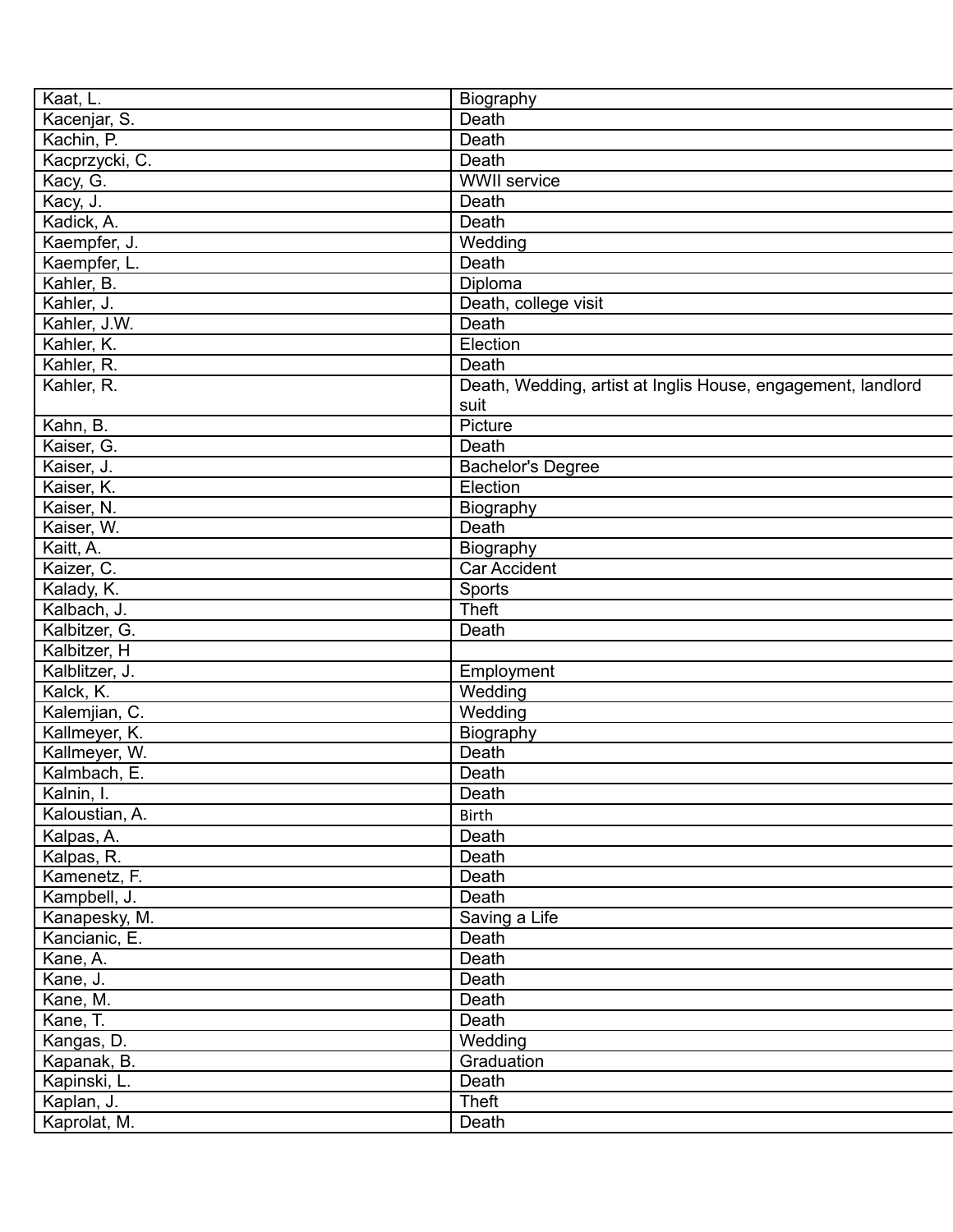| Kaat, L.       | Biography                                                    |
|----------------|--------------------------------------------------------------|
| Kacenjar, S.   | Death                                                        |
| Kachin, P.     | Death                                                        |
| Kacprzycki, C. | Death                                                        |
| Kacy, G.       | <b>WWII</b> service                                          |
| Kacy, J.       | Death                                                        |
| Kadick, A.     | Death                                                        |
| Kaempfer, J.   | Wedding                                                      |
| Kaempfer, L.   | Death                                                        |
| Kahler, B.     | Diploma                                                      |
| Kahler, J.     | Death, college visit                                         |
| Kahler, J.W.   | Death                                                        |
| Kahler, K.     | Election                                                     |
| Kahler, R.     | Death                                                        |
| Kahler, R.     | Death, Wedding, artist at Inglis House, engagement, landlord |
|                | suit                                                         |
| Kahn, B.       | Picture                                                      |
| Kaiser, G.     | Death                                                        |
| Kaiser, J.     | <b>Bachelor's Degree</b>                                     |
| Kaiser, K.     | Election                                                     |
| Kaiser, N.     | Biography                                                    |
| Kaiser, W.     | Death                                                        |
| Kaitt, A.      | Biography                                                    |
| Kaizer, C.     | Car Accident                                                 |
| Kalady, K.     | Sports                                                       |
| Kalbach, J.    | Theft                                                        |
| Kalbitzer, G.  | Death                                                        |
| Kalbitzer, H   |                                                              |
| Kalblitzer, J. |                                                              |
| Kalck, K.      | Employment<br>Wedding                                        |
| Kalemjian, C.  | Wedding                                                      |
| Kallmeyer, K.  |                                                              |
|                | Biography                                                    |
| Kallmeyer, W.  | Death                                                        |
| Kalmbach, E.   | Death                                                        |
| Kalnin, I.     | Death                                                        |
| Kaloustian, A. | <b>Birth</b>                                                 |
| Kalpas, A.     | Death                                                        |
| Kalpas, R.     | Death                                                        |
| Kamenetz, F.   | Death                                                        |
| Kampbell, J.   | Death                                                        |
| Kanapesky, M.  | Saving a Life                                                |
| Kancianic, E.  | Death                                                        |
| Kane, A.       | Death                                                        |
| Kane, J.       | Death                                                        |
| Kane, M.       | Death                                                        |
| Kane, T.       | Death                                                        |
| Kangas, D.     | Wedding                                                      |
| Kapanak, B.    | Graduation                                                   |
| Kapinski, L.   | Death                                                        |
| Kaplan, J.     | Theft                                                        |
| Kaprolat, M.   | Death                                                        |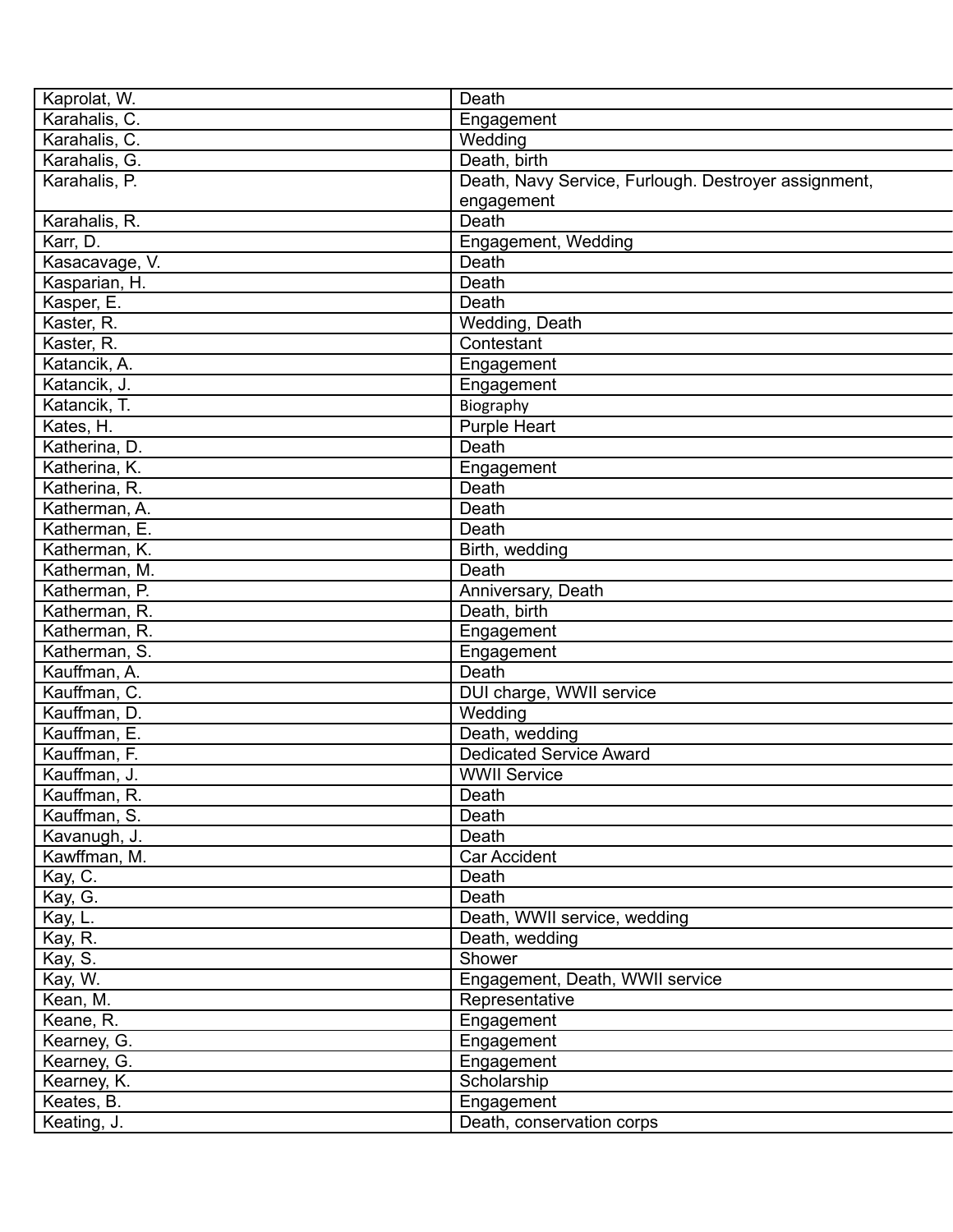| Kaprolat, W.   | Death                                                |
|----------------|------------------------------------------------------|
| Karahalis, C.  | Engagement                                           |
| Karahalis, C.  | Wedding                                              |
| Karahalis, G.  | Death, birth                                         |
| Karahalis, P.  | Death, Navy Service, Furlough. Destroyer assignment, |
|                | engagement                                           |
| Karahalis, R.  | Death                                                |
| Karr, D.       | Engagement, Wedding                                  |
| Kasacavage, V. | Death                                                |
| Kasparian, H.  | Death                                                |
| Kasper, E.     | Death                                                |
| Kaster, R.     | Wedding, Death                                       |
| Kaster, R.     | Contestant                                           |
| Katancik, A.   | Engagement                                           |
| Katancik, J.   | Engagement                                           |
| Katancik, T.   | Biography                                            |
| Kates, H.      | Purple Heart                                         |
| Katherina, D.  | Death                                                |
| Katherina, K.  | Engagement                                           |
| Katherina, R.  | Death                                                |
| Katherman, A.  | Death                                                |
| Katherman, E.  | Death                                                |
| Katherman, K.  | Birth, wedding                                       |
| Katherman, M.  | Death                                                |
| Katherman, P.  | Anniversary, Death                                   |
| Katherman, R.  | Death, birth                                         |
| Katherman, R.  | Engagement                                           |
| Katherman, S.  | Engagement                                           |
| Kauffman, A.   | Death                                                |
| Kauffman, C.   | DUI charge, WWII service                             |
| Kauffman, D.   | Wedding                                              |
| Kauffman, E.   | Death, wedding                                       |
| Kauffman, F.   | <b>Dedicated Service Award</b>                       |
| Kauffman, J.   | <b>WWII Service</b>                                  |
| Kauffman, R.   | Death                                                |
| Kauffman, S.   | Death                                                |
| Kavanugh, J.   | Death                                                |
| Kawffman, M.   | Car Accident                                         |
| Kay, C.        | Death                                                |
| Kay, G.        | Death                                                |
| Kay, L.        | Death, WWII service, wedding                         |
| Kay, R.        | Death, wedding                                       |
| Kay, S.        | Shower                                               |
| Kay, W.        | Engagement, Death, WWII service                      |
| Kean, M.       | Representative                                       |
| Keane, R.      | Engagement                                           |
| Kearney, G.    | Engagement                                           |
| Kearney, G.    | Engagement                                           |
| Kearney, K.    | Scholarship                                          |
| Keates, B.     | Engagement                                           |
| Keating, J.    | Death, conservation corps                            |
|                |                                                      |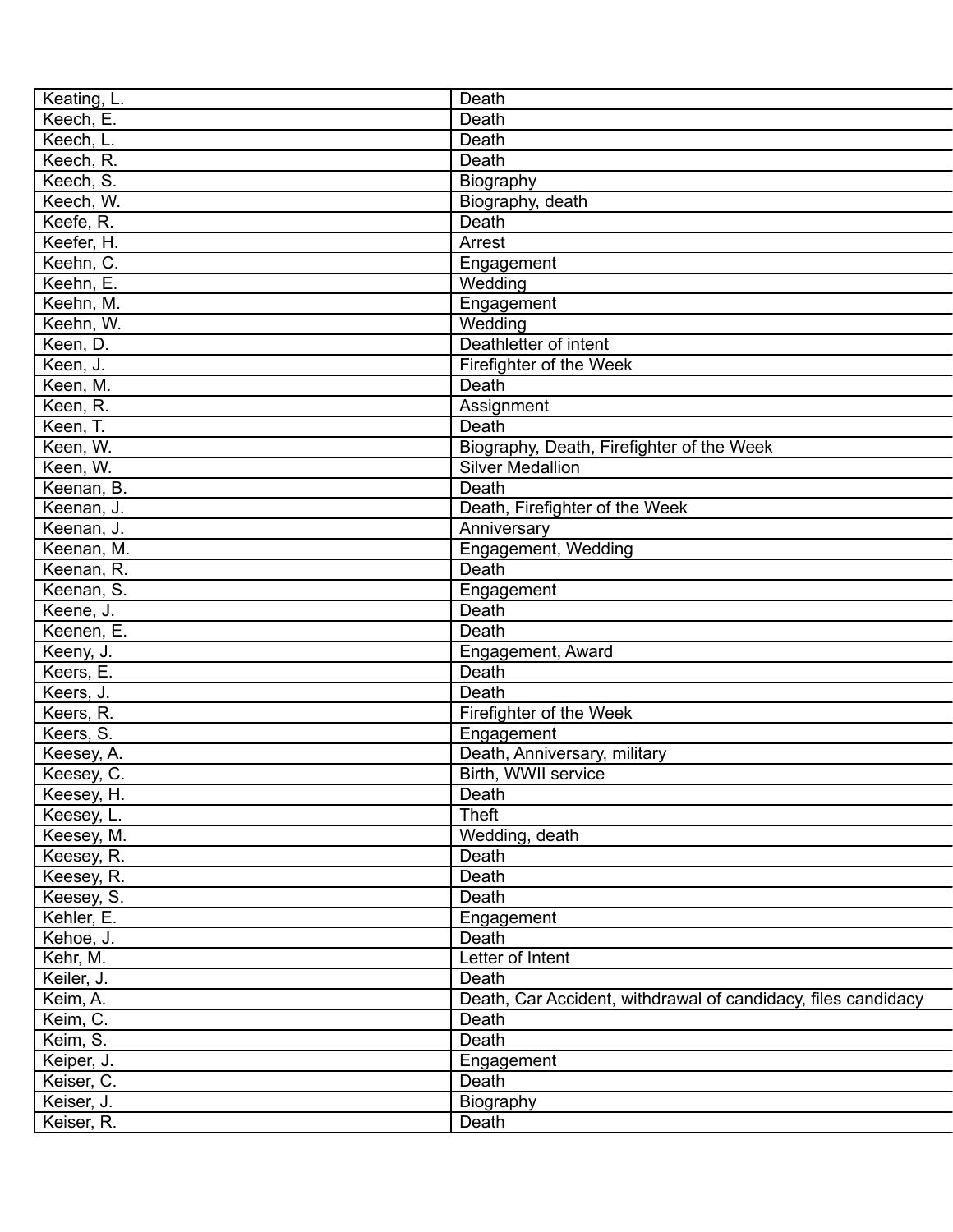| Keating, L.              | Death                                                         |
|--------------------------|---------------------------------------------------------------|
| Keech, E.                | Death                                                         |
| Keech, L.                | Death                                                         |
| Keech, R.                | Death                                                         |
| Keech, S.                | Biography                                                     |
| Keech, W.                | Biography, death                                              |
| Keefe, R.                | Death                                                         |
| Keefer, H.               | Arrest                                                        |
| Keehn, C.                | Engagement                                                    |
| Keehn, E.                | Wedding                                                       |
| Keehn, M.                | Engagement                                                    |
| Keehn, W.                | Wedding                                                       |
| Keen, D.                 | Deathletter of intent                                         |
| Keen, J.                 | Firefighter of the Week                                       |
| Keen, M.                 | Death                                                         |
| Keen, R.                 | Assignment                                                    |
| Keen, T.                 | Death                                                         |
| Keen, W.                 | Biography, Death, Firefighter of the Week                     |
| Keen, W.                 | <b>Silver Medallion</b>                                       |
| Keenan, B.               | Death                                                         |
| Keenan, J.               | Death, Firefighter of the Week                                |
| Keenan, J.               | Anniversary                                                   |
| Keenan, M.               | Engagement, Wedding                                           |
| Keenan, R.               | Death                                                         |
| Keenan, S.               | Engagement                                                    |
| Keene, J.                | Death                                                         |
| Keenen, E.               | Death                                                         |
| Keeny, J.                | Engagement, Award                                             |
| Keers, E.                | Death                                                         |
| Keers, J.                | Death                                                         |
| Keers, R.                | Firefighter of the Week                                       |
| Keers, S.                | Engagement                                                    |
| Keesey, A.               | Death, Anniversary, military                                  |
| Keesey, C.               | Birth, WWII service                                           |
|                          | Death                                                         |
| Keesey, H.<br>Keesey, L. | Theft                                                         |
| Keesey, M.               | Wedding, death                                                |
|                          |                                                               |
| Keesey, R.<br>Keesey, R. | Death<br>Death                                                |
|                          | Death                                                         |
| Keesey, S.               |                                                               |
| Kehler, E.               | Engagement                                                    |
| Kehoe, J.                | Death                                                         |
| Kehr, M.                 | Letter of Intent                                              |
| Keiler, J.               | Death                                                         |
| Keim, A.                 | Death, Car Accident, withdrawal of candidacy, files candidacy |
| Keim, C.                 | Death                                                         |
| Keim, S.                 | Death                                                         |
| Keiper, J.               | Engagement                                                    |
| Keiser, C.               | Death                                                         |
| Keiser, J.               | Biography                                                     |
| Keiser, R.               | Death                                                         |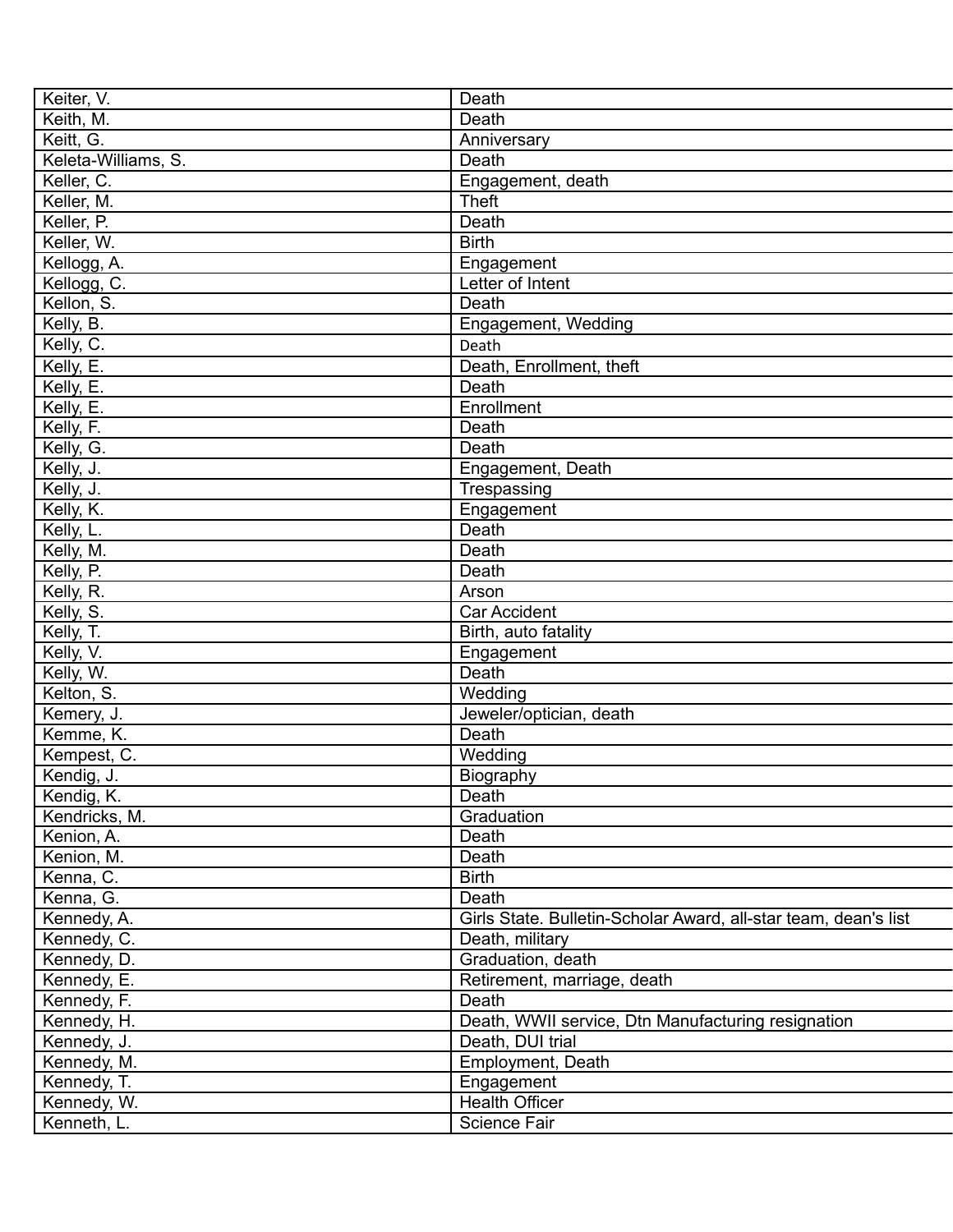| Keiter, V.          | Death                                                           |
|---------------------|-----------------------------------------------------------------|
| Keith, M.           | Death                                                           |
| Keitt, G.           | Anniversary                                                     |
| Keleta-Williams, S. | Death                                                           |
| Keller, C.          | Engagement, death                                               |
| Keller, M.          | <b>Theft</b>                                                    |
| Keller, P.          | Death                                                           |
| Keller, W.          | <b>Birth</b>                                                    |
| Kellogg, A.         | Engagement                                                      |
| Kellogg, C.         | Letter of Intent                                                |
| Kellon, S.          | Death                                                           |
| Kelly, B.           | Engagement, Wedding                                             |
| Kelly, C.           | Death                                                           |
| Kelly, E.           | Death, Enrollment, theft                                        |
| Kelly, E.           | Death                                                           |
| Kelly, E.           | Enrollment                                                      |
| Kelly, F.           | Death                                                           |
| Kelly, G.           | Death                                                           |
| Kelly, J.           | Engagement, Death                                               |
| Kelly, J.           | Trespassing                                                     |
| Kelly, K.           | Engagement                                                      |
| Kelly, L.           | Death                                                           |
|                     | Death                                                           |
| Kelly, M.           |                                                                 |
| Kelly, P.           | Death                                                           |
| Kelly, R.           | Arson                                                           |
| Kelly, S.           | <b>Car Accident</b>                                             |
| Kelly, T.           | Birth, auto fatality                                            |
| Kelly, V.           | Engagement                                                      |
| Kelly, W.           | Death                                                           |
| Kelton, S.          | Wedding                                                         |
| Kemery, J.          | Jeweler/optician, death                                         |
| Kemme, K.           | Death                                                           |
| Kempest, C.         | Wedding                                                         |
| Kendig, J.          | Biography                                                       |
| Kendig, K.          | Death                                                           |
| Kendricks, M.       | Graduation                                                      |
| Kenion, A.          | Death                                                           |
| Kenion, M.          | Death                                                           |
| Kenna, C.           | <b>Birth</b>                                                    |
| Kenna, G.           | Death                                                           |
| Kennedy, A.         | Girls State. Bulletin-Scholar Award, all-star team, dean's list |
| Kennedy, C.         | Death, military                                                 |
| Kennedy, D.         | Graduation, death                                               |
| Kennedy, E.         | Retirement, marriage, death                                     |
| Kennedy, F.         | Death                                                           |
| Kennedy, H.         | Death, WWII service, Dtn Manufacturing resignation              |
| Kennedy, J.         | Death, DUI trial                                                |
| Kennedy, M.         | Employment, Death                                               |
| Kennedy, T.         | Engagement                                                      |
| Kennedy, W.         | <b>Health Officer</b>                                           |
| Kenneth, L.         | Science Fair                                                    |
|                     |                                                                 |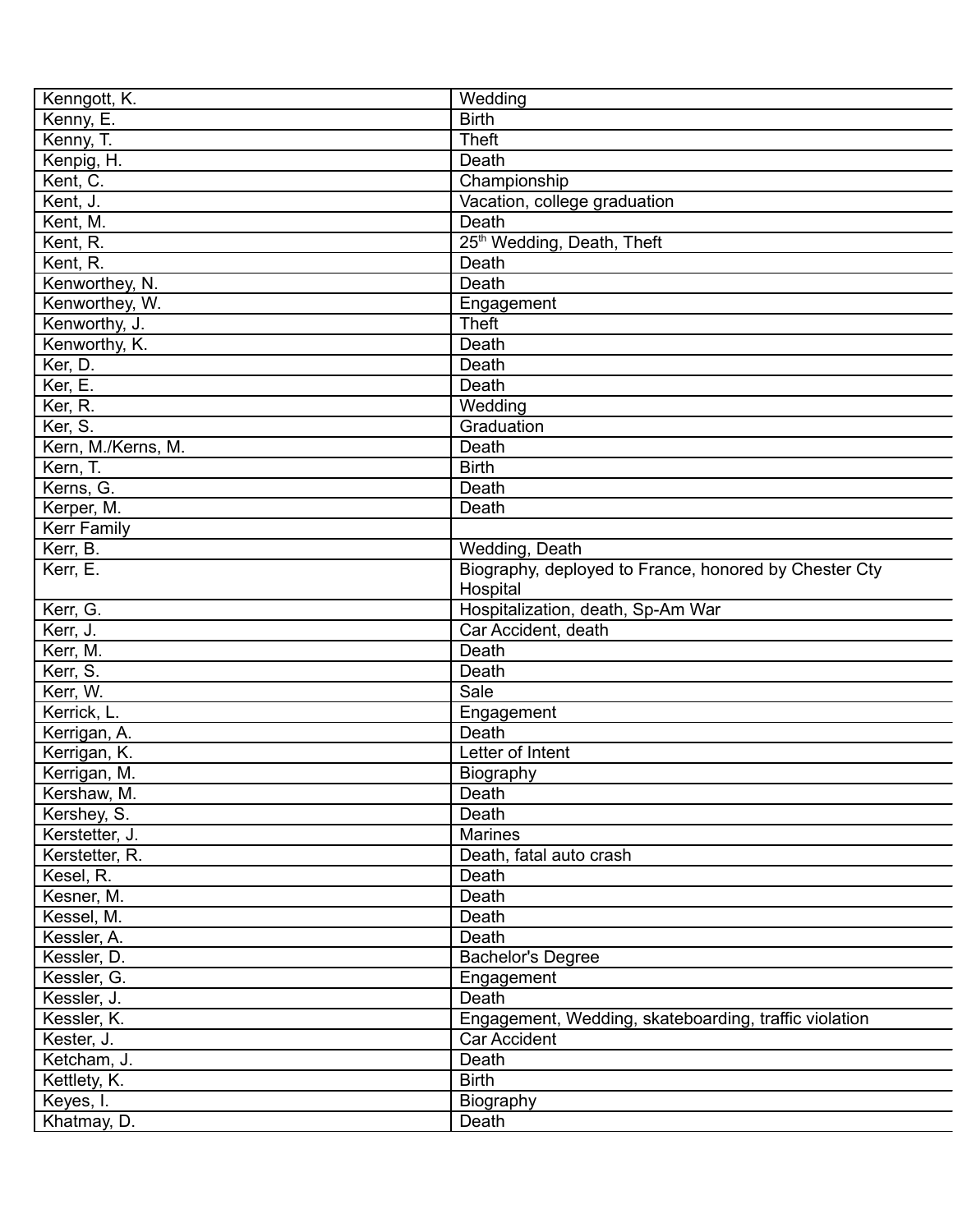| Kenngott, K.       | Wedding                                               |
|--------------------|-------------------------------------------------------|
| Kenny, E.          | <b>Birth</b>                                          |
| Kenny, T.          | <b>Theft</b>                                          |
| Kenpig, H.         | Death                                                 |
| Kent, C.           | Championship                                          |
| Kent, J.           | Vacation, college graduation                          |
| Kent, M.           | Death                                                 |
| Kent, R.           | 25 <sup>th</sup> Wedding, Death, Theft                |
| Kent, R.           | Death                                                 |
| Kenworthey, N.     | Death                                                 |
| Kenworthey, W.     | Engagement                                            |
| Kenworthy, J.      | <b>Theft</b>                                          |
|                    | Death                                                 |
| Kenworthy, K.      | Death                                                 |
| Ker, D.            |                                                       |
| Ker, E.            | Death                                                 |
| Ker, R.            | Wedding                                               |
| Ker, S.            | Graduation                                            |
| Kern, M./Kerns, M. | Death                                                 |
| Kern, T.           | <b>Birth</b>                                          |
| Kerns, G.          | Death                                                 |
| Kerper, M.         | Death                                                 |
| <b>Kerr Family</b> |                                                       |
| Kerr, B.           | Wedding, Death                                        |
| Kerr, E.           | Biography, deployed to France, honored by Chester Cty |
|                    | Hospital                                              |
| Kerr, G.           | Hospitalization, death, Sp-Am War                     |
| Kerr, J.           | Car Accident, death                                   |
| Kerr, M.           | Death                                                 |
| Kerr, S.           | Death                                                 |
| Kerr, W.           | Sale                                                  |
| Kerrick, L.        | Engagement                                            |
| Kerrigan, A.       | Death                                                 |
| Kerrigan, K.       | Letter of Intent                                      |
| Kerrigan, M.       | Biography                                             |
| Kershaw, M.        | Death                                                 |
| Kershey, S.        | Death                                                 |
| Kerstetter, J.     | Marines                                               |
| Kerstetter, R.     | Death, fatal auto crash                               |
| Kesel, R.          | Death                                                 |
| Kesner, M.         | Death                                                 |
| Kessel, M.         | Death                                                 |
| Kessler, A.        | Death                                                 |
| Kessler, D.        | <b>Bachelor's Degree</b>                              |
| Kessler, G.        | Engagement                                            |
| Kessler, J.        | Death                                                 |
| Kessler, K.        | Engagement, Wedding, skateboarding, traffic violation |
| Kester, J.         | Car Accident                                          |
| Ketcham, J.        | Death                                                 |
| Kettlety, K.       | <b>Birth</b>                                          |
| Keyes, I.          | Biography                                             |
| Khatmay, D.        | Death                                                 |
|                    |                                                       |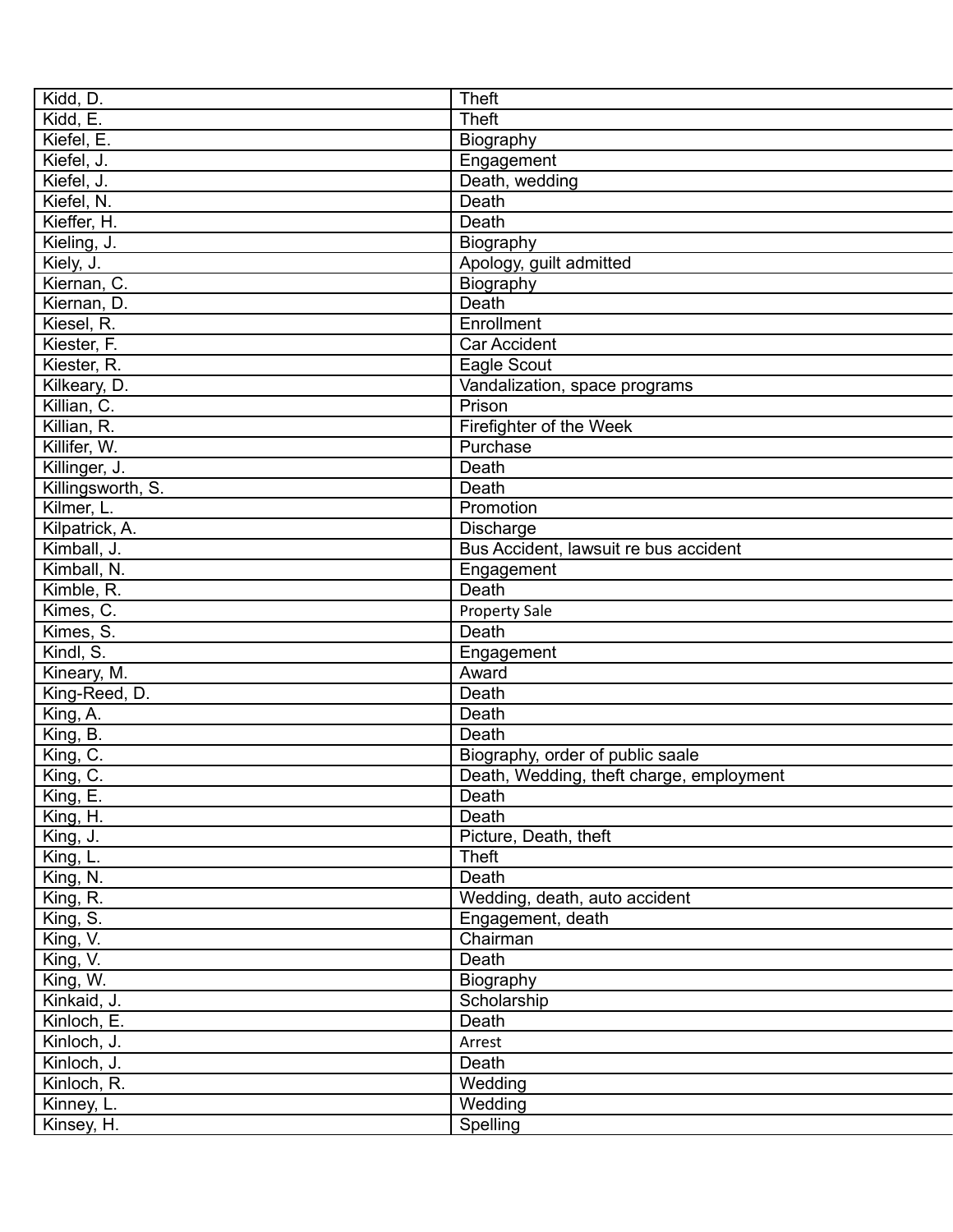| Kidd, D.          | <b>Theft</b>                             |
|-------------------|------------------------------------------|
| Kidd, E.          | <b>Theft</b>                             |
| Kiefel, E.        | Biography                                |
| Kiefel, J.        | Engagement                               |
| Kiefel, J.        | Death, wedding                           |
| Kiefel, N.        | Death                                    |
| Kieffer, H.       | Death                                    |
| Kieling, J.       | Biography                                |
| Kiely, J.         | Apology, guilt admitted                  |
| Kiernan, C.       | Biography                                |
| Kiernan, D.       | Death                                    |
| Kiesel, R.        | Enrollment                               |
| Kiester, F.       | <b>Car Accident</b>                      |
| Kiester, R.       | Eagle Scout                              |
| Kilkeary, D.      | Vandalization, space programs            |
| Killian, C.       | Prison                                   |
| Killian, R.       | Firefighter of the Week                  |
| Killifer, W.      | Purchase                                 |
| Killinger, J.     | Death                                    |
| Killingsworth, S. | Death                                    |
| Kilmer, L.        | Promotion                                |
| Kilpatrick, A.    | Discharge                                |
| Kimball, J.       | Bus Accident, lawsuit re bus accident    |
| Kimball, N.       | Engagement                               |
| Kimble, R.        | Death                                    |
| Kimes, C.         |                                          |
|                   | <b>Property Sale</b>                     |
| Kimes, S.         | Death                                    |
| Kim, S.           | Engagement                               |
| Kineary, M.       | Award                                    |
| King-Reed, D.     | Death                                    |
| King, A.          | Death                                    |
| King, B.          | Death                                    |
| King, C.          | Biography, order of public saale         |
| King, C.          | Death, Wedding, theft charge, employment |
| King, E.          | Death                                    |
| King, H.          | Death                                    |
| King, J.          | Picture, Death, theft                    |
| King, L.          | Theft                                    |
| King, N.          | Death                                    |
| King, R.          | Wedding, death, auto accident            |
| King, S.          | Engagement, death                        |
| King, V.          | Chairman                                 |
| King, V.          | Death                                    |
| King, W.          | Biography                                |
| Kinkaid, J.       | Scholarship                              |
| Kinloch, E.       | Death                                    |
| Kinloch, J.       | Arrest                                   |
| Kinloch, J.       | Death                                    |
| Kinloch, R.       | Wedding                                  |
| Kinney, L.        | Wedding                                  |
| Kinsey, H.        | Spelling                                 |
|                   |                                          |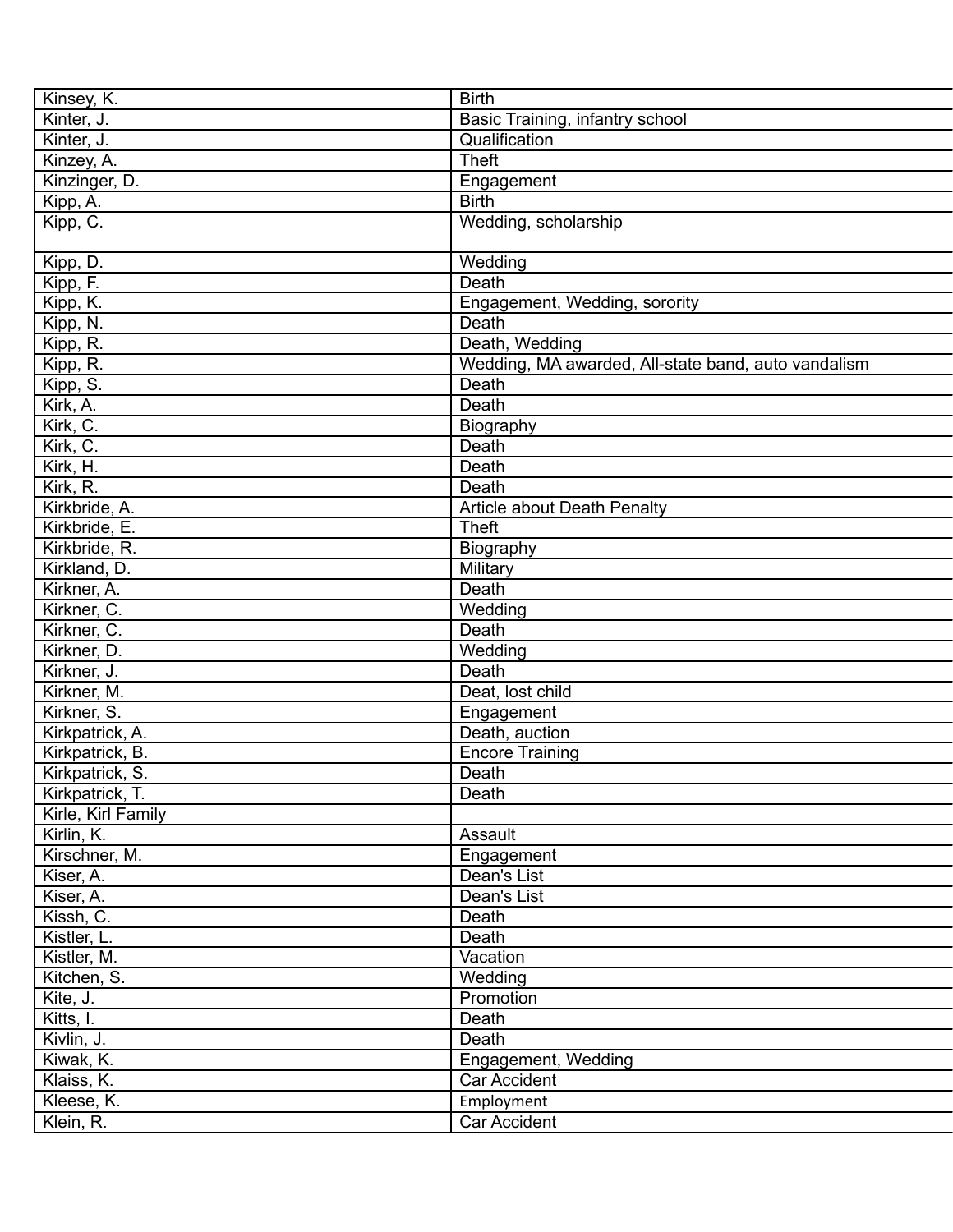| Kinsey, K.         | <b>Birth</b>                                        |
|--------------------|-----------------------------------------------------|
| Kinter, J.         | Basic Training, infantry school                     |
| Kinter, J.         | Qualification                                       |
| Kinzey, A.         | <b>Theft</b>                                        |
| Kinzinger, D.      | Engagement                                          |
| Kipp, A.           | <b>Birth</b>                                        |
| Kipp, C.           | Wedding, scholarship                                |
|                    |                                                     |
| Kipp, D.           | Wedding                                             |
| Kipp, F.           | Death                                               |
| Kipp, K.           | Engagement, Wedding, sorority                       |
| Kipp, N.           | Death                                               |
| Kipp, R.           | Death, Wedding                                      |
| Kipp, R.           | Wedding, MA awarded, All-state band, auto vandalism |
| Kipp, S.           | Death                                               |
| Kirk, A.           | Death                                               |
| Kirk, C.           | Biography                                           |
| Kirk, C.           | Death                                               |
| Kirk, H.           | Death                                               |
| Kirk, R.           | Death                                               |
| Kirkbride, A.      | Article about Death Penalty                         |
| Kirkbride, E.      | <b>Theft</b>                                        |
| Kirkbride, R.      | Biography                                           |
| Kirkland, D.       | Military                                            |
| Kirkner, A.        | Death                                               |
| Kirkner, C.        | Wedding                                             |
| Kirkner, C.        | Death                                               |
| Kirkner, D.        | Wedding                                             |
| Kirkner, J.        | Death                                               |
| Kirkner, M.        | Deat, lost child                                    |
| Kirkner, S.        | Engagement                                          |
| Kirkpatrick, A.    | Death, auction                                      |
| Kirkpatrick, B.    | <b>Encore Training</b>                              |
| Kirkpatrick, S.    | Death                                               |
| Kirkpatrick, T.    | Death                                               |
| Kirle, Kirl Family |                                                     |
| Kirlin, K.         | Assault                                             |
| Kirschner, M.      | Engagement                                          |
| Kiser, A.          | Dean's List                                         |
| Kiser, A.          | Dean's List                                         |
| Kissh, C.          | Death                                               |
| Kistler, L.        | Death                                               |
| Kistler, M.        | Vacation                                            |
| Kitchen, S.        | Wedding                                             |
| Kite, J.           | Promotion                                           |
| Kitts, I.          | Death                                               |
| Kivlin, J.         | Death                                               |
| Kiwak, K.          | Engagement, Wedding                                 |
| Klaiss, K.         | Car Accident                                        |
| Kleese, K.         | Employment                                          |
| Klein, R.          | Car Accident                                        |
|                    |                                                     |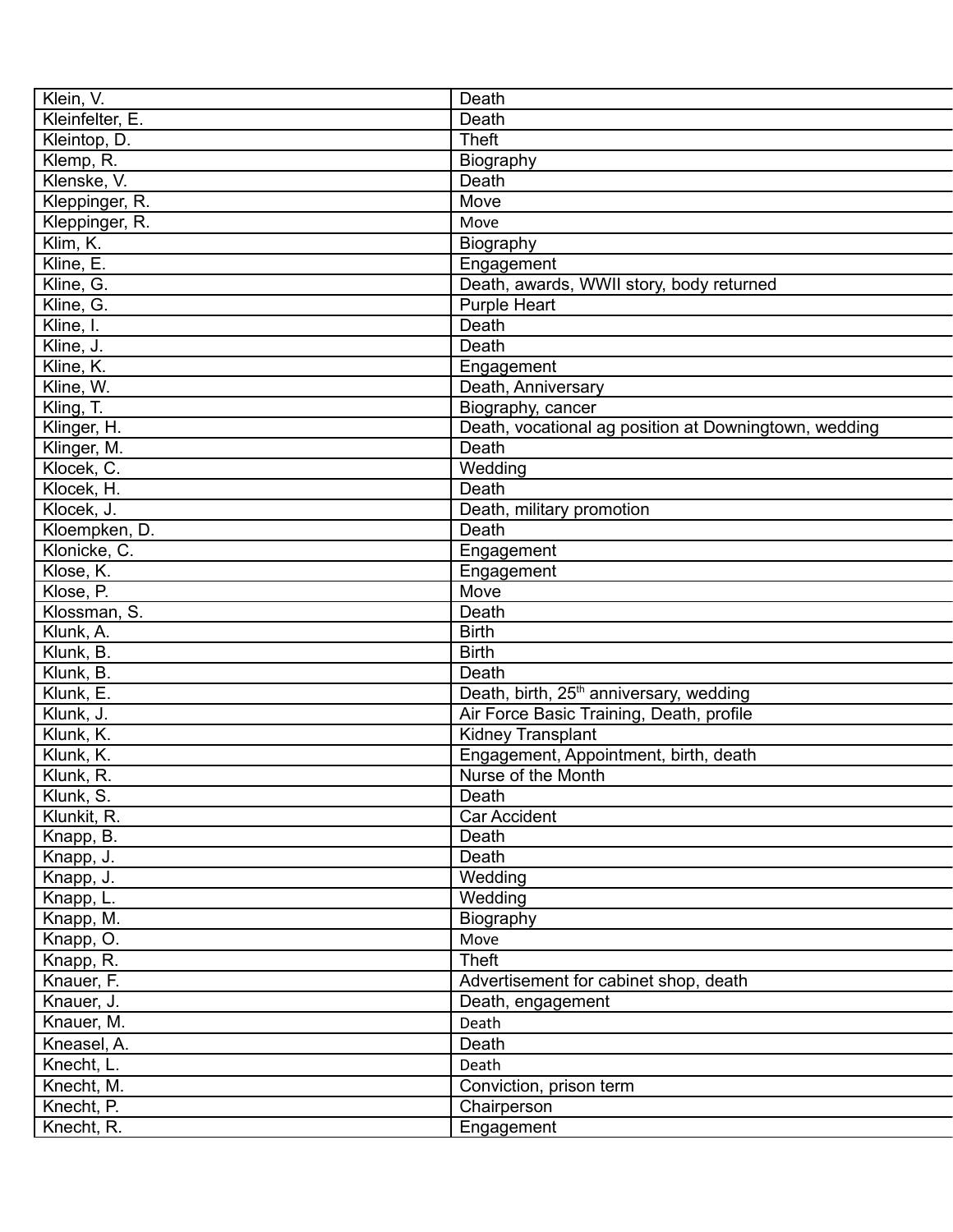| Klein, V.       | Death                                                 |
|-----------------|-------------------------------------------------------|
| Kleinfelter, E. | Death                                                 |
| Kleintop, D.    | Theft                                                 |
| Klemp, R.       | Biography                                             |
| Klenske, V.     | Death                                                 |
| Kleppinger, R.  | Move                                                  |
| Kleppinger, R.  | Move                                                  |
| Klim, K.        | Biography                                             |
| Kline, E.       | Engagement                                            |
| Kline, G.       | Death, awards, WWII story, body returned              |
| Kline, G.       | <b>Purple Heart</b>                                   |
| Kline, I.       | Death                                                 |
| Kline, J.       | Death                                                 |
| Kline, K.       | Engagement                                            |
| Kline, W.       | Death, Anniversary                                    |
| Kling, T.       | Biography, cancer                                     |
| Klinger, H.     | Death, vocational ag position at Downingtown, wedding |
| Klinger, M.     | Death                                                 |
| Klocek, C.      | Wedding                                               |
| Klocek, H.      | Death                                                 |
| Klocek, J.      | Death, military promotion                             |
| Kloempken, D.   | Death                                                 |
| Klonicke, C.    | Engagement                                            |
| Klose, K.       | Engagement                                            |
| Klose, P.       | Move                                                  |
| Klossman, S.    | Death                                                 |
| Klunk, A.       | <b>Birth</b>                                          |
| Klunk, B.       | <b>Birth</b>                                          |
| Klunk, B.       | Death                                                 |
| Klunk, E.       | Death, birth, 25 <sup>th</sup> anniversary, wedding   |
| Klunk, J.       | Air Force Basic Training, Death, profile              |
| Klunk, K.       | Kidney Transplant                                     |
| Klunk, K.       | Engagement, Appointment, birth, death                 |
| Klunk, R.       | Nurse of the Month                                    |
|                 | Death                                                 |
| Klunk, S.       |                                                       |
| Klunkit, R.     | <b>Car Accident</b>                                   |
| Knapp, B.       | Death<br>Death                                        |
| Knapp, J.       | Wedding                                               |
| Knapp, J.       |                                                       |
| Knapp, L.       | Wedding                                               |
| Knapp, M.       | Biography                                             |
| Knapp, O.       | Move                                                  |
| Knapp, R.       | <b>Theft</b>                                          |
| Knauer, F.      | Advertisement for cabinet shop, death                 |
| Knauer, J.      | Death, engagement                                     |
| Knauer, M.      | Death                                                 |
| Kneasel, A.     | Death                                                 |
| Knecht, L.      | Death                                                 |
| Knecht, M.      | Conviction, prison term                               |
| Knecht, P.      | Chairperson                                           |
| Knecht, R.      | Engagement                                            |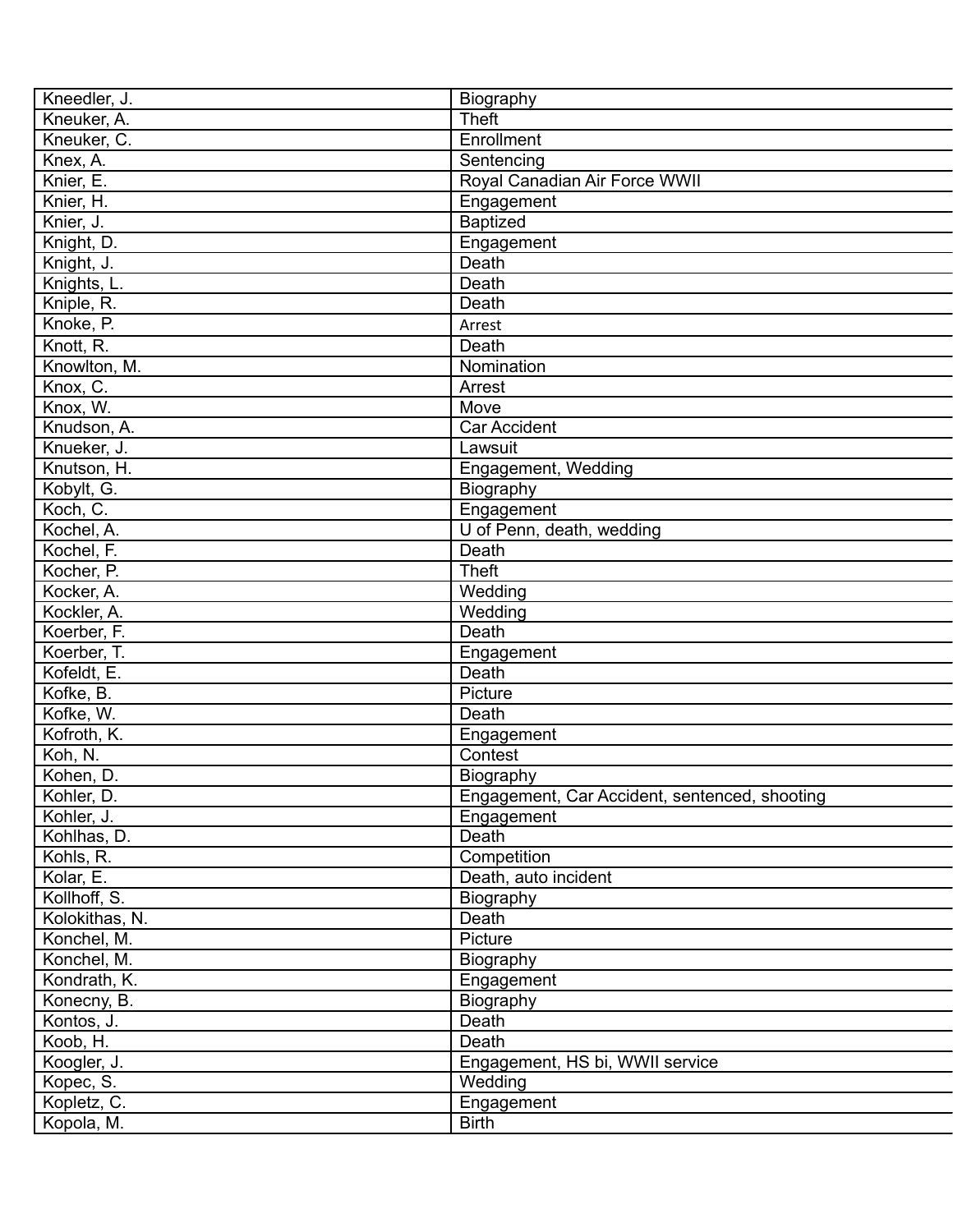| Kneedler, J.             | Biography                                     |
|--------------------------|-----------------------------------------------|
| Kneuker, A.              | <b>Theft</b>                                  |
| Kneuker, C.              | Enrollment                                    |
| Knex, A.                 | Sentencing                                    |
| Knier, E.                | Royal Canadian Air Force WWII                 |
| Knier, H.                | Engagement                                    |
| Knier, J.                | <b>Baptized</b>                               |
| Knight, D.               | Engagement                                    |
| Knight, J.               | Death                                         |
| Knights, L.              | Death                                         |
| Kniple, R.               | Death                                         |
| Knoke, P.                | Arrest                                        |
| Knott, R.                | Death                                         |
| Knowlton, M.             | Nomination                                    |
| Knox, C.                 | Arrest                                        |
| Knox, W.                 | Move                                          |
| Knudson, A.              | <b>Car Accident</b>                           |
| Knueker, J.              | Lawsuit                                       |
| Knutson, H.              | Engagement, Wedding                           |
| Kobylt, G.               | Biography                                     |
| Koch, C.                 | Engagement                                    |
| Kochel, A.               | U of Penn, death, wedding                     |
| Kochel, F.               | Death                                         |
|                          | <b>Theft</b>                                  |
| Kocher, P.<br>Kocker, A. | Wedding                                       |
|                          |                                               |
| Kockler, A.              | Wedding                                       |
| Koerber, F.              | Death                                         |
| Koerber, T.              | Engagement                                    |
| Kofeldt, E.              | Death                                         |
| Kofke, B.                | Picture                                       |
| Kofke, W.                | Death                                         |
| Kofroth, K.              | Engagement                                    |
| Koh, N.                  | Contest                                       |
| Kohen, D.                | Biography                                     |
| Kohler, D.               | Engagement, Car Accident, sentenced, shooting |
| Kohler, J.               | Engagement                                    |
| Kohlhas, D.              | Death                                         |
| Kohls, R.                | Competition                                   |
| Kolar, E.                | Death, auto incident                          |
| Kollhoff, S.             | Biography                                     |
| Kolokithas, N.           | Death                                         |
| Konchel, M.              | Picture                                       |
| Konchel, M.              | Biography                                     |
| Kondrath, K.             | Engagement                                    |
| Konecny, B.              | Biography                                     |
| Kontos, J.               | Death                                         |
| Koob, H.                 | Death                                         |
| Koogler, J.              | Engagement, HS bi, WWII service               |
| Kopec, S.                | Wedding                                       |
| Kopletz, C.              | Engagement                                    |
| Kopola, M.               | <b>Birth</b>                                  |
|                          |                                               |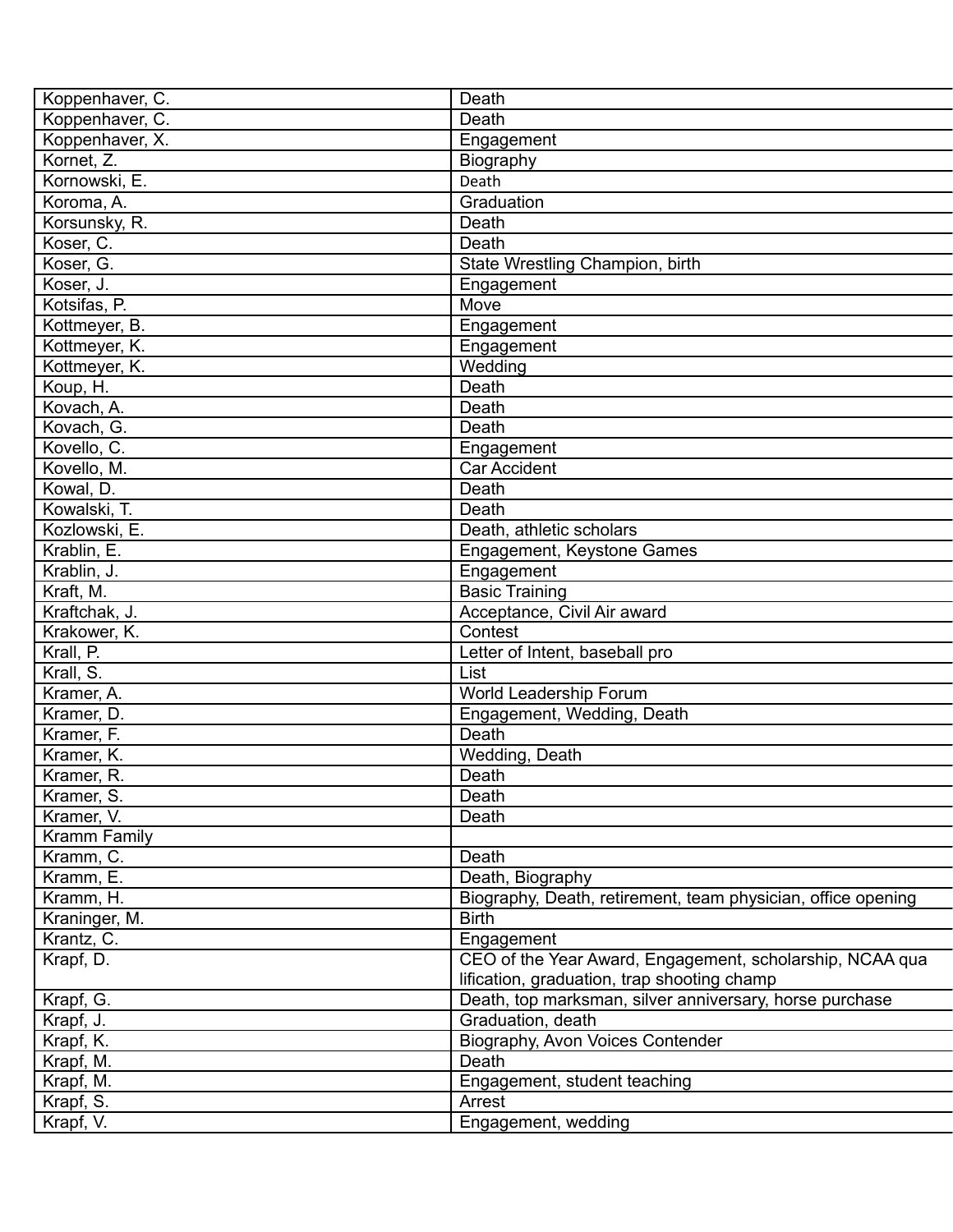| Koppenhaver, C. | Death                                                        |
|-----------------|--------------------------------------------------------------|
| Koppenhaver, C. | Death                                                        |
| Koppenhaver, X. | Engagement                                                   |
| Kornet, Z.      | Biography                                                    |
| Kornowski, E.   | Death                                                        |
| Koroma, A.      | Graduation                                                   |
| Korsunsky, R.   | Death                                                        |
| Koser, C.       | Death                                                        |
| Koser, G.       | State Wrestling Champion, birth                              |
| Koser, J.       | Engagement                                                   |
| Kotsifas, P.    | Move                                                         |
| Kottmeyer, B.   | Engagement                                                   |
| Kottmeyer, K.   | Engagement                                                   |
| Kottmeyer, K.   | Wedding                                                      |
| Koup, H.        | Death                                                        |
| Kovach, A.      | Death                                                        |
| Kovach, G.      | Death                                                        |
| Kovello, C.     | Engagement                                                   |
| Kovello, M.     | <b>Car Accident</b>                                          |
| Kowal, D.       | Death                                                        |
| Kowalski, T.    | Death                                                        |
| Kozlowski, E.   | Death, athletic scholars                                     |
| Krablin, E.     | Engagement, Keystone Games                                   |
| Krablin, J.     | Engagement                                                   |
| Kraft, M.       | <b>Basic Training</b>                                        |
| Kraftchak, J.   | Acceptance, Civil Air award                                  |
| Krakower, K.    | Contest                                                      |
| Krall, P.       | Letter of Intent, baseball pro                               |
| Krall, S.       | List                                                         |
| Kramer, A.      | World Leadership Forum                                       |
| Kramer, D.      | Engagement, Wedding, Death                                   |
| Kramer, F.      | Death                                                        |
|                 |                                                              |
| Kramer, K.      | Wedding, Death                                               |
| Kramer, R.      | Death                                                        |
| Kramer, S.      | Death                                                        |
| Kramer, V.      | Death                                                        |
| Kramm Family    |                                                              |
| Kramm, C.       | Death                                                        |
| Kramm, E.       | Death, Biography                                             |
| Kramm, H.       | Biography, Death, retirement, team physician, office opening |
| Kraninger, M.   | <b>Birth</b>                                                 |
| Krantz, C.      | Engagement                                                   |
| Krapf, D.       | CEO of the Year Award, Engagement, scholarship, NCAA qua     |
|                 | lification, graduation, trap shooting champ                  |
| Krapf, G.       | Death, top marksman, silver anniversary, horse purchase      |
| Krapf, J.       | Graduation, death                                            |
| Krapf, K.       | Biography, Avon Voices Contender                             |
| Krapf, M.       | Death                                                        |
| Krapf, M.       | Engagement, student teaching                                 |
| Krapf, S.       | Arrest                                                       |
| Krapf, V.       | Engagement, wedding                                          |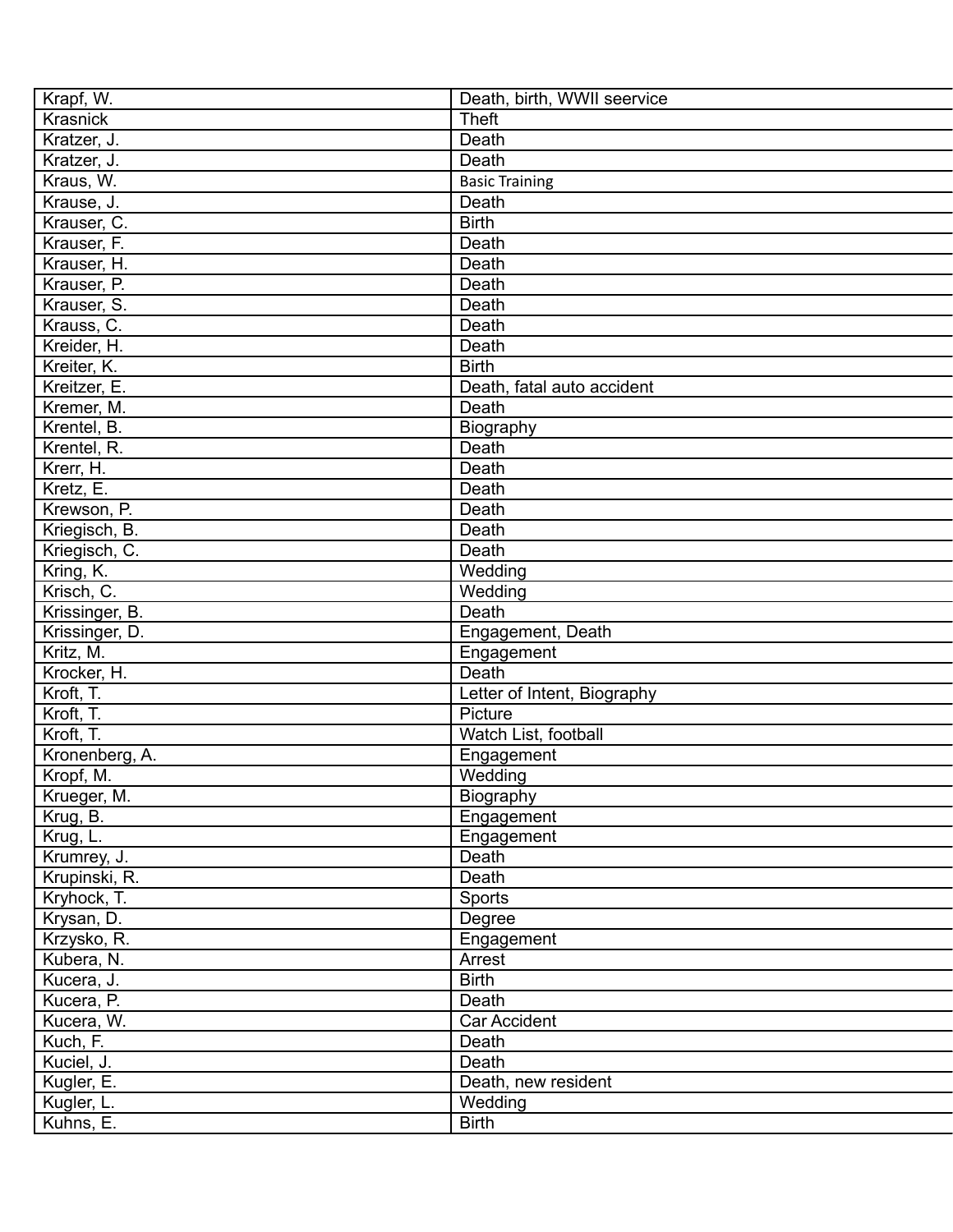| Krapf, W.                    | Death, birth, WWII seervice |
|------------------------------|-----------------------------|
| <b>Krasnick</b>              | <b>Theft</b>                |
| Kratzer, J.                  | Death                       |
| Kratzer, J.                  | Death                       |
| Kraus, W.                    | <b>Basic Training</b>       |
| Krause, J.                   | Death                       |
| Krauser, C.                  | <b>Birth</b>                |
| Krauser, F.                  | Death                       |
| Krauser, H.                  | Death                       |
| Krauser, P.                  | Death                       |
| Krauser, S.                  | Death                       |
| Krauss, C.                   | Death                       |
| Kreider, H.                  | Death                       |
| Kreiter, K.                  | <b>Birth</b>                |
| Kreitzer, E.                 | Death, fatal auto accident  |
| Kremer, M.                   | Death                       |
| Krentel, B.                  | Biography                   |
| Krentel, R.                  | Death                       |
| Krerr, H.                    | Death                       |
| Kretz, E.                    | Death                       |
| Krewson, P.                  | Death                       |
| Kriegisch, B.                | Death                       |
| Kriegisch, C.                | Death                       |
| Kring, K.                    | Wedding                     |
| Krisch, C.                   | Wedding                     |
| Krissinger, B.               | Death                       |
| Krissinger, D.               | Engagement, Death           |
| Kritz, M.                    | Engagement                  |
| Krocker, H.                  | Death                       |
| Kroft, T.                    | Letter of Intent, Biography |
| Kroft, T.                    | Picture                     |
| Kroft, T.                    | Watch List, football        |
| Kronenberg, A.               | Engagement                  |
| Kropf, M.                    | Wedding                     |
| Krueger, M.                  | Biography                   |
| Krug, B.                     |                             |
|                              | Engagement                  |
| Krug, L.                     | Engagement<br>Death         |
| Krumrey, J.<br>Krupinski, R. | Death                       |
|                              |                             |
| Kryhock, T.                  | Sports                      |
| Krysan, D.                   | Degree                      |
| Krzysko, R.                  | Engagement                  |
| Kubera, N.                   | Arrest                      |
| Kucera, J.                   | <b>Birth</b>                |
| Kucera, P.                   | Death                       |
| Kucera, W.                   | Car Accident                |
| Kuch, F.                     | Death                       |
| Kuciel, J.                   | Death                       |
| Kugler, E.                   | Death, new resident         |
| Kugler, L.                   | Wedding                     |
| Kuhns, E.                    | <b>Birth</b>                |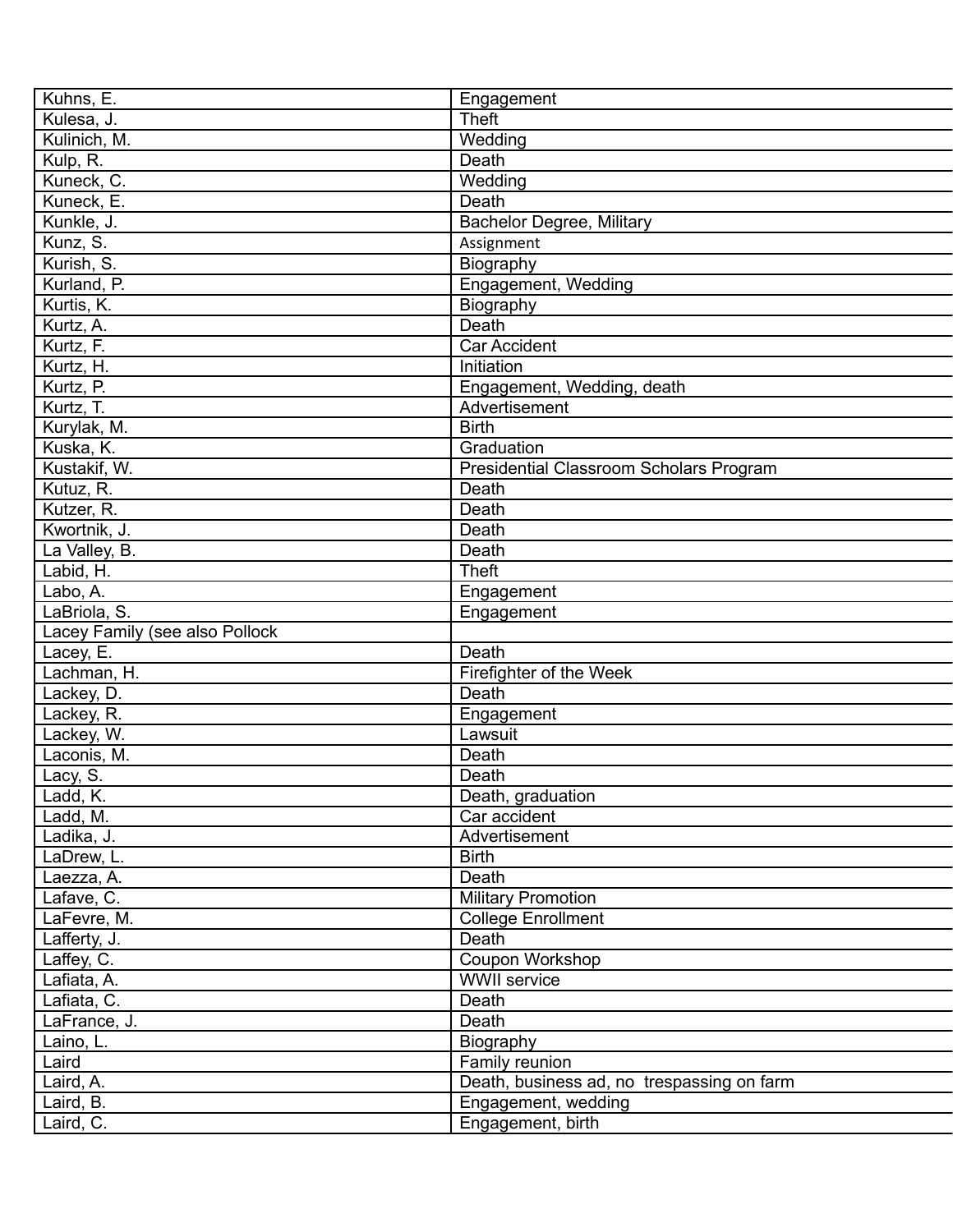| Kuhns, E.     |                                | Engagement                                 |
|---------------|--------------------------------|--------------------------------------------|
| Kulesa, J.    |                                | Theft                                      |
| Kulinich, M.  |                                | Wedding                                    |
| Kulp, R.      |                                | Death                                      |
| Kuneck, C.    |                                | Wedding                                    |
| Kuneck, E.    |                                | Death                                      |
| Kunkle, J.    |                                | <b>Bachelor Degree, Military</b>           |
| Kunz, S.      |                                | Assignment                                 |
| Kurish, S.    |                                | Biography                                  |
| Kurland, P.   |                                | Engagement, Wedding                        |
| Kurtis, K.    |                                | Biography                                  |
| Kurtz, A.     |                                | Death                                      |
| Kurtz, F.     |                                | <b>Car Accident</b>                        |
| Kurtz, H.     |                                | Initiation                                 |
| Kurtz, P.     |                                | Engagement, Wedding, death                 |
| Kurtz, T.     |                                | Advertisement                              |
| Kurylak, M.   |                                | <b>Birth</b>                               |
| Kuska, K.     |                                | Graduation                                 |
| Kustakif, W.  |                                | Presidential Classroom Scholars Program    |
| Kutuz, R.     |                                | Death                                      |
| Kutzer, R.    |                                | Death                                      |
| Kwortnik, J.  |                                | Death                                      |
|               |                                | Death                                      |
| La Valley, B. |                                | <b>Theft</b>                               |
| Labid, H.     |                                |                                            |
| Labo, A.      |                                | Engagement                                 |
| LaBriola, S.  |                                | Engagement                                 |
|               | Lacey Family (see also Pollock |                                            |
| Lacey, E.     |                                | Death                                      |
| Lachman, H.   |                                | Firefighter of the Week                    |
| Lackey, D.    |                                | Death                                      |
| Lackey, R.    |                                | Engagement                                 |
| Lackey, W.    |                                | Lawsuit                                    |
| Laconis, M.   |                                | Death                                      |
| Lacy, S.      |                                | Death                                      |
| Ladd, K.      |                                | Death, graduation                          |
| Ladd, M.      |                                | Car accident                               |
| Ladika, J.    |                                | Advertisement                              |
| LaDrew, L.    |                                | <b>Birth</b>                               |
| Laezza, A.    |                                | Death                                      |
| Lafave, C.    |                                | <b>Military Promotion</b>                  |
| LaFevre, M.   |                                | <b>College Enrollment</b>                  |
| Lafferty, J.  |                                | Death                                      |
| Laffey, C.    |                                | Coupon Workshop                            |
| Lafiata, A.   |                                | <b>WWII</b> service                        |
| Lafiata, C.   |                                | Death                                      |
| LaFrance, J.  |                                | Death                                      |
| Laino, L.     |                                | Biography                                  |
| Laird         |                                | Family reunion                             |
| Laird, A.     |                                | Death, business ad, no trespassing on farm |
| Laird, B.     |                                | Engagement, wedding                        |
| Laird, C.     |                                | Engagement, birth                          |
|               |                                |                                            |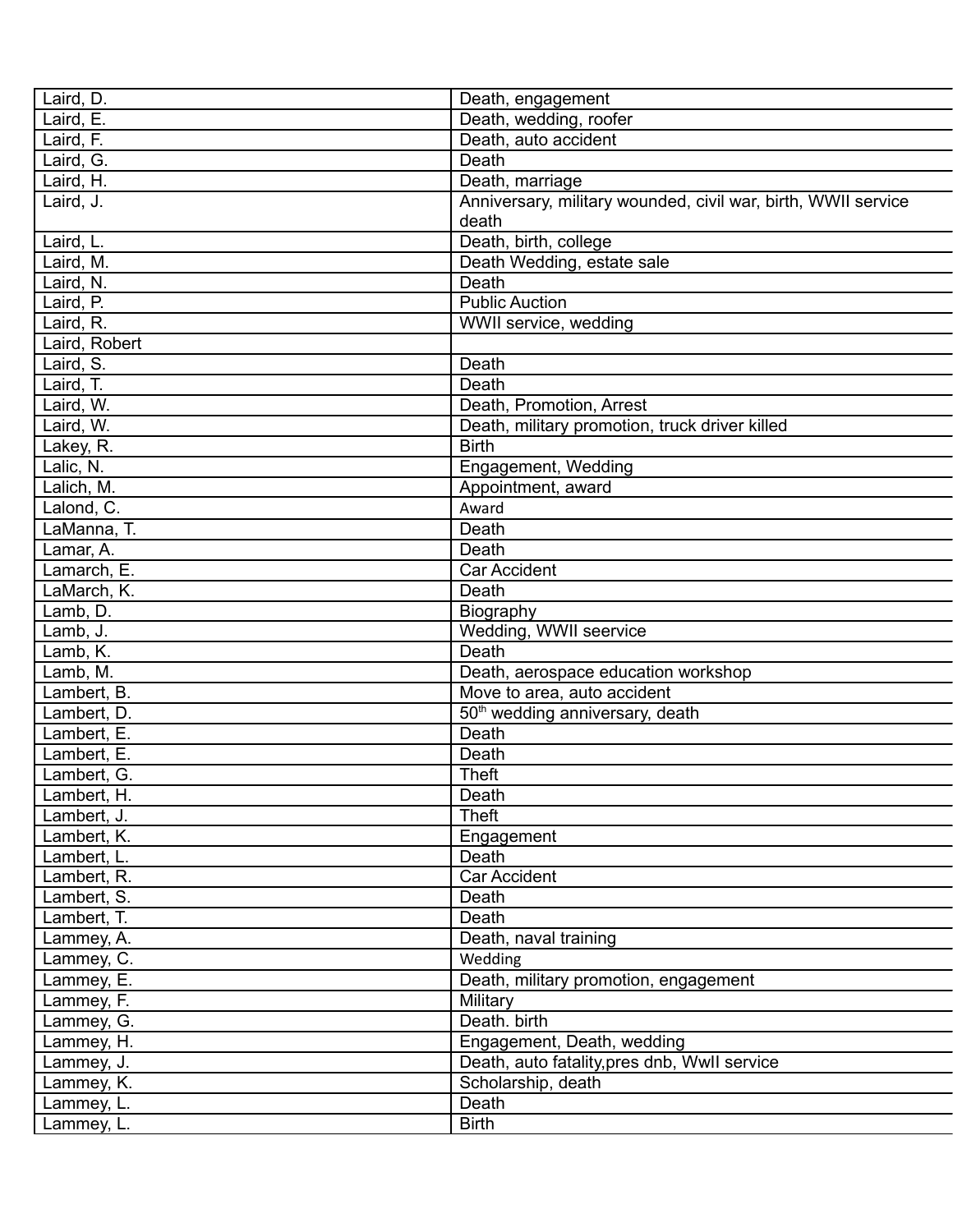| Laird, D.                  | Death, engagement                                             |
|----------------------------|---------------------------------------------------------------|
| Laird, E.                  | Death, wedding, roofer                                        |
| Laird, F.                  | Death, auto accident                                          |
| Laird, G.                  | Death                                                         |
| Laird, H.                  | Death, marriage                                               |
| Laird, J.                  | Anniversary, military wounded, civil war, birth, WWII service |
|                            | death                                                         |
| Laird, L.                  | Death, birth, college                                         |
| Laird, M.                  | Death Wedding, estate sale                                    |
| Laird, N.                  | Death                                                         |
| Laird, P.                  | <b>Public Auction</b>                                         |
| Laird, R.                  | WWII service, wedding                                         |
| Laird, Robert              |                                                               |
| Laird, S.                  | Death                                                         |
| Laird, T.                  | Death                                                         |
| Laird, W.                  | Death, Promotion, Arrest                                      |
| Laird, W.                  | Death, military promotion, truck driver killed                |
| Lakey, R.                  | <b>Birth</b>                                                  |
| Lalic, N.                  | Engagement, Wedding                                           |
| Lalich, M.                 | Appointment, award                                            |
| Lalond, C.                 | Award                                                         |
| LaManna, T.                | Death                                                         |
| Lamar, A.                  | Death                                                         |
| Lamarch, E.                | <b>Car Accident</b>                                           |
| LaMarch, K.                | Death                                                         |
| Lamb, D.                   | Biography                                                     |
| Lamb, J.                   | Wedding, WWII seervice                                        |
| Lamb, K.                   | Death                                                         |
| Lamb, M.                   | Death, aerospace education workshop                           |
| Lambert, B.                | Move to area, auto accident                                   |
| Lambert, D.                | 50 <sup>th</sup> wedding anniversary, death                   |
| Lambert, E.                | Death                                                         |
| Lambert, E.                | Death                                                         |
| Lambert, G.                | <b>Theft</b>                                                  |
|                            | Death                                                         |
| Lambert, H.<br>Lambert, J. | <b>Theft</b>                                                  |
| Lambert, K.                | Engagement                                                    |
| Lambert, L.                | Death                                                         |
| Lambert, R.                | Car Accident                                                  |
|                            |                                                               |
| Lambert, S.<br>Lambert, T. | Death<br>Death                                                |
|                            |                                                               |
| Lammey, A.                 | Death, naval training                                         |
| Lammey, C.                 | Wedding                                                       |
| Lammey, E.                 | Death, military promotion, engagement                         |
| Lammey, F.                 | Military                                                      |
| Lammey, G.                 | Death. birth                                                  |
| Lammey, H.                 | Engagement, Death, wedding                                    |
| Lammey, J.                 | Death, auto fatality, pres dnb, Wwll service                  |
| Lammey, K.                 | Scholarship, death                                            |
| Lammey, L.                 | Death                                                         |
| Lammey, L.                 | <b>Birth</b>                                                  |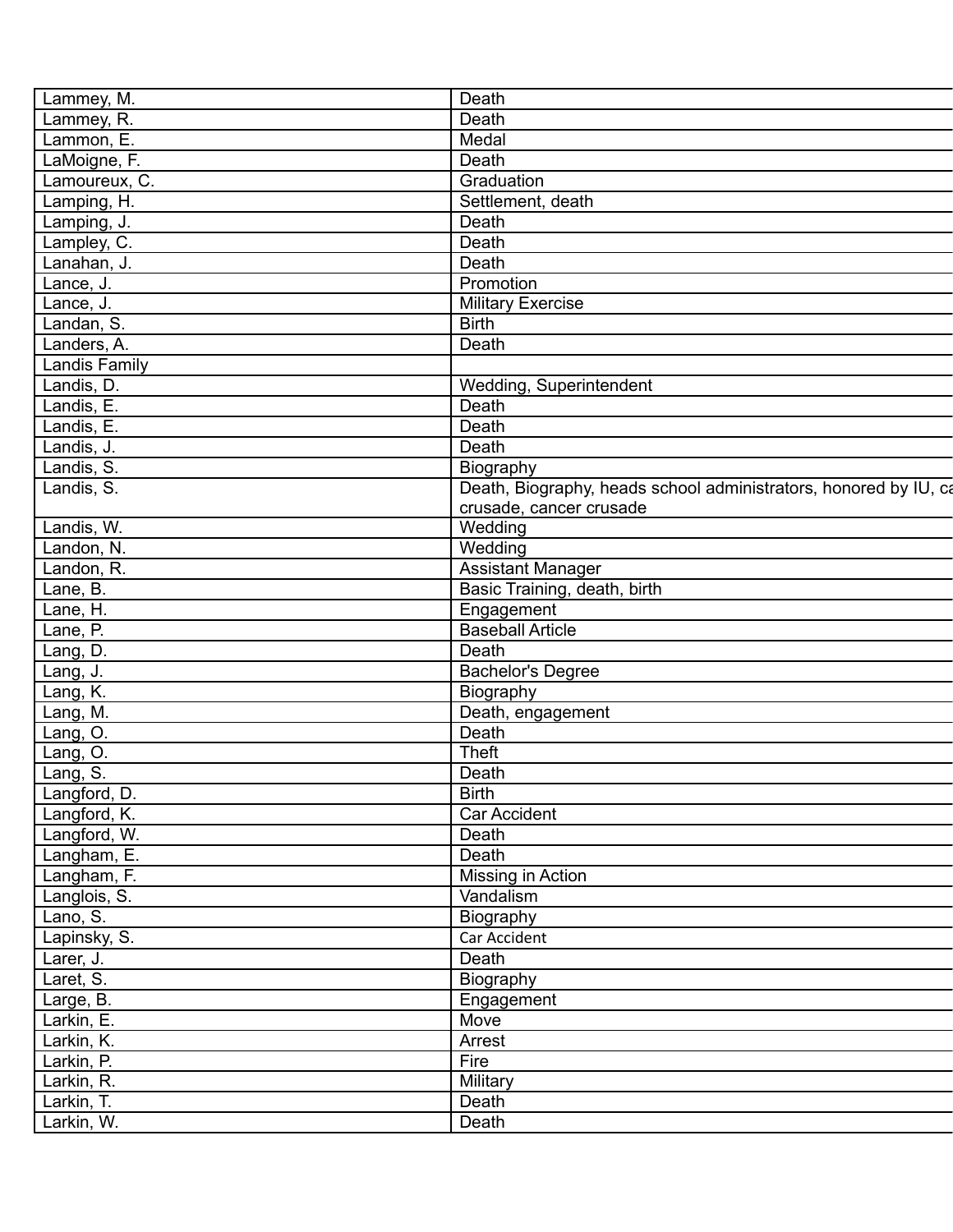| Lammey, M.           | Death                                                            |
|----------------------|------------------------------------------------------------------|
| Lammey, R.           | Death                                                            |
| Lammon, E.           | Medal                                                            |
| LaMoigne, F.         | Death                                                            |
| Lamoureux, C.        | Graduation                                                       |
| Lamping, H.          | Settlement, death                                                |
| Lamping, J.          | Death                                                            |
| Lampley, C.          | Death                                                            |
| Lanahan, J.          | Death                                                            |
| Lance, J.            | Promotion                                                        |
| Lance, J.            | <b>Military Exercise</b>                                         |
| Landan, S.           | <b>Birth</b>                                                     |
| Landers, A.          | Death                                                            |
| <b>Landis Family</b> |                                                                  |
| Landis, D.           | Wedding, Superintendent                                          |
| Landis, E.           | Death                                                            |
| Landis, E.           | Death                                                            |
| Landis, J.           | Death                                                            |
| Landis, S.           | Biography                                                        |
| Landis, S.           | Death, Biography, heads school administrators, honored by IU, ca |
|                      | crusade, cancer crusade                                          |
| Landis, W.           | Wedding                                                          |
| Landon, N.           | Wedding                                                          |
| Landon, R.           | <b>Assistant Manager</b>                                         |
| Lane, B.             | Basic Training, death, birth                                     |
| Lane, H.             | Engagement                                                       |
| Lane, P.             | <b>Baseball Article</b>                                          |
| Lang, D.             | Death                                                            |
| Lang, J.             | <b>Bachelor's Degree</b>                                         |
| Lang, K.             | Biography                                                        |
| Lang, M.             | Death, engagement                                                |
| Lang, O.             | Death                                                            |
| Lang, O.             | <b>Theft</b>                                                     |
| Lang, S.             | Death                                                            |
| Langford, D.         | <b>Birth</b>                                                     |
| Langford, K.         | Car Accident                                                     |
| Langford, W.         | Death                                                            |
| Langham, E.          | Death                                                            |
| Langham, F.          | Missing in Action                                                |
| Langlois, S.         | Vandalism                                                        |
| Lano, S.             | Biography                                                        |
| Lapinsky, S.         | Car Accident                                                     |
| Larer, J.            | Death                                                            |
| Laret, S.            | Biography                                                        |
| Large, B.            | Engagement                                                       |
| Larkin, E.           | Move                                                             |
| Larkin, K.           | Arrest                                                           |
| Larkin, P.           | Fire                                                             |
| Larkin, R.           | Military                                                         |
|                      |                                                                  |
| Larkin, T.           | Death                                                            |
| Larkin, W.           | Death                                                            |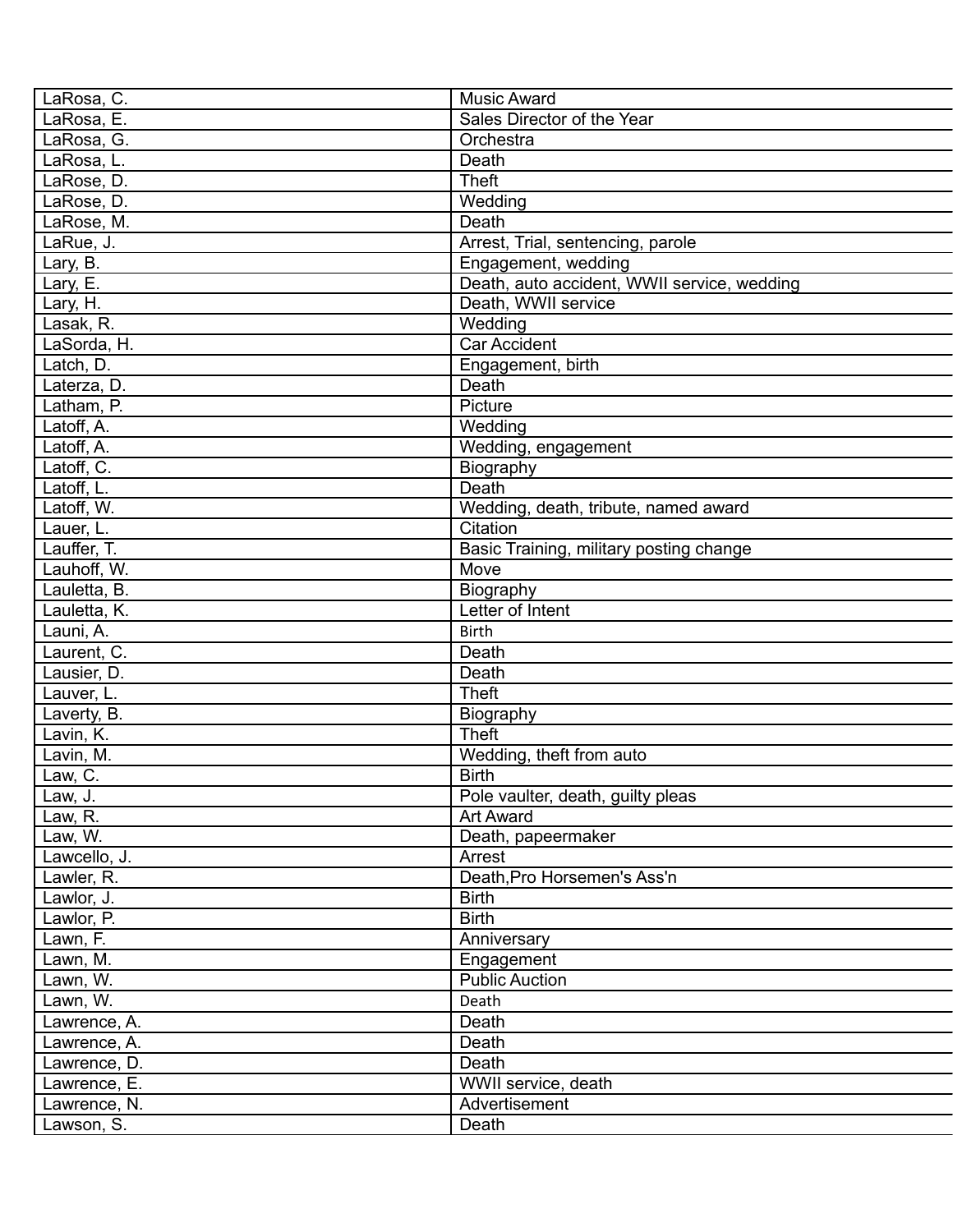| LaRosa, C.   | <b>Music Award</b>                          |
|--------------|---------------------------------------------|
| LaRosa, E.   | Sales Director of the Year                  |
| LaRosa, G.   | Orchestra                                   |
| LaRosa, L.   | Death                                       |
| LaRose, D.   | <b>Theft</b>                                |
| LaRose, D.   | Wedding                                     |
| LaRose, M.   | Death                                       |
| LaRue, J.    | Arrest, Trial, sentencing, parole           |
| Lary, B.     | Engagement, wedding                         |
| Lary, E.     | Death, auto accident, WWII service, wedding |
| Lary, H.     | Death, WWII service                         |
| Lasak, R.    | Wedding                                     |
| LaSorda, H.  | <b>Car Accident</b>                         |
| Latch, D.    | Engagement, birth                           |
| Laterza, D.  | Death                                       |
| Latham, P.   | Picture                                     |
| Latoff, A.   | Wedding                                     |
|              |                                             |
| Latoff, A.   | Wedding, engagement                         |
| Latoff, C.   | Biography                                   |
| Latoff, L.   | Death                                       |
| Latoff, W.   | Wedding, death, tribute, named award        |
| Lauer, L.    | Citation                                    |
| Lauffer, T.  | Basic Training, military posting change     |
| Lauhoff, W.  | Move                                        |
| Lauletta, B. | Biography                                   |
| Lauletta, K. | Letter of Intent                            |
| Launi, A.    | <b>Birth</b>                                |
| Laurent, C.  | Death                                       |
| Lausier, D.  | Death                                       |
| Lauver, L.   | <b>Theft</b>                                |
| Laverty, B.  | Biography                                   |
| Lavin, K.    | <b>Theft</b>                                |
| Lavin, M.    | Wedding, theft from auto                    |
| Law, C.      | <b>Birth</b>                                |
| Law, J.      | Pole vaulter, death, guilty pleas           |
| Law, R.      | <b>Art Award</b>                            |
| Law, W.      | Death, papeermaker                          |
| Lawcello, J. | Arrest                                      |
| Lawler, R.   | Death, Pro Horsemen's Ass'n                 |
| Lawlor, J.   | <b>Birth</b>                                |
| Lawlor, P.   | <b>Birth</b>                                |
| Lawn, F.     | Anniversary                                 |
| Lawn, M.     | Engagement                                  |
| Lawn, W.     | <b>Public Auction</b>                       |
| Lawn, W.     | Death                                       |
| Lawrence, A. | Death                                       |
| Lawrence, A. | Death                                       |
| Lawrence, D. | Death                                       |
| Lawrence, E. | WWII service, death                         |
|              | Advertisement                               |
| Lawrence, N. |                                             |
| Lawson, S.   | Death                                       |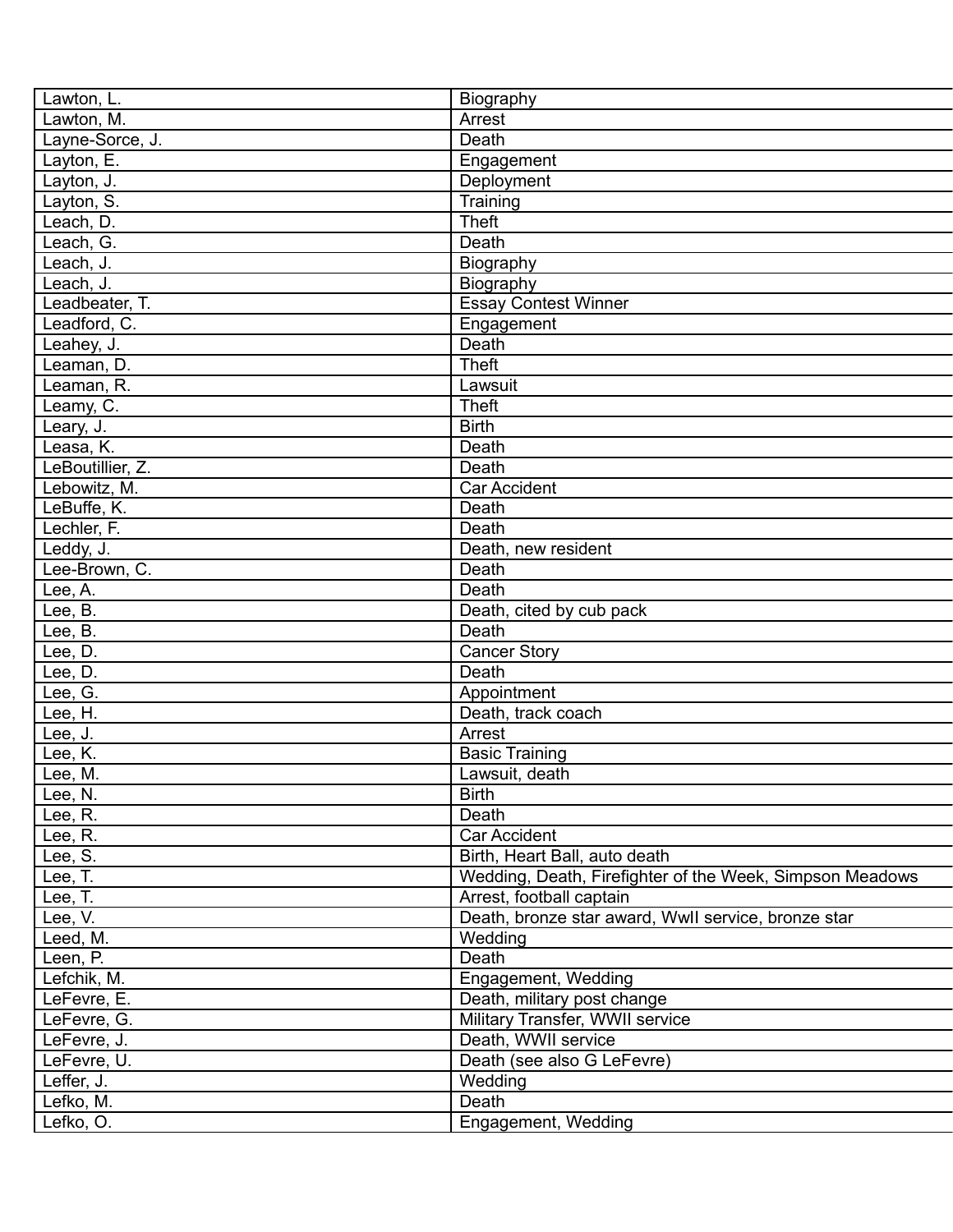| Lawton, L.       | Biography                                                |
|------------------|----------------------------------------------------------|
| Lawton, M.       | Arrest                                                   |
| Layne-Sorce, J.  | Death                                                    |
| Layton, E.       | Engagement                                               |
| Layton, J.       | Deployment                                               |
| Layton, S.       | Training                                                 |
| Leach, D.        | <b>Theft</b>                                             |
| Leach, G.        | Death                                                    |
| Leach, J.        | Biography                                                |
| Leach, J.        | Biography                                                |
| Leadbeater, T.   | <b>Essay Contest Winner</b>                              |
| Leadford, C.     | Engagement                                               |
| Leahey, J.       | Death                                                    |
| Leaman, D.       | <b>Theft</b>                                             |
| Leaman, R.       | Lawsuit                                                  |
| Leamy, C.        | <b>Theft</b>                                             |
| Leary, J.        | <b>Birth</b>                                             |
| Leasa, K.        | Death                                                    |
| LeBoutillier, Z. | Death                                                    |
| Lebowitz, M.     | <b>Car Accident</b>                                      |
| LeBuffe, K.      | Death                                                    |
| Lechler, F.      | Death                                                    |
| Leddy, J.        | Death, new resident                                      |
| Lee-Brown, C.    | Death                                                    |
| Lee, A.          | Death                                                    |
| Lee, B.          | Death, cited by cub pack                                 |
| Lee, B.          | Death                                                    |
| Lee, D.          | <b>Cancer Story</b>                                      |
| Lee, D.          | Death                                                    |
| Lee, G.          | Appointment                                              |
| Lee, H.          | Death, track coach                                       |
| Lee, J.          | Arrest                                                   |
| Lee, K.          | <b>Basic Training</b>                                    |
| Lee, M.          | Lawsuit, death                                           |
| Lee, N.          | <b>Birth</b>                                             |
| Lee, R.          | Death                                                    |
| Lee, R.          | Car Accident                                             |
| Lee, S.          | Birth, Heart Ball, auto death                            |
| Lee, T.          | Wedding, Death, Firefighter of the Week, Simpson Meadows |
| Lee, T.          | Arrest, football captain                                 |
| Lee, V.          | Death, bronze star award, Wwll service, bronze star      |
| Leed, M.         | Wedding                                                  |
| Leen, P.         | Death                                                    |
| Lefchik, M.      | Engagement, Wedding                                      |
| LeFevre, E.      | Death, military post change                              |
| LeFevre, G.      | Military Transfer, WWII service                          |
| LeFevre, J.      | Death, WWII service                                      |
| LeFevre, U.      | Death (see also G LeFevre)                               |
| Leffer, J.       | Wedding                                                  |
| Lefko, M.        | Death                                                    |
| Lefko, O.        | Engagement, Wedding                                      |
|                  |                                                          |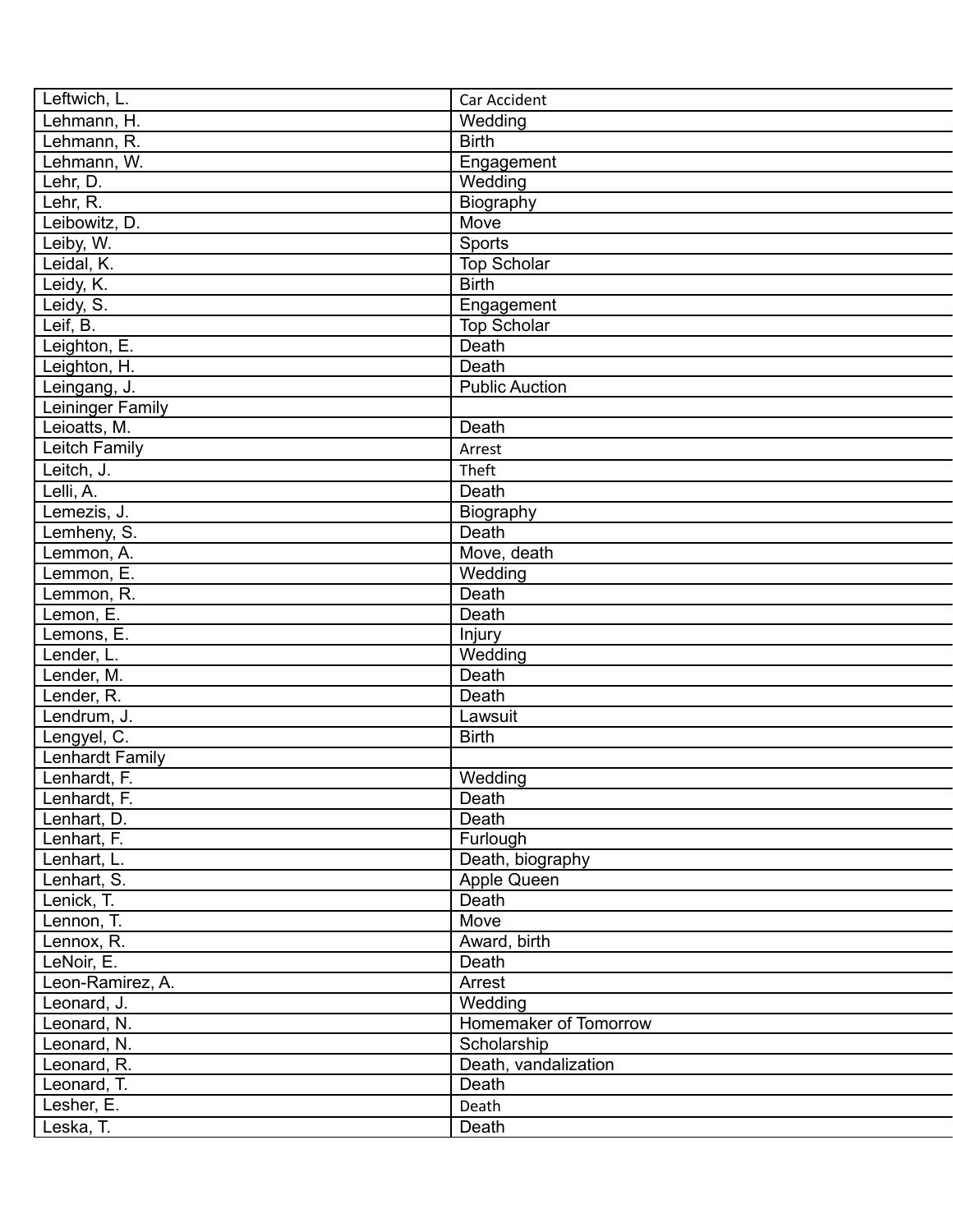| Car Accident          |
|-----------------------|
| Wedding               |
| <b>Birth</b>          |
| Engagement            |
| Wedding               |
| Biography             |
| Move                  |
| Sports                |
| <b>Top Scholar</b>    |
| <b>Birth</b>          |
| Engagement            |
| <b>Top Scholar</b>    |
| Death                 |
| Death                 |
| <b>Public Auction</b> |
|                       |
| Death                 |
| Arrest                |
| Theft                 |
| Death                 |
| Biography             |
| Death                 |
| Move, death           |
| Wedding               |
| Death                 |
| Death                 |
|                       |
| Injury                |
| Wedding               |
| Death                 |
| Death                 |
| Lawsuit               |
| <b>Birth</b>          |
|                       |
| Wedding               |
| Death                 |
| Death                 |
| Furlough              |
| Death, biography      |
| Apple Queen           |
| Death                 |
| Move                  |
| Award, birth          |
| Death                 |
| Arrest                |
| Wedding               |
| Homemaker of Tomorrow |
| Scholarship           |
| Death, vandalization  |
| Death                 |
| Death                 |
| Death                 |
|                       |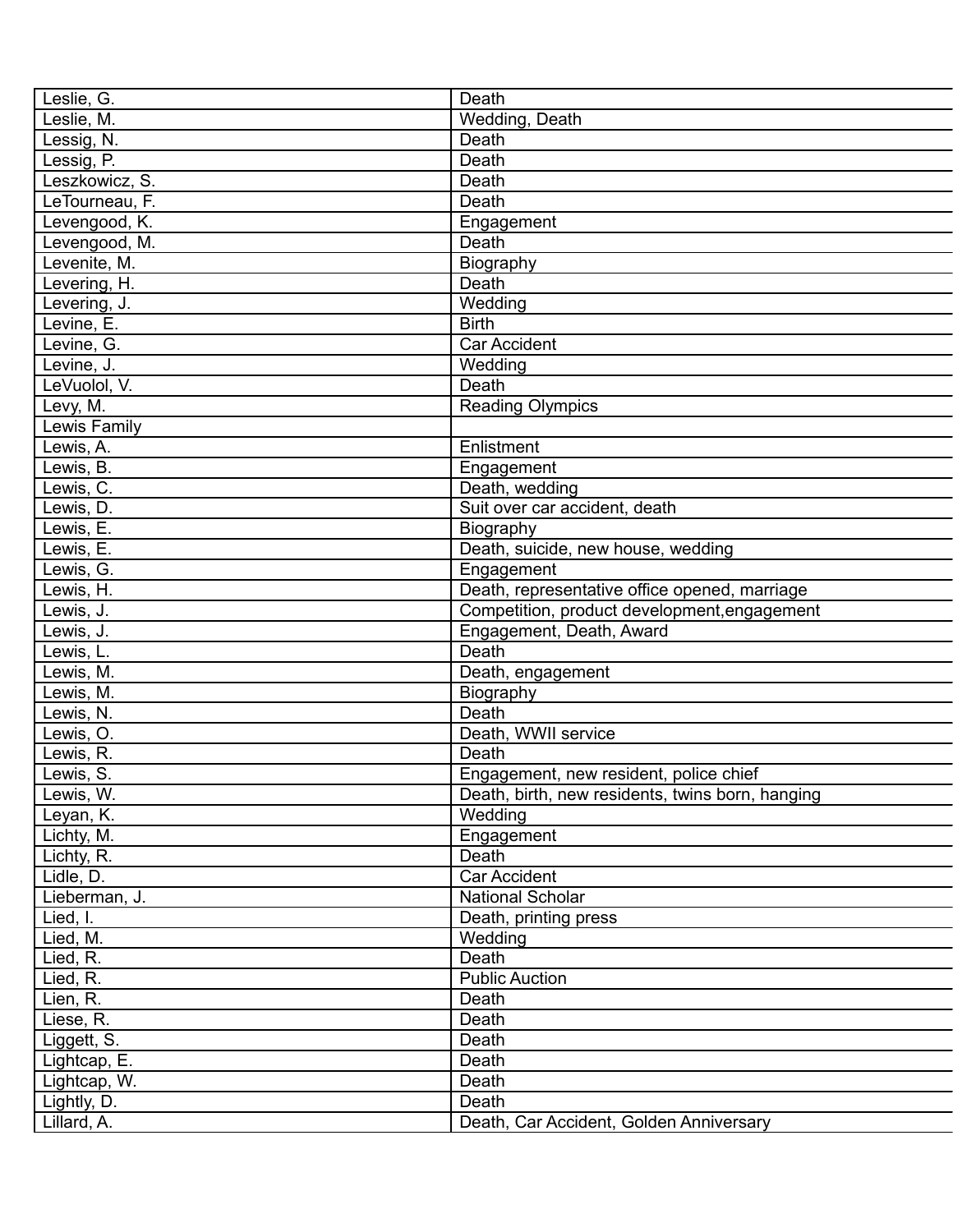| Leslie, G.     | Death                                            |
|----------------|--------------------------------------------------|
| Leslie, M.     | Wedding, Death                                   |
| Lessig, N.     | Death                                            |
| Lessig, P.     | Death                                            |
| Leszkowicz, S. | Death                                            |
| LeTourneau, F. | Death                                            |
| Levengood, K.  | Engagement                                       |
| Levengood, M.  | Death                                            |
| Levenite, M.   | Biography                                        |
| Levering, H.   | Death                                            |
| Levering, J.   | Wedding                                          |
| Levine, E.     | <b>Birth</b>                                     |
| Levine, G.     | <b>Car Accident</b>                              |
| Levine, J.     | Wedding                                          |
| LeVuolol, V.   | Death                                            |
| Levy, M.       | <b>Reading Olympics</b>                          |
| Lewis Family   |                                                  |
| Lewis, A.      | Enlistment                                       |
| Lewis, B.      | Engagement                                       |
| Lewis, C.      | Death, wedding                                   |
| Lewis, D.      | Suit over car accident, death                    |
| Lewis, E.      | Biography                                        |
| Lewis, E.      | Death, suicide, new house, wedding               |
| Lewis, G.      | Engagement                                       |
| Lewis, H.      | Death, representative office opened, marriage    |
| Lewis, J.      | Competition, product development, engagement     |
| Lewis, J.      | Engagement, Death, Award                         |
| Lewis, L.      | Death                                            |
| Lewis, M.      | Death, engagement                                |
| Lewis, M.      | Biography                                        |
| Lewis, N.      | Death                                            |
| Lewis, O.      | Death, WWII service                              |
| Lewis, R.      | Death                                            |
| Lewis, S.      | Engagement, new resident, police chief           |
| Lewis, W.      | Death, birth, new residents, twins born, hanging |
| Leyan, K.      | Wedding                                          |
| Lichty, M.     | Engagement                                       |
| Lichty, R.     | Death                                            |
| Lidle, D.      | Car Accident                                     |
| Lieberman, J.  | <b>National Scholar</b>                          |
| Lied, I.       | Death, printing press                            |
| Lied, M.       | Wedding                                          |
| Lied, R.       | Death                                            |
| Lied, R.       | <b>Public Auction</b>                            |
| Lien, R.       | Death                                            |
| Liese, R.      | Death                                            |
| Liggett, S.    | Death                                            |
| Lightcap, E.   | Death                                            |
| Lightcap, W.   | Death                                            |
| Lightly, D.    | Death                                            |
| Lillard, A.    | Death, Car Accident, Golden Anniversary          |
|                |                                                  |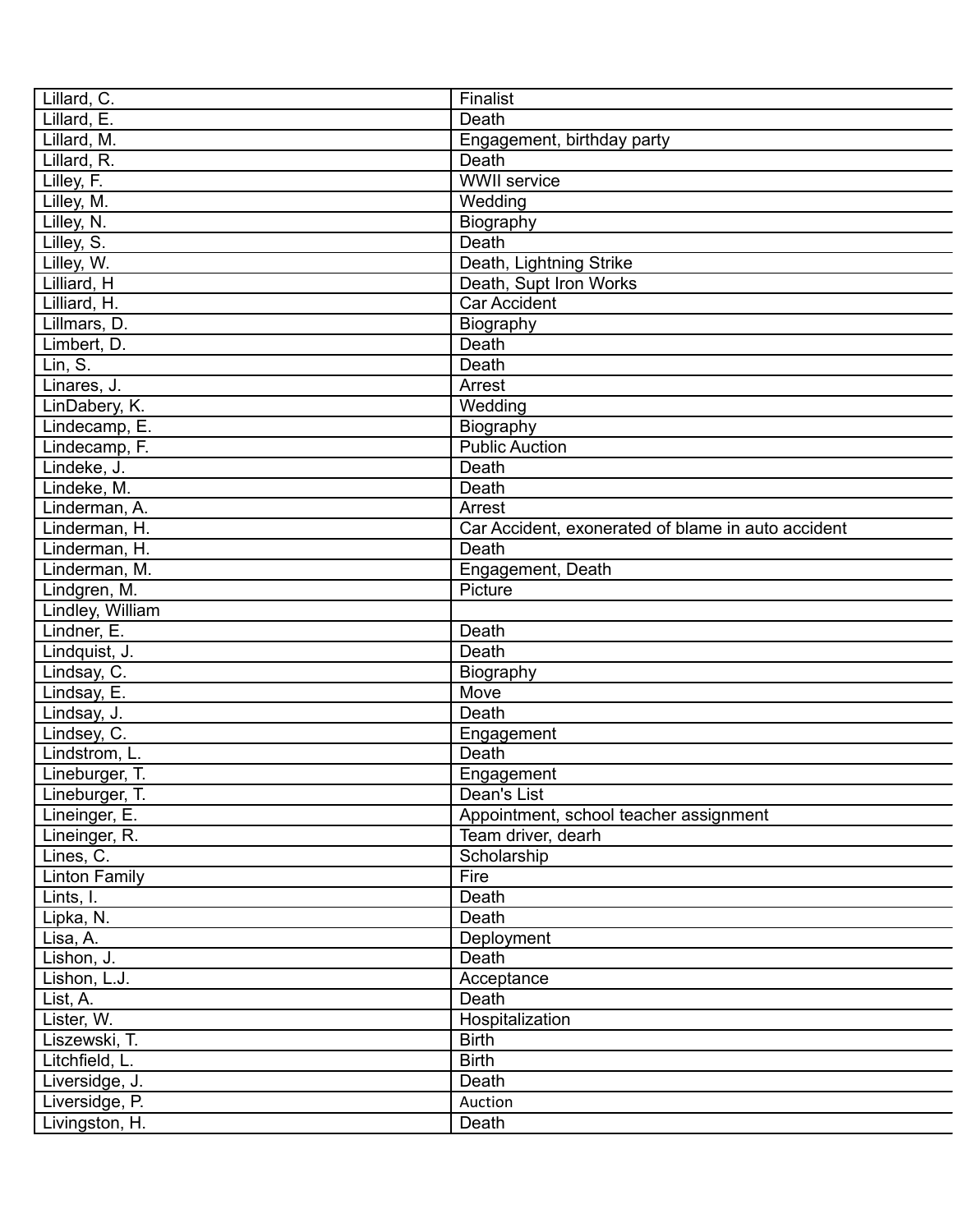| Lillard, C.          | Finalist                                           |
|----------------------|----------------------------------------------------|
| Lillard, E.          | Death                                              |
| Lillard, M.          | Engagement, birthday party                         |
| Lillard, R.          | Death                                              |
| Lilley, F.           | <b>WWII</b> service                                |
| Lilley, M.           | Wedding                                            |
| Lilley, N.           | Biography                                          |
| Lilley, S.           | Death                                              |
| Lilley, W.           | Death, Lightning Strike                            |
| Lilliard, H          | Death, Supt Iron Works                             |
| Lilliard, H.         | <b>Car Accident</b>                                |
| Lillmars, D.         | Biography                                          |
| Limbert, D.          | Death                                              |
| Lin, S.              | Death                                              |
| Linares, J.          | Arrest                                             |
| LinDabery, K.        | Wedding                                            |
| Lindecamp, E.        | Biography                                          |
| Lindecamp, F.        | <b>Public Auction</b>                              |
| Lindeke, J.          | Death                                              |
| Lindeke, M.          | Death                                              |
| Linderman, A.        | Arrest                                             |
| Linderman, H.        | Car Accident, exonerated of blame in auto accident |
| Linderman, H.        | Death                                              |
| Linderman, M.        | Engagement, Death                                  |
| Lindgren, M.         | Picture                                            |
| Lindley, William     |                                                    |
| Lindner, E.          | Death                                              |
| Lindquist, J.        | Death                                              |
| Lindsay, C.          | Biography                                          |
| Lindsay, E.          | Move                                               |
| Lindsay, J.          | Death                                              |
| Lindsey, C.          | Engagement                                         |
| Lindstrom, L.        | Death                                              |
| Lineburger, T.       | Engagement                                         |
| Lineburger, T.       | Dean's List                                        |
| Lineinger, E.        | Appointment, school teacher assignment             |
| Lineinger, R.        | Team driver, dearh                                 |
| Lines, C.            | Scholarship                                        |
| <b>Linton Family</b> | Fire                                               |
| Lints, I.            | Death                                              |
| Lipka, N.            | Death                                              |
| Lisa, A.             | Deployment                                         |
| Lishon, J.           | Death                                              |
| Lishon, L.J.         | Acceptance                                         |
| List, A.             | Death                                              |
| Lister, W.           | Hospitalization                                    |
| Liszewski, T.        | <b>Birth</b>                                       |
| Litchfield, L.       | <b>Birth</b>                                       |
| Liversidge, J.       | Death                                              |
| Liversidge, P.       | Auction                                            |
|                      |                                                    |
| Livingston, H.       | Death                                              |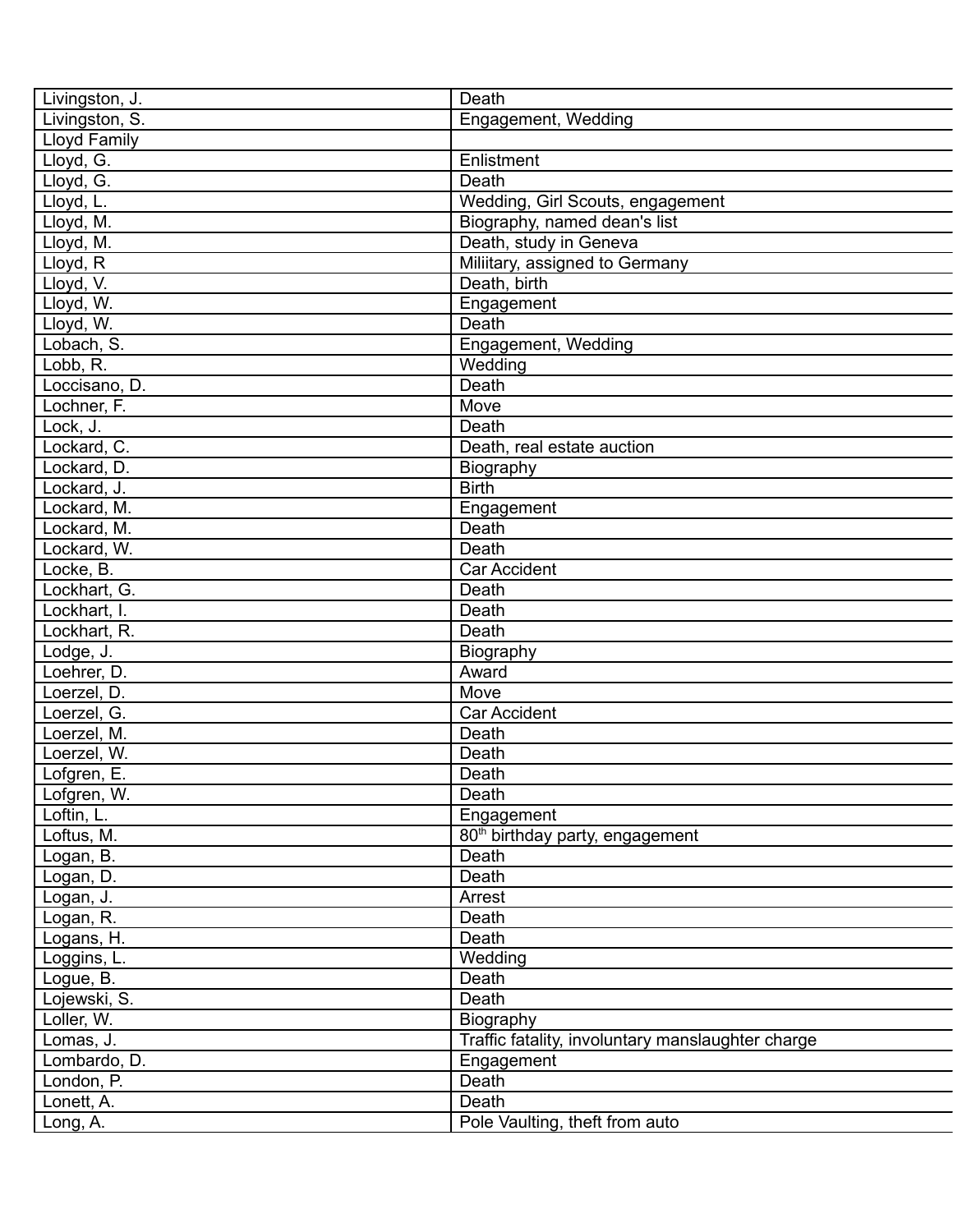| Livingston, J.      | Death                                             |
|---------------------|---------------------------------------------------|
| Livingston, S.      | Engagement, Wedding                               |
| <b>Lloyd Family</b> |                                                   |
| Lloyd, G.           | Enlistment                                        |
| Lloyd, G.           | Death                                             |
| Lloyd, L.           | Wedding, Girl Scouts, engagement                  |
| Lloyd, M.           | Biography, named dean's list                      |
| Lloyd, M.           | Death, study in Geneva                            |
| Lloyd, R            | Miliitary, assigned to Germany                    |
| Lloyd, V.           | Death, birth                                      |
| Lloyd, W.           | Engagement                                        |
| Lloyd, W.           | Death                                             |
| Lobach, S.          | Engagement, Wedding                               |
| Lobb, R.            | Wedding                                           |
| Loccisano, D.       | Death                                             |
| Lochner, F.         | Move                                              |
| Lock, J.            | Death                                             |
| Lockard, C.         | Death, real estate auction                        |
| Lockard, D.         | Biography                                         |
| Lockard, J.         | <b>Birth</b>                                      |
| Lockard, M.         | Engagement                                        |
| Lockard, M.         | Death                                             |
| Lockard, W.         | Death                                             |
| Locke, B.           | <b>Car Accident</b>                               |
| Lockhart, G.        | Death                                             |
|                     |                                                   |
| Lockhart, I.        | Death                                             |
| Lockhart, R.        | Death                                             |
| Lodge, J.           | Biography                                         |
| Loehrer, D.         | Award                                             |
| Loerzel, D.         | Move                                              |
| Loerzel, G.         | <b>Car Accident</b>                               |
| Loerzel, M.         | Death                                             |
| Loerzel, W.         | Death                                             |
| Lofgren, E.         | Death                                             |
| Lofgren, W.         | Death                                             |
| Loftin, L.          | Engagement                                        |
| Loftus, M.          | 80 <sup>th</sup> birthday party, engagement       |
| Logan, B.           | Death                                             |
| Logan, D.           | Death                                             |
| Logan, J.           | Arrest                                            |
| Logan, R.           | Death                                             |
| Logans, H.          | Death                                             |
| Loggins, L.         | Wedding                                           |
| Logue, B.           | Death                                             |
| Lojewski, S.        | Death                                             |
| Loller, W.          | Biography                                         |
| Lomas, J.           | Traffic fatality, involuntary manslaughter charge |
| Lombardo, D.        | Engagement                                        |
| London, P.          | Death                                             |
| Lonett, A.          | Death                                             |
| Long, A.            | Pole Vaulting, theft from auto                    |
|                     |                                                   |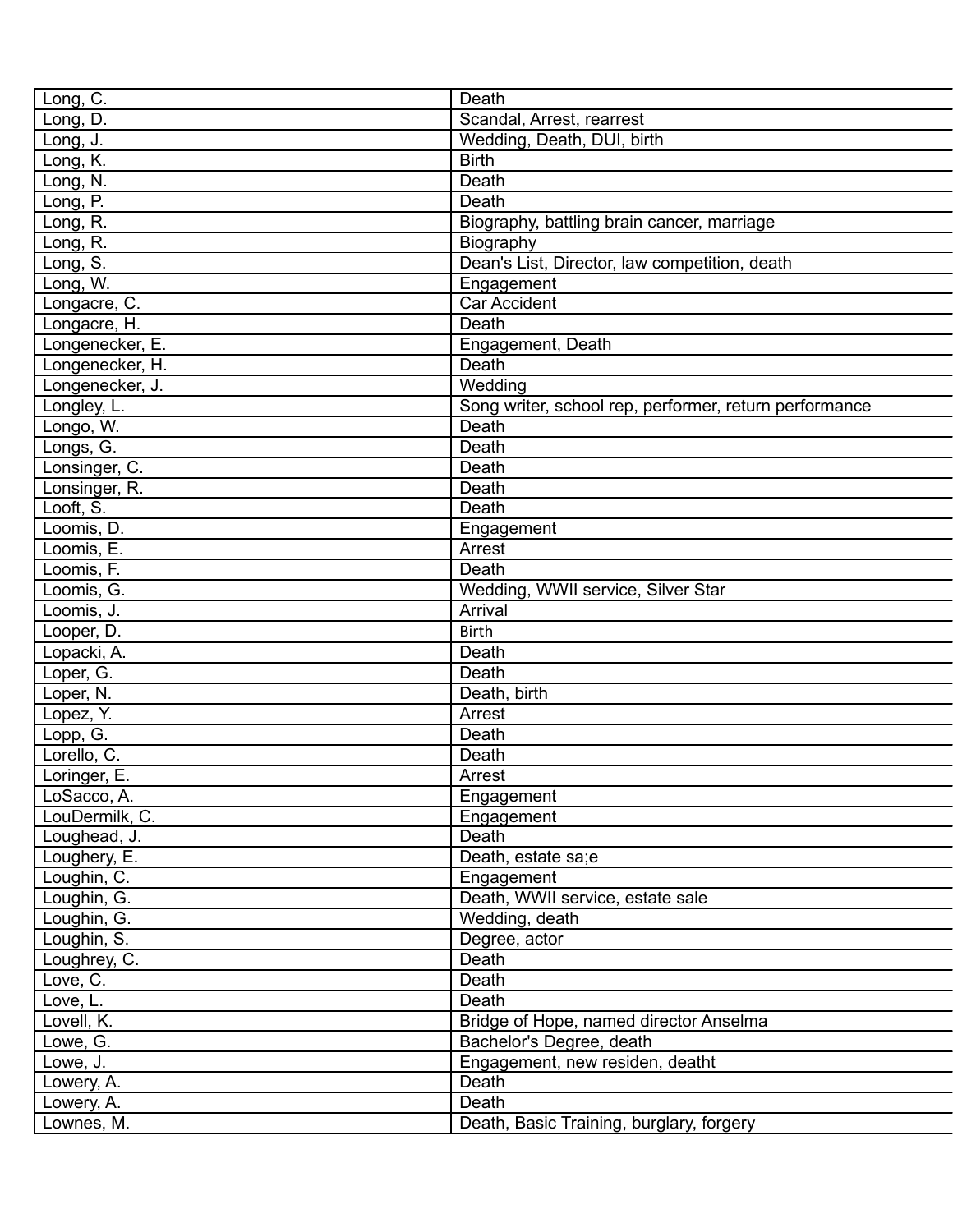| Long, C.        | Death                                                  |
|-----------------|--------------------------------------------------------|
| Long, D.        | Scandal, Arrest, rearrest                              |
| Long, J.        | Wedding, Death, DUI, birth                             |
| Long, K.        | <b>Birth</b>                                           |
| Long, N.        | Death                                                  |
| Long, P.        | Death                                                  |
| Long, R.        | Biography, battling brain cancer, marriage             |
| Long, R.        | Biography                                              |
| Long, S.        | Dean's List, Director, law competition, death          |
| Long, W.        | Engagement                                             |
| Longacre, C.    | <b>Car Accident</b>                                    |
| Longacre, H.    | Death                                                  |
| Longenecker, E. | Engagement, Death                                      |
| Longenecker, H. | Death                                                  |
| Longenecker, J. | Wedding                                                |
| Longley, L.     | Song writer, school rep, performer, return performance |
| Longo, W.       | Death                                                  |
| Longs, G.       | Death                                                  |
| Lonsinger, C.   | Death                                                  |
| Lonsinger, R.   | Death                                                  |
| Looft, S.       | Death                                                  |
| Loomis, D.      | Engagement                                             |
| Loomis, E.      | Arrest                                                 |
| Loomis, F.      | Death                                                  |
| Loomis, G.      | Wedding, WWII service, Silver Star                     |
| Loomis, J.      | Arrival                                                |
| Looper, D.      | <b>Birth</b>                                           |
| Lopacki, A.     | Death                                                  |
| Loper, G.       | Death                                                  |
| Loper, N.       | Death, birth                                           |
| Lopez, Y.       | Arrest                                                 |
| Lopp, G.        | Death                                                  |
| Lorello, C.     | Death                                                  |
| Loringer, E.    | Arrest                                                 |
| LoSacco, A.     | Engagement                                             |
| LouDermilk, C.  | Engagement                                             |
| Loughead, J.    | Death                                                  |
| Loughery, E.    | Death, estate sa;e                                     |
| Loughin, C.     | Engagement                                             |
| Loughin, G.     | Death, WWII service, estate sale                       |
| Loughin, G.     | Wedding, death                                         |
| Loughin, S.     | Degree, actor                                          |
| Loughrey, C.    | Death                                                  |
| Love, C.        | Death                                                  |
| Love, L.        | Death                                                  |
| Lovell, K.      | Bridge of Hope, named director Anselma                 |
| Lowe, G.        | Bachelor's Degree, death                               |
| Lowe, J.        | Engagement, new residen, deatht                        |
| Lowery, A.      | Death                                                  |
| Lowery, A.      | Death                                                  |
| Lownes, M.      | Death, Basic Training, burglary, forgery               |
|                 |                                                        |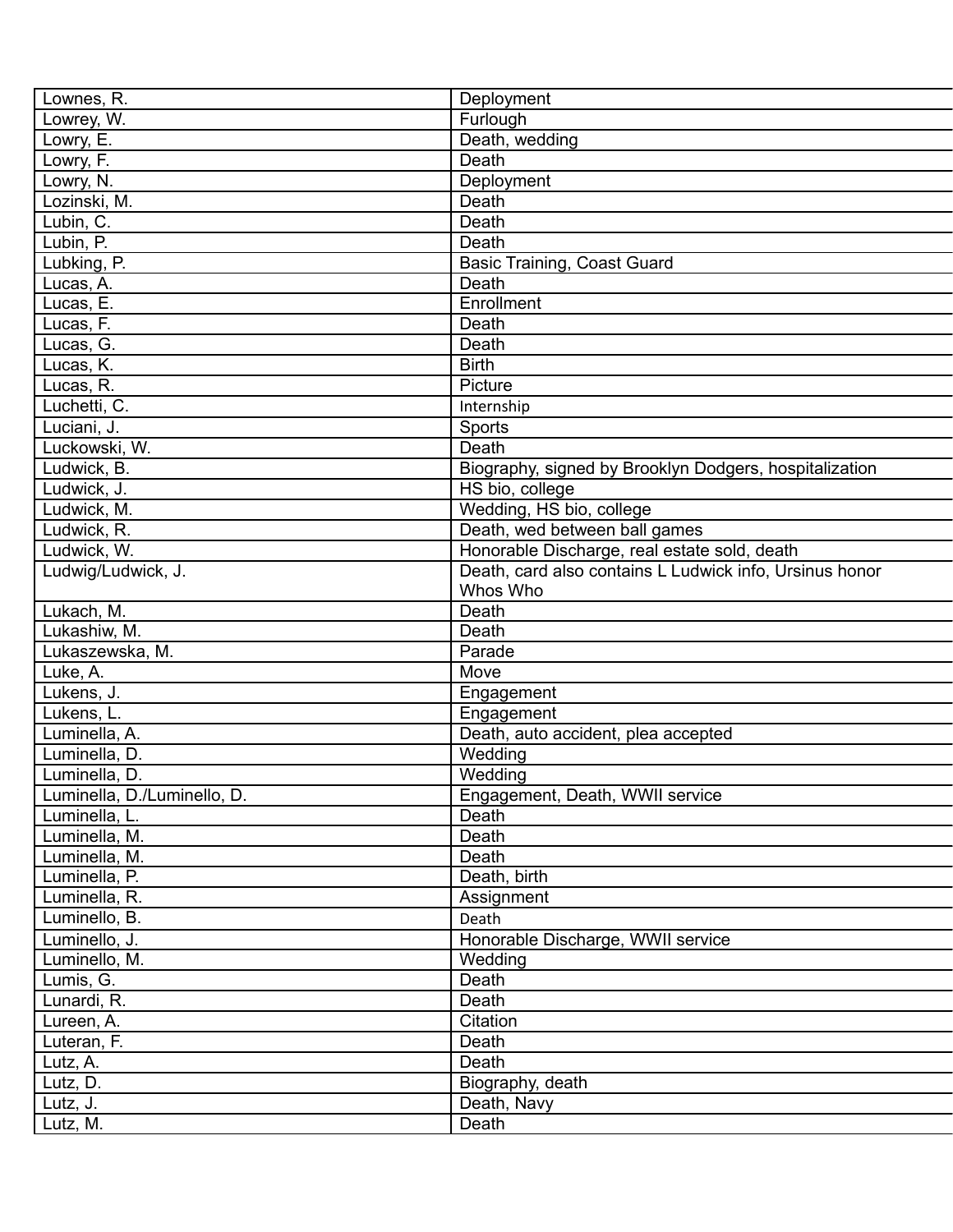| Lownes, R.                  | Deployment                                              |
|-----------------------------|---------------------------------------------------------|
| Lowrey, W.                  | Furlough                                                |
| Lowry, E.                   | Death, wedding                                          |
| Lowry, F.                   | Death                                                   |
| Lowry, N.                   | Deployment                                              |
| Lozinski, M.                | Death                                                   |
| Lubin, C.                   | Death                                                   |
| Lubin, P.                   | Death                                                   |
| Lubking, P.                 | <b>Basic Training, Coast Guard</b>                      |
| Lucas, A.                   | Death                                                   |
| Lucas, E.                   | Enrollment                                              |
| Lucas, F.                   | Death                                                   |
| Lucas, G.                   | Death                                                   |
| Lucas, K.                   | <b>Birth</b>                                            |
| Lucas, R.                   | Picture                                                 |
| Luchetti, C.                | Internship                                              |
| Luciani, J.                 | Sports                                                  |
| Luckowski, W.               | Death                                                   |
| Ludwick, B.                 | Biography, signed by Brooklyn Dodgers, hospitalization  |
| Ludwick, J.                 | HS bio, college                                         |
| Ludwick, M.                 | Wedding, HS bio, college                                |
| Ludwick, R.                 | Death, wed between ball games                           |
| Ludwick, W.                 | Honorable Discharge, real estate sold, death            |
| Ludwig/Ludwick, J.          | Death, card also contains L Ludwick info, Ursinus honor |
|                             | Whos Who                                                |
| Lukach, M.                  | Death                                                   |
| Lukashiw, M.                | Death                                                   |
|                             |                                                         |
| Lukaszewska, M.             | Parade                                                  |
| Luke, A.                    | Move                                                    |
| Lukens, J.                  | Engagement                                              |
| Lukens, L.                  | Engagement                                              |
| Luminella, A.               | Death, auto accident, plea accepted                     |
| Luminella, D.               | Wedding                                                 |
| Luminella, D.               | Wedding                                                 |
| Luminella, D./Luminello, D. | Engagement, Death, WWII service                         |
| Luminella, L.               | Death                                                   |
| Luminella, M.               | Death                                                   |
| Luminella, M.               | Death                                                   |
| Luminella, P.               | Death, birth                                            |
| Luminella, R.               | Assignment                                              |
| Luminello, B.               | Death                                                   |
| Luminello, J.               | Honorable Discharge, WWII service                       |
| Luminello, M.               | Wedding                                                 |
| Lumis, G.                   | Death                                                   |
| Lunardi, R.                 | Death                                                   |
| Lureen, A.                  | Citation                                                |
| Luteran, F.                 | Death                                                   |
| Lutz, A.                    | Death                                                   |
| Lutz, D.                    | Biography, death                                        |
| Lutz, J.                    | Death, Navy                                             |
| Lutz, M.                    | Death                                                   |
|                             |                                                         |